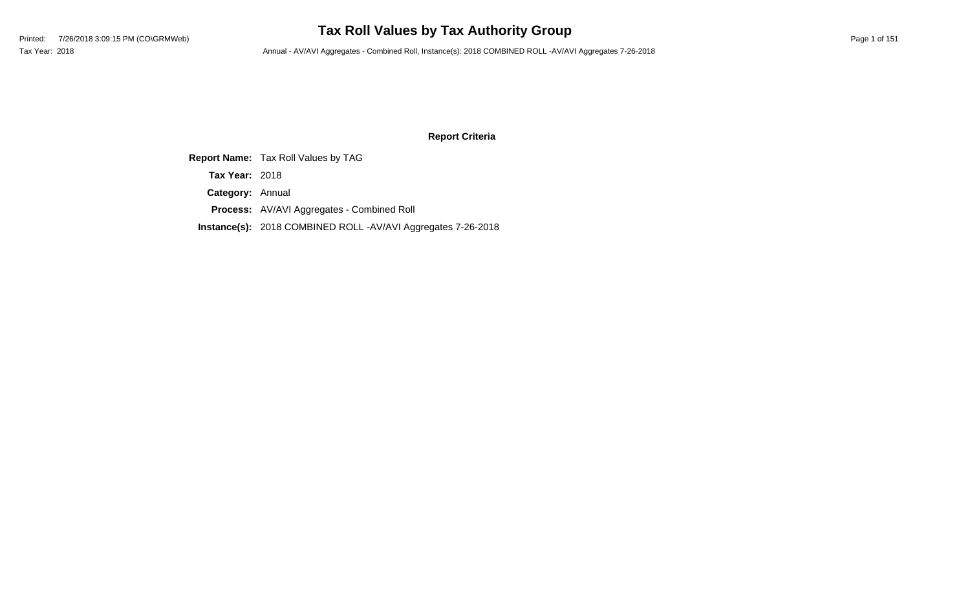### **Tax Roll Values by Tax Authority Group**

Tax Year: 2018 **Annual - AV/AVI Aggregates - Combined Roll**, Instance(s): 2018 COMBINED ROLL -AV/AVI Aggregates 7-26-2018

### **Report Criteria**

**Report Name:** Tax Roll Values by TAG

**Tax Year:** 2018

**Category:** Annual

**Process:** AV/AVI Aggregates - Combined Roll

**Instance(s):** 2018 COMBINED ROLL -AV/AVI Aggregates 7-26-2018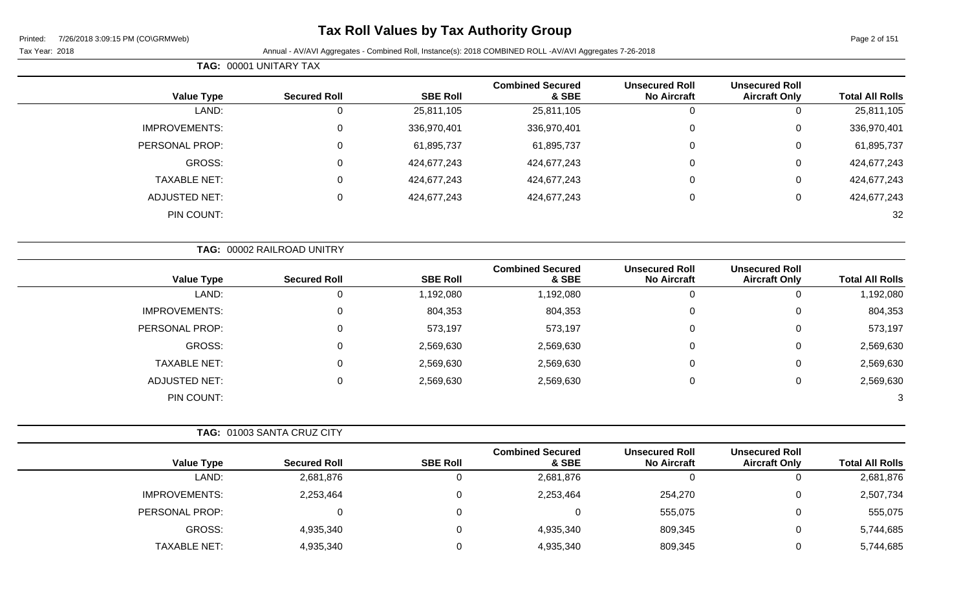### **Tax Roll Values by Tax Authority Group**

#### Tax Year: 2018 Annual - AV/AVI Aggregates - Combined Roll, Instance(s): 2018 COMBINED ROLL -AV/AVI Aggregates 7-26-2018

**TAG:** 00001 UNITARY TAX

| <b>Unsecured Roll</b><br><b>Unsecured Roll</b><br><b>SBE Roll</b><br><b>Total All Rolls</b><br><b>No Aircraft</b><br>& SBE<br><b>Aircraft Only</b> | <b>Combined Secured</b> | <b>Secured Roll</b> | <b>Value Type</b>    |
|----------------------------------------------------------------------------------------------------------------------------------------------------|-------------------------|---------------------|----------------------|
| 25,811,105<br>25,811,105<br>25,811,105<br>0<br>0<br>0                                                                                              |                         |                     | LAND:                |
| 336,970,401<br>0<br>336,970,401<br>336,970,401<br>0<br>0                                                                                           |                         |                     | <b>IMPROVEMENTS:</b> |
| 61,895,737<br>0<br>61,895,737<br>61,895,737<br>0<br>0                                                                                              |                         |                     | PERSONAL PROP:       |
| 0<br>424,677,243<br>424,677,243<br>424,677,243<br>0<br>0                                                                                           |                         |                     | GROSS:               |
| 424,677,243<br>0<br>424,677,243<br>424,677,243<br>0<br>0                                                                                           |                         |                     | <b>TAXABLE NET:</b>  |
| 424,677,243<br>0<br>424,677,243<br>424,677,243<br>0<br>$\mathbf 0$                                                                                 |                         |                     | <b>ADJUSTED NET:</b> |
| 32                                                                                                                                                 |                         |                     | PIN COUNT:           |
|                                                                                                                                                    |                         |                     |                      |

| <b>Value Type</b>    | <b>Secured Roll</b> | <b>SBE Roll</b> | <b>Combined Secured</b><br>& SBE | <b>Unsecured Roll</b><br><b>No Aircraft</b> | <b>Unsecured Roll</b><br><b>Aircraft Only</b> | <b>Total All Rolls</b> |
|----------------------|---------------------|-----------------|----------------------------------|---------------------------------------------|-----------------------------------------------|------------------------|
| LAND:                | 0                   | 1,192,080       | 1,192,080                        |                                             | 0                                             | 1,192,080              |
| <b>IMPROVEMENTS:</b> | 0                   | 804,353         | 804,353                          | 0                                           | 0                                             | 804,353                |
| PERSONAL PROP:       | $\mathbf 0$         | 573,197         | 573,197                          | 0                                           | 0                                             | 573,197                |
| GROSS:               | 0                   | 2,569,630       | 2,569,630                        | 0                                           | 0                                             | 2,569,630              |
| <b>TAXABLE NET:</b>  | 0                   | 2,569,630       | 2,569,630                        | 0                                           | 0                                             | 2,569,630              |
| <b>ADJUSTED NET:</b> | 0                   | 2,569,630       | 2,569,630                        |                                             | 0                                             | 2,569,630              |
| PIN COUNT:           |                     |                 |                                  |                                             |                                               | 3                      |

|                     | TAG: 01003 SANTA CRUZ CITY |                 |                                  |                                             |                                               |                        |
|---------------------|----------------------------|-----------------|----------------------------------|---------------------------------------------|-----------------------------------------------|------------------------|
| <b>Value Type</b>   | <b>Secured Roll</b>        | <b>SBE Roll</b> | <b>Combined Secured</b><br>& SBE | <b>Unsecured Roll</b><br><b>No Aircraft</b> | <b>Unsecured Roll</b><br><b>Aircraft Only</b> | <b>Total All Rolls</b> |
| LAND:               | 2,681,876                  | υ               | 2,681,876                        |                                             |                                               | 2,681,876              |
| IMPROVEMENTS:       | 2,253,464                  | 0               | 2,253,464                        | 254,270                                     |                                               | 2,507,734              |
| PERSONAL PROP:      |                            | 0               |                                  | 555,075                                     |                                               | 555,075                |
| GROSS:              | 4,935,340                  | 0               | 4,935,340                        | 809,345                                     |                                               | 5,744,685              |
| <b>TAXABLE NET:</b> | 4,935,340                  | 0               | 4,935,340                        | 809,345                                     |                                               | 5,744,685              |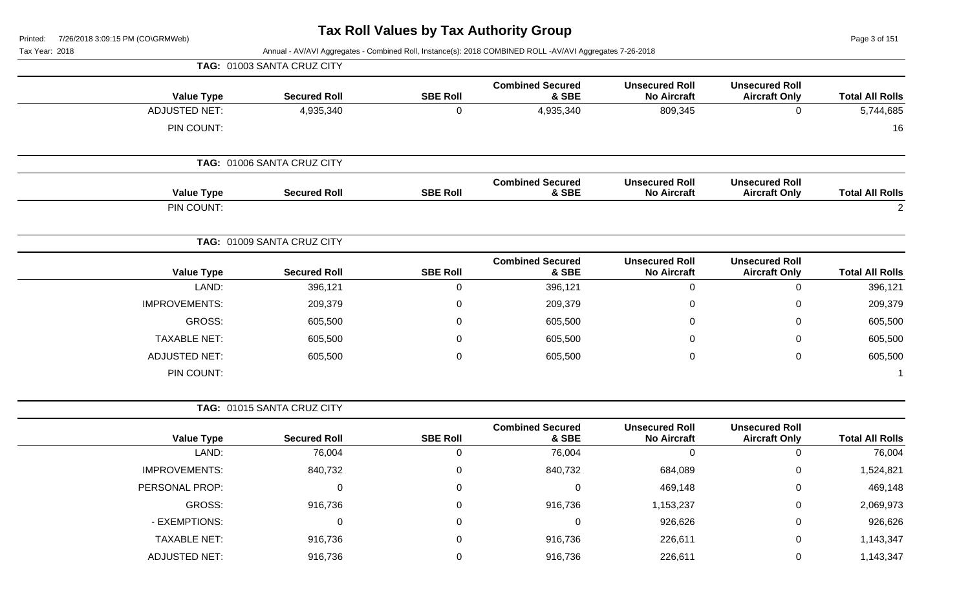ge 3 of 151

| Printed:<br>7/26/2018 3:09:15 PM (CO\GRMWeb)<br>Tax Year: 2018 |                            |                 | Annual - AV/AVI Aggregates - Combined Roll, Instance(s): 2018 COMBINED ROLL -AV/AVI Aggregates 7-26-2018 |                                             |                                               | Page 3 of 151          |
|----------------------------------------------------------------|----------------------------|-----------------|----------------------------------------------------------------------------------------------------------|---------------------------------------------|-----------------------------------------------|------------------------|
|                                                                | TAG: 01003 SANTA CRUZ CITY |                 |                                                                                                          |                                             |                                               |                        |
| <b>Value Type</b>                                              | <b>Secured Roll</b>        | <b>SBE Roll</b> | <b>Combined Secured</b><br>& SBE                                                                         | <b>Unsecured Roll</b><br><b>No Aircraft</b> | <b>Unsecured Roll</b><br><b>Aircraft Only</b> | <b>Total All Rolls</b> |
| <b>ADJUSTED NET:</b>                                           | 4,935,340                  | $\mathbf 0$     | 4,935,340                                                                                                | 809,345                                     | $\mathbf 0$                                   | 5,744,685              |
| PIN COUNT:                                                     |                            |                 |                                                                                                          |                                             |                                               | 16                     |
|                                                                | TAG: 01006 SANTA CRUZ CITY |                 |                                                                                                          |                                             |                                               |                        |
| <b>Value Type</b>                                              | <b>Secured Roll</b>        | <b>SBE Roll</b> | <b>Combined Secured</b><br>& SBE                                                                         | <b>Unsecured Roll</b><br><b>No Aircraft</b> | <b>Unsecured Roll</b><br><b>Aircraft Only</b> | <b>Total All Rolls</b> |
| PIN COUNT:                                                     |                            |                 |                                                                                                          |                                             |                                               | $\overline{2}$         |
|                                                                | TAG: 01009 SANTA CRUZ CITY |                 |                                                                                                          |                                             |                                               |                        |
| <b>Value Type</b>                                              | <b>Secured Roll</b>        | <b>SBE Roll</b> | <b>Combined Secured</b><br>& SBE                                                                         | <b>Unsecured Roll</b><br><b>No Aircraft</b> | <b>Unsecured Roll</b><br><b>Aircraft Only</b> | <b>Total All Rolls</b> |
| LAND:                                                          | 396,121                    | 0               | 396,121                                                                                                  | 0                                           | 0                                             | 396,121                |
| <b>IMPROVEMENTS:</b>                                           | 209,379                    | 0               | 209,379                                                                                                  | 0                                           | 0                                             | 209,379                |
| <b>GROSS:</b>                                                  | 605,500                    | 0               | 605,500                                                                                                  | 0                                           | 0                                             | 605,500                |
| <b>TAXABLE NET:</b>                                            | 605,500                    | 0               | 605,500                                                                                                  | 0                                           | 0                                             | 605,500                |
| <b>ADJUSTED NET:</b>                                           | 605,500                    | 0               | 605,500                                                                                                  | 0                                           | 0                                             | 605,500                |
| PIN COUNT:                                                     |                            |                 |                                                                                                          |                                             |                                               | -1                     |
|                                                                | TAG: 01015 SANTA CRUZ CITY |                 |                                                                                                          |                                             |                                               |                        |
| <b>Value Type</b>                                              | <b>Secured Roll</b>        | <b>SBE Roll</b> | <b>Combined Secured</b><br>& SBE                                                                         | <b>Unsecured Roll</b><br><b>No Aircraft</b> | <b>Unsecured Roll</b><br><b>Aircraft Only</b> | <b>Total All Rolls</b> |
| LAND:                                                          | 76,004                     | 0               | 76,004                                                                                                   | 0                                           | 0                                             | 76,004                 |
| IMPROVEMENTS:                                                  | 840,732                    | $\pmb{0}$       | 840,732                                                                                                  | 684,089                                     | 0                                             | 1,524,821              |
| PERSONAL PROP:                                                 | 0                          | $\mathbf 0$     | 0                                                                                                        | 469,148                                     | $\pmb{0}$                                     | 469,148                |
| GROSS:                                                         | 916,736                    | $\mathbf 0$     | 916,736                                                                                                  | 1,153,237                                   | $\pmb{0}$                                     | 2,069,973              |
| - EXEMPTIONS:                                                  | 0                          | 0               | 0                                                                                                        | 926,626                                     | 0                                             | 926,626                |
| <b>TAXABLE NET:</b>                                            | 916,736                    | 0               | 916,736                                                                                                  | 226,611                                     | $\pmb{0}$                                     | 1,143,347              |
| <b>ADJUSTED NET:</b>                                           | 916,736                    | $\mathbf 0$     | 916,736                                                                                                  | 226,611                                     | 0                                             | 1,143,347              |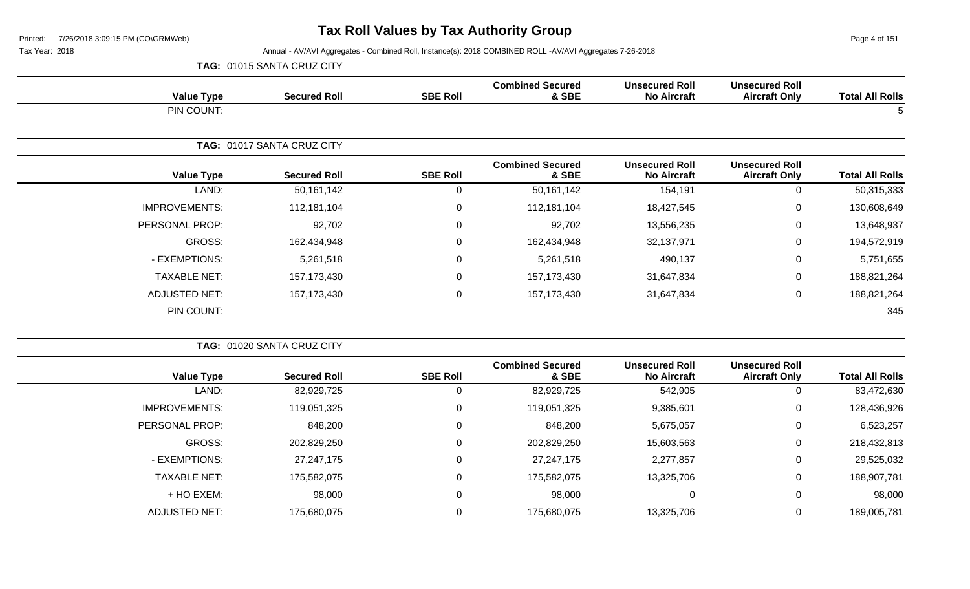Page 4 of 151

|                      | TAG: 01015 SANTA CRUZ CITY |                 |                                  |                                             |                                               |                        |
|----------------------|----------------------------|-----------------|----------------------------------|---------------------------------------------|-----------------------------------------------|------------------------|
| <b>Value Type</b>    | <b>Secured Roll</b>        | <b>SBE Roll</b> | <b>Combined Secured</b><br>& SBE | <b>Unsecured Roll</b><br><b>No Aircraft</b> | <b>Unsecured Roll</b><br><b>Aircraft Only</b> | <b>Total All Rolls</b> |
| PIN COUNT:           |                            |                 |                                  |                                             |                                               | ა                      |
|                      | TAG: 01017 SANTA CRUZ CITY |                 |                                  |                                             |                                               |                        |
| <b>Value Type</b>    | <b>Secured Roll</b>        | <b>SBE Roll</b> | <b>Combined Secured</b><br>& SBE | <b>Unsecured Roll</b><br><b>No Aircraft</b> | <b>Unsecured Roll</b><br><b>Aircraft Only</b> | <b>Total All Rolls</b> |
| LAND:                | 50,161,142                 | 0               | 50,161,142                       | 154,191                                     | 0                                             | 50,315,333             |
| <b>IMPROVEMENTS:</b> | 112,181,104                | $\mathbf 0$     | 112,181,104                      | 18,427,545                                  | $\mathbf 0$                                   | 130,608,649            |
| PERSONAL PROP:       | 92,702                     | $\mathbf 0$     | 92,702                           | 13,556,235                                  | $\mathbf 0$                                   | 13,648,937             |
| <b>GROSS:</b>        | 162,434,948                | 0               | 162,434,948                      | 32,137,971                                  | $\mathbf 0$                                   | 194,572,919            |
| - EXEMPTIONS:        | 5,261,518                  | 0               | 5,261,518                        | 490,137                                     | $\mathbf 0$                                   | 5,751,655              |
| <b>TAXABLE NET:</b>  | 157, 173, 430              | 0               | 157,173,430                      | 31,647,834                                  | $\mathbf 0$                                   | 188,821,264            |
| ADJUSTED NET:        | 157, 173, 430              | $\mathbf 0$     | 157,173,430                      | 31,647,834                                  | $\mathbf 0$                                   | 188,821,264            |
| PIN COUNT:           |                            |                 |                                  |                                             |                                               | 345                    |

|                      | TAG: 01020 SANTA CRUZ CITY |                 |                                  |                                             |                                               |                        |
|----------------------|----------------------------|-----------------|----------------------------------|---------------------------------------------|-----------------------------------------------|------------------------|
| <b>Value Type</b>    | <b>Secured Roll</b>        | <b>SBE Roll</b> | <b>Combined Secured</b><br>& SBE | <b>Unsecured Roll</b><br><b>No Aircraft</b> | <b>Unsecured Roll</b><br><b>Aircraft Only</b> | <b>Total All Rolls</b> |
| LAND:                | 82,929,725                 | 0               | 82,929,725                       | 542,905                                     | 0                                             | 83,472,630             |
| <b>IMPROVEMENTS:</b> | 119,051,325                | 0               | 119,051,325                      | 9,385,601                                   | 0                                             | 128,436,926            |
| PERSONAL PROP:       | 848,200                    | 0               | 848,200                          | 5,675,057                                   | $\overline{0}$                                | 6,523,257              |
| GROSS:               | 202,829,250                | 0               | 202,829,250                      | 15,603,563                                  | 0                                             | 218,432,813            |
| - EXEMPTIONS:        | 27, 247, 175               | 0               | 27,247,175                       | 2,277,857                                   | 0                                             | 29,525,032             |
| <b>TAXABLE NET:</b>  | 175,582,075                | 0               | 175,582,075                      | 13,325,706                                  | 0                                             | 188,907,781            |
| + HO EXEM:           | 98,000                     | 0               | 98,000                           | $\mathbf 0$                                 | 0                                             | 98,000                 |
| <b>ADJUSTED NET:</b> | 175,680,075                | 0               | 175,680,075                      | 13,325,706                                  | 0                                             | 189,005,781            |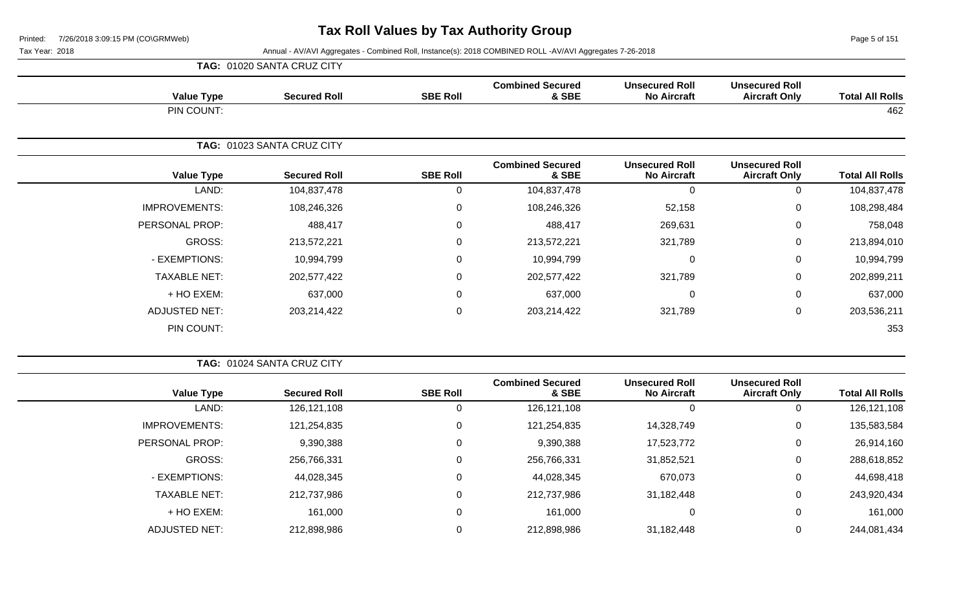Page 5 of 151

| <b>TAG: 01020 SANTA CRUZ CITY</b> |
|-----------------------------------|
|-----------------------------------|

| <b>Value Type</b>    | <b>Secured Roll</b>        | <b>SBE Roll</b> | <b>Combined Secured</b><br>& SBE | <b>Unsecured Roll</b><br><b>No Aircraft</b> | <b>Unsecured Roll</b><br><b>Aircraft Only</b> | <b>Total All Rolls</b> |
|----------------------|----------------------------|-----------------|----------------------------------|---------------------------------------------|-----------------------------------------------|------------------------|
| PIN COUNT:           |                            |                 |                                  |                                             |                                               | 462                    |
|                      | TAG: 01023 SANTA CRUZ CITY |                 |                                  |                                             |                                               |                        |
| <b>Value Type</b>    | <b>Secured Roll</b>        | <b>SBE Roll</b> | <b>Combined Secured</b><br>& SBE | <b>Unsecured Roll</b><br><b>No Aircraft</b> | <b>Unsecured Roll</b><br><b>Aircraft Only</b> | <b>Total All Rolls</b> |
| LAND:                | 104,837,478                | 0               | 104,837,478                      | $\Omega$                                    | $\mathbf 0$                                   | 104,837,478            |
| <b>IMPROVEMENTS:</b> | 108,246,326                | $\pmb{0}$       | 108,246,326                      | 52,158                                      | $\mathbf 0$                                   | 108,298,484            |
| PERSONAL PROP:       | 488,417                    | 0               | 488,417                          | 269,631                                     | $\mathbf 0$                                   | 758,048                |
| GROSS:               | 213,572,221                | 0               | 213,572,221                      | 321,789                                     | $\overline{0}$                                | 213,894,010            |
| - EXEMPTIONS:        | 10,994,799                 | $\mathbf 0$     | 10,994,799                       | $\mathbf{0}$                                | $\mathbf 0$                                   | 10,994,799             |
| <b>TAXABLE NET:</b>  | 202,577,422                | 0               | 202,577,422                      | 321,789                                     | $\overline{0}$                                | 202,899,211            |
| + HO EXEM:           | 637,000                    | 0               | 637,000                          | 0                                           | $\mathbf 0$                                   | 637,000                |
| <b>ADJUSTED NET:</b> | 203,214,422                | $\mathbf 0$     | 203,214,422                      | 321,789                                     | $\mathbf 0$                                   | 203,536,211            |
| PIN COUNT:           |                            |                 |                                  |                                             |                                               | 353                    |

|                        |                                               |                                             |                                  |                 | <b>TAG: 01024 SANTA CRUZ CITY</b> |                      |
|------------------------|-----------------------------------------------|---------------------------------------------|----------------------------------|-----------------|-----------------------------------|----------------------|
| <b>Total All Rolls</b> | <b>Unsecured Roll</b><br><b>Aircraft Only</b> | <b>Unsecured Roll</b><br><b>No Aircraft</b> | <b>Combined Secured</b><br>& SBE | <b>SBE Roll</b> | <b>Secured Roll</b>               | <b>Value Type</b>    |
| 126, 121, 108          | 0                                             |                                             | 126, 121, 108                    | 0               | 126, 121, 108                     | LAND:                |
| 135,583,584            | $\mathbf 0$                                   | 14,328,749                                  | 121,254,835                      | $\Omega$        | 121,254,835                       | <b>IMPROVEMENTS:</b> |
| 26,914,160             | $\mathbf{0}$                                  | 17,523,772                                  | 9,390,388                        | 0               | 9,390,388                         | PERSONAL PROP:       |
| 288,618,852            | $\mathbf 0$                                   | 31,852,521                                  | 256,766,331                      | 0               | 256,766,331                       | <b>GROSS:</b>        |
| 44,698,418             | 0                                             | 670,073                                     | 44,028,345                       | 0               | 44,028,345                        | - EXEMPTIONS:        |
| 243,920,434            | 0                                             | 31,182,448                                  | 212,737,986                      | $\Omega$        | 212,737,986                       | <b>TAXABLE NET:</b>  |
| 161,000                | 0                                             | 0                                           | 161,000                          | $\Omega$        | 161,000                           | $+$ HO EXEM:         |
| 244,081,434            | 0                                             | 31,182,448                                  | 212,898,986                      | 0               | 212,898,986                       | <b>ADJUSTED NET:</b> |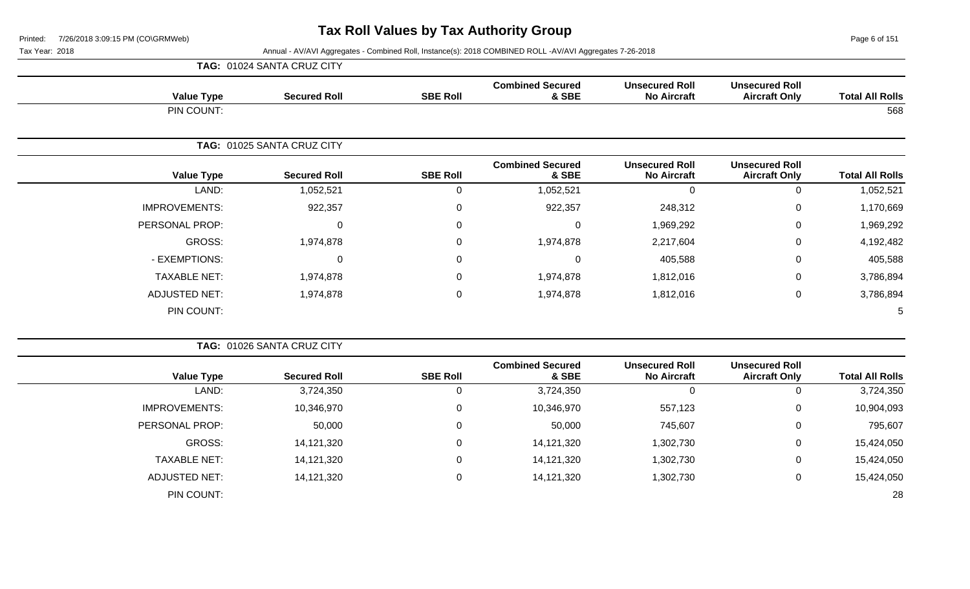Page 6 of 151

|                        |                                               |                                             |                                  |                 | TAG: 01024 SANTA CRUZ CITY |                      |
|------------------------|-----------------------------------------------|---------------------------------------------|----------------------------------|-----------------|----------------------------|----------------------|
| <b>Total All Rolls</b> | <b>Unsecured Roll</b><br><b>Aircraft Only</b> | <b>Unsecured Roll</b><br><b>No Aircraft</b> | <b>Combined Secured</b><br>& SBE | <b>SBE Roll</b> | <b>Secured Roll</b>        | <b>Value Type</b>    |
| 568                    |                                               |                                             |                                  |                 |                            | PIN COUNT:           |
|                        |                                               |                                             |                                  |                 | TAG: 01025 SANTA CRUZ CITY |                      |
| <b>Total All Rolls</b> | <b>Unsecured Roll</b><br><b>Aircraft Only</b> | <b>Unsecured Roll</b><br><b>No Aircraft</b> | <b>Combined Secured</b><br>& SBE | <b>SBE Roll</b> | <b>Secured Roll</b>        | <b>Value Type</b>    |
| 1,052,521              | $\mathbf 0$                                   | 0                                           | 1,052,521                        | $\mathbf 0$     | 1,052,521                  | LAND:                |
| 1,170,669              | $\mathbf 0$                                   | 248,312                                     | 922,357                          | $\mathbf 0$     | 922,357                    | <b>IMPROVEMENTS:</b> |
| 1,969,292              | $\mathbf 0$                                   | 1,969,292                                   | 0                                | $\mathbf 0$     | $\Omega$                   | PERSONAL PROP:       |
| 4,192,482              | $\mathbf 0$                                   | 2,217,604                                   | 1,974,878                        | $\mathbf 0$     | 1,974,878                  | GROSS:               |
| 405,588                | $\mathbf 0$                                   | 405,588                                     | $\mathbf 0$                      | $\mathbf 0$     | $\mathbf 0$                | - EXEMPTIONS:        |
| 3,786,894              | $\mathbf 0$                                   | 1,812,016                                   | 1,974,878                        | $\mathbf 0$     | 1,974,878                  | <b>TAXABLE NET:</b>  |
| 3,786,894              | $\mathbf 0$                                   | 1,812,016                                   | 1,974,878                        | $\mathbf 0$     | 1,974,878                  | <b>ADJUSTED NET:</b> |
| 5                      |                                               |                                             |                                  |                 |                            | PIN COUNT:           |

|                        |                                               |                                             |                                  |                 | TAG: 01026 SANTA CRUZ CITY |                      |
|------------------------|-----------------------------------------------|---------------------------------------------|----------------------------------|-----------------|----------------------------|----------------------|
| <b>Total All Rolls</b> | <b>Unsecured Roll</b><br><b>Aircraft Only</b> | <b>Unsecured Roll</b><br><b>No Aircraft</b> | <b>Combined Secured</b><br>& SBE | <b>SBE Roll</b> | <b>Secured Roll</b>        | <b>Value Type</b>    |
| 3,724,350              |                                               | 0                                           | 3,724,350                        |                 | 3,724,350                  | LAND:                |
| 10,904,093             | 0                                             | 557,123                                     | 10,346,970                       | 0               | 10,346,970                 | <b>IMPROVEMENTS:</b> |
| 795,607                | 0                                             | 745,607                                     | 50,000                           | 0               | 50,000                     | PERSONAL PROP:       |
| 15,424,050             | 0                                             | 1,302,730                                   | 14,121,320                       | 0               | 14,121,320                 | GROSS:               |
| 15,424,050             | 0                                             | 1,302,730                                   | 14,121,320                       |                 | 14,121,320                 | <b>TAXABLE NET:</b>  |
| 15,424,050             | 0                                             | 1,302,730                                   | 14,121,320                       |                 | 14,121,320                 | <b>ADJUSTED NET:</b> |
| 28                     |                                               |                                             |                                  |                 |                            | PIN COUNT:           |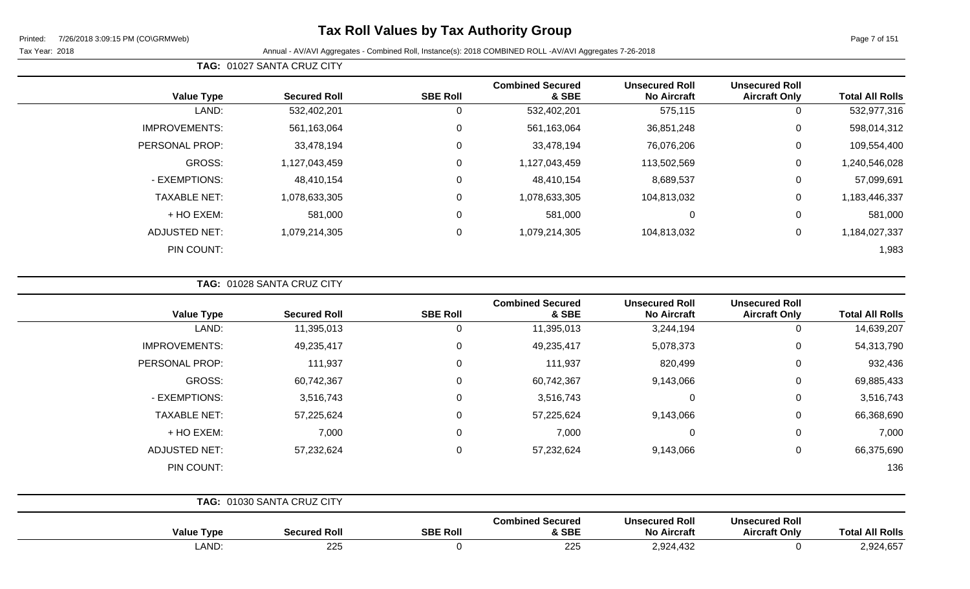### **Tax Roll Values by Tax Authority Group**

Page 7 of 151

Tax Year: 2018 Annual - AV/AVI Aggregates - Combined Roll, Instance(s): 2018 COMBINED ROLL -AV/AVI Aggregates 7-26-2018

| <b>Value Type</b>    | <b>Secured Roll</b> | <b>SBE Roll</b> | <b>Combined Secured</b><br>& SBE | <b>Unsecured Roll</b><br><b>No Aircraft</b> | <b>Unsecured Roll</b><br><b>Aircraft Only</b> | <b>Total All Rolls</b> |
|----------------------|---------------------|-----------------|----------------------------------|---------------------------------------------|-----------------------------------------------|------------------------|
| LAND:                | 532,402,201         | 0               | 532,402,201                      | 575,115                                     | 0                                             | 532,977,316            |
| <b>IMPROVEMENTS:</b> | 561,163,064         | 0               | 561,163,064                      | 36,851,248                                  | 0                                             | 598,014,312            |
| PERSONAL PROP:       | 33,478,194          | $\mathbf 0$     | 33,478,194                       | 76,076,206                                  | $\mathbf 0$                                   | 109,554,400            |
| GROSS:               | 1,127,043,459       | 0               | 1,127,043,459                    | 113,502,569                                 | $\mathbf 0$                                   | ,240,546,028           |
| - EXEMPTIONS:        | 48,410,154          | 0               | 48,410,154                       | 8,689,537                                   | 0                                             | 57,099,691             |
| <b>TAXABLE NET:</b>  | 1,078,633,305       | 0               | 1,078,633,305                    | 104,813,032                                 | $\mathbf 0$                                   | 1,183,446,337          |
| + HO EXEM:           | 581,000             | 0               | 581,000                          | $\mathbf 0$                                 | $\mathbf 0$                                   | 581,000                |
| <b>ADJUSTED NET:</b> | 1,079,214,305       | 0               | 1,079,214,305                    | 104,813,032                                 | 0                                             | 1,184,027,337          |
| PIN COUNT:           |                     |                 |                                  |                                             |                                               | 1,983                  |

**TAG:** 01028 SANTA CRUZ CITY

**TAG:** 01027 SANTA CRUZ CITY

| <b>Total All Rolls</b> | <b>Unsecured Roll</b><br><b>Aircraft Only</b> | <b>Unsecured Roll</b><br><b>No Aircraft</b> | <b>Combined Secured</b><br>& SBE | <b>SBE Roll</b> | <b>Secured Roll</b>        | <b>Value Type</b>    |
|------------------------|-----------------------------------------------|---------------------------------------------|----------------------------------|-----------------|----------------------------|----------------------|
| 14,639,207             | 0                                             | 3,244,194                                   | 11,395,013                       | $\Omega$        | 11,395,013                 | LAND:                |
| 54,313,790             | 0                                             | 5,078,373                                   | 49,235,417                       | 0               | 49,235,417                 | <b>IMPROVEMENTS:</b> |
| 932,436                | $\mathbf 0$                                   | 820,499                                     | 111,937                          | $\Omega$        | 111,937                    | PERSONAL PROP:       |
| 69,885,433             | 0                                             | 9,143,066                                   | 60,742,367                       | $\Omega$        | 60,742,367                 | GROSS:               |
| 3,516,743              | 0                                             | $\mathbf 0$                                 | 3,516,743                        | $\Omega$        | 3,516,743                  | - EXEMPTIONS:        |
| 66,368,690             | 0                                             | 9,143,066                                   | 57,225,624                       | 0               | 57,225,624                 | <b>TAXABLE NET:</b>  |
| 7,000                  | 0                                             | $\mathbf 0$                                 | 7,000                            | $\mathbf{0}$    | 7,000                      | + HO EXEM:           |
| 66,375,690             | $\mathbf 0$                                   | 9,143,066                                   | 57,232,624                       | $\Omega$        | 57,232,624                 | <b>ADJUSTED NET:</b> |
| 136                    |                                               |                                             |                                  |                 |                            | PIN COUNT:           |
|                        |                                               |                                             |                                  |                 | TAG: 01030 SANTA CRUZ CITY |                      |
|                        | <b>Unsecured Roll</b>                         | <b>Unsecured Roll</b>                       | <b>Combined Secured</b>          |                 |                            |                      |

| Value<br>' VDL      | Secured Ro          | <b>SBE Roll</b> | omomeu<br>∣ Əecured<br>.<br>& SBE | UIISECUIEU KUIL<br><b>NIA</b><br>Aircraf<br>IVY | UIISECUIEU KUIL<br><b>Aircraft Only</b> | <b>All Rolls</b><br>otal                          |
|---------------------|---------------------|-----------------|-----------------------------------|-------------------------------------------------|-----------------------------------------|---------------------------------------------------|
| <b>ANIE</b><br>שות. | $\sim$<br><u>__</u> |                 | $\sim$<br>ZZJ                     | ו מס י<br>$\sqrt{2}$<br>974<br>2.027.702        |                                         | $\cdots$ $\sim$ $\sim$ $\sim$ $\sim$<br>2,924,657 |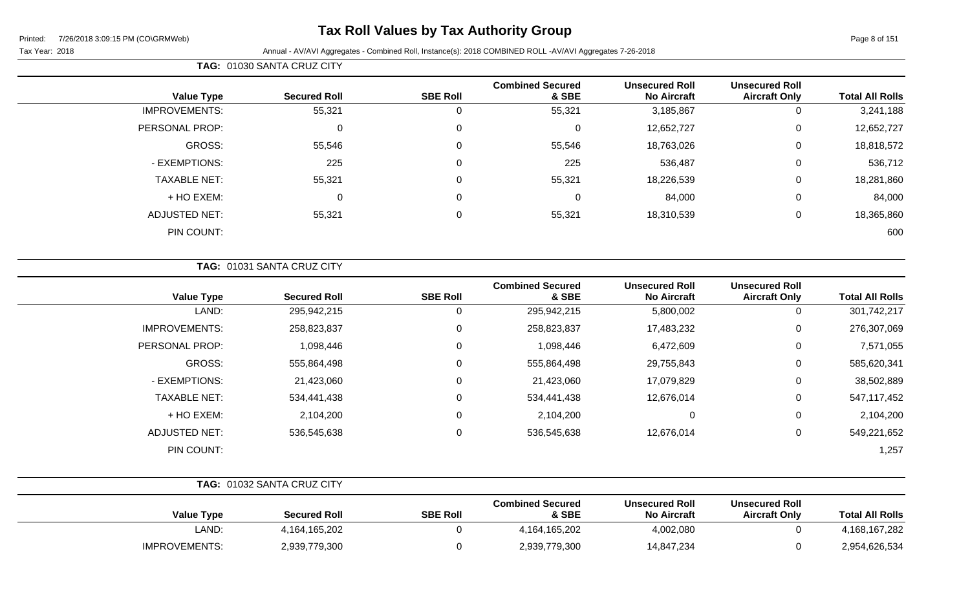### **Tax Roll Values by Tax Authority Group**

Tax Year: 2018 Annual - AV/AVI Aggregates - Combined Roll, Instance(s): 2018 COMBINED ROLL -AV/AVI Aggregates 7-26-2018

### **TAG:** 01030 SANTA CRUZ CITY

| <b>Value Type</b>    | <b>Secured Roll</b> | <b>SBE Roll</b> | <b>Combined Secured</b><br>& SBE | <b>Unsecured Roll</b><br><b>No Aircraft</b> | <b>Unsecured Roll</b><br><b>Aircraft Only</b> | <b>Total All Rolls</b> |
|----------------------|---------------------|-----------------|----------------------------------|---------------------------------------------|-----------------------------------------------|------------------------|
| <b>IMPROVEMENTS:</b> | 55,321              | 0               | 55,321                           | 3,185,867                                   | 0                                             | 3,241,188              |
| PERSONAL PROP:       | $\mathbf 0$         | $\mathbf 0$     | $\mathbf 0$                      | 12,652,727                                  | 0                                             | 12,652,727             |
| GROSS:               | 55,546              | 0               | 55,546                           | 18,763,026                                  | $\mathbf 0$                                   | 18,818,572             |
| - EXEMPTIONS:        | 225                 | 0               | 225                              | 536,487                                     | $\mathbf 0$                                   | 536,712                |
| <b>TAXABLE NET:</b>  | 55,321              | 0               | 55,321                           | 18,226,539                                  | 0                                             | 18,281,860             |
| + HO EXEM:           | 0                   | 0               | $\mathbf 0$                      | 84,000                                      | $\mathbf 0$                                   | 84,000                 |
| <b>ADJUSTED NET:</b> | 55,321              | 0               | 55,321                           | 18,310,539                                  | $\mathbf 0$                                   | 18,365,860             |
| PIN COUNT:           |                     |                 |                                  |                                             |                                               | 600                    |

### **TAG:** 01031 SANTA CRUZ CITY

| <b>Value Type</b>    | <b>Secured Roll</b> | <b>SBE Roll</b> | <b>Combined Secured</b><br>& SBE | <b>Unsecured Roll</b><br><b>No Aircraft</b> | <b>Unsecured Roll</b><br><b>Aircraft Only</b> | <b>Total All Rolls</b> |
|----------------------|---------------------|-----------------|----------------------------------|---------------------------------------------|-----------------------------------------------|------------------------|
| LAND:                | 295,942,215         | 0               | 295,942,215                      | 5,800,002                                   | 0                                             | 301,742,217            |
| <b>IMPROVEMENTS:</b> | 258,823,837         | 0               | 258,823,837                      | 17,483,232                                  | 0                                             | 276,307,069            |
| PERSONAL PROP:       | 1,098,446           | 0               | 1,098,446                        | 6,472,609                                   | 0                                             | 7,571,055              |
| GROSS:               | 555,864,498         | 0               | 555,864,498                      | 29,755,843                                  | 0                                             | 585,620,341            |
| - EXEMPTIONS:        | 21,423,060          | 0               | 21,423,060                       | 17,079,829                                  | 0                                             | 38,502,889             |
| <b>TAXABLE NET:</b>  | 534,441,438         | 0               | 534,441,438                      | 12,676,014                                  | 0                                             | 547,117,452            |
| + HO EXEM:           | 2,104,200           | 0               | 2,104,200                        | 0                                           | 0                                             | 2,104,200              |
| <b>ADJUSTED NET:</b> | 536,545,638         | 0               | 536,545,638                      | 12,676,014                                  | 0                                             | 549,221,652            |
| PIN COUNT:           |                     |                 |                                  |                                             |                                               | 1,257                  |

|                      | <b>TAG: 01032 SANTA CRUZ CITY</b> |                 |                                  |                                             |                                               |                        |
|----------------------|-----------------------------------|-----------------|----------------------------------|---------------------------------------------|-----------------------------------------------|------------------------|
| <b>Value Type</b>    | <b>Secured Roll</b>               | <b>SBE Roll</b> | <b>Combined Secured</b><br>& SBE | <b>Unsecured Roll</b><br><b>No Aircraft</b> | <b>Unsecured Roll</b><br><b>Aircraft Only</b> | <b>Total All Rolls</b> |
| LAND:                | 4,164,165,202                     |                 | 4,164,165,202                    | 4,002,080                                   |                                               | 4,168,167,282          |
| <b>IMPROVEMENTS:</b> | 2,939,779,300                     |                 | 2,939,779,300                    | 14,847,234                                  |                                               | 2,954,626,534          |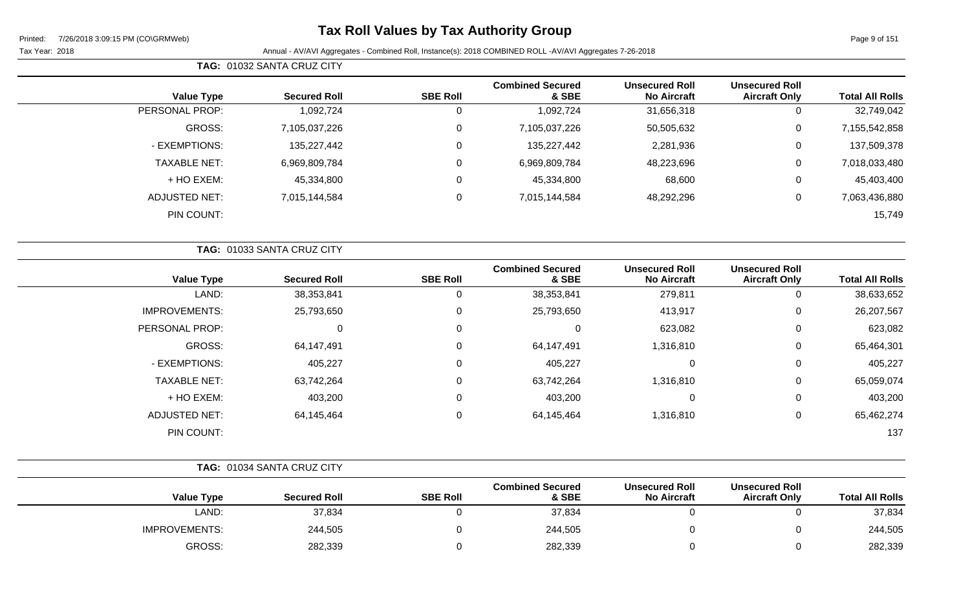$\sim$ 

### **Tax Roll Values by Tax Authority Group**

**TAG:** 01032 SANTA CRUZ CITY

| <b>Value Type</b>    | <b>Secured Roll</b> | <b>SBE Roll</b> | <b>Combined Secured</b><br>& SBE | <b>Unsecured Roll</b><br><b>No Aircraft</b> | <b>Unsecured Roll</b><br><b>Aircraft Only</b> | <b>Total All Rolls</b> |
|----------------------|---------------------|-----------------|----------------------------------|---------------------------------------------|-----------------------------------------------|------------------------|
| PERSONAL PROP:       | 1,092,724           |                 | 1,092,724                        | 31,656,318                                  | 0                                             | 32,749,042             |
| GROSS:               | 7,105,037,226       |                 | 7,105,037,226                    | 50,505,632                                  | 0                                             | 7,155,542,858          |
| - EXEMPTIONS:        | 135,227,442         |                 | 135,227,442                      | 2,281,936                                   | 0                                             | 137,509,378            |
| <b>TAXABLE NET:</b>  | 6,969,809,784       |                 | 6,969,809,784                    | 48,223,696                                  | 0                                             | 7,018,033,480          |
| + HO EXEM:           | 45,334,800          |                 | 45,334,800                       | 68,600                                      | 0                                             | 45,403,400             |
| <b>ADJUSTED NET:</b> | 7,015,144,584       |                 | 7,015,144,584                    | 48,292,296                                  | 0                                             | 7,063,436,880          |
| PIN COUNT:           |                     |                 |                                  |                                             |                                               | 15,749                 |

|                      | TAG: 01033 SANTA CRUZ CITY |                 |                                  |                                             |                                               |                        |
|----------------------|----------------------------|-----------------|----------------------------------|---------------------------------------------|-----------------------------------------------|------------------------|
| <b>Value Type</b>    | <b>Secured Roll</b>        | <b>SBE Roll</b> | <b>Combined Secured</b><br>& SBE | <b>Unsecured Roll</b><br><b>No Aircraft</b> | <b>Unsecured Roll</b><br><b>Aircraft Only</b> | <b>Total All Rolls</b> |
| LAND:                | 38,353,841                 | 0               | 38,353,841                       | 279,811                                     | 0                                             | 38,633,652             |
| <b>IMPROVEMENTS:</b> | 25,793,650                 | $\mathbf{0}$    | 25,793,650                       | 413,917                                     | 0                                             | 26,207,567             |
| PERSONAL PROP:       | 0                          | $\Omega$        | $\overline{0}$                   | 623,082                                     | 0                                             | 623,082                |
| GROSS:               | 64,147,491                 | $\Omega$        | 64,147,491                       | 1,316,810                                   | 0                                             | 65,464,301             |
| - EXEMPTIONS:        | 405,227                    | $\mathbf{0}$    | 405,227                          | $\Omega$                                    | 0                                             | 405,227                |
| <b>TAXABLE NET:</b>  | 63,742,264                 | $\mathbf{0}$    | 63,742,264                       | 1,316,810                                   | 0                                             | 65,059,074             |
| + HO EXEM:           | 403,200                    | $\Omega$        | 403,200                          |                                             | 0                                             | 403,200                |
| <b>ADJUSTED NET:</b> | 64,145,464                 | 0               | 64,145,464                       | 1,316,810                                   | 0                                             | 65,462,274             |
| PIN COUNT:           |                            |                 |                                  |                                             |                                               | 137                    |

|                      |       | TAG: 01034 SANTA CRUZ CITY |                 |                                  |                                             |                                               |                        |
|----------------------|-------|----------------------------|-----------------|----------------------------------|---------------------------------------------|-----------------------------------------------|------------------------|
| <b>Value Type</b>    |       | <b>Secured Roll</b>        | <b>SBE Roll</b> | <b>Combined Secured</b><br>& SBE | <b>Unsecured Roll</b><br><b>No Aircraft</b> | <b>Unsecured Roll</b><br><b>Aircraft Only</b> | <b>Total All Rolls</b> |
|                      | LAND: | 37,834                     |                 | 37,834                           |                                             |                                               | 37,834                 |
| <b>IMPROVEMENTS:</b> |       | 244,505                    |                 | 244,505                          |                                             |                                               | 244,505                |
| GROSS:               |       | 282,339                    |                 | 282,339                          |                                             |                                               | 282,339                |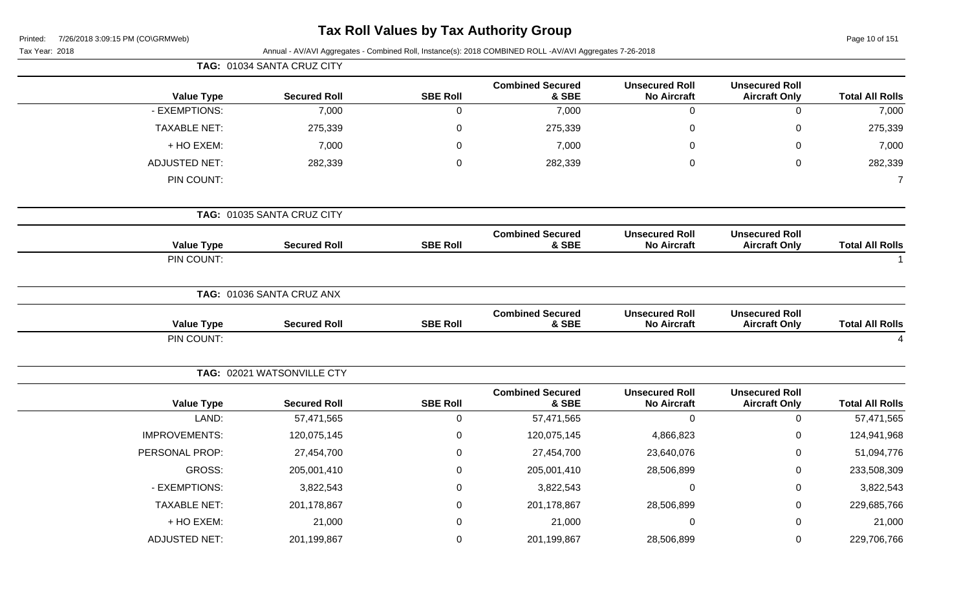| Printed: | 7/26/2018 3:09:15 PM (CO\GRMWeb) |  |
|----------|----------------------------------|--|
|          |                                  |  |

# **Tax Roll Values by Tax Authority Group**

| Tax Year: 2018       |                            |                  | Annual - AV/AVI Aggregates - Combined Roll, Instance(s): 2018 COMBINED ROLL -AV/AVI Aggregates 7-26-2018 |                                             |                                               |                        |
|----------------------|----------------------------|------------------|----------------------------------------------------------------------------------------------------------|---------------------------------------------|-----------------------------------------------|------------------------|
|                      | TAG: 01034 SANTA CRUZ CITY |                  |                                                                                                          |                                             |                                               |                        |
| <b>Value Type</b>    | <b>Secured Roll</b>        | <b>SBE Roll</b>  | <b>Combined Secured</b><br>& SBE                                                                         | <b>Unsecured Roll</b><br><b>No Aircraft</b> | <b>Unsecured Roll</b><br><b>Aircraft Only</b> | <b>Total All Rolls</b> |
| - EXEMPTIONS:        | 7,000                      | $\mathbf 0$      | 7,000                                                                                                    | $\mathbf 0$                                 | $\mathbf 0$                                   | 7,000                  |
| <b>TAXABLE NET:</b>  | 275,339                    | $\boldsymbol{0}$ | 275,339                                                                                                  | $\mathbf 0$                                 | $\mathsf 0$                                   | 275,339                |
| + HO EXEM:           | 7,000                      | 0                | 7,000                                                                                                    | 0                                           | 0                                             | 7,000                  |
| <b>ADJUSTED NET:</b> | 282,339                    | $\mathbf 0$      | 282,339                                                                                                  | $\boldsymbol{0}$                            | $\mathsf 0$                                   | 282,339                |
| PIN COUNT:           |                            |                  |                                                                                                          |                                             |                                               | $\overline{7}$         |
|                      | TAG: 01035 SANTA CRUZ CITY |                  |                                                                                                          |                                             |                                               |                        |
| <b>Value Type</b>    | <b>Secured Roll</b>        | <b>SBE Roll</b>  | <b>Combined Secured</b><br>& SBE                                                                         | <b>Unsecured Roll</b><br><b>No Aircraft</b> | <b>Unsecured Roll</b><br><b>Aircraft Only</b> | <b>Total All Rolls</b> |
| PIN COUNT:           |                            |                  |                                                                                                          |                                             |                                               |                        |
|                      | TAG: 01036 SANTA CRUZ ANX  |                  |                                                                                                          |                                             |                                               |                        |
| <b>Value Type</b>    | <b>Secured Roll</b>        | <b>SBE Roll</b>  | <b>Combined Secured</b><br>& SBE                                                                         | <b>Unsecured Roll</b><br><b>No Aircraft</b> | <b>Unsecured Roll</b><br><b>Aircraft Only</b> | <b>Total All Rolls</b> |
| PIN COUNT:           |                            |                  |                                                                                                          |                                             |                                               | $\overline{4}$         |
|                      | TAG: 02021 WATSONVILLE CTY |                  |                                                                                                          |                                             |                                               |                        |
| <b>Value Type</b>    | <b>Secured Roll</b>        | <b>SBE Roll</b>  | <b>Combined Secured</b><br>& SBE                                                                         | <b>Unsecured Roll</b><br><b>No Aircraft</b> | <b>Unsecured Roll</b><br><b>Aircraft Only</b> | <b>Total All Rolls</b> |
| LAND:                | 57,471,565                 | $\boldsymbol{0}$ | 57,471,565                                                                                               | $\mathbf 0$                                 | $\pmb{0}$                                     | 57,471,565             |
| <b>IMPROVEMENTS:</b> | 120,075,145                | $\mathbf 0$      | 120,075,145                                                                                              | 4,866,823                                   | 0                                             | 124,941,968            |
| PERSONAL PROP:       | 27,454,700                 | $\mathbf 0$      | 27,454,700                                                                                               | 23,640,076                                  | 0                                             | 51,094,776             |
| GROSS:               | 205,001,410                | $\boldsymbol{0}$ | 205,001,410                                                                                              | 28,506,899                                  | 0                                             | 233,508,309            |
| - EXEMPTIONS:        | 3,822,543                  | $\Omega$         | 3,822,543                                                                                                | $\mathbf 0$                                 | $\pmb{0}$                                     | 3,822,543              |
| <b>TAXABLE NET:</b>  | 201,178,867                | 0                | 201,178,867                                                                                              | 28,506,899                                  | 0                                             | 229,685,766            |
| + HO EXEM:           | 21,000                     | $\Omega$         | 21,000                                                                                                   | 0                                           | 0                                             | 21,000                 |
| <b>ADJUSTED NET:</b> | 201,199,867                | $\mathbf 0$      | 201,199,867                                                                                              | 28,506,899                                  | 0                                             | 229,706,766            |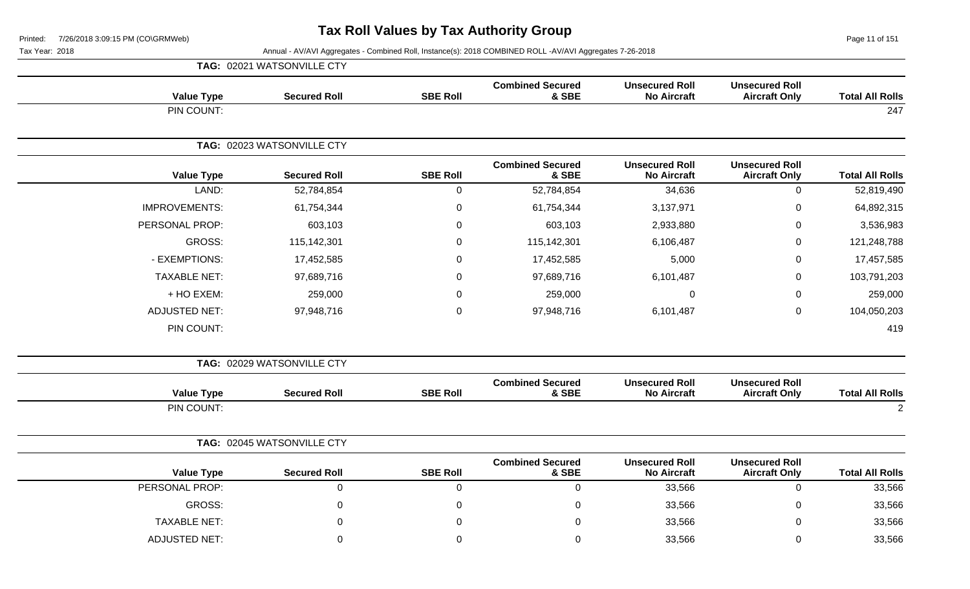Page 11 of 151

|                        |                                               |                                             |                                  |                  | TAG: 02021 WATSONVILLE CTY |                      |
|------------------------|-----------------------------------------------|---------------------------------------------|----------------------------------|------------------|----------------------------|----------------------|
| <b>Total All Rolls</b> | <b>Unsecured Roll</b><br><b>Aircraft Only</b> | <b>Unsecured Roll</b><br><b>No Aircraft</b> | <b>Combined Secured</b><br>& SBE | <b>SBE Roll</b>  | <b>Secured Roll</b>        | <b>Value Type</b>    |
| 247                    |                                               |                                             |                                  |                  |                            | PIN COUNT:           |
|                        |                                               |                                             |                                  |                  | TAG: 02023 WATSONVILLE CTY |                      |
| <b>Total All Rolls</b> | <b>Unsecured Roll</b><br><b>Aircraft Only</b> | <b>Unsecured Roll</b><br><b>No Aircraft</b> | <b>Combined Secured</b><br>& SBE | <b>SBE Roll</b>  | <b>Secured Roll</b>        | <b>Value Type</b>    |
| 52,819,490             | $\mathbf 0$                                   | 34,636                                      | 52,784,854                       | $\mathbf 0$      | 52,784,854                 | LAND:                |
| 64,892,315             | 0                                             | 3,137,971                                   | 61,754,344                       | $\boldsymbol{0}$ | 61,754,344                 | <b>IMPROVEMENTS:</b> |
| 3,536,983              | 0                                             | 2,933,880                                   | 603,103                          | 0                | 603,103                    | PERSONAL PROP:       |
| 121,248,788            | $\pmb{0}$                                     | 6,106,487                                   | 115,142,301                      | $\boldsymbol{0}$ | 115,142,301                | <b>GROSS:</b>        |
| 17,457,585             | 0                                             | 5,000                                       | 17,452,585                       | $\mathbf 0$      | 17,452,585                 | - EXEMPTIONS:        |
| 103,791,203            | 0                                             | 6,101,487                                   | 97,689,716                       | $\Omega$         | 97,689,716                 | <b>TAXABLE NET:</b>  |
| 259,000                | $\mathbf 0$                                   | $\Omega$                                    | 259,000                          | $\Omega$         | 259,000                    | + HO EXEM:           |
| 104,050,203            | $\pmb{0}$                                     | 6,101,487                                   | 97,948,716                       | $\mathbf 0$      | 97,948,716                 | <b>ADJUSTED NET:</b> |
| 419                    |                                               |                                             |                                  |                  |                            | PIN COUNT:           |
|                        |                                               |                                             |                                  |                  | TAG: 02029 WATSONVILLE CTY |                      |
| <b>Total All Rolls</b> | <b>Unsecured Roll</b><br><b>Aircraft Only</b> | <b>Unsecured Roll</b><br><b>No Aircraft</b> | <b>Combined Secured</b><br>& SBE | <b>SBE Roll</b>  | <b>Secured Roll</b>        | <b>Value Type</b>    |
| $\overline{2}$         |                                               |                                             |                                  |                  |                            | PIN COUNT:           |
|                        |                                               |                                             |                                  |                  | TAG: 02045 WATSONVILLE CTY |                      |
| <b>Total All Rolls</b> | <b>Unsecured Roll</b><br><b>Aircraft Only</b> | <b>Unsecured Roll</b><br><b>No Aircraft</b> | <b>Combined Secured</b><br>& SBE | <b>SBE Roll</b>  | <b>Secured Roll</b>        | <b>Value Type</b>    |
| 33,566                 | $\mathbf 0$                                   | 33,566                                      | $\mathbf 0$                      | $\mathbf 0$      | $\pmb{0}$                  | PERSONAL PROP:       |
| 33,566                 | $\overline{0}$                                | 33,566                                      | $\mathbf 0$                      | $\Omega$         | $\Omega$                   | GROSS:               |
| 33,566                 | $\mathbf 0$                                   | 33,566                                      | $\mathbf 0$                      | $\Omega$         | 0                          | <b>TAXABLE NET:</b>  |
| 33,566                 | 0                                             | 33,566                                      | 0                                | $\Omega$         | $\Omega$                   | <b>ADJUSTED NET:</b> |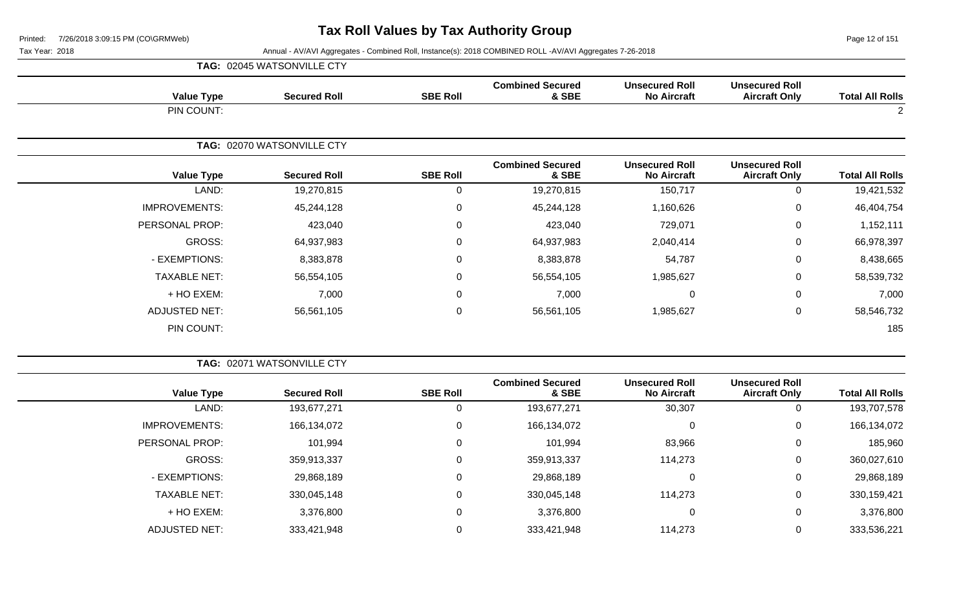Page 12 of 151

|  | <b>TAG: 02045 WATSONVILLE CTY</b> |  |
|--|-----------------------------------|--|
|--|-----------------------------------|--|

| <b>Total All Rolls</b> | <b>Unsecured Roll</b><br><b>Aircraft Only</b> | <b>Unsecured Roll</b><br><b>No Aircraft</b> | <b>Combined Secured</b><br>& SBE | <b>SBE Roll</b> | <b>Secured Roll</b>        | <b>Value Type</b>    |  |
|------------------------|-----------------------------------------------|---------------------------------------------|----------------------------------|-----------------|----------------------------|----------------------|--|
| $\overline{c}$         |                                               |                                             |                                  |                 |                            | PIN COUNT:           |  |
|                        |                                               |                                             |                                  |                 | TAG: 02070 WATSONVILLE CTY |                      |  |
| <b>Total All Rolls</b> | <b>Unsecured Roll</b><br><b>Aircraft Only</b> | <b>Unsecured Roll</b><br><b>No Aircraft</b> | <b>Combined Secured</b><br>& SBE | <b>SBE Roll</b> | <b>Secured Roll</b>        | <b>Value Type</b>    |  |
| 19,421,532             | 0                                             | 150,717                                     | 19,270,815                       | 0               | 19,270,815                 | LAND:                |  |
| 46,404,754             | 0                                             | 1,160,626                                   | 45,244,128                       | $\mathbf 0$     | 45,244,128                 | <b>IMPROVEMENTS:</b> |  |
| 1,152,111              | 0                                             | 729,071                                     | 423,040                          | 0               | 423,040                    | PERSONAL PROP:       |  |
| 66,978,397             | 0                                             | 2,040,414                                   | 64,937,983                       | $\mathbf 0$     | 64,937,983                 | GROSS:               |  |
| 8,438,665              | 0                                             | 54,787                                      | 8,383,878                        | $\mathbf 0$     | 8,383,878                  | - EXEMPTIONS:        |  |
| 58,539,732             | 0                                             | 1,985,627                                   | 56,554,105                       | $\mathbf 0$     | 56,554,105                 | <b>TAXABLE NET:</b>  |  |
| 7,000                  | $\mathbf 0$                                   | $\mathbf 0$                                 | 7,000                            | $\mathbf 0$     | 7,000                      | + HO EXEM:           |  |
| 58,546,732             | 0                                             | 1,985,627                                   | 56,561,105                       | $\mathbf 0$     | 56,561,105                 | <b>ADJUSTED NET:</b> |  |
| 185                    |                                               |                                             |                                  |                 |                            | PIN COUNT:           |  |

|                        |                                               |                                             |                                  | <b>TAG: 02071 WATSONVILLE CTY</b> |                     |                      |  |  |
|------------------------|-----------------------------------------------|---------------------------------------------|----------------------------------|-----------------------------------|---------------------|----------------------|--|--|
| <b>Total All Rolls</b> | <b>Unsecured Roll</b><br><b>Aircraft Only</b> | <b>Unsecured Roll</b><br><b>No Aircraft</b> | <b>Combined Secured</b><br>& SBE | <b>SBE Roll</b>                   | <b>Secured Roll</b> | <b>Value Type</b>    |  |  |
| 193,707,578            | 0                                             | 30,307                                      | 193,677,271                      |                                   | 193,677,271         | LAND:                |  |  |
| 166,134,072            | 0                                             |                                             | 166,134,072                      | 0                                 | 166,134,072         | <b>IMPROVEMENTS:</b> |  |  |
| 185,960                | 0                                             | 83,966                                      | 101,994                          | 0                                 | 101,994             | PERSONAL PROP:       |  |  |
| 360,027,610            | $\mathbf 0$                                   | 114,273                                     | 359,913,337                      | 0                                 | 359,913,337         | GROSS:               |  |  |
| 29,868,189             | 0                                             |                                             | 29,868,189                       | 0                                 | 29,868,189          | - EXEMPTIONS:        |  |  |
| 330,159,421            | 0                                             | 114,273                                     | 330,045,148                      | 0                                 | 330,045,148         | <b>TAXABLE NET:</b>  |  |  |
| 3,376,800              | 0                                             | 0                                           | 3,376,800                        | 0                                 | 3,376,800           | + HO EXEM:           |  |  |
| 333,536,221            | 0                                             | 114,273                                     | 333,421,948                      |                                   | 333,421,948         | <b>ADJUSTED NET:</b> |  |  |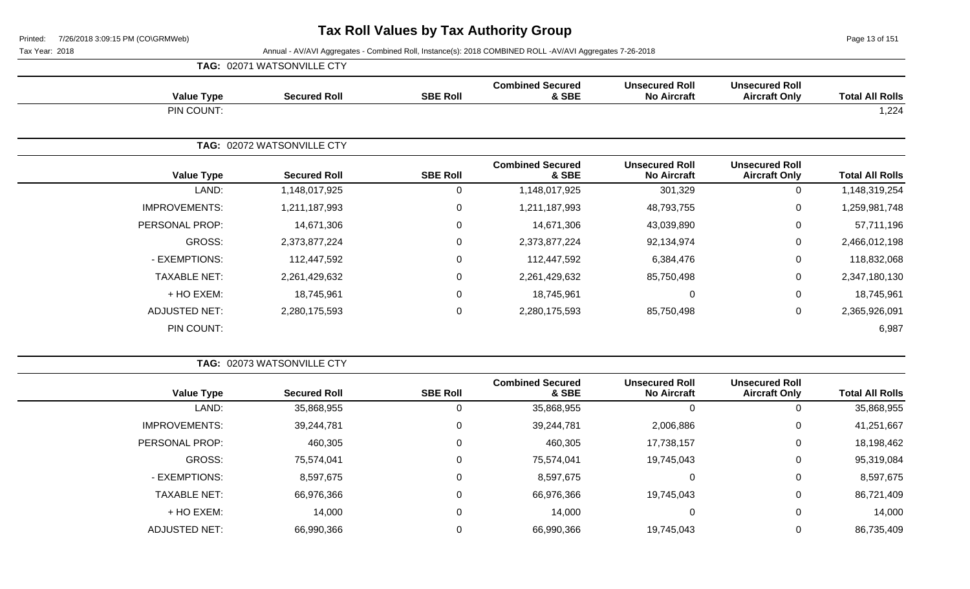Page 13 of 151

|  |  | <b>TAG: 02071 WATSONVILLE CTY</b> |
|--|--|-----------------------------------|
|--|--|-----------------------------------|

| <b>Value Type</b>    | <b>Secured Roll</b>        | <b>SBE Roll</b>  | <b>Combined Secured</b><br>& SBE | <b>Unsecured Roll</b><br><b>No Aircraft</b> | <b>Unsecured Roll</b><br><b>Aircraft Only</b> | <b>Total All Rolls</b> |  |
|----------------------|----------------------------|------------------|----------------------------------|---------------------------------------------|-----------------------------------------------|------------------------|--|
| PIN COUNT:           |                            |                  |                                  |                                             |                                               | 1,224                  |  |
|                      | TAG: 02072 WATSONVILLE CTY |                  |                                  |                                             |                                               |                        |  |
| <b>Value Type</b>    | <b>Secured Roll</b>        | <b>SBE Roll</b>  | <b>Combined Secured</b><br>& SBE | <b>Unsecured Roll</b><br><b>No Aircraft</b> | <b>Unsecured Roll</b><br><b>Aircraft Only</b> | <b>Total All Rolls</b> |  |
| LAND:                | 1,148,017,925              | 0                | 1,148,017,925                    | 301,329                                     | $\mathbf 0$                                   | 1,148,319,254          |  |
| <b>IMPROVEMENTS:</b> | 1,211,187,993              | $\mathbf 0$      | 1,211,187,993                    | 48,793,755                                  | $\mathbf 0$                                   | 1,259,981,748          |  |
| PERSONAL PROP:       | 14,671,306                 | $\mathbf 0$      | 14,671,306                       | 43,039,890                                  | $\mathbf 0$                                   | 57,711,196             |  |
| GROSS:               | 2,373,877,224              | $\mathbf 0$      | 2,373,877,224                    | 92,134,974                                  | $\mathbf 0$                                   | 2,466,012,198          |  |
| - EXEMPTIONS:        | 112,447,592                | $\boldsymbol{0}$ | 112,447,592                      | 6,384,476                                   | $\mathbf 0$                                   | 118,832,068            |  |
| <b>TAXABLE NET:</b>  | 2,261,429,632              | $\boldsymbol{0}$ | 2,261,429,632                    | 85,750,498                                  | $\mathbf 0$                                   | 2,347,180,130          |  |
| + HO EXEM:           | 18,745,961                 | $\mathbf 0$      | 18,745,961                       | $\mathbf 0$                                 | $\mathbf 0$                                   | 18,745,961             |  |
| <b>ADJUSTED NET:</b> | 2,280,175,593              | $\mathbf 0$      | 2,280,175,593                    | 85,750,498                                  | $\mathbf 0$                                   | 2,365,926,091          |  |
| PIN COUNT:           |                            |                  |                                  |                                             |                                               | 6,987                  |  |

|                        |                                               |                                             |                                  |                 |                     | <b>TAG: 02073 WATSONVILLE CTY</b> |  |  |
|------------------------|-----------------------------------------------|---------------------------------------------|----------------------------------|-----------------|---------------------|-----------------------------------|--|--|
| <b>Total All Rolls</b> | <b>Unsecured Roll</b><br><b>Aircraft Only</b> | <b>Unsecured Roll</b><br><b>No Aircraft</b> | <b>Combined Secured</b><br>& SBE | <b>SBE Roll</b> | <b>Secured Roll</b> | <b>Value Type</b>                 |  |  |
| 35,868,955             | 0                                             |                                             | 35,868,955                       | 0               | 35,868,955          | LAND:                             |  |  |
| 41,251,667             | 0                                             | 2,006,886                                   | 39,244,781                       | 0               | 39,244,781          | <b>IMPROVEMENTS:</b>              |  |  |
| 18,198,462             | 0                                             | 17,738,157                                  | 460,305                          | 0               | 460,305             | PERSONAL PROP:                    |  |  |
| 95,319,084             | 0                                             | 19,745,043                                  | 75,574,041                       | 0               | 75,574,041          | GROSS:                            |  |  |
| 8,597,675              | 0                                             |                                             | 8,597,675                        | 0               | 8,597,675           | - EXEMPTIONS:                     |  |  |
| 86,721,409             | 0                                             | 19,745,043                                  | 66,976,366                       | 0               | 66,976,366          | <b>TAXABLE NET:</b>               |  |  |
| 14,000                 | 0                                             | 0                                           | 14,000                           | 0               | 14,000              | + HO EXEM:                        |  |  |
| 86,735,409             |                                               | 19,745,043                                  | 66,990,366                       | 0               | 66,990,366          | <b>ADJUSTED NET:</b>              |  |  |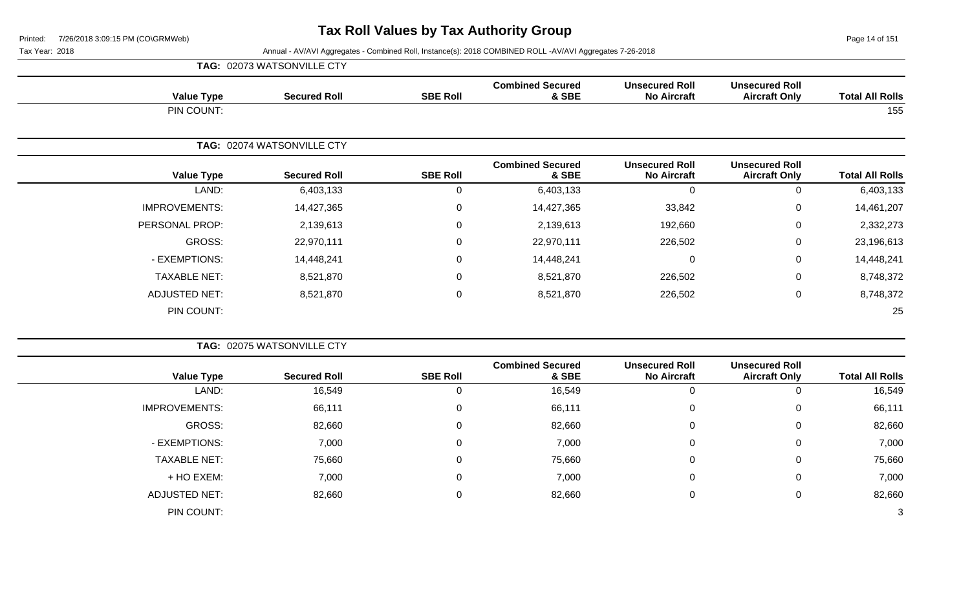Page 14 of 151

#### Tax Year: 2018 Annual - AV/AVI Aggregates - Combined Roll, Instance(s): 2018 COMBINED ROLL -AV/AVI Aggregates 7-26-2018

|                   | TAG: 02073 WATSONVILLE CTY |                 |                                  |                                             |                                               |                        |
|-------------------|----------------------------|-----------------|----------------------------------|---------------------------------------------|-----------------------------------------------|------------------------|
| <b>Value Type</b> | <b>Secured Roll</b>        | <b>SBE Roll</b> | <b>Combined Secured</b><br>& SBE | <b>Unsecured Roll</b><br><b>No Aircraft</b> | <b>Unsecured Roll</b><br><b>Aircraft Only</b> | <b>Total All Rolls</b> |
| PIN COUNT:        |                            |                 |                                  |                                             |                                               | 155                    |

|                      | TAG: 02074 WATSONVILLE CTY |                 |                                  |                                             |                                               |                        |
|----------------------|----------------------------|-----------------|----------------------------------|---------------------------------------------|-----------------------------------------------|------------------------|
| <b>Value Type</b>    | <b>Secured Roll</b>        | <b>SBE Roll</b> | <b>Combined Secured</b><br>& SBE | <b>Unsecured Roll</b><br><b>No Aircraft</b> | <b>Unsecured Roll</b><br><b>Aircraft Only</b> | <b>Total All Rolls</b> |
| LAND:                | 6,403,133                  | U               | 6,403,133                        | 0                                           | 0                                             | 6,403,133              |
| <b>IMPROVEMENTS:</b> | 14,427,365                 | $\Omega$        | 14,427,365                       | 33,842                                      | 0                                             | 14,461,207             |
| PERSONAL PROP:       | 2,139,613                  | 0               | 2,139,613                        | 192,660                                     | 0                                             | 2,332,273              |
| GROSS:               | 22,970,111                 | 0               | 22,970,111                       | 226,502                                     | 0                                             | 23,196,613             |
| - EXEMPTIONS:        | 14,448,241                 | $\Omega$        | 14,448,241                       | 0                                           | 0                                             | 14,448,241             |
| <b>TAXABLE NET:</b>  | 8,521,870                  | 0               | 8,521,870                        | 226,502                                     | 0                                             | 8,748,372              |
| <b>ADJUSTED NET:</b> | 8,521,870                  | 0               | 8,521,870                        | 226,502                                     | 0                                             | 8,748,372              |
| PIN COUNT:           |                            |                 |                                  |                                             |                                               | 25                     |

|                      | TAG: 02075 WATSONVILLE CTY |                 |                                  |                                             |                                               |                        |
|----------------------|----------------------------|-----------------|----------------------------------|---------------------------------------------|-----------------------------------------------|------------------------|
| <b>Value Type</b>    | <b>Secured Roll</b>        | <b>SBE Roll</b> | <b>Combined Secured</b><br>& SBE | <b>Unsecured Roll</b><br><b>No Aircraft</b> | <b>Unsecured Roll</b><br><b>Aircraft Only</b> | <b>Total All Rolls</b> |
| LAND:                | 16,549                     |                 | 16,549                           | 0                                           | 0                                             | 16,549                 |
| <b>IMPROVEMENTS:</b> | 66,111                     | 0               | 66,111                           | $\mathbf{0}$                                | $\mathbf 0$                                   | 66,111                 |
| GROSS:               | 82,660                     | 0               | 82,660                           | 0                                           | $\mathbf{0}$                                  | 82,660                 |
| - EXEMPTIONS:        | 7,000                      | $\Omega$        | 7,000                            | 0                                           | $\mathbf 0$                                   | 7,000                  |
| <b>TAXABLE NET:</b>  | 75,660                     | $\Omega$        | 75,660                           | $\overline{0}$                              | $\mathbf 0$                                   | 75,660                 |
| + HO EXEM:           | 7,000                      | $\Omega$        | 7,000                            | $\mathbf 0$                                 | $\mathbf 0$                                   | 7,000                  |
| <b>ADJUSTED NET:</b> | 82,660                     | $\Omega$        | 82,660                           | 0                                           | $\mathbf 0$                                   | 82,660                 |
| PIN COUNT:           |                            |                 |                                  |                                             |                                               | 3                      |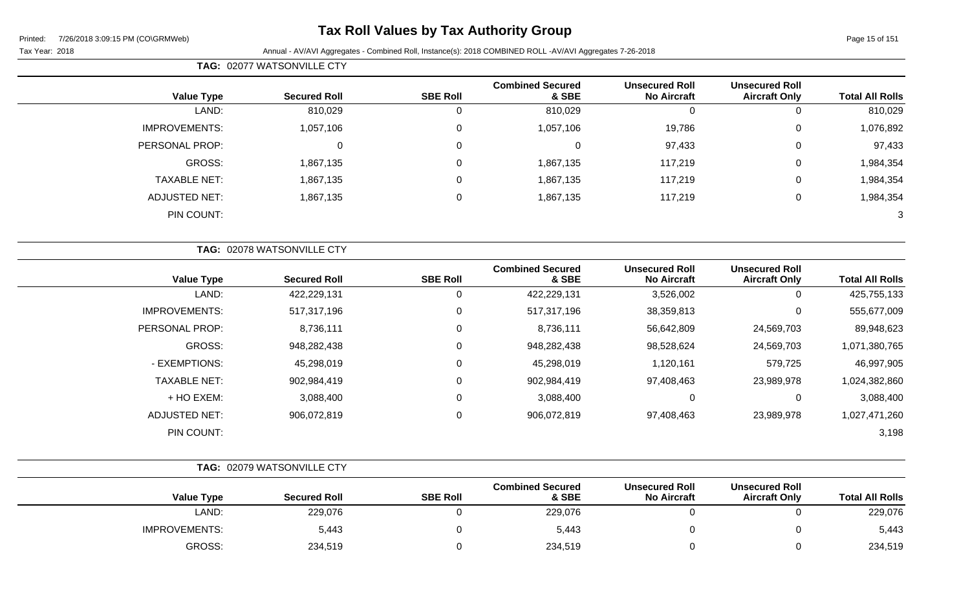**TAG:** 02077 WATSONVILLE CTY

### **Tax Roll Values by Tax Authority Group**

| <b>Value Type</b>    | <b>Secured Roll</b>        | <b>SBE Roll</b> | <b>Combined Secured</b><br>& SBE | <b>Unsecured Roll</b><br><b>No Aircraft</b> | <b>Unsecured Roll</b><br><b>Aircraft Only</b> | <b>Total All Rolls</b> |
|----------------------|----------------------------|-----------------|----------------------------------|---------------------------------------------|-----------------------------------------------|------------------------|
| LAND:                | 810,029                    | $\mathbf 0$     | 810,029                          | $\mathbf 0$                                 | $\mathbf 0$                                   | 810,029                |
| <b>IMPROVEMENTS:</b> | 1,057,106                  | $\mathsf 0$     | 1,057,106                        | 19,786                                      | 0                                             | 1,076,892              |
| PERSONAL PROP:       | 0                          | $\mathbf 0$     | $\mathbf 0$                      | 97,433                                      | 0                                             | 97,433                 |
| GROSS:               | 1,867,135                  | $\mathsf 0$     | 1,867,135                        | 117,219                                     | $\mathbf 0$                                   | 1,984,354              |
| <b>TAXABLE NET:</b>  | 1,867,135                  | $\mathbf 0$     | 1,867,135                        | 117,219                                     | $\mathbf 0$                                   | 1,984,354              |
| <b>ADJUSTED NET:</b> | 1,867,135                  | 0               | 1,867,135                        | 117,219                                     | $\mathbf 0$                                   | 1,984,354              |
| PIN COUNT:           |                            |                 |                                  |                                             |                                               | 3                      |
|                      | TAG: 02078 WATSONVILLE CTY |                 |                                  |                                             |                                               |                        |
| <b>Value Type</b>    | <b>Secured Roll</b>        | <b>SBE Roll</b> | <b>Combined Secured</b><br>& SBE | <b>Unsecured Roll</b><br><b>No Aircraft</b> | <b>Unsecured Roll</b><br><b>Aircraft Only</b> | <b>Total All Rolls</b> |
| LAND:                | 422,229,131                | 0               | 422,229,131                      | 3,526,002                                   | $\mathbf 0$                                   | 425,755,133            |
| <b>IMPROVEMENTS:</b> | 517,317,196                | 0               | 517,317,196                      | 38,359,813                                  | 0                                             | 555,677,009            |
| PERSONAL PROP:       | 8,736,111                  | 0               | 8,736,111                        | 56,642,809                                  | 24,569,703                                    | 89,948,623             |
| GROSS:               | 948,282,438                | 0               | 948,282,438                      | 98,528,624                                  | 24,569,703                                    | 1,071,380,765          |
| - EXEMPTIONS:        | 45,298,019                 | $\mathbf 0$     | 45,298,019                       | 1,120,161                                   | 579,725                                       | 46,997,905             |
| <b>TAXABLE NET:</b>  | 902,984,419                | 0               | 902,984,419                      | 97,408,463                                  | 23,989,978                                    | 1,024,382,860          |
| + HO EXEM:           | 3,088,400                  | $\mathsf 0$     | 3,088,400                        | $\mathbf 0$                                 | $\mathbf 0$                                   | 3,088,400              |
| <b>ADJUSTED NET:</b> | 906,072,819                | $\mathsf 0$     | 906,072,819                      | 97,408,463                                  | 23,989,978                                    | 1,027,471,260          |
| PIN COUNT:           |                            |                 |                                  |                                             |                                               | 3,198                  |

|                        |                                               |                                             |                                  |                 | TAG: 02079 WATSONVILLE CTY |                      |  |  |  |
|------------------------|-----------------------------------------------|---------------------------------------------|----------------------------------|-----------------|----------------------------|----------------------|--|--|--|
| <b>Total All Rolls</b> | <b>Unsecured Roll</b><br><b>Aircraft Only</b> | <b>Unsecured Roll</b><br><b>No Aircraft</b> | <b>Combined Secured</b><br>& SBE | <b>SBE Roll</b> | <b>Secured Roll</b>        | <b>Value Type</b>    |  |  |  |
| 229,076                |                                               |                                             | 229,076                          |                 | 229,076                    | LAND:                |  |  |  |
| 5,443                  |                                               |                                             | 5,443                            |                 | 5,443                      | <b>IMPROVEMENTS:</b> |  |  |  |
| 234,519                |                                               |                                             | 234,519                          |                 | 234,519                    | <b>GROSS:</b>        |  |  |  |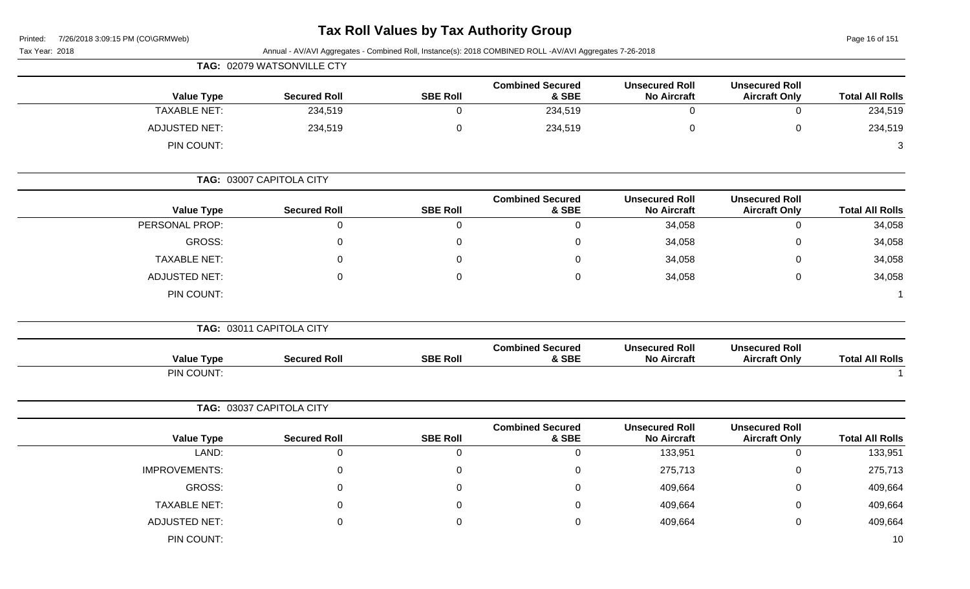# **Tax Roll Values by Tax Authority Group**

Page 16 of 151

| Annual - AV/AVI Aggregates - Combined Roll, Instance(s): 2018 COMBINED ROLL -AV/AVI Aggregates 7-26-2018<br>Tax Year: 2018 |                            |                 |                                  |                                             |                                               |                        |  |
|----------------------------------------------------------------------------------------------------------------------------|----------------------------|-----------------|----------------------------------|---------------------------------------------|-----------------------------------------------|------------------------|--|
|                                                                                                                            | TAG: 02079 WATSONVILLE CTY |                 |                                  |                                             |                                               |                        |  |
| <b>Value Type</b>                                                                                                          | <b>Secured Roll</b>        | <b>SBE Roll</b> | <b>Combined Secured</b><br>& SBE | <b>Unsecured Roll</b><br><b>No Aircraft</b> | <b>Unsecured Roll</b><br><b>Aircraft Only</b> | <b>Total All Rolls</b> |  |
| <b>TAXABLE NET:</b>                                                                                                        | 234,519                    | $\mathbf 0$     | 234,519                          | $\mathbf 0$                                 | $\mathbf 0$                                   | 234,519                |  |
| <b>ADJUSTED NET:</b>                                                                                                       | 234,519                    | $\mathsf 0$     | 234,519                          | $\mathbf 0$                                 | $\pmb{0}$                                     | 234,519                |  |
| PIN COUNT:                                                                                                                 |                            |                 |                                  |                                             |                                               | 3                      |  |
|                                                                                                                            | TAG: 03007 CAPITOLA CITY   |                 |                                  |                                             |                                               |                        |  |
| <b>Value Type</b>                                                                                                          | <b>Secured Roll</b>        | <b>SBE Roll</b> | <b>Combined Secured</b><br>& SBE | <b>Unsecured Roll</b><br><b>No Aircraft</b> | <b>Unsecured Roll</b><br><b>Aircraft Only</b> | <b>Total All Rolls</b> |  |
| PERSONAL PROP:                                                                                                             | 0                          | $\mathbf 0$     | $\mathbf 0$                      | 34,058                                      | $\mathbf 0$                                   | 34,058                 |  |
| GROSS:                                                                                                                     | $\Omega$                   | $\mathbf 0$     | $\mathbf 0$                      | 34,058                                      | 0                                             | 34,058                 |  |
| <b>TAXABLE NET:</b>                                                                                                        | $\Omega$                   | $\Omega$        | $\Omega$                         | 34,058                                      | 0                                             | 34,058                 |  |
| <b>ADJUSTED NET:</b>                                                                                                       | $\Omega$                   | $\mathbf 0$     | $\mathbf 0$                      | 34,058                                      | $\mathbf 0$                                   | 34,058                 |  |
| PIN COUNT:                                                                                                                 |                            |                 |                                  |                                             |                                               |                        |  |
|                                                                                                                            | TAG: 03011 CAPITOLA CITY   |                 |                                  |                                             |                                               |                        |  |
| <b>Value Type</b>                                                                                                          | <b>Secured Roll</b>        | <b>SBE Roll</b> | <b>Combined Secured</b><br>& SBE | <b>Unsecured Roll</b><br><b>No Aircraft</b> | <b>Unsecured Roll</b><br><b>Aircraft Only</b> | <b>Total All Rolls</b> |  |
| PIN COUNT:                                                                                                                 |                            |                 |                                  |                                             |                                               |                        |  |
|                                                                                                                            | TAG: 03037 CAPITOLA CITY   |                 |                                  |                                             |                                               |                        |  |
| <b>Value Type</b>                                                                                                          | <b>Secured Roll</b>        | <b>SBE Roll</b> | <b>Combined Secured</b><br>& SBE | <b>Unsecured Roll</b><br><b>No Aircraft</b> | <b>Unsecured Roll</b><br><b>Aircraft Only</b> | <b>Total All Rolls</b> |  |
| LAND:                                                                                                                      | $\mathbf 0$                | $\mathbf 0$     | $\mathsf{O}\xspace$              | 133,951                                     | $\mathbf 0$                                   | 133,951                |  |
| <b>IMPROVEMENTS:</b>                                                                                                       | $\mathbf{0}$               | $\mathbf 0$     | $\mathbf 0$                      | 275,713                                     | 0                                             | 275,713                |  |
| GROSS:                                                                                                                     | $\Omega$                   | $\Omega$        | $\mathbf 0$                      | 409,664                                     | $\Omega$                                      | 409,664                |  |
| <b>TAXABLE NET:</b>                                                                                                        | $\Omega$                   | $\mathbf 0$     | $\mathbf 0$                      | 409,664                                     | 0                                             | 409,664                |  |
| <b>ADJUSTED NET:</b>                                                                                                       | $\Omega$                   | 0               | 0                                | 409,664                                     | 0                                             | 409,664                |  |
| PIN COUNT:                                                                                                                 |                            |                 |                                  |                                             |                                               | 10                     |  |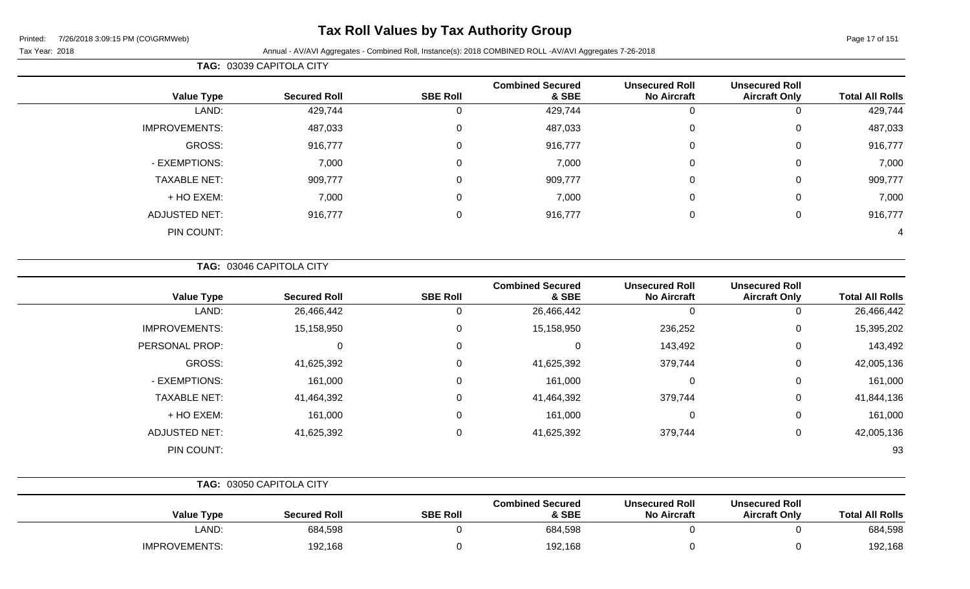### **Tax Roll Values by Tax Authority Group**

Tax Year: 2018 Annual - AV/AVI Aggregates - Combined Roll, Instance(s): 2018 COMBINED ROLL -AV/AVI Aggregates 7-26-2018

| <b>Total All Rolls</b> | <b>Unsecured Roll</b><br><b>Aircraft Only</b> | <b>Unsecured Roll</b><br><b>No Aircraft</b> | <b>Combined Secured</b><br>& SBE | <b>SBE Roll</b> | <b>Secured Roll</b> | <b>Value Type</b>    |
|------------------------|-----------------------------------------------|---------------------------------------------|----------------------------------|-----------------|---------------------|----------------------|
| 429,744                | 0                                             | 0                                           | 429,744                          |                 | 429,744             | LAND:                |
| 487,033                | 0                                             | 0                                           | 487,033                          |                 | 487,033             | <b>IMPROVEMENTS:</b> |
| 916,777                | 0                                             | 0                                           | 916,777                          | $\Omega$        | 916,777             | GROSS:               |
| 7,000                  | $\mathbf 0$                                   | 0                                           | 7,000                            | $\Omega$        | 7,000               | - EXEMPTIONS:        |
| 909,777                | $\mathbf 0$                                   | $\mathbf 0$                                 | 909,777                          | $\Omega$        | 909,777             | <b>TAXABLE NET:</b>  |
| 7,000                  | $\mathbf 0$                                   | 0                                           | 7,000                            | $\Omega$        | 7,000               | + HO EXEM:           |
| 916,777                | $\mathbf 0$                                   | 0                                           | 916,777                          | 0               | 916,777             | <b>ADJUSTED NET:</b> |
| 4                      |                                               |                                             |                                  |                 |                     | PIN COUNT:           |
|                        |                                               |                                             |                                  |                 |                     |                      |

**TAG:** 03046 CAPITOLA CITY

**TAG:** 03039 CAPITOLA CITY

| <b>Value Type</b>    | <b>Secured Roll</b> | <b>SBE Roll</b> | <b>Combined Secured</b><br>& SBE | <b>Unsecured Roll</b><br><b>No Aircraft</b> | <b>Unsecured Roll</b><br><b>Aircraft Only</b> | <b>Total All Rolls</b> |
|----------------------|---------------------|-----------------|----------------------------------|---------------------------------------------|-----------------------------------------------|------------------------|
| LAND:                | 26,466,442          |                 | 26,466,442                       | 0                                           | 0                                             | 26,466,442             |
| <b>IMPROVEMENTS:</b> | 15,158,950          |                 | 15,158,950                       | 236,252                                     | 0                                             | 15,395,202             |
| PERSONAL PROP:       | $\mathbf 0$         |                 | 0                                | 143,492                                     | 0                                             | 143,492                |
| GROSS:               | 41,625,392          |                 | 41,625,392                       | 379,744                                     | 0                                             | 42,005,136             |
| - EXEMPTIONS:        | 161,000             |                 | 161,000                          | 0                                           | 0                                             | 161,000                |
| <b>TAXABLE NET:</b>  | 41,464,392          |                 | 41,464,392                       | 379,744                                     | 0                                             | 41,844,136             |
| + HO EXEM:           | 161,000             |                 | 161,000                          | 0                                           | 0                                             | 161,000                |
| <b>ADJUSTED NET:</b> | 41,625,392          |                 | 41,625,392                       | 379,744                                     | 0                                             | 42,005,136             |
| PIN COUNT:           |                     |                 |                                  |                                             |                                               | 93                     |

|                      | TAG: 03050 CAPITOLA CITY |                 |                                  |                                             |                                               |                        |
|----------------------|--------------------------|-----------------|----------------------------------|---------------------------------------------|-----------------------------------------------|------------------------|
| <b>Value Type</b>    | <b>Secured Roll</b>      | <b>SBE Roll</b> | <b>Combined Secured</b><br>& SBE | <b>Unsecured Roll</b><br><b>No Aircraft</b> | <b>Unsecured Roll</b><br><b>Aircraft Only</b> | <b>Total All Rolls</b> |
| LAND:                | 684,598                  |                 | 684,598                          |                                             |                                               | 684,598                |
| <b>IMPROVEMENTS:</b> | 192,168                  |                 | 192,168                          |                                             |                                               | 192,168                |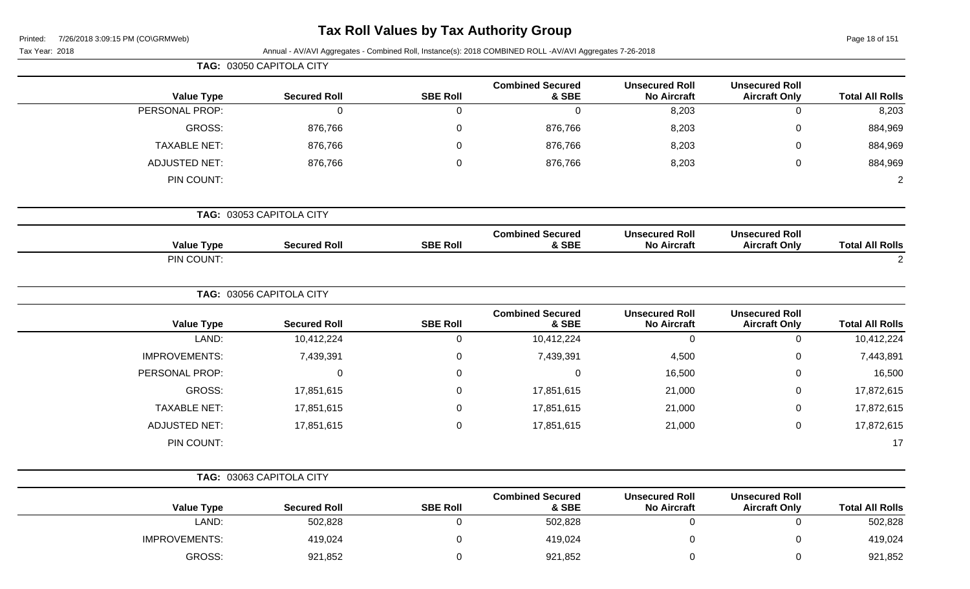| Printed: | 7/26/2018 3:09:15 PM (CO\GRMWeb) |  |
|----------|----------------------------------|--|
|          |                                  |  |

# **Tax Roll Values by Tax Authority Group**

| Tax Year: 2018       |                          |                  | Annual - AV/AVI Aggregates - Combined Roll, Instance(s): 2018 COMBINED ROLL -AV/AVI Aggregates 7-26-2018 |                                             |                                               |                        |
|----------------------|--------------------------|------------------|----------------------------------------------------------------------------------------------------------|---------------------------------------------|-----------------------------------------------|------------------------|
|                      | TAG: 03050 CAPITOLA CITY |                  |                                                                                                          |                                             |                                               |                        |
| <b>Value Type</b>    | <b>Secured Roll</b>      | <b>SBE Roll</b>  | <b>Combined Secured</b><br>& SBE                                                                         | <b>Unsecured Roll</b><br><b>No Aircraft</b> | <b>Unsecured Roll</b><br><b>Aircraft Only</b> | <b>Total All Rolls</b> |
| PERSONAL PROP:       | $\mathbf 0$              | $\mathbf 0$      | $\mathbf 0$                                                                                              | 8,203                                       | $\mathbf 0$                                   | 8,203                  |
| <b>GROSS:</b>        | 876,766                  | $\Omega$         | 876,766                                                                                                  | 8,203                                       | 0                                             | 884,969                |
| <b>TAXABLE NET:</b>  | 876,766                  | 0                | 876,766                                                                                                  | 8,203                                       | $\mathbf 0$                                   | 884,969                |
| <b>ADJUSTED NET:</b> | 876,766                  | $\Omega$         | 876,766                                                                                                  | 8,203                                       | $\mathbf 0$                                   | 884,969                |
| PIN COUNT:           |                          |                  |                                                                                                          |                                             |                                               | $\overline{2}$         |
|                      | TAG: 03053 CAPITOLA CITY |                  |                                                                                                          |                                             |                                               |                        |
| <b>Value Type</b>    | <b>Secured Roll</b>      | <b>SBE Roll</b>  | <b>Combined Secured</b><br>& SBE                                                                         | <b>Unsecured Roll</b><br><b>No Aircraft</b> | <b>Unsecured Roll</b><br><b>Aircraft Only</b> | <b>Total All Rolls</b> |
| PIN COUNT:           |                          |                  |                                                                                                          |                                             |                                               | $\overline{2}$         |
|                      | TAG: 03056 CAPITOLA CITY |                  |                                                                                                          |                                             |                                               |                        |
| <b>Value Type</b>    | <b>Secured Roll</b>      | <b>SBE Roll</b>  | <b>Combined Secured</b><br>& SBE                                                                         | <b>Unsecured Roll</b><br><b>No Aircraft</b> | <b>Unsecured Roll</b><br><b>Aircraft Only</b> | <b>Total All Rolls</b> |
| LAND:                | 10,412,224               | $\boldsymbol{0}$ | 10,412,224                                                                                               | $\mathbf 0$                                 | $\mathbf 0$                                   | 10,412,224             |
| <b>IMPROVEMENTS:</b> | 7,439,391                | 0                | 7,439,391                                                                                                | 4,500                                       | $\mathbf 0$                                   | 7,443,891              |
| PERSONAL PROP:       | 0                        | 0                | $\mathbf 0$                                                                                              | 16,500                                      | 0                                             | 16,500                 |
| <b>GROSS:</b>        | 17,851,615               | $\Omega$         | 17,851,615                                                                                               | 21,000                                      | $\mathbf 0$                                   | 17,872,615             |
| <b>TAXABLE NET:</b>  | 17,851,615               | $\Omega$         | 17,851,615                                                                                               | 21,000                                      | $\mathbf 0$                                   | 17,872,615             |
| <b>ADJUSTED NET:</b> | 17,851,615               | $\mathbf 0$      | 17,851,615                                                                                               | 21,000                                      | $\mathbf 0$                                   | 17,872,615             |
| PIN COUNT:           |                          |                  |                                                                                                          |                                             |                                               | 17                     |
|                      | TAG: 03063 CAPITOLA CITY |                  |                                                                                                          |                                             |                                               |                        |
| <b>Value Type</b>    | <b>Secured Roll</b>      | <b>SBE Roll</b>  | <b>Combined Secured</b><br>& SBE                                                                         | <b>Unsecured Roll</b><br><b>No Aircraft</b> | <b>Unsecured Roll</b><br><b>Aircraft Only</b> | <b>Total All Rolls</b> |
| LAND:                | 502,828                  | $\mathbf 0$      | 502,828                                                                                                  | $\mathbf 0$                                 | $\overline{0}$                                | 502,828                |
| <b>IMPROVEMENTS:</b> | 419,024                  | $\boldsymbol{0}$ | 419,024                                                                                                  | $\mathbf 0$                                 | $\mathbf 0$                                   | 419,024                |

GROSS: 921,852 0 921,852 0 0 921,852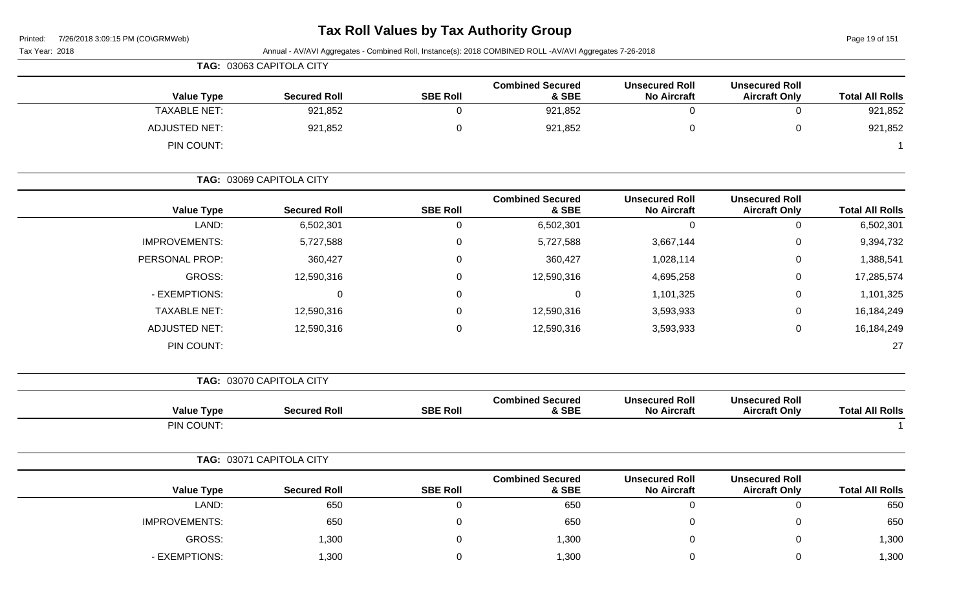# **Tax Roll Values by Tax Authority Group**

Page 19 of 151

| Printed:<br>7726/2018 3:09:15 PM (CO\GRMWeD)<br>Tax Year: 2018 |                          |                 | Annual - AV/AVI Aggregates - Combined Roll, Instance(s): 2018 COMBINED ROLL -AV/AVI Aggregates 7-26-2018 |                                             |                                               | Page 19 or 151         |
|----------------------------------------------------------------|--------------------------|-----------------|----------------------------------------------------------------------------------------------------------|---------------------------------------------|-----------------------------------------------|------------------------|
|                                                                | TAG: 03063 CAPITOLA CITY |                 |                                                                                                          |                                             |                                               |                        |
| <b>Value Type</b>                                              | <b>Secured Roll</b>      | <b>SBE Roll</b> | <b>Combined Secured</b><br>& SBE                                                                         | <b>Unsecured Roll</b><br><b>No Aircraft</b> | <b>Unsecured Roll</b><br><b>Aircraft Only</b> | <b>Total All Rolls</b> |
| <b>TAXABLE NET:</b>                                            | 921,852                  | $\mathbf 0$     | 921,852                                                                                                  | $\mathbf 0$                                 | $\mathsf 0$                                   | 921,852                |
| <b>ADJUSTED NET:</b>                                           | 921,852                  | 0               | 921,852                                                                                                  | 0                                           | $\mathbf 0$                                   | 921,852                |
| PIN COUNT:                                                     |                          |                 |                                                                                                          |                                             |                                               |                        |
|                                                                | TAG: 03069 CAPITOLA CITY |                 |                                                                                                          |                                             |                                               |                        |
| <b>Value Type</b>                                              | <b>Secured Roll</b>      | <b>SBE Roll</b> | <b>Combined Secured</b><br>& SBE                                                                         | <b>Unsecured Roll</b><br><b>No Aircraft</b> | <b>Unsecured Roll</b><br><b>Aircraft Only</b> | <b>Total All Rolls</b> |
| LAND:                                                          | 6,502,301                | 0               | 6,502,301                                                                                                | 0                                           | $\mathbf 0$                                   | 6,502,301              |
| <b>IMPROVEMENTS:</b>                                           | 5,727,588                | 0               | 5,727,588                                                                                                | 3,667,144                                   | 0                                             | 9,394,732              |
| PERSONAL PROP:                                                 | 360,427                  | 0               | 360,427                                                                                                  | 1,028,114                                   | 0                                             | 1,388,541              |
| <b>GROSS:</b>                                                  | 12,590,316               | 0               | 12,590,316                                                                                               | 4,695,258                                   | 0                                             | 17,285,574             |
| - EXEMPTIONS:                                                  | 0                        | 0               | $\mathbf 0$                                                                                              | 1,101,325                                   | 0                                             | 1,101,325              |
| <b>TAXABLE NET:</b>                                            | 12,590,316               | 0               | 12,590,316                                                                                               | 3,593,933                                   | 0                                             | 16,184,249             |
| <b>ADJUSTED NET:</b>                                           | 12,590,316               | 0               | 12,590,316                                                                                               | 3,593,933                                   | $\mathbf 0$                                   | 16,184,249             |
| PIN COUNT:                                                     |                          |                 |                                                                                                          |                                             |                                               | 27                     |
|                                                                | TAG: 03070 CAPITOLA CITY |                 |                                                                                                          |                                             |                                               |                        |
| <b>Value Type</b>                                              | <b>Secured Roll</b>      | <b>SBE Roll</b> | <b>Combined Secured</b><br>& SBE                                                                         | <b>Unsecured Roll</b><br><b>No Aircraft</b> | <b>Unsecured Roll</b><br><b>Aircraft Only</b> | <b>Total All Rolls</b> |
| PIN COUNT:                                                     |                          |                 |                                                                                                          |                                             |                                               |                        |
|                                                                | TAG: 03071 CAPITOLA CITY |                 |                                                                                                          |                                             |                                               |                        |
| <b>Value Type</b>                                              | <b>Secured Roll</b>      | <b>SBE Roll</b> | <b>Combined Secured</b><br>& SBE                                                                         | <b>Unsecured Roll</b><br><b>No Aircraft</b> | <b>Unsecured Roll</b><br><b>Aircraft Only</b> | <b>Total All Rolls</b> |
| LAND:                                                          | 650                      | $\overline{0}$  | 650                                                                                                      | $\overline{0}$                              | $\pmb{0}$                                     | 650                    |
| <b>IMPROVEMENTS:</b>                                           | 650                      | 0               | 650                                                                                                      | $\mathsf{O}\xspace$                         | $\pmb{0}$                                     | 650                    |
| GROSS:                                                         | 1,300                    | 0               | 1,300                                                                                                    | 0                                           | $\pmb{0}$                                     | 1,300                  |
| - EXEMPTIONS:                                                  | 1,300                    | $\mathbf 0$     | 1,300                                                                                                    | $\mathbf 0$                                 | $\mathsf 0$                                   | 1,300                  |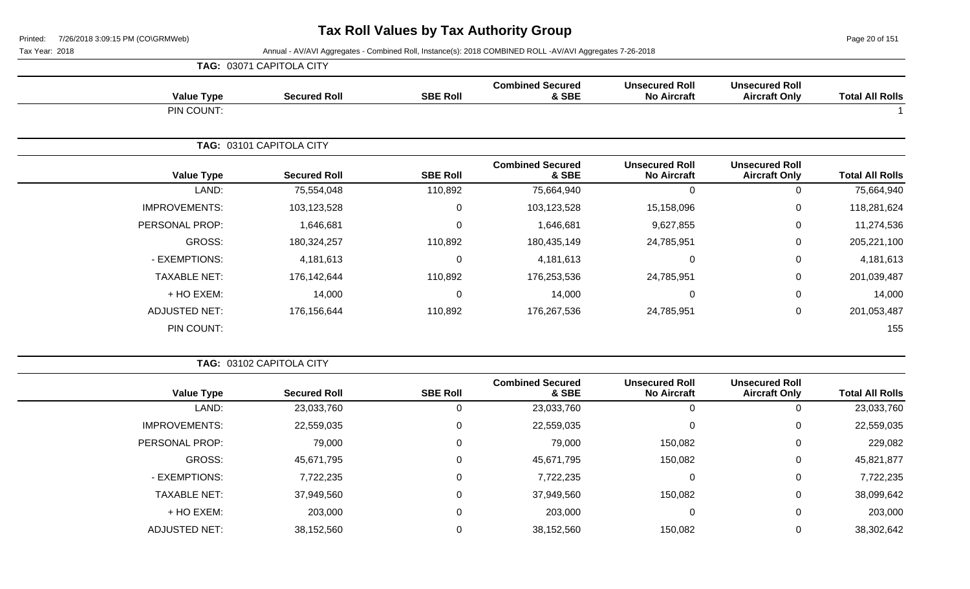Page 20 of 151

|                      | TAG: 03071 CAPITOLA CITY |                 |                                  |                                             |                                               |                        |
|----------------------|--------------------------|-----------------|----------------------------------|---------------------------------------------|-----------------------------------------------|------------------------|
| <b>Value Type</b>    | <b>Secured Roll</b>      | <b>SBE Roll</b> | <b>Combined Secured</b><br>& SBE | <b>Unsecured Roll</b><br><b>No Aircraft</b> | <b>Unsecured Roll</b><br><b>Aircraft Only</b> | <b>Total All Rolls</b> |
| PIN COUNT:           |                          |                 |                                  |                                             |                                               |                        |
|                      | TAG: 03101 CAPITOLA CITY |                 |                                  |                                             |                                               |                        |
| <b>Value Type</b>    | <b>Secured Roll</b>      | <b>SBE Roll</b> | <b>Combined Secured</b><br>& SBE | <b>Unsecured Roll</b><br><b>No Aircraft</b> | <b>Unsecured Roll</b><br><b>Aircraft Only</b> | <b>Total All Rolls</b> |
| LAND:                | 75,554,048               | 110,892         | 75,664,940                       | 0                                           | 0                                             | 75,664,940             |
| <b>IMPROVEMENTS:</b> | 103,123,528              | $\mathbf 0$     | 103,123,528                      | 15,158,096                                  | 0                                             | 118,281,624            |
| PERSONAL PROP:       | 1,646,681                | $\overline{0}$  | 1,646,681                        | 9,627,855                                   | 0                                             | 11,274,536             |
| GROSS:               | 180,324,257              | 110,892         | 180,435,149                      | 24,785,951                                  | 0                                             | 205,221,100            |
| - EXEMPTIONS:        | 4,181,613                | $\Omega$        | 4,181,613                        | 0                                           | 0                                             | 4,181,613              |
| <b>TAXABLE NET:</b>  | 176,142,644              | 110,892         | 176,253,536                      | 24,785,951                                  | 0                                             | 201,039,487            |
| + HO EXEM:           | 14,000                   | $\Omega$        | 14,000                           | 0                                           | 0                                             | 14,000                 |
| <b>ADJUSTED NET:</b> | 176,156,644              | 110,892         | 176,267,536                      | 24,785,951                                  | 0                                             | 201,053,487            |
| PIN COUNT:           |                          |                 |                                  |                                             |                                               | 155                    |

|                        |                                               |                                             |                                  |                 | <b>TAG: 03102 CAPITOLA CITY</b> |                      |
|------------------------|-----------------------------------------------|---------------------------------------------|----------------------------------|-----------------|---------------------------------|----------------------|
| <b>Total All Rolls</b> | <b>Unsecured Roll</b><br><b>Aircraft Only</b> | <b>Unsecured Roll</b><br><b>No Aircraft</b> | <b>Combined Secured</b><br>& SBE | <b>SBE Roll</b> | <b>Secured Roll</b>             | <b>Value Type</b>    |
| 23,033,760             |                                               |                                             | 23,033,760                       | 0               | 23,033,760                      | LAND:                |
| 22,559,035             | 0                                             | $\Omega$                                    | 22,559,035                       | 0               | 22,559,035                      | <b>IMPROVEMENTS:</b> |
| 229,082                | 0                                             | 150,082                                     | 79,000                           | 0               | 79,000                          | PERSONAL PROP:       |
| 45,821,877             | 0                                             | 150,082                                     | 45,671,795                       | 0               | 45,671,795                      | GROSS:               |
| 7,722,235              | 0                                             | $\Omega$                                    | 7,722,235                        | 0               | 7,722,235                       | - EXEMPTIONS:        |
| 38,099,642             | 0                                             | 150,082                                     | 37,949,560                       | 0               | 37,949,560                      | <b>TAXABLE NET:</b>  |
| 203,000                | 0                                             | 0                                           | 203,000                          | 0               | 203,000                         | + HO EXEM:           |
| 38,302,642             | 0                                             | 150,082                                     | 38,152,560                       | 0               | 38,152,560                      | <b>ADJUSTED NET:</b> |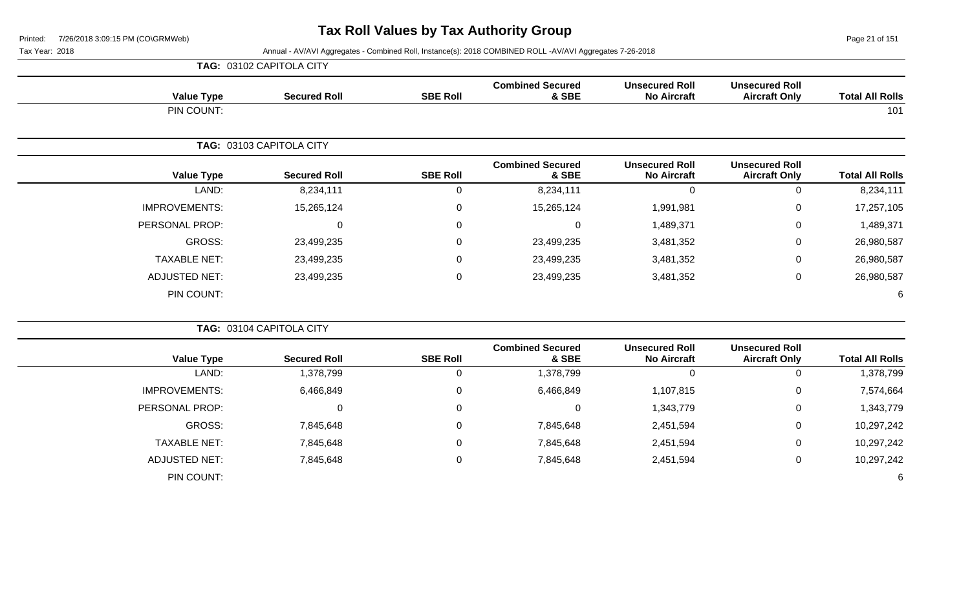Page 21 of 151

|                        |                                               |                                             |                                  |                 | TAG: 03102 CAPITOLA CITY |                      |
|------------------------|-----------------------------------------------|---------------------------------------------|----------------------------------|-----------------|--------------------------|----------------------|
| <b>Total All Rolls</b> | <b>Unsecured Roll</b><br><b>Aircraft Only</b> | <b>Unsecured Roll</b><br><b>No Aircraft</b> | <b>Combined Secured</b><br>& SBE | <b>SBE Roll</b> | <b>Secured Roll</b>      | <b>Value Type</b>    |
| 101                    |                                               |                                             |                                  |                 |                          | PIN COUNT:           |
|                        |                                               |                                             |                                  |                 | TAG: 03103 CAPITOLA CITY |                      |
| <b>Total All Rolls</b> | <b>Unsecured Roll</b><br><b>Aircraft Only</b> | <b>Unsecured Roll</b><br><b>No Aircraft</b> | <b>Combined Secured</b><br>& SBE | <b>SBE Roll</b> | <b>Secured Roll</b>      | <b>Value Type</b>    |
| 8,234,111              | 0                                             | 0                                           | 8,234,111                        | 0               | 8,234,111                | LAND:                |
| 17,257,105             | $\mathbf 0$                                   | 1,991,981                                   | 15,265,124                       | 0               | 15,265,124               | <b>IMPROVEMENTS:</b> |
| 1,489,371              | 0                                             | 1,489,371                                   | 0                                | 0               | 0                        | PERSONAL PROP:       |
| 26,980,587             | $\mathbf 0$                                   | 3,481,352                                   | 23,499,235                       | 0               | 23,499,235               | GROSS:               |
| 26,980,587             | 0                                             | 3,481,352                                   | 23,499,235                       | $\mathbf 0$     | 23,499,235               | <b>TAXABLE NET:</b>  |
| 26,980,587             | $\mathbf 0$                                   | 3,481,352                                   | 23,499,235                       | 0               | 23,499,235               | <b>ADJUSTED NET:</b> |
| 6                      |                                               |                                             |                                  |                 |                          | PIN COUNT:           |
|                        |                                               |                                             |                                  |                 | TAG: 03104 CAPITOLA CITY |                      |
|                        | <b>Unsecured Roll</b>                         | <b>Unsecured Roll</b>                       | <b>Combined Secured</b>          |                 |                          |                      |

| <b>Value Type</b>    | <b>Secured Roll</b> | <b>SBE Roll</b> | <b>Combined Secured</b><br>& SBE | <b>Unsecured Roll</b><br><b>No Aircraft</b> | <b>Unsecured Roll</b><br><b>Aircraft Only</b> | <b>Total All Rolls</b> |
|----------------------|---------------------|-----------------|----------------------------------|---------------------------------------------|-----------------------------------------------|------------------------|
| LAND:                | 1,378,799           |                 | 1,378,799                        | υ                                           |                                               | 1,378,799              |
| <b>IMPROVEMENTS:</b> | 6,466,849           | $\Omega$        | 6,466,849                        | 1,107,815                                   | 0                                             | 7,574,664              |
| PERSONAL PROP:       | 0                   | $\Omega$        | 0                                | 1,343,779                                   | 0                                             | 1,343,779              |
| GROSS:               | 7,845,648           | $\Omega$        | 7,845,648                        | 2,451,594                                   | υ                                             | 10,297,242             |
| <b>TAXABLE NET:</b>  | 7,845,648           | $\Omega$        | 7,845,648                        | 2,451,594                                   | υ                                             | 10,297,242             |
| ADJUSTED NET:        | 7,845,648           | $\Omega$        | 7,845,648                        | 2,451,594                                   |                                               | 10,297,242             |
| PIN COUNT:           |                     |                 |                                  |                                             |                                               | 6                      |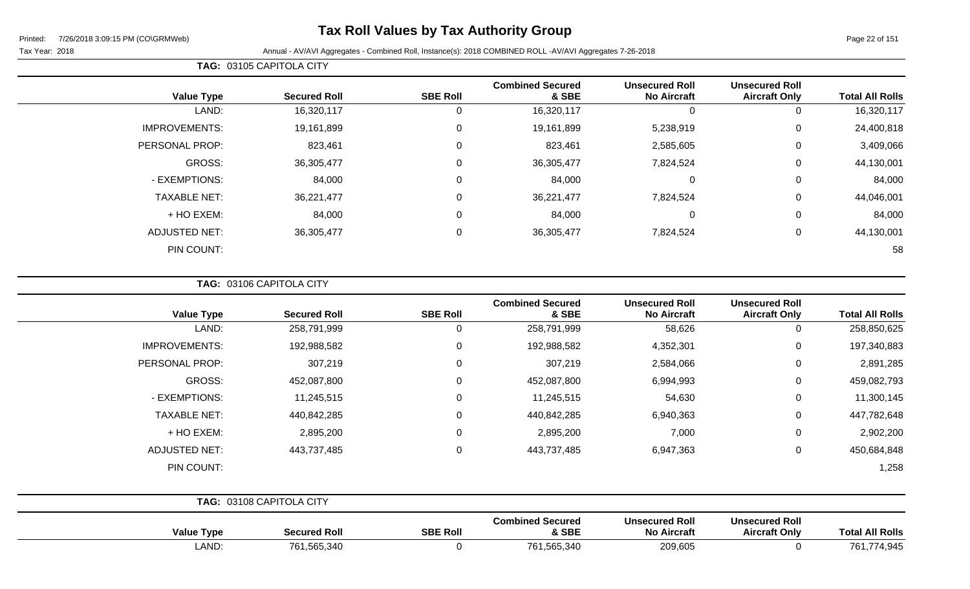### **Tax Roll Values by Tax Authority Group**

Page 22 of 151

Tax Year: 2018 Annual - AV/AVI Aggregates - Combined Roll, Instance(s): 2018 COMBINED ROLL -AV/AVI Aggregates 7-26-2018

| <b>Value Type</b>    | <b>Secured Roll</b> | <b>SBE Roll</b> | <b>Combined Secured</b><br>& SBE | <b>Unsecured Roll</b><br><b>No Aircraft</b> | <b>Unsecured Roll</b><br><b>Aircraft Only</b> | <b>Total All Rolls</b> |
|----------------------|---------------------|-----------------|----------------------------------|---------------------------------------------|-----------------------------------------------|------------------------|
| LAND:                | 16,320,117          | 0               | 16,320,117                       | 0                                           | 0                                             | 16,320,117             |
| <b>IMPROVEMENTS:</b> | 19,161,899          | $\mathbf 0$     | 19,161,899                       | 5,238,919                                   | $\mathbf 0$                                   | 24,400,818             |
| PERSONAL PROP:       | 823,461             | 0               | 823,461                          | 2,585,605                                   | $\mathbf 0$                                   | 3,409,066              |
| GROSS:               | 36,305,477          | 0               | 36,305,477                       | 7,824,524                                   | 0                                             | 44,130,001             |
| - EXEMPTIONS:        | 84,000              | $\mathbf 0$     | 84,000                           | $\Omega$                                    | $\mathbf 0$                                   | 84,000                 |
| <b>TAXABLE NET:</b>  | 36,221,477          | $\mathbf 0$     | 36,221,477                       | 7,824,524                                   | $\mathbf 0$                                   | 44,046,001             |
| + HO EXEM:           | 84,000              | 0               | 84,000                           | 0                                           | $\mathbf 0$                                   | 84,000                 |
| <b>ADJUSTED NET:</b> | 36,305,477          | $\mathbf 0$     | 36,305,477                       | 7,824,524                                   | 0                                             | 44,130,001             |
| PIN COUNT:           |                     |                 |                                  |                                             |                                               | 58                     |

**TAG:** 03106 CAPITOLA CITY

**TAG:** 03105 CAPITOLA CITY

| <b>Value Type</b>    | <b>Secured Roll</b>      | <b>SBE Roll</b> | <b>Combined Secured</b><br>& SBE | <b>Unsecured Roll</b><br><b>No Aircraft</b> | <b>Unsecured Roll</b><br><b>Aircraft Only</b> | <b>Total All Rolls</b> |
|----------------------|--------------------------|-----------------|----------------------------------|---------------------------------------------|-----------------------------------------------|------------------------|
| LAND:                | 258,791,999              | 0               | 258,791,999                      | 58,626                                      | $\mathbf 0$                                   | 258,850,625            |
| <b>IMPROVEMENTS:</b> | 192,988,582              | 0               | 192,988,582                      | 4,352,301                                   | $\mathbf 0$                                   | 197,340,883            |
| PERSONAL PROP:       | 307,219                  | $\Omega$        | 307,219                          | 2,584,066                                   | $\mathbf 0$                                   | 2,891,285              |
| <b>GROSS:</b>        | 452,087,800              | 0               | 452,087,800                      | 6,994,993                                   | $\mathbf 0$                                   | 459,082,793            |
| - EXEMPTIONS:        | 11,245,515               | 0               | 11,245,515                       | 54,630                                      | $\mathbf 0$                                   | 11,300,145             |
| <b>TAXABLE NET:</b>  | 440,842,285              | $\overline{0}$  | 440,842,285                      | 6,940,363                                   | $\mathbf 0$                                   | 447,782,648            |
| $+$ HO EXEM:         | 2,895,200                | $\Omega$        | 2,895,200                        | 7,000                                       | $\mathbf 0$                                   | 2,902,200              |
| <b>ADJUSTED NET:</b> | 443,737,485              | $\mathbf 0$     | 443,737,485                      | 6,947,363                                   | $\mathbf 0$                                   | 450,684,848            |
| PIN COUNT:           |                          |                 |                                  |                                             |                                               | 1,258                  |
|                      | TAG: 03108 CAPITOLA CITY |                 |                                  |                                             |                                               |                        |

| <b>Value Type</b> | <b>Secured Roll</b> | <b>SBE Roll</b> | <b>Combined Secured</b><br>& SBE | <b>Unsecured Roll</b><br><b>No Aircraft</b> | <b>Unsecured Roll</b><br><b>Aircraft Only</b> | <b>Total All Rolls</b> |
|-------------------|---------------------|-----------------|----------------------------------|---------------------------------------------|-----------------------------------------------|------------------------|
| _AND              | 761,565,340         |                 | 761,565,340                      | 209,605<br>$\sim$ $\sim$                    |                                               | 761<br>74,945          |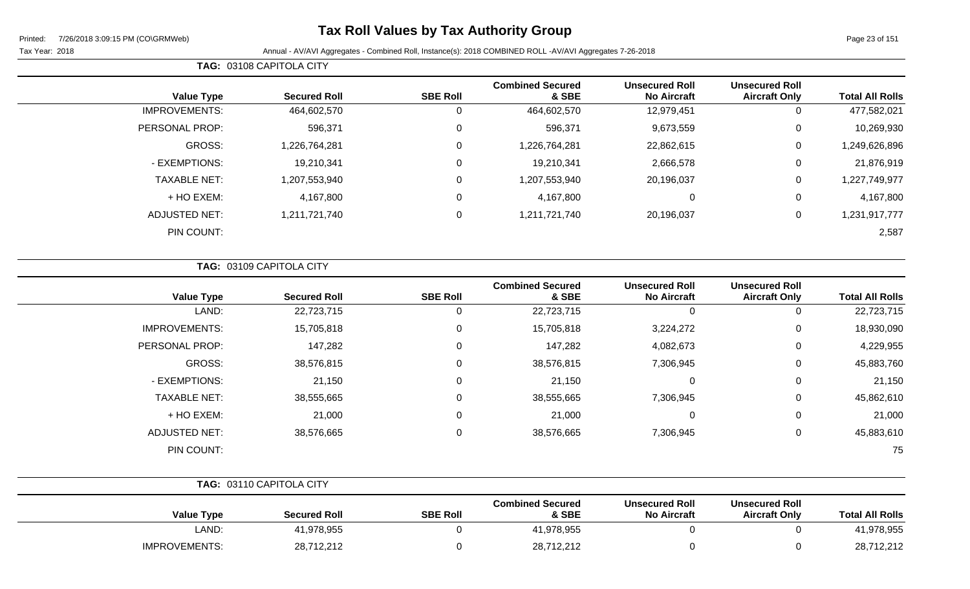### **Tax Roll Values by Tax Authority Group**

Page 23 of 151

Tax Year: 2018 **Annual - AV/AVI Aggregates - Combined Roll**, Instance(s): 2018 COMBINED ROLL -AV/AVI Aggregates 7-26-2018

| <b>Value Type</b>    | <b>Secured Roll</b> | <b>SBE Roll</b> | <b>Combined Secured</b><br>& SBE | <b>Unsecured Roll</b><br><b>No Aircraft</b> | <b>Unsecured Roll</b><br><b>Aircraft Only</b> | <b>Total All Rolls</b> |
|----------------------|---------------------|-----------------|----------------------------------|---------------------------------------------|-----------------------------------------------|------------------------|
| <b>IMPROVEMENTS:</b> | 464,602,570         | 0               | 464,602,570                      | 12,979,451                                  | 0                                             | 477,582,021            |
| PERSONAL PROP:       | 596,371             | 0               | 596,371                          | 9,673,559                                   | 0                                             | 10,269,930             |
| GROSS:               | 1,226,764,281       | 0               | 1,226,764,281                    | 22,862,615                                  | 0                                             | 1,249,626,896          |
| - EXEMPTIONS:        | 19,210,341          | 0               | 19,210,341                       | 2,666,578                                   | 0                                             | 21,876,919             |
| <b>TAXABLE NET:</b>  | 1,207,553,940       | 0               | 1,207,553,940                    | 20,196,037                                  | 0                                             | 1,227,749,977          |
| + HO EXEM:           | 4,167,800           | 0               | 4,167,800                        | 0                                           | 0                                             | 4,167,800              |
| <b>ADJUSTED NET:</b> | 1,211,721,740       | 0               | 1,211,721,740                    | 20,196,037                                  | 0                                             | 1,231,917,777          |
| PIN COUNT:           |                     |                 |                                  |                                             |                                               | 2,587                  |
|                      |                     |                 |                                  |                                             |                                               |                        |

| TAG: 03109 CAPITOLA CITY |  |
|--------------------------|--|
|                          |  |

**TAG:** 03108 CAPITOLA CITY

| <b>Value Type</b>    | <b>Secured Roll</b> | <b>SBE Roll</b> | <b>Combined Secured</b><br>& SBE | <b>Unsecured Roll</b><br><b>No Aircraft</b> | <b>Unsecured Roll</b><br><b>Aircraft Only</b> | <b>Total All Rolls</b> |
|----------------------|---------------------|-----------------|----------------------------------|---------------------------------------------|-----------------------------------------------|------------------------|
| LAND:                | 22,723,715          | 0               | 22,723,715                       |                                             | 0                                             | 22,723,715             |
| <b>IMPROVEMENTS:</b> | 15,705,818          | 0               | 15,705,818                       | 3,224,272                                   | 0                                             | 18,930,090             |
| PERSONAL PROP:       | 147,282             | 0               | 147,282                          | 4,082,673                                   | 0                                             | 4,229,955              |
| GROSS:               | 38,576,815          | 0               | 38,576,815                       | 7,306,945                                   | 0                                             | 45,883,760             |
| - EXEMPTIONS:        | 21,150              | 0               | 21,150                           | $\Omega$                                    | 0                                             | 21,150                 |
| <b>TAXABLE NET:</b>  | 38,555,665          | 0               | 38,555,665                       | 7,306,945                                   | 0                                             | 45,862,610             |
| + HO EXEM:           | 21,000              | 0               | 21,000                           | $\Omega$                                    | 0                                             | 21,000                 |
| <b>ADJUSTED NET:</b> | 38,576,665          | 0               | 38,576,665                       | 7,306,945                                   | 0                                             | 45,883,610             |
| PIN COUNT:           |                     |                 |                                  |                                             |                                               | 75                     |

|                      | <b>TAG: 03110 CAPITOLA CITY</b> |                 |                                  |                                             |                                               |                        |
|----------------------|---------------------------------|-----------------|----------------------------------|---------------------------------------------|-----------------------------------------------|------------------------|
| Value Type           | <b>Secured Roll</b>             | <b>SBE Roll</b> | <b>Combined Secured</b><br>& SBE | <b>Unsecured Roll</b><br><b>No Aircraft</b> | <b>Unsecured Roll</b><br><b>Aircraft Only</b> | <b>Total All Rolls</b> |
| LAND:                | 41,978,955                      |                 | 41,978,955                       |                                             |                                               | 41,978,955             |
| <b>IMPROVEMENTS:</b> | 28,712,212                      |                 | 28,712,212                       |                                             |                                               | 28,712,212             |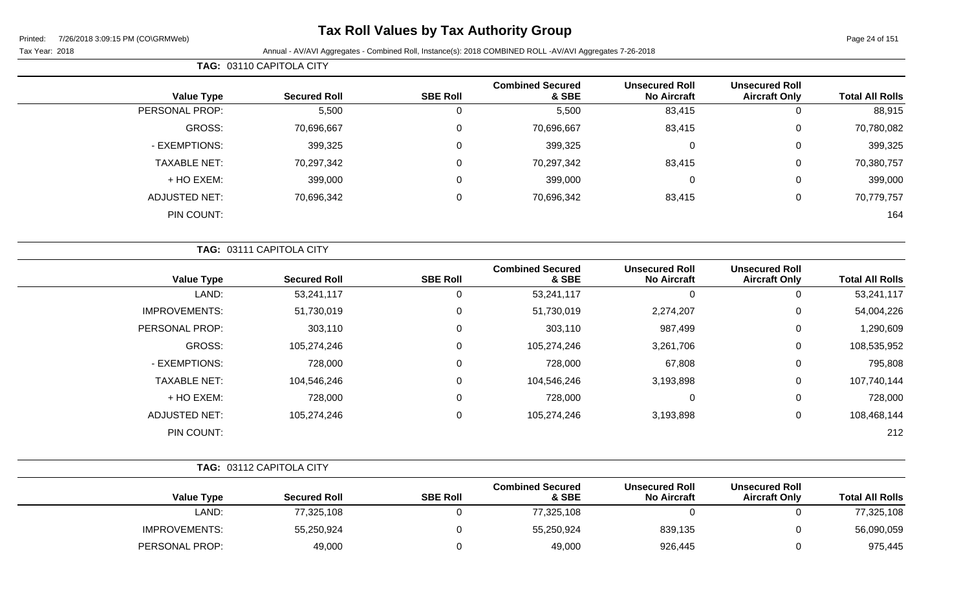### **Tax Roll Values by Tax Authority Group**

**TAG:** 03110 CAPITOLA CITY

Page 24 of 151

| <b>Total All Rolls</b> | <b>Unsecured Roll</b><br><b>Aircraft Only</b> | <b>Unsecured Roll</b><br><b>No Aircraft</b> | <b>Combined Secured</b><br>& SBE   | <b>SBE Roll</b> | <b>Secured Roll</b>      | <b>Value Type</b>    |
|------------------------|-----------------------------------------------|---------------------------------------------|------------------------------------|-----------------|--------------------------|----------------------|
| 88,915                 | 0                                             | 83,415                                      | 5,500                              | 0               | 5,500                    | PERSONAL PROP:       |
| 70,780,082             | $\mathbf 0$                                   | 83,415                                      | 70,696,667                         | 0               | 70,696,667               | <b>GROSS:</b>        |
| 399,325                | $\mathbf 0$                                   | $\Omega$                                    | 399,325                            | 0               | 399,325                  | - EXEMPTIONS:        |
| 70,380,757             | 0                                             | 83,415                                      | 70,297,342                         | 0               | 70,297,342               | <b>TAXABLE NET:</b>  |
| 399,000                | 0                                             | $\Omega$                                    | 399,000                            | 0               | 399,000                  | + HO EXEM:           |
| 70,779,757             | 0                                             | 83,415                                      | 70,696,342                         | 0               | 70,696,342               | <b>ADJUSTED NET:</b> |
| 164                    |                                               |                                             |                                    |                 |                          | PIN COUNT:           |
|                        |                                               |                                             |                                    |                 | TAG: 03111 CAPITOLA CITY |                      |
| <b>Total All Polle</b> | <b>Unsecured Roll</b><br>Aircroft Oply        | <b>Unsecured Roll</b><br>No Aircraft        | <b>Combined Secured</b><br>$R$ CDE | <b>CRE DAIL</b> | Secured Poll             | Value Type           |

| <b>Total All Rolls</b> | <u>UNSCUULCU IVUN</u><br><b>Aircraft Only</b> | <b>UNDELLE DESILE</b><br><b>No Aircraft</b> | <b>OUIIDIIIGU OGUULGU</b><br>& SBE | <b>SBE Roll</b> | <b>Secured Roll</b> | <b>Value Type</b>    |
|------------------------|-----------------------------------------------|---------------------------------------------|------------------------------------|-----------------|---------------------|----------------------|
| 53,241,117             |                                               | υ                                           | 53,241,117                         | 0               | 53,241,117          | LAND:                |
| 54,004,226             | 0                                             | 2,274,207                                   | 51,730,019                         | 0               | 51,730,019          | <b>IMPROVEMENTS:</b> |
| 1,290,609              | 0                                             | 987,499                                     | 303,110                            | 0               | 303,110             | PERSONAL PROP:       |
| 108,535,952            | 0                                             | 3,261,706                                   | 105,274,246                        | 0               | 105,274,246         | GROSS:               |
| 795,808                | 0                                             | 67,808                                      | 728,000                            | 0               | 728,000             | - EXEMPTIONS:        |
| 107,740,144            | 0                                             | 3,193,898                                   | 104,546,246                        | 0               | 104,546,246         | <b>TAXABLE NET:</b>  |
| 728,000                | 0                                             | υ                                           | 728,000                            | 0               | 728,000             | + HO EXEM:           |
| 108,468,144            | 0                                             | 3,193,898                                   | 105,274,246                        | 0               | 105,274,246         | <b>ADJUSTED NET:</b> |
| 212                    |                                               |                                             |                                    |                 |                     | PIN COUNT:           |
|                        |                                               |                                             |                                    |                 |                     |                      |

|                      | TAG: 03112 CAPITOLA CITY |                 |                                  |                                             |                                               |                        |
|----------------------|--------------------------|-----------------|----------------------------------|---------------------------------------------|-----------------------------------------------|------------------------|
| <b>Value Type</b>    | <b>Secured Roll</b>      | <b>SBE Roll</b> | <b>Combined Secured</b><br>& SBE | <b>Unsecured Roll</b><br><b>No Aircraft</b> | <b>Unsecured Roll</b><br><b>Aircraft Only</b> | <b>Total All Rolls</b> |
| LAND:                | 77,325,108               |                 | 77,325,108                       |                                             |                                               | 77,325,108             |
| <b>IMPROVEMENTS:</b> | 55,250,924               |                 | 55,250,924                       | 839,135                                     |                                               | 56,090,059             |
| PERSONAL PROP:       | 49,000                   |                 | 49,000                           | 926,445                                     |                                               | 975,445                |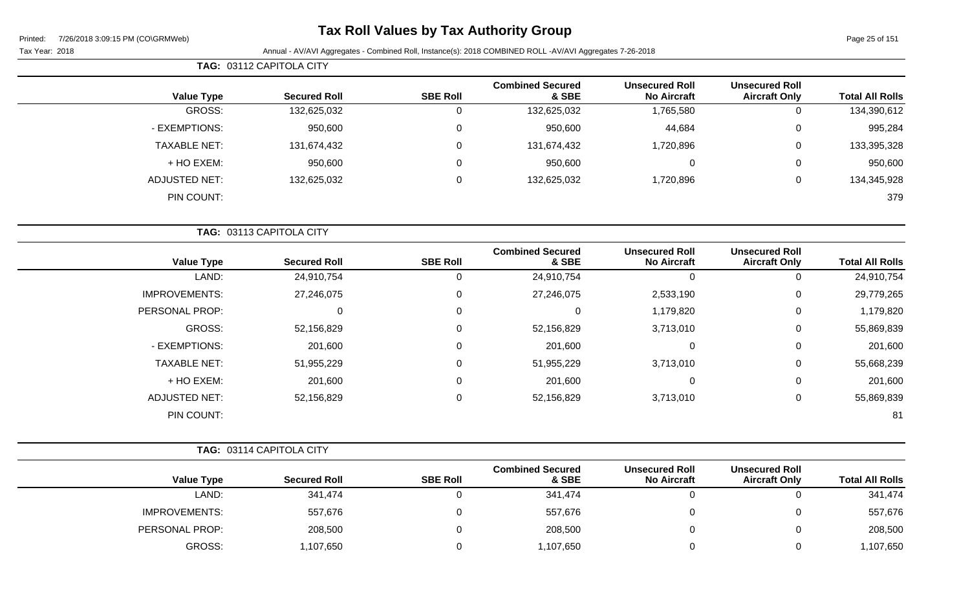### **Tax Roll Values by Tax Authority Group**

| Page 25 of 151 |  |  |
|----------------|--|--|
|                |  |  |

| <b>Total All Rolls</b> | <b>Unsecured Roll</b><br><b>Aircraft Only</b> | <b>Unsecured Roll</b><br><b>No Aircraft</b> | <b>Combined Secured</b><br>& SBE | <b>SBE Roll</b> | <b>Secured Roll</b>      | <b>Value Type</b>    |
|------------------------|-----------------------------------------------|---------------------------------------------|----------------------------------|-----------------|--------------------------|----------------------|
| 134,390,612            | 0                                             | 1,765,580                                   | 132,625,032                      | 0               | 132,625,032              | GROSS:               |
| 995,284                | 0                                             | 44,684                                      | 950,600                          | 0               | 950,600                  | - EXEMPTIONS:        |
| 133,395,328            | $\mathbf 0$                                   | 1,720,896                                   | 131,674,432                      | 0               | 131,674,432              | <b>TAXABLE NET:</b>  |
| 950,600                | $\mathbf 0$                                   | $\mathbf 0$                                 | 950,600                          | $\mathbf 0$     | 950,600                  | + HO EXEM:           |
| 134,345,928            | $\mathbf 0$                                   | 1,720,896                                   | 132,625,032                      | $\mathbf 0$     | 132,625,032              | <b>ADJUSTED NET:</b> |
| 379                    |                                               |                                             |                                  |                 |                          | PIN COUNT:           |
|                        |                                               |                                             |                                  |                 |                          |                      |
|                        |                                               |                                             |                                  |                 | TAG: 03113 CAPITOLA CITY |                      |

| <b>Value Type</b>    | <b>Secured Roll</b> | <b>SBE Roll</b> | <b>Combined Secured</b><br>& SBE | <b>Unsecured Roll</b><br><b>No Aircraft</b> | <b>Unsecured Roll</b><br><b>Aircraft Only</b> | <b>Total All Rolls</b> |
|----------------------|---------------------|-----------------|----------------------------------|---------------------------------------------|-----------------------------------------------|------------------------|
| LAND:                | 24,910,754          |                 | 24,910,754                       | 0                                           | 0                                             | 24,910,754             |
| <b>IMPROVEMENTS:</b> | 27,246,075          | 0               | 27,246,075                       | 2,533,190                                   | 0                                             | 29,779,265             |
| PERSONAL PROP:       | 0                   | 0               | 0                                | 1,179,820                                   | 0                                             | 1,179,820              |
| GROSS:               | 52,156,829          | 0               | 52,156,829                       | 3,713,010                                   | 0                                             | 55,869,839             |
| - EXEMPTIONS:        | 201,600             | 0               | 201,600                          | 0                                           | 0                                             | 201,600                |
| <b>TAXABLE NET:</b>  | 51,955,229          | 0               | 51,955,229                       | 3,713,010                                   | 0                                             | 55,668,239             |
| + HO EXEM:           | 201,600             | 0               | 201,600                          | 0                                           | 0                                             | 201,600                |
| <b>ADJUSTED NET:</b> | 52,156,829          | 0               | 52,156,829                       | 3,713,010                                   | 0                                             | 55,869,839             |
| PIN COUNT:           |                     |                 |                                  |                                             |                                               | 81                     |

| <b>TAG: 03114 CAPITOLA CITY</b> |                      |                     |                 |                                  |                                             |                                               |                        |
|---------------------------------|----------------------|---------------------|-----------------|----------------------------------|---------------------------------------------|-----------------------------------------------|------------------------|
|                                 | <b>Value Type</b>    | <b>Secured Roll</b> | <b>SBE Roll</b> | <b>Combined Secured</b><br>& SBE | <b>Unsecured Roll</b><br><b>No Aircraft</b> | <b>Unsecured Roll</b><br><b>Aircraft Only</b> | <b>Total All Rolls</b> |
|                                 | LAND:                | 341,474             |                 | 341,474                          |                                             |                                               | 341,474                |
|                                 | <b>IMPROVEMENTS:</b> | 557,676             |                 | 557,676                          |                                             |                                               | 557,676                |
|                                 | PERSONAL PROP:       | 208,500             |                 | 208,500                          |                                             |                                               | 208,500                |
|                                 | GROSS:               | 1,107,650           |                 | 1,107,650                        |                                             |                                               | 1,107,650              |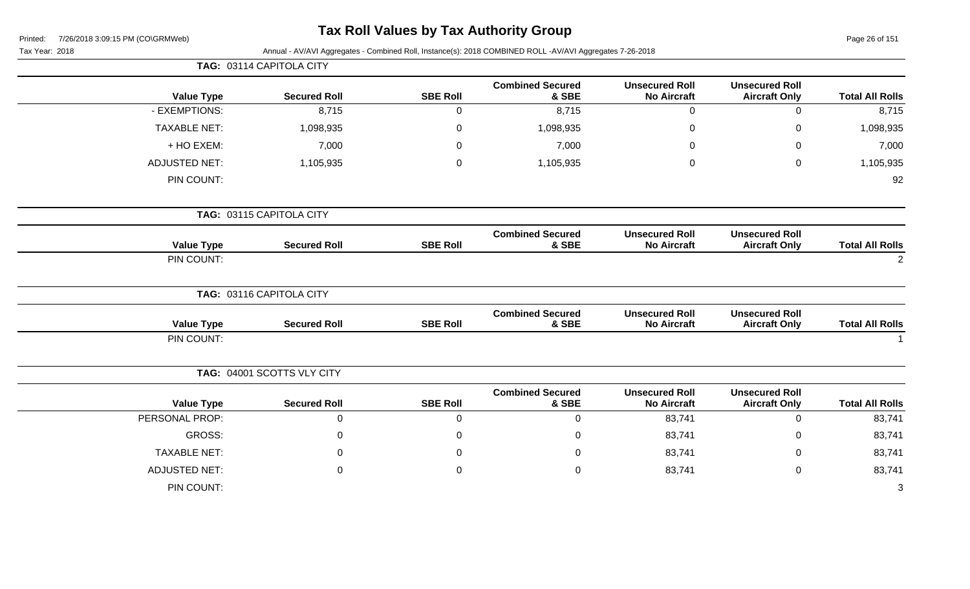| Printed: | 7/26/2018 3:09:15 PM (CO\GRMWeb) |  |
|----------|----------------------------------|--|
|          |                                  |  |

# **Tax Roll Values by Tax Authority Group**

Page 26 of 151

| Tax Year: 2018       |                            |                 | Annual - AV/AVI Aggregates - Combined Roll, Instance(s): 2018 COMBINED ROLL -AV/AVI Aggregates 7-26-2018 |                                             |                                               |                        |
|----------------------|----------------------------|-----------------|----------------------------------------------------------------------------------------------------------|---------------------------------------------|-----------------------------------------------|------------------------|
|                      | TAG: 03114 CAPITOLA CITY   |                 |                                                                                                          |                                             |                                               |                        |
| <b>Value Type</b>    | <b>Secured Roll</b>        | <b>SBE Roll</b> | <b>Combined Secured</b><br>& SBE                                                                         | <b>Unsecured Roll</b><br><b>No Aircraft</b> | <b>Unsecured Roll</b><br><b>Aircraft Only</b> | <b>Total All Rolls</b> |
| - EXEMPTIONS:        | 8,715                      | $\mathbf 0$     | 8,715                                                                                                    | 0                                           | $\mathbf 0$                                   | 8,715                  |
| <b>TAXABLE NET:</b>  | 1,098,935                  | 0               | 1,098,935                                                                                                | $\pmb{0}$                                   | 0                                             | 1,098,935              |
| + HO EXEM:           | 7,000                      | $\Omega$        | 7,000                                                                                                    | 0                                           | $\Omega$                                      | 7,000                  |
| <b>ADJUSTED NET:</b> | 1,105,935                  | 0               | 1,105,935                                                                                                | 0                                           | $\mathbf 0$                                   | 1,105,935              |
| PIN COUNT:           |                            |                 |                                                                                                          |                                             |                                               | 92                     |
|                      | TAG: 03115 CAPITOLA CITY   |                 |                                                                                                          |                                             |                                               |                        |
| <b>Value Type</b>    | <b>Secured Roll</b>        | <b>SBE Roll</b> | <b>Combined Secured</b><br>& SBE                                                                         | <b>Unsecured Roll</b><br><b>No Aircraft</b> | <b>Unsecured Roll</b><br><b>Aircraft Only</b> | <b>Total All Rolls</b> |
| PIN COUNT:           |                            |                 |                                                                                                          |                                             |                                               | 2                      |
|                      | TAG: 03116 CAPITOLA CITY   |                 |                                                                                                          |                                             |                                               |                        |
| <b>Value Type</b>    | <b>Secured Roll</b>        | <b>SBE Roll</b> | <b>Combined Secured</b><br>& SBE                                                                         | <b>Unsecured Roll</b><br><b>No Aircraft</b> | <b>Unsecured Roll</b><br><b>Aircraft Only</b> | <b>Total All Rolls</b> |
| PIN COUNT:           |                            |                 |                                                                                                          |                                             |                                               |                        |
|                      | TAG: 04001 SCOTTS VLY CITY |                 |                                                                                                          |                                             |                                               |                        |
| <b>Value Type</b>    | <b>Secured Roll</b>        | <b>SBE Roll</b> | <b>Combined Secured</b><br>& SBE                                                                         | <b>Unsecured Roll</b><br><b>No Aircraft</b> | <b>Unsecured Roll</b><br><b>Aircraft Only</b> | <b>Total All Rolls</b> |
| PERSONAL PROP:       | $\mathbf 0$                | $\overline{0}$  | $\mathbf 0$                                                                                              | 83,741                                      | $\mathbf 0$                                   | 83,741                 |
| <b>GROSS:</b>        | $\mathbf 0$                | 0               | $\Omega$                                                                                                 | 83,741                                      | 0                                             | 83,741                 |
| <b>TAXABLE NET:</b>  | 0                          | 0               | $\Omega$                                                                                                 | 83,741                                      | 0                                             | 83,741                 |
| <b>ADJUSTED NET:</b> | 0                          | 0               | 0                                                                                                        | 83,741                                      | $\mathbf 0$                                   | 83,741                 |
| PIN COUNT:           |                            |                 |                                                                                                          |                                             |                                               | 3                      |
|                      |                            |                 |                                                                                                          |                                             |                                               |                        |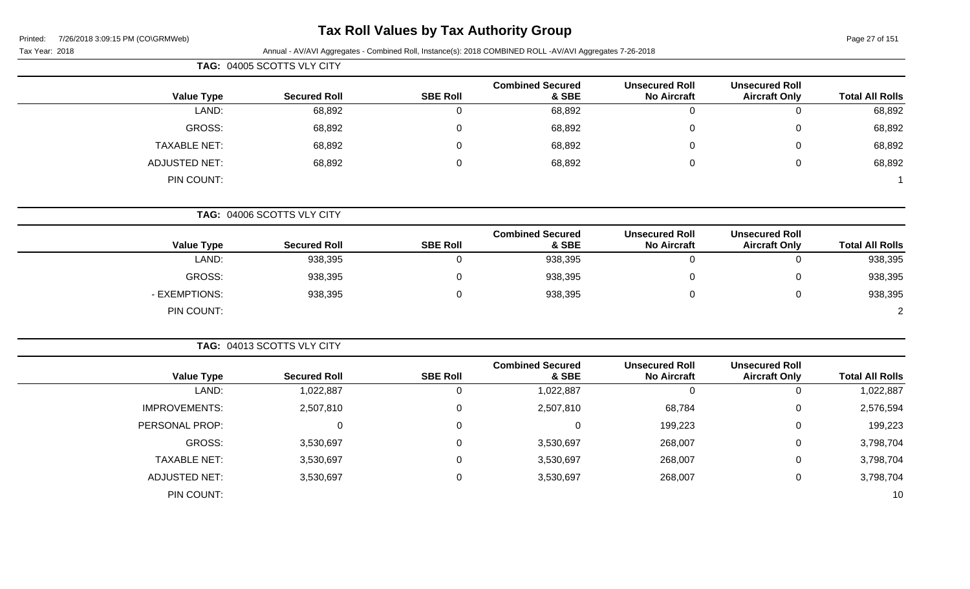### **Tax Roll Values by Tax Authority Group**

|                        |                                               |                                             |                                  |                  | TAG: 04005 SCOTTS VLY CITY |                      |
|------------------------|-----------------------------------------------|---------------------------------------------|----------------------------------|------------------|----------------------------|----------------------|
| <b>Total All Rolls</b> | <b>Unsecured Roll</b><br><b>Aircraft Only</b> | <b>Unsecured Roll</b><br><b>No Aircraft</b> | <b>Combined Secured</b><br>& SBE | <b>SBE Roll</b>  | <b>Secured Roll</b>        | <b>Value Type</b>    |
| 68,892                 | $\mathbf 0$                                   | $\overline{0}$                              | 68,892                           | $\overline{0}$   | 68,892                     | LAND:                |
| 68,892                 | $\mathbf 0$                                   | $\mathbf 0$                                 | 68,892                           | $\boldsymbol{0}$ | 68,892                     | <b>GROSS:</b>        |
| 68,892                 | $\mathbf 0$                                   | $\mathbf 0$                                 | 68,892                           | $\mathbf 0$      | 68,892                     | <b>TAXABLE NET:</b>  |
| 68,892                 | $\mathbf 0$                                   | $\mathbf 0$                                 | 68,892                           | $\boldsymbol{0}$ | 68,892                     | <b>ADJUSTED NET:</b> |
|                        |                                               |                                             |                                  |                  |                            | PIN COUNT:           |
|                        |                                               |                                             |                                  |                  | TAG: 04006 SCOTTS VLY CITY |                      |
| <b>Total All Rolls</b> | <b>Unsecured Roll</b><br><b>Aircraft Only</b> | <b>Unsecured Roll</b><br><b>No Aircraft</b> | <b>Combined Secured</b><br>& SBE | <b>SBE Roll</b>  | <b>Secured Roll</b>        | <b>Value Type</b>    |
| 938,395                | $\mathbf 0$                                   | $\overline{0}$                              | 938,395                          | $\overline{0}$   | 938,395                    | LAND:                |
| 938,395                | 0                                             | $\mathbf 0$                                 | 938,395                          | $\mathbf 0$      | 938,395                    | <b>GROSS:</b>        |
| 938,395                | $\mathbf 0$                                   | $\mathbf 0$                                 | 938,395                          | $\pmb{0}$        | 938,395                    | - EXEMPTIONS:        |
| $\overline{2}$         |                                               |                                             |                                  |                  |                            | PIN COUNT:           |
|                        |                                               |                                             |                                  |                  | TAG: 04013 SCOTTS VLY CITY |                      |
| <b>Total All Rolls</b> | <b>Unsecured Roll</b><br><b>Aircraft Only</b> | <b>Unsecured Roll</b><br><b>No Aircraft</b> | <b>Combined Secured</b><br>& SBE | <b>SBE Roll</b>  | <b>Secured Roll</b>        | <b>Value Type</b>    |
| 1,022,887              | $\mathbf 0$                                   | $\mathbf 0$                                 | 1,022,887                        | $\mathbf 0$      | 1,022,887                  | LAND:                |
| 2,576,594              | $\pmb{0}$                                     | 68,784                                      | 2,507,810                        | $\pmb{0}$        | 2,507,810                  | <b>IMPROVEMENTS:</b> |
| 199,223                | $\pmb{0}$                                     | 199,223                                     | 0                                | $\mathbf 0$      | $\pmb{0}$                  | PERSONAL PROP:       |
| 3,798,704              | $\mathbf 0$                                   | 268,007                                     | 3,530,697                        | $\mathbf 0$      | 3,530,697                  | <b>GROSS:</b>        |
| 3,798,704              | $\pmb{0}$                                     | 268,007                                     | 3,530,697                        | $\mathbf 0$      | 3,530,697                  | <b>TAXABLE NET:</b>  |
| 3,798,704              | $\pmb{0}$                                     | 268,007                                     | 3,530,697                        | $\mathbf 0$      | 3,530,697                  | <b>ADJUSTED NET:</b> |
| 10                     |                                               |                                             |                                  |                  |                            | PIN COUNT:           |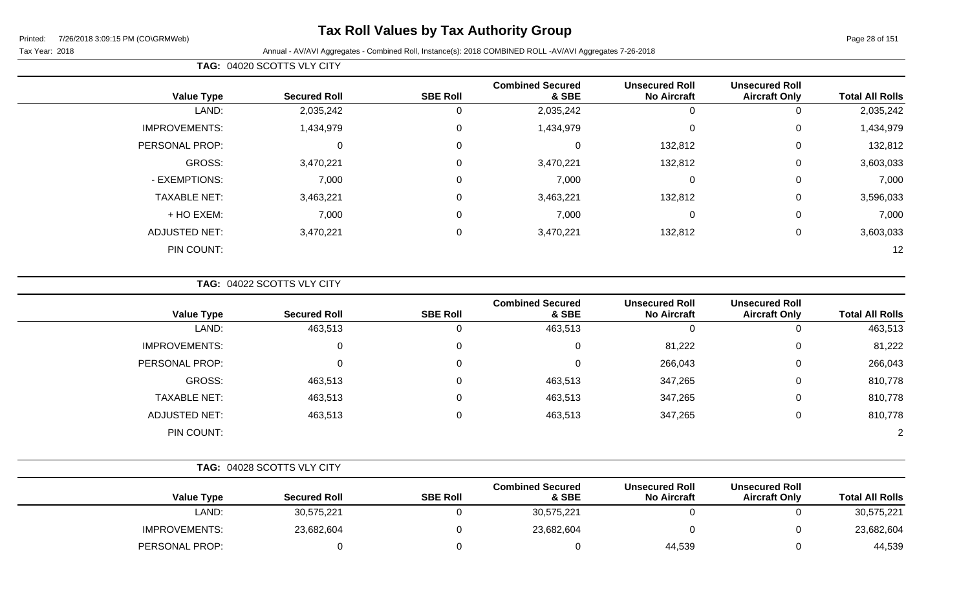### **Tax Roll Values by Tax Authority Group**

#### Tax Year: 2018 Annual - AV/AVI Aggregates - Combined Roll, Instance(s): 2018 COMBINED ROLL -AV/AVI Aggregates 7-26-2018

**TAG:** 04020 SCOTTS VLY CITY

| <b>Total All Rolls</b> | <b>Unsecured Roll</b><br><b>Aircraft Only</b> | <b>Unsecured Roll</b><br><b>No Aircraft</b> | <b>Combined Secured</b><br>& SBE | <b>SBE Roll</b> | <b>Secured Roll</b> | <b>Value Type</b>    |
|------------------------|-----------------------------------------------|---------------------------------------------|----------------------------------|-----------------|---------------------|----------------------|
| 2,035,242              | 0                                             | 0                                           | 2,035,242                        | U               | 2,035,242           | LAND:                |
| 1,434,979              | 0                                             | $\mathbf 0$                                 | 1,434,979                        | 0               | 1,434,979           | <b>IMPROVEMENTS:</b> |
| 132,812                | 0                                             | 132,812                                     | $\Omega$                         | $\mathbf 0$     | 0                   | PERSONAL PROP:       |
| 3,603,033              | 0                                             | 132,812                                     | 3,470,221                        | $\mathbf 0$     | 3,470,221           | GROSS:               |
| 7,000                  | 0                                             | 0                                           | 7,000                            | 0               | 7,000               | - EXEMPTIONS:        |
| 3,596,033              | 0                                             | 132,812                                     | 3,463,221                        | $\overline{0}$  | 3,463,221           | <b>TAXABLE NET:</b>  |
| 7,000                  | 0                                             | $\mathbf 0$                                 | 7,000                            | 0               | 7,000               | + HO EXEM:           |
| 3,603,033              | 0                                             | 132,812                                     | 3,470,221                        | $\mathbf 0$     | 3,470,221           | <b>ADJUSTED NET:</b> |
| 12                     |                                               |                                             |                                  |                 |                     | PIN COUNT:           |
|                        |                                               |                                             |                                  |                 |                     |                      |

**TAG:** 04022 SCOTTS VLY CITY

| <b>Value Type</b>    | <b>Secured Roll</b> | <b>SBE Roll</b> | <b>Combined Secured</b><br>& SBE | <b>Unsecured Roll</b><br><b>No Aircraft</b> | <b>Unsecured Roll</b><br><b>Aircraft Only</b> | <b>Total All Rolls</b> |
|----------------------|---------------------|-----------------|----------------------------------|---------------------------------------------|-----------------------------------------------|------------------------|
| LAND:                | 463,513             | O               | 463,513                          | 0                                           | 0                                             | 463,513                |
| <b>IMPROVEMENTS:</b> | $\mathbf{0}$        | 0               | 0                                | 81,222                                      | 0                                             | 81,222                 |
| PERSONAL PROP:       | 0                   | 0               | 0                                | 266,043                                     | 0                                             | 266,043                |
| GROSS:               | 463,513             | 0               | 463,513                          | 347,265                                     | 0                                             | 810,778                |
| <b>TAXABLE NET:</b>  | 463,513             | 0               | 463,513                          | 347,265                                     | 0                                             | 810,778                |
| <b>ADJUSTED NET:</b> | 463,513             | 0               | 463,513                          | 347,265                                     | 0                                             | 810,778                |
| PIN COUNT:           |                     |                 |                                  |                                             |                                               | $\overline{2}$         |

|                        |                                               |                                             |                                  |                 | TAG: 04028 SCOTTS VLY CITY |                      |
|------------------------|-----------------------------------------------|---------------------------------------------|----------------------------------|-----------------|----------------------------|----------------------|
| <b>Total All Rolls</b> | <b>Unsecured Roll</b><br><b>Aircraft Only</b> | <b>Unsecured Roll</b><br><b>No Aircraft</b> | <b>Combined Secured</b><br>& SBE | <b>SBE Roll</b> | <b>Secured Roll</b>        | <b>Value Type</b>    |
| 30,575,221             |                                               |                                             | 30,575,221                       |                 | 30,575,221                 | LAND:                |
| 23,682,604             |                                               |                                             | 23,682,604                       |                 | 23,682,604                 | <b>IMPROVEMENTS:</b> |
| 44,539                 |                                               | 44,539                                      |                                  |                 |                            | PERSONAL PROP:       |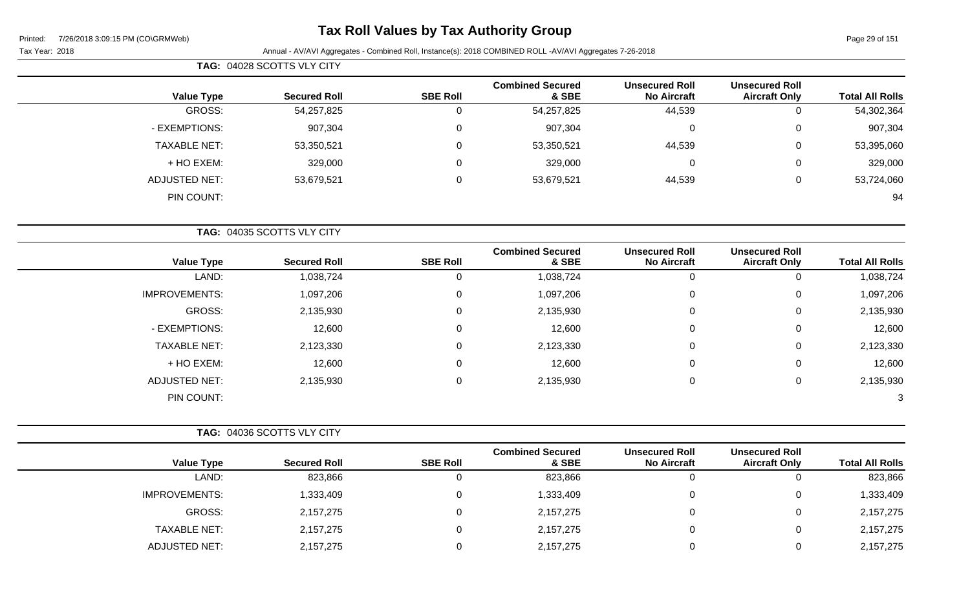### **Tax Roll Values by Tax Authority Group**

|                        |                                               |                                             |                                  |                 | TAG: 04028 SCOTTS VLY CITY |                      |
|------------------------|-----------------------------------------------|---------------------------------------------|----------------------------------|-----------------|----------------------------|----------------------|
| <b>Total All Rolls</b> | <b>Unsecured Roll</b><br><b>Aircraft Only</b> | <b>Unsecured Roll</b><br><b>No Aircraft</b> | <b>Combined Secured</b><br>& SBE | <b>SBE Roll</b> | <b>Secured Roll</b>        | <b>Value Type</b>    |
| 54,302,364             |                                               | 44,539                                      | 54,257,825                       | 0               | 54,257,825                 | GROSS:               |
| 907,304                | 0                                             | 0                                           | 907,304                          | 0               | 907,304                    | - EXEMPTIONS:        |
| 53,395,060             |                                               | 44,539                                      | 53,350,521                       | 0               | 53,350,521                 | <b>TAXABLE NET:</b>  |
| 329,000                | 0                                             | 0                                           | 329,000                          | 0               | 329,000                    | + HO EXEM:           |
| 53,724,060             |                                               | 44,539                                      | 53,679,521                       | 0               | 53,679,521                 | <b>ADJUSTED NET:</b> |
| 94                     |                                               |                                             |                                  |                 |                            | PIN COUNT:           |

|                      | TAG: 04035 SCOTTS VLY CITY |                 |                                  |                                             |                                               |                        |
|----------------------|----------------------------|-----------------|----------------------------------|---------------------------------------------|-----------------------------------------------|------------------------|
| <b>Value Type</b>    | <b>Secured Roll</b>        | <b>SBE Roll</b> | <b>Combined Secured</b><br>& SBE | <b>Unsecured Roll</b><br><b>No Aircraft</b> | <b>Unsecured Roll</b><br><b>Aircraft Only</b> | <b>Total All Rolls</b> |
| LAND:                | 1,038,724                  |                 | 1,038,724                        | 0                                           |                                               | 1,038,724              |
| <b>IMPROVEMENTS:</b> | 1,097,206                  | $\Omega$        | 1,097,206                        | 0                                           | 0                                             | 1,097,206              |
| GROSS:               | 2,135,930                  | $\Omega$        | 2,135,930                        | $\mathbf 0$                                 | 0                                             | 2,135,930              |
| - EXEMPTIONS:        | 12,600                     | $\Omega$        | 12,600                           | $\mathbf 0$                                 | 0                                             | 12,600                 |
| <b>TAXABLE NET:</b>  | 2,123,330                  | $\mathbf 0$     | 2,123,330                        | $\mathbf 0$                                 | 0                                             | 2,123,330              |
| + HO EXEM:           | 12,600                     | $\Omega$        | 12,600                           | $\mathbf 0$                                 | 0                                             | 12,600                 |
| <b>ADJUSTED NET:</b> | 2,135,930                  | $\Omega$        | 2,135,930                        | $\mathbf 0$                                 | 0                                             | 2,135,930              |
| PIN COUNT:           |                            |                 |                                  |                                             |                                               | 3                      |

|                      | <b>TAG: 04036 SCOTTS VLY CITY</b> |                 |                                  |                                             |                                               |                        |
|----------------------|-----------------------------------|-----------------|----------------------------------|---------------------------------------------|-----------------------------------------------|------------------------|
| <b>Value Type</b>    | <b>Secured Roll</b>               | <b>SBE Roll</b> | <b>Combined Secured</b><br>& SBE | <b>Unsecured Roll</b><br><b>No Aircraft</b> | <b>Unsecured Roll</b><br><b>Aircraft Only</b> | <b>Total All Rolls</b> |
| LAND:                | 823,866                           |                 | 823,866                          |                                             |                                               | 823,866                |
| <b>IMPROVEMENTS:</b> | 1,333,409                         |                 | 1,333,409                        |                                             |                                               | 1,333,409              |
| GROSS:               | 2,157,275                         |                 | 2,157,275                        |                                             |                                               | 2,157,275              |
| <b>TAXABLE NET:</b>  | 2,157,275                         |                 | 2,157,275                        |                                             |                                               | 2,157,275              |
| <b>ADJUSTED NET:</b> | 2,157,275                         |                 | 2,157,275                        |                                             |                                               | 2,157,275              |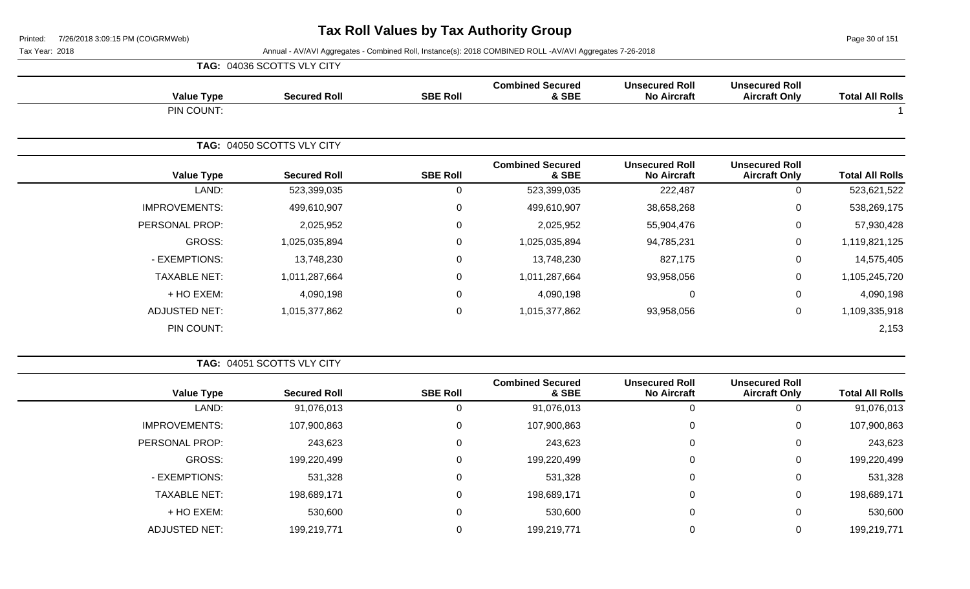Page 30 of 151

|                      | TAG: 04036 SCOTTS VLY CITY |                 |                                  |                                             |                                               | <b>Total All Rolls</b> |
|----------------------|----------------------------|-----------------|----------------------------------|---------------------------------------------|-----------------------------------------------|------------------------|
| <b>Value Type</b>    | <b>Secured Roll</b>        | <b>SBE Roll</b> | <b>Combined Secured</b><br>& SBE | <b>Unsecured Roll</b><br><b>No Aircraft</b> | <b>Unsecured Roll</b><br><b>Aircraft Only</b> |                        |
| PIN COUNT:           |                            |                 |                                  |                                             |                                               |                        |
|                      | TAG: 04050 SCOTTS VLY CITY |                 |                                  |                                             |                                               |                        |
| <b>Value Type</b>    | <b>Secured Roll</b>        | <b>SBE Roll</b> | <b>Combined Secured</b><br>& SBE | <b>Unsecured Roll</b><br><b>No Aircraft</b> | <b>Unsecured Roll</b><br><b>Aircraft Only</b> | <b>Total All Rolls</b> |
| LAND:                | 523,399,035                | 0               | 523,399,035                      | 222,487                                     | 0                                             | 523,621,522            |
| <b>IMPROVEMENTS:</b> | 499,610,907                | $\mathbf 0$     | 499,610,907                      | 38,658,268                                  | $\mathbf 0$                                   | 538,269,175            |
| PERSONAL PROP:       | 2,025,952                  | $\mathbf 0$     | 2,025,952                        | 55,904,476                                  | $\mathbf 0$                                   | 57,930,428             |
| GROSS:               | 1,025,035,894              | $\mathbf 0$     | 1,025,035,894                    | 94,785,231                                  | $\mathbf 0$                                   | 1,119,821,125          |
| - EXEMPTIONS:        | 13,748,230                 | $\mathsf 0$     | 13,748,230                       | 827,175                                     | $\mathbf 0$                                   | 14,575,405             |
| <b>TAXABLE NET:</b>  | 1,011,287,664              | 0               | 1,011,287,664                    | 93,958,056                                  | $\mathbf 0$                                   | 1,105,245,720          |
| + HO EXEM:           | 4,090,198                  | $\mathsf 0$     | 4,090,198                        | 0                                           | $\mathbf 0$                                   | 4,090,198              |
| <b>ADJUSTED NET:</b> | 1,015,377,862              | 0               | 1,015,377,862                    | 93,958,056                                  | $\mathbf 0$                                   | 1,109,335,918          |
| PIN COUNT:           |                            |                 |                                  |                                             |                                               | 2,153                  |

|                        | TAG: 04051 SCOTTS VLY CITY                    |                                             |                                  |                 |                     |                      |  |
|------------------------|-----------------------------------------------|---------------------------------------------|----------------------------------|-----------------|---------------------|----------------------|--|
| <b>Total All Rolls</b> | <b>Unsecured Roll</b><br><b>Aircraft Only</b> | <b>Unsecured Roll</b><br><b>No Aircraft</b> | <b>Combined Secured</b><br>& SBE | <b>SBE Roll</b> | <b>Secured Roll</b> | <b>Value Type</b>    |  |
| 91,076,013             |                                               |                                             | 91,076,013                       | U               | 91,076,013          | LAND:                |  |
| 107,900,863            | 0                                             | 0                                           | 107,900,863                      | 0               | 107,900,863         | <b>IMPROVEMENTS:</b> |  |
| 243,623                | 0                                             | $\mathbf{0}$                                | 243,623                          | 0               | 243,623             | PERSONAL PROP:       |  |
| 199,220,499            | 0                                             | 0                                           | 199,220,499                      | 0               | 199,220,499         | GROSS:               |  |
| 531,328                | 0                                             | 0                                           | 531,328                          | 0               | 531,328             | - EXEMPTIONS:        |  |
| 198,689,171            | 0                                             | 0                                           | 198,689,171                      | 0               | 198,689,171         | <b>TAXABLE NET:</b>  |  |
| 530,600                | 0                                             | $\mathbf 0$                                 | 530,600                          | 0               | 530,600             | + HO EXEM:           |  |
| 199,219,771            |                                               |                                             | 199,219,771                      | 0               | 199,219,771         | <b>ADJUSTED NET:</b> |  |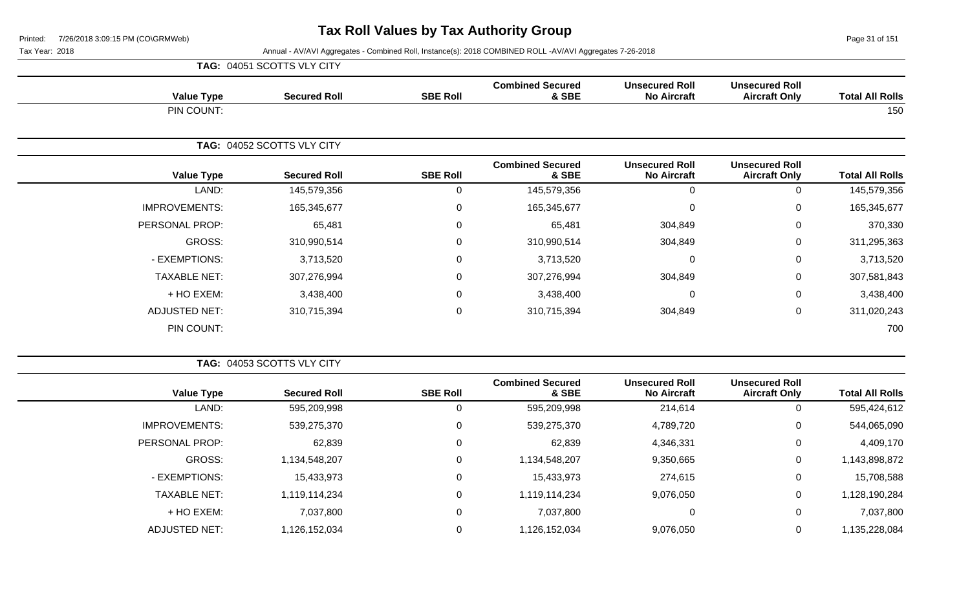Page 31 of 151

|                      | TAG: 04051 SCOTTS VLY CITY |                 |                                  |                                             |                                               |                        |
|----------------------|----------------------------|-----------------|----------------------------------|---------------------------------------------|-----------------------------------------------|------------------------|
| <b>Value Type</b>    | <b>Secured Roll</b>        | <b>SBE Roll</b> | <b>Combined Secured</b><br>& SBE | <b>Unsecured Roll</b><br><b>No Aircraft</b> | <b>Unsecured Roll</b><br><b>Aircraft Only</b> | <b>Total All Rolls</b> |
| PIN COUNT:           |                            |                 |                                  |                                             |                                               | 150                    |
|                      | TAG: 04052 SCOTTS VLY CITY |                 |                                  |                                             |                                               |                        |
| <b>Value Type</b>    | <b>Secured Roll</b>        | <b>SBE Roll</b> | <b>Combined Secured</b><br>& SBE | <b>Unsecured Roll</b><br><b>No Aircraft</b> | <b>Unsecured Roll</b><br><b>Aircraft Only</b> | <b>Total All Rolls</b> |
| LAND:                | 145,579,356                | 0               | 145,579,356                      | 0                                           | $\mathbf 0$                                   | 145,579,356            |
| <b>IMPROVEMENTS:</b> | 165,345,677                | 0               | 165,345,677                      | 0                                           | $\mathbf 0$                                   | 165,345,677            |
| PERSONAL PROP:       | 65,481                     | $\Omega$        | 65,481                           | 304,849                                     | $\mathsf 0$                                   | 370,330                |
| GROSS:               | 310,990,514                | 0               | 310,990,514                      | 304,849                                     | $\pmb{0}$                                     | 311,295,363            |
| - EXEMPTIONS:        | 3,713,520                  | $\Omega$        | 3,713,520                        | $\mathbf 0$                                 | 0                                             | 3,713,520              |
| <b>TAXABLE NET:</b>  | 307,276,994                | 0               | 307,276,994                      | 304,849                                     | $\mathbf 0$                                   | 307,581,843            |
| + HO EXEM:           | 3,438,400                  | 0               | 3,438,400                        | $\mathbf 0$                                 | $\mathbf 0$                                   | 3,438,400              |
| <b>ADJUSTED NET:</b> | 310,715,394                | 0               | 310,715,394                      | 304,849                                     | $\mathbf 0$                                   | 311,020,243            |
| PIN COUNT:           |                            |                 |                                  |                                             |                                               | 700                    |

|                        |                                               |                                             |                                  | TAG: 04053 SCOTTS VLY CITY<br><b>SBE Roll</b><br><b>Secured Roll</b><br>595,209,998<br>539,275,370<br>0<br>62,839<br>$\Omega$<br>1,134,548,207<br>0 |               |                      |
|------------------------|-----------------------------------------------|---------------------------------------------|----------------------------------|-----------------------------------------------------------------------------------------------------------------------------------------------------|---------------|----------------------|
| <b>Total All Rolls</b> | <b>Unsecured Roll</b><br><b>Aircraft Only</b> | <b>Unsecured Roll</b><br><b>No Aircraft</b> | <b>Combined Secured</b><br>& SBE |                                                                                                                                                     |               | <b>Value Type</b>    |
| 595,424,612            | 0                                             | 214,614                                     | 595,209,998                      |                                                                                                                                                     |               | LAND:                |
| 544,065,090            | 0                                             | 4,789,720                                   | 539,275,370                      |                                                                                                                                                     |               | <b>IMPROVEMENTS:</b> |
| 4,409,170              | 0                                             | 4,346,331                                   | 62,839                           |                                                                                                                                                     |               | PERSONAL PROP:       |
| 1,143,898,872          | 0                                             | 9,350,665                                   | 1,134,548,207                    |                                                                                                                                                     |               | GROSS:               |
| 15,708,588             | 0                                             | 274,615                                     | 15,433,973                       | 0                                                                                                                                                   | 15,433,973    | - EXEMPTIONS:        |
| 1,128,190,284          | 0                                             | 9,076,050                                   | 1,119,114,234                    | $\Omega$                                                                                                                                            | 1,119,114,234 | <b>TAXABLE NET:</b>  |
| 7,037,800              | 0                                             | 0                                           | 7,037,800                        | 0                                                                                                                                                   | 7,037,800     | $+$ HO EXEM:         |
| 1,135,228,084          |                                               | 9,076,050                                   | 1,126,152,034                    |                                                                                                                                                     | 1,126,152,034 | <b>ADJUSTED NET:</b> |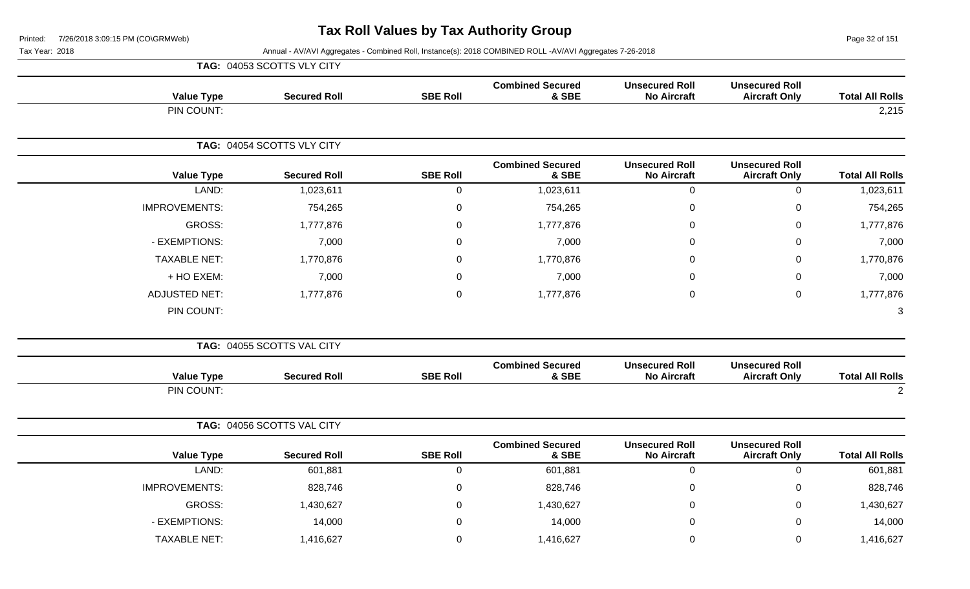Page 32 of 151

|                                                                                                                        |                                  |                  | TAG: 04053 SCOTTS VLY CITY |                      |
|------------------------------------------------------------------------------------------------------------------------|----------------------------------|------------------|----------------------------|----------------------|
| <b>Unsecured Roll</b><br><b>Unsecured Roll</b><br><b>No Aircraft</b><br><b>Total All Rolls</b><br><b>Aircraft Only</b> | <b>Combined Secured</b><br>& SBE | <b>SBE Roll</b>  | <b>Secured Roll</b>        | <b>Value Type</b>    |
| 2,215                                                                                                                  |                                  |                  |                            | PIN COUNT:           |
|                                                                                                                        |                                  |                  | TAG: 04054 SCOTTS VLY CITY |                      |
| <b>Unsecured Roll</b><br><b>Unsecured Roll</b><br><b>Total All Rolls</b><br><b>No Aircraft</b><br><b>Aircraft Only</b> | <b>Combined Secured</b><br>& SBE | <b>SBE Roll</b>  | <b>Secured Roll</b>        | <b>Value Type</b>    |
| $\mathbf 0$<br>$\mathsf 0$<br>1,023,611                                                                                | 1,023,611                        | $\pmb{0}$        | 1,023,611                  | LAND:                |
| $\pmb{0}$<br>$\mathbf 0$<br>754,265                                                                                    | 754,265                          | $\mathbf 0$      | 754,265                    | <b>IMPROVEMENTS:</b> |
| $\mathbf 0$<br>1,777,876<br>$\Omega$                                                                                   | 1,777,876                        | $\mathbf 0$      | 1,777,876                  | <b>GROSS:</b>        |
| 7,000<br>0<br>0                                                                                                        | 7,000                            | $\pmb{0}$        | 7,000                      | - EXEMPTIONS:        |
| 1,770,876<br>$\pmb{0}$<br>$\Omega$                                                                                     | 1,770,876                        | $\mathbf 0$      | 1,770,876                  | <b>TAXABLE NET:</b>  |
| $\Omega$<br>7,000<br>$\Omega$                                                                                          | 7,000                            | $\Omega$         | 7,000                      | + HO EXEM:           |
| $\mathsf 0$<br>$\mathbf 0$<br>1,777,876                                                                                | 1,777,876                        | $\pmb{0}$        | 1,777,876                  | <b>ADJUSTED NET:</b> |
| 3                                                                                                                      |                                  |                  |                            | PIN COUNT:           |
|                                                                                                                        |                                  |                  | TAG: 04055 SCOTTS VAL CITY |                      |
| <b>Unsecured Roll</b><br><b>Unsecured Roll</b><br><b>Total All Rolls</b><br><b>No Aircraft</b><br><b>Aircraft Only</b> | <b>Combined Secured</b><br>& SBE | <b>SBE Roll</b>  | <b>Secured Roll</b>        | <b>Value Type</b>    |
| $\overline{2}$                                                                                                         |                                  |                  |                            | PIN COUNT:           |
|                                                                                                                        |                                  |                  | TAG: 04056 SCOTTS VAL CITY |                      |
| <b>Unsecured Roll</b><br><b>Unsecured Roll</b><br><b>No Aircraft</b><br><b>Total All Rolls</b><br><b>Aircraft Only</b> | <b>Combined Secured</b><br>& SBE | <b>SBE Roll</b>  | <b>Secured Roll</b>        | <b>Value Type</b>    |
| $\overline{0}$<br>$\mathsf 0$<br>601,881                                                                               | 601,881                          | $\pmb{0}$        | 601,881                    | LAND:                |
| 828,746<br>0<br>$\mathbf 0$                                                                                            | 828,746                          | $\mathbf 0$      | 828,746                    | <b>IMPROVEMENTS:</b> |
| $\mathbf 0$<br>1,430,627<br>0                                                                                          | 1,430,627                        | $\boldsymbol{0}$ | 1,430,627                  | <b>GROSS:</b>        |
| 0<br>$\mathbf 0$<br>14,000                                                                                             | 14,000                           | $\overline{0}$   | 14,000                     | - EXEMPTIONS:        |
| 1,416,627<br>0<br>0                                                                                                    | 1,416,627                        | $\boldsymbol{0}$ | 1,416,627                  | <b>TAXABLE NET:</b>  |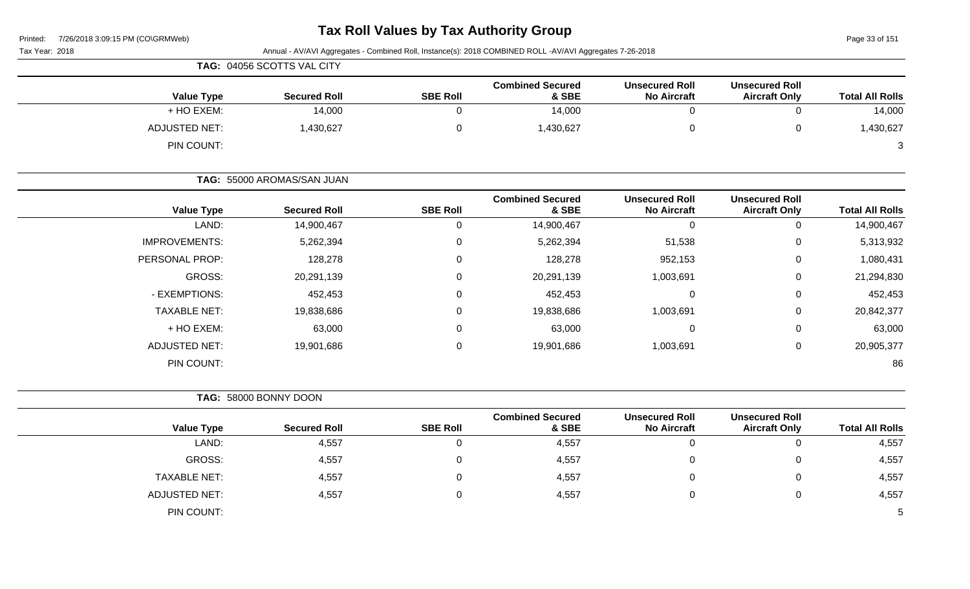| <b>Tax Roll Values by Tax Authority Group</b><br>7/26/2018 3:09:15 PM (CO\GRMWeb)<br>Printed: |  |                            |                 |                                                                                                          |                                             |                                               | Page 33 of 151         |
|-----------------------------------------------------------------------------------------------|--|----------------------------|-----------------|----------------------------------------------------------------------------------------------------------|---------------------------------------------|-----------------------------------------------|------------------------|
| Tax Year: 2018                                                                                |  |                            |                 | Annual - AV/AVI Aggregates - Combined Roll, Instance(s): 2018 COMBINED ROLL -AV/AVI Aggregates 7-26-2018 |                                             |                                               |                        |
|                                                                                               |  | TAG: 04056 SCOTTS VAL CITY |                 |                                                                                                          |                                             |                                               |                        |
| <b>Value Type</b>                                                                             |  | <b>Secured Roll</b>        | <b>SBE Roll</b> | <b>Combined Secured</b><br>& SBE                                                                         | <b>Unsecured Roll</b><br><b>No Aircraft</b> | <b>Unsecured Roll</b><br><b>Aircraft Only</b> | <b>Total All Rolls</b> |
| + HO EXEM:                                                                                    |  | 14,000                     | $\mathbf 0$     | 14,000                                                                                                   | $\mathbf 0$                                 | 0                                             | 14,000                 |
| <b>ADJUSTED NET:</b>                                                                          |  | 1,430,627                  | 0               | 1,430,627                                                                                                | $\mathbf 0$                                 | 0                                             | 1,430,627              |
| PIN COUNT:                                                                                    |  |                            |                 |                                                                                                          |                                             |                                               | 3                      |
|                                                                                               |  | TAG: 55000 AROMAS/SAN JUAN |                 |                                                                                                          |                                             |                                               |                        |
| <b>Value Type</b>                                                                             |  | <b>Secured Roll</b>        | <b>SBE Roll</b> | <b>Combined Secured</b><br>& SBE                                                                         | <b>Unsecured Roll</b><br><b>No Aircraft</b> | <b>Unsecured Roll</b><br><b>Aircraft Only</b> | <b>Total All Rolls</b> |
| LAND:                                                                                         |  | 14,900,467                 | $\pmb{0}$       | 14,900,467                                                                                               | $\mathbf 0$                                 | 0                                             | 14,900,467             |
| <b>IMPROVEMENTS:</b>                                                                          |  | 5,262,394                  | $\overline{0}$  | 5,262,394                                                                                                | 51,538                                      | 0                                             | 5,313,932              |
| PERSONAL PROP:                                                                                |  | 128,278                    | $\Omega$        | 128,278                                                                                                  | 952,153                                     | 0                                             | 1,080,431              |
| GROSS:                                                                                        |  | 20,291,139                 | $\pmb{0}$       | 20,291,139                                                                                               | 1,003,691                                   | 0                                             | 21,294,830             |
| - EXEMPTIONS:                                                                                 |  | 452,453                    | 0               | 452,453                                                                                                  | $\mathbf 0$                                 | 0                                             | 452,453                |
| <b>TAXABLE NET:</b>                                                                           |  | 19,838,686                 | 0               | 19,838,686                                                                                               | 1,003,691                                   | 0                                             | 20,842,377             |
| + HO EXEM:                                                                                    |  | 63,000                     | 0               | 63,000                                                                                                   | $\mathbf 0$                                 | 0                                             | 63,000                 |
| <b>ADJUSTED NET:</b>                                                                          |  | 19,901,686                 | $\mathbf 0$     | 19,901,686                                                                                               | 1,003,691                                   | 0                                             | 20,905,377             |
| PIN COUNT:                                                                                    |  |                            |                 |                                                                                                          |                                             |                                               | 86                     |
|                                                                                               |  | TAG: 58000 BONNY DOON      |                 |                                                                                                          |                                             |                                               |                        |
| <b>Value Type</b>                                                                             |  | <b>Secured Roll</b>        | <b>SBE Roll</b> | <b>Combined Secured</b><br>& SBE                                                                         | <b>Unsecured Roll</b><br><b>No Aircraft</b> | <b>Unsecured Roll</b><br><b>Aircraft Only</b> | <b>Total All Rolls</b> |
| LAND:                                                                                         |  | 4,557                      | $\mathbf 0$     | 4,557                                                                                                    | $\mathbf 0$                                 | $\mathbf 0$                                   | 4,557                  |
| GROSS:                                                                                        |  | 4,557                      | 0               | 4,557                                                                                                    | $\mathbf 0$                                 | 0                                             | 4,557                  |
| <b>TAXABLE NET:</b>                                                                           |  | 4,557                      | 0               | 4,557                                                                                                    | $\mathbf 0$                                 | $\mathbf 0$                                   | 4,557                  |
| <b>ADJUSTED NET:</b>                                                                          |  | 4,557                      | $\mathbf 0$     | 4,557                                                                                                    | $\mathbf 0$                                 | 0                                             | 4,557                  |
| PIN COUNT:                                                                                    |  |                            |                 |                                                                                                          |                                             |                                               | 5                      |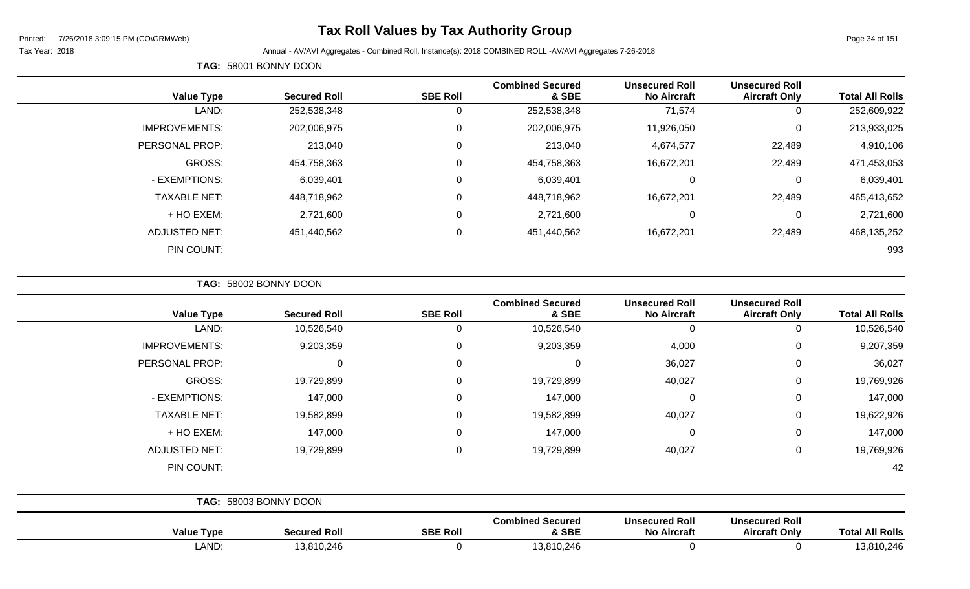### **Tax Roll Values by Tax Authority Group**

Page 34 of 151

Tax Year: 2018 Annual - AV/AVI Aggregates - Combined Roll, Instance(s): 2018 COMBINED ROLL -AV/AVI Aggregates 7-26-2018

|                      | TAG: 58001 BONNY DOON |                 |                                  |                                             |                                               |                        |
|----------------------|-----------------------|-----------------|----------------------------------|---------------------------------------------|-----------------------------------------------|------------------------|
| <b>Value Type</b>    | <b>Secured Roll</b>   | <b>SBE Roll</b> | <b>Combined Secured</b><br>& SBE | <b>Unsecured Roll</b><br><b>No Aircraft</b> | <b>Unsecured Roll</b><br><b>Aircraft Only</b> | <b>Total All Rolls</b> |
| LAND:                | 252,538,348           | 0               | 252,538,348                      | 71,574                                      | 0                                             | 252,609,922            |
| <b>IMPROVEMENTS:</b> | 202,006,975           | 0               | 202,006,975                      | 11,926,050                                  | 0                                             | 213,933,025            |
| PERSONAL PROP:       | 213,040               | 0               | 213,040                          | 4,674,577                                   | 22,489                                        | 4,910,106              |
| GROSS:               | 454,758,363           | $\mathbf 0$     | 454,758,363                      | 16,672,201                                  | 22,489                                        | 471,453,053            |
| - EXEMPTIONS:        | 6,039,401             | 0               | 6,039,401                        | 0                                           | $\mathbf 0$                                   | 6,039,401              |
| <b>TAXABLE NET:</b>  | 448,718,962           | $\mathbf 0$     | 448,718,962                      | 16,672,201                                  | 22,489                                        | 465,413,652            |
| + HO EXEM:           | 2,721,600             | 0               | 2,721,600                        | 0                                           | 0                                             | 2,721,600              |
| ADJUSTED NET:        | 451,440,562           | $\mathbf 0$     | 451,440,562                      | 16,672,201                                  | 22,489                                        | 468,135,252            |
| PIN COUNT:           |                       |                 |                                  |                                             |                                               | 993                    |

**TAG:** 58002 BONNY DOON

| <b>Total All Rolls</b> | <b>Unsecured Roll</b><br><b>Aircraft Only</b> | <b>Unsecured Roll</b><br><b>No Aircraft</b> | <b>Combined Secured</b><br>& SBE | <b>SBE Roll</b> | <b>Secured Roll</b>   | <b>Value Type</b>    |
|------------------------|-----------------------------------------------|---------------------------------------------|----------------------------------|-----------------|-----------------------|----------------------|
| 10,526,540             | 0                                             | 0                                           | 10,526,540                       | 0               | 10,526,540            | LAND:                |
| 9,207,359              | 0                                             | 4,000                                       | 9,203,359                        | 0               | 9,203,359             | <b>IMPROVEMENTS:</b> |
| 36,027                 | 0                                             | 36,027                                      | $\Omega$                         | $\mathbf 0$     | $\mathbf 0$           | PERSONAL PROP:       |
| 19,769,926             | 0                                             | 40,027                                      | 19,729,899                       | 0               | 19,729,899            | GROSS:               |
| 147,000                | 0                                             | 0                                           | 147,000                          | 0               | 147,000               | - EXEMPTIONS:        |
| 19,622,926             | 0                                             | 40,027                                      | 19,582,899                       | $\mathbf 0$     | 19,582,899            | <b>TAXABLE NET:</b>  |
| 147,000                | 0                                             | 0                                           | 147,000                          | 0               | 147,000               | + HO EXEM:           |
| 19,769,926             | 0                                             | 40,027                                      | 19,729,899                       | $\mathbf 0$     | 19,729,899            | <b>ADJUSTED NET:</b> |
| 42                     |                                               |                                             |                                  |                 |                       | PIN COUNT:           |
|                        |                                               |                                             |                                  |                 | TAG: 58003 BONNY DOON |                      |
| <b>Total All Rolls</b> | <b>Unsecured Roll</b><br><b>Aircraft Only</b> | <b>Unsecured Roll</b><br><b>No Aircraft</b> | <b>Combined Secured</b><br>& SBE | <b>SBE Roll</b> | <b>Secured Roll</b>   | <b>Value Type</b>    |
| 13,810,246             | 0                                             | 0                                           | 13,810,246                       | 0               | 13,810,246            | LAND:                |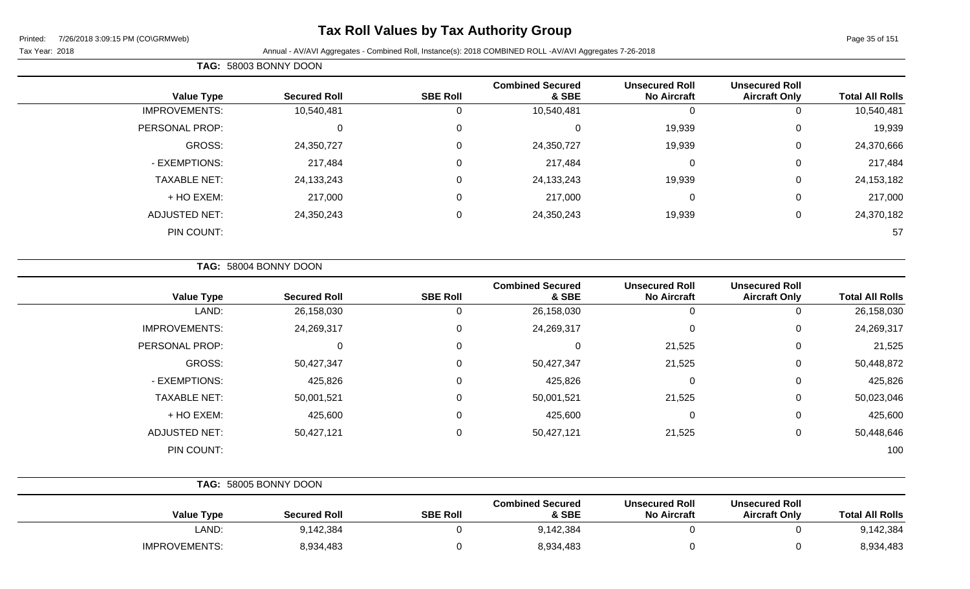### **Tax Roll Values by Tax Authority Group**

Tax Year: 2018 Annual - AV/AVI Aggregates - Combined Roll, Instance(s): 2018 COMBINED ROLL -AV/AVI Aggregates 7-26-2018

| <b>Total All Rolls</b> | <b>Unsecured Roll</b><br><b>Aircraft Only</b> | <b>Unsecured Roll</b><br><b>No Aircraft</b> | <b>Combined Secured</b><br>& SBE | <b>SBE Roll</b> | <b>Secured Roll</b> | <b>Value Type</b>    |
|------------------------|-----------------------------------------------|---------------------------------------------|----------------------------------|-----------------|---------------------|----------------------|
| 10,540,481             | 0                                             | <b>U</b>                                    | 10,540,481                       | 0               | 10,540,481          | <b>IMPROVEMENTS:</b> |
| 19,939                 | 0                                             | 19,939                                      |                                  | 0               | U                   | PERSONAL PROP:       |
| 24,370,666             | 0                                             | 19,939                                      | 24,350,727                       | 0               | 24,350,727          | GROSS:               |
| 217,484                | 0                                             | 0                                           | 217,484                          | 0               | 217,484             | - EXEMPTIONS:        |
| 24, 153, 182           | 0                                             | 19,939                                      | 24,133,243                       | 0               | 24,133,243          | <b>TAXABLE NET:</b>  |
| 217,000                | 0                                             | 0                                           | 217,000                          | 0               | 217,000             | + HO EXEM:           |
| 24,370,182             | 0                                             | 19,939                                      | 24,350,243                       | 0               | 24,350,243          | <b>ADJUSTED NET:</b> |
| 57                     |                                               |                                             |                                  |                 |                     | PIN COUNT:           |
|                        |                                               |                                             |                                  |                 |                     |                      |

**TAG:** 58004 BONNY DOON

**TAG:** 58003 BONNY DOON

| <b>Value Type</b>    | <b>Secured Roll</b> | <b>SBE Roll</b> | <b>Combined Secured</b><br>& SBE | <b>Unsecured Roll</b><br><b>No Aircraft</b> | <b>Unsecured Roll</b><br><b>Aircraft Only</b> | <b>Total All Rolls</b> |
|----------------------|---------------------|-----------------|----------------------------------|---------------------------------------------|-----------------------------------------------|------------------------|
| LAND:                | 26,158,030          |                 | 26,158,030                       | 0                                           | 0                                             | 26,158,030             |
| <b>IMPROVEMENTS:</b> | 24,269,317          | 0               | 24,269,317                       | 0                                           | 0                                             | 24,269,317             |
| PERSONAL PROP:       | 0                   | 0               | 0                                | 21,525                                      | 0                                             | 21,525                 |
| GROSS:               | 50,427,347          |                 | 50,427,347                       | 21,525                                      | 0                                             | 50,448,872             |
| - EXEMPTIONS:        | 425,826             | $\Omega$        | 425,826                          | 0                                           | 0                                             | 425,826                |
| <b>TAXABLE NET:</b>  | 50,001,521          | $\Omega$        | 50,001,521                       | 21,525                                      | 0                                             | 50,023,046             |
| + HO EXEM:           | 425,600             | $\Omega$        | 425,600                          | 0                                           | 0                                             | 425,600                |
| <b>ADJUSTED NET:</b> | 50,427,121          | 0               | 50,427,121                       | 21,525                                      | 0                                             | 50,448,646             |
| PIN COUNT:           |                     |                 |                                  |                                             |                                               | 100                    |

|                      | TAG: 58005 BONNY DOON |                 |                                  |                                             |                                               |                        |
|----------------------|-----------------------|-----------------|----------------------------------|---------------------------------------------|-----------------------------------------------|------------------------|
| <b>Value Type</b>    | <b>Secured Roll</b>   | <b>SBE Roll</b> | <b>Combined Secured</b><br>& SBE | <b>Unsecured Roll</b><br><b>No Aircraft</b> | <b>Unsecured Roll</b><br><b>Aircraft Only</b> | <b>Total All Rolls</b> |
| LAND:                | 9,142,384             |                 | 9,142,384                        |                                             |                                               | 9,142,384              |
| <b>IMPROVEMENTS:</b> | 8,934,483             |                 | 8,934,483                        |                                             |                                               | 8,934,483              |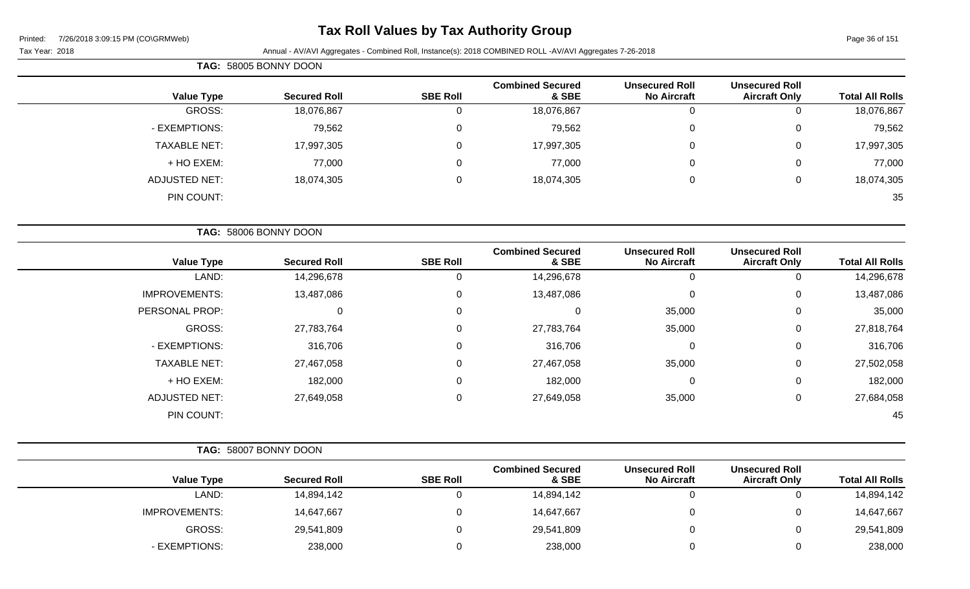### **Tax Roll Values by Tax Authority Group**

#### Tax Year: 2018 Annual - AV/AVI Aggregates - Combined Roll, Instance(s): 2018 COMBINED ROLL -AV/AVI Aggregates 7-26-2018

|                        |                                               |                                             |                                  |                 | TAG: 58005 BONNY DOON |                      |  |
|------------------------|-----------------------------------------------|---------------------------------------------|----------------------------------|-----------------|-----------------------|----------------------|--|
| <b>Total All Rolls</b> | <b>Unsecured Roll</b><br><b>Aircraft Only</b> | <b>Unsecured Roll</b><br><b>No Aircraft</b> | <b>Combined Secured</b><br>& SBE | <b>SBE Roll</b> | <b>Secured Roll</b>   | <b>Value Type</b>    |  |
| 18,076,867             | U                                             | 0                                           | 18,076,867                       | υ               | 18,076,867            | GROSS:               |  |
| 79,562                 | 0                                             | 0                                           | 79,562                           | 0               | 79,562                | - EXEMPTIONS:        |  |
| 17,997,305             | 0                                             | 0                                           | 17,997,305                       | 0               | 17,997,305            | <b>TAXABLE NET:</b>  |  |
| 77,000                 | 0                                             | 0                                           | 77,000                           | 0               | 77,000                | + HO EXEM:           |  |
| 18,074,305             | 0                                             | $\pmb{0}$                                   | 18,074,305                       | 0               | 18,074,305            | <b>ADJUSTED NET:</b> |  |
| 35                     |                                               |                                             |                                  |                 |                       | PIN COUNT:           |  |
|                        |                                               |                                             |                                  |                 |                       |                      |  |

|                      | TAG: 58006 BONNY DOON |                 |                                  |                                             |                                               |                        |
|----------------------|-----------------------|-----------------|----------------------------------|---------------------------------------------|-----------------------------------------------|------------------------|
| <b>Value Type</b>    | <b>Secured Roll</b>   | <b>SBE Roll</b> | <b>Combined Secured</b><br>& SBE | <b>Unsecured Roll</b><br><b>No Aircraft</b> | <b>Unsecured Roll</b><br><b>Aircraft Only</b> | <b>Total All Rolls</b> |
| LAND:                | 14,296,678            | 0               | 14,296,678                       | 0                                           | 0                                             | 14,296,678             |
| <b>IMPROVEMENTS:</b> | 13,487,086            | 0               | 13,487,086                       | $\pmb{0}$                                   | 0                                             | 13,487,086             |
| PERSONAL PROP:       | 0                     | 0               | 0                                | 35,000                                      | 0                                             | 35,000                 |
| GROSS:               | 27,783,764            | 0               | 27,783,764                       | 35,000                                      | 0                                             | 27,818,764             |
| - EXEMPTIONS:        | 316,706               | 0               | 316,706                          | $\pmb{0}$                                   | 0                                             | 316,706                |
| <b>TAXABLE NET:</b>  | 27,467,058            | 0               | 27,467,058                       | 35,000                                      | 0                                             | 27,502,058             |
| + HO EXEM:           | 182,000               | 0               | 182,000                          | 0                                           | 0                                             | 182,000                |
| <b>ADJUSTED NET:</b> | 27,649,058            | 0               | 27,649,058                       | 35,000                                      | 0                                             | 27,684,058             |
| PIN COUNT:           |                       |                 |                                  |                                             |                                               | 45                     |

- EXEMPTIONS: 238,000 0 238,000 0 0 238,000

|                      | TAG: 58007 BONNY DOON |                 |                                  |                                             |                                               |                        |
|----------------------|-----------------------|-----------------|----------------------------------|---------------------------------------------|-----------------------------------------------|------------------------|
| <b>Value Type</b>    | <b>Secured Roll</b>   | <b>SBE Roll</b> | <b>Combined Secured</b><br>& SBE | <b>Unsecured Roll</b><br><b>No Aircraft</b> | <b>Unsecured Roll</b><br><b>Aircraft Only</b> | <b>Total All Rolls</b> |
| LAND:                | 14,894,142            |                 | 14,894,142                       |                                             |                                               | 14,894,142             |
| <b>IMPROVEMENTS:</b> | 14,647,667            |                 | 14,647,667                       |                                             |                                               | 14,647,667             |
| <b>GROSS:</b>        | 29,541,809            |                 | 29,541,809                       |                                             |                                               | 29,541,809             |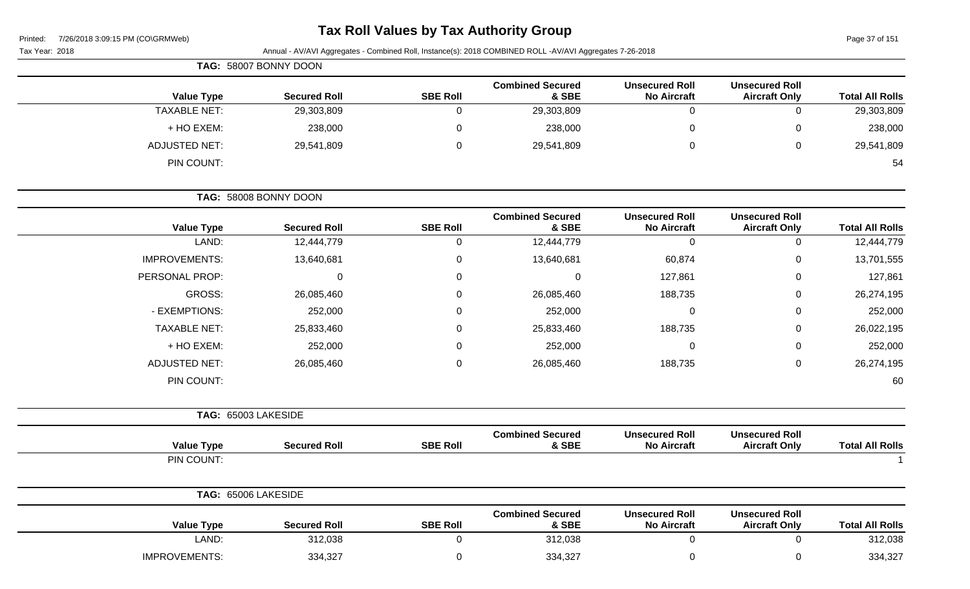| Printed: |  | 7/26/2018 3:09:15 PM (CO\GRMWeb) |
|----------|--|----------------------------------|
|          |  |                                  |

Page 37 of 151

| Tax Year: 2018       |                       |                 | Annual - AV/AVI Aggregates - Combined Roll, Instance(s): 2018 COMBINED ROLL -AV/AVI Aggregates 7-26-2018 |                                             |                                               |                        |
|----------------------|-----------------------|-----------------|----------------------------------------------------------------------------------------------------------|---------------------------------------------|-----------------------------------------------|------------------------|
|                      | TAG: 58007 BONNY DOON |                 |                                                                                                          |                                             |                                               |                        |
| <b>Value Type</b>    | <b>Secured Roll</b>   | <b>SBE Roll</b> | <b>Combined Secured</b><br>& SBE                                                                         | <b>Unsecured Roll</b><br><b>No Aircraft</b> | <b>Unsecured Roll</b><br><b>Aircraft Only</b> | <b>Total All Rolls</b> |
| <b>TAXABLE NET:</b>  | 29,303,809            | $\mathbf 0$     | 29,303,809                                                                                               | $\mathbf 0$                                 | 0                                             | 29,303,809             |
| + HO EXEM:           | 238,000               | 0               | 238,000                                                                                                  | $\mathbf 0$                                 | 0                                             | 238,000                |
| <b>ADJUSTED NET:</b> | 29,541,809            | 0               | 29,541,809                                                                                               | $\mathbf 0$                                 | 0                                             | 29,541,809             |
| PIN COUNT:           |                       |                 |                                                                                                          |                                             |                                               | 54                     |
|                      | TAG: 58008 BONNY DOON |                 |                                                                                                          |                                             |                                               |                        |
| <b>Value Type</b>    | <b>Secured Roll</b>   | <b>SBE Roll</b> | <b>Combined Secured</b><br>& SBE                                                                         | <b>Unsecured Roll</b><br><b>No Aircraft</b> | <b>Unsecured Roll</b><br><b>Aircraft Only</b> | <b>Total All Rolls</b> |
| LAND:                | 12,444,779            | 0               | 12,444,779                                                                                               | $\mathbf 0$                                 | 0                                             | 12,444,779             |
| <b>IMPROVEMENTS:</b> | 13,640,681            | $\Omega$        | 13,640,681                                                                                               | 60,874                                      | 0                                             | 13,701,555             |
| PERSONAL PROP:       | $\mathbf 0$           | 0               | $\mathbf 0$                                                                                              | 127,861                                     | 0                                             | 127,861                |
| <b>GROSS:</b>        | 26,085,460            | 0               | 26,085,460                                                                                               | 188,735                                     | 0                                             | 26,274,195             |
| - EXEMPTIONS:        | 252,000               | $\Omega$        | 252,000                                                                                                  | 0                                           | 0                                             | 252,000                |
| <b>TAXABLE NET:</b>  | 25,833,460            | $\Omega$        | 25,833,460                                                                                               | 188,735                                     | 0                                             | 26,022,195             |
| + HO EXEM:           | 252,000               | 0               | 252,000                                                                                                  | 0                                           | 0                                             | 252,000                |
| <b>ADJUSTED NET:</b> | 26,085,460            | 0               | 26,085,460                                                                                               | 188,735                                     | 0                                             | 26,274,195             |
| PIN COUNT:           |                       |                 |                                                                                                          |                                             |                                               | 60                     |
|                      | TAG: 65003 LAKESIDE   |                 |                                                                                                          |                                             |                                               |                        |
| <b>Value Type</b>    | <b>Secured Roll</b>   | <b>SBE Roll</b> | <b>Combined Secured</b><br>& SBE                                                                         | <b>Unsecured Roll</b><br><b>No Aircraft</b> | <b>Unsecured Roll</b><br><b>Aircraft Only</b> | <b>Total All Rolls</b> |
| PIN COUNT:           |                       |                 |                                                                                                          |                                             |                                               |                        |
|                      | TAG: 65006 LAKESIDE   |                 |                                                                                                          |                                             |                                               |                        |
| <b>Value Type</b>    | <b>Secured Roll</b>   | <b>SBE Roll</b> | <b>Combined Secured</b><br>& SBE                                                                         | <b>Unsecured Roll</b><br><b>No Aircraft</b> | <b>Unsecured Roll</b><br><b>Aircraft Only</b> | <b>Total All Rolls</b> |
| LAND:                | 312,038               | $\pmb{0}$       | 312,038                                                                                                  | $\mathbf 0$                                 | $\pmb{0}$                                     | 312,038                |
| IMPROVEMENTS:        | 334,327               | $\mathbf 0$     | 334,327                                                                                                  | $\mathbf 0$                                 | 0                                             | 334,327                |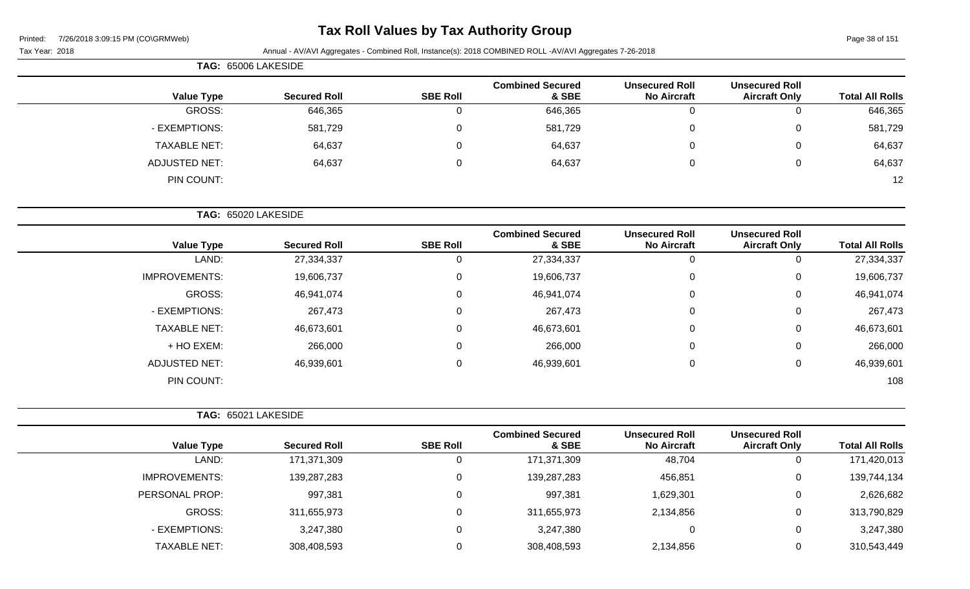| Printed: | 7/26/2018 3:09:15 PM (CO\GRMWeb) |  |
|----------|----------------------------------|--|
|          |                                  |  |

#### Tax Year: 2018 **Annual - AV/AVI Aggregates - Combined Roll**, Instance(s): 2018 COMBINED ROLL -AV/AVI Aggregates 7-26-2018

|                      | TAG: 65006 LAKESIDE |                 |                                  |                                             |                                               |                        |
|----------------------|---------------------|-----------------|----------------------------------|---------------------------------------------|-----------------------------------------------|------------------------|
| <b>Value Type</b>    | <b>Secured Roll</b> | <b>SBE Roll</b> | <b>Combined Secured</b><br>& SBE | <b>Unsecured Roll</b><br><b>No Aircraft</b> | <b>Unsecured Roll</b><br><b>Aircraft Only</b> | <b>Total All Rolls</b> |
| GROSS:               | 646,365             |                 | 646,365                          |                                             |                                               | 646,365                |
| - EXEMPTIONS:        | 581,729             |                 | 581,729                          | 0                                           |                                               | 581,729                |
| <b>TAXABLE NET:</b>  | 64,637              |                 | 64,637                           | 0                                           | 0                                             | 64,637                 |
| <b>ADJUSTED NET:</b> | 64,637              |                 | 64,637                           | U                                           | 0                                             | 64,637                 |
| PIN COUNT:           |                     |                 |                                  |                                             |                                               | 12                     |

**TAG:** 65020 LAKESIDE

| <b>Value Type</b>    | <b>Secured Roll</b> | <b>SBE Roll</b> | <b>Combined Secured</b><br>& SBE | <b>Unsecured Roll</b><br><b>No Aircraft</b> | <b>Unsecured Roll</b><br><b>Aircraft Only</b> | <b>Total All Rolls</b> |
|----------------------|---------------------|-----------------|----------------------------------|---------------------------------------------|-----------------------------------------------|------------------------|
| LAND:                | 27,334,337          |                 | 27,334,337                       | 0                                           |                                               | 27,334,337             |
| <b>IMPROVEMENTS:</b> | 19,606,737          |                 | 19,606,737                       | 0                                           | 0                                             | 19,606,737             |
| GROSS:               | 46,941,074          |                 | 46,941,074                       | $\overline{0}$                              | 0                                             | 46,941,074             |
| - EXEMPTIONS:        | 267,473             |                 | 267,473                          | $\mathbf 0$                                 | 0                                             | 267,473                |
| <b>TAXABLE NET:</b>  | 46,673,601          |                 | 46,673,601                       | $\mathbf 0$                                 | 0                                             | 46,673,601             |
| + HO EXEM:           | 266,000             |                 | 266,000                          | $\mathbf 0$                                 | $\Omega$                                      | 266,000                |
| <b>ADJUSTED NET:</b> | 46,939,601          | 0               | 46,939,601                       | $\mathbf 0$                                 | 0                                             | 46,939,601             |
| PIN COUNT:           |                     |                 |                                  |                                             |                                               | 108                    |

|                      | TAG: 65021 LAKESIDE |                 |                                  |                                             |                                               |                        |
|----------------------|---------------------|-----------------|----------------------------------|---------------------------------------------|-----------------------------------------------|------------------------|
| <b>Value Type</b>    | <b>Secured Roll</b> | <b>SBE Roll</b> | <b>Combined Secured</b><br>& SBE | <b>Unsecured Roll</b><br><b>No Aircraft</b> | <b>Unsecured Roll</b><br><b>Aircraft Only</b> | <b>Total All Rolls</b> |
| LAND:                | 171,371,309         | 0               | 171,371,309                      | 48,704                                      |                                               | 171,420,013            |
| <b>IMPROVEMENTS:</b> | 139,287,283         | 0               | 139,287,283                      | 456,851                                     | 0                                             | 139,744,134            |
| PERSONAL PROP:       | 997,381             | 0               | 997,381                          | 1,629,301                                   | 0                                             | 2,626,682              |
| GROSS:               | 311,655,973         | 0               | 311,655,973                      | 2,134,856                                   | 0                                             | 313,790,829            |
| - EXEMPTIONS:        | 3,247,380           | 0               | 3,247,380                        | 0                                           | 0                                             | 3,247,380              |
| <b>TAXABLE NET:</b>  | 308,408,593         | 0               | 308,408,593                      | 2,134,856                                   | 0                                             | 310,543,449            |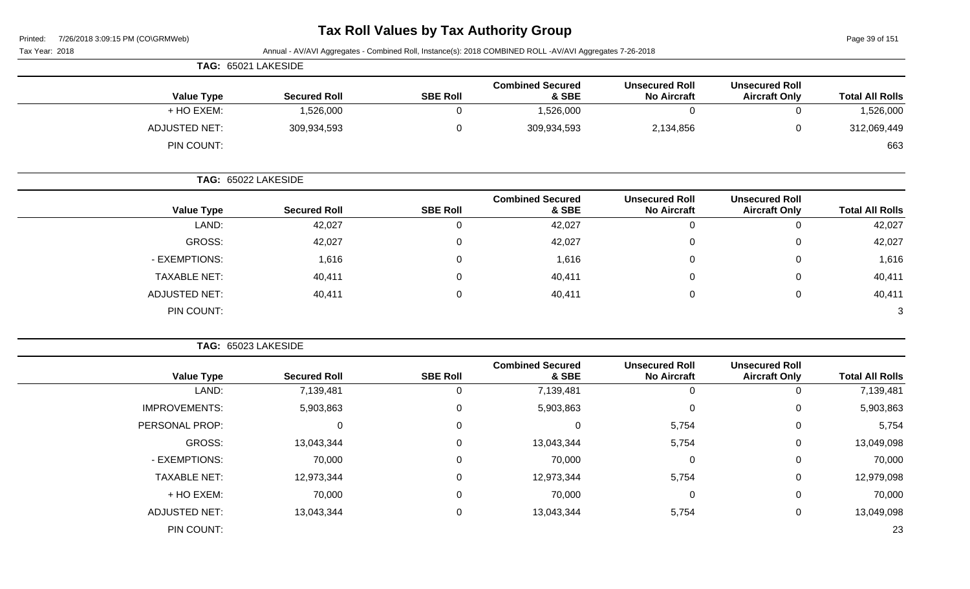# **Tax Roll Values by Tax Authority Group**

Page 39 of 151

|                      | TAG: 65021 LAKESIDE |                 |                                  |                                             |                                               |                        |
|----------------------|---------------------|-----------------|----------------------------------|---------------------------------------------|-----------------------------------------------|------------------------|
| <b>Value Type</b>    | <b>Secured Roll</b> | <b>SBE Roll</b> | <b>Combined Secured</b><br>& SBE | <b>Unsecured Roll</b><br><b>No Aircraft</b> | <b>Unsecured Roll</b><br><b>Aircraft Only</b> | <b>Total All Rolls</b> |
| + HO EXEM:           | 1,526,000           |                 | 1,526,000                        |                                             | 0                                             | 1,526,000              |
| <b>ADJUSTED NET:</b> | 309,934,593         |                 | 309,934,593                      | 2,134,856                                   | 0                                             | 312,069,449            |
| PIN COUNT:           |                     |                 |                                  |                                             |                                               | 663                    |

|                     | TAG: 65022 LAKESIDE |                 |                                  |                                             |                                               |                        |
|---------------------|---------------------|-----------------|----------------------------------|---------------------------------------------|-----------------------------------------------|------------------------|
| <b>Value Type</b>   | <b>Secured Roll</b> | <b>SBE Roll</b> | <b>Combined Secured</b><br>& SBE | <b>Unsecured Roll</b><br><b>No Aircraft</b> | <b>Unsecured Roll</b><br><b>Aircraft Only</b> | <b>Total All Rolls</b> |
| LAND:               | 42,027              | 0               | 42,027                           | 0                                           | 0                                             | 42,027                 |
| GROSS:              | 42,027              | 0               | 42,027                           | 0                                           | 0                                             | 42,027                 |
| - EXEMPTIONS:       | 1,616               | 0               | 1,616                            | 0                                           | $\mathbf{0}$                                  | 1,616                  |
| <b>TAXABLE NET:</b> | 40,411              | 0               | 40,411                           | 0                                           | 0                                             | 40,411                 |
| ADJUSTED NET:       | 40,411              | $\Omega$        | 40,411                           | 0                                           | 0                                             | 40,411                 |
| PIN COUNT:          |                     |                 |                                  |                                             |                                               | 3                      |

|                        |                                               |                                             |                                  |                 |                     | TAG: 65023 LAKESIDE  |
|------------------------|-----------------------------------------------|---------------------------------------------|----------------------------------|-----------------|---------------------|----------------------|
| <b>Total All Rolls</b> | <b>Unsecured Roll</b><br><b>Aircraft Only</b> | <b>Unsecured Roll</b><br><b>No Aircraft</b> | <b>Combined Secured</b><br>& SBE | <b>SBE Roll</b> | <b>Secured Roll</b> | <b>Value Type</b>    |
| 7,139,481              | 0                                             | 0                                           | 7,139,481                        | 0               | 7,139,481           | LAND:                |
| 5,903,863              | 0                                             | $\mathbf 0$                                 | 5,903,863                        | 0               | 5,903,863           | <b>IMPROVEMENTS:</b> |
| 5,754                  | 0                                             | 5,754                                       | 0                                | $\mathbf 0$     | 0                   | PERSONAL PROP:       |
| 13,049,098             | 0                                             | 5,754                                       | 13,043,344                       | $\mathbf 0$     | 13,043,344          | GROSS:               |
| 70,000                 | 0                                             | $\mathbf 0$                                 | 70,000                           | 0               | 70,000              | - EXEMPTIONS:        |
| 12,979,098             | 0                                             | 5,754                                       | 12,973,344                       | 0               | 12,973,344          | <b>TAXABLE NET:</b>  |
| 70,000                 | 0                                             | 0                                           | 70,000                           | 0               | 70,000              | + HO EXEM:           |
| 13,049,098             | 0                                             | 5,754                                       | 13,043,344                       | 0               | 13,043,344          | <b>ADJUSTED NET:</b> |
| 23                     |                                               |                                             |                                  |                 |                     | PIN COUNT:           |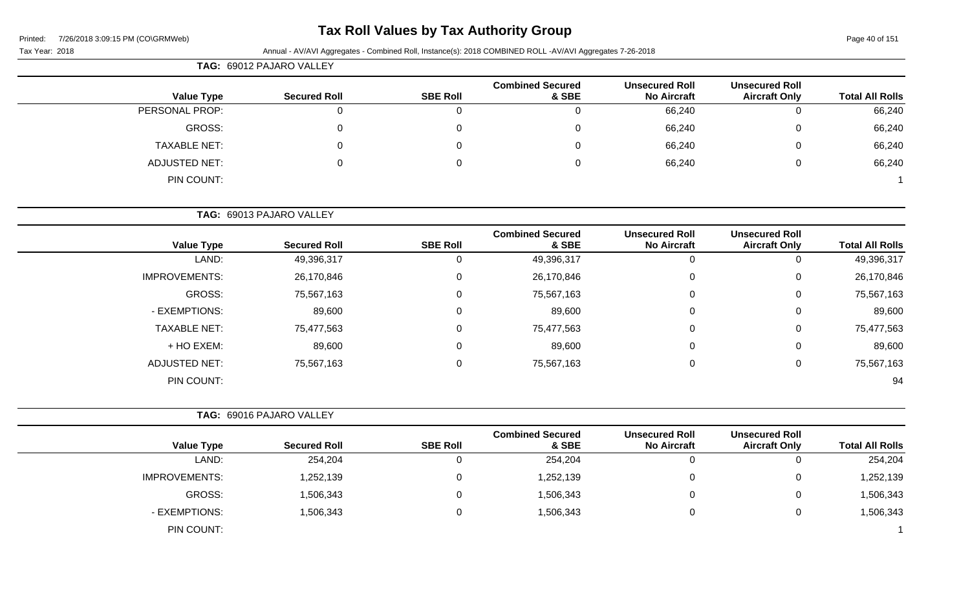# **Tax Roll Values by Tax Authority Group**

#### Tax Year: 2018 Annual - AV/AVI Aggregates - Combined Roll, Instance(s): 2018 COMBINED ROLL -AV/AVI Aggregates 7-26-2018

| rax rear: 2018       |                          |                 | Annual - AV/AVI Aggregates - Combined Roll, Instance(s): 2018 COMBINED ROLL -AV/AVI Aggregates 7-26-2018 |                                             |                                               |                        |
|----------------------|--------------------------|-----------------|----------------------------------------------------------------------------------------------------------|---------------------------------------------|-----------------------------------------------|------------------------|
|                      | TAG: 69012 PAJARO VALLEY |                 |                                                                                                          |                                             |                                               |                        |
| <b>Value Type</b>    | <b>Secured Roll</b>      | <b>SBE Roll</b> | <b>Combined Secured</b><br>& SBE                                                                         | <b>Unsecured Roll</b><br><b>No Aircraft</b> | <b>Unsecured Roll</b><br><b>Aircraft Only</b> | <b>Total All Rolls</b> |
| PERSONAL PROP:       | $\overline{0}$           | 0               | $\pmb{0}$                                                                                                | 66,240                                      | $\mathbf 0$                                   | 66,240                 |
| <b>GROSS:</b>        | 0                        | 0               | $\mathbf 0$                                                                                              | 66,240                                      | 0                                             | 66,240                 |
| <b>TAXABLE NET:</b>  | 0                        | 0               | $\Omega$                                                                                                 | 66,240                                      | 0                                             | 66,240                 |
| <b>ADJUSTED NET:</b> | $\Omega$                 | $\mathbf{0}$    | 0                                                                                                        | 66,240                                      | 0                                             | 66,240                 |
| PIN COUNT:           |                          |                 |                                                                                                          |                                             |                                               |                        |
|                      | TAG: 69013 PAJARO VALLEY |                 |                                                                                                          |                                             |                                               |                        |
| <b>Value Type</b>    | <b>Secured Roll</b>      | <b>SBE Roll</b> | <b>Combined Secured</b><br>& SBE                                                                         | <b>Unsecured Roll</b><br><b>No Aircraft</b> | <b>Unsecured Roll</b><br><b>Aircraft Only</b> | <b>Total All Rolls</b> |
| LAND:                | 49,396,317               | 0               | 49,396,317                                                                                               | $\overline{0}$                              | $\Omega$                                      | 49,396,317             |
| <b>IMPROVEMENTS:</b> | 26,170,846               | 0               | 26,170,846                                                                                               | 0                                           | 0                                             | 26,170,846             |
| <b>GROSS:</b>        | 75,567,163               | 0               | 75,567,163                                                                                               | 0                                           | 0                                             | 75,567,163             |
| - EXEMPTIONS:        | 89,600                   | 0               | 89,600                                                                                                   | 0                                           | 0                                             | 89,600                 |
| <b>TAXABLE NET:</b>  | 75,477,563               | 0               | 75,477,563                                                                                               | 0                                           | $\Omega$                                      | 75,477,563             |
| + HO EXEM:           | 89,600                   | 0               | 89,600                                                                                                   | 0                                           | $\Omega$                                      | 89,600                 |
| <b>ADJUSTED NET:</b> | 75,567,163               | $\mathbf 0$     | 75,567,163                                                                                               | 0                                           | 0                                             | 75,567,163             |
| PIN COUNT:           |                          |                 |                                                                                                          |                                             |                                               | 94                     |
|                      | TAG: 69016 PAJARO VALLEY |                 |                                                                                                          |                                             |                                               |                        |
| <b>Value Type</b>    | <b>Secured Roll</b>      | <b>SBE Roll</b> | <b>Combined Secured</b><br>& SBE                                                                         | <b>Unsecured Roll</b><br><b>No Aircraft</b> | <b>Unsecured Roll</b><br><b>Aircraft Only</b> | <b>Total All Rolls</b> |
| LAND:                | 254,204                  | 0               | 254,204                                                                                                  | 0                                           | 0                                             | 254,204                |
| <b>IMPROVEMENTS:</b> | 1,252,139                | 0               | 1,252,139                                                                                                | 0                                           | 0                                             | 1,252,139              |
| <b>GROSS:</b>        | 1,506,343                | 0               | 1,506,343                                                                                                | 0                                           | $\Omega$                                      | 1,506,343              |

- EXEMPTIONS: 1,506,343 0 1,506,343 1,506,343

PIN COUNT: 1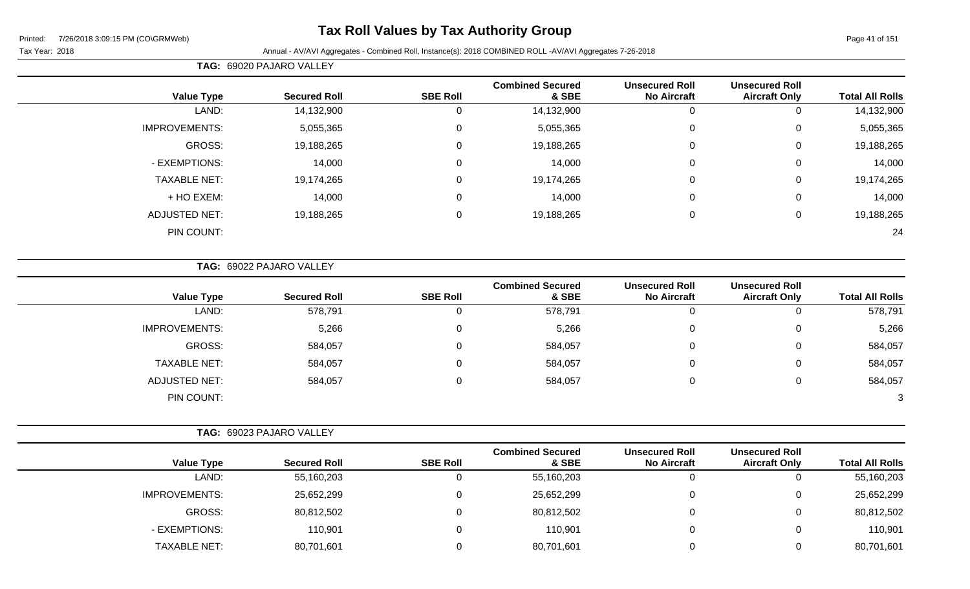# **Tax Roll Values by Tax Authority Group**

#### Tax Year: 2018 Annual - AV/AVI Aggregates - Combined Roll, Instance(s): 2018 COMBINED ROLL -AV/AVI Aggregates 7-26-2018

**TAG:** 69020 PAJARO VALLEY

|                      |                     |                 | <b>Combined Secured</b> | <b>Unsecured Roll</b> | <b>Unsecured Roll</b> |                        |
|----------------------|---------------------|-----------------|-------------------------|-----------------------|-----------------------|------------------------|
| <b>Value Type</b>    | <b>Secured Roll</b> | <b>SBE Roll</b> | & SBE                   | <b>No Aircraft</b>    | <b>Aircraft Only</b>  | <b>Total All Rolls</b> |
| LAND:                | 14,132,900          |                 | 14,132,900              | U                     | U                     | 14,132,900             |
| <b>IMPROVEMENTS:</b> | 5,055,365           | $\mathbf{0}$    | 5,055,365               | $\mathbf 0$           | 0                     | 5,055,365              |
| GROSS:               | 19,188,265          | $\Omega$        | 19,188,265              | $\mathbf 0$           | 0                     | 19,188,265             |
| - EXEMPTIONS:        | 14,000              | 0               | 14,000                  | 0                     | 0                     | 14,000                 |
| <b>TAXABLE NET:</b>  | 19,174,265          | $\Omega$        | 19,174,265              | $\mathbf{0}$          | 0                     | 19,174,265             |
| + HO EXEM:           | 14,000              | $\Omega$        | 14,000                  | $\mathbf 0$           | 0                     | 14,000                 |
| <b>ADJUSTED NET:</b> | 19,188,265          | $\Omega$        | 19,188,265              | $\mathbf 0$           | 0                     | 19,188,265             |
| PIN COUNT:           |                     |                 |                         |                       |                       | 24                     |
|                      |                     |                 |                         |                       |                       |                        |

**TAG:** 69022 PAJARO VALLEY

| <b>Value Type</b>    | <b>Secured Roll</b> | <b>SBE Roll</b> | <b>Combined Secured</b><br>& SBE | <b>Unsecured Roll</b><br><b>No Aircraft</b> | <b>Unsecured Roll</b><br><b>Aircraft Only</b> | <b>Total All Rolls</b> |
|----------------------|---------------------|-----------------|----------------------------------|---------------------------------------------|-----------------------------------------------|------------------------|
| LAND:                | 578,791             |                 | 578,791                          | 0                                           | v                                             | 578,791                |
| <b>IMPROVEMENTS:</b> | 5,266               |                 | 5,266                            | 0                                           | U                                             | 5,266                  |
| GROSS:               | 584,057             |                 | 584,057                          | 0                                           | υ                                             | 584,057                |
| <b>TAXABLE NET:</b>  | 584,057             |                 | 584,057                          | 0                                           | ◡                                             | 584,057                |
| <b>ADJUSTED NET:</b> | 584,057             |                 | 584,057                          | 0                                           | υ                                             | 584,057                |
| PIN COUNT:           |                     |                 |                                  |                                             |                                               | 3                      |

| <b>TAG: 69023 PAJARO VALLEY</b> |  |
|---------------------------------|--|
|---------------------------------|--|

| <b>Value Type</b>    | <b>Secured Roll</b> | <b>SBE Roll</b> | <b>Combined Secured</b><br>& SBE | <b>Unsecured Roll</b><br><b>No Aircraft</b> | <b>Unsecured Roll</b><br><b>Aircraft Only</b> | <b>Total All Rolls</b> |
|----------------------|---------------------|-----------------|----------------------------------|---------------------------------------------|-----------------------------------------------|------------------------|
| LAND:                | 55,160,203          |                 | 55,160,203                       |                                             | 0                                             | 55,160,203             |
| <b>IMPROVEMENTS:</b> | 25,652,299          |                 | 25,652,299                       |                                             | 0                                             | 25,652,299             |
| GROSS:               | 80,812,502          |                 | 80,812,502                       |                                             | 0                                             | 80,812,502             |
| - EXEMPTIONS:        | 110,901             |                 | 110,901                          |                                             | 0                                             | 110,901                |
| <b>TAXABLE NET:</b>  | 80,701,601          |                 | 80,701,601                       |                                             | 0                                             | 80,701,601             |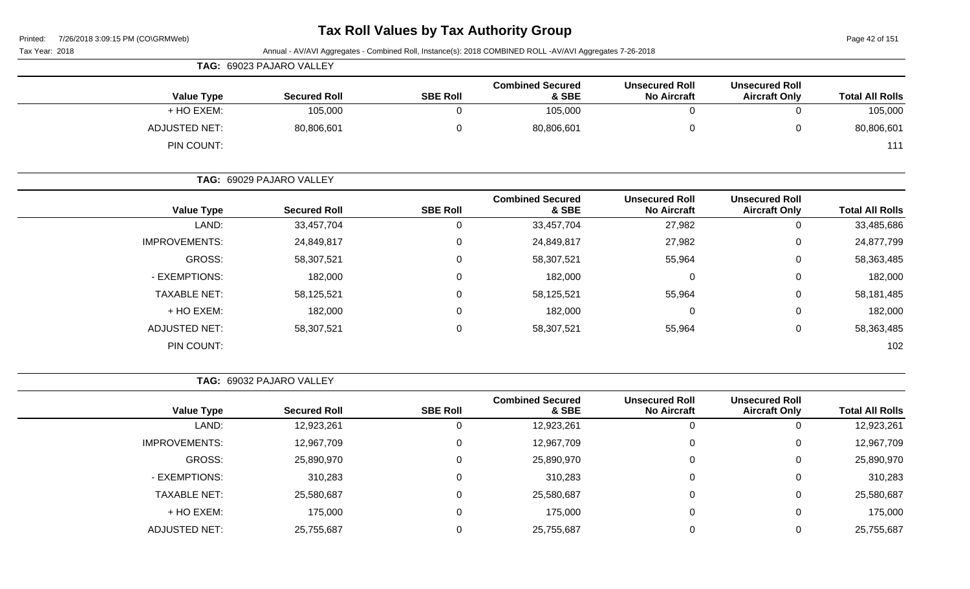| 7/26/2018 3:09:15 PM (CO\GRMWeb)<br>Printed: |                                 |                 | <b>Tax Roll Values by Tax Authority Group</b>                                                            |                                             |                                               | Page 42 of 151         |  |  |  |  |
|----------------------------------------------|---------------------------------|-----------------|----------------------------------------------------------------------------------------------------------|---------------------------------------------|-----------------------------------------------|------------------------|--|--|--|--|
| Tax Year: 2018                               |                                 |                 | Annual - AV/AVI Aggregates - Combined Roll, Instance(s): 2018 COMBINED ROLL -AV/AVI Aggregates 7-26-2018 |                                             |                                               |                        |  |  |  |  |
|                                              | TAG: 69023 PAJARO VALLEY        |                 |                                                                                                          |                                             |                                               |                        |  |  |  |  |
| <b>Value Type</b>                            | <b>Secured Roll</b>             | <b>SBE Roll</b> | <b>Combined Secured</b><br>& SBE                                                                         | <b>Unsecured Roll</b><br><b>No Aircraft</b> | <b>Unsecured Roll</b><br><b>Aircraft Only</b> | <b>Total All Rolls</b> |  |  |  |  |
| + HO EXEM:                                   | 105,000                         | $\Omega$        | 105,000                                                                                                  | $\Omega$                                    | 0                                             | 105,000                |  |  |  |  |
| <b>ADJUSTED NET:</b>                         | 80,806,601                      | 0               | 80,806,601                                                                                               | 0                                           | 0                                             | 80,806,601             |  |  |  |  |
| PIN COUNT:                                   |                                 |                 |                                                                                                          |                                             |                                               | 111                    |  |  |  |  |
|                                              | <b>TAG: 69029 PAJARO VALLEY</b> |                 |                                                                                                          |                                             |                                               |                        |  |  |  |  |
| <b>Value Type</b>                            | <b>Secured Roll</b>             | <b>SBE Roll</b> | <b>Combined Secured</b><br>& SBE                                                                         | Unsecured Roll<br><b>No Aircraft</b>        | <b>Unsecured Roll</b><br><b>Aircraft Only</b> | <b>Total All Rolls</b> |  |  |  |  |
| LAND:                                        | 33,457,704                      | $\Omega$        | 33,457,704                                                                                               | 27,982                                      | 0                                             | 33,485,686             |  |  |  |  |
| <b>IMPROVEMENTS:</b>                         | 24,849,817                      | $\mathbf{0}$    | 24,849,817                                                                                               | 27,982                                      | 0                                             | 24,877,799             |  |  |  |  |
| <b>GROSS:</b>                                | 58,307,521                      | 0               | 58,307,521                                                                                               | 55,964                                      | 0                                             | 58,363,485             |  |  |  |  |

| 24,877,799 | U | 27,982 | 24,849,817 | 0 | 24,849,817 | <b>IMPROVEMENTS:</b> |
|------------|---|--------|------------|---|------------|----------------------|
| 58,363,485 | 0 | 55,964 | 58,307,521 | 0 | 58,307,521 | <b>GROSS:</b>        |
| 182,000    | 0 |        | 182,000    | 0 | 182,000    | - EXEMPTIONS:        |
| 58,181,485 | U | 55,964 | 58,125,521 | 0 | 58,125,521 | <b>TAXABLE NET:</b>  |
| 182,000    | 0 |        | 182,000    | 0 | 182,000    | + HO EXEM:           |
| 58,363,485 | U | 55,964 | 58,307,521 | 0 | 58,307,521 | ADJUSTED NET:        |
| 102        |   |        |            |   |            | PIN COUNT:           |
|            |   |        |            |   |            |                      |

**TAG:** 69032 PAJARO VALLEY

|                      |                     |                 | <b>Combined Secured</b> | <b>Unsecured Roll</b> | <b>Unsecured Roll</b> |                        |
|----------------------|---------------------|-----------------|-------------------------|-----------------------|-----------------------|------------------------|
| <b>Value Type</b>    | <b>Secured Roll</b> | <b>SBE Roll</b> | & SBE                   | <b>No Aircraft</b>    | <b>Aircraft Only</b>  | <b>Total All Rolls</b> |
| LAND:                | 12,923,261          |                 | 12,923,261              | 0                     |                       | 12,923,261             |
| <b>IMPROVEMENTS:</b> | 12,967,709          |                 | 12,967,709              | $\Omega$              |                       | 12,967,709             |
| GROSS:               | 25,890,970          |                 | 25,890,970              | $\Omega$              |                       | 25,890,970             |
| - EXEMPTIONS:        | 310,283             | 0               | 310,283                 | $\Omega$              |                       | 310,283                |
| <b>TAXABLE NET:</b>  | 25,580,687          | 0               | 25,580,687              | 0                     | U                     | 25,580,687             |
| + HO EXEM:           | 175,000             | 0               | 175,000                 | 0                     |                       | 175,000                |
| <b>ADJUSTED NET:</b> | 25,755,687          |                 | 25,755,687              |                       |                       | 25,755,687             |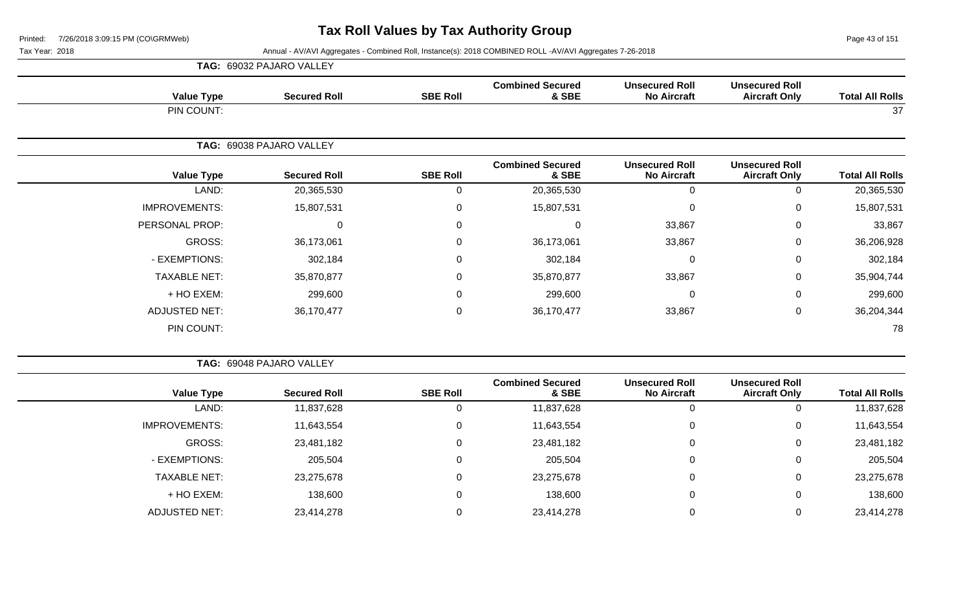**TAG:** 69032 PAJARO VALLEY

Page 43 of 151

| <b>Total All Rolls</b> | <b>Unsecured Roll</b><br><b>Aircraft Only</b> | <b>Unsecured Roll</b><br><b>No Aircraft</b> | <b>Combined Secured</b><br>& SBE | <b>SBE Roll</b>  | <b>Secured Roll</b>      | <b>Value Type</b>    |
|------------------------|-----------------------------------------------|---------------------------------------------|----------------------------------|------------------|--------------------------|----------------------|
| 37                     |                                               |                                             |                                  |                  |                          | PIN COUNT:           |
|                        |                                               |                                             |                                  |                  | TAG: 69038 PAJARO VALLEY |                      |
| <b>Total All Rolls</b> | <b>Unsecured Roll</b><br><b>Aircraft Only</b> | <b>Unsecured Roll</b><br><b>No Aircraft</b> | <b>Combined Secured</b><br>& SBE | <b>SBE Roll</b>  | <b>Secured Roll</b>      | <b>Value Type</b>    |
| 20,365,530             | 0                                             | $\mathbf 0$                                 | 20,365,530                       | $\mathbf 0$      | 20,365,530               | LAND:                |
| 15,807,531             | 0                                             | 0                                           | 15,807,531                       | $\boldsymbol{0}$ | 15,807,531               | <b>IMPROVEMENTS:</b> |
| 33,867                 | $\mathbf 0$                                   | 33,867                                      | $\Omega$                         | $\mathbf 0$      | 0                        | PERSONAL PROP:       |
| 36,206,928             | $\mathbf 0$                                   | 33,867                                      | 36,173,061                       | $\pmb{0}$        | 36,173,061               | GROSS:               |
| 302,184                | $\mathbf 0$                                   | 0                                           | 302,184                          | 0                | 302,184                  | - EXEMPTIONS:        |
| 35,904,744             | 0                                             | 33,867                                      | 35,870,877                       | $\mathbf 0$      | 35,870,877               | <b>TAXABLE NET:</b>  |
| 299,600                | $\mathbf 0$                                   | 0                                           | 299,600                          | $\mathbf 0$      | 299,600                  | + HO EXEM:           |
| 36,204,344             | $\mathbf 0$                                   | 33,867                                      | 36,170,477                       | $\mathbf 0$      | 36,170,477               | <b>ADJUSTED NET:</b> |
| 78                     |                                               |                                             |                                  |                  |                          | PIN COUNT:           |
|                        |                                               |                                             |                                  |                  |                          |                      |

|                        |                                               |                                             |                                  | TAG: 69048 PAJARO VALLEY |                     |                      |  |  |  |  |
|------------------------|-----------------------------------------------|---------------------------------------------|----------------------------------|--------------------------|---------------------|----------------------|--|--|--|--|
| <b>Total All Rolls</b> | <b>Unsecured Roll</b><br><b>Aircraft Only</b> | <b>Unsecured Roll</b><br><b>No Aircraft</b> | <b>Combined Secured</b><br>& SBE | <b>SBE Roll</b>          | <b>Secured Roll</b> | <b>Value Type</b>    |  |  |  |  |
| 11,837,628             | υ                                             |                                             | 11,837,628                       | U                        | 11,837,628          | LAND:                |  |  |  |  |
| 11,643,554             | U                                             |                                             | 11,643,554                       | 0                        | 11,643,554          | <b>IMPROVEMENTS:</b> |  |  |  |  |
| 23,481,182             | 0                                             |                                             | 23,481,182                       | 0                        | 23,481,182          | GROSS:               |  |  |  |  |
| 205,504                | 0                                             |                                             | 205,504                          | 0                        | 205,504             | - EXEMPTIONS:        |  |  |  |  |
| 23,275,678             | 0                                             |                                             | 23,275,678                       | 0                        | 23,275,678          | <b>TAXABLE NET:</b>  |  |  |  |  |
| 138,600                | 0                                             |                                             | 138,600                          | 0                        | 138,600             | + HO EXEM:           |  |  |  |  |
| 23,414,278             | U                                             |                                             | 23,414,278                       | 0                        | 23,414,278          | ADJUSTED NET:        |  |  |  |  |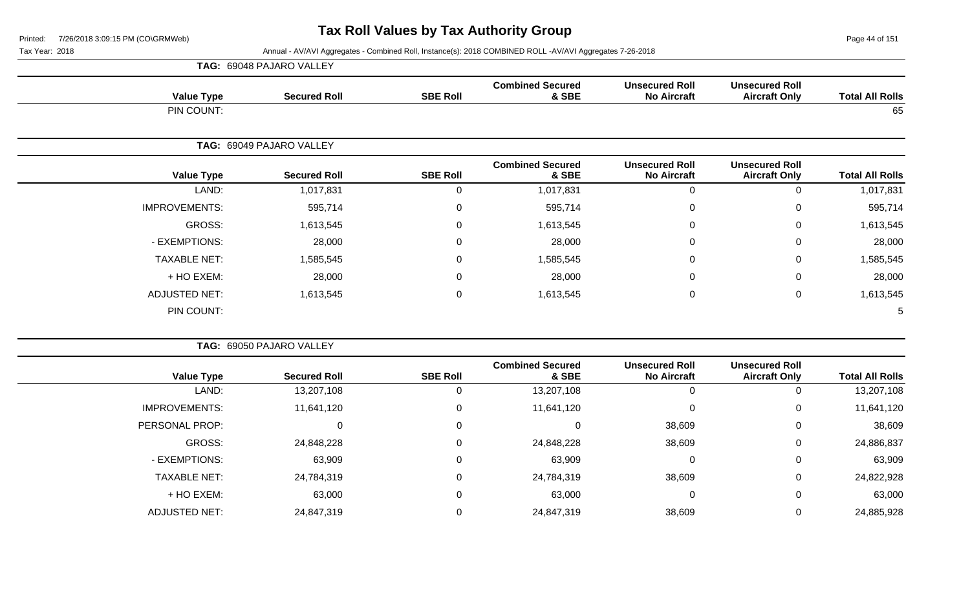Page 44 of 151

|              | <b>TAG: 69048 PAJARO VALLEY</b> |          |
|--------------|---------------------------------|----------|
| $\mathbf{v}$ |                                 | $\cdots$ |

| <b>Value Type</b>    | <b>Secured Roll</b>      | <b>SBE Roll</b> | <b>Combined Secured</b><br>& SBE | <b>Unsecured Roll</b><br><b>No Aircraft</b> | <b>Unsecured Roll</b><br><b>Aircraft Only</b> | <b>Total All Rolls</b> |
|----------------------|--------------------------|-----------------|----------------------------------|---------------------------------------------|-----------------------------------------------|------------------------|
| PIN COUNT:           |                          |                 |                                  |                                             |                                               | 65                     |
|                      |                          |                 |                                  |                                             |                                               |                        |
|                      | TAG: 69049 PAJARO VALLEY |                 |                                  |                                             |                                               |                        |
| <b>Value Type</b>    | <b>Secured Roll</b>      | <b>SBE Roll</b> | <b>Combined Secured</b><br>& SBE | <b>Unsecured Roll</b><br><b>No Aircraft</b> | <b>Unsecured Roll</b><br><b>Aircraft Only</b> | <b>Total All Rolls</b> |
| LAND:                | 1,017,831                | $\mathbf{0}$    | 1,017,831                        | $\mathbf 0$                                 | 0                                             | 1,017,831              |
| <b>IMPROVEMENTS:</b> | 595,714                  | 0               | 595,714                          | $\mathbf 0$                                 | $\mathbf 0$                                   | 595,714                |
| GROSS:               | 1,613,545                | $\mathbf 0$     | 1,613,545                        | $\mathbf 0$                                 | $\pmb{0}$                                     | 1,613,545              |
| - EXEMPTIONS:        | 28,000                   | $\mathbf 0$     | 28,000                           | $\mathbf 0$                                 | $\mathbf 0$                                   | 28,000                 |
| <b>TAXABLE NET:</b>  | 1,585,545                | $\mathbf{0}$    | 1,585,545                        | $\mathbf 0$                                 | 0                                             | 1,585,545              |
| + HO EXEM:           | 28,000                   | $\mathbf 0$     | 28,000                           | $\mathbf 0$                                 | $\mathbf 0$                                   | 28,000                 |
| <b>ADJUSTED NET:</b> | 1,613,545                | $\mathbf 0$     | 1,613,545                        | $\mathbf 0$                                 | $\mathbf 0$                                   | 1,613,545              |
| PIN COUNT:           |                          |                 |                                  |                                             |                                               | 5                      |

|                        |                                               |                                             |                                  | TAG: 69050 PAJARO VALLEY |                     |                      |  |  |  |  |  |
|------------------------|-----------------------------------------------|---------------------------------------------|----------------------------------|--------------------------|---------------------|----------------------|--|--|--|--|--|
| <b>Total All Rolls</b> | <b>Unsecured Roll</b><br><b>Aircraft Only</b> | <b>Unsecured Roll</b><br><b>No Aircraft</b> | <b>Combined Secured</b><br>& SBE | <b>SBE Roll</b>          | <b>Secured Roll</b> | <b>Value Type</b>    |  |  |  |  |  |
| 13,207,108             | Ü                                             |                                             | 13,207,108                       |                          | 13,207,108          | LAND:                |  |  |  |  |  |
| 11,641,120             | $\mathbf 0$                                   |                                             | 11,641,120                       | 0                        | 11,641,120          | <b>IMPROVEMENTS:</b> |  |  |  |  |  |
| 38,609                 | 0                                             | 38,609                                      |                                  | 0                        | C                   | PERSONAL PROP:       |  |  |  |  |  |
| 24,886,837             | $\mathbf 0$                                   | 38,609                                      | 24,848,228                       | 0                        | 24,848,228          | GROSS:               |  |  |  |  |  |
| 63,909                 | $\mathbf 0$                                   |                                             | 63,909                           | 0                        | 63,909              | - EXEMPTIONS:        |  |  |  |  |  |
| 24,822,928             | $\mathbf 0$                                   | 38,609                                      | 24,784,319                       | $\Omega$                 | 24,784,319          | <b>TAXABLE NET:</b>  |  |  |  |  |  |
| 63,000                 | $\mathbf 0$                                   |                                             | 63,000                           | 0                        | 63,000              | + HO EXEM:           |  |  |  |  |  |
| 24,885,928             | 0                                             | 38,609                                      | 24,847,319                       |                          | 24,847,319          | <b>ADJUSTED NET:</b> |  |  |  |  |  |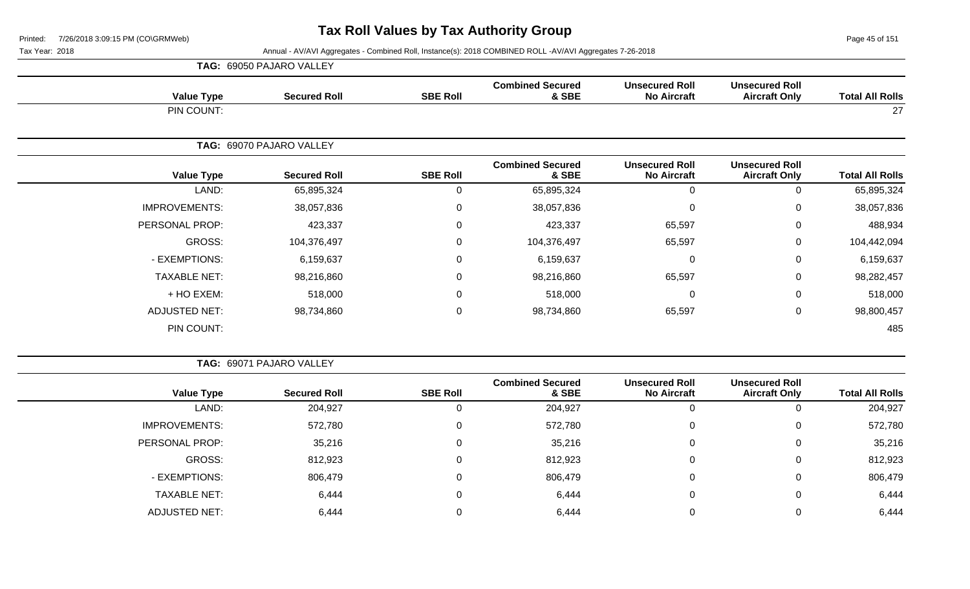Page 45 of 151

|                      | TAG: 69050 PAJARO VALLEY |                 |                                  |                                             |                                               |                        |
|----------------------|--------------------------|-----------------|----------------------------------|---------------------------------------------|-----------------------------------------------|------------------------|
| <b>Value Type</b>    | <b>Secured Roll</b>      | <b>SBE Roll</b> | <b>Combined Secured</b><br>& SBE | <b>Unsecured Roll</b><br><b>No Aircraft</b> | <b>Unsecured Roll</b><br><b>Aircraft Only</b> | <b>Total All Rolls</b> |
| PIN COUNT:           |                          |                 |                                  |                                             |                                               | 27                     |
|                      | TAG: 69070 PAJARO VALLEY |                 |                                  |                                             |                                               |                        |
| <b>Value Type</b>    | <b>Secured Roll</b>      | <b>SBE Roll</b> | <b>Combined Secured</b><br>& SBE | <b>Unsecured Roll</b><br><b>No Aircraft</b> | <b>Unsecured Roll</b><br><b>Aircraft Only</b> | <b>Total All Rolls</b> |
| LAND:                | 65,895,324               | $\Omega$        | 65,895,324                       | 0                                           | 0                                             | 65,895,324             |
| <b>IMPROVEMENTS:</b> | 38,057,836               | $\mathbf 0$     | 38,057,836                       | $\mathbf 0$                                 | 0                                             | 38,057,836             |
| PERSONAL PROP:       | 423,337                  | $\Omega$        | 423,337                          | 65,597                                      | 0                                             | 488,934                |
| GROSS:               | 104,376,497              | $\Omega$        | 104,376,497                      | 65,597                                      | $\Omega$                                      | 104,442,094            |
| - EXEMPTIONS:        | 6,159,637                | 0               | 6,159,637                        | $\mathbf 0$                                 | 0                                             | 6,159,637              |
| <b>TAXABLE NET:</b>  | 98,216,860               | $\overline{0}$  | 98,216,860                       | 65,597                                      | 0                                             | 98,282,457             |
| + HO EXEM:           | 518,000                  | $\mathbf 0$     | 518,000                          | $\mathbf 0$                                 | 0                                             | 518,000                |
| <b>ADJUSTED NET:</b> | 98,734,860               | $\mathbf 0$     | 98,734,860                       | 65,597                                      | 0                                             | 98,800,457             |
| PIN COUNT:           |                          |                 |                                  |                                             |                                               | 485                    |

| <b>Value Type</b>    | <b>Secured Roll</b> | <b>SBE Roll</b> | <b>Combined Secured</b><br>& SBE | <b>Unsecured Roll</b><br><b>No Aircraft</b> | <b>Unsecured Roll</b><br><b>Aircraft Only</b> | <b>Total All Rolls</b> |
|----------------------|---------------------|-----------------|----------------------------------|---------------------------------------------|-----------------------------------------------|------------------------|
| LAND:                | 204,927             |                 | 204,927                          | Ü                                           | 0                                             | 204,927                |
| <b>IMPROVEMENTS:</b> | 572,780             |                 | 572,780                          | $\mathbf{0}$                                | $\mathbf 0$                                   | 572,780                |
| PERSONAL PROP:       | 35,216              |                 | 35,216                           | 0                                           | 0                                             | 35,216                 |
| GROSS:               | 812,923             |                 | 812,923                          | $\mathbf{0}$                                | $\mathbf 0$                                   | 812,923                |
| - EXEMPTIONS:        | 806,479             |                 | 806,479                          | 0                                           | $\mathbf 0$                                   | 806,479                |
| <b>TAXABLE NET:</b>  | 6,444               |                 | 6,444                            | 0                                           | $\mathbf 0$                                   | 6,444                  |
| <b>ADJUSTED NET:</b> | 6,444               |                 | 6,444                            | $\Omega$                                    | $\overline{0}$                                | 6,444                  |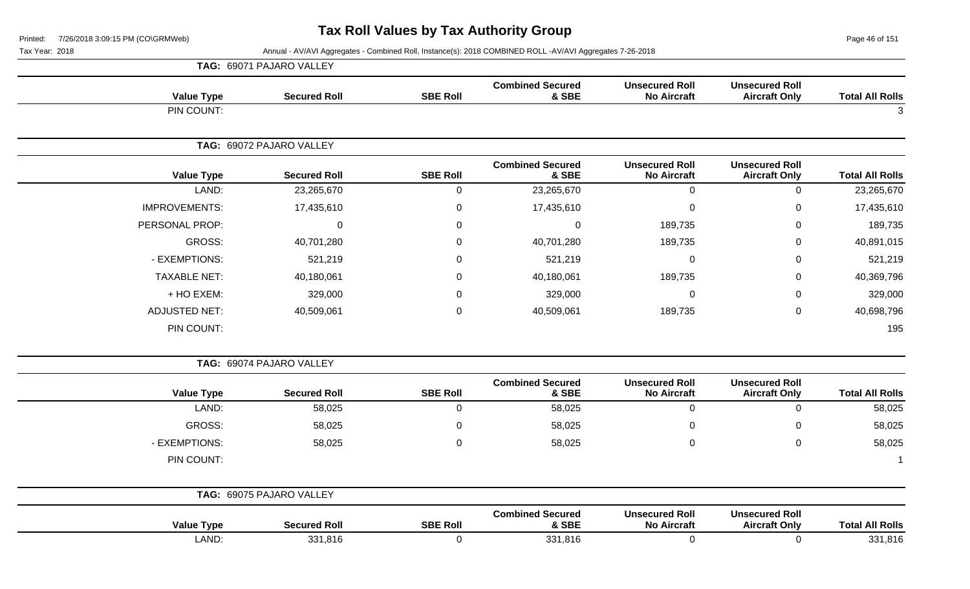Page 46 of 151

|                        |                                               |                                             | Affiliadi - Av/Avi Agglegates - Compiled Noll, filstance(s). 2010 COMDINED NOLL -Av/Avi Agglegates 7-20-2010 |                 |                          | $\alpha$ , $\alpha$ , $\alpha$ , $\alpha$ |
|------------------------|-----------------------------------------------|---------------------------------------------|--------------------------------------------------------------------------------------------------------------|-----------------|--------------------------|-------------------------------------------|
|                        |                                               |                                             |                                                                                                              |                 | TAG: 69071 PAJARO VALLEY |                                           |
| <b>Total All Rolls</b> | <b>Unsecured Roll</b><br><b>Aircraft Only</b> | <b>Unsecured Roll</b><br><b>No Aircraft</b> | <b>Combined Secured</b><br>& SBE                                                                             | <b>SBE Roll</b> | <b>Secured Roll</b>      | <b>Value Type</b>                         |
|                        |                                               |                                             |                                                                                                              |                 |                          | PIN COUNT:                                |
|                        |                                               |                                             |                                                                                                              |                 | TAG: 69072 PAJARO VALLEY |                                           |
| <b>Total All Rolls</b> | <b>Unsecured Roll</b><br><b>Aircraft Only</b> | <b>Unsecured Roll</b><br><b>No Aircraft</b> | <b>Combined Secured</b><br>& SBE                                                                             | <b>SBE Roll</b> | <b>Secured Roll</b>      | <b>Value Type</b>                         |
| 23,265,670             | 0                                             | $\Omega$                                    | 23,265,670                                                                                                   | 0               | 23,265,670               | LAND:                                     |
| 17,435,610             | 0                                             | 0                                           | 17,435,610                                                                                                   | 0               | 17,435,610               | <b>IMPROVEMENTS:</b>                      |
| 189,735                | 0                                             | 189,735                                     | 0                                                                                                            | 0               | $\Omega$                 | PERSONAL PROP:                            |
| 40,891,015             | 0                                             | 189,735                                     | 40,701,280                                                                                                   | 0               | 40,701,280               | GROSS:                                    |
| 521,219                | 0                                             | $\Omega$                                    | 521,219                                                                                                      | $\Omega$        | 521,219                  | - EXEMPTIONS:                             |
| 40,369,796             | 0                                             | 189,735                                     | 40,180,061                                                                                                   | 0               | 40,180,061               | <b>TAXABLE NET:</b>                       |
| 329,000                | 0                                             | 0                                           | 329,000                                                                                                      | 0               | 329,000                  | + HO EXEM:                                |
| 40,698,796             | 0                                             | 189,735                                     | 40,509,061                                                                                                   | $\mathbf 0$     | 40,509,061               | <b>ADJUSTED NET:</b>                      |
| 195                    |                                               |                                             |                                                                                                              |                 |                          | PIN COUNT:                                |
|                        |                                               |                                             |                                                                                                              |                 | TAG: 69074 PAJARO VALLEY |                                           |
| <b>Total All Rolls</b> | <b>Unsecured Roll</b><br><b>Aircraft Only</b> | <b>Unsecured Roll</b><br><b>No Aircraft</b> | <b>Combined Secured</b><br>& SBE                                                                             | <b>SBE Roll</b> | <b>Secured Roll</b>      | <b>Value Type</b>                         |
| 58,025                 | 0                                             | 0                                           | 58,025                                                                                                       | $\mathbf 0$     | 58,025                   | LAND:                                     |
| 58,025                 | 0                                             | 0                                           | 58,025                                                                                                       | $\mathbf{0}$    | 58,025                   | GROSS:                                    |
| 58,025                 | 0                                             | 0                                           | 58,025                                                                                                       | $\mathbf 0$     | 58,025                   | - EXEMPTIONS:                             |
|                        |                                               |                                             |                                                                                                              |                 |                          | PIN COUNT:                                |
|                        |                                               |                                             |                                                                                                              |                 |                          |                                           |

| TAG:              | 69075 PAJARO VALLEY |                 |                                  |                                             |                                               |                        |
|-------------------|---------------------|-----------------|----------------------------------|---------------------------------------------|-----------------------------------------------|------------------------|
| <b>Value Type</b> | <b>Secured Roll</b> | <b>SBE Roll</b> | <b>Combined Secured</b><br>& SBE | <b>Unsecured Roll</b><br><b>No Aircraft</b> | <b>Unsecured Roll</b><br><b>Aircraft Only</b> | <b>Total All Rolls</b> |
| LAND:             | 331,816             |                 | 331,816                          |                                             |                                               | 331,816                |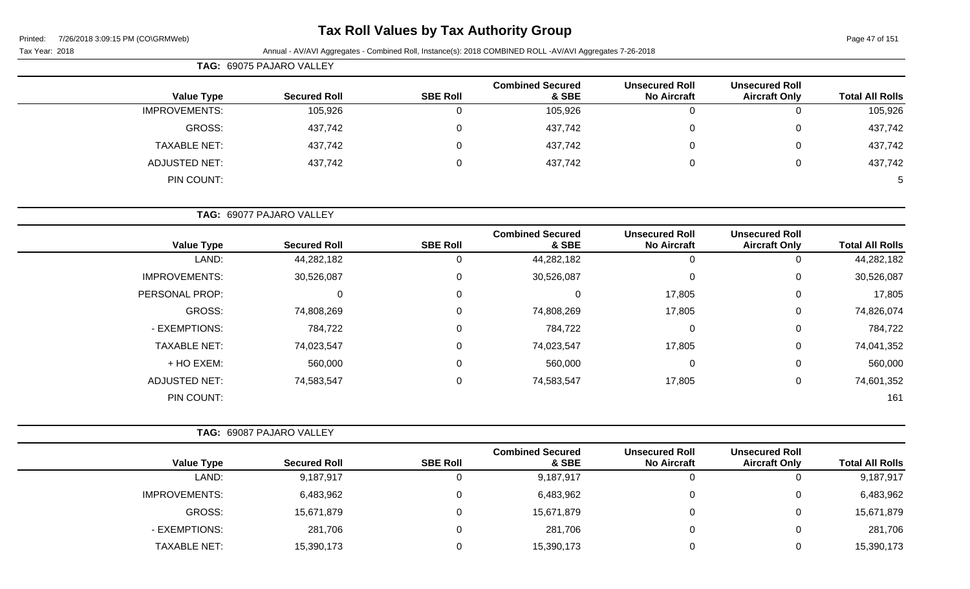# **Tax Roll Values by Tax Authority Group**

|                      | <b>TAG: 69075 PAJARO VALLEY</b> |                 |                                  |                                             |                                               |                        |
|----------------------|---------------------------------|-----------------|----------------------------------|---------------------------------------------|-----------------------------------------------|------------------------|
| <b>Value Type</b>    | <b>Secured Roll</b>             | <b>SBE Roll</b> | <b>Combined Secured</b><br>& SBE | <b>Unsecured Roll</b><br><b>No Aircraft</b> | <b>Unsecured Roll</b><br><b>Aircraft Only</b> | <b>Total All Rolls</b> |
| <b>IMPROVEMENTS:</b> | 105,926                         | 0               | 105,926                          | 0                                           |                                               | 105,926                |
| GROSS:               | 437,742                         | 0               | 437,742                          | 0                                           | 0                                             | 437,742                |
| <b>TAXABLE NET:</b>  | 437,742                         | 0               | 437,742                          | 0                                           | 0                                             | 437,742                |
| ADJUSTED NET:        | 437,742                         | 0               | 437,742                          | 0                                           | 0                                             | 437,742                |
| PIN COUNT:           |                                 |                 |                                  |                                             |                                               |                        |
|                      | TAG: 69077 PAJARO VALLEY        |                 |                                  |                                             |                                               |                        |

| <b>Value Type</b>    | <b>Secured Roll</b> | <b>SBE Roll</b> | <b>Combined Secured</b><br>& SBE | <b>Unsecured Roll</b><br><b>No Aircraft</b> | <b>Unsecured Roll</b><br><b>Aircraft Only</b> | <b>Total All Rolls</b> |
|----------------------|---------------------|-----------------|----------------------------------|---------------------------------------------|-----------------------------------------------|------------------------|
| LAND:                | 44,282,182          | 0               | 44,282,182                       |                                             |                                               | 44,282,182             |
| <b>IMPROVEMENTS:</b> | 30,526,087          | 0               | 30,526,087                       |                                             | 0                                             | 30,526,087             |
| PERSONAL PROP:       | 0                   | $\Omega$        | 0                                | 17,805                                      | 0                                             | 17,805                 |
| <b>GROSS:</b>        | 74,808,269          | 0               | 74,808,269                       | 17,805                                      | 0                                             | 74,826,074             |
| - EXEMPTIONS:        | 784,722             | 0               | 784,722                          | 0                                           | 0                                             | 784,722                |
| <b>TAXABLE NET:</b>  | 74,023,547          | 0               | 74,023,547                       | 17,805                                      | 0                                             | 74,041,352             |
| + HO EXEM:           | 560,000             | 0               | 560,000                          | 0                                           | 0                                             | 560,000                |
| <b>ADJUSTED NET:</b> | 74,583,547          | 0               | 74,583,547                       | 17,805                                      | 0                                             | 74,601,352             |
| PIN COUNT:           |                     |                 |                                  |                                             |                                               | 161                    |

| <b>TAG: 69087 PAJARO VALLEY</b> |                     |                 |                                  |                                             |                                               |                        |
|---------------------------------|---------------------|-----------------|----------------------------------|---------------------------------------------|-----------------------------------------------|------------------------|
| <b>Value Type</b>               | <b>Secured Roll</b> | <b>SBE Roll</b> | <b>Combined Secured</b><br>& SBE | <b>Unsecured Roll</b><br><b>No Aircraft</b> | <b>Unsecured Roll</b><br><b>Aircraft Only</b> | <b>Total All Rolls</b> |
| LAND:                           | 9,187,917           |                 | 9,187,917                        | 0                                           | 0                                             | 9,187,917              |
| <b>IMPROVEMENTS:</b>            | 6,483,962           | 0               | 6,483,962                        | $\Omega$                                    | 0                                             | 6,483,962              |
| GROSS:                          | 15,671,879          | 0               | 15,671,879                       | $\Omega$                                    | 0                                             | 15,671,879             |
| - EXEMPTIONS:                   | 281,706             | 0               | 281,706                          | $\Omega$                                    | 0                                             | 281,706                |
| <b>TAXABLE NET:</b>             | 15,390,173          | 0               | 15,390,173                       | 0                                           | 0                                             | 15,390,173             |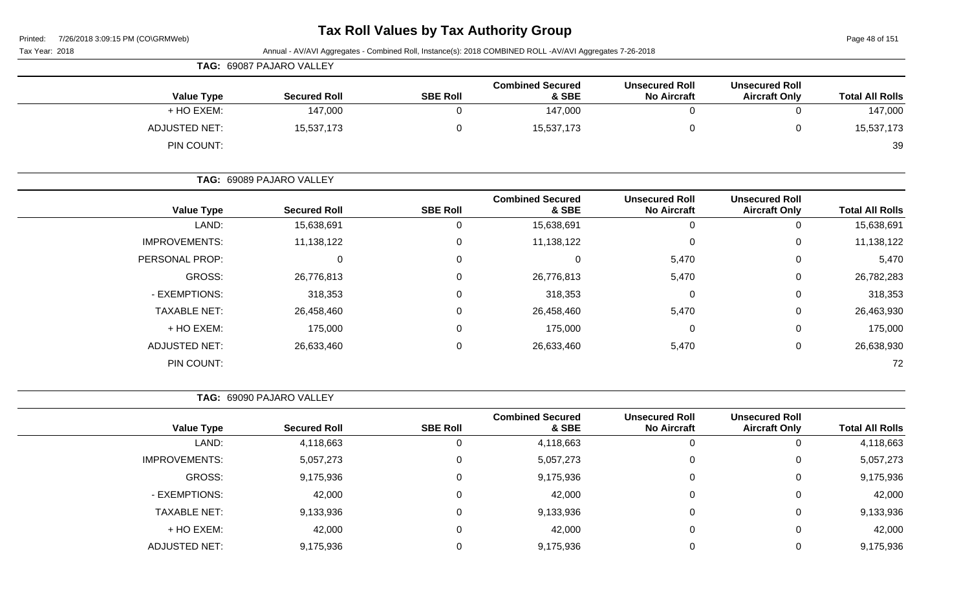### **Tax Roll Values by Tax Authority Group**

Page 48 of 151

| Tax Year: 2018       |                          |                 | Annual - AV/AVI Aggregates - Combined Roll, Instance(s): 2018 COMBINED ROLL -AV/AVI Aggregates 7-26-2018 |                                             |                                               |                        |
|----------------------|--------------------------|-----------------|----------------------------------------------------------------------------------------------------------|---------------------------------------------|-----------------------------------------------|------------------------|
|                      | TAG: 69087 PAJARO VALLEY |                 |                                                                                                          |                                             |                                               |                        |
| <b>Value Type</b>    | <b>Secured Roll</b>      | <b>SBE Roll</b> | <b>Combined Secured</b><br>& SBE                                                                         | <b>Unsecured Roll</b><br><b>No Aircraft</b> | <b>Unsecured Roll</b><br><b>Aircraft Only</b> | <b>Total All Rolls</b> |
| + HO EXEM:           | 147,000                  | $\mathbf 0$     | 147,000                                                                                                  | $\mathbf 0$                                 | $\mathbf 0$                                   | 147,000                |
| <b>ADJUSTED NET:</b> | 15,537,173               | 0               | 15,537,173                                                                                               | $\mathbf 0$                                 | $\mathbf 0$                                   | 15,537,173             |
| PIN COUNT:           |                          |                 |                                                                                                          |                                             |                                               | 39                     |
|                      | TAG: 69089 PAJARO VALLEY |                 |                                                                                                          |                                             |                                               |                        |
| <b>Value Type</b>    | <b>Secured Roll</b>      | <b>SBE Roll</b> | <b>Combined Secured</b><br>& SBE                                                                         | <b>Unsecured Roll</b><br><b>No Aircraft</b> | <b>Unsecured Roll</b><br><b>Aircraft Only</b> | <b>Total All Rolls</b> |
| LAND:                | 15,638,691               | $\mathbf 0$     | 15,638,691                                                                                               | $\mathbf 0$                                 | $\mathbf 0$                                   | 15,638,691             |
| <b>IMPROVEMENTS:</b> | 11,138,122               | $\mathbf 0$     | 11,138,122                                                                                               | $\mathbf 0$                                 | $\mathbf 0$                                   | 11,138,122             |
| PERSONAL PROP:       | 0                        | $\mathbf 0$     | 0                                                                                                        | 5,470                                       | 0                                             | 5,470                  |
| GROSS:               | 26,776,813               | 0               | 26,776,813                                                                                               | 5,470                                       | $\mathbf 0$                                   | 26,782,283             |
| - EXEMPTIONS:        | 318,353                  | 0               | 318,353                                                                                                  | 0                                           | 0                                             | 318,353                |
| <b>TAXABLE NET:</b>  | 26,458,460               | 0               | 26,458,460                                                                                               | 5,470                                       | $\mathbf 0$                                   | 26,463,930             |
| + HO EXEM:           | 175,000                  | 0               | 175,000                                                                                                  | 0                                           | 0                                             | 175,000                |
| <b>ADJUSTED NET:</b> | 26,633,460               | $\mathbf 0$     | 26,633,460                                                                                               | 5,470                                       | $\mathbf 0$                                   | 26,638,930             |
| PIN COUNT:           |                          |                 |                                                                                                          |                                             |                                               | 72                     |
|                      | TAG: 69090 PAJARO VALLEY |                 |                                                                                                          |                                             |                                               |                        |
| <b>Value Type</b>    | <b>Secured Roll</b>      | <b>SBE Roll</b> | <b>Combined Secured</b><br>& SBE                                                                         | <b>Unsecured Roll</b><br><b>No Aircraft</b> | <b>Unsecured Roll</b><br><b>Aircraft Only</b> | <b>Total All Rolls</b> |
| LAND:                | 4,118,663                | $\mathbf 0$     | 4,118,663                                                                                                | $\mathbf 0$                                 | 0                                             | 4,118,663              |
| <b>IMPROVEMENTS:</b> | 5,057,273                | $\pmb{0}$       | 5,057,273                                                                                                | $\mathbf 0$                                 | 0                                             | 5,057,273              |
| GROSS:               | 9,175,936                | $\mathbf 0$     | 9,175,936                                                                                                | $\pmb{0}$                                   | $\pmb{0}$                                     | 9,175,936              |
| - EXEMPTIONS:        | 42,000                   | $\mathbf 0$     | 42,000                                                                                                   | $\pmb{0}$                                   | $\pmb{0}$                                     | 42,000                 |
| <b>TAXABLE NET:</b>  | 9,133,936                | $\mathbf 0$     | 9,133,936                                                                                                | $\pmb{0}$                                   | 0                                             | 9,133,936              |
| + HO EXEM:           | 42,000                   | $\mathbf 0$     | 42,000                                                                                                   | $\pmb{0}$                                   | $\mathbf 0$                                   | 42,000                 |
| ADJUSTED NET:        | 9,175,936                | $\mathbf 0$     | 9,175,936                                                                                                | $\pmb{0}$                                   | $\mathbf 0$                                   | 9,175,936              |
|                      |                          |                 |                                                                                                          |                                             |                                               |                        |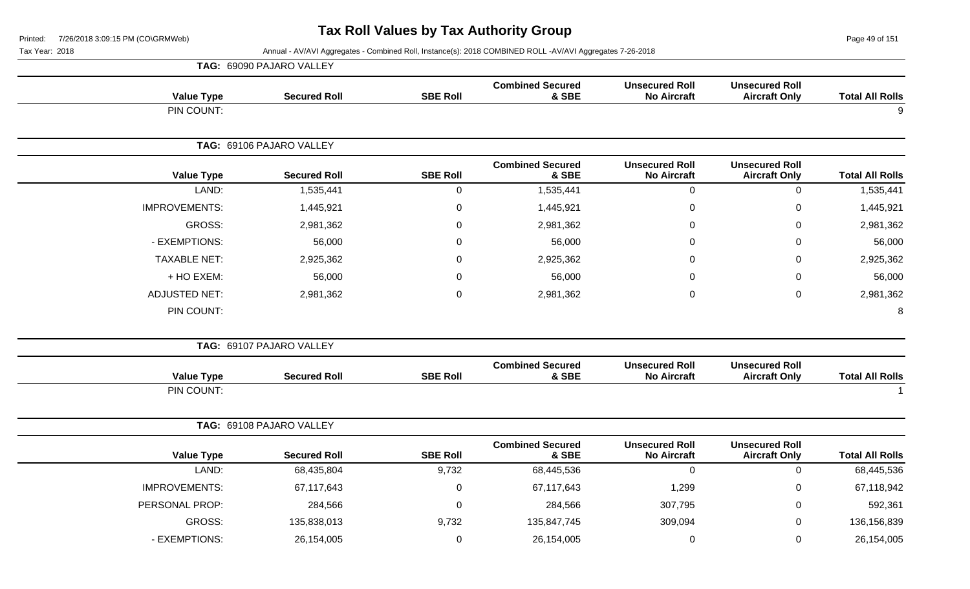Page 49 of 151

|                      | TAG: 69090 PAJARO VALLEY |                  |                                  |                                             |                                               |                        |
|----------------------|--------------------------|------------------|----------------------------------|---------------------------------------------|-----------------------------------------------|------------------------|
| <b>Value Type</b>    | <b>Secured Roll</b>      | <b>SBE Roll</b>  | <b>Combined Secured</b><br>& SBE | <b>Unsecured Roll</b><br><b>No Aircraft</b> | <b>Unsecured Roll</b><br><b>Aircraft Only</b> | <b>Total All Rolls</b> |
| PIN COUNT:           |                          |                  |                                  |                                             |                                               | 9                      |
|                      | TAG: 69106 PAJARO VALLEY |                  |                                  |                                             |                                               |                        |
| <b>Value Type</b>    | <b>Secured Roll</b>      | <b>SBE Roll</b>  | <b>Combined Secured</b><br>& SBE | <b>Unsecured Roll</b><br><b>No Aircraft</b> | <b>Unsecured Roll</b><br><b>Aircraft Only</b> | <b>Total All Rolls</b> |
| LAND:                | 1,535,441                | $\pmb{0}$        | 1,535,441                        | $\mathbf 0$                                 | $\pmb{0}$                                     | 1,535,441              |
| <b>IMPROVEMENTS:</b> | 1,445,921                | $\boldsymbol{0}$ | 1,445,921                        | $\overline{0}$                              | $\mathbf 0$                                   | 1,445,921              |
| GROSS:               | 2,981,362                | 0                | 2,981,362                        | $\Omega$                                    | $\mathbf 0$                                   | 2,981,362              |
| - EXEMPTIONS:        | 56,000                   | $\pmb{0}$        | 56,000                           | 0                                           | $\mathbf 0$                                   | 56,000                 |
| <b>TAXABLE NET:</b>  | 2,925,362                | $\mathbf 0$      | 2,925,362                        | $\Omega$                                    | $\mathbf 0$                                   | 2,925,362              |
| + HO EXEM:           | 56,000                   | $\Omega$         | 56,000                           | $\Omega$                                    | $\mathbf 0$                                   | 56,000                 |
| <b>ADJUSTED NET:</b> | 2,981,362                | $\boldsymbol{0}$ | 2,981,362                        | $\pmb{0}$                                   | $\boldsymbol{0}$                              | 2,981,362              |
| PIN COUNT:           |                          |                  |                                  |                                             |                                               | 8                      |
|                      | TAG: 69107 PAJARO VALLEY |                  |                                  |                                             |                                               |                        |
| <b>Value Type</b>    | <b>Secured Roll</b>      | <b>SBE Roll</b>  | <b>Combined Secured</b><br>& SBE | <b>Unsecured Roll</b><br><b>No Aircraft</b> | <b>Unsecured Roll</b><br><b>Aircraft Only</b> | <b>Total All Rolls</b> |
| PIN COUNT:           |                          |                  |                                  |                                             |                                               | $\overline{1}$         |
|                      | TAG: 69108 PAJARO VALLEY |                  |                                  |                                             |                                               |                        |
| <b>Value Type</b>    | <b>Secured Roll</b>      | <b>SBE Roll</b>  | <b>Combined Secured</b><br>& SBE | <b>Unsecured Roll</b><br><b>No Aircraft</b> | <b>Unsecured Roll</b><br><b>Aircraft Only</b> | <b>Total All Rolls</b> |
| LAND:                | 68,435,804               | 9,732            | 68,445,536                       | $\mathbf 0$                                 | $\pmb{0}$                                     | 68,445,536             |
| <b>IMPROVEMENTS:</b> | 67,117,643               | $\mathbf 0$      | 67,117,643                       | 1,299                                       | $\mathbf 0$                                   | 67,118,942             |
| PERSONAL PROP:       | 284,566                  | $\boldsymbol{0}$ | 284,566                          | 307,795                                     | $\mathbf 0$                                   | 592,361                |
| <b>GROSS:</b>        | 135,838,013              | 9,732            | 135,847,745                      | 309,094                                     | $\mathbf 0$                                   | 136,156,839            |
| - EXEMPTIONS:        | 26,154,005               | $\mathsf 0$      | 26,154,005                       | 0                                           | $\mathbf 0$                                   | 26,154,005             |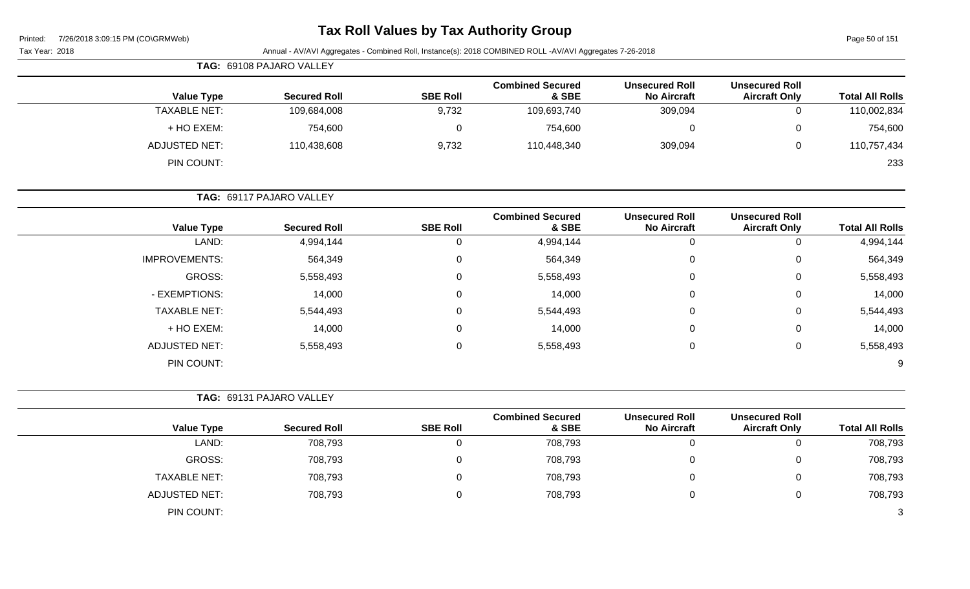| Printed: | 7/26/2018 3:09:15 PM (CO\GRMWeb) |  |
|----------|----------------------------------|--|
|          |                                  |  |

Page 50 of 151

| Tax Year: 2018 |                      |                          |                 | Annual - AV/AVI Aggregates - Combined Roll, Instance(s): 2018 COMBINED ROLL -AV/AVI Aggregates 7-26-2018 |                                             |                                               |                        |
|----------------|----------------------|--------------------------|-----------------|----------------------------------------------------------------------------------------------------------|---------------------------------------------|-----------------------------------------------|------------------------|
|                |                      | TAG: 69108 PAJARO VALLEY |                 |                                                                                                          |                                             |                                               |                        |
|                | <b>Value Type</b>    | <b>Secured Roll</b>      | <b>SBE Roll</b> | <b>Combined Secured</b><br>& SBE                                                                         | <b>Unsecured Roll</b><br><b>No Aircraft</b> | <b>Unsecured Roll</b><br><b>Aircraft Only</b> | <b>Total All Rolls</b> |
|                | <b>TAXABLE NET:</b>  | 109,684,008              | 9,732           | 109,693,740                                                                                              | 309,094                                     | $\mathbf 0$                                   | 110,002,834            |
|                | + HO EXEM:           | 754,600                  | $\mathbf 0$     | 754,600                                                                                                  | $\mathbf 0$                                 | $\mathbf 0$                                   | 754,600                |
|                | <b>ADJUSTED NET:</b> | 110,438,608              | 9,732           | 110,448,340                                                                                              | 309,094                                     | $\mathbf 0$                                   | 110,757,434            |
|                | PIN COUNT:           |                          |                 |                                                                                                          |                                             |                                               | 233                    |
|                |                      | TAG: 69117 PAJARO VALLEY |                 |                                                                                                          |                                             |                                               |                        |
|                | <b>Value Type</b>    | <b>Secured Roll</b>      | <b>SBE Roll</b> | <b>Combined Secured</b><br>& SBE                                                                         | <b>Unsecured Roll</b><br><b>No Aircraft</b> | <b>Unsecured Roll</b><br><b>Aircraft Only</b> | <b>Total All Rolls</b> |
|                | LAND:                | 4,994,144                | $\pmb{0}$       | 4,994,144                                                                                                | $\mathbf 0$                                 | $\mathbf 0$                                   | 4,994,144              |
|                | <b>IMPROVEMENTS:</b> | 564,349                  | 0               | 564,349                                                                                                  | $\Omega$                                    | $\Omega$                                      | 564,349                |
|                | <b>GROSS:</b>        | 5,558,493                | $\mathbf 0$     | 5,558,493                                                                                                | $\Omega$                                    | 0                                             | 5,558,493              |
|                | - EXEMPTIONS:        | 14,000                   | $\pmb{0}$       | 14,000                                                                                                   | $\Omega$                                    | $\mathbf 0$                                   | 14,000                 |
|                | <b>TAXABLE NET:</b>  | 5,544,493                | $\pmb{0}$       | 5,544,493                                                                                                | $\Omega$                                    | $\mathbf 0$                                   | 5,544,493              |
|                | + HO EXEM:           | 14,000                   | 0               | 14,000                                                                                                   | 0                                           | $\mathbf 0$                                   | 14,000                 |
|                | <b>ADJUSTED NET:</b> | 5,558,493                | 0               | 5,558,493                                                                                                | $\mathbf 0$                                 | $\mathsf 0$                                   | 5,558,493              |
|                | PIN COUNT:           |                          |                 |                                                                                                          |                                             |                                               | 9                      |
|                |                      | TAG: 69131 PAJARO VALLEY |                 |                                                                                                          |                                             |                                               |                        |
|                | <b>Value Type</b>    | <b>Secured Roll</b>      | <b>SBE Roll</b> | <b>Combined Secured</b><br>& SBE                                                                         | <b>Unsecured Roll</b><br><b>No Aircraft</b> | <b>Unsecured Roll</b><br><b>Aircraft Only</b> | <b>Total All Rolls</b> |
|                | LAND:                | 708,793                  | $\mathbf 0$     | 708,793                                                                                                  | $\mathbf 0$                                 | $\mathbf 0$                                   | 708,793                |
|                | GROSS:               | 708,793                  | $\pmb{0}$       | 708,793                                                                                                  | $\Omega$                                    | $\mathbf 0$                                   | 708,793                |
|                | <b>TAXABLE NET:</b>  | 708,793                  | $\pmb{0}$       | 708,793                                                                                                  | 0                                           | $\mathbf 0$                                   | 708,793                |
|                | <b>ADJUSTED NET:</b> | 708,793                  | 0               | 708,793                                                                                                  | 0                                           | $\mathbf 0$                                   | 708,793                |
|                | PIN COUNT:           |                          |                 |                                                                                                          |                                             |                                               | 3                      |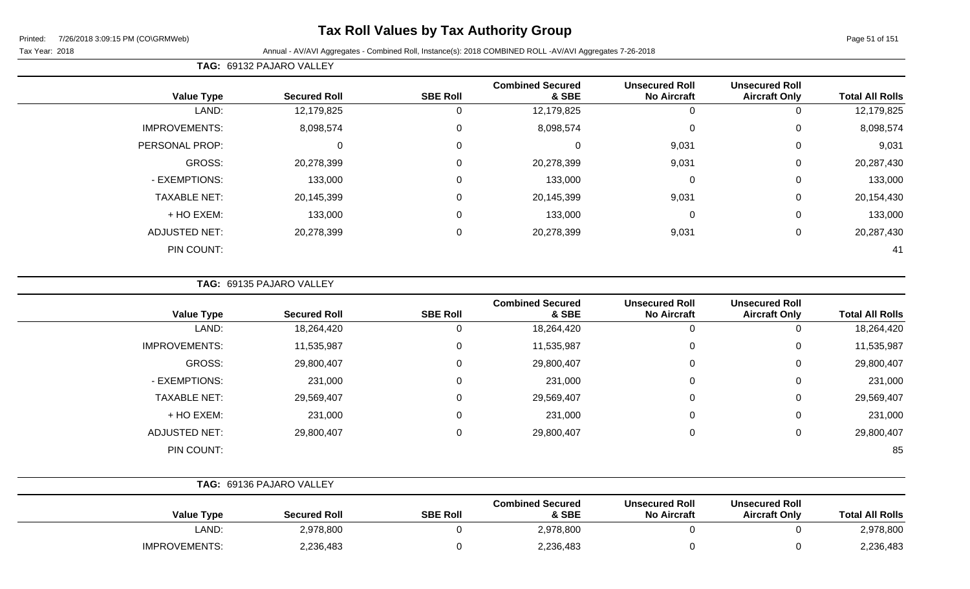# **Tax Roll Values by Tax Authority Group**

Page 51 of 151

#### Tax Year: 2018 Annual - AV/AVI Aggregates - Combined Roll, Instance(s): 2018 COMBINED ROLL -AV/AVI Aggregates 7-26-2018

|                      |                     |                 | <b>Combined Secured</b> | <b>Unsecured Roll</b> | <b>Unsecured Roll</b> |                        |
|----------------------|---------------------|-----------------|-------------------------|-----------------------|-----------------------|------------------------|
| <b>Value Type</b>    | <b>Secured Roll</b> | <b>SBE Roll</b> | & SBE                   | <b>No Aircraft</b>    | <b>Aircraft Only</b>  | <b>Total All Rolls</b> |
| LAND:                | 12,179,825          | υ               | 12,179,825              | U                     |                       | 12,179,825             |
| <b>IMPROVEMENTS:</b> | 8,098,574           | 0               | 8,098,574               | $\mathbf 0$           | 0                     | 8,098,574              |
| PERSONAL PROP:       | 0                   | 0               | 0                       | 9,031                 | 0                     | 9,031                  |
| GROSS:               | 20,278,399          | 0               | 20,278,399              | 9,031                 | 0                     | 20,287,430             |
| - EXEMPTIONS:        | 133,000             | $\Omega$        | 133,000                 | $\overline{0}$        | 0                     | 133,000                |
| <b>TAXABLE NET:</b>  | 20,145,399          | 0               | 20,145,399              | 9,031                 | 0                     | 20,154,430             |
| + HO EXEM:           | 133,000             | 0               | 133,000                 | 0                     | $\Omega$              | 133,000                |
| <b>ADJUSTED NET:</b> | 20,278,399          | 0               | 20,278,399              | 9,031                 | $\mathbf{0}$          | 20,287,430             |
| PIN COUNT:           |                     |                 |                         |                       |                       | 41                     |

**TAG:** 69135 PAJARO VALLEY

**TAG:** 69132 PAJARO VALLEY

| <b>Value Type</b>    | <b>Secured Roll</b> | <b>SBE Roll</b> | <b>Combined Secured</b><br>& SBE | <b>Unsecured Roll</b><br><b>No Aircraft</b> | <b>Unsecured Roll</b><br><b>Aircraft Only</b> | <b>Total All Rolls</b> |
|----------------------|---------------------|-----------------|----------------------------------|---------------------------------------------|-----------------------------------------------|------------------------|
| LAND:                | 18,264,420          | 0               | 18,264,420                       | 0                                           | U                                             | 18,264,420             |
| <b>IMPROVEMENTS:</b> | 11,535,987          | 0               | 11,535,987                       | 0                                           | 0                                             | 11,535,987             |
| GROSS:               | 29,800,407          | 0               | 29,800,407                       | $\mathbf 0$                                 | 0                                             | 29,800,407             |
| - EXEMPTIONS:        | 231,000             | 0               | 231,000                          | $\mathbf 0$                                 | 0                                             | 231,000                |
| <b>TAXABLE NET:</b>  | 29,569,407          | 0               | 29,569,407                       | 0                                           | 0                                             | 29,569,407             |
| + HO EXEM:           | 231,000             | 0               | 231,000                          | $\mathbf 0$                                 | 0                                             | 231,000                |
| <b>ADJUSTED NET:</b> | 29,800,407          | 0               | 29,800,407                       | $\mathbf 0$                                 | 0                                             | 29,800,407             |
| PIN COUNT:           |                     |                 |                                  |                                             |                                               | 85                     |

|                   | TAG: 69136 PAJARO VALLEY |                 |                                  |                                             |                                               |                        |
|-------------------|--------------------------|-----------------|----------------------------------|---------------------------------------------|-----------------------------------------------|------------------------|
| <b>Value Type</b> | <b>Secured Roll</b>      | <b>SBE Roll</b> | <b>Combined Secured</b><br>& SBE | <b>Unsecured Roll</b><br><b>No Aircraft</b> | <b>Unsecured Roll</b><br><b>Aircraft Only</b> | <b>Total All Rolls</b> |
| ∟AND:             | 2,978,800                |                 | 2,978,800                        |                                             |                                               | 2,978,800              |
| IMPROVEMENTS:     | 2,236,483                |                 | 2,236,483                        |                                             |                                               | 2,236,483              |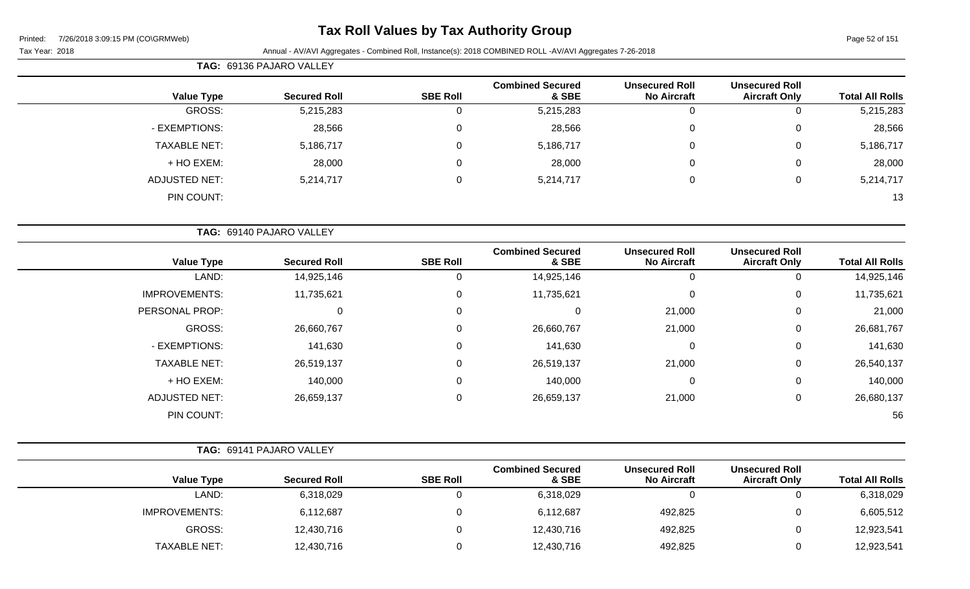# **Tax Roll Values by Tax Authority Group**

| <b>TAG: 69136 PAJARO VALLEY</b> |
|---------------------------------|

| <b>Total All Rolls</b> | <b>Unsecured Roll</b><br><b>Aircraft Only</b> | <b>Unsecured Roll</b><br><b>No Aircraft</b> | <b>Combined Secured</b><br>& SBE | <b>SBE Roll</b> | <b>Secured Roll</b> | <b>Value Type</b>    |
|------------------------|-----------------------------------------------|---------------------------------------------|----------------------------------|-----------------|---------------------|----------------------|
| 5,215,283              | U                                             | U                                           | 5,215,283                        |                 | 5,215,283           | GROSS:               |
| 28,566                 | 0                                             | U                                           | 28,566                           | 0               | 28,566              | - EXEMPTIONS:        |
| 5,186,717              | 0                                             | U                                           | 5,186,717                        | 0               | 5,186,717           | <b>TAXABLE NET:</b>  |
| 28,000                 | 0                                             | U                                           | 28,000                           | 0               | 28,000              | + HO EXEM:           |
| 5,214,717              | 0                                             | U                                           | 5,214,717                        | 0               | 5,214,717           | <b>ADJUSTED NET:</b> |
| 13                     |                                               |                                             |                                  |                 |                     | PIN COUNT:           |
|                        |                                               |                                             |                                  |                 |                     |                      |

|                      | TAG: 69140 PAJARO VALLEY |                 |                                  |                                             |                                               |                        |
|----------------------|--------------------------|-----------------|----------------------------------|---------------------------------------------|-----------------------------------------------|------------------------|
| <b>Value Type</b>    | <b>Secured Roll</b>      | <b>SBE Roll</b> | <b>Combined Secured</b><br>& SBE | <b>Unsecured Roll</b><br><b>No Aircraft</b> | <b>Unsecured Roll</b><br><b>Aircraft Only</b> | <b>Total All Rolls</b> |
| LAND:                | 14,925,146               | 0               | 14,925,146                       | 0                                           |                                               | 14,925,146             |
| <b>IMPROVEMENTS:</b> | 11,735,621               | 0               | 11,735,621                       | $\mathbf 0$                                 | 0                                             | 11,735,621             |
| PERSONAL PROP:       | 0                        | $\mathbf 0$     | 0                                | 21,000                                      | 0                                             | 21,000                 |
| GROSS:               | 26,660,767               | $\Omega$        | 26,660,767                       | 21,000                                      | 0                                             | 26,681,767             |
| - EXEMPTIONS:        | 141,630                  | $\Omega$        | 141,630                          | $\mathbf 0$                                 | 0                                             | 141,630                |
| <b>TAXABLE NET:</b>  | 26,519,137               | $\mathbf 0$     | 26,519,137                       | 21,000                                      | $\mathbf 0$                                   | 26,540,137             |
| + HO EXEM:           | 140,000                  | $\mathbf 0$     | 140,000                          | $\mathbf 0$                                 | 0                                             | 140,000                |
| <b>ADJUSTED NET:</b> | 26,659,137               | 0               | 26,659,137                       | 21,000                                      | 0                                             | 26,680,137             |
| PIN COUNT:           |                          |                 |                                  |                                             |                                               | 56                     |

|                      | <b>TAG: 69141 PAJARO VALLEY</b> |                 |                                  |                                             |                                               |                        |
|----------------------|---------------------------------|-----------------|----------------------------------|---------------------------------------------|-----------------------------------------------|------------------------|
| <b>Value Type</b>    | <b>Secured Roll</b>             | <b>SBE Roll</b> | <b>Combined Secured</b><br>& SBE | <b>Unsecured Roll</b><br><b>No Aircraft</b> | <b>Unsecured Roll</b><br><b>Aircraft Only</b> | <b>Total All Rolls</b> |
| LAND:                | 6,318,029                       |                 | 6,318,029                        | 0                                           |                                               | 6,318,029              |
| <b>IMPROVEMENTS:</b> | 6,112,687                       |                 | 6,112,687                        | 492,825                                     |                                               | 6,605,512              |
| GROSS:               | 12,430,716                      |                 | 12,430,716                       | 492,825                                     |                                               | 12,923,541             |
| <b>TAXABLE NET:</b>  | 12,430,716                      |                 | 12,430,716                       | 492,825                                     |                                               | 12,923,541             |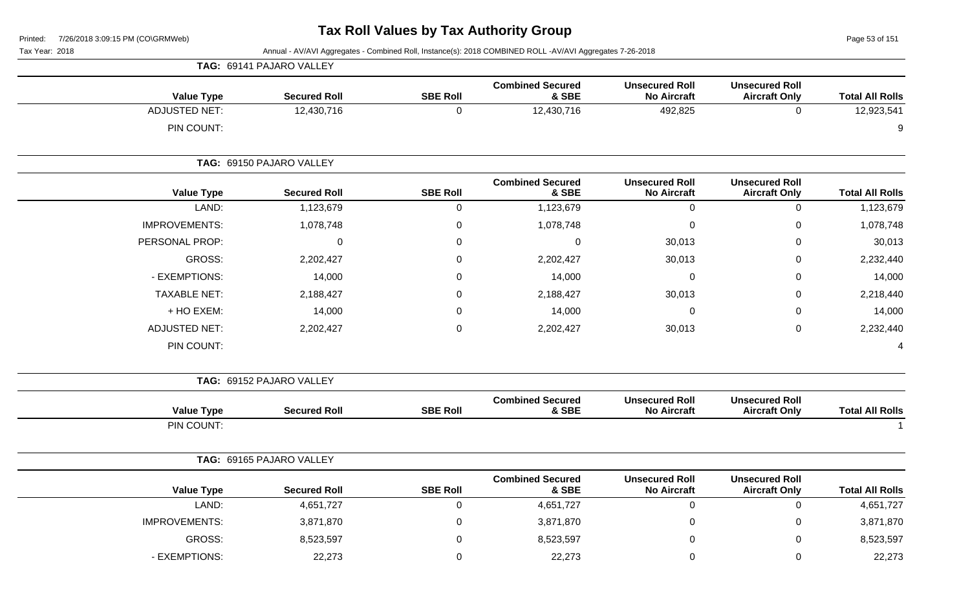Page 53 of 151

|  |  | Tax Year: 2018 |  |
|--|--|----------------|--|
|--|--|----------------|--|

| TAG: 69141 PAJARO VALLEY                 |                                                           |                  |                    |                                                                         |
|------------------------------------------|-----------------------------------------------------------|------------------|--------------------|-------------------------------------------------------------------------|
| <b>Value Type</b><br><b>Secured Roll</b> | <b>Combined Secured</b><br><b>Unsecured Roll</b><br>& SBE | <b>SBE Roll</b>  | <b>No Aircraft</b> | <b>Unsecured Roll</b><br><b>Total All Rolls</b><br><b>Aircraft Only</b> |
| <b>ADJUSTED NET:</b><br>12,430,716       | 12,430,716                                                | $\mathbf 0$      | 492,825            | 12,923,541<br>$\mathbf 0$                                               |
| PIN COUNT:                               |                                                           |                  |                    | 9                                                                       |
| TAG: 69150 PAJARO VALLEY                 |                                                           |                  |                    |                                                                         |
| <b>Secured Roll</b><br><b>Value Type</b> | <b>Combined Secured</b><br><b>Unsecured Roll</b><br>& SBE | <b>SBE Roll</b>  | <b>No Aircraft</b> | <b>Unsecured Roll</b><br><b>Total All Rolls</b><br><b>Aircraft Only</b> |
| LAND:<br>1,123,679                       | 1,123,679                                                 | $\mathbf 0$      | $\mathbf 0$        | $\pmb{0}$<br>1,123,679                                                  |
| <b>IMPROVEMENTS:</b><br>1,078,748        | 1,078,748                                                 | $\pmb{0}$        | $\mathbf 0$        | $\mathsf 0$<br>1,078,748                                                |
| PERSONAL PROP:<br>$\mathbf 0$            | 0                                                         | 0                | 30,013             | 30,013<br>$\mathbf 0$                                                   |
| GROSS:<br>2,202,427                      | 2,202,427                                                 | $\pmb{0}$        | 30,013             | 2,232,440<br>$\mathsf 0$                                                |
| - EXEMPTIONS:<br>14,000                  | 14,000                                                    | 0                | $\mathbf 0$        | $\mathsf 0$<br>14,000                                                   |
| <b>TAXABLE NET:</b><br>2,188,427         | 2,188,427                                                 | 0                | 30,013             | $\pmb{0}$<br>2,218,440                                                  |
| + HO EXEM:<br>14,000                     | 14,000                                                    | 0                | 0                  | 0<br>14,000                                                             |
| <b>ADJUSTED NET:</b><br>2,202,427        | 2,202,427                                                 | $\boldsymbol{0}$ | 30,013             | $\pmb{0}$<br>2,232,440                                                  |
| PIN COUNT:                               |                                                           |                  |                    | 4                                                                       |
| TAG: 69152 PAJARO VALLEY                 |                                                           |                  |                    |                                                                         |
| <b>Value Type</b><br><b>Secured Roll</b> | <b>Combined Secured</b><br><b>Unsecured Roll</b><br>& SBE | <b>SBE Roll</b>  | <b>No Aircraft</b> | <b>Unsecured Roll</b><br><b>Aircraft Only</b><br><b>Total All Rolls</b> |
| PIN COUNT:                               |                                                           |                  |                    | $\overline{1}$                                                          |
| TAG: 69165 PAJARO VALLEY                 |                                                           |                  |                    |                                                                         |
| <b>Value Type</b><br><b>Secured Roll</b> | <b>Unsecured Roll</b><br><b>Combined Secured</b><br>& SBE | <b>SBE Roll</b>  | <b>No Aircraft</b> | <b>Unsecured Roll</b><br><b>Total All Rolls</b><br><b>Aircraft Only</b> |
| LAND:<br>4,651,727                       | 4,651,727                                                 | $\pmb{0}$        | $\mathbf 0$        | $\mathsf 0$<br>4,651,727                                                |
| IMPROVEMENTS:<br>3,871,870               | 3,871,870                                                 | 0                | 0                  | $\mathbf 0$<br>3,871,870                                                |
| <b>GROSS:</b><br>8,523,597               | 8,523,597                                                 | 0                | 0                  | 8,523,597<br>$\mathbf 0$                                                |
| - EXEMPTIONS:<br>22,273                  | 22,273                                                    | $\mathbf 0$      | 0                  | $\mathbf 0$<br>22,273                                                   |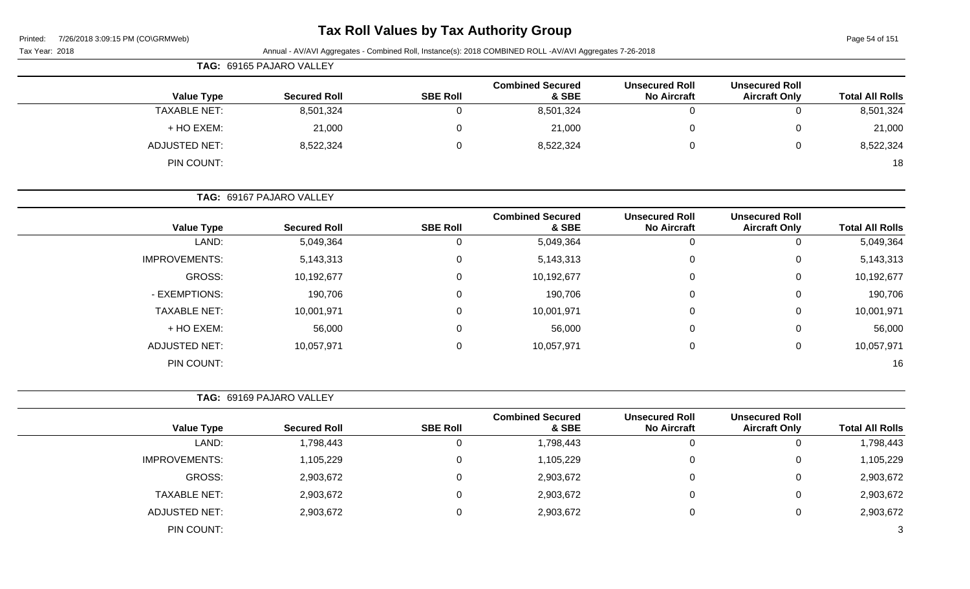# **Tax Roll Values by Tax Authority Group**

Page 54 of 151

|                        |                                               |                                             | Annual - AV/AVI Aggregates - Combined Roll, Instance(s): 2018 COMBINED ROLL -AV/AVI Aggregates 7-26-2018 |                 |                          | Tax Year: 2018       |
|------------------------|-----------------------------------------------|---------------------------------------------|----------------------------------------------------------------------------------------------------------|-----------------|--------------------------|----------------------|
|                        |                                               |                                             |                                                                                                          |                 | TAG: 69165 PAJARO VALLEY |                      |
| <b>Total All Rolls</b> | <b>Unsecured Roll</b><br><b>Aircraft Only</b> | <b>Unsecured Roll</b><br><b>No Aircraft</b> | <b>Combined Secured</b><br>& SBE                                                                         | <b>SBE Roll</b> | <b>Secured Roll</b>      | <b>Value Type</b>    |
| 8,501,324              | $\mathbf 0$                                   | $\mathbf 0$                                 | 8,501,324                                                                                                | $\mathbf 0$     | 8,501,324                | <b>TAXABLE NET:</b>  |
| 21,000                 | 0                                             | $\mathbf 0$                                 | 21,000                                                                                                   | 0               | 21,000                   | + HO EXEM:           |
| 8,522,324              | $\mathsf 0$                                   | $\mathbf 0$                                 | 8,522,324                                                                                                | $\mathbf 0$     | 8,522,324                | <b>ADJUSTED NET:</b> |
| 18                     |                                               |                                             |                                                                                                          |                 |                          | PIN COUNT:           |
|                        |                                               |                                             |                                                                                                          |                 | TAG: 69167 PAJARO VALLEY |                      |
| <b>Total All Rolls</b> | <b>Unsecured Roll</b><br><b>Aircraft Only</b> | <b>Unsecured Roll</b><br><b>No Aircraft</b> | <b>Combined Secured</b><br>& SBE                                                                         | <b>SBE Roll</b> | <b>Secured Roll</b>      | <b>Value Type</b>    |
| 5,049,364              | $\mathbf 0$                                   | $\mathbf 0$                                 | 5,049,364                                                                                                | $\mathbf 0$     | 5,049,364                | LAND:                |
| 5,143,313              | 0                                             | $\mathbf 0$                                 | 5,143,313                                                                                                | 0               | 5, 143, 313              | <b>IMPROVEMENTS:</b> |
| 10,192,677             | $\mathbf 0$                                   | $\mathbf 0$                                 | 10,192,677                                                                                               | $\mathbf 0$     | 10,192,677               | GROSS:               |
| 190,706                | 0                                             | $\mathbf 0$                                 | 190,706                                                                                                  | 0               | 190,706                  | - EXEMPTIONS:        |
| 10,001,971             | 0                                             | 0                                           | 10,001,971                                                                                               | 0               | 10,001,971               | <b>TAXABLE NET:</b>  |
| 56,000                 | 0                                             | $\mathbf 0$                                 | 56,000                                                                                                   | 0               | 56,000                   | + HO EXEM:           |
| 10,057,971             | $\mathsf 0$                                   | $\mathbf 0$                                 | 10,057,971                                                                                               | $\mathbf 0$     | 10,057,971               | <b>ADJUSTED NET:</b> |
| 16                     |                                               |                                             |                                                                                                          |                 |                          | PIN COUNT:           |
|                        |                                               |                                             |                                                                                                          |                 | TAG: 69169 PAJARO VALLEY |                      |
| <b>Total All Rolls</b> | <b>Unsecured Roll</b><br><b>Aircraft Only</b> | <b>Unsecured Roll</b><br><b>No Aircraft</b> | <b>Combined Secured</b><br>& SBE                                                                         | <b>SBE Roll</b> | <b>Secured Roll</b>      | <b>Value Type</b>    |
| 1,798,443              | $\mathbf 0$                                   | $\mathbf 0$                                 | 1,798,443                                                                                                | 0               | 1,798,443                | LAND:                |
| 1,105,229              | $\mathbf 0$                                   | $\mathbf 0$                                 | 1,105,229                                                                                                | $\mathbf 0$     | 1,105,229                | <b>IMPROVEMENTS:</b> |
| 2,903,672              | $\mathbf 0$                                   | $\mathbf 0$                                 | 2,903,672                                                                                                | $\mathbf 0$     | 2,903,672                | GROSS:               |
| 2,903,672              | 0                                             | $\mathbf 0$                                 | 2,903,672                                                                                                | 0               | 2,903,672                | <b>TAXABLE NET:</b>  |
| 2,903,672              | $\mathbf 0$                                   | $\pmb{0}$                                   | 2,903,672                                                                                                | $\mathbf 0$     | 2,903,672                | <b>ADJUSTED NET:</b> |
| $\sqrt{3}$             |                                               |                                             |                                                                                                          |                 |                          | PIN COUNT:           |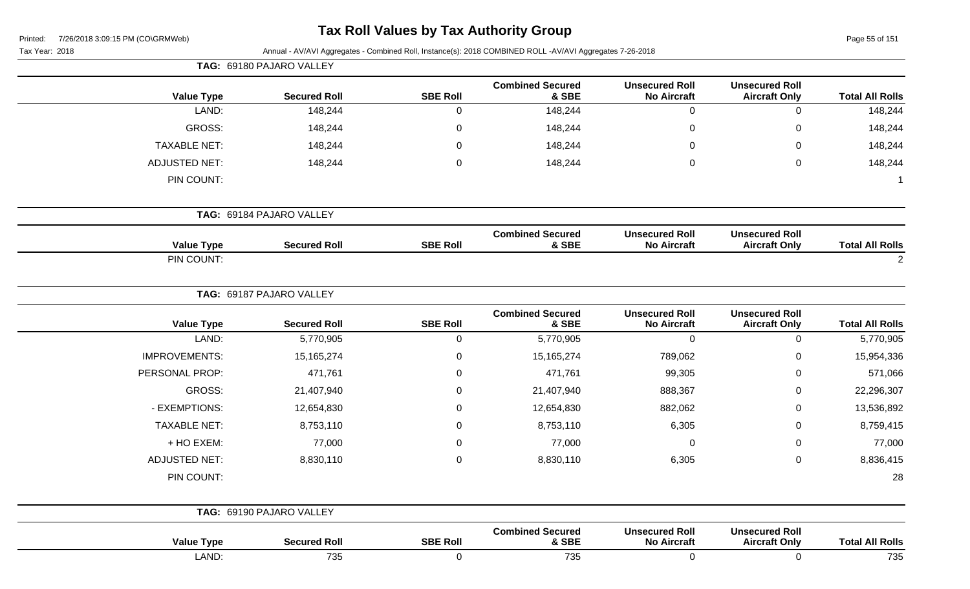| Printed: | 7/26/2018 3:09:15 PM (CO\GRMWeb) |  |
|----------|----------------------------------|--|
|          |                                  |  |

Page 55 of 151

| Tax Year: 2018       | Annual - AV/AVI Aggregates - Combined Roll, Instance(s): 2018 COMBINED ROLL -AV/AVI Aggregates 7-26-2018<br>TAG: 69180 PAJARO VALLEY |                  |                                  |                                             |                                               |                        |  |  |
|----------------------|--------------------------------------------------------------------------------------------------------------------------------------|------------------|----------------------------------|---------------------------------------------|-----------------------------------------------|------------------------|--|--|
|                      |                                                                                                                                      |                  |                                  |                                             |                                               |                        |  |  |
| <b>Value Type</b>    | <b>Secured Roll</b>                                                                                                                  | <b>SBE Roll</b>  | <b>Combined Secured</b><br>& SBE | <b>Unsecured Roll</b><br><b>No Aircraft</b> | <b>Unsecured Roll</b><br><b>Aircraft Only</b> | <b>Total All Rolls</b> |  |  |
| LAND:                | 148,244                                                                                                                              | $\mathbf 0$      | 148,244                          | $\boldsymbol{0}$                            | $\mathbf 0$                                   | 148,244                |  |  |
| <b>GROSS:</b>        | 148,244                                                                                                                              | 0                | 148,244                          | 0                                           | 0                                             | 148,244                |  |  |
| <b>TAXABLE NET:</b>  | 148,244                                                                                                                              | 0                | 148,244                          | 0                                           | 0                                             | 148,244                |  |  |
| <b>ADJUSTED NET:</b> | 148,244                                                                                                                              | $\boldsymbol{0}$ | 148,244                          | $\mathbf 0$                                 | $\mathbf 0$                                   | 148,244                |  |  |
| PIN COUNT:           |                                                                                                                                      |                  |                                  |                                             |                                               |                        |  |  |
|                      | TAG: 69184 PAJARO VALLEY                                                                                                             |                  |                                  |                                             |                                               |                        |  |  |
| <b>Value Type</b>    | <b>Secured Roll</b>                                                                                                                  | <b>SBE Roll</b>  | <b>Combined Secured</b><br>& SBE | <b>Unsecured Roll</b><br><b>No Aircraft</b> | <b>Unsecured Roll</b><br><b>Aircraft Only</b> | <b>Total All Rolls</b> |  |  |
| PIN COUNT:           |                                                                                                                                      |                  |                                  |                                             |                                               | $\overline{2}$         |  |  |
|                      | TAG: 69187 PAJARO VALLEY                                                                                                             |                  |                                  |                                             |                                               |                        |  |  |
| <b>Value Type</b>    | <b>Secured Roll</b>                                                                                                                  | <b>SBE Roll</b>  | <b>Combined Secured</b><br>& SBE | <b>Unsecured Roll</b><br><b>No Aircraft</b> | <b>Unsecured Roll</b><br><b>Aircraft Only</b> | <b>Total All Rolls</b> |  |  |
| LAND:                | 5,770,905                                                                                                                            | $\mathbf 0$      | 5,770,905                        | 0                                           | $\mathbf 0$                                   | 5,770,905              |  |  |
| <b>IMPROVEMENTS:</b> | 15, 165, 274                                                                                                                         | $\mathbf 0$      | 15,165,274                       | 789,062                                     | 0                                             | 15,954,336             |  |  |
| PERSONAL PROP:       | 471,761                                                                                                                              | $\mathbf 0$      | 471,761                          | 99,305                                      | 0                                             | 571,066                |  |  |
| <b>GROSS:</b>        | 21,407,940                                                                                                                           | 0                | 21,407,940                       | 888,367                                     | 0                                             | 22,296,307             |  |  |
| - EXEMPTIONS:        | 12,654,830                                                                                                                           | 0                | 12,654,830                       | 882,062                                     | 0                                             | 13,536,892             |  |  |
| <b>TAXABLE NET:</b>  | 8,753,110                                                                                                                            | 0                | 8,753,110                        | 6,305                                       | $\mathbf 0$                                   | 8,759,415              |  |  |
| + HO EXEM:           | 77,000                                                                                                                               | 0                | 77,000                           | 0                                           | $\mathbf 0$                                   | 77,000                 |  |  |
| <b>ADJUSTED NET:</b> | 8,830,110                                                                                                                            | $\mathbf 0$      | 8,830,110                        | 6,305                                       | $\mathbf 0$                                   | 8,836,415              |  |  |
| PIN COUNT:           |                                                                                                                                      |                  |                                  |                                             |                                               | 28                     |  |  |
|                      | TAG: 69190 PAJARO VALLEY                                                                                                             |                  |                                  |                                             |                                               |                        |  |  |
| <b>Value Type</b>    | <b>Secured Roll</b>                                                                                                                  | <b>SBE Roll</b>  | <b>Combined Secured</b><br>& SBE | <b>Unsecured Roll</b><br><b>No Aircraft</b> | <b>Unsecured Roll</b><br><b>Aircraft Only</b> | <b>Total All Rolls</b> |  |  |
| LAND:                | 735                                                                                                                                  | $\mathbf 0$      | 735                              | $\mathbf 0$                                 | $\mathbf 0$                                   | 735                    |  |  |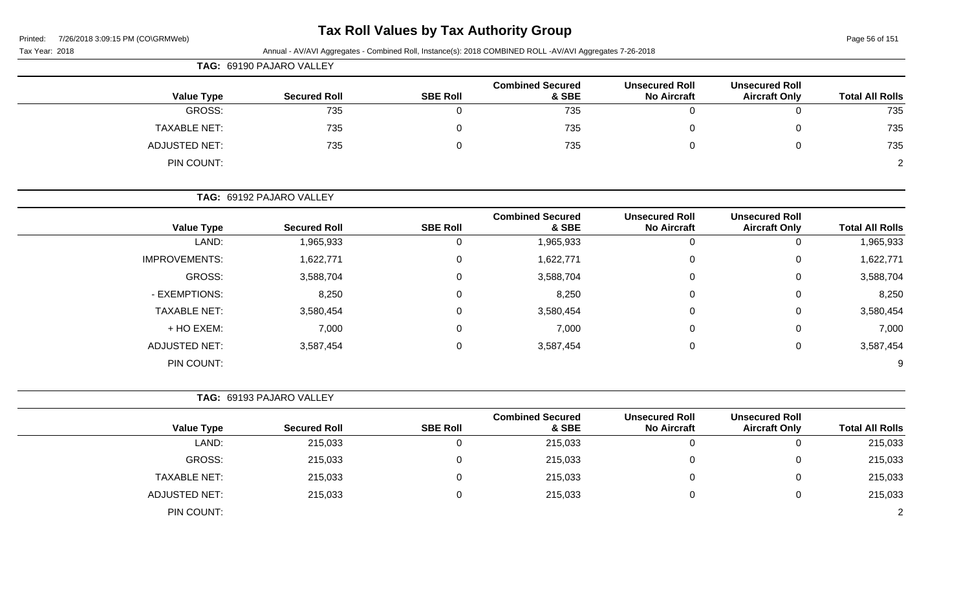| Printed: | 7/26/2018 3:09:15 PM (CO\GRMWeb) |  |
|----------|----------------------------------|--|
|          |                                  |  |

Page 56 of 151

| Page 56 of 151         |                                               |                                             |                                                                                                          |                  |                          | 7/26/2018 3:09:15 PM (CO\GRMWeb)<br>Printed: |
|------------------------|-----------------------------------------------|---------------------------------------------|----------------------------------------------------------------------------------------------------------|------------------|--------------------------|----------------------------------------------|
|                        |                                               |                                             | Annual - AV/AVI Aggregates - Combined Roll, Instance(s): 2018 COMBINED ROLL -AV/AVI Aggregates 7-26-2018 |                  |                          | Tax Year: 2018                               |
|                        |                                               |                                             |                                                                                                          |                  | TAG: 69190 PAJARO VALLEY |                                              |
| <b>Total All Rolls</b> | <b>Unsecured Roll</b><br><b>Aircraft Only</b> | <b>Unsecured Roll</b><br><b>No Aircraft</b> | <b>Combined Secured</b><br>& SBE                                                                         | <b>SBE Roll</b>  | <b>Secured Roll</b>      | <b>Value Type</b>                            |
| 735                    | 0                                             | $\mathbf 0$                                 | 735                                                                                                      | $\overline{0}$   | 735                      | <b>GROSS:</b>                                |
| 735                    | 0                                             | $\mathbf 0$                                 | 735                                                                                                      | $\mathbf 0$      | 735                      | <b>TAXABLE NET:</b>                          |
| 735                    | $\mathbf 0$                                   | $\mathbf 0$                                 | 735                                                                                                      | $\boldsymbol{0}$ | 735                      | <b>ADJUSTED NET:</b>                         |
|                        |                                               |                                             |                                                                                                          |                  |                          | PIN COUNT:                                   |
|                        |                                               |                                             |                                                                                                          |                  | TAG: 69192 PAJARO VALLEY |                                              |
| <b>Total All Rolls</b> | <b>Unsecured Roll</b><br><b>Aircraft Only</b> | <b>Unsecured Roll</b><br><b>No Aircraft</b> | <b>Combined Secured</b><br>& SBE                                                                         | <b>SBE Roll</b>  | <b>Secured Roll</b>      | <b>Value Type</b>                            |
| 1,965,933              | $\mathbf 0$                                   | $\overline{0}$                              | 1,965,933                                                                                                | $\mathbf 0$      | 1,965,933                | LAND:                                        |
| 1,622,771              | 0                                             | $\mathbf 0$                                 | 1,622,771                                                                                                | $\pmb{0}$        | 1,622,771                | IMPROVEMENTS:                                |
| 3,588,704              | 0                                             | 0                                           | 3,588,704                                                                                                | 0                | 3,588,704                | <b>GROSS:</b>                                |
| 8,250                  | 0                                             | 0                                           | 8,250                                                                                                    | 0                | 8,250                    | - EXEMPTIONS:                                |
| 3,580,454              | $\Omega$                                      | $\mathbf 0$                                 | 3,580,454                                                                                                | $\mathbf 0$      | 3,580,454                | <b>TAXABLE NET:</b>                          |
| 7,000                  | 0                                             | $\mathbf 0$                                 | 7,000                                                                                                    | $\mathbf{0}$     | 7,000                    | + HO EXEM:                                   |
| 3,587,454              | 0                                             | $\mathbf 0$                                 | 3,587,454                                                                                                | $\mathbf 0$      | 3,587,454                | <b>ADJUSTED NET:</b>                         |
|                        |                                               |                                             |                                                                                                          |                  |                          | PIN COUNT:                                   |
|                        |                                               |                                             |                                                                                                          |                  | TAG: 69193 PAJARO VALLEY |                                              |
| <b>Total All Rolls</b> | <b>Unsecured Roll</b><br><b>Aircraft Only</b> | <b>Unsecured Roll</b><br><b>No Aircraft</b> | <b>Combined Secured</b><br>& SBE                                                                         | <b>SBE Roll</b>  | <b>Secured Roll</b>      | <b>Value Type</b>                            |
| 215,033                | 0                                             | $\mathbf 0$                                 | 215,033                                                                                                  | $\overline{0}$   | 215,033                  | LAND:                                        |
| 215,033                | 0                                             | 0                                           | 215,033                                                                                                  | 0                | 215,033                  | <b>GROSS:</b>                                |
| 215,033                | 0                                             | $\mathbf 0$                                 | 215,033                                                                                                  | $\pmb{0}$        | 215,033                  | <b>TAXABLE NET:</b>                          |
| 215,033                | 0                                             | $\mathbf 0$                                 | 215,033                                                                                                  | $\mathbf 0$      | 215,033                  | <b>ADJUSTED NET:</b>                         |
|                        |                                               |                                             |                                                                                                          |                  |                          | PIN COUNT:                                   |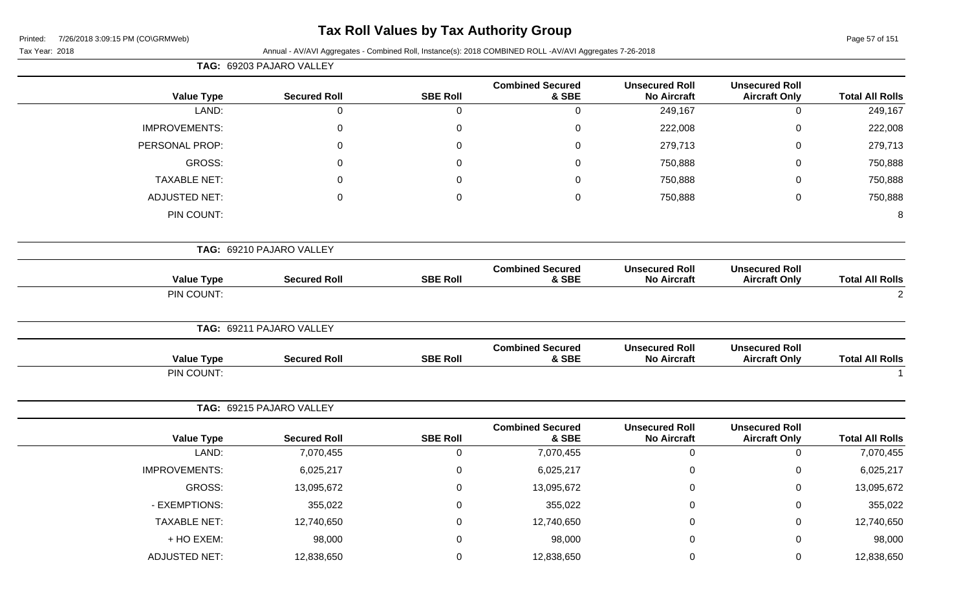# **Tax Roll Values by Tax Authority Group**

|                        |                                               |                                             |                                  |                  | TAG: 69203 PAJARO VALLEY |                      |
|------------------------|-----------------------------------------------|---------------------------------------------|----------------------------------|------------------|--------------------------|----------------------|
| <b>Total All Rolls</b> | <b>Unsecured Roll</b><br><b>Aircraft Only</b> | <b>Unsecured Roll</b><br><b>No Aircraft</b> | <b>Combined Secured</b><br>& SBE | <b>SBE Roll</b>  | <b>Secured Roll</b>      | <b>Value Type</b>    |
| 249,167                | $\mathbf 0$                                   | 249,167                                     | $\mathbf 0$                      | $\mathbf 0$      | $\mathbf 0$              | LAND:                |
| 222,008                | $\mathbf 0$                                   | 222,008                                     | $\pmb{0}$                        | $\pmb{0}$        | $\pmb{0}$                | <b>IMPROVEMENTS:</b> |
| 279,713                | $\mathbf 0$                                   | 279,713                                     | $\mathbf 0$                      | $\mathbf 0$      | 0                        | PERSONAL PROP:       |
| 750,888                | 0                                             | 750,888                                     | 0                                | $\mathbf 0$      | 0                        | GROSS:               |
| 750,888                | 0                                             | 750,888                                     | $\mathbf 0$                      | $\boldsymbol{0}$ | $\Omega$                 | <b>TAXABLE NET:</b>  |
| 750,888                | $\mathbf 0$                                   | 750,888                                     | $\mathbf 0$                      | $\boldsymbol{0}$ | 0                        | <b>ADJUSTED NET:</b> |
| 8                      |                                               |                                             |                                  |                  |                          | PIN COUNT:           |
|                        |                                               |                                             |                                  |                  | TAG: 69210 PAJARO VALLEY |                      |
| <b>Total All Rolls</b> | <b>Unsecured Roll</b><br><b>Aircraft Only</b> | <b>Unsecured Roll</b><br><b>No Aircraft</b> | <b>Combined Secured</b><br>& SBE | <b>SBE Roll</b>  | <b>Secured Roll</b>      | <b>Value Type</b>    |
| $\overline{2}$         |                                               |                                             |                                  |                  |                          | PIN COUNT:           |
|                        |                                               |                                             |                                  |                  | TAG: 69211 PAJARO VALLEY |                      |
| <b>Total All Rolls</b> | <b>Unsecured Roll</b><br><b>Aircraft Only</b> | <b>Unsecured Roll</b><br><b>No Aircraft</b> | <b>Combined Secured</b><br>& SBE | <b>SBE Roll</b>  | <b>Secured Roll</b>      | <b>Value Type</b>    |
|                        |                                               |                                             |                                  |                  |                          | PIN COUNT:           |
|                        |                                               |                                             |                                  |                  | TAG: 69215 PAJARO VALLEY |                      |
| <b>Total All Rolls</b> | <b>Unsecured Roll</b><br><b>Aircraft Only</b> | <b>Unsecured Roll</b><br><b>No Aircraft</b> | <b>Combined Secured</b><br>& SBE | <b>SBE Roll</b>  | <b>Secured Roll</b>      | <b>Value Type</b>    |
| 7,070,455              | $\mathbf 0$                                   | $\mathbf 0$                                 | 7,070,455                        | $\mathbf 0$      | 7,070,455                | LAND:                |
| 6,025,217              | 0                                             | $\mathbf 0$                                 | 6,025,217                        | $\mathbf 0$      | 6,025,217                | <b>IMPROVEMENTS:</b> |
| 13,095,672             | $\mathbf 0$                                   | $\pmb{0}$                                   | 13,095,672                       | $\mathsf 0$      | 13,095,672               | GROSS:               |
| 355,022                | 0                                             | $\mathbf 0$                                 | 355,022                          | $\mathbf 0$      | 355,022                  | - EXEMPTIONS:        |
| 12,740,650             | 0                                             | $\mathbf 0$                                 | 12,740,650                       | $\boldsymbol{0}$ | 12,740,650               | <b>TAXABLE NET:</b>  |
| 98,000                 | 0                                             | 0                                           | 98,000                           | 0                | 98,000                   | + HO EXEM:           |
| 12,838,650             | $\mathbf 0$                                   | $\mathbf 0$                                 | 12,838,650                       | $\mathbf 0$      | 12,838,650               | <b>ADJUSTED NET:</b> |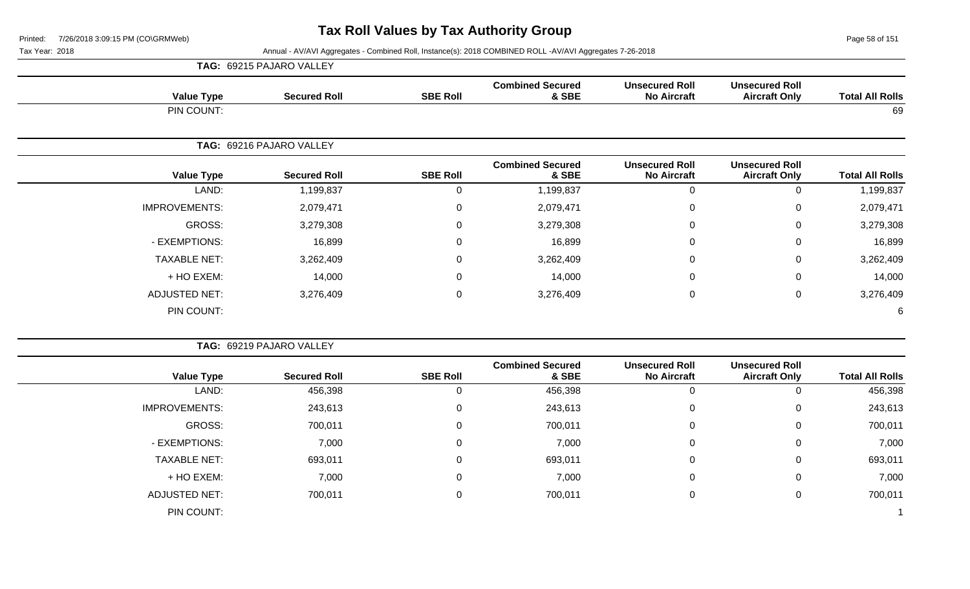Page 58 of 151

|                      | TAG: 69215 PAJARO VALLEY |                 |                                  |                                             |                                               |                        |
|----------------------|--------------------------|-----------------|----------------------------------|---------------------------------------------|-----------------------------------------------|------------------------|
| <b>Value Type</b>    | <b>Secured Roll</b>      | <b>SBE Roll</b> | <b>Combined Secured</b><br>& SBE | <b>Unsecured Roll</b><br><b>No Aircraft</b> | <b>Unsecured Roll</b><br><b>Aircraft Only</b> | <b>Total All Rolls</b> |
| PIN COUNT:           |                          |                 |                                  |                                             |                                               | 69                     |
|                      | TAG: 69216 PAJARO VALLEY |                 |                                  |                                             |                                               |                        |
| <b>Value Type</b>    | <b>Secured Roll</b>      | <b>SBE Roll</b> | <b>Combined Secured</b><br>& SBE | <b>Unsecured Roll</b><br><b>No Aircraft</b> | <b>Unsecured Roll</b><br><b>Aircraft Only</b> | <b>Total All Rolls</b> |
| LAND:                | 1,199,837                | 0               | 1,199,837                        | $\overline{0}$                              | 0                                             | 1,199,837              |
| <b>IMPROVEMENTS:</b> | 2,079,471                | 0               | 2,079,471                        | 0                                           | 0                                             | 2,079,471              |
| GROSS:               | 3,279,308                | 0               | 3,279,308                        | $\mathbf 0$                                 | 0                                             | 3,279,308              |
| - EXEMPTIONS:        | 16,899                   | 0               | 16,899                           | $\mathbf{0}$                                | 0                                             | 16,899                 |
| <b>TAXABLE NET:</b>  | 3,262,409                | 0               | 3,262,409                        | $\mathbf 0$                                 | 0                                             | 3,262,409              |
| + HO EXEM:           | 14,000                   | 0               | 14,000                           | 0                                           | 0                                             | 14,000                 |
| <b>ADJUSTED NET:</b> | 3,276,409                | $\pmb{0}$       | 3,276,409                        | $\mathbf 0$                                 | 0                                             | 3,276,409              |
| PIN COUNT:           |                          |                 |                                  |                                             |                                               | 6                      |

|                      | TAG: 69219 PAJARO VALLEY |                 |                                  |                                             |                                               |                        |
|----------------------|--------------------------|-----------------|----------------------------------|---------------------------------------------|-----------------------------------------------|------------------------|
| <b>Value Type</b>    | <b>Secured Roll</b>      | <b>SBE Roll</b> | <b>Combined Secured</b><br>& SBE | <b>Unsecured Roll</b><br><b>No Aircraft</b> | <b>Unsecured Roll</b><br><b>Aircraft Only</b> | <b>Total All Rolls</b> |
| LAND:                | 456,398                  | 0               | 456,398                          |                                             |                                               | 456,398                |
| <b>IMPROVEMENTS:</b> | 243,613                  | 0               | 243,613                          |                                             | 0                                             | 243,613                |
| <b>GROSS:</b>        | 700,011                  | 0               | 700,011                          |                                             | $\mathbf{0}$                                  | 700,011                |
| - EXEMPTIONS:        | 7,000                    | 0               | 7,000                            |                                             | 0                                             | 7,000                  |
| <b>TAXABLE NET:</b>  | 693,011                  | 0               | 693,011                          |                                             | $\mathbf 0$                                   | 693,011                |
| + HO EXEM:           | 7,000                    | 0               | 7,000                            |                                             | 0                                             | 7,000                  |
| <b>ADJUSTED NET:</b> | 700,011                  | 0               | 700,011                          |                                             | 0                                             | 700,011                |
| PIN COUNT:           |                          |                 |                                  |                                             |                                               |                        |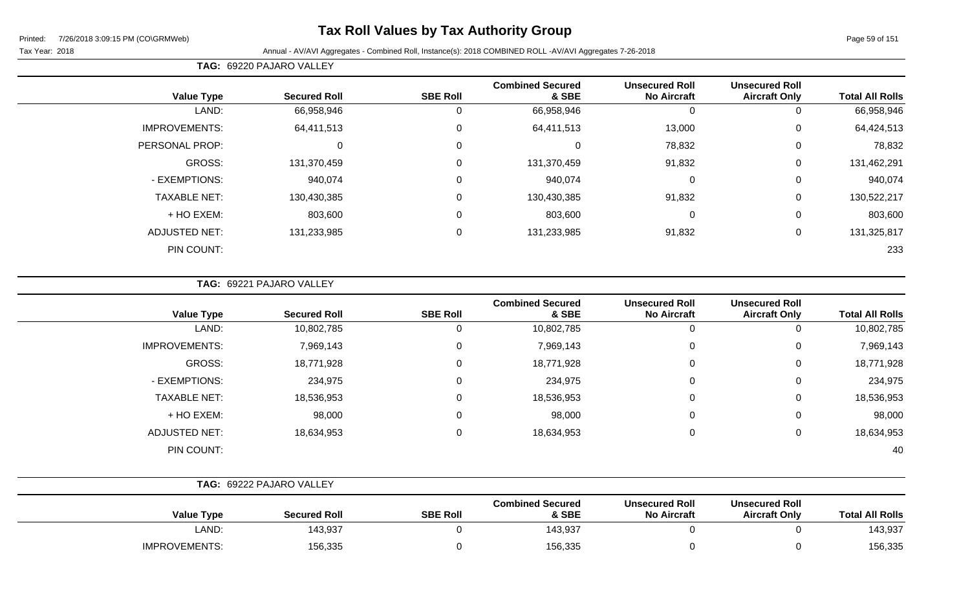# **Tax Roll Values by Tax Authority Group**

#### Tax Year: 2018 Annual - AV/AVI Aggregates - Combined Roll, Instance(s): 2018 COMBINED ROLL -AV/AVI Aggregates 7-26-2018

**TAG:** 69220 PAJARO VALLEY

|                      |                     |                 | <b>Combined Secured</b> | <b>Unsecured Roll</b> | <b>Unsecured Roll</b> |                        |
|----------------------|---------------------|-----------------|-------------------------|-----------------------|-----------------------|------------------------|
| <b>Value Type</b>    | <b>Secured Roll</b> | <b>SBE Roll</b> | & SBE                   | <b>No Aircraft</b>    | <b>Aircraft Only</b>  | <b>Total All Rolls</b> |
| LAND:                | 66,958,946          | 0               | 66,958,946              | -0                    |                       | 66,958,946             |
| <b>IMPROVEMENTS:</b> | 64,411,513          | $\mathbf 0$     | 64,411,513              | 13,000                | 0                     | 64,424,513             |
| PERSONAL PROP:       | 0                   | $\mathbf 0$     |                         | 78,832                | $\Omega$              | 78,832                 |
| GROSS:               | 131,370,459         | 0               | 131,370,459             | 91,832                | 0                     | 131,462,291            |
| - EXEMPTIONS:        | 940,074             | 0               | 940,074                 | 0                     | 0                     | 940,074                |
| <b>TAXABLE NET:</b>  | 130,430,385         | 0               | 130,430,385             | 91,832                | 0                     | 130,522,217            |
| + HO EXEM:           | 803,600             | $\mathbf 0$     | 803,600                 | 0                     | 0                     | 803,600                |
| <b>ADJUSTED NET:</b> | 131,233,985         | 0               | 131,233,985             | 91,832                | 0                     | 131,325,817            |
| PIN COUNT:           |                     |                 |                         |                       |                       | 233                    |

**TAG:** 69221 PAJARO VALLEY

| <b>Value Type</b>    | <b>Secured Roll</b> | <b>SBE Roll</b> | <b>Combined Secured</b><br>& SBE | <b>Unsecured Roll</b><br><b>No Aircraft</b> | <b>Unsecured Roll</b><br><b>Aircraft Only</b> | <b>Total All Rolls</b> |
|----------------------|---------------------|-----------------|----------------------------------|---------------------------------------------|-----------------------------------------------|------------------------|
| LAND:                | 10,802,785          | 0               | 10,802,785                       | 0                                           |                                               | 10,802,785             |
| <b>IMPROVEMENTS:</b> | 7,969,143           | 0               | 7,969,143                        | $\mathbf 0$                                 | 0                                             | 7,969,143              |
| GROSS:               | 18,771,928          | 0               | 18,771,928                       | $\mathbf 0$                                 | 0                                             | 18,771,928             |
| - EXEMPTIONS:        | 234,975             | 0               | 234,975                          | $\mathbf 0$                                 | 0                                             | 234,975                |
| <b>TAXABLE NET:</b>  | 18,536,953          | 0               | 18,536,953                       | 0                                           | 0                                             | 18,536,953             |
| + HO EXEM:           | 98,000              | 0               | 98,000                           | $\mathbf 0$                                 | 0                                             | 98,000                 |
| <b>ADJUSTED NET:</b> | 18,634,953          | 0               | 18,634,953                       | $\mathbf 0$                                 | 0                                             | 18,634,953             |
| PIN COUNT:           |                     |                 |                                  |                                             |                                               | 40                     |

|                      | TAG: 69222 PAJARO VALLEY |                 |                                  |                                             |                                               |                        |
|----------------------|--------------------------|-----------------|----------------------------------|---------------------------------------------|-----------------------------------------------|------------------------|
| <b>Value Type</b>    | <b>Secured Roll</b>      | <b>SBE Roll</b> | <b>Combined Secured</b><br>& SBE | <b>Unsecured Roll</b><br><b>No Aircraft</b> | <b>Unsecured Roll</b><br><b>Aircraft Only</b> | <b>Total All Rolls</b> |
| LAND:                | 143,937                  |                 | 143,937                          |                                             |                                               | 143,937                |
| <b>IMPROVEMENTS:</b> | 156,335                  |                 | 156,335                          |                                             |                                               | 156,335                |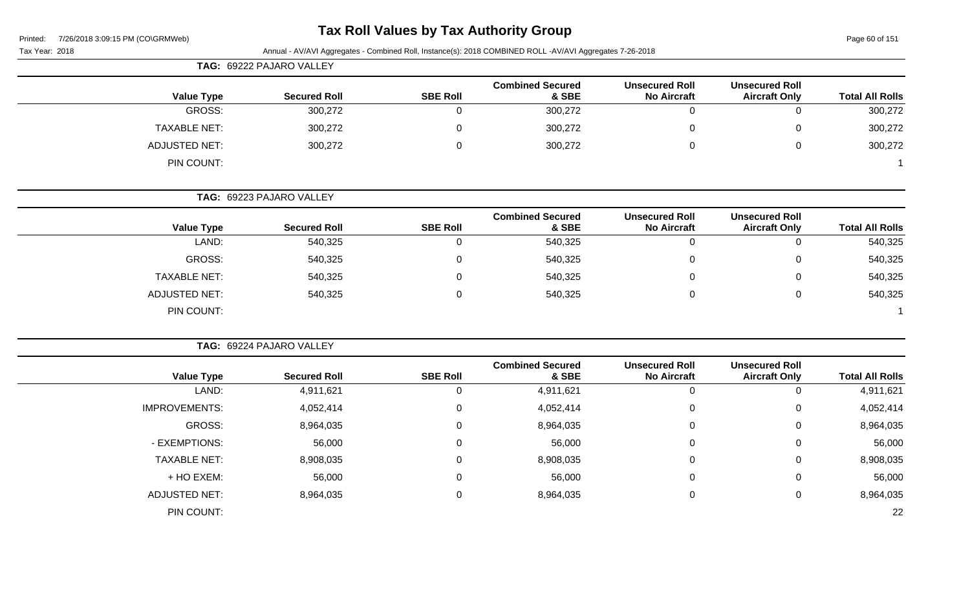| Printed: | 7/26/2018 3:09:15 PM (CO\GRMWeb) |  |
|----------|----------------------------------|--|
|          |                                  |  |

Page 60 of 151

| <b>TILOILO J.OJ. IJ I IN (OONDININGD)</b><br>Tax Year: 2018 |                          |                  | Annual - AV/AVI Aggregates - Combined Roll, Instance(s): 2018 COMBINED ROLL -AV/AVI Aggregates 7-26-2018 |                                             |                                               | $1$ agu vu vi 191      |
|-------------------------------------------------------------|--------------------------|------------------|----------------------------------------------------------------------------------------------------------|---------------------------------------------|-----------------------------------------------|------------------------|
|                                                             | TAG: 69222 PAJARO VALLEY |                  |                                                                                                          |                                             |                                               |                        |
| <b>Value Type</b>                                           | <b>Secured Roll</b>      | <b>SBE Roll</b>  | <b>Combined Secured</b><br>& SBE                                                                         | <b>Unsecured Roll</b><br><b>No Aircraft</b> | <b>Unsecured Roll</b><br><b>Aircraft Only</b> | <b>Total All Rolls</b> |
| <b>GROSS:</b>                                               | 300,272                  | $\mathbf 0$      | 300,272                                                                                                  | $\mathbf 0$                                 | $\mathbf 0$                                   | 300,272                |
| <b>TAXABLE NET:</b>                                         | 300,272                  | 0                | 300,272                                                                                                  | $\Omega$                                    | 0                                             | 300,272                |
| <b>ADJUSTED NET:</b>                                        | 300,272                  | $\boldsymbol{0}$ | 300,272                                                                                                  | 0                                           | $\mathsf 0$                                   | 300,272                |
| PIN COUNT:                                                  |                          |                  |                                                                                                          |                                             |                                               |                        |
|                                                             | TAG: 69223 PAJARO VALLEY |                  |                                                                                                          |                                             |                                               |                        |
| <b>Value Type</b>                                           | <b>Secured Roll</b>      | <b>SBE Roll</b>  | <b>Combined Secured</b><br>& SBE                                                                         | <b>Unsecured Roll</b><br><b>No Aircraft</b> | <b>Unsecured Roll</b><br><b>Aircraft Only</b> | <b>Total All Rolls</b> |
| LAND:                                                       | 540,325                  | $\mathbf 0$      | 540,325                                                                                                  | $\mathbf 0$                                 | $\mathbf 0$                                   | 540,325                |
| <b>GROSS:</b>                                               | 540,325                  | 0                | 540,325                                                                                                  | $\Omega$                                    | $\mathbf 0$                                   | 540,325                |
| <b>TAXABLE NET:</b>                                         | 540,325                  | 0                | 540,325                                                                                                  | $\Omega$                                    | $\mathbf 0$                                   | 540,325                |
| <b>ADJUSTED NET:</b>                                        | 540,325                  | 0                | 540,325                                                                                                  | $\mathbf 0$                                 | $\mathbf 0$                                   | 540,325                |
| PIN COUNT:                                                  |                          |                  |                                                                                                          |                                             |                                               |                        |
|                                                             | TAG: 69224 PAJARO VALLEY |                  |                                                                                                          |                                             |                                               |                        |
| <b>Value Type</b>                                           | <b>Secured Roll</b>      | <b>SBE Roll</b>  | <b>Combined Secured</b><br>& SBE                                                                         | <b>Unsecured Roll</b><br><b>No Aircraft</b> | <b>Unsecured Roll</b><br><b>Aircraft Only</b> | <b>Total All Rolls</b> |
| LAND:                                                       | 4,911,621                | $\mathbf 0$      | 4,911,621                                                                                                | $\boldsymbol{0}$                            | $\mathbf 0$                                   | 4,911,621              |
| <b>IMPROVEMENTS:</b>                                        | 4,052,414                | $\pmb{0}$        | 4,052,414                                                                                                | 0                                           | $\mathbf 0$                                   | 4,052,414              |
| <b>GROSS:</b>                                               | 8,964,035                | 0                | 8,964,035                                                                                                | $\Omega$                                    | 0                                             | 8,964,035              |
| - EXEMPTIONS:                                               | 56,000                   | 0                | 56,000                                                                                                   | $\Omega$                                    | $\mathbf 0$                                   | 56,000                 |
| <b>TAXABLE NET:</b>                                         | 8,908,035                | 0                | 8,908,035                                                                                                | 0                                           | $\mathbf 0$                                   | 8,908,035              |
| + HO EXEM:                                                  | 56,000                   | 0                | 56,000                                                                                                   | 0                                           | $\mathbf 0$                                   | 56,000                 |
| <b>ADJUSTED NET:</b>                                        | 8,964,035                | 0                | 8,964,035                                                                                                | $\mathbf 0$                                 | $\mathbf 0$                                   | 8,964,035              |
| PIN COUNT:                                                  |                          |                  |                                                                                                          |                                             |                                               | 22                     |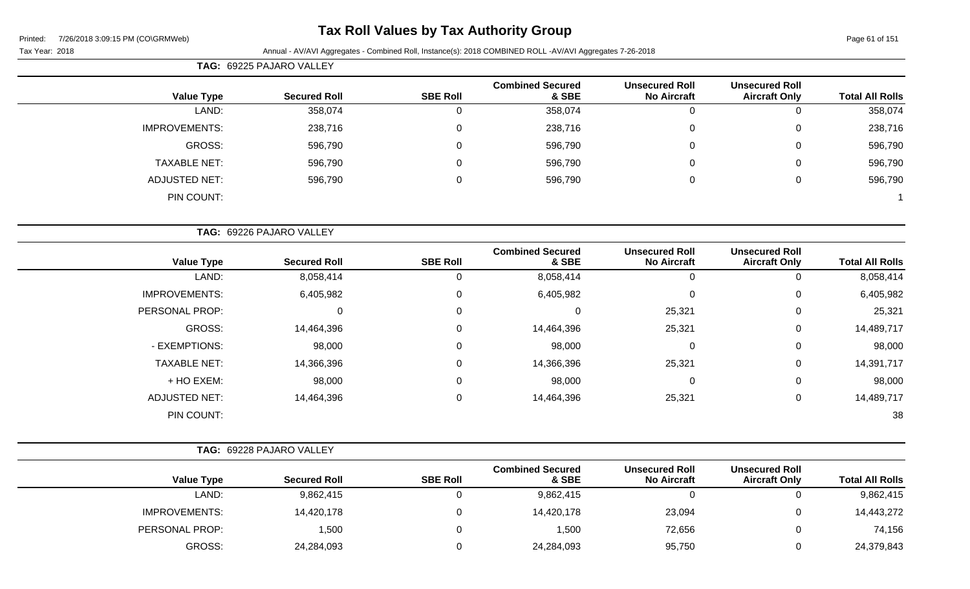# **Tax Roll Values by Tax Authority Group**

| <b>TAG: 69225 PAJARO VALLEY</b> |
|---------------------------------|

| <b>Total All Rolls</b> | <b>Unsecured Roll</b><br><b>Aircraft Only</b> | <b>Unsecured Roll</b><br><b>No Aircraft</b> | <b>Combined Secured</b><br>& SBE | <b>SBE Roll</b> | <b>Secured Roll</b> | <b>Value Type</b>    |
|------------------------|-----------------------------------------------|---------------------------------------------|----------------------------------|-----------------|---------------------|----------------------|
| 358,074                | ◡                                             | 0                                           | 358,074                          | 0               | 358,074             | LAND:                |
| 238,716                | U                                             | 0                                           | 238,716                          | 0               | 238,716             | <b>IMPROVEMENTS:</b> |
| 596,790                | U                                             | 0                                           | 596,790                          | 0               | 596,790             | <b>GROSS:</b>        |
| 596,790                | U                                             | 0                                           | 596,790                          | 0               | 596,790             | <b>TAXABLE NET:</b>  |
| 596,790                | U                                             | 0                                           | 596,790                          | 0               | 596,790             | <b>ADJUSTED NET:</b> |
|                        |                                               |                                             |                                  |                 |                     | PIN COUNT:           |
|                        |                                               |                                             |                                  |                 |                     |                      |

|                      | TAG: 69226 PAJARO VALLEY |                 |                                  |                                             |                                               |                        |
|----------------------|--------------------------|-----------------|----------------------------------|---------------------------------------------|-----------------------------------------------|------------------------|
| <b>Value Type</b>    | <b>Secured Roll</b>      | <b>SBE Roll</b> | <b>Combined Secured</b><br>& SBE | <b>Unsecured Roll</b><br><b>No Aircraft</b> | <b>Unsecured Roll</b><br><b>Aircraft Only</b> | <b>Total All Rolls</b> |
| LAND:                | 8,058,414                |                 | 8,058,414                        | 0                                           |                                               | 8,058,414              |
| <b>IMPROVEMENTS:</b> | 6,405,982                | $\Omega$        | 6,405,982                        | $\mathbf 0$                                 | 0                                             | 6,405,982              |
| PERSONAL PROP:       | 0                        | 0               | 0                                | 25,321                                      | 0                                             | 25,321                 |
| GROSS:               | 14,464,396               | $\Omega$        | 14,464,396                       | 25,321                                      | $\Omega$                                      | 14,489,717             |
| - EXEMPTIONS:        | 98,000                   | $\Omega$        | 98,000                           | $\mathbf 0$                                 | 0                                             | 98,000                 |
| <b>TAXABLE NET:</b>  | 14,366,396               | $\Omega$        | 14,366,396                       | 25,321                                      | 0                                             | 14,391,717             |
| + HO EXEM:           | 98,000                   | 0               | 98,000                           | 0                                           | 0                                             | 98,000                 |
| <b>ADJUSTED NET:</b> | 14,464,396               | $\Omega$        | 14,464,396                       | 25,321                                      | 0                                             | 14,489,717             |
| PIN COUNT:           |                          |                 |                                  |                                             |                                               | 38                     |

|                        |                                               |                                             |                                  |                 | <b>TAG: 69228 PAJARO VALLEY</b> |                      |
|------------------------|-----------------------------------------------|---------------------------------------------|----------------------------------|-----------------|---------------------------------|----------------------|
| <b>Total All Rolls</b> | <b>Unsecured Roll</b><br><b>Aircraft Only</b> | <b>Unsecured Roll</b><br><b>No Aircraft</b> | <b>Combined Secured</b><br>& SBE | <b>SBE Roll</b> | <b>Secured Roll</b>             | Value Type           |
| 9,862,415              |                                               |                                             | 9,862,415                        |                 | 9,862,415                       | LAND:                |
| 14,443,272             |                                               | 23,094                                      | 14,420,178                       |                 | 14,420,178                      | <b>IMPROVEMENTS:</b> |
| 74,156                 |                                               | 72,656                                      | 1,500                            |                 | 1,500                           | PERSONAL PROP:       |
| 24,379,843             |                                               | 95,750                                      | 24,284,093                       |                 | 24,284,093                      | <b>GROSS:</b>        |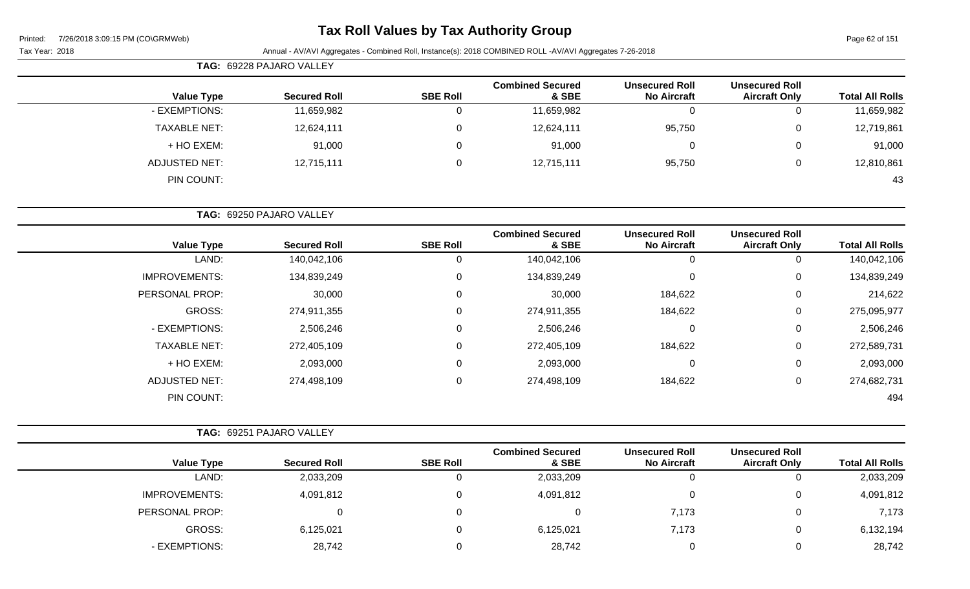# **Tax Roll Values by Tax Authority Group**

|                      | <b>TAG: 69228 PAJARO VALLEY</b> |                 |                                  |                                             |                                               |                        |
|----------------------|---------------------------------|-----------------|----------------------------------|---------------------------------------------|-----------------------------------------------|------------------------|
| <b>Value Type</b>    | <b>Secured Roll</b>             | <b>SBE Roll</b> | <b>Combined Secured</b><br>& SBE | <b>Unsecured Roll</b><br><b>No Aircraft</b> | <b>Unsecured Roll</b><br><b>Aircraft Only</b> | <b>Total All Rolls</b> |
| - EXEMPTIONS:        | 11,659,982                      | 0               | 11,659,982                       | 0                                           |                                               | 11,659,982             |
| <b>TAXABLE NET:</b>  | 12,624,111                      | $\mathbf 0$     | 12,624,111                       | 95,750                                      | $\mathbf 0$                                   | 12,719,861             |
| + HO EXEM:           | 91,000                          | 0               | 91,000                           | 0                                           | $\mathbf 0$                                   | 91,000                 |
| <b>ADJUSTED NET:</b> | 12,715,111                      | 0               | 12,715,111                       | 95,750                                      | 0                                             | 12,810,861             |
| PIN COUNT:           |                                 |                 |                                  |                                             |                                               | 43                     |
|                      | TAG: 69250 PAJARO VALLEY        |                 |                                  |                                             |                                               |                        |
| <b>Value Type</b>    | <b>Secured Roll</b>             | <b>SBE Roll</b> | <b>Combined Secured</b><br>& SBE | <b>Unsecured Roll</b><br><b>No Aircraft</b> | <b>Unsecured Roll</b><br><b>Aircraft Only</b> | <b>Total All Rolls</b> |
| LAND:                | 140,042,106                     | 0               | 140,042,106                      | 0                                           | 0                                             | 140,042,106            |
| <b>IMPROVEMENTS:</b> | 134,839,249                     | $\mathbf 0$     | 134,839,249                      | $\pmb{0}$                                   | $\mathbf 0$                                   | 134,839,249            |

| 140,042,106 | 0 | 0       | 140,042,106 | 0 | 140,042,106 | LAND:                |
|-------------|---|---------|-------------|---|-------------|----------------------|
| 134,839,249 | 0 | 0       | 134,839,249 | 0 | 134,839,249 | <b>IMPROVEMENTS:</b> |
| 214,622     | 0 | 184,622 | 30,000      | 0 | 30,000      | PERSONAL PROP:       |
| 275,095,977 | 0 | 184,622 | 274,911,355 | 0 | 274,911,355 | <b>GROSS:</b>        |
| 2,506,246   | 0 | 0       | 2,506,246   | 0 | 2,506,246   | - EXEMPTIONS:        |
| 272,589,731 | 0 | 184,622 | 272,405,109 | 0 | 272,405,109 | <b>TAXABLE NET:</b>  |
| 2,093,000   | 0 | 0       | 2,093,000   | 0 | 2,093,000   | + HO EXEM:           |
| 274,682,731 | 0 | 184,622 | 274,498,109 | 0 | 274,498,109 | <b>ADJUSTED NET:</b> |
| 494         |   |         |             |   |             | PIN COUNT:           |

|                      | <b>TAG: 69251 PAJARO VALLEY</b> |                 |                                  |                                             |                                               |                        |
|----------------------|---------------------------------|-----------------|----------------------------------|---------------------------------------------|-----------------------------------------------|------------------------|
| <b>Value Type</b>    | <b>Secured Roll</b>             | <b>SBE Roll</b> | <b>Combined Secured</b><br>& SBE | <b>Unsecured Roll</b><br><b>No Aircraft</b> | <b>Unsecured Roll</b><br><b>Aircraft Only</b> | <b>Total All Rolls</b> |
| LAND:                | 2,033,209                       |                 | 2,033,209                        | 0                                           |                                               | 2,033,209              |
| <b>IMPROVEMENTS:</b> | 4,091,812                       |                 | 4,091,812                        | 0                                           |                                               | 4,091,812              |
| PERSONAL PROP:       |                                 |                 |                                  | 7,173                                       |                                               | 7,173                  |
| GROSS:               | 6,125,021                       |                 | 6,125,021                        | 7,173                                       |                                               | 6,132,194              |
| - EXEMPTIONS:        | 28,742                          |                 | 28,742                           | 0                                           | 0                                             | 28,742                 |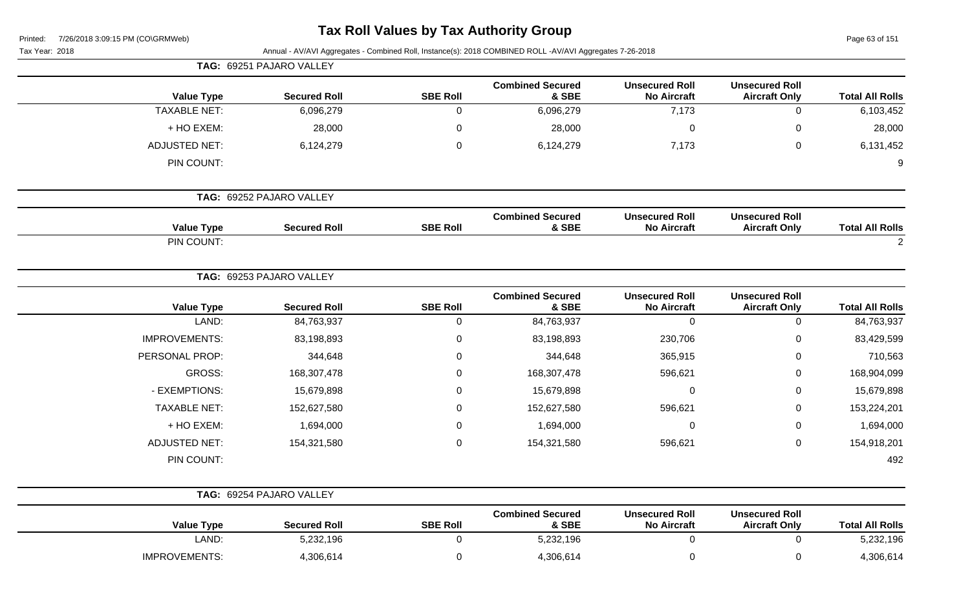| Printed: |  | 7/26/2018 3:09:15 PM (CO\GRMWeb) |
|----------|--|----------------------------------|
|          |  |                                  |

Page 63 of 151

|                        |                                               |                                             | Annual - AV/AVI Aggregates - Combined Roll, Instance(s): 2018 COMBINED ROLL -AV/AVI Aggregates 7-26-2018 |                 |                          | Tax Year: 2018       |
|------------------------|-----------------------------------------------|---------------------------------------------|----------------------------------------------------------------------------------------------------------|-----------------|--------------------------|----------------------|
|                        |                                               |                                             |                                                                                                          |                 | TAG: 69251 PAJARO VALLEY |                      |
| <b>Total All Rolls</b> | <b>Unsecured Roll</b><br><b>Aircraft Only</b> | <b>Unsecured Roll</b><br><b>No Aircraft</b> | <b>Combined Secured</b><br>& SBE                                                                         | <b>SBE Roll</b> | <b>Secured Roll</b>      | <b>Value Type</b>    |
| 6,103,452              | $\mathbf 0$                                   | 7,173                                       | 6,096,279                                                                                                | 0               | 6,096,279                | <b>TAXABLE NET:</b>  |
| 28,000                 | 0                                             | 0                                           | 28,000                                                                                                   | 0               | 28,000                   | + HO EXEM:           |
| 6,131,452              | 0                                             | 7,173                                       | 6,124,279                                                                                                | 0               | 6,124,279                | <b>ADJUSTED NET:</b> |
| 9                      |                                               |                                             |                                                                                                          |                 |                          | PIN COUNT:           |
|                        |                                               |                                             |                                                                                                          |                 | TAG: 69252 PAJARO VALLEY |                      |
| <b>Total All Rolls</b> | <b>Unsecured Roll</b><br><b>Aircraft Only</b> | <b>Unsecured Roll</b><br><b>No Aircraft</b> | <b>Combined Secured</b><br>& SBE                                                                         | <b>SBE Roll</b> | <b>Secured Roll</b>      | <b>Value Type</b>    |
| $\overline{2}$         |                                               |                                             |                                                                                                          |                 |                          | PIN COUNT:           |
|                        |                                               |                                             |                                                                                                          |                 | TAG: 69253 PAJARO VALLEY |                      |
| <b>Total All Rolls</b> | <b>Unsecured Roll</b><br><b>Aircraft Only</b> | <b>Unsecured Roll</b><br><b>No Aircraft</b> | <b>Combined Secured</b><br>& SBE                                                                         | <b>SBE Roll</b> | <b>Secured Roll</b>      | <b>Value Type</b>    |
| 84,763,937             | $\mathbf 0$                                   | 0                                           | 84,763,937                                                                                               | 0               | 84,763,937               | LAND:                |
| 83,429,599             | 0                                             | 230,706                                     | 83,198,893                                                                                               | 0               | 83,198,893               | <b>IMPROVEMENTS:</b> |
| 710,563                | 0                                             | 365,915                                     | 344,648                                                                                                  | 0               | 344,648                  | PERSONAL PROP:       |
| 168,904,099            | 0                                             | 596,621                                     | 168,307,478                                                                                              | 0               | 168,307,478              | <b>GROSS:</b>        |
| 15,679,898             | 0                                             | $\mathbf 0$                                 | 15,679,898                                                                                               | 0               | 15,679,898               | - EXEMPTIONS:        |
| 153,224,201            | 0                                             | 596,621                                     | 152,627,580                                                                                              | 0               | 152,627,580              | <b>TAXABLE NET:</b>  |
| 1,694,000              | 0                                             | 0                                           | 1,694,000                                                                                                | 0               | 1,694,000                | + HO EXEM:           |
| 154,918,201            | 0                                             | 596,621                                     | 154,321,580                                                                                              | 0               | 154,321,580              | <b>ADJUSTED NET:</b> |
| 492                    |                                               |                                             |                                                                                                          |                 |                          | PIN COUNT:           |
|                        |                                               |                                             |                                                                                                          |                 | TAG: 69254 PAJARO VALLEY |                      |
| <b>Total All Rolls</b> | <b>Unsecured Roll</b><br><b>Aircraft Only</b> | <b>Unsecured Roll</b><br><b>No Aircraft</b> | <b>Combined Secured</b><br>& SBE                                                                         | <b>SBE Roll</b> | <b>Secured Roll</b>      | <b>Value Type</b>    |
| 5,232,196              | 0                                             | $\mathbf 0$                                 | 5,232,196                                                                                                | 0               | 5,232,196                | LAND:                |
| 4,306,614              | 0                                             | $\mathbf 0$                                 | 4,306,614                                                                                                | 0               | 4,306,614                | IMPROVEMENTS:        |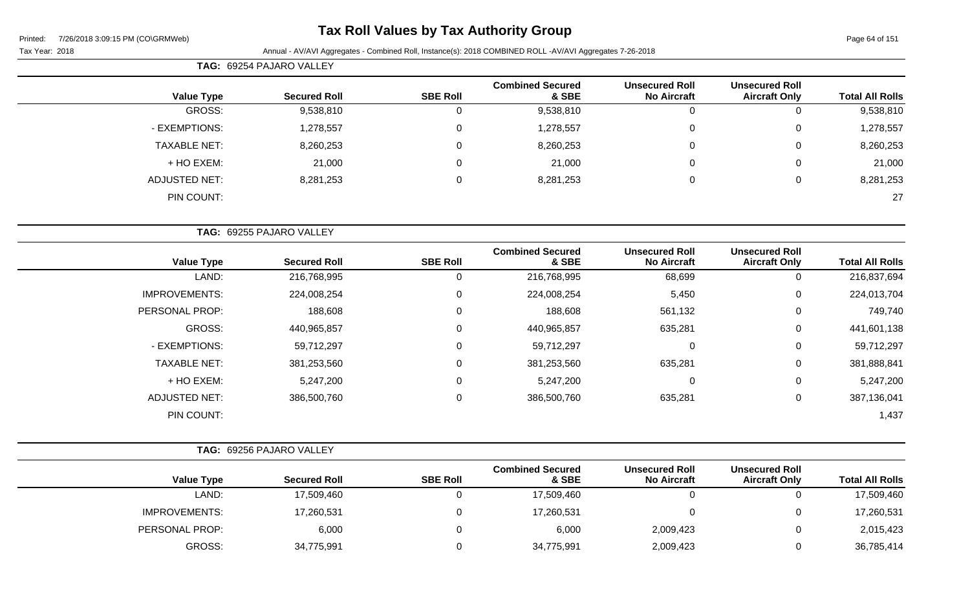# **Tax Roll Values by Tax Authority Group**

|                     | <b>TAG: 69254 PAJARO VALLEY</b> |                 |                                  |                                             |                                               |                        |
|---------------------|---------------------------------|-----------------|----------------------------------|---------------------------------------------|-----------------------------------------------|------------------------|
| <b>Value Type</b>   | <b>Secured Roll</b>             | <b>SBE Roll</b> | <b>Combined Secured</b><br>& SBE | <b>Unsecured Roll</b><br><b>No Aircraft</b> | <b>Unsecured Roll</b><br><b>Aircraft Only</b> | <b>Total All Rolls</b> |
| GROSS:              | 9,538,810                       | U               | 9,538,810                        |                                             |                                               | 9,538,810              |
| - EXEMPTIONS:       | 1,278,557                       | 0               | 1,278,557                        | 0                                           | 0                                             | 1,278,557              |
| <b>TAXABLE NET:</b> | 8,260,253                       | 0               | 8,260,253                        | 0                                           | 0                                             | 8,260,253              |
| + HO EXEM:          | 21,000                          | 0               | 21,000                           | 0                                           | 0                                             | 21,000                 |
| ADJUSTED NET:       | 8,281,253                       | 0               | 8,281,253                        | 0                                           | 0                                             | 8,281,253              |
| PIN COUNT:          |                                 |                 |                                  |                                             |                                               | 27                     |

|                        |                                               |                                             |                                  | TAG: 69255 PAJARO VALLEY |                     |                      |  |  |  |
|------------------------|-----------------------------------------------|---------------------------------------------|----------------------------------|--------------------------|---------------------|----------------------|--|--|--|
| <b>Total All Rolls</b> | <b>Unsecured Roll</b><br><b>Aircraft Only</b> | <b>Unsecured Roll</b><br><b>No Aircraft</b> | <b>Combined Secured</b><br>& SBE | <b>SBE Roll</b>          | <b>Secured Roll</b> | <b>Value Type</b>    |  |  |  |
| 216,837,694            | $\mathbf 0$                                   | 68,699                                      | 216,768,995                      | 0                        | 216,768,995         | LAND:                |  |  |  |
| 224,013,704            | $\mathbf 0$                                   | 5,450                                       | 224,008,254                      | 0                        | 224,008,254         | <b>IMPROVEMENTS:</b> |  |  |  |
| 749,740                | $\mathbf 0$                                   | 561,132                                     | 188,608                          | $\mathbf 0$              | 188,608             | PERSONAL PROP:       |  |  |  |
| 441,601,138            | $\mathbf 0$                                   | 635,281                                     | 440,965,857                      | 0                        | 440,965,857         | GROSS:               |  |  |  |
| 59,712,297             | $\mathbf 0$                                   | $\overline{0}$                              | 59,712,297                       | 0                        | 59,712,297          | - EXEMPTIONS:        |  |  |  |
| 381,888,841            | $\mathbf 0$                                   | 635,281                                     | 381,253,560                      | $\mathbf 0$              | 381,253,560         | <b>TAXABLE NET:</b>  |  |  |  |
| 5,247,200              | $\mathbf 0$                                   | 0                                           | 5,247,200                        | $\mathbf 0$              | 5,247,200           | + HO EXEM:           |  |  |  |
| 387,136,041            | $\mathbf 0$                                   | 635,281                                     | 386,500,760                      | 0                        | 386,500,760         | <b>ADJUSTED NET:</b> |  |  |  |
| 1,437                  |                                               |                                             |                                  |                          |                     | PIN COUNT:           |  |  |  |

|                      | TAG: 69256 PAJARO VALLEY |                 |                                  |                                             |                                               |                        |
|----------------------|--------------------------|-----------------|----------------------------------|---------------------------------------------|-----------------------------------------------|------------------------|
| <b>Value Type</b>    | <b>Secured Roll</b>      | <b>SBE Roll</b> | <b>Combined Secured</b><br>& SBE | <b>Unsecured Roll</b><br><b>No Aircraft</b> | <b>Unsecured Roll</b><br><b>Aircraft Only</b> | <b>Total All Rolls</b> |
| LAND:                | 17,509,460               |                 | 17,509,460                       |                                             | 0                                             | 17,509,460             |
| <b>IMPROVEMENTS:</b> | 17,260,531               |                 | 17,260,531                       |                                             | 0                                             | 17,260,531             |
| PERSONAL PROP:       | 6,000                    |                 | 6,000                            | 2,009,423                                   | 0                                             | 2,015,423              |
| GROSS:               | 34,775,991               |                 | 34,775,991                       | 2,009,423                                   | 0                                             | 36,785,414             |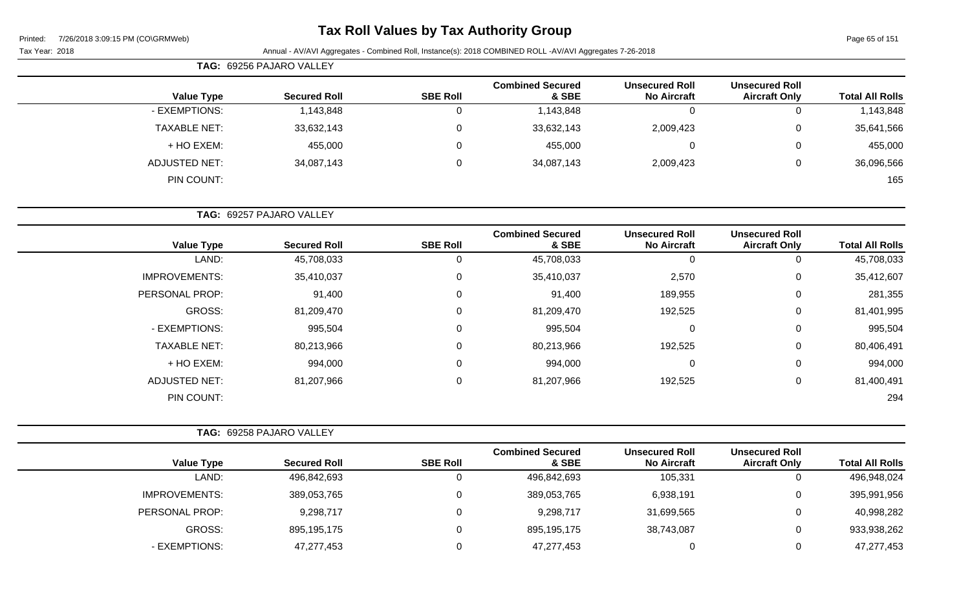# **Tax Roll Values by Tax Authority Group**

|                     | TAG: 69256 PAJARO VALLEY |                 |                                  |                                             |                                               |                        |
|---------------------|--------------------------|-----------------|----------------------------------|---------------------------------------------|-----------------------------------------------|------------------------|
| <b>Value Type</b>   | <b>Secured Roll</b>      | <b>SBE Roll</b> | <b>Combined Secured</b><br>& SBE | <b>Unsecured Roll</b><br><b>No Aircraft</b> | <b>Unsecured Roll</b><br><b>Aircraft Only</b> | <b>Total All Rolls</b> |
| - EXEMPTIONS:       | 1,143,848                |                 | 1,143,848                        | 0                                           | 0                                             | 1,143,848              |
| <b>TAXABLE NET:</b> | 33,632,143               |                 | 33,632,143                       | 2,009,423                                   | 0                                             | 35,641,566             |
| + HO EXEM:          | 455,000                  |                 | 455,000                          | 0                                           | 0                                             | 455,000                |
| ADJUSTED NET:       | 34,087,143               | 0               | 34,087,143                       | 2,009,423                                   | 0                                             | 36,096,566             |
| PIN COUNT:          |                          |                 |                                  |                                             |                                               | 165                    |

|                        |                                               |                                             |                                  |                 | TAG: 69257 PAJARO VALLEY |                      |  |  |  |
|------------------------|-----------------------------------------------|---------------------------------------------|----------------------------------|-----------------|--------------------------|----------------------|--|--|--|
| <b>Total All Rolls</b> | <b>Unsecured Roll</b><br><b>Aircraft Only</b> | <b>Unsecured Roll</b><br><b>No Aircraft</b> | <b>Combined Secured</b><br>& SBE | <b>SBE Roll</b> | <b>Secured Roll</b>      | <b>Value Type</b>    |  |  |  |
| 45,708,033             | 0                                             | 0                                           | 45,708,033                       | 0               | 45,708,033               | LAND:                |  |  |  |
| 35,412,607             | 0                                             | 2,570                                       | 35,410,037                       | 0               | 35,410,037               | <b>IMPROVEMENTS:</b> |  |  |  |
| 281,355                | 0                                             | 189,955                                     | 91,400                           | $\mathbf 0$     | 91,400                   | PERSONAL PROP:       |  |  |  |
| 81,401,995             | 0                                             | 192,525                                     | 81,209,470                       | 0               | 81,209,470               | <b>GROSS:</b>        |  |  |  |
| 995,504                | $\mathbf 0$                                   | 0                                           | 995,504                          | 0               | 995,504                  | - EXEMPTIONS:        |  |  |  |
| 80,406,491             | 0                                             | 192,525                                     | 80,213,966                       | 0               | 80,213,966               | <b>TAXABLE NET:</b>  |  |  |  |
| 994,000                | 0                                             | 0                                           | 994,000                          | $\mathbf 0$     | 994,000                  | + HO EXEM:           |  |  |  |
| 81,400,491             | $\mathbf 0$                                   | 192,525                                     | 81,207,966                       | 0               | 81,207,966               | <b>ADJUSTED NET:</b> |  |  |  |
| 294                    |                                               |                                             |                                  |                 |                          | PIN COUNT:           |  |  |  |

| <b>TAG: 69258 PAJARO VALLEY</b> |                 |                                  |                                             |                                               |                        |
|---------------------------------|-----------------|----------------------------------|---------------------------------------------|-----------------------------------------------|------------------------|
| <b>Secured Roll</b>             | <b>SBE Roll</b> | <b>Combined Secured</b><br>& SBE | <b>Unsecured Roll</b><br><b>No Aircraft</b> | <b>Unsecured Roll</b><br><b>Aircraft Only</b> | <b>Total All Rolls</b> |
| 496,842,693                     |                 | 496,842,693                      | 105,331                                     |                                               | 496,948,024            |
| 389,053,765                     |                 | 389,053,765                      | 6,938,191                                   |                                               | 395,991,956            |
| 9,298,717                       |                 | 9,298,717                        | 31,699,565                                  |                                               | 40,998,282             |
| 895,195,175                     |                 | 895,195,175                      | 38,743,087                                  | υ                                             | 933,938,262            |
| 47,277,453                      |                 | 47,277,453                       |                                             |                                               | 47,277,453             |
|                                 |                 |                                  |                                             |                                               |                        |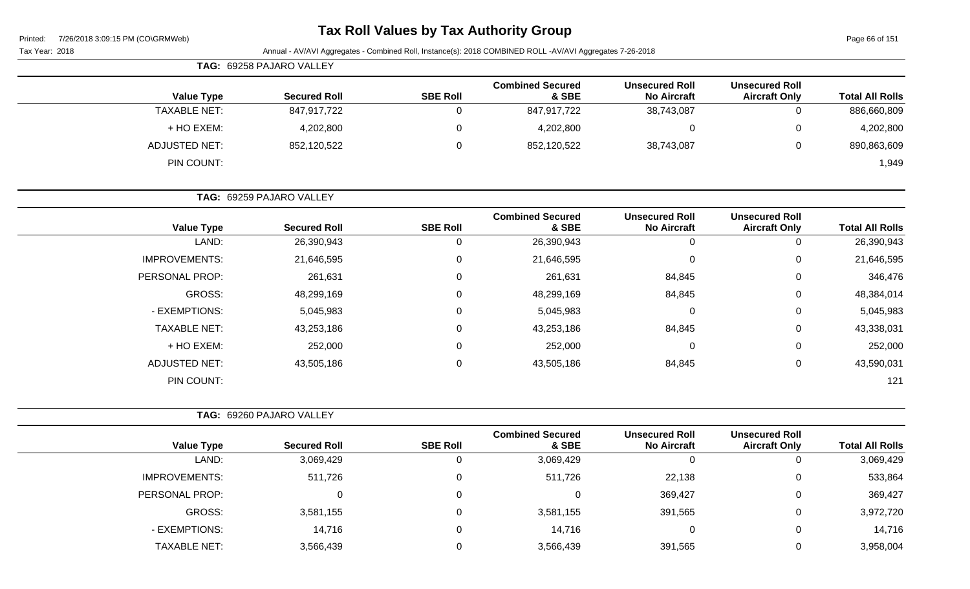| Printed: |  | 7/26/2018 3:09:15 PM (CO\GRMWeb) |
|----------|--|----------------------------------|
|          |  |                                  |

Page 66 of 151

| $1/20/2010$ 3.00.10 1 ivi (00.01.1111100)<br>Tax Year: 2018 |                          |                 | Annual - AV/AVI Aggregates - Combined Roll, Instance(s): 2018 COMBINED ROLL -AV/AVI Aggregates 7-26-2018 |                                             |                                               | $1$ agd 00 01 10 1     |
|-------------------------------------------------------------|--------------------------|-----------------|----------------------------------------------------------------------------------------------------------|---------------------------------------------|-----------------------------------------------|------------------------|
|                                                             | TAG: 69258 PAJARO VALLEY |                 |                                                                                                          |                                             |                                               |                        |
| <b>Value Type</b>                                           | <b>Secured Roll</b>      | <b>SBE Roll</b> | <b>Combined Secured</b><br>& SBE                                                                         | <b>Unsecured Roll</b><br><b>No Aircraft</b> | <b>Unsecured Roll</b><br><b>Aircraft Only</b> | <b>Total All Rolls</b> |
| <b>TAXABLE NET:</b>                                         | 847,917,722              | $\mathbf 0$     | 847,917,722                                                                                              | 38,743,087                                  | $\mathbf 0$                                   | 886,660,809            |
| + HO EXEM:                                                  | 4,202,800                | 0               | 4,202,800                                                                                                | $\boldsymbol{0}$                            | 0                                             | 4,202,800              |
| <b>ADJUSTED NET:</b>                                        | 852,120,522              | $\mathbf 0$     | 852,120,522                                                                                              | 38,743,087                                  | $\mathbf 0$                                   | 890,863,609            |
| PIN COUNT:                                                  |                          |                 |                                                                                                          |                                             |                                               | 1,949                  |
|                                                             | TAG: 69259 PAJARO VALLEY |                 |                                                                                                          |                                             |                                               |                        |
| <b>Value Type</b>                                           | <b>Secured Roll</b>      | <b>SBE Roll</b> | <b>Combined Secured</b><br>& SBE                                                                         | <b>Unsecured Roll</b><br><b>No Aircraft</b> | <b>Unsecured Roll</b><br><b>Aircraft Only</b> | <b>Total All Rolls</b> |
| LAND:                                                       | 26,390,943               | $\mathbf 0$     | 26,390,943                                                                                               | $\mathbf 0$                                 | $\mathbf 0$                                   | 26,390,943             |
| <b>IMPROVEMENTS:</b>                                        | 21,646,595               | 0               | 21,646,595                                                                                               | $\pmb{0}$                                   | $\mathbf 0$                                   | 21,646,595             |
| PERSONAL PROP:                                              | 261,631                  | $\mathbf 0$     | 261,631                                                                                                  | 84,845                                      | 0                                             | 346,476                |
| <b>GROSS:</b>                                               | 48,299,169               | 0               | 48,299,169                                                                                               | 84,845                                      | 0                                             | 48,384,014             |
| - EXEMPTIONS:                                               | 5,045,983                | 0               | 5,045,983                                                                                                | $\pmb{0}$                                   | $\pmb{0}$                                     | 5,045,983              |
| <b>TAXABLE NET:</b>                                         | 43,253,186               | 0               | 43,253,186                                                                                               | 84,845                                      | 0                                             | 43,338,031             |
| + HO EXEM:                                                  | 252,000                  | 0               | 252,000                                                                                                  | $\pmb{0}$                                   | $\pmb{0}$                                     | 252,000                |
| <b>ADJUSTED NET:</b>                                        | 43,505,186               | $\mathbf 0$     | 43,505,186                                                                                               | 84,845                                      | $\pmb{0}$                                     | 43,590,031             |
| PIN COUNT:                                                  |                          |                 |                                                                                                          |                                             |                                               | 121                    |
|                                                             | TAG: 69260 PAJARO VALLEY |                 |                                                                                                          |                                             |                                               |                        |
| <b>Value Type</b>                                           | <b>Secured Roll</b>      | <b>SBE Roll</b> | <b>Combined Secured</b><br>& SBE                                                                         | <b>Unsecured Roll</b><br><b>No Aircraft</b> | <b>Unsecured Roll</b><br><b>Aircraft Only</b> | <b>Total All Rolls</b> |
| LAND:                                                       | 3,069,429                | $\mathbf 0$     | 3,069,429                                                                                                | $\mathbf 0$                                 | $\mathbf 0$                                   | 3,069,429              |
| <b>IMPROVEMENTS:</b>                                        | 511,726                  | 0               | 511,726                                                                                                  | 22,138                                      | 0                                             | 533,864                |
| PERSONAL PROP:                                              | 0                        | $\Omega$        | $\overline{0}$                                                                                           | 369,427                                     | 0                                             | 369,427                |
| <b>GROSS:</b>                                               | 3,581,155                | $\mathbf{0}$    | 3,581,155                                                                                                | 391,565                                     | $\Omega$                                      | 3,972,720              |
| - EXEMPTIONS:                                               | 14,716                   | $\mathbf 0$     | 14,716                                                                                                   | $\pmb{0}$                                   | $\mathbf 0$                                   | 14,716                 |

TAXABLE NET: 3,566,439 0 3,566,439 391,565 0 3,958,004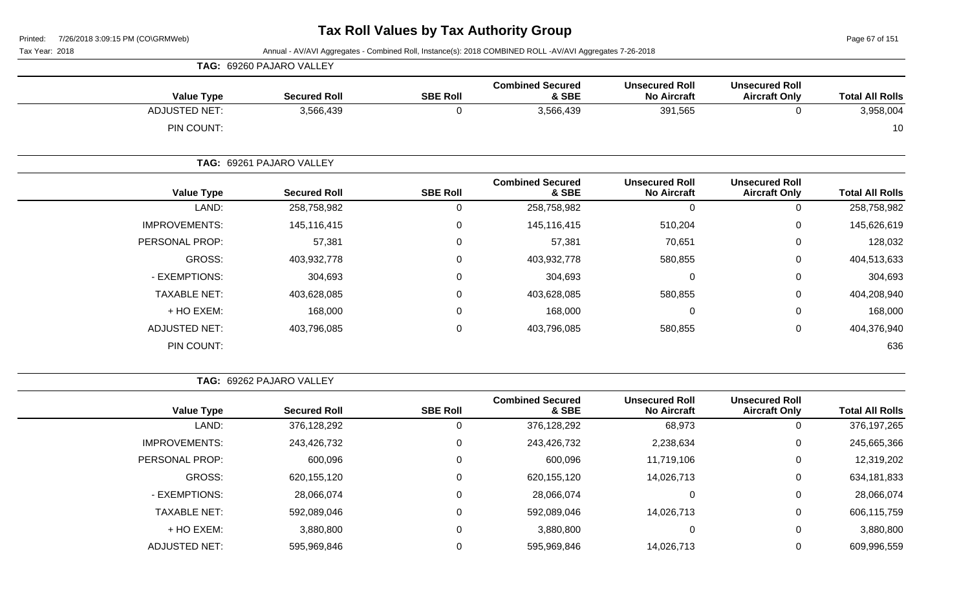Page 67 of 151

Tax Year: 2018 Annual - AV/AVI Aggregates - Combined Roll, Instance(s): 2018 COMBINED ROLL -AV/AVI Aggregates 7-26-2018

| <b>Value Type</b>    | <b>Secured Roll</b>      | <b>SBE Roll</b> | <b>Combined Secured</b><br>& SBE | <b>Unsecured Roll</b><br><b>No Aircraft</b> | <b>Unsecured Roll</b><br><b>Aircraft Only</b> | <b>Total All Rolls</b> |
|----------------------|--------------------------|-----------------|----------------------------------|---------------------------------------------|-----------------------------------------------|------------------------|
| <b>ADJUSTED NET:</b> | 3,566,439                | $\mathbf 0$     | 3,566,439                        | 391,565                                     | $\mathbf 0$                                   | 3,958,004              |
| PIN COUNT:           |                          |                 |                                  |                                             |                                               | 10                     |
|                      | TAG: 69261 PAJARO VALLEY |                 |                                  |                                             |                                               |                        |
| <b>Value Type</b>    | <b>Secured Roll</b>      | <b>SBE Roll</b> | <b>Combined Secured</b><br>& SBE | <b>Unsecured Roll</b><br><b>No Aircraft</b> | <b>Unsecured Roll</b><br><b>Aircraft Only</b> | <b>Total All Rolls</b> |
| LAND:                | 258,758,982              | $\mathbf 0$     | 258,758,982                      | $\mathbf 0$                                 | $\mathbf 0$                                   | 258,758,982            |
| <b>IMPROVEMENTS:</b> | 145,116,415              | $\mathbf 0$     | 145,116,415                      | 510,204                                     | 0                                             | 145,626,619            |
| PERSONAL PROP:       | 57,381                   | $\mathbf 0$     | 57,381                           | 70,651                                      | $\mathbf 0$                                   | 128,032                |
| GROSS:               | 403,932,778              | $\mathbf 0$     | 403,932,778                      | 580,855                                     | 0                                             | 404,513,633            |
| - EXEMPTIONS:        | 304,693                  | $\mathbf 0$     | 304,693                          | $\mathbf 0$                                 | $\pmb{0}$                                     | 304,693                |
| <b>TAXABLE NET:</b>  | 403,628,085              | $\mathbf 0$     | 403,628,085                      | 580,855                                     | 0                                             | 404,208,940            |
| + HO EXEM:           | 168,000                  | $\mathbf 0$     | 168,000                          | $\mathbf 0$                                 | $\mathbf 0$                                   | 168,000                |
| <b>ADJUSTED NET:</b> | 403,796,085              | $\mathbf 0$     | 403,796,085                      | 580,855                                     | $\pmb{0}$                                     | 404,376,940            |
| PIN COUNT:           |                          |                 |                                  |                                             |                                               | 636                    |

**TAG:** 69262 PAJARO VALLEY

**TAG:** 69260 PAJARO VALLEY

|                      |                     |                 | <b>Combined Secured</b> | <b>Unsecured Roll</b> | <b>Unsecured Roll</b> |                        |
|----------------------|---------------------|-----------------|-------------------------|-----------------------|-----------------------|------------------------|
| <b>Value Type</b>    | <b>Secured Roll</b> | <b>SBE Roll</b> | & SBE                   | <b>No Aircraft</b>    | <b>Aircraft Only</b>  | <b>Total All Rolls</b> |
| LAND:                | 376,128,292         | 0               | 376,128,292             | 68,973                | 0                     | 376,197,265            |
| <b>IMPROVEMENTS:</b> | 243,426,732         | 0               | 243,426,732             | 2,238,634             | 0                     | 245,665,366            |
| PERSONAL PROP:       | 600,096             | 0               | 600,096                 | 11,719,106            | 0                     | 12,319,202             |
| GROSS:               | 620,155,120         | $\Omega$        | 620,155,120             | 14,026,713            | 0                     | 634,181,833            |
| - EXEMPTIONS:        | 28,066,074          | 0               | 28,066,074              | 0                     | 0                     | 28,066,074             |
| <b>TAXABLE NET:</b>  | 592,089,046         | $\Omega$        | 592,089,046             | 14,026,713            | 0                     | 606,115,759            |
| $+$ HO EXEM:         | 3,880,800           | $\mathbf{0}$    | 3,880,800               | 0                     | 0                     | 3,880,800              |
| <b>ADJUSTED NET:</b> | 595,969,846         | 0               | 595,969,846             | 14,026,713            | 0                     | 609,996,559            |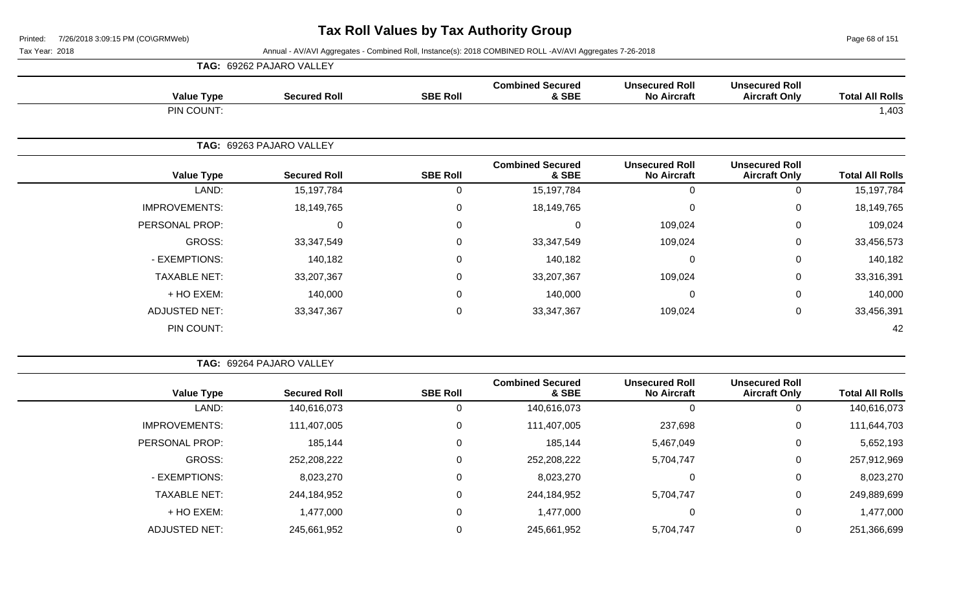Page 68 of 151

|                      | TAG: 69262 PAJARO VALLEY |                 |                                  |                                             |                                               |                        |
|----------------------|--------------------------|-----------------|----------------------------------|---------------------------------------------|-----------------------------------------------|------------------------|
| <b>Value Type</b>    | <b>Secured Roll</b>      | <b>SBE Roll</b> | <b>Combined Secured</b><br>& SBE | <b>Unsecured Roll</b><br><b>No Aircraft</b> | <b>Unsecured Roll</b><br><b>Aircraft Only</b> | <b>Total All Rolls</b> |
| PIN COUNT:           |                          |                 |                                  |                                             |                                               | 1,403                  |
|                      | TAG: 69263 PAJARO VALLEY |                 |                                  |                                             |                                               |                        |
| <b>Value Type</b>    | <b>Secured Roll</b>      | <b>SBE Roll</b> | <b>Combined Secured</b><br>& SBE | <b>Unsecured Roll</b><br><b>No Aircraft</b> | <b>Unsecured Roll</b><br><b>Aircraft Only</b> | <b>Total All Rolls</b> |
| LAND:                | 15,197,784               | 0               | 15,197,784                       | 0                                           | 0                                             | 15,197,784             |
| <b>IMPROVEMENTS:</b> | 18,149,765               | $\mathbf 0$     | 18,149,765                       | 0                                           | $\mathbf 0$                                   | 18,149,765             |
| PERSONAL PROP:       | $\mathbf 0$              | 0               | $\Omega$                         | 109,024                                     | 0                                             | 109,024                |
| GROSS:               | 33,347,549               | $\mathbf 0$     | 33,347,549                       | 109,024                                     | $\mathbf 0$                                   | 33,456,573             |
| - EXEMPTIONS:        | 140,182                  | $\mathbf 0$     | 140,182                          | 0                                           | $\mathbf 0$                                   | 140,182                |
| <b>TAXABLE NET:</b>  | 33,207,367               | 0               | 33,207,367                       | 109,024                                     | $\mathbf 0$                                   | 33,316,391             |
| + HO EXEM:           | 140,000                  | $\mathbf 0$     | 140,000                          | $\Omega$                                    | 0                                             | 140,000                |
| <b>ADJUSTED NET:</b> | 33, 347, 367             | $\pmb{0}$       | 33, 347, 367                     | 109,024                                     | $\mathbf 0$                                   | 33,456,391             |
| PIN COUNT:           |                          |                 |                                  |                                             |                                               | 42                     |

| <b>TAG: 69264 PAJARO VALLEY</b> |  |
|---------------------------------|--|
|                                 |  |

| <b>Value Type</b>    | <b>Secured Roll</b> | <b>SBE Roll</b> | <b>Combined Secured</b><br>& SBE | <b>Unsecured Roll</b><br><b>No Aircraft</b> | <b>Unsecured Roll</b><br><b>Aircraft Only</b> | <b>Total All Rolls</b> |
|----------------------|---------------------|-----------------|----------------------------------|---------------------------------------------|-----------------------------------------------|------------------------|
| LAND:                | 140,616,073         |                 | 140,616,073                      |                                             | 0                                             | 140,616,073            |
| <b>IMPROVEMENTS:</b> | 111,407,005         | 0               | 111,407,005                      | 237,698                                     | 0                                             | 111,644,703            |
| PERSONAL PROP:       | 185,144             |                 | 185,144                          | 5,467,049                                   | 0                                             | 5,652,193              |
| GROSS:               | 252,208,222         |                 | 252,208,222                      | 5,704,747                                   | 0                                             | 257,912,969            |
| - EXEMPTIONS:        | 8,023,270           |                 | 8,023,270                        |                                             | 0                                             | 8,023,270              |
| <b>TAXABLE NET:</b>  | 244,184,952         |                 | 244,184,952                      | 5,704,747                                   | 0                                             | 249,889,699            |
| + HO EXEM:           | 1,477,000           | 0               | 1,477,000                        |                                             | 0                                             | 1,477,000              |
| <b>ADJUSTED NET:</b> | 245,661,952         |                 | 245,661,952                      | 5,704,747                                   | 0                                             | 251,366,699            |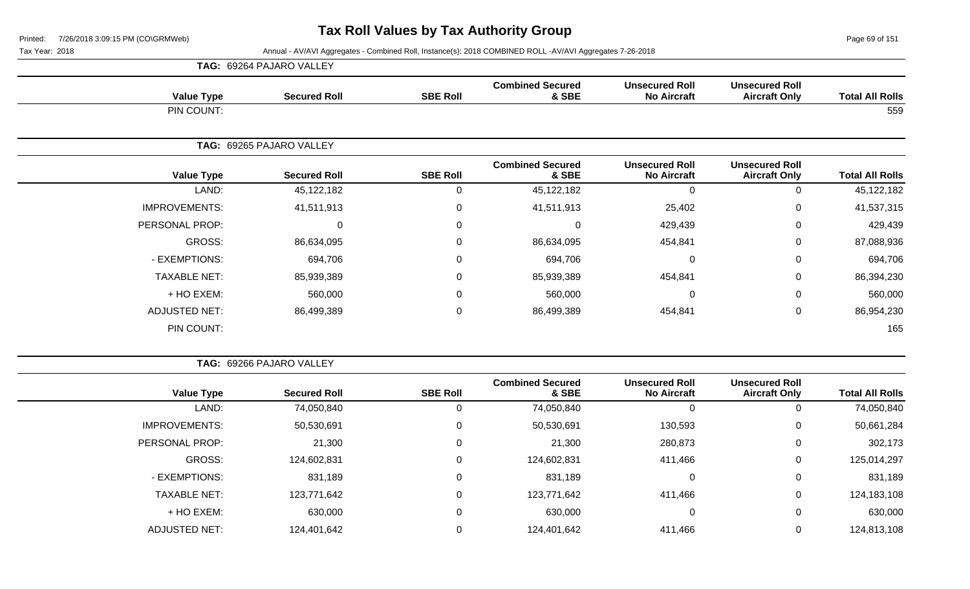Page 69 of 151

|                      | <b>TAG: 69264 PAJARO VALLEY</b> |                 |                                  |                                             |                                               |                        |
|----------------------|---------------------------------|-----------------|----------------------------------|---------------------------------------------|-----------------------------------------------|------------------------|
| <b>Value Type</b>    | <b>Secured Roll</b>             | <b>SBE Roll</b> | <b>Combined Secured</b><br>& SBE | <b>Unsecured Roll</b><br><b>No Aircraft</b> | <b>Unsecured Roll</b><br><b>Aircraft Only</b> | <b>Total All Rolls</b> |
| PIN COUNT:           |                                 |                 |                                  |                                             |                                               | 559                    |
|                      | TAG: 69265 PAJARO VALLEY        |                 |                                  |                                             |                                               |                        |
| <b>Value Type</b>    | <b>Secured Roll</b>             | <b>SBE Roll</b> | <b>Combined Secured</b><br>& SBE | <b>Unsecured Roll</b><br><b>No Aircraft</b> | <b>Unsecured Roll</b><br><b>Aircraft Only</b> | <b>Total All Rolls</b> |
| LAND:                | 45, 122, 182                    | 0               | 45,122,182                       | 0                                           | $\mathbf 0$                                   | 45,122,182             |
| <b>IMPROVEMENTS:</b> | 41,511,913                      | 0               | 41,511,913                       | 25,402                                      | 0                                             | 41,537,315             |
| PERSONAL PROP:       | 0                               | 0               | $\Omega$                         | 429,439                                     | $\Omega$                                      | 429,439                |
| GROSS:               | 86,634,095                      | $\mathbf 0$     | 86,634,095                       | 454,841                                     | $\Omega$                                      | 87,088,936             |
| - EXEMPTIONS:        | 694,706                         | $\mathbf 0$     | 694,706                          | $\pmb{0}$                                   | $\mathbf 0$                                   | 694,706                |
| <b>TAXABLE NET:</b>  | 85,939,389                      | $\mathbf 0$     | 85,939,389                       | 454,841                                     | $\Omega$                                      | 86,394,230             |
| + HO EXEM:           | 560,000                         | $\mathbf 0$     | 560,000                          | 0                                           | $\mathbf 0$                                   | 560,000                |
| <b>ADJUSTED NET:</b> | 86,499,389                      | 0               | 86,499,389                       | 454,841                                     | $\mathbf 0$                                   | 86,954,230             |
| PIN COUNT:           |                                 |                 |                                  |                                             |                                               | 165                    |

|  | <b>TAG: 69266 PAJARO VALLEY</b> |  |
|--|---------------------------------|--|
|  |                                 |  |

| <b>Total All Rolls</b> | <b>Unsecured Roll</b><br><b>Aircraft Only</b> | <b>Unsecured Roll</b><br><b>No Aircraft</b> | <b>Combined Secured</b><br>& SBE | <b>SBE Roll</b> | <b>Secured Roll</b> | <b>Value Type</b>    |
|------------------------|-----------------------------------------------|---------------------------------------------|----------------------------------|-----------------|---------------------|----------------------|
| 74,050,840             | 0                                             |                                             | 74,050,840                       | 0               | 74,050,840          | LAND:                |
| 50,661,284             | 0                                             | 130,593                                     | 50,530,691                       | 0               | 50,530,691          | <b>IMPROVEMENTS:</b> |
| 302,173                | 0                                             | 280,873                                     | 21,300                           | 0               | 21,300              | PERSONAL PROP:       |
| 125,014,297            | 0                                             | 411,466                                     | 124,602,831                      | 0               | 124,602,831         | GROSS:               |
| 831,189                | 0                                             |                                             | 831,189                          | 0               | 831,189             | - EXEMPTIONS:        |
| 124,183,108            | 0                                             | 411,466                                     | 123,771,642                      | 0               | 123,771,642         | <b>TAXABLE NET:</b>  |
| 630,000                | 0                                             |                                             | 630,000                          | 0               | 630,000             | + HO EXEM:           |
| 124,813,108            | 0                                             | 411,466                                     | 124,401,642                      | 0               | 124,401,642         | <b>ADJUSTED NET:</b> |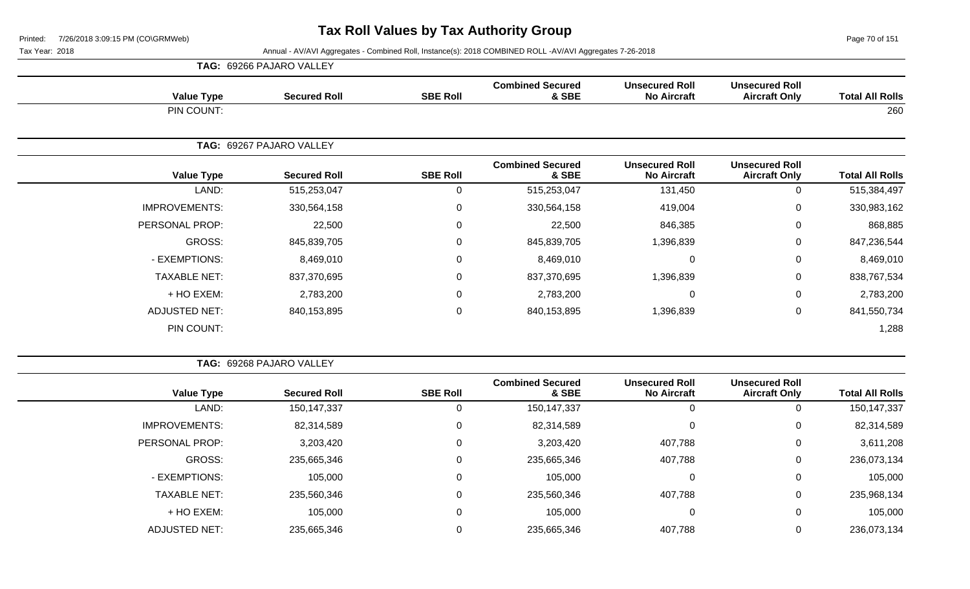Page 70 of 151

|                      | <b>TAG: 69266 PAJARO VALLEY</b> |                 |                                  |                                             |                                               |                        |
|----------------------|---------------------------------|-----------------|----------------------------------|---------------------------------------------|-----------------------------------------------|------------------------|
| <b>Value Type</b>    | <b>Secured Roll</b>             | <b>SBE Roll</b> | <b>Combined Secured</b><br>& SBE | <b>Unsecured Roll</b><br><b>No Aircraft</b> | <b>Unsecured Roll</b><br><b>Aircraft Only</b> | <b>Total All Rolls</b> |
| PIN COUNT:           |                                 |                 |                                  |                                             |                                               | 260                    |
|                      | TAG: 69267 PAJARO VALLEY        |                 |                                  |                                             |                                               |                        |
| <b>Value Type</b>    | <b>Secured Roll</b>             | <b>SBE Roll</b> | <b>Combined Secured</b><br>& SBE | <b>Unsecured Roll</b><br><b>No Aircraft</b> | <b>Unsecured Roll</b><br><b>Aircraft Only</b> | <b>Total All Rolls</b> |
| LAND:                | 515,253,047                     | $\Omega$        | 515,253,047                      | 131,450                                     | 0                                             | 515,384,497            |
| <b>IMPROVEMENTS:</b> | 330,564,158                     | $\mathbf 0$     | 330,564,158                      | 419,004                                     | $\mathbf 0$                                   | 330,983,162            |
| PERSONAL PROP:       | 22,500                          | $\Omega$        | 22,500                           | 846,385                                     | $\mathbf{0}$                                  | 868,885                |
| GROSS:               | 845,839,705                     | $\mathbf 0$     | 845,839,705                      | 1,396,839                                   | $\mathbf 0$                                   | 847,236,544            |
| - EXEMPTIONS:        | 8,469,010                       | 0               | 8,469,010                        | $\mathbf 0$                                 | $\mathbf 0$                                   | 8,469,010              |
| <b>TAXABLE NET:</b>  | 837,370,695                     | $\Omega$        | 837,370,695                      | 1,396,839                                   | $\mathbf 0$                                   | 838,767,534            |
| + HO EXEM:           | 2,783,200                       | $\mathbf 0$     | 2,783,200                        | $\mathbf 0$                                 | $\mathbf 0$                                   | 2,783,200              |
| <b>ADJUSTED NET:</b> | 840,153,895                     | $\mathbf 0$     | 840,153,895                      | 1,396,839                                   | $\mathbf 0$                                   | 841,550,734            |
| PIN COUNT:           |                                 |                 |                                  |                                             |                                               | 1,288                  |

|                        |                                               |                                             |                                  |                 | <b>TAG: 69268 PAJARO VALLEY</b> |                      |
|------------------------|-----------------------------------------------|---------------------------------------------|----------------------------------|-----------------|---------------------------------|----------------------|
| <b>Total All Rolls</b> | <b>Unsecured Roll</b><br><b>Aircraft Only</b> | <b>Unsecured Roll</b><br><b>No Aircraft</b> | <b>Combined Secured</b><br>& SBE | <b>SBE Roll</b> | <b>Secured Roll</b>             | <b>Value Type</b>    |
| 150,147,337            | 0                                             | 0                                           | 150, 147, 337                    | 0               | 150, 147, 337                   | LAND:                |
| 82,314,589             | 0                                             | $\mathbf 0$                                 | 82,314,589                       | 0               | 82,314,589                      | <b>IMPROVEMENTS:</b> |
| 3,611,208              | 0                                             | 407,788                                     | 3,203,420                        | 0               | 3,203,420                       | PERSONAL PROP:       |
| 236,073,134            | 0                                             | 407,788                                     | 235,665,346                      | $\mathbf 0$     | 235,665,346                     | GROSS:               |
| 105,000                | 0                                             | $\overline{0}$                              | 105,000                          | 0               | 105,000                         | - EXEMPTIONS:        |
| 235,968,134            | 0                                             | 407,788                                     | 235,560,346                      | $\mathbf 0$     | 235,560,346                     | <b>TAXABLE NET:</b>  |
| 105,000                | 0                                             | $\overline{0}$                              | 105,000                          | 0               | 105,000                         | $+$ HO EXEM:         |
| 236,073,134            | 0                                             | 407,788                                     | 235,665,346                      | 0               | 235,665,346                     | <b>ADJUSTED NET:</b> |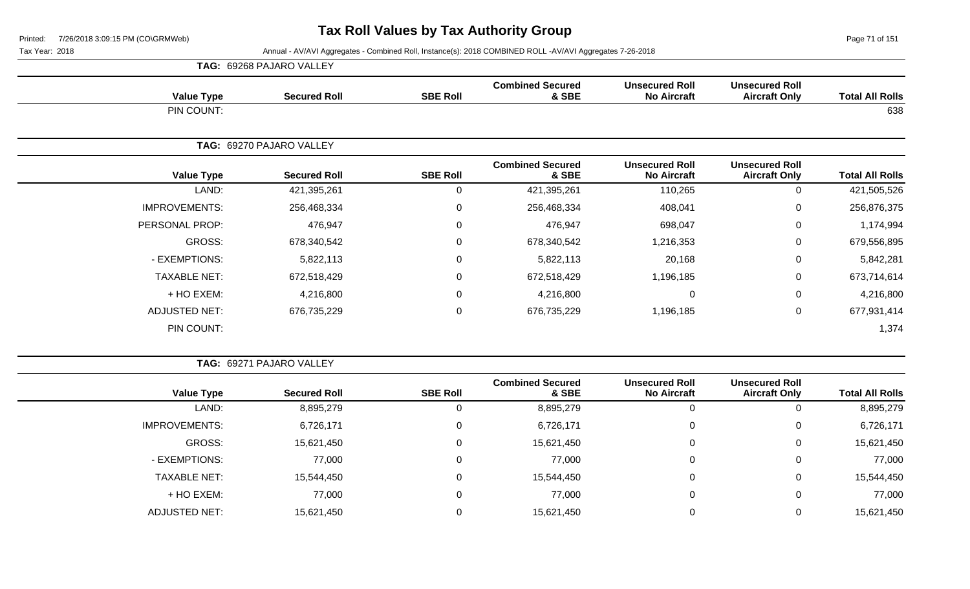Page 71 of 151

|                      | <b>TAG: 69268 PAJARO VALLEY</b> |                 |                                  |                                             |                                               |                        |
|----------------------|---------------------------------|-----------------|----------------------------------|---------------------------------------------|-----------------------------------------------|------------------------|
| <b>Value Type</b>    | <b>Secured Roll</b>             | <b>SBE Roll</b> | <b>Combined Secured</b><br>& SBE | <b>Unsecured Roll</b><br><b>No Aircraft</b> | <b>Unsecured Roll</b><br><b>Aircraft Only</b> | <b>Total All Rolls</b> |
| PIN COUNT:           |                                 |                 |                                  |                                             |                                               | 638                    |
|                      | TAG: 69270 PAJARO VALLEY        |                 |                                  |                                             |                                               |                        |
| <b>Value Type</b>    | <b>Secured Roll</b>             | <b>SBE Roll</b> | <b>Combined Secured</b><br>& SBE | <b>Unsecured Roll</b><br><b>No Aircraft</b> | <b>Unsecured Roll</b><br><b>Aircraft Only</b> | <b>Total All Rolls</b> |
| LAND:                | 421,395,261                     | 0               | 421,395,261                      | 110,265                                     | $\Omega$                                      | 421,505,526            |
| <b>IMPROVEMENTS:</b> | 256,468,334                     | 0               | 256,468,334                      | 408,041                                     | $\mathbf 0$                                   | 256,876,375            |
| PERSONAL PROP:       | 476,947                         | 0               | 476,947                          | 698,047                                     | 0                                             | 1,174,994              |
| GROSS:               | 678,340,542                     | 0               | 678,340,542                      | 1,216,353                                   | $\mathbf 0$                                   | 679,556,895            |
| - EXEMPTIONS:        | 5,822,113                       | 0               | 5,822,113                        | 20,168                                      | $\mathbf 0$                                   | 5,842,281              |
| <b>TAXABLE NET:</b>  | 672,518,429                     | 0               | 672,518,429                      | 1,196,185                                   | 0                                             | 673,714,614            |
| + HO EXEM:           | 4,216,800                       | 0               | 4,216,800                        | 0                                           | 0                                             | 4,216,800              |
| <b>ADJUSTED NET:</b> | 676,735,229                     | 0               | 676,735,229                      | 1,196,185                                   | $\mathbf 0$                                   | 677,931,414            |
| PIN COUNT:           |                                 |                 |                                  |                                             |                                               | 1,374                  |

| <b>TAG: 69271 PAJARO VALLEY</b> |  |
|---------------------------------|--|
|                                 |  |

| <b>Value Type</b>    | <b>Secured Roll</b> | <b>SBE Roll</b> | <b>Combined Secured</b><br>& SBE | <b>Unsecured Roll</b><br><b>No Aircraft</b> | <b>Unsecured Roll</b><br><b>Aircraft Only</b> | <b>Total All Rolls</b> |
|----------------------|---------------------|-----------------|----------------------------------|---------------------------------------------|-----------------------------------------------|------------------------|
| LAND:                | 8,895,279           | O               | 8,895,279                        |                                             | 0                                             | 8,895,279              |
| <b>IMPROVEMENTS:</b> | 6,726,171           | 0               | 6,726,171                        |                                             | 0                                             | 6,726,171              |
| <b>GROSS:</b>        | 15,621,450          | 0               | 15,621,450                       | 0                                           | 0                                             | 15,621,450             |
| - EXEMPTIONS:        | 77,000              | 0               | 77,000                           | 0                                           | 0                                             | 77,000                 |
| <b>TAXABLE NET:</b>  | 15,544,450          | 0               | 15,544,450                       |                                             | 0                                             | 15,544,450             |
| + HO EXEM:           | 77,000              | 0               | 77,000                           |                                             | 0                                             | 77,000                 |
| ADJUSTED NET:        | 15,621,450          |                 | 15,621,450                       |                                             | 0                                             | 15,621,450             |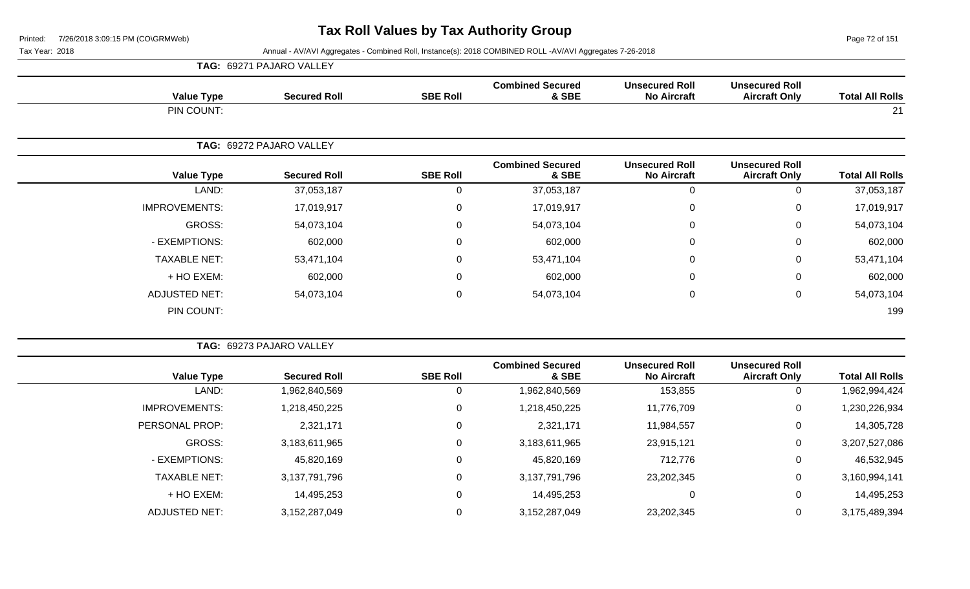Page 72 of 151

| <b>TAG: 69271 PAJARO VALLEY</b> |  |
|---------------------------------|--|
|---------------------------------|--|

| <b>Value Type</b>    | <b>Secured Roll</b>      | <b>SBE Roll</b> | <b>Combined Secured</b><br>& SBE | <b>Unsecured Roll</b><br><b>No Aircraft</b> | <b>Unsecured Roll</b><br><b>Aircraft Only</b> | <b>Total All Rolls</b> |
|----------------------|--------------------------|-----------------|----------------------------------|---------------------------------------------|-----------------------------------------------|------------------------|
| PIN COUNT:           |                          |                 |                                  |                                             |                                               | 21                     |
|                      | TAG: 69272 PAJARO VALLEY |                 |                                  |                                             |                                               |                        |
| <b>Value Type</b>    | <b>Secured Roll</b>      | <b>SBE Roll</b> | <b>Combined Secured</b><br>& SBE | <b>Unsecured Roll</b><br><b>No Aircraft</b> | <b>Unsecured Roll</b><br><b>Aircraft Only</b> | <b>Total All Rolls</b> |
| LAND:                | 37,053,187               | 0               | 37,053,187                       | 0                                           | 0                                             | 37,053,187             |
| <b>IMPROVEMENTS:</b> | 17,019,917               | $\overline{0}$  | 17,019,917                       | 0                                           | 0                                             | 17,019,917             |
| GROSS:               | 54,073,104               | $\overline{0}$  | 54,073,104                       | $\mathbf 0$                                 | 0                                             | 54,073,104             |
| - EXEMPTIONS:        | 602,000                  | 0               | 602,000                          | $\mathbf 0$                                 | 0                                             | 602,000                |
| <b>TAXABLE NET:</b>  | 53,471,104               | $\mathbf 0$     | 53,471,104                       | $\mathbf 0$                                 | 0                                             | 53,471,104             |
| + HO EXEM:           | 602,000                  | 0               | 602,000                          | $\mathbf 0$                                 | $\mathbf 0$                                   | 602,000                |
| ADJUSTED NET:        | 54,073,104               | 0               | 54,073,104                       | $\mathbf 0$                                 | 0                                             | 54,073,104             |
| PIN COUNT:           |                          |                 |                                  |                                             |                                               | 199                    |

|                       | <b>TAG: 69273 PAJARO VALLEY</b> |                     |                 |                                  |                                             |                                               |                        |
|-----------------------|---------------------------------|---------------------|-----------------|----------------------------------|---------------------------------------------|-----------------------------------------------|------------------------|
| <b>Value Type</b>     |                                 | <b>Secured Roll</b> | <b>SBE Roll</b> | <b>Combined Secured</b><br>& SBE | <b>Unsecured Roll</b><br><b>No Aircraft</b> | <b>Unsecured Roll</b><br><b>Aircraft Only</b> | <b>Total All Rolls</b> |
|                       | LAND:                           | 1,962,840,569       |                 | 1,962,840,569                    | 153,855                                     | 0                                             | 1,962,994,424          |
| <b>IMPROVEMENTS:</b>  |                                 | 1,218,450,225       | 0               | 1,218,450,225                    | 11,776,709                                  | 0                                             | 1,230,226,934          |
| <b>PERSONAL PROP:</b> |                                 | 2,321,171           | 0               | 2,321,171                        | 11,984,557                                  | 0                                             | 14,305,728             |
| <b>GROSS:</b>         |                                 | 3,183,611,965       | $\Omega$        | 3,183,611,965                    | 23,915,121                                  | 0                                             | 3,207,527,086          |
| - EXEMPTIONS:         |                                 | 45,820,169          | $\Omega$        | 45,820,169                       | 712,776                                     | 0                                             | 46,532,945             |
| <b>TAXABLE NET:</b>   |                                 | 3,137,791,796       | 0               | 3,137,791,796                    | 23,202,345                                  | 0                                             | 3,160,994,141          |
| + HO EXEM:            |                                 | 14,495,253          | $\Omega$        | 14,495,253                       | 0                                           | 0                                             | 14,495,253             |
| <b>ADJUSTED NET:</b>  |                                 | 3,152,287,049       |                 | 3,152,287,049                    | 23,202,345                                  | 0                                             | 3,175,489,394          |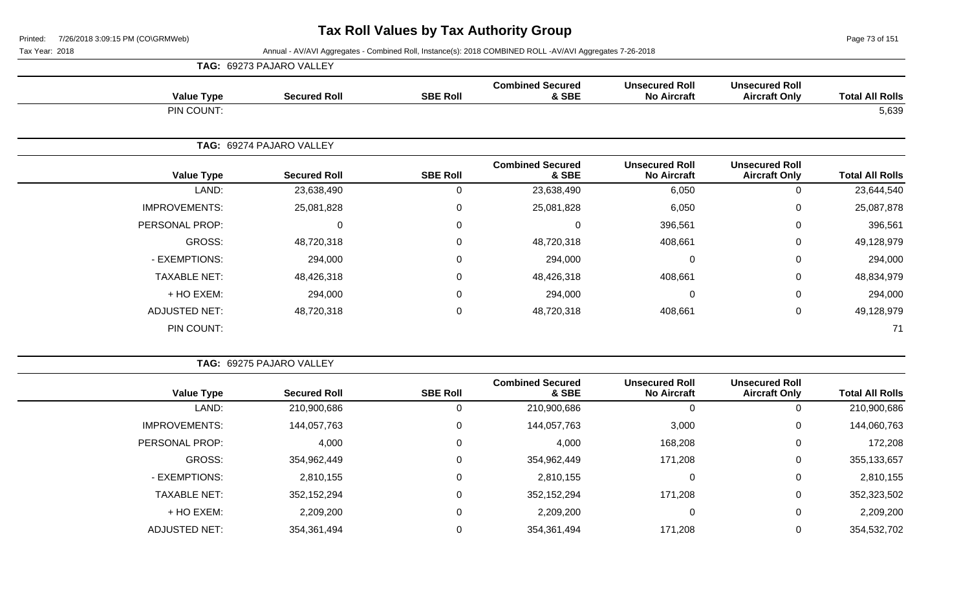Page 73 of 151

|                      | <b>TAG: 69273 PAJARO VALLEY</b> |                 |                                  |                                             |                                               |                        |
|----------------------|---------------------------------|-----------------|----------------------------------|---------------------------------------------|-----------------------------------------------|------------------------|
| <b>Value Type</b>    | <b>Secured Roll</b>             | <b>SBE Roll</b> | <b>Combined Secured</b><br>& SBE | <b>Unsecured Roll</b><br><b>No Aircraft</b> | <b>Unsecured Roll</b><br><b>Aircraft Only</b> | <b>Total All Rolls</b> |
| PIN COUNT:           |                                 |                 |                                  |                                             |                                               | 5,639                  |
|                      | TAG: 69274 PAJARO VALLEY        |                 |                                  |                                             |                                               |                        |
| <b>Value Type</b>    | <b>Secured Roll</b>             | <b>SBE Roll</b> | <b>Combined Secured</b><br>& SBE | <b>Unsecured Roll</b><br><b>No Aircraft</b> | <b>Unsecured Roll</b><br><b>Aircraft Only</b> | <b>Total All Rolls</b> |
| LAND:                | 23,638,490                      | 0               | 23,638,490                       | 6,050                                       | 0                                             | 23,644,540             |
| <b>IMPROVEMENTS:</b> | 25,081,828                      | $\mathbf 0$     | 25,081,828                       | 6,050                                       | 0                                             | 25,087,878             |
| PERSONAL PROP:       | 0                               | $\mathbf 0$     | 0                                | 396,561                                     | 0                                             | 396,561                |
| GROSS:               | 48,720,318                      | $\overline{0}$  | 48,720,318                       | 408,661                                     | 0                                             | 49,128,979             |
| - EXEMPTIONS:        | 294,000                         | $\mathbf 0$     | 294,000                          | $\mathbf 0$                                 | 0                                             | 294,000                |
| <b>TAXABLE NET:</b>  | 48,426,318                      | 0               | 48,426,318                       | 408,661                                     | 0                                             | 48,834,979             |
| + HO EXEM:           | 294,000                         | $\mathbf 0$     | 294,000                          | $\Omega$                                    | 0                                             | 294,000                |
| <b>ADJUSTED NET:</b> | 48,720,318                      | $\mathbf 0$     | 48,720,318                       | 408,661                                     | 0                                             | 49,128,979             |
| PIN COUNT:           |                                 |                 |                                  |                                             |                                               | 71                     |

| <b>TAG: 69275 PAJARO VALLEY</b> |  |
|---------------------------------|--|
|                                 |  |

| <b>Total All Rolls</b> | <b>Unsecured Roll</b><br><b>Aircraft Only</b> | <b>Unsecured Roll</b><br><b>No Aircraft</b> | <b>Combined Secured</b><br>& SBE | <b>SBE Roll</b> | <b>Secured Roll</b> | <b>Value Type</b>    |
|------------------------|-----------------------------------------------|---------------------------------------------|----------------------------------|-----------------|---------------------|----------------------|
| 210,900,686            |                                               | 0                                           | 210,900,686                      | υ               | 210,900,686         | LAND:                |
| 144,060,763            | 0                                             | 3,000                                       | 144,057,763                      |                 | 144,057,763         | <b>IMPROVEMENTS:</b> |
| 172,208                | 0                                             | 168,208                                     | 4,000                            | U               | 4,000               | PERSONAL PROP:       |
| 355,133,657            | 0                                             | 171,208                                     | 354,962,449                      | 0               | 354,962,449         | <b>GROSS:</b>        |
| 2,810,155              | 0                                             | 0                                           | 2,810,155                        |                 | 2,810,155           | - EXEMPTIONS:        |
| 352,323,502            | 0                                             | 171,208                                     | 352,152,294                      |                 | 352,152,294         | <b>TAXABLE NET:</b>  |
| 2,209,200              |                                               | 0                                           | 2,209,200                        |                 | 2,209,200           | + HO EXEM:           |
| 354,532,702            |                                               | 171,208                                     | 354,361,494                      |                 | 354,361,494         | <b>ADJUSTED NET:</b> |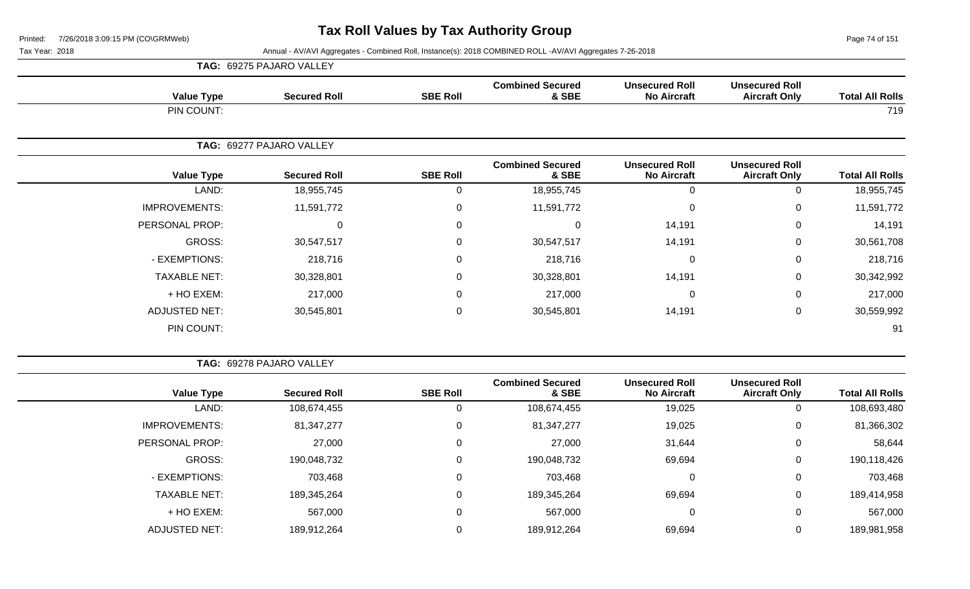**TAG:** 69275 PAJARO VALLEY

Page 74 of 151

| <b>Total All Rolls</b> | <b>Unsecured Roll</b><br><b>Aircraft Only</b> | <b>Unsecured Roll</b><br><b>No Aircraft</b> | <b>Combined Secured</b><br>& SBE | <b>SBE Roll</b>  | <b>Secured Roll</b>      | <b>Value Type</b>    |
|------------------------|-----------------------------------------------|---------------------------------------------|----------------------------------|------------------|--------------------------|----------------------|
| 719                    |                                               |                                             |                                  |                  |                          | PIN COUNT:           |
|                        |                                               |                                             |                                  |                  | TAG: 69277 PAJARO VALLEY |                      |
| <b>Total All Rolls</b> | <b>Unsecured Roll</b><br><b>Aircraft Only</b> | <b>Unsecured Roll</b><br><b>No Aircraft</b> | <b>Combined Secured</b><br>& SBE | <b>SBE Roll</b>  | <b>Secured Roll</b>      | <b>Value Type</b>    |
| 18,955,745             | $\mathbf 0$                                   | $\mathbf{0}$                                | 18,955,745                       | $\mathbf 0$      | 18,955,745               | LAND:                |
| 11,591,772             | 0                                             | $\mathbf{0}$                                | 11,591,772                       | $\mathbf 0$      | 11,591,772               | <b>IMPROVEMENTS:</b> |
| 14,191                 | $\mathbf 0$                                   | 14,191                                      | 0                                | $\mathbf 0$      | $\mathbf 0$              | PERSONAL PROP:       |
| 30,561,708             | $\mathbf 0$                                   | 14,191                                      | 30,547,517                       | $\mathbf 0$      | 30,547,517               | GROSS:               |
| 218,716                | 0                                             | $\Omega$                                    | 218,716                          | 0                | 218,716                  | - EXEMPTIONS:        |
| 30,342,992             | $\mathbf 0$                                   | 14,191                                      | 30,328,801                       | $\mathbf 0$      | 30,328,801               | <b>TAXABLE NET:</b>  |
| 217,000                | 0                                             | $\Omega$                                    | 217,000                          | 0                | 217,000                  | + HO EXEM:           |
| 30,559,992             | $\mathbf 0$                                   | 14,191                                      | 30,545,801                       | $\boldsymbol{0}$ | 30,545,801               | <b>ADJUSTED NET:</b> |
| 91                     |                                               |                                             |                                  |                  |                          | PIN COUNT:           |
|                        |                                               |                                             |                                  |                  |                          |                      |

|                      | TAG: 69278 PAJARO VALLEY |                 |                                  |                                             |                                               |                        |  |  |  |  |  |
|----------------------|--------------------------|-----------------|----------------------------------|---------------------------------------------|-----------------------------------------------|------------------------|--|--|--|--|--|
| <b>Value Type</b>    | <b>Secured Roll</b>      | <b>SBE Roll</b> | <b>Combined Secured</b><br>& SBE | <b>Unsecured Roll</b><br><b>No Aircraft</b> | <b>Unsecured Roll</b><br><b>Aircraft Only</b> | <b>Total All Rolls</b> |  |  |  |  |  |
| LAND:                | 108,674,455              | Ü               | 108,674,455                      | 19,025                                      | 0                                             | 108,693,480            |  |  |  |  |  |
| <b>IMPROVEMENTS:</b> | 81, 347, 277             | 0               | 81,347,277                       | 19,025                                      | 0                                             | 81,366,302             |  |  |  |  |  |
| PERSONAL PROP:       | 27,000                   | 0               | 27,000                           | 31,644                                      | 0                                             | 58,644                 |  |  |  |  |  |
| GROSS:               | 190,048,732              | 0               | 190,048,732                      | 69,694                                      | 0                                             | 190,118,426            |  |  |  |  |  |
| - EXEMPTIONS:        | 703,468                  | 0               | 703,468                          | 0                                           | $\overline{0}$                                | 703,468                |  |  |  |  |  |
| <b>TAXABLE NET:</b>  | 189,345,264              | 0               | 189,345,264                      | 69,694                                      | 0                                             | 189,414,958            |  |  |  |  |  |
| + HO EXEM:           | 567,000                  | 0               | 567,000                          | 0                                           | 0                                             | 567,000                |  |  |  |  |  |
| <b>ADJUSTED NET:</b> | 189,912,264              | 0               | 189,912,264                      | 69,694                                      | 0                                             | 189,981,958            |  |  |  |  |  |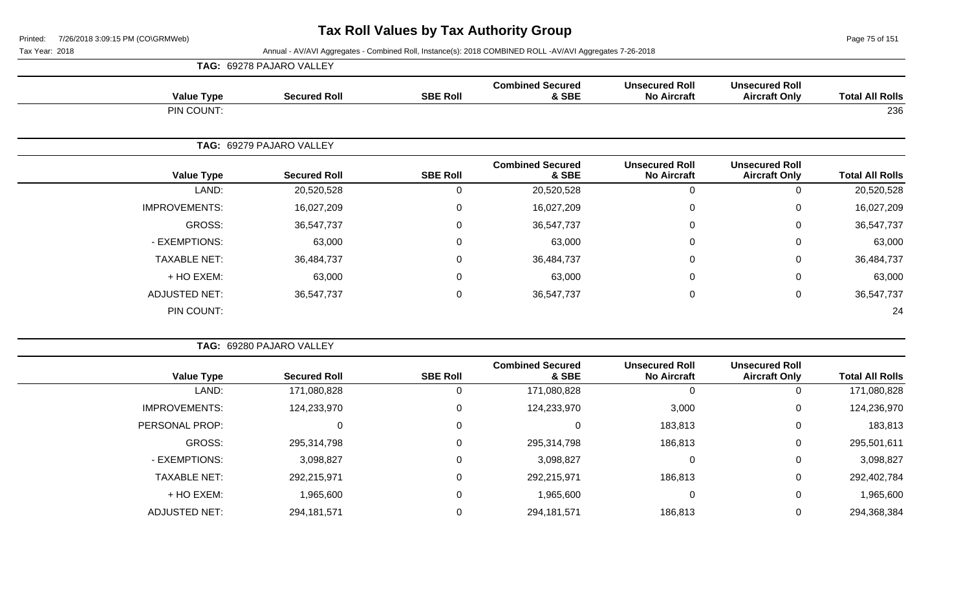Page 75 of 151

| <b>TAG: 69278 PAJARO VALLEY</b> |  |
|---------------------------------|--|
|---------------------------------|--|

| <b>Value Type</b>    | <b>Secured Roll</b>      | <b>SBE Roll</b> | <b>Combined Secured</b><br>& SBE | <b>Unsecured Roll</b><br><b>No Aircraft</b> | <b>Unsecured Roll</b><br><b>Aircraft Only</b> | <b>Total All Rolls</b> |
|----------------------|--------------------------|-----------------|----------------------------------|---------------------------------------------|-----------------------------------------------|------------------------|
| PIN COUNT:           |                          |                 |                                  |                                             |                                               | 236                    |
|                      | TAG: 69279 PAJARO VALLEY |                 |                                  |                                             |                                               |                        |
| <b>Value Type</b>    | <b>Secured Roll</b>      | <b>SBE Roll</b> | <b>Combined Secured</b><br>& SBE | <b>Unsecured Roll</b><br><b>No Aircraft</b> | <b>Unsecured Roll</b><br><b>Aircraft Only</b> | <b>Total All Rolls</b> |
| LAND:                | 20,520,528               | 0               | 20,520,528                       | $\mathbf 0$                                 | $\Omega$                                      | 20,520,528             |
| <b>IMPROVEMENTS:</b> | 16,027,209               | 0               | 16,027,209                       | $\mathbf{0}$                                | $\mathbf 0$                                   | 16,027,209             |
| GROSS:               | 36,547,737               | 0               | 36,547,737                       | $\mathbf 0$                                 | $\mathbf 0$                                   | 36,547,737             |
| - EXEMPTIONS:        | 63,000                   | 0               | 63,000                           | $\mathbf 0$                                 | $\mathbf 0$                                   | 63,000                 |
| <b>TAXABLE NET:</b>  | 36,484,737               | 0               | 36,484,737                       | $\mathbf 0$                                 | 0                                             | 36,484,737             |
| + HO EXEM:           | 63,000                   | 0               | 63,000                           | $\mathbf 0$                                 | $\mathbf 0$                                   | 63,000                 |
| <b>ADJUSTED NET:</b> | 36,547,737               | $\mathbf{0}$    | 36,547,737                       | $\mathbf 0$                                 | $\mathbf 0$                                   | 36,547,737             |
| PIN COUNT:           |                          |                 |                                  |                                             |                                               | 24                     |

|                        |                                               |                                             |                                  | TAG: 69280 PAJARO VALLEY |                     |                       |  |
|------------------------|-----------------------------------------------|---------------------------------------------|----------------------------------|--------------------------|---------------------|-----------------------|--|
| <b>Total All Rolls</b> | <b>Unsecured Roll</b><br><b>Aircraft Only</b> | <b>Unsecured Roll</b><br><b>No Aircraft</b> | <b>Combined Secured</b><br>& SBE | <b>SBE Roll</b>          | <b>Secured Roll</b> | <b>Value Type</b>     |  |
| 171,080,828            | $\overline{0}$                                |                                             | 171,080,828                      |                          | 171,080,828         | LAND:                 |  |
| 124,236,970            | 0                                             | 3,000                                       | 124,233,970                      | 0                        | 124,233,970         | <b>IMPROVEMENTS:</b>  |  |
| 183,813                | 0                                             | 183,813                                     |                                  | 0                        | 0                   | <b>PERSONAL PROP:</b> |  |
| 295,501,611            | 0                                             | 186,813                                     | 295,314,798                      | 0                        | 295,314,798         | GROSS:                |  |
| 3,098,827              | 0                                             |                                             | 3,098,827                        | 0                        | 3,098,827           | - EXEMPTIONS:         |  |
| 292,402,784            | 0                                             | 186,813                                     | 292,215,971                      | $\mathbf 0$              | 292,215,971         | <b>TAXABLE NET:</b>   |  |
| 1,965,600              | 0                                             |                                             | 1,965,600                        | 0                        | 1,965,600           | + HO EXEM:            |  |
| 294,368,384            | $\mathbf{0}$                                  | 186,813                                     | 294, 181, 571                    |                          | 294, 181, 571       | <b>ADJUSTED NET:</b>  |  |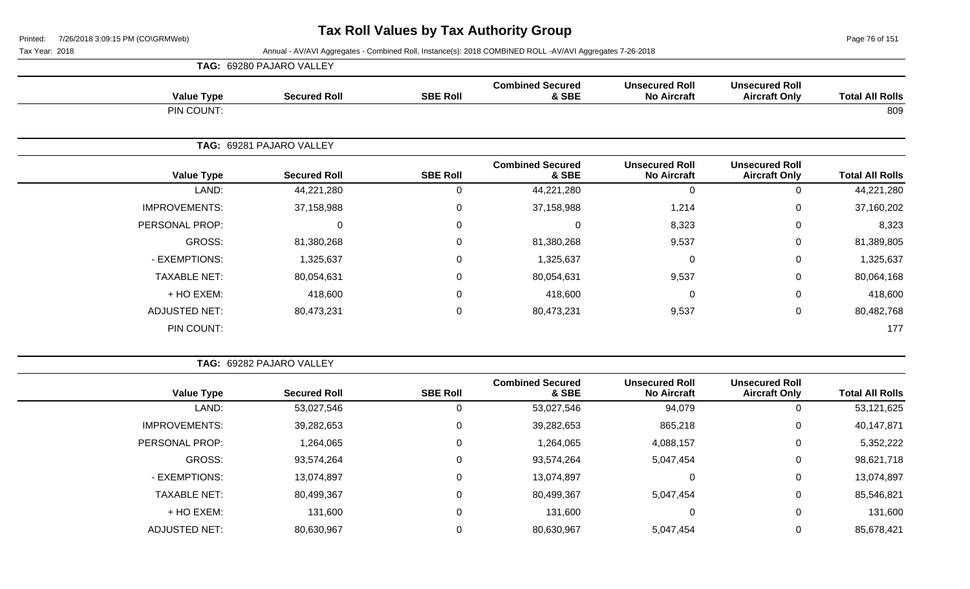Page 76 of 151

|                      | <b>TAG: 69280 PAJARO VALLEY</b> |                  |                                  |                                             |                                               |                        |
|----------------------|---------------------------------|------------------|----------------------------------|---------------------------------------------|-----------------------------------------------|------------------------|
| <b>Value Type</b>    | <b>Secured Roll</b>             | <b>SBE Roll</b>  | <b>Combined Secured</b><br>& SBE | <b>Unsecured Roll</b><br><b>No Aircraft</b> | <b>Unsecured Roll</b><br><b>Aircraft Only</b> | <b>Total All Rolls</b> |
| PIN COUNT:           |                                 |                  |                                  |                                             |                                               | 809                    |
|                      | TAG: 69281 PAJARO VALLEY        |                  |                                  |                                             |                                               |                        |
| <b>Value Type</b>    | <b>Secured Roll</b>             | <b>SBE Roll</b>  | <b>Combined Secured</b><br>& SBE | <b>Unsecured Roll</b><br><b>No Aircraft</b> | <b>Unsecured Roll</b><br><b>Aircraft Only</b> | <b>Total All Rolls</b> |
| LAND:                | 44,221,280                      | $\Omega$         | 44,221,280                       | $\mathbf 0$                                 | $\Omega$                                      | 44,221,280             |
| <b>IMPROVEMENTS:</b> | 37,158,988                      | $\mathbf 0$      | 37,158,988                       | 1,214                                       | $\mathbf 0$                                   | 37,160,202             |
| PERSONAL PROP:       | 0                               | $\Omega$         | 0                                | 8,323                                       | $\Omega$                                      | 8,323                  |
| GROSS:               | 81,380,268                      | $\mathbf 0$      | 81,380,268                       | 9,537                                       | $\mathbf 0$                                   | 81,389,805             |
| - EXEMPTIONS:        | 1,325,637                       | 0                | 1,325,637                        | $\mathbf 0$                                 | $\mathbf 0$                                   | 1,325,637              |
| <b>TAXABLE NET:</b>  | 80,054,631                      | $\Omega$         | 80,054,631                       | 9,537                                       | $\Omega$                                      | 80,064,168             |
| + HO EXEM:           | 418,600                         | 0                | 418,600                          | $\mathbf 0$                                 | 0                                             | 418,600                |
| <b>ADJUSTED NET:</b> | 80,473,231                      | $\boldsymbol{0}$ | 80,473,231                       | 9,537                                       | $\mathbf 0$                                   | 80,482,768             |
| PIN COUNT:           |                                 |                  |                                  |                                             |                                               | 177                    |

| <b>TAG: 69282 PAJARO VALLEY</b> |  |
|---------------------------------|--|
|                                 |  |

| <b>Total All Rolls</b> | <b>Unsecured Roll</b><br><b>Aircraft Only</b> | <b>Unsecured Roll</b><br><b>No Aircraft</b> | <b>Combined Secured</b><br>& SBE | <b>SBE Roll</b> | <b>Secured Roll</b> | <b>Value Type</b>    |
|------------------------|-----------------------------------------------|---------------------------------------------|----------------------------------|-----------------|---------------------|----------------------|
| 53,121,625             |                                               | 94,079                                      | 53,027,546                       | 0               | 53,027,546          | LAND:                |
| 40,147,871             | 0                                             | 865,218                                     | 39,282,653                       | 0               | 39,282,653          | <b>IMPROVEMENTS:</b> |
| 5,352,222              | 0                                             | 4,088,157                                   | 1,264,065                        | 0               | 1,264,065           | PERSONAL PROP:       |
| 98,621,718             | 0                                             | 5,047,454                                   | 93,574,264                       | 0               | 93,574,264          | GROSS:               |
| 13,074,897             | 0                                             | 0                                           | 13,074,897                       | 0               | 13,074,897          | - EXEMPTIONS:        |
| 85,546,821             | 0                                             | 5,047,454                                   | 80,499,367                       | 0               | 80,499,367          | <b>TAXABLE NET:</b>  |
| 131,600                |                                               | 0                                           | 131,600                          | 0               | 131,600             | + HO EXEM:           |
| 85,678,421             |                                               | 5,047,454                                   | 80,630,967                       | 0               | 80,630,967          | <b>ADJUSTED NET:</b> |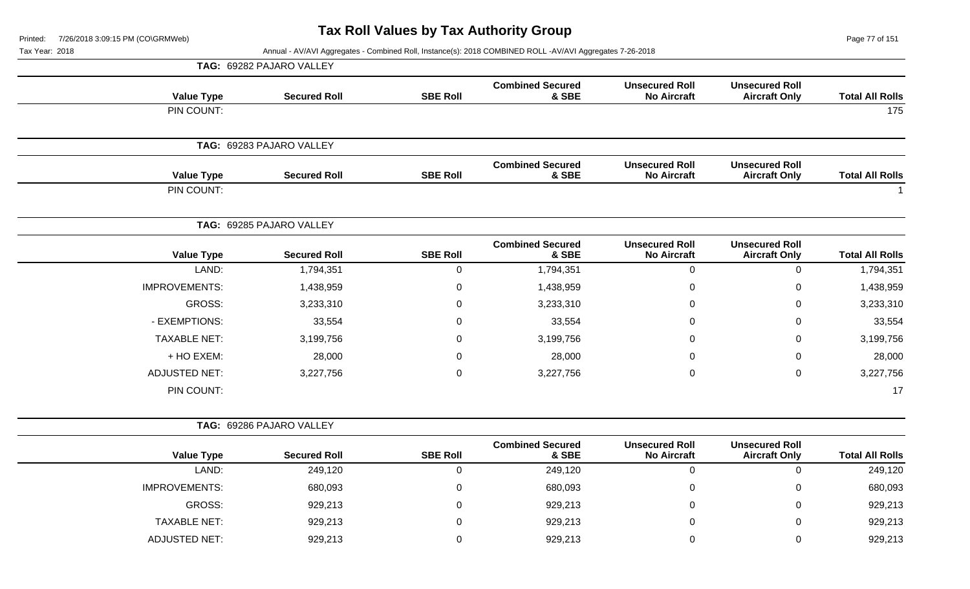| Printed:       | 7/26/2018 3:09:15 PM (CO\GRMWeb) |                          |                 | Tax Roll Values by Tax Authority Group                                                                   |                                             |                                               | Page 77 of 151         |
|----------------|----------------------------------|--------------------------|-----------------|----------------------------------------------------------------------------------------------------------|---------------------------------------------|-----------------------------------------------|------------------------|
| Tax Year: 2018 |                                  |                          |                 | Annual - AV/AVI Aggregates - Combined Roll, Instance(s): 2018 COMBINED ROLL -AV/AVI Aggregates 7-26-2018 |                                             |                                               |                        |
|                |                                  | TAG: 69282 PAJARO VALLEY |                 |                                                                                                          |                                             |                                               |                        |
|                | <b>Value Type</b>                | <b>Secured Roll</b>      | <b>SBE Roll</b> | <b>Combined Secured</b><br>& SBE                                                                         | <b>Unsecured Roll</b><br><b>No Aircraft</b> | <b>Unsecured Roll</b><br><b>Aircraft Only</b> | <b>Total All Rolls</b> |
|                | PIN COUNT:                       |                          |                 |                                                                                                          |                                             |                                               | 175                    |
|                |                                  | TAG: 69283 PAJARO VALLEY |                 |                                                                                                          |                                             |                                               |                        |
|                | <b>Value Type</b>                | <b>Secured Roll</b>      | <b>SBE Roll</b> | <b>Combined Secured</b><br>& SBE                                                                         | <b>Unsecured Roll</b><br><b>No Aircraft</b> | <b>Unsecured Roll</b><br><b>Aircraft Only</b> | <b>Total All Rolls</b> |
|                | PIN COUNT:                       |                          |                 |                                                                                                          |                                             |                                               |                        |
|                |                                  | TAG: 69285 PAJARO VALLEY |                 |                                                                                                          |                                             |                                               |                        |
|                | <b>Value Type</b>                | <b>Secured Roll</b>      | <b>SBE Roll</b> | <b>Combined Secured</b><br>& SBE                                                                         | <b>Unsecured Roll</b><br><b>No Aircraft</b> | <b>Unsecured Roll</b><br><b>Aircraft Only</b> | <b>Total All Rolls</b> |
|                | LAND:                            | 1,794,351                | 0               | 1,794,351                                                                                                | 0                                           | 0                                             | 1,794,351              |
|                | <b>IMPROVEMENTS:</b>             | 1,438,959                | $\mathbf 0$     | 1,438,959                                                                                                | $\pmb{0}$                                   | $\mathbf 0$                                   | 1,438,959              |
|                |                                  |                          |                 |                                                                                                          |                                             |                                               |                        |

| LAND:                | 1,794,351 | υ        | 1,794,351 | υ           |   | 1,794,351 |
|----------------------|-----------|----------|-----------|-------------|---|-----------|
| <b>IMPROVEMENTS:</b> | 1,438,959 | $\Omega$ | 1,438,959 | 0           | 0 | 1,438,959 |
| GROSS:               | 3,233,310 | $\Omega$ | 3,233,310 | $\mathbf 0$ |   | 3,233,310 |
| - EXEMPTIONS:        | 33,554    | $\Omega$ | 33,554    | 0           | 0 | 33,554    |
| <b>TAXABLE NET:</b>  | 3,199,756 | $\Omega$ | 3,199,756 | $\mathbf 0$ |   | 3,199,756 |
| + HO EXEM:           | 28,000    | 0        | 28,000    | $\mathbf 0$ |   | 28,000    |
| <b>ADJUSTED NET:</b> | 3,227,756 | 0        | 3,227,756 | 0           |   | 3,227,756 |
| PIN COUNT:           |           |          |           |             |   | 17        |

|                      | TAG: 69286 PAJARO VALLEY |                 |                                  |                                             |                                               |                        |
|----------------------|--------------------------|-----------------|----------------------------------|---------------------------------------------|-----------------------------------------------|------------------------|
| <b>Value Type</b>    | <b>Secured Roll</b>      | <b>SBE Roll</b> | <b>Combined Secured</b><br>& SBE | <b>Unsecured Roll</b><br><b>No Aircraft</b> | <b>Unsecured Roll</b><br><b>Aircraft Only</b> | <b>Total All Rolls</b> |
| LAND:                | 249,120                  |                 | 249,120                          | 0                                           |                                               | 249,120                |
| <b>IMPROVEMENTS:</b> | 680,093                  |                 | 680,093                          | 0                                           | 0                                             | 680,093                |
| GROSS:               | 929,213                  |                 | 929,213                          | 0                                           | 0                                             | 929,213                |
| <b>TAXABLE NET:</b>  | 929,213                  |                 | 929,213                          | 0                                           | 0                                             | 929,213                |
| ADJUSTED NET:        | 929,213                  |                 | 929,213                          | 0                                           | 0                                             | 929,213                |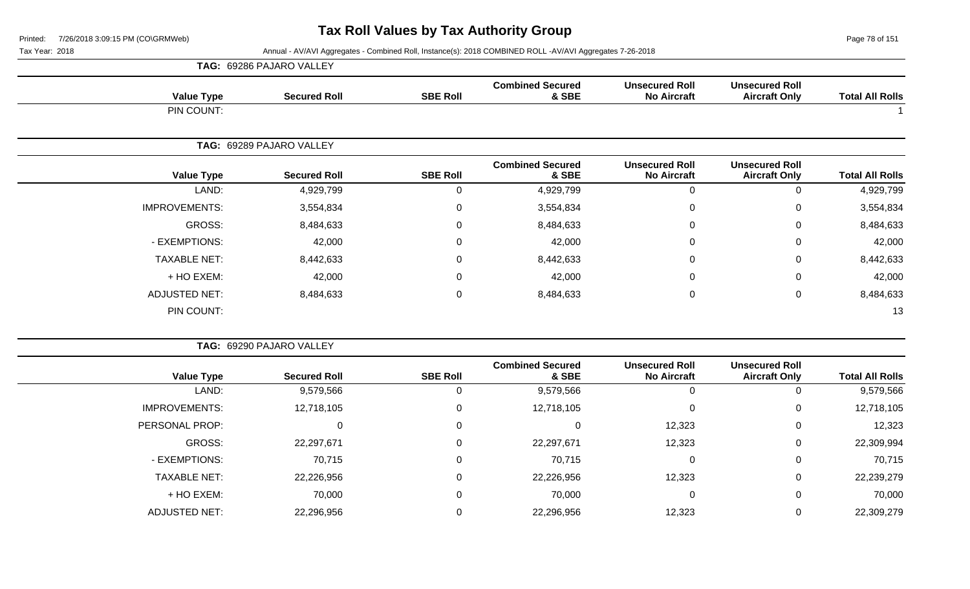Page 78 of 151

|                      | TAG: 69286 PAJARO VALLEY |                 |                                  |                                             |                                               |                        |
|----------------------|--------------------------|-----------------|----------------------------------|---------------------------------------------|-----------------------------------------------|------------------------|
| <b>Value Type</b>    | <b>Secured Roll</b>      | <b>SBE Roll</b> | <b>Combined Secured</b><br>& SBE | <b>Unsecured Roll</b><br><b>No Aircraft</b> | <b>Unsecured Roll</b><br><b>Aircraft Only</b> | <b>Total All Rolls</b> |
| PIN COUNT:           |                          |                 |                                  |                                             |                                               |                        |
|                      | TAG: 69289 PAJARO VALLEY |                 |                                  |                                             |                                               |                        |
| <b>Value Type</b>    | <b>Secured Roll</b>      | <b>SBE Roll</b> | <b>Combined Secured</b><br>& SBE | <b>Unsecured Roll</b><br><b>No Aircraft</b> | <b>Unsecured Roll</b><br><b>Aircraft Only</b> | <b>Total All Rolls</b> |
| LAND:                | 4,929,799                | 0               | 4,929,799                        | 0                                           | 0                                             | 4,929,799              |
| <b>IMPROVEMENTS:</b> | 3,554,834                | $\mathbf 0$     | 3,554,834                        | 0                                           | 0                                             | 3,554,834              |
| GROSS:               | 8,484,633                | 0               | 8,484,633                        | 0                                           | $\mathbf 0$                                   | 8,484,633              |
| - EXEMPTIONS:        | 42,000                   | $\mathbf 0$     | 42,000                           | 0                                           | 0                                             | 42,000                 |
| <b>TAXABLE NET:</b>  | 8,442,633                | 0               | 8,442,633                        | 0                                           | $\mathbf 0$                                   | 8,442,633              |
| + HO EXEM:           | 42,000                   | 0               | 42,000                           | 0                                           | 0                                             | 42,000                 |
| <b>ADJUSTED NET:</b> | 8,484,633                | 0               | 8,484,633                        | 0                                           | $\mathbf 0$                                   | 8,484,633              |
| PIN COUNT:           |                          |                 |                                  |                                             |                                               | 13                     |

|                      | TAG: 69290 PAJARO VALLEY |                 |                                  |                                             |                                               |                        |
|----------------------|--------------------------|-----------------|----------------------------------|---------------------------------------------|-----------------------------------------------|------------------------|
| <b>Value Type</b>    | <b>Secured Roll</b>      | <b>SBE Roll</b> | <b>Combined Secured</b><br>& SBE | <b>Unsecured Roll</b><br><b>No Aircraft</b> | <b>Unsecured Roll</b><br><b>Aircraft Only</b> | <b>Total All Rolls</b> |
| LAND:                | 9,579,566                | U               | 9,579,566                        |                                             | 0                                             | 9,579,566              |
| <b>IMPROVEMENTS:</b> | 12,718,105               | $\mathbf 0$     | 12,718,105                       |                                             | $\mathbf 0$                                   | 12,718,105             |
| PERSONAL PROP:       | O                        | $\mathbf 0$     |                                  | 12,323                                      | 0                                             | 12,323                 |
| GROSS:               | 22,297,671               | $\mathbf 0$     | 22,297,671                       | 12,323                                      | 0                                             | 22,309,994             |
| - EXEMPTIONS:        | 70,715                   | $\mathbf 0$     | 70,715                           |                                             | 0                                             | 70,715                 |
| <b>TAXABLE NET:</b>  | 22,226,956               | 0               | 22,226,956                       | 12,323                                      | 0                                             | 22,239,279             |
| + HO EXEM:           | 70,000                   | $\mathbf 0$     | 70,000                           |                                             | 0                                             | 70,000                 |
| <b>ADJUSTED NET:</b> | 22,296,956               | 0               | 22,296,956                       | 12,323                                      | 0                                             | 22,309,279             |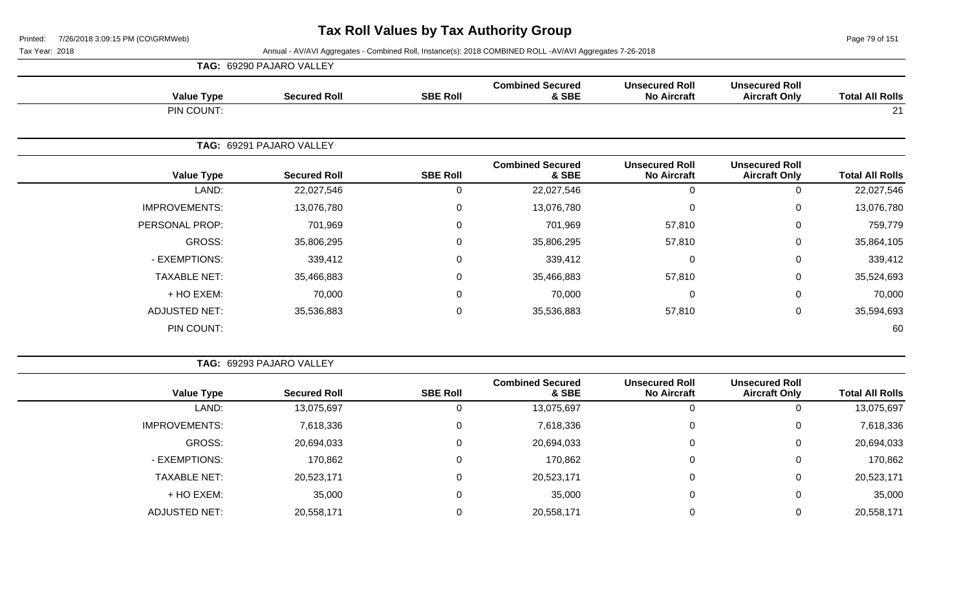Page 79 of 151

Tax Year: 2018 Annual - AV/AVI Aggregates - Combined Roll, Instance(s): 2018 COMBINED ROLL -AV/AVI Aggregates 7-26-2018

|                      | <b>TAG: 69290 PAJARO VALLEY</b> |                 |                                  |                                             |                                               |                        |
|----------------------|---------------------------------|-----------------|----------------------------------|---------------------------------------------|-----------------------------------------------|------------------------|
| <b>Value Type</b>    | <b>Secured Roll</b>             | <b>SBE Roll</b> | <b>Combined Secured</b><br>& SBE | <b>Unsecured Roll</b><br><b>No Aircraft</b> | <b>Unsecured Roll</b><br><b>Aircraft Only</b> | <b>Total All Rolls</b> |
| PIN COUNT:           |                                 |                 |                                  |                                             |                                               | 21                     |
|                      | TAG: 69291 PAJARO VALLEY        |                 |                                  |                                             |                                               |                        |
| <b>Value Type</b>    | <b>Secured Roll</b>             | <b>SBE Roll</b> | <b>Combined Secured</b><br>& SBE | <b>Unsecured Roll</b><br><b>No Aircraft</b> | <b>Unsecured Roll</b><br><b>Aircraft Only</b> | <b>Total All Rolls</b> |
| LAND:                | 22,027,546                      | 0               | 22,027,546                       | $\mathbf 0$                                 | 0                                             | 22,027,546             |
| <b>IMPROVEMENTS:</b> | 13,076,780                      | 0               | 13,076,780                       | $\overline{0}$                              | 0                                             | 13,076,780             |
| PERSONAL PROP:       | 701,969                         | 0               | 701,969                          | 57,810                                      | 0                                             | 759,779                |
| GROSS:               | 35,806,295                      | 0               | 35,806,295                       | 57,810                                      | 0                                             | 35,864,105             |
| - EXEMPTIONS:        | 339,412                         | 0               | 339,412                          | $\overline{0}$                              | 0                                             | 339,412                |
| <b>TAXABLE NET:</b>  | 35,466,883                      | 0               | 35,466,883                       | 57,810                                      | 0                                             | 35,524,693             |
| + HO EXEM:           | 70,000                          | 0               | 70,000                           | $\mathbf 0$                                 | 0                                             | 70,000                 |
| <b>ADJUSTED NET:</b> | 35,536,883                      | 0               | 35,536,883                       | 57,810                                      | 0                                             | 35,594,693             |
| PIN COUNT:           |                                 |                 |                                  |                                             |                                               | 60                     |

**TAG:** 69293 PAJARO VALLEY

|                      |                     |                 | <b>Combined Secured</b> | <b>Unsecured Roll</b> | <b>Unsecured Roll</b> |                        |
|----------------------|---------------------|-----------------|-------------------------|-----------------------|-----------------------|------------------------|
| <b>Value Type</b>    | <b>Secured Roll</b> | <b>SBE Roll</b> | & SBE                   | <b>No Aircraft</b>    | <b>Aircraft Only</b>  | <b>Total All Rolls</b> |
| LAND:                | 13,075,697          |                 | 13,075,697              |                       |                       | 13,075,697             |
| <b>IMPROVEMENTS:</b> | 7,618,336           | 0               | 7,618,336               |                       | 0                     | 7,618,336              |
| <b>GROSS:</b>        | 20,694,033          |                 | 20,694,033              |                       | 0                     | 20,694,033             |
| - EXEMPTIONS:        | 170,862             |                 | 170,862                 | 0                     |                       | 170,862                |
| <b>TAXABLE NET:</b>  | 20,523,171          |                 | 20,523,171              |                       | 0                     | 20,523,171             |
| + HO EXEM:           | 35,000              |                 | 35,000                  |                       |                       | 35,000                 |
| ADJUSTED NET:        | 20,558,171          |                 | 20,558,171              |                       |                       | 20,558,171             |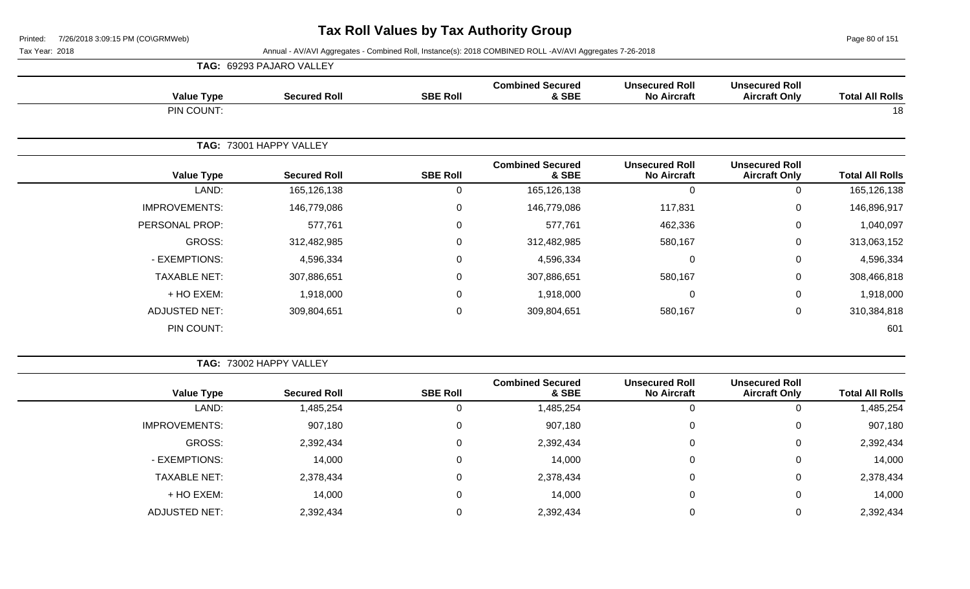Page 80 of 151

|                      | <b>TAG: 69293 PAJARO VALLEY</b> |                 |                                  |                                             |                                               |                        |
|----------------------|---------------------------------|-----------------|----------------------------------|---------------------------------------------|-----------------------------------------------|------------------------|
| <b>Value Type</b>    | <b>Secured Roll</b>             | <b>SBE Roll</b> | <b>Combined Secured</b><br>& SBE | <b>Unsecured Roll</b><br><b>No Aircraft</b> | <b>Unsecured Roll</b><br><b>Aircraft Only</b> | <b>Total All Rolls</b> |
| PIN COUNT:           |                                 |                 |                                  |                                             |                                               | 18                     |
|                      | TAG: 73001 HAPPY VALLEY         |                 |                                  |                                             |                                               |                        |
| <b>Value Type</b>    | <b>Secured Roll</b>             | <b>SBE Roll</b> | <b>Combined Secured</b><br>& SBE | <b>Unsecured Roll</b><br><b>No Aircraft</b> | <b>Unsecured Roll</b><br><b>Aircraft Only</b> | <b>Total All Rolls</b> |
| LAND:                | 165,126,138                     | $\mathbf 0$     | 165,126,138                      | $\Omega$                                    | 0                                             | 165,126,138            |
| <b>IMPROVEMENTS:</b> | 146,779,086                     | $\mathbf 0$     | 146,779,086                      | 117,831                                     | $\mathbf 0$                                   | 146,896,917            |
| PERSONAL PROP:       | 577,761                         | 0               | 577,761                          | 462,336                                     | $\mathbf 0$                                   | 1,040,097              |
| GROSS:               | 312,482,985                     | $\mathbf 0$     | 312,482,985                      | 580,167                                     | 0                                             | 313,063,152            |
| - EXEMPTIONS:        | 4,596,334                       | $\mathbf 0$     | 4,596,334                        | 0                                           | $\mathbf 0$                                   | 4,596,334              |
| <b>TAXABLE NET:</b>  | 307,886,651                     | $\mathbf 0$     | 307,886,651                      | 580,167                                     | $\mathbf 0$                                   | 308,466,818            |
| + HO EXEM:           | 1,918,000                       | $\Omega$        | 1,918,000                        | $\Omega$                                    | 0                                             | 1,918,000              |
| <b>ADJUSTED NET:</b> | 309,804,651                     | 0               | 309,804,651                      | 580,167                                     | $\mathbf 0$                                   | 310,384,818            |
| PIN COUNT:           |                                 |                 |                                  |                                             |                                               | 601                    |

|                        |                                               |                                             |                                  |                 | TAG: 73002 HAPPY VALLEY |                      |
|------------------------|-----------------------------------------------|---------------------------------------------|----------------------------------|-----------------|-------------------------|----------------------|
| <b>Total All Rolls</b> | <b>Unsecured Roll</b><br><b>Aircraft Only</b> | <b>Unsecured Roll</b><br><b>No Aircraft</b> | <b>Combined Secured</b><br>& SBE | <b>SBE Roll</b> | <b>Secured Roll</b>     | <b>Value Type</b>    |
| 1,485,254              |                                               |                                             | 1,485,254                        | 0               | 1,485,254               | LAND:                |
| 907,180                | 0                                             | 0                                           | 907,180                          | 0               | 907,180                 | <b>IMPROVEMENTS:</b> |
| 2,392,434              | 0                                             | $\mathbf{0}$                                | 2,392,434                        | 0               | 2,392,434               | GROSS:               |
| 14,000                 | 0                                             | $\mathbf{0}$                                | 14,000                           | 0               | 14,000                  | - EXEMPTIONS:        |
| 2,378,434              | 0                                             | 0                                           | 2,378,434                        | 0               | 2,378,434               | <b>TAXABLE NET:</b>  |
| 14,000                 | 0                                             | $\mathbf{0}$                                | 14,000                           | 0               | 14,000                  | + HO EXEM:           |
| 2,392,434              | 0                                             | $\Omega$                                    | 2,392,434                        | 0               | 2,392,434               | ADJUSTED NET:        |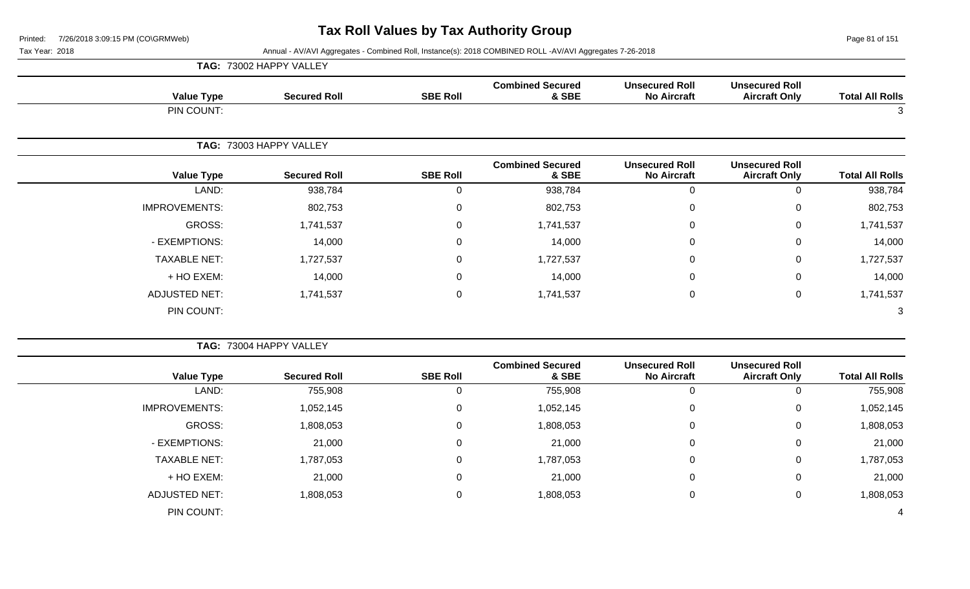Page 81 of 151

| <b>Value Type</b>    | <b>Secured Roll</b>     | <b>SBE Roll</b> | <b>Combined Secured</b><br>& SBE | <b>Unsecured Roll</b><br><b>No Aircraft</b> | <b>Unsecured Roll</b><br><b>Aircraft Only</b> | <b>Total All Rolls</b> |
|----------------------|-------------------------|-----------------|----------------------------------|---------------------------------------------|-----------------------------------------------|------------------------|
| PIN COUNT:           |                         |                 |                                  |                                             |                                               | 3                      |
|                      | TAG: 73003 HAPPY VALLEY |                 |                                  |                                             |                                               |                        |
| <b>Value Type</b>    | <b>Secured Roll</b>     | <b>SBE Roll</b> | <b>Combined Secured</b><br>& SBE | <b>Unsecured Roll</b><br><b>No Aircraft</b> | <b>Unsecured Roll</b><br><b>Aircraft Only</b> | <b>Total All Rolls</b> |
| LAND:                | 938,784                 | 0               | 938,784                          | $\mathbf 0$                                 | $\mathbf 0$                                   | 938,784                |
| <b>IMPROVEMENTS:</b> | 802,753                 | $\mathbf 0$     | 802,753                          | $\mathbf 0$                                 | $\mathbf 0$                                   | 802,753                |
| GROSS:               | 1,741,537               | $\mathbf 0$     | 1,741,537                        | $\mathbf 0$                                 | $\mathbf 0$                                   | 1,741,537              |
| - EXEMPTIONS:        | 14,000                  | $\pmb{0}$       | 14,000                           | $\mathbf 0$                                 | $\mathbf 0$                                   | 14,000                 |
| <b>TAXABLE NET:</b>  | 1,727,537               | $\mathbf 0$     | 1,727,537                        | $\mathbf 0$                                 | $\mathbf 0$                                   | 1,727,537              |
| + HO EXEM:           | 14,000                  | 0               | 14,000                           | 0                                           | $\mathbf 0$                                   | 14,000                 |
| <b>ADJUSTED NET:</b> | 1,741,537               | 0               | 1,741,537                        | 0                                           | $\mathbf 0$                                   | 1,741,537              |
| PIN COUNT:           |                         |                 |                                  |                                             |                                               | 3                      |

|                        |                                               |                                             |                                  |                 | TAG: 73004 HAPPY VALLEY |                      |
|------------------------|-----------------------------------------------|---------------------------------------------|----------------------------------|-----------------|-------------------------|----------------------|
| <b>Total All Rolls</b> | <b>Unsecured Roll</b><br><b>Aircraft Only</b> | <b>Unsecured Roll</b><br><b>No Aircraft</b> | <b>Combined Secured</b><br>& SBE | <b>SBE Roll</b> | <b>Secured Roll</b>     | <b>Value Type</b>    |
| 755,908                | 0                                             | 0                                           | 755,908                          | 0               | 755,908                 | LAND:                |
| 1,052,145              | 0                                             | 0                                           | 1,052,145                        | 0               | 1,052,145               | <b>IMPROVEMENTS:</b> |
| 1,808,053              | 0                                             | 0                                           | 1,808,053                        | 0               | 808,053                 | <b>GROSS:</b>        |
| 21,000                 | 0                                             | $\mathbf 0$                                 | 21,000                           | 0               | 21,000                  | - EXEMPTIONS:        |
| 1,787,053              | $\mathbf 0$                                   | $\mathbf 0$                                 | 1,787,053                        | 0               | 1,787,053               | <b>TAXABLE NET:</b>  |
| 21,000                 | $\mathbf 0$                                   | 0                                           | 21,000                           | 0               | 21,000                  | + HO EXEM:           |
| 1,808,053              | $\mathbf 0$                                   | 0                                           | 1,808,053                        | 0               | 1,808,053               | <b>ADJUSTED NET:</b> |
| 4                      |                                               |                                             |                                  |                 |                         | PIN COUNT:           |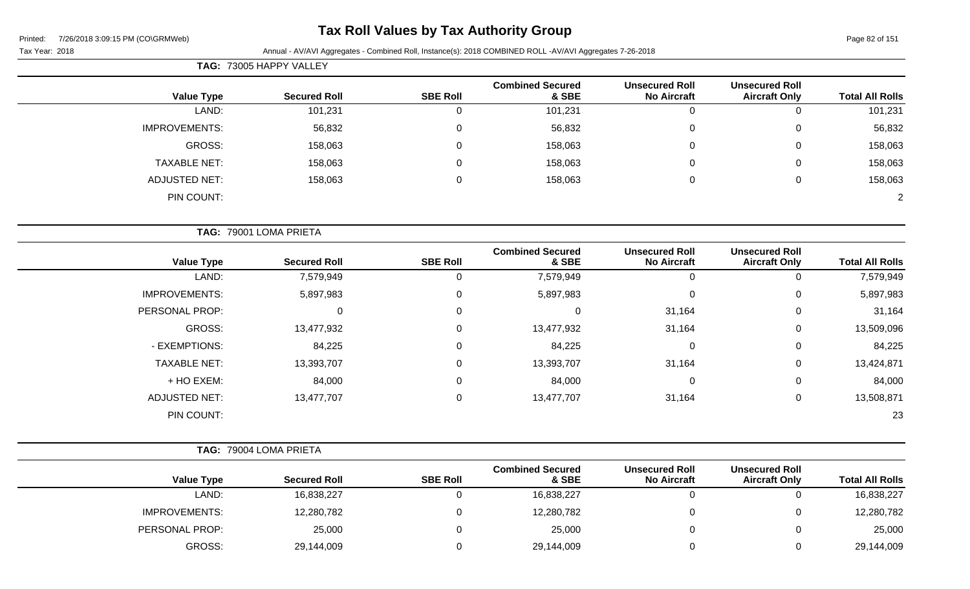# **Tax Roll Values by Tax Authority Group**

|            | <b>TAG: 73005 HAPPY VALLEY</b> |                 |                                  |                                             |                                               |                        |
|------------|--------------------------------|-----------------|----------------------------------|---------------------------------------------|-----------------------------------------------|------------------------|
| Value Type | Secured Roll                   | <b>SBE Roll</b> | <b>Combined Secured</b><br>& SBE | <b>Unsecured Roll</b><br><b>No Aircraft</b> | <b>Unsecured Roll</b><br><b>Aircraft Only</b> | <b>Total All Rolls</b> |
| LAND:      | 101,231                        |                 | 101,231                          |                                             |                                               | 101,231                |

| <b>IMPROVEMENTS:</b> | 56,832  | 56,832  |  | 56,832  |
|----------------------|---------|---------|--|---------|
| GROSS:               | 158,063 | 158,063 |  | 158,063 |
| <b>TAXABLE NET:</b>  | 158,063 | 158,063 |  | 158,063 |
| ADJUSTED NET:        | 158,063 | 158,063 |  | 158,063 |
| PIN COUNT:           |         |         |  | ົ       |

|                      | TAG: 79001 LOMA PRIETA |                 |                                  |                                             |                                               |                        |
|----------------------|------------------------|-----------------|----------------------------------|---------------------------------------------|-----------------------------------------------|------------------------|
| <b>Value Type</b>    | <b>Secured Roll</b>    | <b>SBE Roll</b> | <b>Combined Secured</b><br>& SBE | <b>Unsecured Roll</b><br><b>No Aircraft</b> | <b>Unsecured Roll</b><br><b>Aircraft Only</b> | <b>Total All Rolls</b> |
| LAND:                | 7,579,949              | 0               | 7,579,949                        |                                             | 0                                             | 7,579,949              |
| <b>IMPROVEMENTS:</b> | 5,897,983              | $\mathbf 0$     | 5,897,983                        | 0                                           | 0                                             | 5,897,983              |
| PERSONAL PROP:       | 0                      | $\mathbf 0$     | $\mathbf 0$                      | 31,164                                      | $\mathbf 0$                                   | 31,164                 |
| GROSS:               | 13,477,932             | $\mathbf 0$     | 13,477,932                       | 31,164                                      | $\mathbf 0$                                   | 13,509,096             |
| - EXEMPTIONS:        | 84,225                 | $\mathbf{0}$    | 84,225                           | $\mathbf 0$                                 | $\mathbf 0$                                   | 84,225                 |
| <b>TAXABLE NET:</b>  | 13,393,707             | $\mathbf{0}$    | 13,393,707                       | 31,164                                      | $\mathbf 0$                                   | 13,424,871             |
| + HO EXEM:           | 84,000                 | $\mathbf 0$     | 84,000                           | 0                                           | $\mathbf 0$                                   | 84,000                 |
| <b>ADJUSTED NET:</b> | 13,477,707             | 0               | 13,477,707                       | 31,164                                      | $\mathbf 0$                                   | 13,508,871             |
| PIN COUNT:           |                        |                 |                                  |                                             |                                               | 23                     |

|  | TAG: 79004 LOMA PRIETA |
|--|------------------------|
|  |                        |

| <b>Value Type</b>    | <b>Secured Roll</b> | <b>SBE Roll</b> | <b>Combined Secured</b><br>& SBE | <b>Unsecured Roll</b><br><b>No Aircraft</b> | <b>Unsecured Roll</b><br><b>Aircraft Only</b> | <b>Total All Rolls</b> |
|----------------------|---------------------|-----------------|----------------------------------|---------------------------------------------|-----------------------------------------------|------------------------|
| LAND:                | 16,838,227          |                 | 16,838,227                       |                                             |                                               | 16,838,227             |
| <b>IMPROVEMENTS:</b> | 12,280,782          |                 | 12,280,782                       |                                             |                                               | 12,280,782             |
| PERSONAL PROP:       | 25,000              |                 | 25,000                           |                                             |                                               | 25,000                 |
| GROSS:               | 29,144,009          |                 | 29,144,009                       |                                             |                                               | 29,144,009             |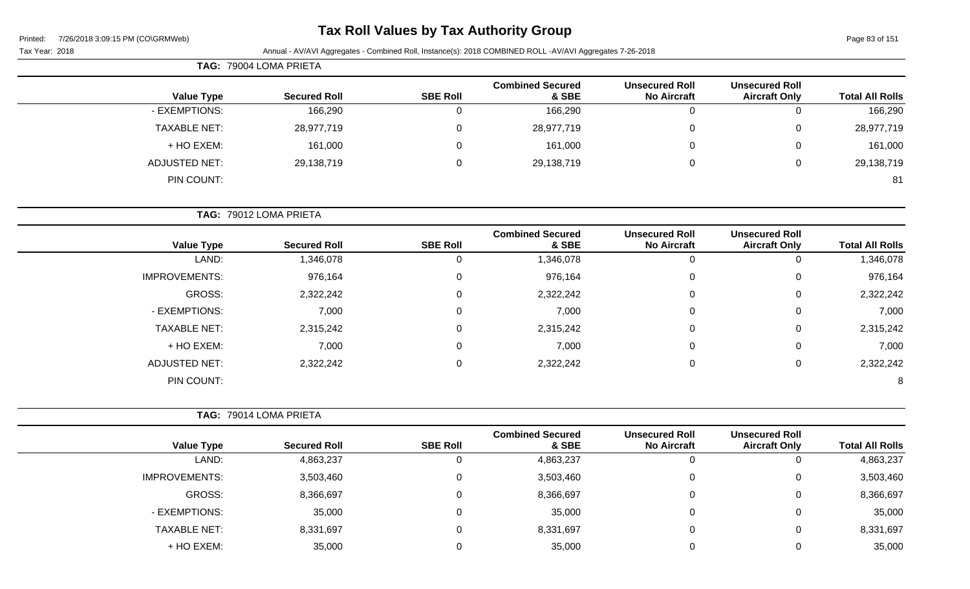# **Tax Roll Values by Tax Authority Group**

| TAG: 79004 LOMA PRIETA |                        |                 |                                  |                                             |                                               |                        |
|------------------------|------------------------|-----------------|----------------------------------|---------------------------------------------|-----------------------------------------------|------------------------|
| <b>Value Type</b>      | <b>Secured Roll</b>    | <b>SBE Roll</b> | <b>Combined Secured</b><br>& SBE | <b>Unsecured Roll</b><br><b>No Aircraft</b> | <b>Unsecured Roll</b><br><b>Aircraft Only</b> | <b>Total All Rolls</b> |
| - EXEMPTIONS:          | 166,290                | 0               | 166,290                          | O                                           | U                                             | 166,290                |
| <b>TAXABLE NET:</b>    | 28,977,719             | 0               | 28,977,719                       | 0                                           | 0                                             | 28,977,719             |
| + HO EXEM:             | 161,000                | 0               | 161,000                          | $\Omega$                                    | 0                                             | 161,000                |
| <b>ADJUSTED NET:</b>   | 29,138,719             | 0               | 29,138,719                       | 0                                           | 0                                             | 29,138,719             |
| PIN COUNT:             |                        |                 |                                  |                                             |                                               | 81                     |
|                        |                        |                 |                                  |                                             |                                               |                        |
|                        | TAG: 79012 LOMA PRIETA |                 |                                  |                                             |                                               |                        |

| <b>Value Type</b>    | <b>Secured Roll</b> | <b>SBE Roll</b> | <b>Combined Secured</b><br>& SBE | <b>Unsecured Roll</b><br><b>No Aircraft</b> | <b>Unsecured Roll</b><br><b>Aircraft Only</b> | <b>Total All Rolls</b> |
|----------------------|---------------------|-----------------|----------------------------------|---------------------------------------------|-----------------------------------------------|------------------------|
| LAND:                | 1,346,078           | 0               | 1,346,078                        | 0                                           |                                               | 1,346,078              |
| <b>IMPROVEMENTS:</b> | 976,164             | 0               | 976,164                          | 0                                           | 0                                             | 976,164                |
| GROSS:               | 2,322,242           | 0               | 2,322,242                        | $\mathbf 0$                                 | 0                                             | 2,322,242              |
| - EXEMPTIONS:        | 7,000               | 0               | 7,000                            | 0                                           | 0                                             | 7,000                  |
| <b>TAXABLE NET:</b>  | 2,315,242           | 0               | 2,315,242                        | $\mathbf 0$                                 | 0                                             | 2,315,242              |
| + HO EXEM:           | 7,000               | 0               | 7,000                            | $\mathbf 0$                                 | $\mathbf 0$                                   | 7,000                  |
| <b>ADJUSTED NET:</b> | 2,322,242           | 0               | 2,322,242                        | $\mathbf 0$                                 | 0                                             | 2,322,242              |
| PIN COUNT:           |                     |                 |                                  |                                             |                                               | 8                      |

|                      | <b>TAG: 79014 LOMA PRIETA</b> |                 |                                  |                                             |                                               |                        |
|----------------------|-------------------------------|-----------------|----------------------------------|---------------------------------------------|-----------------------------------------------|------------------------|
| <b>Value Type</b>    | <b>Secured Roll</b>           | <b>SBE Roll</b> | <b>Combined Secured</b><br>& SBE | <b>Unsecured Roll</b><br><b>No Aircraft</b> | <b>Unsecured Roll</b><br><b>Aircraft Only</b> | <b>Total All Rolls</b> |
| LAND:                | 4,863,237                     |                 | 4,863,237                        |                                             | 0                                             | 4,863,237              |
| <b>IMPROVEMENTS:</b> | 3,503,460                     |                 | 3,503,460                        | 0                                           | 0                                             | 3,503,460              |
| GROSS:               | 8,366,697                     |                 | 8,366,697                        | 0                                           | 0                                             | 8,366,697              |
| - EXEMPTIONS:        | 35,000                        |                 | 35,000                           | 0                                           | 0                                             | 35,000                 |
| <b>TAXABLE NET:</b>  | 8,331,697                     |                 | 8,331,697                        | 0                                           | 0                                             | 8,331,697              |
| + HO EXEM:           | 35,000                        |                 | 35,000                           |                                             | 0                                             | 35,000                 |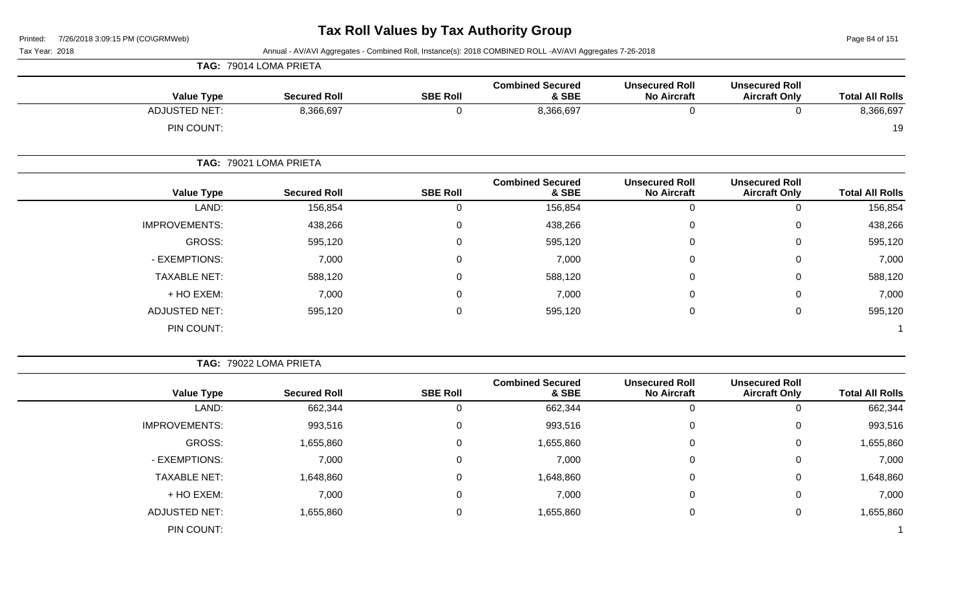Page 84 of 151

Tax Year: 2018 Annual - AV/AVI Aggregates - Combined Roll, Instance(s): 2018 COMBINED ROLL -AV/AVI Aggregates 7-26-2018

| <b>Total All Rolls</b> | <b>Unsecured Roll</b><br><b>Aircraft Only</b> | <b>Unsecured Roll</b><br><b>No Aircraft</b> | <b>Combined Secured</b><br>& SBE | <b>SBE Roll</b> | <b>Secured Roll</b>    | <b>Value Type</b>    |
|------------------------|-----------------------------------------------|---------------------------------------------|----------------------------------|-----------------|------------------------|----------------------|
| 8,366,697              | 0                                             | 0                                           | 8,366,697                        | 0               | 8,366,697              | <b>ADJUSTED NET:</b> |
| 19                     |                                               |                                             |                                  |                 |                        | PIN COUNT:           |
|                        |                                               |                                             |                                  |                 | TAG: 79021 LOMA PRIETA |                      |
| <b>Total All Rolls</b> | <b>Unsecured Roll</b><br><b>Aircraft Only</b> | <b>Unsecured Roll</b><br><b>No Aircraft</b> | <b>Combined Secured</b><br>& SBE | <b>SBE Roll</b> | <b>Secured Roll</b>    | <b>Value Type</b>    |
| 156,854                | 0                                             | 0                                           | 156,854                          | 0               | 156,854                | LAND:                |
| 438,266                | $\mathbf 0$                                   | 0                                           | 438,266                          | 0               | 438,266                | <b>IMPROVEMENTS:</b> |
| 595,120                | $\mathbf 0$                                   | 0                                           | 595,120                          | 0               | 595,120                | GROSS:               |
| 7,000                  | $\overline{0}$                                | 0                                           | 7,000                            | 0               | 7,000                  | - EXEMPTIONS:        |
| 588,120                | $\mathbf 0$                                   | 0                                           | 588,120                          | 0               | 588,120                | <b>TAXABLE NET:</b>  |
| 7,000                  | $\mathbf 0$                                   | 0                                           | 7,000                            | 0               | 7,000                  | + HO EXEM:           |
| 595,120                | $\overline{0}$                                | 0                                           | 595,120                          | 0               | 595,120                | <b>ADJUSTED NET:</b> |
|                        |                                               |                                             |                                  |                 |                        | PIN COUNT:           |

**TAG:** 79022 LOMA PRIETA

**TAG:** 79014 LOMA PRIETA

| <b>Total All Rolls</b> | <b>Unsecured Roll</b><br><b>Aircraft Only</b> | <b>Unsecured Roll</b><br><b>No Aircraft</b> | <b>Combined Secured</b><br>& SBE | <b>SBE Roll</b> | <b>Secured Roll</b> | <b>Value Type</b>    |
|------------------------|-----------------------------------------------|---------------------------------------------|----------------------------------|-----------------|---------------------|----------------------|
| 662,344                | 0                                             | 0                                           | 662,344                          |                 | 662,344             | LAND:                |
| 993,516                | 0                                             | 0                                           | 993,516                          | 0               | 993,516             | <b>IMPROVEMENTS:</b> |
| 1,655,860              | 0                                             | 0                                           | 1,655,860                        | 0               | 1,655,860           | GROSS:               |
| 7,000                  | 0                                             | 0                                           | 7,000                            | 0               | 7,000               | - EXEMPTIONS:        |
| 1,648,860              | 0                                             | 0                                           | 1,648,860                        | 0               | 1,648,860           | <b>TAXABLE NET:</b>  |
| 7,000                  | 0                                             | 0                                           | 7,000                            | 0               | 7,000               | + HO EXEM:           |
| 1,655,860              | 0                                             | 0                                           | 1,655,860                        | 0               | 1,655,860           | <b>ADJUSTED NET:</b> |
|                        |                                               |                                             |                                  |                 |                     | PIN COUNT:           |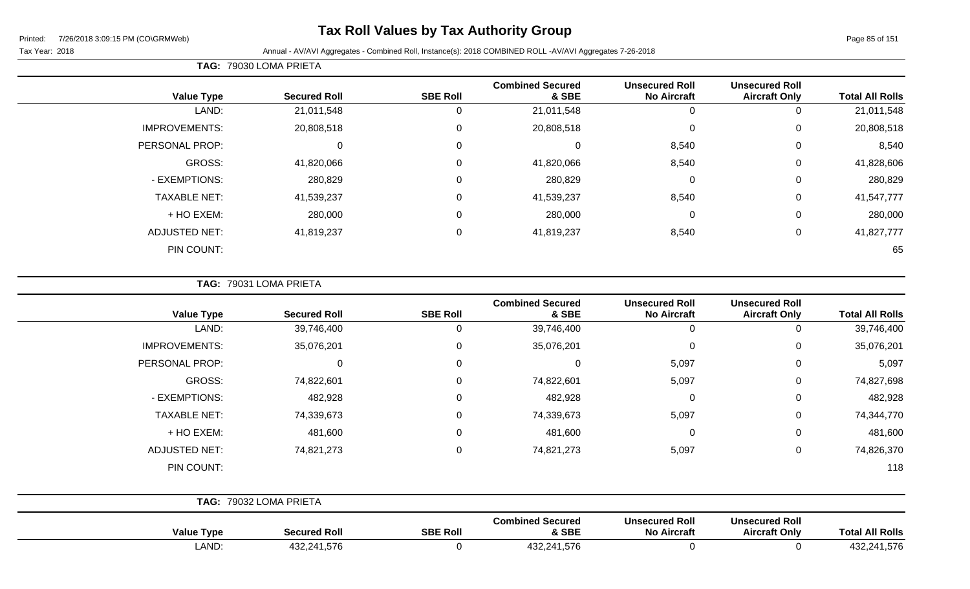# **Tax Roll Values by Tax Authority Group**

Tax Year: 2018 Annual - AV/AVI Aggregates - Combined Roll, Instance(s): 2018 COMBINED ROLL -AV/AVI Aggregates 7-26-2018

| <b>Total All Rolls</b> | <b>Unsecured Roll</b><br><b>Aircraft Only</b> | <b>Unsecured Roll</b><br><b>No Aircraft</b> | <b>Combined Secured</b><br>& SBE | <b>SBE Roll</b> | <b>Secured Roll</b> | <b>Value Type</b>    |
|------------------------|-----------------------------------------------|---------------------------------------------|----------------------------------|-----------------|---------------------|----------------------|
| 21,011,548             | 0                                             | 0                                           | 21,011,548                       |                 | 21,011,548          | LAND:                |
| 20,808,518             | $\mathbf 0$                                   | 0                                           | 20,808,518                       | 0               | 20,808,518          | <b>IMPROVEMENTS:</b> |
| 8,540                  | $\mathbf 0$                                   | 8,540                                       |                                  | $\Omega$        | 0                   | PERSONAL PROP:       |
| 41,828,606             | $\mathbf 0$                                   | 8,540                                       | 41,820,066                       | $\Omega$        | 41,820,066          | GROSS:               |
| 280,829                | $\mathbf 0$                                   | 0                                           | 280,829                          | $\Omega$        | 280,829             | - EXEMPTIONS:        |
| 41,547,777             | $\mathbf 0$                                   | 8,540                                       | 41,539,237                       | $\Omega$        | 41,539,237          | <b>TAXABLE NET:</b>  |
| 280,000                | $\overline{0}$                                | 0                                           | 280,000                          | 0               | 280,000             | + HO EXEM:           |
| 41,827,777             | $\mathbf{0}$                                  | 8,540                                       | 41,819,237                       |                 | 41,819,237          | <b>ADJUSTED NET:</b> |
| 65                     |                                               |                                             |                                  |                 |                     | PIN COUNT:           |

**TAG:** 79031 LOMA PRIETA

**TAG:** 79030 LOMA PRIETA

| <b>Value Type</b>    | <b>Secured Roll</b>    | <b>SBE Roll</b> | <b>Combined Secured</b><br>& SBE | <b>Unsecured Roll</b><br><b>No Aircraft</b> | <b>Unsecured Roll</b><br><b>Aircraft Only</b> | <b>Total All Rolls</b> |
|----------------------|------------------------|-----------------|----------------------------------|---------------------------------------------|-----------------------------------------------|------------------------|
| LAND:                | 39,746,400             | 0               | 39,746,400                       | $\mathbf 0$                                 | 0                                             | 39,746,400             |
| <b>IMPROVEMENTS:</b> | 35,076,201             | 0               | 35,076,201                       | $\mathbf 0$                                 | 0                                             | 35,076,201             |
| PERSONAL PROP:       | 0                      | $\Omega$        | 0                                | 5,097                                       | 0                                             | 5,097                  |
| GROSS:               | 74,822,601             | $\Omega$        | 74,822,601                       | 5,097                                       | 0                                             | 74,827,698             |
| - EXEMPTIONS:        | 482,928                | 0               | 482,928                          | $\mathbf 0$                                 | 0                                             | 482,928                |
| <b>TAXABLE NET:</b>  | 74,339,673             | 0               | 74,339,673                       | 5,097                                       | $\mathbf 0$                                   | 74,344,770             |
| + HO EXEM:           | 481,600                | $\Omega$        | 481,600                          | $\mathbf 0$                                 | $\mathbf 0$                                   | 481,600                |
| <b>ADJUSTED NET:</b> | 74,821,273             | $\Omega$        | 74,821,273                       | 5,097                                       | 0                                             | 74,826,370             |
| PIN COUNT:           |                        |                 |                                  |                                             |                                               | 118                    |
|                      | TAG: 79032 LOMA PRIETA |                 |                                  |                                             |                                               |                        |
| <b>Value Type</b>    | <b>Secured Roll</b>    | <b>SBE Roll</b> | <b>Combined Secured</b><br>& SBE | <b>Unsecured Roll</b><br><b>No Aircraft</b> | <b>Unsecured Roll</b><br><b>Aircraft Only</b> | <b>Total All Rolls</b> |

LAND: 432,241,576 0 432,241,576 0 0 432,241,576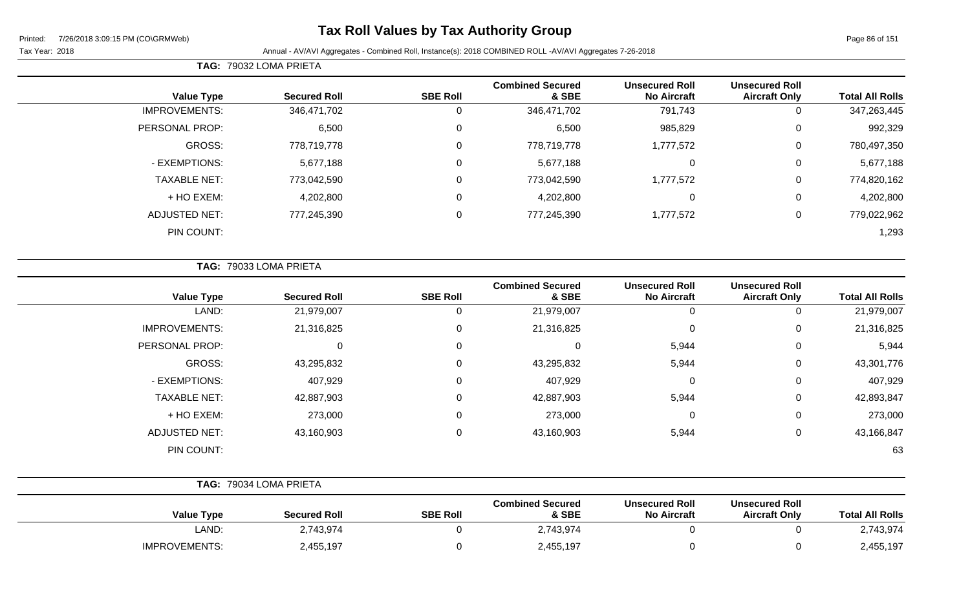# **Tax Roll Values by Tax Authority Group**

Tax Year: 2018 Annual - AV/AVI Aggregates - Combined Roll, Instance(s): 2018 COMBINED ROLL -AV/AVI Aggregates 7-26-2018

| <b>Total All Rolls</b> | <b>Unsecured Roll</b><br><b>Aircraft Only</b> | <b>Unsecured Roll</b><br><b>No Aircraft</b> | <b>Combined Secured</b><br>& SBE | <b>SBE Roll</b> | <b>Secured Roll</b> | <b>Value Type</b>    |
|------------------------|-----------------------------------------------|---------------------------------------------|----------------------------------|-----------------|---------------------|----------------------|
| 347,263,445            | 0                                             | 791,743                                     | 346,471,702                      | 0               | 346,471,702         | <b>IMPROVEMENTS:</b> |
| 992,329                | 0                                             | 985,829                                     | 6,500                            | 0               | 6,500               | PERSONAL PROP:       |
| 780,497,350            | 0                                             | 1,777,572                                   | 778,719,778                      | 0               | 778,719,778         | GROSS:               |
| 5,677,188              | 0                                             | 0                                           | 5,677,188                        | 0               | 5,677,188           | - EXEMPTIONS:        |
| 774,820,162            | 0                                             | 1,777,572                                   | 773,042,590                      | 0               | 773,042,590         | <b>TAXABLE NET:</b>  |
| 4,202,800              | 0                                             | 0                                           | 4,202,800                        | 0               | 4,202,800           | + HO EXEM:           |
| 779,022,962            | 0                                             | 1,777,572                                   | 777,245,390                      | 0               | 777,245,390         | <b>ADJUSTED NET:</b> |
| 1,293                  |                                               |                                             |                                  |                 |                     | PIN COUNT:           |
|                        |                                               |                                             |                                  |                 |                     |                      |

**TAG:** 79033 LOMA PRIETA

**TAG:** 79032 LOMA PRIETA

| <b>Value Type</b>    | <b>Secured Roll</b> | <b>SBE Roll</b> | <b>Combined Secured</b><br>& SBE | <b>Unsecured Roll</b><br><b>No Aircraft</b> | <b>Unsecured Roll</b><br><b>Aircraft Only</b> | <b>Total All Rolls</b> |
|----------------------|---------------------|-----------------|----------------------------------|---------------------------------------------|-----------------------------------------------|------------------------|
| LAND:                | 21,979,007          | U               | 21,979,007                       |                                             | 0                                             | 21,979,007             |
| <b>IMPROVEMENTS:</b> | 21,316,825          | 0               | 21,316,825                       | $\mathbf{0}$                                | 0                                             | 21,316,825             |
| PERSONAL PROP:       | 0                   | 0               | 0                                | 5,944                                       | 0                                             | 5,944                  |
| GROSS:               | 43,295,832          | 0               | 43,295,832                       | 5,944                                       | 0                                             | 43,301,776             |
| - EXEMPTIONS:        | 407,929             | 0               | 407,929                          | $\Omega$                                    | 0                                             | 407,929                |
| <b>TAXABLE NET:</b>  | 42,887,903          | 0               | 42,887,903                       | 5,944                                       | 0                                             | 42,893,847             |
| + HO EXEM:           | 273,000             | 0               | 273,000                          | $\Omega$                                    | 0                                             | 273,000                |
| <b>ADJUSTED NET:</b> | 43,160,903          | 0               | 43,160,903                       | 5,944                                       | 0                                             | 43,166,847             |
| PIN COUNT:           |                     |                 |                                  |                                             |                                               | 63                     |

|                      | TAG: 79034 LOMA PRIETA |                 |                                  |                                             |                                               |                        |
|----------------------|------------------------|-----------------|----------------------------------|---------------------------------------------|-----------------------------------------------|------------------------|
| Value Type           | <b>Secured Roll</b>    | <b>SBE Roll</b> | <b>Combined Secured</b><br>& SBE | <b>Unsecured Roll</b><br><b>No Aircraft</b> | <b>Unsecured Roll</b><br><b>Aircraft Only</b> | <b>Total All Rolls</b> |
| LAND:                | 2,743,974              |                 | 2,743,974                        |                                             |                                               | 2,743,974              |
| <b>IMPROVEMENTS:</b> | 2,455,197              |                 | 2,455,197                        |                                             |                                               | 2,455,197              |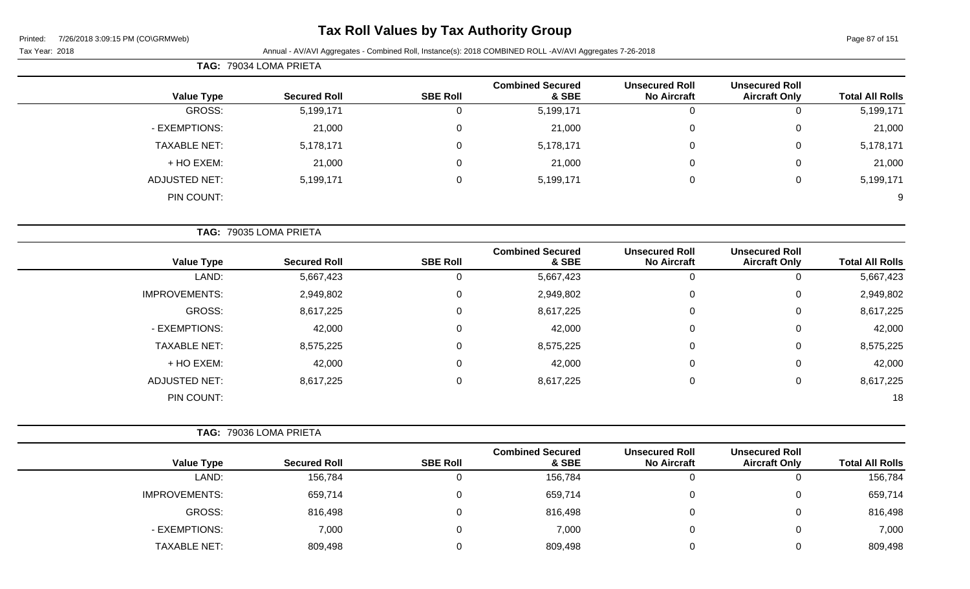# **Tax Roll Values by Tax Authority Group**

### Tax Year: 2018 Annual - AV/AVI Aggregates - Combined Roll, Instance(s): 2018 COMBINED ROLL -AV/AVI Aggregates 7-26-2018

|                      | TAG: 79034 LOMA PRIETA |                 |                                  |                                             |                                               |                        |
|----------------------|------------------------|-----------------|----------------------------------|---------------------------------------------|-----------------------------------------------|------------------------|
| <b>Value Type</b>    | <b>Secured Roll</b>    | <b>SBE Roll</b> | <b>Combined Secured</b><br>& SBE | <b>Unsecured Roll</b><br><b>No Aircraft</b> | <b>Unsecured Roll</b><br><b>Aircraft Only</b> | <b>Total All Rolls</b> |
| GROSS:               | 5,199,171              | 0               | 5,199,171                        | $\mathbf 0$                                 | $\mathbf 0$                                   | 5,199,171              |
| - EXEMPTIONS:        | 21,000                 | $\mathbf 0$     | 21,000                           | $\mathbf 0$                                 | 0                                             | 21,000                 |
| <b>TAXABLE NET:</b>  | 5,178,171              | $\mathbf 0$     | 5,178,171                        | 0                                           | 0                                             | 5,178,171              |
| + HO EXEM:           | 21,000                 | 0               | 21,000                           | $\mathbf 0$                                 | 0                                             | 21,000                 |
| <b>ADJUSTED NET:</b> | 5,199,171              | $\mathsf 0$     | 5,199,171                        | $\mathbf 0$                                 | $\mathbf 0$                                   | 5,199,171              |
| PIN COUNT:           |                        |                 |                                  |                                             |                                               | 9                      |
|                      | TAG: 79035 LOMA PRIETA |                 |                                  |                                             |                                               |                        |
| <b>Value Type</b>    | <b>Secured Roll</b>    | <b>SBE Roll</b> | <b>Combined Secured</b><br>& SBE | <b>Unsecured Roll</b><br><b>No Aircraft</b> | <b>Unsecured Roll</b><br><b>Aircraft Only</b> | <b>Total All Rolls</b> |
| LAND:                | 5,667,423              | 0               | 5,667,423                        | $\mathbf 0$                                 | $\mathbf 0$                                   | 5,667,423              |
| IMPROVEMENTS:        | 2,949,802              | $\mathbf 0$     | 2,949,802                        | $\mathbf 0$                                 | $\mathbf 0$                                   | 2,949,802              |
| GROSS:               | 8,617,225              | $\mathbf 0$     | 8,617,225                        | $\mathbf 0$                                 | $\mathbf 0$                                   | 8,617,225              |
| - EXEMPTIONS:        | 42,000                 | 0               | 42,000                           | 0                                           | 0                                             | 42,000                 |
| <b>TAXABLE NET:</b>  | 8,575,225              | 0               | 8,575,225                        | $\mathbf 0$                                 | $\mathbf 0$                                   | 8,575,225              |
| + HO EXEM:           | 42,000                 | 0               | 42,000                           | $\mathbf 0$                                 | $\mathbf 0$                                   | 42,000                 |
| <b>ADJUSTED NET:</b> | 8,617,225              | 0               | 8,617,225                        | $\mathbf 0$                                 | 0                                             | 8,617,225              |

PIN COUNT: 18

|                      | TAG: 79036 LOMA PRIETA |                 |                                  |                                             |                                               |                        |
|----------------------|------------------------|-----------------|----------------------------------|---------------------------------------------|-----------------------------------------------|------------------------|
| <b>Value Type</b>    | <b>Secured Roll</b>    | <b>SBE Roll</b> | <b>Combined Secured</b><br>& SBE | <b>Unsecured Roll</b><br><b>No Aircraft</b> | <b>Unsecured Roll</b><br><b>Aircraft Only</b> | <b>Total All Rolls</b> |
| LAND:                | 156,784                | 0               | 156,784                          | 0                                           |                                               | 156,784                |
| <b>IMPROVEMENTS:</b> | 659,714                | 0               | 659,714                          | $\Omega$                                    |                                               | 659,714                |
| GROSS:               | 816,498                | 0               | 816,498                          | 0                                           |                                               | 816,498                |
| - EXEMPTIONS:        | 7,000                  | 0               | 7,000                            | $\overline{0}$                              |                                               | 7,000                  |
| TAXABLE NET:         | 809,498                |                 | 809,498                          |                                             |                                               | 809,498                |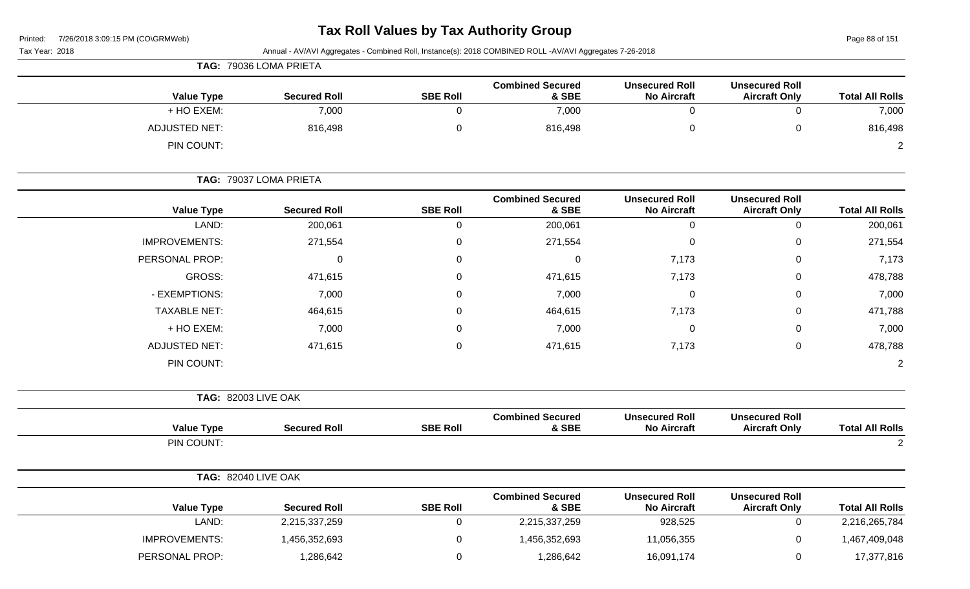# **Tax Roll Values by Tax Authority Group**

Page 88 of 151

| Tax Year: 2018             |                        |                 | Annual - AV/AVI Aggregates - Combined Roll, Instance(s): 2018 COMBINED ROLL -AV/AVI Aggregates 7-26-2018 |                                             |                                               |                        |
|----------------------------|------------------------|-----------------|----------------------------------------------------------------------------------------------------------|---------------------------------------------|-----------------------------------------------|------------------------|
|                            | TAG: 79036 LOMA PRIETA |                 |                                                                                                          |                                             |                                               |                        |
| <b>Value Type</b>          | <b>Secured Roll</b>    | <b>SBE Roll</b> | <b>Combined Secured</b><br>& SBE                                                                         | <b>Unsecured Roll</b><br><b>No Aircraft</b> | <b>Unsecured Roll</b><br><b>Aircraft Only</b> | <b>Total All Rolls</b> |
| + HO EXEM:                 | 7,000                  | $\mathbf 0$     | 7,000                                                                                                    | 0                                           | $\mathsf 0$                                   | 7,000                  |
| <b>ADJUSTED NET:</b>       | 816,498                | 0               | 816,498                                                                                                  | 0                                           | $\pmb{0}$                                     | 816,498                |
| PIN COUNT:                 |                        |                 |                                                                                                          |                                             |                                               | $\overline{c}$         |
|                            | TAG: 79037 LOMA PRIETA |                 |                                                                                                          |                                             |                                               |                        |
| <b>Value Type</b>          | <b>Secured Roll</b>    | <b>SBE Roll</b> | <b>Combined Secured</b><br>& SBE                                                                         | <b>Unsecured Roll</b><br><b>No Aircraft</b> | <b>Unsecured Roll</b><br><b>Aircraft Only</b> | <b>Total All Rolls</b> |
| LAND:                      | 200,061                | $\mathbf 0$     | 200,061                                                                                                  | $\mathbf 0$                                 | $\mathsf 0$                                   | 200,061                |
| <b>IMPROVEMENTS:</b>       | 271,554                | 0               | 271,554                                                                                                  | 0                                           | $\mathbf 0$                                   | 271,554                |
| PERSONAL PROP:             | 0                      | 0               | $\mathbf 0$                                                                                              | 7,173                                       | 0                                             | 7,173                  |
| <b>GROSS:</b>              | 471,615                | 0               | 471,615                                                                                                  | 7,173                                       | 0                                             | 478,788                |
| - EXEMPTIONS:              | 7,000                  | 0               | 7,000                                                                                                    | 0                                           | 0                                             | 7,000                  |
| <b>TAXABLE NET:</b>        | 464,615                | 0               | 464,615                                                                                                  | 7,173                                       | 0                                             | 471,788                |
| + HO EXEM:                 | 7,000                  | 0               | 7,000                                                                                                    | 0                                           | 0                                             | 7,000                  |
| <b>ADJUSTED NET:</b>       | 471,615                | 0               | 471,615                                                                                                  | 7,173                                       | $\mathbf 0$                                   | 478,788                |
| PIN COUNT:                 |                        |                 |                                                                                                          |                                             |                                               | $\overline{c}$         |
| <b>TAG: 82003 LIVE OAK</b> |                        |                 |                                                                                                          |                                             |                                               |                        |
| <b>Value Type</b>          | <b>Secured Roll</b>    | <b>SBE Roll</b> | <b>Combined Secured</b><br>& SBE                                                                         | <b>Unsecured Roll</b><br><b>No Aircraft</b> | <b>Unsecured Roll</b><br><b>Aircraft Only</b> | <b>Total All Rolls</b> |
| PIN COUNT:                 |                        |                 |                                                                                                          |                                             |                                               | $\overline{2}$         |
| <b>TAG: 82040 LIVE OAK</b> |                        |                 |                                                                                                          |                                             |                                               |                        |
| <b>Value Type</b>          | <b>Secured Roll</b>    | <b>SBE Roll</b> | <b>Combined Secured</b><br>& SBE                                                                         | <b>Unsecured Roll</b><br><b>No Aircraft</b> | <b>Unsecured Roll</b><br><b>Aircraft Only</b> | <b>Total All Rolls</b> |
| LAND:                      | 2,215,337,259          | $\overline{0}$  | 2,215,337,259                                                                                            | 928,525                                     | $\mathbf 0$                                   | 2,216,265,784          |
| <b>IMPROVEMENTS:</b>       | 1,456,352,693          | 0               | 1,456,352,693                                                                                            | 11,056,355                                  | $\pmb{0}$                                     | 1,467,409,048          |
| PERSONAL PROP:             | 1,286,642              | $\mathbf 0$     | 1,286,642                                                                                                | 16,091,174                                  | $\pmb{0}$                                     | 17,377,816             |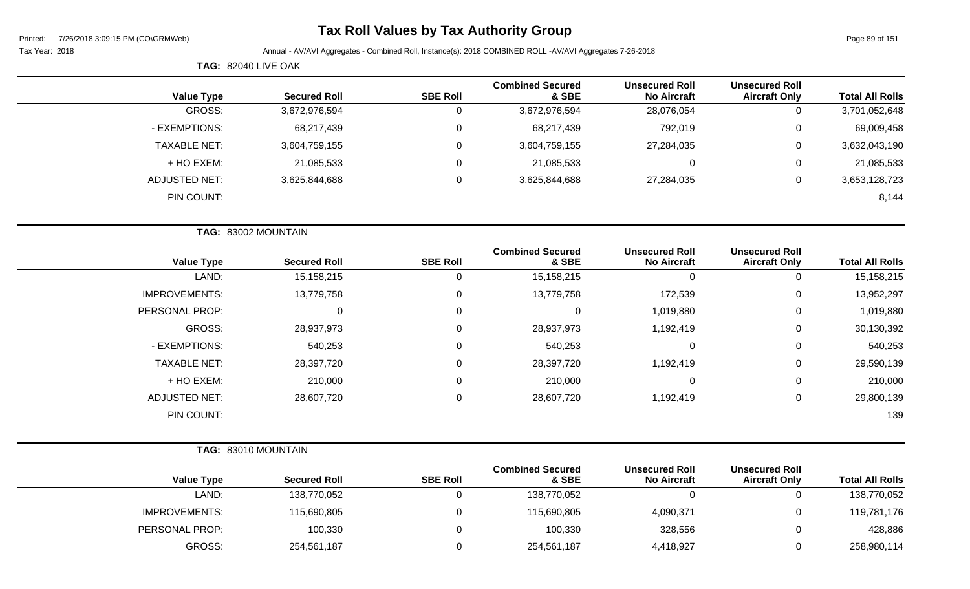# **Tax Roll Values by Tax Authority Group**

|                     | <b>TAG: 82040 LIVE OAK</b> |                 |                                  |                                             |                                               |                        |
|---------------------|----------------------------|-----------------|----------------------------------|---------------------------------------------|-----------------------------------------------|------------------------|
| <b>Value Type</b>   | <b>Secured Roll</b>        | <b>SBE Roll</b> | <b>Combined Secured</b><br>& SBE | <b>Unsecured Roll</b><br><b>No Aircraft</b> | <b>Unsecured Roll</b><br><b>Aircraft Only</b> | <b>Total All Rolls</b> |
| GROSS:              | 3,672,976,594              | υ               | 3,672,976,594                    | 28,076,054                                  | 0                                             | 3,701,052,648          |
| - EXEMPTIONS:       | 68,217,439                 | U               | 68,217,439                       | 792,019                                     | 0                                             | 69,009,458             |
| <b>TAXABLE NET:</b> | 3,604,759,155              |                 | 3,604,759,155                    | 27,284,035                                  | 0                                             | 3,632,043,190          |
| + HO EXEM:          | 21,085,533                 | 0               | 21,085,533                       | 0                                           | 0                                             | 21,085,533             |
| ADJUSTED NET:       | 3,625,844,688              | v               | 3,625,844,688                    | 27,284,035                                  | 0                                             | 3,653,128,723          |
| PIN COUNT:          |                            |                 |                                  |                                             |                                               | 8,144                  |

|                      | TAG: 83002 MOUNTAIN |                 |                                  |                                             |                                               |                        |
|----------------------|---------------------|-----------------|----------------------------------|---------------------------------------------|-----------------------------------------------|------------------------|
| <b>Value Type</b>    | <b>Secured Roll</b> | <b>SBE Roll</b> | <b>Combined Secured</b><br>& SBE | <b>Unsecured Roll</b><br><b>No Aircraft</b> | <b>Unsecured Roll</b><br><b>Aircraft Only</b> | <b>Total All Rolls</b> |
| LAND:                | 15, 158, 215        | 0               | 15,158,215                       | $\mathbf 0$                                 | 0                                             | 15,158,215             |
| <b>IMPROVEMENTS:</b> | 13,779,758          | $\mathbf 0$     | 13,779,758                       | 172,539                                     | $\mathbf 0$                                   | 13,952,297             |
| PERSONAL PROP:       | 0                   | $\mathbf 0$     | $\mathbf 0$                      | 1,019,880                                   | $\mathbf 0$                                   | 1,019,880              |
| <b>GROSS:</b>        | 28,937,973          | $\mathbf 0$     | 28,937,973                       | 1,192,419                                   | $\mathbf 0$                                   | 30,130,392             |
| - EXEMPTIONS:        | 540,253             | $\mathbf 0$     | 540,253                          | $\mathbf 0$                                 | $\mathbf 0$                                   | 540,253                |
| <b>TAXABLE NET:</b>  | 28,397,720          | $\mathbf 0$     | 28,397,720                       | 1,192,419                                   | $\mathbf 0$                                   | 29,590,139             |
| + HO EXEM:           | 210,000             | $\mathbf{0}$    | 210,000                          | 0                                           | $\mathbf 0$                                   | 210,000                |
| <b>ADJUSTED NET:</b> | 28,607,720          | $\mathbf 0$     | 28,607,720                       | 1,192,419                                   | $\mathbf 0$                                   | 29,800,139             |
| PIN COUNT:           |                     |                 |                                  |                                             |                                               | 139                    |

|                   | TAG: 83010 MOUNTAIN |                 |                                  |
|-------------------|---------------------|-----------------|----------------------------------|
| <b>Value Type</b> | <b>Secured Roll</b> | <b>SBE Roll</b> | <b>Combined Secured</b><br>& SBE |
| _AND:             | 138,770,052         |                 | 138,770,052                      |

|                      |                     |                 | <b>Combined Secured</b> | <b>Unsecured Roll</b> | <b>Unsecured Roll</b> |                        |
|----------------------|---------------------|-----------------|-------------------------|-----------------------|-----------------------|------------------------|
| <b>Value Type</b>    | <b>Secured Roll</b> | <b>SBE Roll</b> | & SBE                   | <b>No Aircraft</b>    | <b>Aircraft Only</b>  | <b>Total All Rolls</b> |
| LAND:                | 138,770,052         |                 | 138,770,052             |                       |                       | 138,770,052            |
| <b>IMPROVEMENTS:</b> | 115,690,805         |                 | 115,690,805             | 4,090,371             |                       | 119,781,176            |
| PERSONAL PROP:       | 100,330             |                 | 100,330                 | 328,556               |                       | 428,886                |
| GROSS:               | 254,561,187         |                 | 254,561,187             | 4,418,927             |                       | 258,980,114            |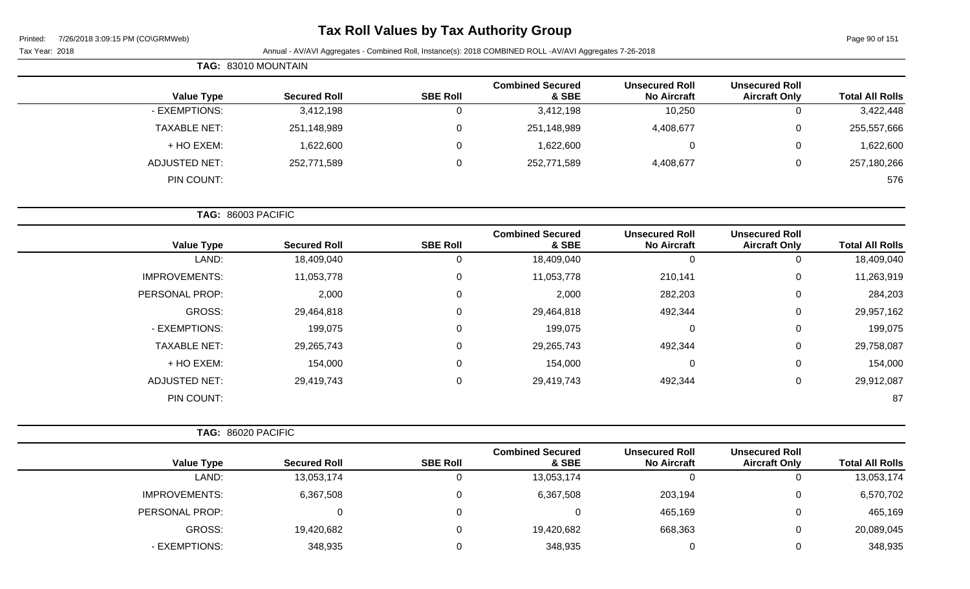| Printed: | 7/26/2018 3:09:15 PM (CO\GRMWeb) |  |
|----------|----------------------------------|--|
|          |                                  |  |

| 7/26/2018 3:09:15 PM (CO\GRMWeb)<br>Printed:<br>Tax Year: 2018 |                     |                  | <b>Tax Roll Values by Tax Authority Group</b><br>Annual - AV/AVI Aggregates - Combined Roll, Instance(s): 2018 COMBINED ROLL -AV/AVI Aggregates 7-26-2018 |                                             |                                               | Page 90 of 151         |
|----------------------------------------------------------------|---------------------|------------------|-----------------------------------------------------------------------------------------------------------------------------------------------------------|---------------------------------------------|-----------------------------------------------|------------------------|
| TAG: 83010 MOUNTAIN                                            |                     |                  |                                                                                                                                                           |                                             |                                               |                        |
| <b>Value Type</b>                                              | <b>Secured Roll</b> | <b>SBE Roll</b>  | <b>Combined Secured</b><br>& SBE                                                                                                                          | <b>Unsecured Roll</b><br><b>No Aircraft</b> | <b>Unsecured Roll</b><br><b>Aircraft Only</b> | <b>Total All Rolls</b> |
| - EXEMPTIONS:                                                  | 3,412,198           | $\mathbf 0$      | 3,412,198                                                                                                                                                 | 10,250                                      | 0                                             | 3,422,448              |
| <b>TAXABLE NET:</b>                                            | 251,148,989         | $\mathbf 0$      | 251,148,989                                                                                                                                               | 4,408,677                                   | 0                                             | 255,557,666            |
| + HO EXEM:                                                     | 1,622,600           | $\mathbf 0$      | 1,622,600                                                                                                                                                 | $\mathbf 0$                                 | $\mathbf 0$                                   | 1,622,600              |
| <b>ADJUSTED NET:</b>                                           | 252,771,589         | $\boldsymbol{0}$ | 252,771,589                                                                                                                                               | 4,408,677                                   | $\mathbf 0$                                   | 257,180,266            |
| PIN COUNT:                                                     |                     |                  |                                                                                                                                                           |                                             |                                               | 576                    |
| TAG: 86003 PACIFIC                                             |                     |                  |                                                                                                                                                           |                                             |                                               |                        |
| <b>Value Type</b>                                              | <b>Secured Roll</b> | <b>SBE Roll</b>  | <b>Combined Secured</b><br>& SBE                                                                                                                          | <b>Unsecured Roll</b><br><b>No Aircraft</b> | <b>Unsecured Roll</b><br><b>Aircraft Only</b> | <b>Total All Rolls</b> |
| LAND:                                                          | 18,409,040          | $\mathbf 0$      | 18,409,040                                                                                                                                                | $\mathbf 0$                                 | $\mathbf 0$                                   | 18,409,040             |
| <b>IMPROVEMENTS:</b>                                           | 11,053,778          | $\mathbf 0$      | 11,053,778                                                                                                                                                | 210,141                                     | 0                                             | 11,263,919             |
| PERSONAL PROP:                                                 | 2,000               | $\mathbf 0$      | 2,000                                                                                                                                                     | 282,203                                     | 0                                             | 284,203                |
| <b>GROSS:</b>                                                  | 29,464,818          | $\mathbf 0$      | 29,464,818                                                                                                                                                | 492,344                                     | $\mathbf 0$                                   | 29,957,162             |
| - EXEMPTIONS:                                                  | 199,075             | 0                | 199,075                                                                                                                                                   | 0                                           | 0                                             | 199,075                |
| <b>TAXABLE NET:</b>                                            | 29,265,743          | $\pmb{0}$        | 29,265,743                                                                                                                                                | 492,344                                     | $\mathbf 0$                                   | 29,758,087             |
| + HO EXEM:                                                     | 154,000             | 0                | 154,000                                                                                                                                                   | 0                                           | 0                                             | 154,000                |
| <b>ADJUSTED NET:</b>                                           | 29,419,743          | $\mathbf 0$      | 29,419,743                                                                                                                                                | 492,344                                     | $\mathbf 0$                                   | 29,912,087             |
| PIN COUNT:                                                     |                     |                  |                                                                                                                                                           |                                             |                                               | 87                     |

|                      |                     |                 | <b>Combined Secured</b> | <b>Unsecured Roll</b> | <b>Unsecured Roll</b> |                        |
|----------------------|---------------------|-----------------|-------------------------|-----------------------|-----------------------|------------------------|
| <b>Value Type</b>    | <b>Secured Roll</b> | <b>SBE Roll</b> | & SBE                   | <b>No Aircraft</b>    | <b>Aircraft Only</b>  | <b>Total All Rolls</b> |
| LAND:                | 13,053,174          |                 | 13,053,174              | 0                     |                       | 13,053,174             |
| <b>IMPROVEMENTS:</b> | 6,367,508           |                 | 6,367,508               | 203,194               |                       | 6,570,702              |
| PERSONAL PROP:       |                     | 0               | 0                       | 465,169               |                       | 465,169                |
| GROSS:               | 19,420,682          |                 | 19,420,682              | 668,363               |                       | 20,089,045             |
| - EXEMPTIONS:        | 348,935             |                 | 348,935                 | $\Omega$              |                       | 348,935                |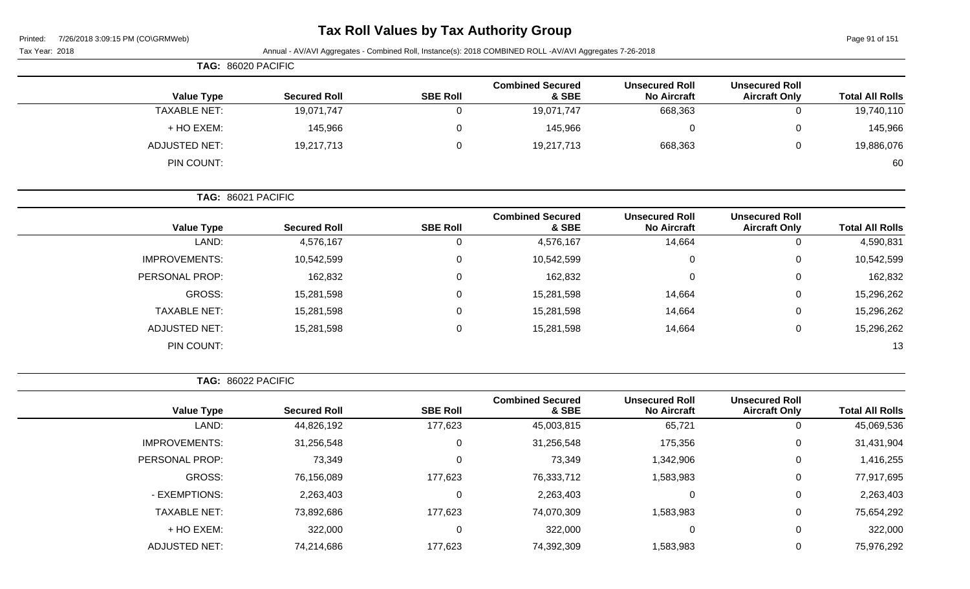| Printed: |  | 7/26/2018 3:09:15 PM (CO\GRMWeb) |  |
|----------|--|----------------------------------|--|
|          |  |                                  |  |

# **Tax Roll Values by Tax Authority Group**

Page 91 of 151

| Tax Year: 2018       |                     |                 | Annual - AV/AVI Aggregates - Combined Roll, Instance(s): 2018 COMBINED ROLL -AV/AVI Aggregates 7-26-2018 |                                             |                                               |                        |
|----------------------|---------------------|-----------------|----------------------------------------------------------------------------------------------------------|---------------------------------------------|-----------------------------------------------|------------------------|
| TAG: 86020 PACIFIC   |                     |                 |                                                                                                          |                                             |                                               |                        |
| <b>Value Type</b>    | <b>Secured Roll</b> | <b>SBE Roll</b> | <b>Combined Secured</b><br>& SBE                                                                         | <b>Unsecured Roll</b><br><b>No Aircraft</b> | <b>Unsecured Roll</b><br><b>Aircraft Only</b> | <b>Total All Rolls</b> |
| <b>TAXABLE NET:</b>  | 19,071,747          | 0               | 19,071,747                                                                                               | 668,363                                     | $\mathbf 0$                                   | 19,740,110             |
| + HO EXEM:           | 145,966             | 0               | 145,966                                                                                                  | $\mathbf 0$                                 | $\mathbf 0$                                   | 145,966                |
| <b>ADJUSTED NET:</b> | 19,217,713          | 0               | 19,217,713                                                                                               | 668,363                                     | $\mathbf 0$                                   | 19,886,076             |
| PIN COUNT:           |                     |                 |                                                                                                          |                                             |                                               | 60                     |
| TAG: 86021 PACIFIC   |                     |                 |                                                                                                          |                                             |                                               |                        |
| <b>Value Type</b>    | <b>Secured Roll</b> | <b>SBE Roll</b> | <b>Combined Secured</b><br>& SBE                                                                         | <b>Unsecured Roll</b><br><b>No Aircraft</b> | <b>Unsecured Roll</b><br><b>Aircraft Only</b> | <b>Total All Rolls</b> |
| LAND:                | 4,576,167           | $\mathbf 0$     | 4,576,167                                                                                                | 14,664                                      | $\mathbf 0$                                   | 4,590,831              |
| <b>IMPROVEMENTS:</b> | 10,542,599          | 0               | 10,542,599                                                                                               | 0                                           | $\mathbf 0$                                   | 10,542,599             |
| PERSONAL PROP:       | 162,832             | 0               | 162,832                                                                                                  | $\Omega$                                    | 0                                             | 162,832                |
| <b>GROSS:</b>        | 15,281,598          | 0               | 15,281,598                                                                                               | 14,664                                      | $\mathbf 0$                                   | 15,296,262             |
| <b>TAXABLE NET:</b>  | 15,281,598          | $\Omega$        | 15,281,598                                                                                               | 14,664                                      | 0                                             | 15,296,262             |
| <b>ADJUSTED NET:</b> | 15,281,598          | 0               | 15,281,598                                                                                               | 14,664                                      | $\mathbf 0$                                   | 15,296,262             |
| PIN COUNT:           |                     |                 |                                                                                                          |                                             |                                               | 13                     |
| TAG: 86022 PACIFIC   |                     |                 |                                                                                                          |                                             |                                               |                        |
| <b>Value Type</b>    | <b>Secured Roll</b> | <b>SBE Roll</b> | <b>Combined Secured</b><br>& SBE                                                                         | <b>Unsecured Roll</b><br><b>No Aircraft</b> | <b>Unsecured Roll</b><br><b>Aircraft Only</b> | <b>Total All Rolls</b> |
| LAND:                | 44,826,192          | 177,623         | 45,003,815                                                                                               | 65,721                                      | $\mathbf 0$                                   | 45,069,536             |
| <b>IMPROVEMENTS:</b> | 31,256,548          | 0               | 31,256,548                                                                                               | 175,356                                     | 0                                             | 31,431,904             |
| PERSONAL PROP:       | 73,349              | 0               | 73,349                                                                                                   | 1,342,906                                   | $\mathbf 0$                                   | 1,416,255              |
| GROSS:               | 76,156,089          | 177,623         | 76,333,712                                                                                               | 1,583,983                                   | $\mathbf 0$                                   | 77,917,695             |
| - EXEMPTIONS:        | 2,263,403           | 0               | 2,263,403                                                                                                | $\mathbf 0$                                 | $\mathbf 0$                                   | 2,263,403              |
| <b>TAXABLE NET:</b>  | 73,892,686          | 177,623         | 74,070,309                                                                                               | 1,583,983                                   | $\mathbf 0$                                   | 75,654,292             |
| + HO EXEM:           | 322,000             | 0               | 322,000                                                                                                  | $\mathbf 0$                                 | $\mathbf 0$                                   | 322,000                |
| ADJUSTED NET:        | 74,214,686          | 177,623         | 74,392,309                                                                                               | 1,583,983                                   | $\mathbf 0$                                   | 75,976,292             |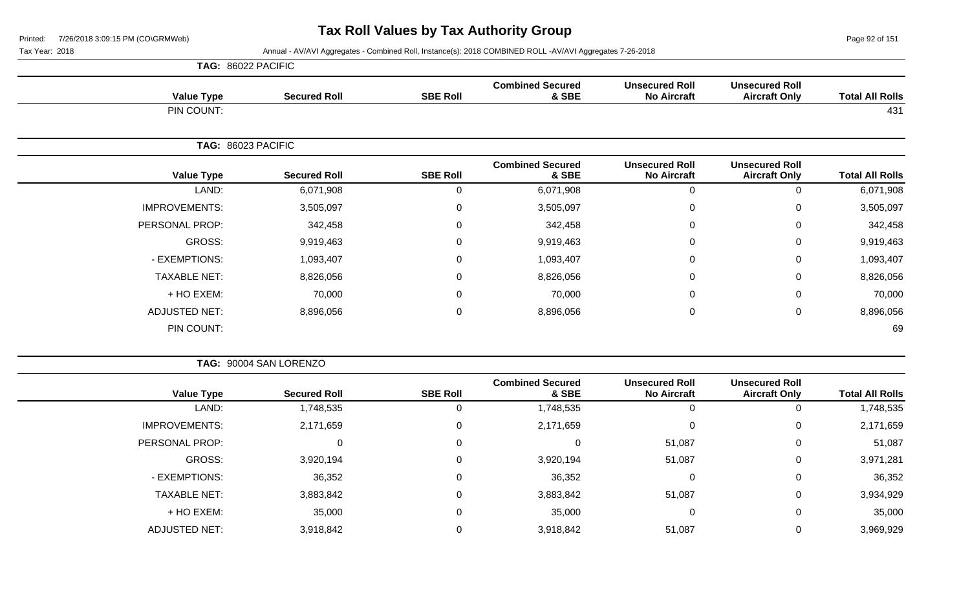Page 92 of 151

| TAG: 86022 PACIFIC |
|--------------------|
|                    |

| <b>Value Type</b>    | <b>Secured Roll</b> | <b>SBE Roll</b> | <b>Combined Secured</b><br>& SBE | <b>Unsecured Roll</b><br><b>No Aircraft</b> | <b>Unsecured Roll</b><br><b>Aircraft Only</b> | <b>Total All Rolls</b> |
|----------------------|---------------------|-----------------|----------------------------------|---------------------------------------------|-----------------------------------------------|------------------------|
| PIN COUNT:           |                     |                 |                                  |                                             |                                               | 431                    |
| TAG: 86023 PACIFIC   |                     |                 |                                  |                                             |                                               |                        |
| <b>Value Type</b>    | <b>Secured Roll</b> | <b>SBE Roll</b> | <b>Combined Secured</b><br>& SBE | <b>Unsecured Roll</b><br><b>No Aircraft</b> | <b>Unsecured Roll</b><br><b>Aircraft Only</b> | <b>Total All Rolls</b> |
| LAND:                | 6,071,908           | $\Omega$        | 6,071,908                        | $\mathbf 0$                                 | 0                                             | 6,071,908              |
| <b>IMPROVEMENTS:</b> | 3,505,097           | $\mathbf 0$     | 3,505,097                        | $\mathbf 0$                                 | 0                                             | 3,505,097              |
| PERSONAL PROP:       | 342,458             | 0               | 342,458                          | $\mathbf 0$                                 | 0                                             | 342,458                |
| GROSS:               | 9,919,463           | $\mathsf 0$     | 9,919,463                        | $\pmb{0}$                                   | 0                                             | 9,919,463              |
| - EXEMPTIONS:        | 1,093,407           | 0               | 1,093,407                        | $\mathbf 0$                                 | 0                                             | 1,093,407              |
| <b>TAXABLE NET:</b>  | 8,826,056           | $\mathbf 0$     | 8,826,056                        | $\mathbf 0$                                 | 0                                             | 8,826,056              |
| + HO EXEM:           | 70,000              | $\mathbf 0$     | 70,000                           | $\mathbf 0$                                 | 0                                             | 70,000                 |
| <b>ADJUSTED NET:</b> | 8,896,056           | $\mathbf 0$     | 8,896,056                        | $\pmb{0}$                                   | 0                                             | 8,896,056              |
| PIN COUNT:           |                     |                 |                                  |                                             |                                               | 69                     |

| TAG: 90004 SAN LORENZO |
|------------------------|
|------------------------|

| <b>Total All Rolls</b> | <b>Unsecured Roll</b><br><b>Aircraft Only</b> | <b>Unsecured Roll</b><br><b>No Aircraft</b> | <b>Combined Secured</b><br>& SBE | <b>SBE Roll</b> | <b>Secured Roll</b> | <b>Value Type</b>    |
|------------------------|-----------------------------------------------|---------------------------------------------|----------------------------------|-----------------|---------------------|----------------------|
| 1,748,535              |                                               | 0                                           | 1,748,535                        | 0               | 1,748,535           | LAND:                |
| 2,171,659              | 0                                             | $\mathbf 0$                                 | 2,171,659                        | 0               | 2,171,659           | <b>IMPROVEMENTS:</b> |
| 51,087                 | 0                                             | 51,087                                      |                                  | 0               | 0                   | PERSONAL PROP:       |
| 3,971,281              | 0                                             | 51,087                                      | 3,920,194                        | 0               | 3,920,194           | GROSS:               |
| 36,352                 | 0                                             | $\mathbf 0$                                 | 36,352                           | 0               | 36,352              | - EXEMPTIONS:        |
| 3,934,929              | 0                                             | 51,087                                      | 3,883,842                        | 0               | 3,883,842           | <b>TAXABLE NET:</b>  |
| 35,000                 | 0                                             | $\mathbf 0$                                 | 35,000                           | 0               | 35,000              | + HO EXEM:           |
| 3,969,929              |                                               | 51,087                                      | 3,918,842                        | 0               | 3,918,842           | <b>ADJUSTED NET:</b> |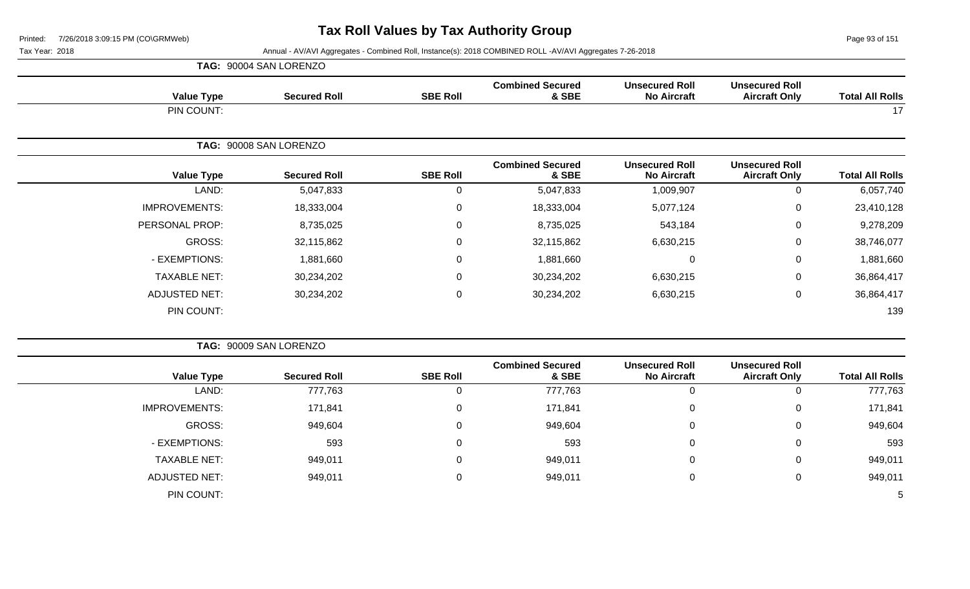Page 93 of 151

|                        |                                               |                                             |                                  |                  | TAG: 90004 SAN LORENZO |                      |
|------------------------|-----------------------------------------------|---------------------------------------------|----------------------------------|------------------|------------------------|----------------------|
| <b>Total All Rolls</b> | <b>Unsecured Roll</b><br><b>Aircraft Only</b> | <b>Unsecured Roll</b><br><b>No Aircraft</b> | <b>Combined Secured</b><br>& SBE | <b>SBE Roll</b>  | <b>Secured Roll</b>    | <b>Value Type</b>    |
| 17                     |                                               |                                             |                                  |                  |                        | PIN COUNT:           |
|                        |                                               |                                             |                                  |                  | TAG: 90008 SAN LORENZO |                      |
| <b>Total All Rolls</b> | <b>Unsecured Roll</b><br><b>Aircraft Only</b> | <b>Unsecured Roll</b><br><b>No Aircraft</b> | <b>Combined Secured</b><br>& SBE | <b>SBE Roll</b>  | <b>Secured Roll</b>    | <b>Value Type</b>    |
| 6,057,740              | 0                                             | 1,009,907                                   | 5,047,833                        | 0                | 5,047,833              | LAND:                |
| 23,410,128             | 0                                             | 5,077,124                                   | 18,333,004                       | $\boldsymbol{0}$ | 18,333,004             | <b>IMPROVEMENTS:</b> |
| 9,278,209              | 0                                             | 543,184                                     | 8,735,025                        | $\mathbf 0$      | 8,735,025              | PERSONAL PROP:       |
| 38,746,077             | 0                                             | 6,630,215                                   | 32,115,862                       | $\mathbf 0$      | 32,115,862             | GROSS:               |
| 1,881,660              | 0                                             | 0                                           | 1,881,660                        | $\mathbf 0$      | 1,881,660              | - EXEMPTIONS:        |
| 36,864,417             | 0                                             | 6,630,215                                   | 30,234,202                       | 0                | 30,234,202             | <b>TAXABLE NET:</b>  |
| 36,864,417             | 0                                             | 6,630,215                                   | 30,234,202                       | $\mathbf 0$      | 30,234,202             | <b>ADJUSTED NET:</b> |
| 139                    |                                               |                                             |                                  |                  |                        | PIN COUNT:           |
|                        |                                               |                                             |                                  |                  |                        |                      |

|                      | TAG: 90009 SAN LORENZO |                 |                                  |                                             |                                               |                        |
|----------------------|------------------------|-----------------|----------------------------------|---------------------------------------------|-----------------------------------------------|------------------------|
| <b>Value Type</b>    | <b>Secured Roll</b>    | <b>SBE Roll</b> | <b>Combined Secured</b><br>& SBE | <b>Unsecured Roll</b><br><b>No Aircraft</b> | <b>Unsecured Roll</b><br><b>Aircraft Only</b> | <b>Total All Rolls</b> |
| LAND:                | 777,763                | Ü               | 777,763                          | 0                                           |                                               | 777,763                |
| <b>IMPROVEMENTS:</b> | 171,841                | 0               | 171,841                          | 0                                           | 0                                             | 171,841                |
| GROSS:               | 949,604                | 0               | 949,604                          | 0                                           | $\Omega$                                      | 949,604                |
| - EXEMPTIONS:        | 593                    | 0               | 593                              | 0                                           | 0                                             | 593                    |
| <b>TAXABLE NET:</b>  | 949,011                | 0               | 949,011                          | 0                                           | $\Omega$                                      | 949,011                |
| <b>ADJUSTED NET:</b> | 949,011                | 0               | 949,011                          | 0                                           | $\Omega$                                      | 949,011                |
| PIN COUNT:           |                        |                 |                                  |                                             |                                               | 5                      |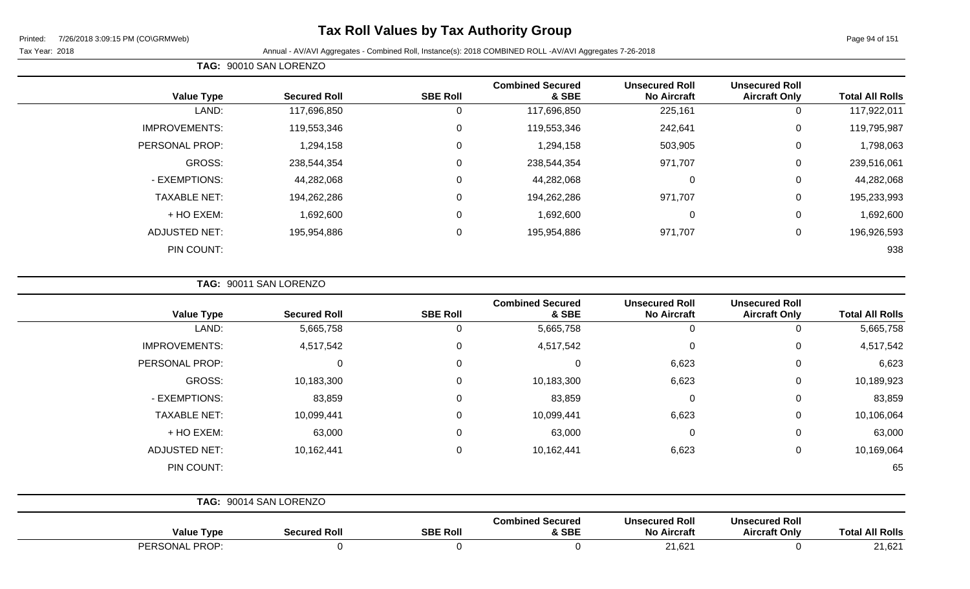# **Tax Roll Values by Tax Authority Group**

Page 94 of 151

Tax Year: 2018 Annual - AV/AVI Aggregates - Combined Roll, Instance(s): 2018 COMBINED ROLL -AV/AVI Aggregates 7-26-2018

|                      | <b>Value Type</b> | <b>Secured Roll</b> | <b>SBE Roll</b> | <b>Combined Secured</b><br>& SBE | <b>Unsecured Roll</b><br><b>No Aircraft</b> | <b>Unsecured Roll</b><br><b>Aircraft Only</b> | <b>Total All Rolls</b> |
|----------------------|-------------------|---------------------|-----------------|----------------------------------|---------------------------------------------|-----------------------------------------------|------------------------|
|                      | LAND:             | 117,696,850         | υ               | 117,696,850                      | 225,161                                     | 0                                             | 117,922,011            |
| <b>IMPROVEMENTS:</b> |                   | 119,553,346         |                 | 119,553,346                      | 242,641                                     | $\Omega$                                      | 119,795,987            |
| PERSONAL PROP:       |                   | 1,294,158           |                 | 1,294,158                        | 503,905                                     | $\Omega$                                      | 1,798,063              |
|                      | GROSS:            | 238,544,354         | $\Omega$        | 238,544,354                      | 971,707                                     | $\Omega$                                      | 239,516,061            |
| - EXEMPTIONS:        |                   | 44,282,068          | $\Omega$        | 44,282,068                       | 0                                           | 0                                             | 44,282,068             |
| <b>TAXABLE NET:</b>  |                   | 194,262,286         | $\Omega$        | 194,262,286                      | 971,707                                     | $\Omega$                                      | 195,233,993            |
|                      | + HO EXEM:        | 1,692,600           | $\Omega$        | 1,692,600                        | $\mathbf 0$                                 | 0                                             | 1,692,600              |
| ADJUSTED NET:        |                   | 195,954,886         | $\Omega$        | 195,954,886                      | 971,707                                     | 0                                             | 196,926,593            |
|                      | PIN COUNT:        |                     |                 |                                  |                                             |                                               | 938                    |

**TAG:** 90011 SAN LORENZO

**TAG:** 90010 SAN LORENZO

| <b>Value Type</b>    | <b>Secured Roll</b>    | <b>SBE Roll</b> | <b>Combined Secured</b><br>& SBE | <b>Unsecured Roll</b><br><b>No Aircraft</b> | <b>Unsecured Roll</b><br><b>Aircraft Only</b> | <b>Total All Rolls</b> |
|----------------------|------------------------|-----------------|----------------------------------|---------------------------------------------|-----------------------------------------------|------------------------|
| LAND:                | 5,665,758              | 0               | 5,665,758                        | $\mathbf{0}$                                | 0                                             | 5,665,758              |
| <b>IMPROVEMENTS:</b> | 4,517,542              | 0               | 4,517,542                        | 0                                           | 0                                             | 4,517,542              |
| PERSONAL PROP:       | 0                      | 0               | 0                                | 6,623                                       | 0                                             | 6,623                  |
| GROSS:               | 10,183,300             | 0               | 10,183,300                       | 6,623                                       | 0                                             | 10,189,923             |
| - EXEMPTIONS:        | 83,859                 | 0               | 83,859                           | 0                                           | 0                                             | 83,859                 |
| <b>TAXABLE NET:</b>  | 10,099,441             | $\mathbf 0$     | 10,099,441                       | 6,623                                       | 0                                             | 10,106,064             |
| + HO EXEM:           | 63,000                 | 0               | 63,000                           | 0                                           | 0                                             | 63,000                 |
| <b>ADJUSTED NET:</b> | 10,162,441             | 0               | 10,162,441                       | 6,623                                       | 0                                             | 10,169,064             |
| PIN COUNT:           |                        |                 |                                  |                                             |                                               | 65                     |
|                      | TAG: 90014 SAN LORENZO |                 |                                  |                                             |                                               |                        |
| <b>Value Type</b>    | <b>Secured Roll</b>    | <b>SBE Roll</b> | <b>Combined Secured</b><br>& SBE | <b>Unsecured Roll</b><br><b>No Aircraft</b> | <b>Unsecured Roll</b><br><b>Aircraft Only</b> | <b>Total All Rolls</b> |

PERSONAL PROP: 0 0 0 21,621 0 21,621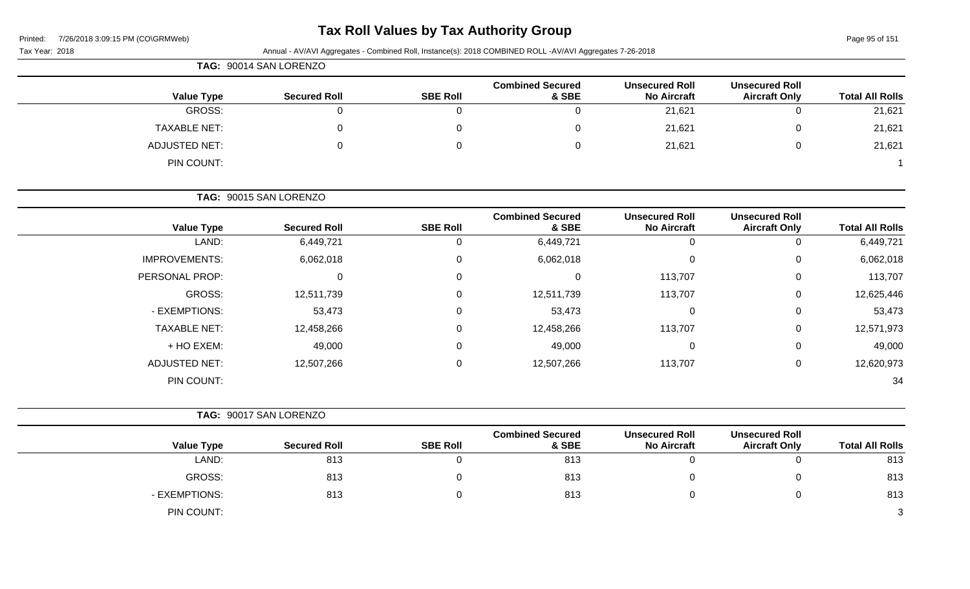# **Tax Roll Values by Tax Authority Group**

Page 95 of 151

| Tax Year: 2018 |  |
|----------------|--|
|                |  |

|                      | TAG: 90014 SAN LORENZO |                 |                                  |                                             |                                               |                        |  |  |  |  |
|----------------------|------------------------|-----------------|----------------------------------|---------------------------------------------|-----------------------------------------------|------------------------|--|--|--|--|
| <b>Value Type</b>    | <b>Secured Roll</b>    | <b>SBE Roll</b> | <b>Combined Secured</b><br>& SBE | <b>Unsecured Roll</b><br><b>No Aircraft</b> | <b>Unsecured Roll</b><br><b>Aircraft Only</b> | <b>Total All Rolls</b> |  |  |  |  |
| GROSS:               | 0                      | 0               | 0                                | 21,621                                      |                                               | 21,621                 |  |  |  |  |
| <b>TAXABLE NET:</b>  |                        |                 | 0                                | 21,621                                      |                                               | 21,621                 |  |  |  |  |
| <b>ADJUSTED NET:</b> |                        | 0               | 0                                | 21,621                                      |                                               | 21,621                 |  |  |  |  |
| PIN COUNT:           |                        |                 |                                  |                                             |                                               |                        |  |  |  |  |

|                      | TAG: 90015 SAN LORENZO |                 |                                  |                                             |                                               |                        |
|----------------------|------------------------|-----------------|----------------------------------|---------------------------------------------|-----------------------------------------------|------------------------|
| <b>Value Type</b>    | <b>Secured Roll</b>    | <b>SBE Roll</b> | <b>Combined Secured</b><br>& SBE | <b>Unsecured Roll</b><br><b>No Aircraft</b> | <b>Unsecured Roll</b><br><b>Aircraft Only</b> | <b>Total All Rolls</b> |
| LAND:                | 6,449,721              |                 | 6,449,721                        |                                             | 0                                             | 6,449,721              |
| <b>IMPROVEMENTS:</b> | 6,062,018              | $\Omega$        | 6,062,018                        |                                             | 0                                             | 6,062,018              |
| PERSONAL PROP:       |                        | $\Omega$        | 0                                | 113,707                                     | $\mathbf 0$                                   | 113,707                |
| GROSS:               | 12,511,739             | $\mathbf 0$     | 12,511,739                       | 113,707                                     | $\mathbf 0$                                   | 12,625,446             |
| - EXEMPTIONS:        | 53,473                 | 0               | 53,473                           |                                             | 0                                             | 53,473                 |
| <b>TAXABLE NET:</b>  | 12,458,266             | 0               | 12,458,266                       | 113,707                                     | 0                                             | 12,571,973             |
| + HO EXEM:           | 49,000                 | 0               | 49,000                           |                                             | 0                                             | 49,000                 |
| <b>ADJUSTED NET:</b> | 12,507,266             | $\Omega$        | 12,507,266                       | 113,707                                     | 0                                             | 12,620,973             |
| PIN COUNT:           |                        |                 |                                  |                                             |                                               | 34                     |

|                   | TAG: 90017 SAN LORENZO |                 |                                  |                                             |                                               |                        |
|-------------------|------------------------|-----------------|----------------------------------|---------------------------------------------|-----------------------------------------------|------------------------|
| <b>Value Type</b> | <b>Secured Roll</b>    | <b>SBE Roll</b> | <b>Combined Secured</b><br>& SBE | <b>Unsecured Roll</b><br><b>No Aircraft</b> | <b>Unsecured Roll</b><br><b>Aircraft Only</b> | <b>Total All Rolls</b> |
| LAND:             | 813                    |                 | 813                              |                                             | 0                                             | 813                    |
| GROSS:            | 813                    |                 | 813                              |                                             | 0                                             | 813                    |
| - EXEMPTIONS:     | 813                    |                 | 813                              |                                             | 0                                             | 813                    |
| PIN COUNT:        |                        |                 |                                  |                                             |                                               | 3                      |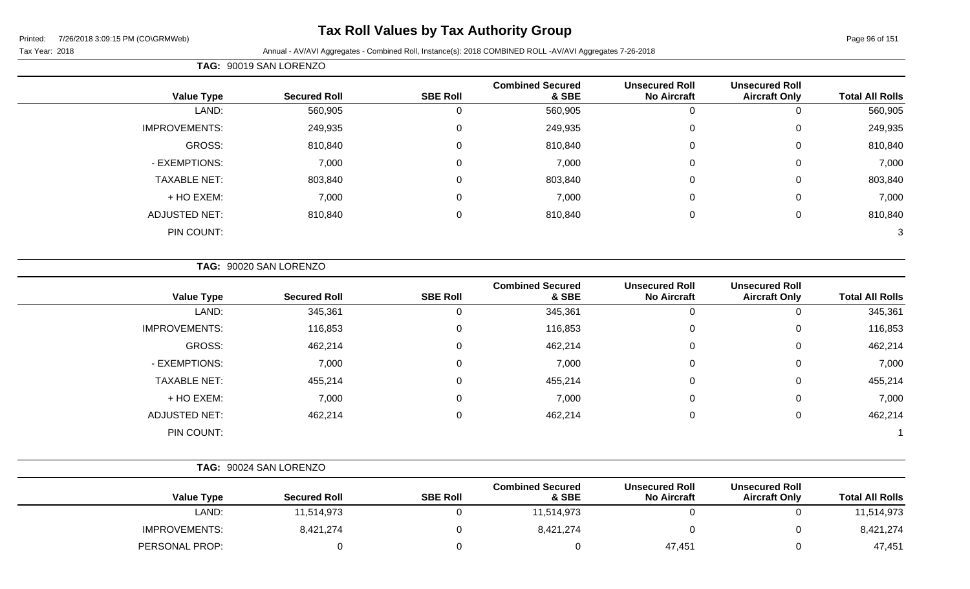# **Tax Roll Values by Tax Authority Group**

Tax Year: 2018 **Annual - AV/AVI Aggregates - Combined Roll**, Instance(s): 2018 COMBINED ROLL -AV/AVI Aggregates 7-26-2018

|                      | TAG: 90019 SAN LORENZO |                 |                                  |                                             |                                               |                        |  |  |  |
|----------------------|------------------------|-----------------|----------------------------------|---------------------------------------------|-----------------------------------------------|------------------------|--|--|--|
| <b>Value Type</b>    | <b>Secured Roll</b>    | <b>SBE Roll</b> | <b>Combined Secured</b><br>& SBE | <b>Unsecured Roll</b><br><b>No Aircraft</b> | <b>Unsecured Roll</b><br><b>Aircraft Only</b> | <b>Total All Rolls</b> |  |  |  |
| LAND:                | 560,905                | $\Omega$        | 560,905                          | 0                                           | 0                                             | 560,905                |  |  |  |
| <b>IMPROVEMENTS:</b> | 249,935                | $\Omega$        | 249,935                          | $\mathbf 0$                                 | 0                                             | 249,935                |  |  |  |
| GROSS:               | 810,840                | $\mathbf{0}$    | 810,840                          | 0                                           | 0                                             | 810,840                |  |  |  |
| - EXEMPTIONS:        | 7,000                  |                 | 7,000                            | 0                                           | 0                                             | 7,000                  |  |  |  |
| <b>TAXABLE NET:</b>  | 803,840                | $\Omega$        | 803,840                          | 0                                           | 0                                             | 803,840                |  |  |  |
| + HO EXEM:           | 7,000                  | $\Omega$        | 7,000                            | $\overline{0}$                              | 0                                             | 7,000                  |  |  |  |
| <b>ADJUSTED NET:</b> | 810,840                | $\mathbf{0}$    | 810,840                          | 0                                           | 0                                             | 810,840                |  |  |  |
| PIN COUNT:           |                        |                 |                                  |                                             |                                               | 3                      |  |  |  |

**TAG:** 90020 SAN LORENZO

| <b>Value Type</b>    | <b>Secured Roll</b> | <b>SBE Roll</b> | <b>Combined Secured</b><br>& SBE | <b>Unsecured Roll</b><br><b>No Aircraft</b> | <b>Unsecured Roll</b><br><b>Aircraft Only</b> | <b>Total All Rolls</b> |
|----------------------|---------------------|-----------------|----------------------------------|---------------------------------------------|-----------------------------------------------|------------------------|
| LAND:                | 345,361             | U               | 345,361                          | U                                           | 0                                             | 345,361                |
| <b>IMPROVEMENTS:</b> | 116,853             | $\Omega$        | 116,853                          | 0                                           | $\mathbf 0$                                   | 116,853                |
| GROSS:               | 462,214             | 0               | 462,214                          | 0                                           | $\mathbf 0$                                   | 462,214                |
| - EXEMPTIONS:        | 7,000               | 0               | 7,000                            | 0                                           | 0                                             | 7,000                  |
| <b>TAXABLE NET:</b>  | 455,214             | 0               | 455,214                          | 0                                           | $\mathbf 0$                                   | 455,214                |
| + HO EXEM:           | 7,000               | $\Omega$        | 7,000                            | 0                                           | $\mathbf 0$                                   | 7,000                  |
| ADJUSTED NET:        | 462,214             | $\Omega$        | 462,214                          | 0                                           | 0                                             | 462,214                |
| PIN COUNT:           |                     |                 |                                  |                                             |                                               |                        |

|                      | TAG: 90024 SAN LORENZO |                 |                                  |                                             |                                               |                        |
|----------------------|------------------------|-----------------|----------------------------------|---------------------------------------------|-----------------------------------------------|------------------------|
| <b>Value Type</b>    | <b>Secured Roll</b>    | <b>SBE Roll</b> | <b>Combined Secured</b><br>& SBE | <b>Unsecured Roll</b><br><b>No Aircraft</b> | <b>Unsecured Roll</b><br><b>Aircraft Only</b> | <b>Total All Rolls</b> |
| LAND:                | 11,514,973             |                 | 11,514,973                       |                                             |                                               | 11,514,973             |
| <b>IMPROVEMENTS:</b> | 8,421,274              |                 | 8,421,274                        |                                             |                                               | 8,421,274              |
| PERSONAL PROP:       |                        |                 |                                  | 47,451                                      |                                               | 47,451                 |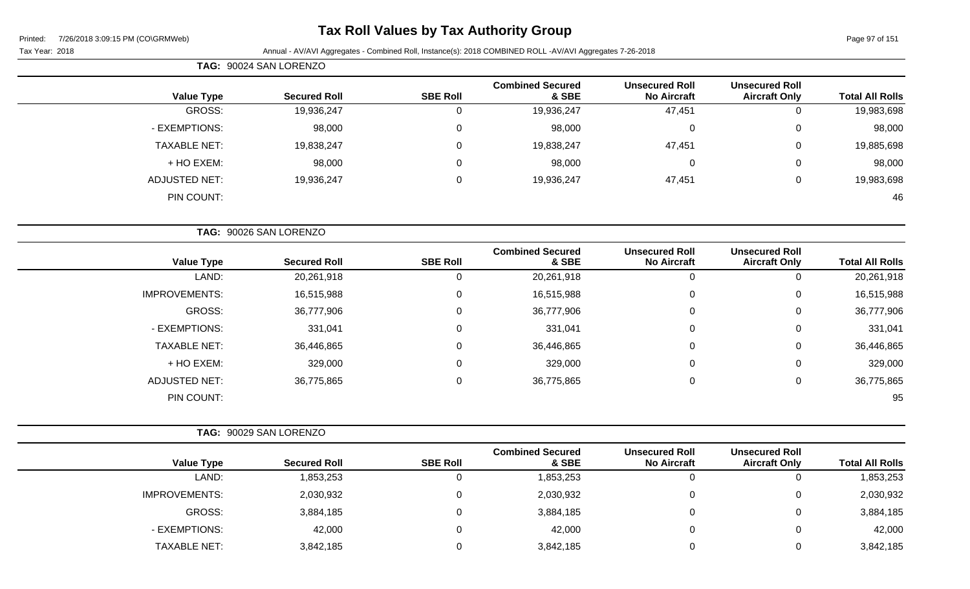# **Tax Roll Values by Tax Authority Group**

|                      | TAG: 90024 SAN LORENZO |                 |                                  |                                             |                                               |                        |
|----------------------|------------------------|-----------------|----------------------------------|---------------------------------------------|-----------------------------------------------|------------------------|
| <b>Value Type</b>    | <b>Secured Roll</b>    | <b>SBE Roll</b> | <b>Combined Secured</b><br>& SBE | <b>Unsecured Roll</b><br><b>No Aircraft</b> | <b>Unsecured Roll</b><br><b>Aircraft Only</b> | <b>Total All Rolls</b> |
| GROSS:               | 19,936,247             | 0               | 19,936,247                       | 47,451                                      | 0                                             | 19,983,698             |
| - EXEMPTIONS:        | 98,000                 | 0               | 98,000                           | 0                                           | $\mathbf 0$                                   | 98,000                 |
| <b>TAXABLE NET:</b>  | 19,838,247             | 0               | 19,838,247                       | 47,451                                      | 0                                             | 19,885,698             |
| + HO EXEM:           | 98,000                 | 0               | 98,000                           | 0                                           | $\mathbf 0$                                   | 98,000                 |
| <b>ADJUSTED NET:</b> | 19,936,247             | 0               | 19,936,247                       | 47,451                                      | 0                                             | 19,983,698             |
| PIN COUNT:           |                        |                 |                                  |                                             |                                               | 46                     |
|                      |                        |                 |                                  |                                             |                                               |                        |
|                      | TAG: 90026 SAN LORENZO |                 |                                  |                                             |                                               |                        |

| <b>Total All Rolls</b> | <b>Unsecured Roll</b><br><b>Aircraft Only</b> | <b>Unsecured Roll</b><br><b>No Aircraft</b> | <b>Combined Secured</b><br>& SBE | <b>SBE Roll</b> | <b>Secured Roll</b> | <b>Value Type</b>    |
|------------------------|-----------------------------------------------|---------------------------------------------|----------------------------------|-----------------|---------------------|----------------------|
| 20,261,918             | 0                                             |                                             | 20,261,918                       |                 | 20,261,918          | LAND:                |
| 16,515,988             | 0                                             | 0                                           | 16,515,988                       | $\Omega$        | 16,515,988          | <b>IMPROVEMENTS:</b> |
| 36,777,906             | 0                                             | 0                                           | 36,777,906                       | 0               | 36,777,906          | <b>GROSS:</b>        |
| 331,041                | 0                                             | $\Omega$                                    | 331,041                          | $\Omega$        | 331,041             | - EXEMPTIONS:        |
| 36,446,865             | 0                                             | $\Omega$                                    | 36,446,865                       | $\Omega$        | 36,446,865          | <b>TAXABLE NET:</b>  |
| 329,000                | 0                                             | $\Omega$                                    | 329,000                          | $\mathbf 0$     | 329,000             | + HO EXEM:           |
| 36,775,865             | 0                                             | 0                                           | 36,775,865                       | $\Omega$        | 36,775,865          | <b>ADJUSTED NET:</b> |
| 95                     |                                               |                                             |                                  |                 |                     | PIN COUNT:           |
|                        |                                               |                                             |                                  |                 |                     |                      |

|                      | TAG: 90029 SAN LORENZO |                 |                                  |                                             |                                               |                        |
|----------------------|------------------------|-----------------|----------------------------------|---------------------------------------------|-----------------------------------------------|------------------------|
| <b>Value Type</b>    | <b>Secured Roll</b>    | <b>SBE Roll</b> | <b>Combined Secured</b><br>& SBE | <b>Unsecured Roll</b><br><b>No Aircraft</b> | <b>Unsecured Roll</b><br><b>Aircraft Only</b> | <b>Total All Rolls</b> |
| LAND:                | ,853,253               | 0               | 1,853,253                        | 0                                           | U                                             | 1,853,253              |
| <b>IMPROVEMENTS:</b> | 2,030,932              | 0               | 2,030,932                        | 0                                           | 0                                             | 2,030,932              |
| <b>GROSS:</b>        | 3,884,185              | 0               | 3,884,185                        | 0                                           | $\mathbf{0}$                                  | 3,884,185              |
| - EXEMPTIONS:        | 42,000                 | 0               | 42,000                           | 0                                           | 0                                             | 42,000                 |
| <b>TAXABLE NET:</b>  | 3,842,185              | 0               | 3,842,185                        | $\Omega$                                    | $\mathbf{0}$                                  | 3,842,185              |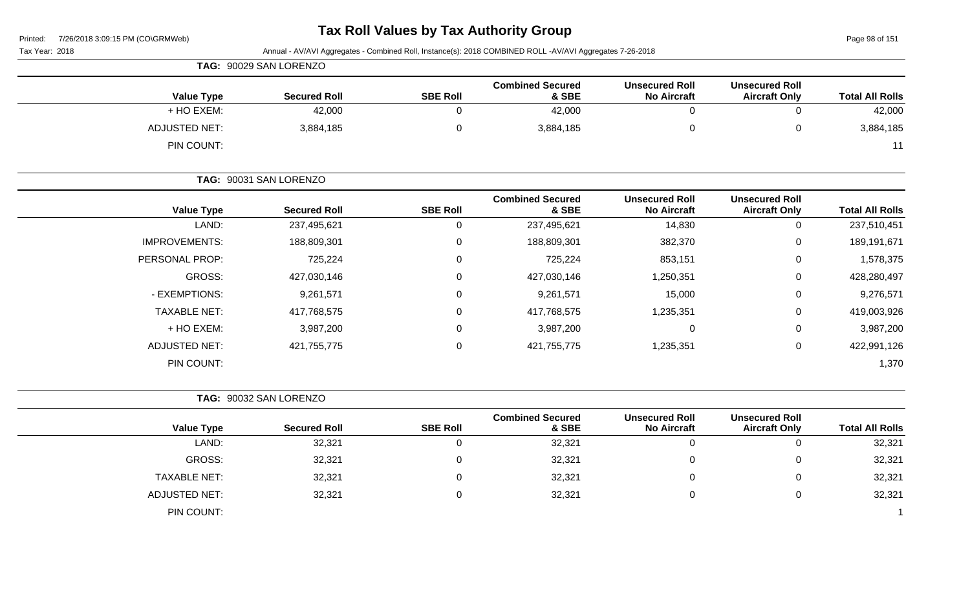# **Tax Roll Values by Tax Authority Group**

Page 98 of 151

| Tax Year: 2018       |                        |                 | Annual - AV/AVI Aggregates - Combined Roll, Instance(s): 2018 COMBINED ROLL -AV/AVI Aggregates 7-26-2018 |                                             |                                               |                        |
|----------------------|------------------------|-----------------|----------------------------------------------------------------------------------------------------------|---------------------------------------------|-----------------------------------------------|------------------------|
|                      | TAG: 90029 SAN LORENZO |                 |                                                                                                          |                                             |                                               |                        |
| <b>Value Type</b>    | <b>Secured Roll</b>    | <b>SBE Roll</b> | <b>Combined Secured</b><br>& SBE                                                                         | <b>Unsecured Roll</b><br><b>No Aircraft</b> | <b>Unsecured Roll</b><br><b>Aircraft Only</b> | <b>Total All Rolls</b> |
| + HO EXEM:           | 42,000                 | $\mathbf 0$     | 42,000                                                                                                   | $\overline{0}$                              | $\mathbf 0$                                   | 42,000                 |
| <b>ADJUSTED NET:</b> | 3,884,185              | $\pmb{0}$       | 3,884,185                                                                                                | 0                                           | $\pmb{0}$                                     | 3,884,185              |
| PIN COUNT:           |                        |                 |                                                                                                          |                                             |                                               | 11                     |
|                      | TAG: 90031 SAN LORENZO |                 |                                                                                                          |                                             |                                               |                        |
| <b>Value Type</b>    | <b>Secured Roll</b>    | <b>SBE Roll</b> | <b>Combined Secured</b><br>& SBE                                                                         | <b>Unsecured Roll</b><br><b>No Aircraft</b> | <b>Unsecured Roll</b><br><b>Aircraft Only</b> | <b>Total All Rolls</b> |
| LAND:                | 237,495,621            | $\mathsf 0$     | 237,495,621                                                                                              | 14,830                                      | $\mathsf 0$                                   | 237,510,451            |
| <b>IMPROVEMENTS:</b> | 188,809,301            | 0               | 188,809,301                                                                                              | 382,370                                     | 0                                             | 189,191,671            |
| PERSONAL PROP:       | 725,224                | $\mathbf 0$     | 725,224                                                                                                  | 853,151                                     | 0                                             | 1,578,375              |
| GROSS:               | 427,030,146            | $\mathsf 0$     | 427,030,146                                                                                              | 1,250,351                                   | 0                                             | 428,280,497            |
| - EXEMPTIONS:        | 9,261,571              | 0               | 9,261,571                                                                                                | 15,000                                      | 0                                             | 9,276,571              |
| <b>TAXABLE NET:</b>  | 417,768,575            | $\mathbf 0$     | 417,768,575                                                                                              | 1,235,351                                   | 0                                             | 419,003,926            |
| + HO EXEM:           | 3,987,200              | $\mathsf 0$     | 3,987,200                                                                                                | $\pmb{0}$                                   | $\mathbf 0$                                   | 3,987,200              |
| <b>ADJUSTED NET:</b> | 421,755,775            | $\mathbf 0$     | 421,755,775                                                                                              | 1,235,351                                   | 0                                             | 422,991,126            |
| PIN COUNT:           |                        |                 |                                                                                                          |                                             |                                               | 1,370                  |
|                      | TAG: 90032 SAN LORENZO |                 |                                                                                                          |                                             |                                               |                        |
| <b>Value Type</b>    | <b>Secured Roll</b>    | <b>SBE Roll</b> | <b>Combined Secured</b><br>& SBE                                                                         | <b>Unsecured Roll</b><br><b>No Aircraft</b> | <b>Unsecured Roll</b><br><b>Aircraft Only</b> | <b>Total All Rolls</b> |
| LAND:                | 32,321                 | $\mathsf 0$     | 32,321                                                                                                   | $\overline{0}$                              | $\mathbf 0$                                   | 32,321                 |
| <b>GROSS:</b>        | 32,321                 | 0               | 32,321                                                                                                   | 0                                           | 0                                             | 32,321                 |
| <b>TAXABLE NET:</b>  | 32,321                 | 0               | 32,321                                                                                                   | 0                                           | 0                                             | 32,321                 |
| <b>ADJUSTED NET:</b> | 32,321                 | $\mathsf 0$     | 32,321                                                                                                   | 0                                           | $\mathbf 0$                                   | 32,321                 |
| PIN COUNT:           |                        |                 |                                                                                                          |                                             |                                               |                        |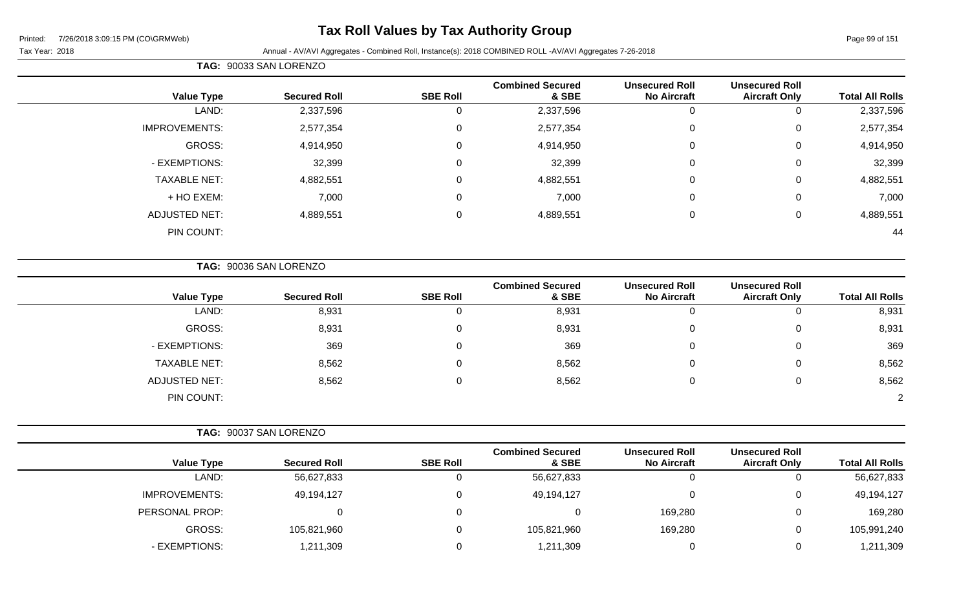# **Tax Roll Values by Tax Authority Group**

Page 99 of 151

Tax Year: 2018 **Annual - AV/AVI Aggregates - Combined Roll**, Instance(s): 2018 COMBINED ROLL -AV/AVI Aggregates 7-26-2018

|                      | TAG: 90033 SAN LORENZO |                 |                                  |                                             |                                               |                        |  |  |  |  |  |
|----------------------|------------------------|-----------------|----------------------------------|---------------------------------------------|-----------------------------------------------|------------------------|--|--|--|--|--|
| <b>Value Type</b>    | <b>Secured Roll</b>    | <b>SBE Roll</b> | <b>Combined Secured</b><br>& SBE | <b>Unsecured Roll</b><br><b>No Aircraft</b> | <b>Unsecured Roll</b><br><b>Aircraft Only</b> | <b>Total All Rolls</b> |  |  |  |  |  |
| LAND:                | 2,337,596              | 0               | 2,337,596                        | 0                                           |                                               | 2,337,596              |  |  |  |  |  |
| <b>IMPROVEMENTS:</b> | 2,577,354              | 0               | 2,577,354                        | $\mathbf 0$                                 | 0                                             | 2,577,354              |  |  |  |  |  |
| GROSS:               | 4,914,950              | $\mathbf 0$     | 4,914,950                        | $\mathbf 0$                                 | 0                                             | 4,914,950              |  |  |  |  |  |
| - EXEMPTIONS:        | 32,399                 | $\overline{0}$  | 32,399                           | $\mathbf 0$                                 | 0                                             | 32,399                 |  |  |  |  |  |
| <b>TAXABLE NET:</b>  | 4,882,551              | $\overline{0}$  | 4,882,551                        | $\mathbf 0$                                 | 0                                             | 4,882,551              |  |  |  |  |  |
| + HO EXEM:           | 7,000                  | $\mathbf 0$     | 7,000                            | $\mathbf 0$                                 | 0                                             | 7,000                  |  |  |  |  |  |
| <b>ADJUSTED NET:</b> | 4,889,551              | $\mathbf 0$     | 4,889,551                        | $\mathbf 0$                                 | 0                                             | 4,889,551              |  |  |  |  |  |
| PIN COUNT:           |                        |                 |                                  |                                             |                                               | 44                     |  |  |  |  |  |

**TAG:** 90036 SAN LORENZO

| <b>Value Type</b>    | <b>Secured Roll</b> | <b>SBE Roll</b> | <b>Combined Secured</b><br>& SBE | <b>Unsecured Roll</b><br><b>No Aircraft</b> | <b>Unsecured Roll</b><br><b>Aircraft Only</b> | <b>Total All Rolls</b> |
|----------------------|---------------------|-----------------|----------------------------------|---------------------------------------------|-----------------------------------------------|------------------------|
| LAND:                | 8,931               | 0               | 8,931                            | 0                                           |                                               | 8,931                  |
| GROSS:               | 8,931               | 0               | 8,931                            | 0                                           |                                               | 8,931                  |
| - EXEMPTIONS:        | 369                 | 0               | 369                              | 0                                           |                                               | 369                    |
| <b>TAXABLE NET:</b>  | 8,562               | 0               | 8,562                            | 0                                           |                                               | 8,562                  |
| <b>ADJUSTED NET:</b> | 8,562               | 0               | 8,562                            | 0                                           |                                               | 8,562                  |
| PIN COUNT:           |                     |                 |                                  |                                             |                                               | $\overline{2}$         |

| <b>Value Type</b>    | <b>Secured Roll</b> | <b>SBE Roll</b> | <b>Combined Secured</b><br>& SBE | <b>Unsecured Roll</b><br><b>No Aircraft</b> | <b>Unsecured Roll</b><br><b>Aircraft Only</b> | <b>Total All Rolls</b> |
|----------------------|---------------------|-----------------|----------------------------------|---------------------------------------------|-----------------------------------------------|------------------------|
| LAND:                | 56,627,833          |                 | 56,627,833                       |                                             | 0                                             | 56,627,833             |
| <b>IMPROVEMENTS:</b> | 49,194,127          | 0               | 49,194,127                       |                                             | 0                                             | 49,194,127             |
| PERSONAL PROP:       |                     |                 |                                  | 169,280                                     | 0                                             | 169,280                |
| GROSS:               | 105,821,960         |                 | 105,821,960                      | 169,280                                     | 0                                             | 105,991,240            |
| - EXEMPTIONS:        | 1,211,309           |                 | .211,309                         |                                             | 0                                             | 1,211,309              |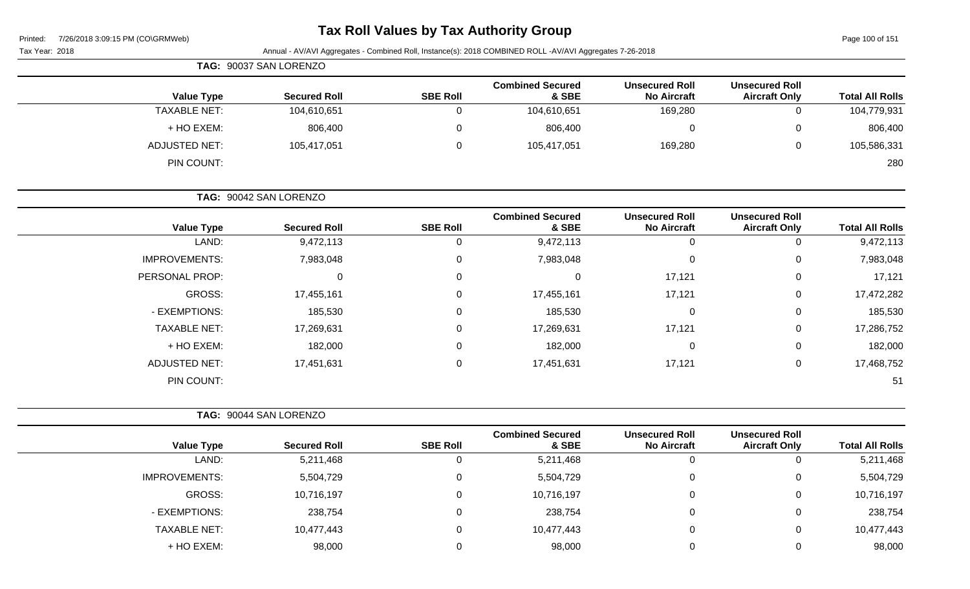# **Tax Roll Values by Tax Authority Group**

Page 100 of 151

|                        |                                               |                                             | Annual - AV/AVI Aggregates - Combined Roll, Instance(s): 2018 COMBINED ROLL -AV/AVI Aggregates 7-26-2018 |                 |                        | Tax Year: 2018       |
|------------------------|-----------------------------------------------|---------------------------------------------|----------------------------------------------------------------------------------------------------------|-----------------|------------------------|----------------------|
|                        |                                               |                                             |                                                                                                          |                 | TAG: 90037 SAN LORENZO |                      |
| <b>Total All Rolls</b> | <b>Unsecured Roll</b><br><b>Aircraft Only</b> | <b>Unsecured Roll</b><br><b>No Aircraft</b> | <b>Combined Secured</b><br>& SBE                                                                         | <b>SBE Roll</b> | <b>Secured Roll</b>    | <b>Value Type</b>    |
| 104,779,931            | $\mathbf 0$                                   | 169,280                                     | 104,610,651                                                                                              | $\overline{0}$  | 104,610,651            | <b>TAXABLE NET:</b>  |
| 806,400                | 0                                             | 0                                           | 806,400                                                                                                  | 0               | 806,400                | + HO EXEM:           |
| 105,586,331            | $\mathbf 0$                                   | 169,280                                     | 105,417,051                                                                                              | $\mathbf 0$     | 105,417,051            | <b>ADJUSTED NET:</b> |
| 280                    |                                               |                                             |                                                                                                          |                 |                        | PIN COUNT:           |
|                        |                                               |                                             |                                                                                                          |                 | TAG: 90042 SAN LORENZO |                      |
| <b>Total All Rolls</b> | <b>Unsecured Roll</b><br><b>Aircraft Only</b> | <b>Unsecured Roll</b><br><b>No Aircraft</b> | <b>Combined Secured</b><br>& SBE                                                                         | <b>SBE Roll</b> | <b>Secured Roll</b>    | <b>Value Type</b>    |
| 9,472,113              | 0                                             | $\mathbf 0$                                 | 9,472,113                                                                                                | 0               | 9,472,113              | LAND:                |
| 7,983,048              | $\mathbf 0$                                   | $\pmb{0}$                                   | 7,983,048                                                                                                | $\mathbf 0$     | 7,983,048              | <b>IMPROVEMENTS:</b> |
| 17,121                 | 0                                             | 17,121                                      | 0                                                                                                        | 0               | $\mathbf 0$            | PERSONAL PROP:       |
| 17,472,282             | 0                                             | 17,121                                      | 17,455,161                                                                                               | 0               | 17,455,161             | GROSS:               |
| 185,530                | 0                                             | 0                                           | 185,530                                                                                                  | 0               | 185,530                | - EXEMPTIONS:        |
| 17,286,752             | 0                                             | 17,121                                      | 17,269,631                                                                                               | 0               | 17,269,631             | <b>TAXABLE NET:</b>  |
| 182,000                | $\mathbf 0$                                   | $\mathbf 0$                                 | 182,000                                                                                                  | 0               | 182,000                | + HO EXEM:           |
| 17,468,752             | 0                                             | 17,121                                      | 17,451,631                                                                                               | $\mathsf 0$     | 17,451,631             | <b>ADJUSTED NET:</b> |
| 51                     |                                               |                                             |                                                                                                          |                 |                        | PIN COUNT:           |
|                        |                                               |                                             |                                                                                                          |                 | TAG: 90044 SAN LORENZO |                      |
| <b>Total All Rolls</b> | <b>Unsecured Roll</b><br><b>Aircraft Only</b> | <b>Unsecured Roll</b><br><b>No Aircraft</b> | <b>Combined Secured</b><br>& SBE                                                                         | <b>SBE Roll</b> | <b>Secured Roll</b>    | <b>Value Type</b>    |
| 5,211,468              | $\mathbf 0$                                   | $\mathbf 0$                                 | 5,211,468                                                                                                | $\mathbf 0$     | 5,211,468              | LAND:                |
| 5,504,729              | 0                                             | 0                                           | 5,504,729                                                                                                | 0               | 5,504,729              | <b>IMPROVEMENTS:</b> |
| 10,716,197             | 0                                             | 0                                           | 10,716,197                                                                                               | $\Omega$        | 10,716,197             | <b>GROSS:</b>        |
| 238,754                | $\mathbf 0$                                   | 0                                           | 238,754                                                                                                  | $\Omega$        | 238,754                | - EXEMPTIONS:        |

TAXABLE NET: 10,477,443 0 10,477,443 0 0 10,477,443 + HO EXEM: 98,000 0 98,000 0 0 98,000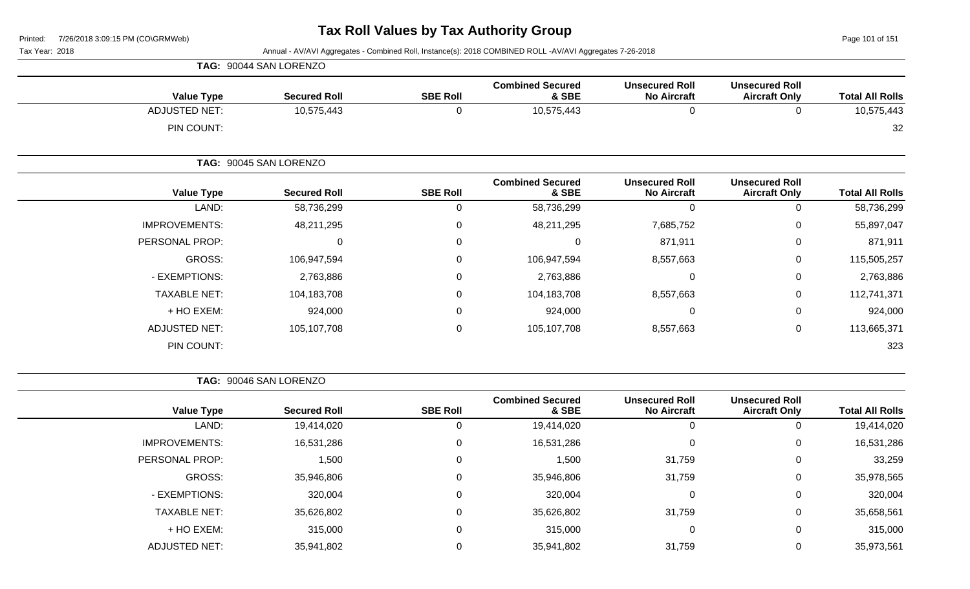Page 101 of 151

Tax Year: 2018 Annual - AV/AVI Aggregates - Combined Roll, Instance(s): 2018 COMBINED ROLL -AV/AVI Aggregates 7-26-2018

| <b>Value Type</b>    | <b>Secured Roll</b>    | <b>SBE Roll</b> | <b>Combined Secured</b><br>& SBE | <b>Unsecured Roll</b><br><b>No Aircraft</b> | <b>Unsecured Roll</b><br><b>Aircraft Only</b> | <b>Total All Rolls</b> |
|----------------------|------------------------|-----------------|----------------------------------|---------------------------------------------|-----------------------------------------------|------------------------|
| <b>ADJUSTED NET:</b> | 10,575,443             | 0               | 10,575,443                       | 0                                           | 0                                             | 10,575,443             |
| PIN COUNT:           |                        |                 |                                  |                                             |                                               | 32                     |
|                      | TAG: 90045 SAN LORENZO |                 |                                  |                                             |                                               |                        |
| <b>Value Type</b>    | <b>Secured Roll</b>    | <b>SBE Roll</b> | <b>Combined Secured</b><br>& SBE | <b>Unsecured Roll</b><br><b>No Aircraft</b> | <b>Unsecured Roll</b><br><b>Aircraft Only</b> | <b>Total All Rolls</b> |
| LAND:                | 58,736,299             | 0               | 58,736,299                       | 0                                           | 0                                             | 58,736,299             |
| <b>IMPROVEMENTS:</b> | 48,211,295             | 0               | 48,211,295                       | 7,685,752                                   | 0                                             | 55,897,047             |
| PERSONAL PROP:       | 0                      | 0               | 0                                | 871,911                                     | $\pmb{0}$                                     | 871,911                |
| GROSS:               | 106,947,594            | 0               | 106,947,594                      | 8,557,663                                   | 0                                             | 115,505,257            |
| - EXEMPTIONS:        | 2,763,886              | 0               | 2,763,886                        | 0                                           | 0                                             | 2,763,886              |
| <b>TAXABLE NET:</b>  | 104,183,708            | $\Omega$        | 104,183,708                      | 8,557,663                                   | 0                                             | 112,741,371            |
| + HO EXEM:           | 924,000                | 0               | 924,000                          | 0                                           | 0                                             | 924,000                |
| <b>ADJUSTED NET:</b> | 105,107,708            | $\mathbf 0$     | 105,107,708                      | 8,557,663                                   | 0                                             | 113,665,371            |
| PIN COUNT:           |                        |                 |                                  |                                             |                                               | 323                    |

**TAG:** 90046 SAN LORENZO

**TAG:** 90044 SAN LORENZO

|                      |                     |                 | <b>Combined Secured</b> | <b>Unsecured Roll</b> | <b>Unsecured Roll</b> |                        |
|----------------------|---------------------|-----------------|-------------------------|-----------------------|-----------------------|------------------------|
| <b>Value Type</b>    | <b>Secured Roll</b> | <b>SBE Roll</b> | & SBE                   | <b>No Aircraft</b>    | <b>Aircraft Only</b>  | <b>Total All Rolls</b> |
| LAND:                | 19,414,020          | 0               | 19,414,020              |                       | 0                     | 19,414,020             |
| <b>IMPROVEMENTS:</b> | 16,531,286          | $\mathbf 0$     | 16,531,286              |                       | 0                     | 16,531,286             |
| PERSONAL PROP:       | 1,500               | 0               | 1,500                   | 31,759                | $\mathbf{0}$          | 33,259                 |
| GROSS:               | 35,946,806          | 0               | 35,946,806              | 31,759                | 0                     | 35,978,565             |
| - EXEMPTIONS:        | 320,004             | 0               | 320,004                 |                       | $\mathbf 0$           | 320,004                |
| <b>TAXABLE NET:</b>  | 35,626,802          | 0               | 35,626,802              | 31,759                | 0                     | 35,658,561             |
| + HO EXEM:           | 315,000             | $\mathbf 0$     | 315,000                 |                       | 0                     | 315,000                |
| <b>ADJUSTED NET:</b> | 35,941,802          | $\Omega$        | 35,941,802              | 31,759                | 0                     | 35,973,561             |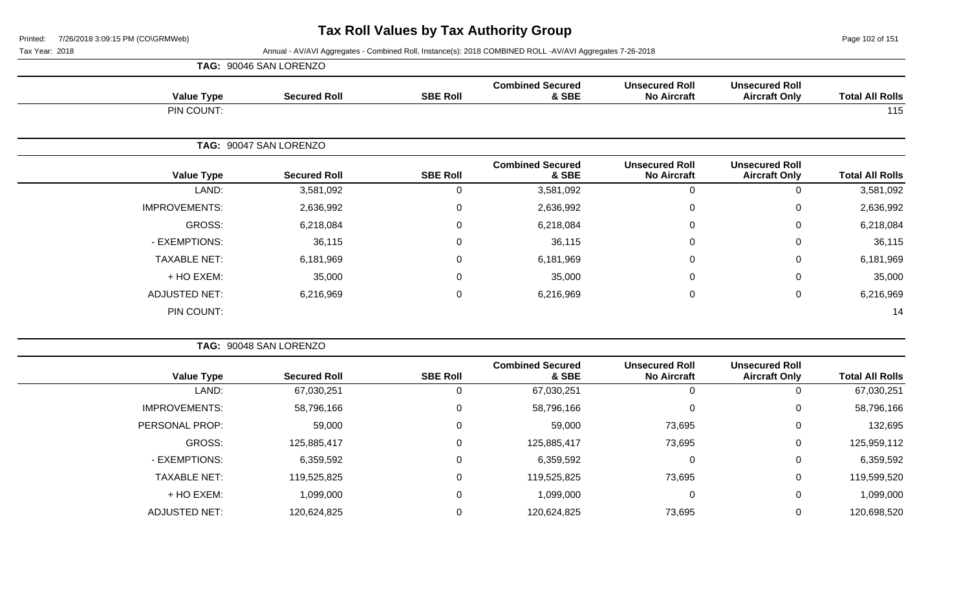Page 102 of 151

|                      | TAG: 90046 SAN LORENZO |                 |                                  |                                             |                                               |                        |
|----------------------|------------------------|-----------------|----------------------------------|---------------------------------------------|-----------------------------------------------|------------------------|
| <b>Value Type</b>    | <b>Secured Roll</b>    | <b>SBE Roll</b> | <b>Combined Secured</b><br>& SBE | <b>Unsecured Roll</b><br><b>No Aircraft</b> | <b>Unsecured Roll</b><br><b>Aircraft Only</b> | <b>Total All Rolls</b> |
| PIN COUNT:           |                        |                 |                                  |                                             |                                               | 115                    |
|                      | TAG: 90047 SAN LORENZO |                 |                                  |                                             |                                               |                        |
| <b>Value Type</b>    | <b>Secured Roll</b>    | <b>SBE Roll</b> | <b>Combined Secured</b><br>& SBE | <b>Unsecured Roll</b><br><b>No Aircraft</b> | <b>Unsecured Roll</b><br><b>Aircraft Only</b> | <b>Total All Rolls</b> |
| LAND:                | 3,581,092              | 0               | 3,581,092                        | $\mathbf 0$                                 | $\mathbf 0$                                   | 3,581,092              |
| <b>IMPROVEMENTS:</b> | 2,636,992              | 0               | 2,636,992                        | 0                                           | 0                                             | 2,636,992              |
| GROSS:               | 6,218,084              | 0               | 6,218,084                        | $\mathbf 0$                                 | $\mathbf 0$                                   | 6,218,084              |
| - EXEMPTIONS:        | 36,115                 | 0               | 36,115                           | 0                                           | 0                                             | 36,115                 |
| <b>TAXABLE NET:</b>  | 6,181,969              | 0               | 6,181,969                        | $\mathbf 0$                                 | $\mathbf 0$                                   | 6,181,969              |
| + HO EXEM:           | 35,000                 | 0               | 35,000                           | 0                                           | 0                                             | 35,000                 |
| <b>ADJUSTED NET:</b> | 6,216,969              | 0               | 6,216,969                        | $\mathbf 0$                                 | $\mathbf 0$                                   | 6,216,969              |
| PIN COUNT:           |                        |                 |                                  |                                             |                                               | 14                     |

|                      | TAG: 90048 SAN LORENZO |                 |                                  |                                             |                                               |                        |
|----------------------|------------------------|-----------------|----------------------------------|---------------------------------------------|-----------------------------------------------|------------------------|
| <b>Value Type</b>    | <b>Secured Roll</b>    | <b>SBE Roll</b> | <b>Combined Secured</b><br>& SBE | <b>Unsecured Roll</b><br><b>No Aircraft</b> | <b>Unsecured Roll</b><br><b>Aircraft Only</b> | <b>Total All Rolls</b> |
| LAND:                | 67,030,251             | 0               | 67,030,251                       |                                             | $\mathbf{0}$                                  | 67,030,251             |
| <b>IMPROVEMENTS:</b> | 58,796,166             | 0               | 58,796,166                       | $\Omega$                                    | 0                                             | 58,796,166             |
| PERSONAL PROP:       | 59,000                 | 0               | 59,000                           | 73,695                                      | 0                                             | 132,695                |
| GROSS:               | 125,885,417            | 0               | 125,885,417                      | 73,695                                      | 0                                             | 125,959,112            |
| - EXEMPTIONS:        | 6,359,592              | 0               | 6,359,592                        | $\Omega$                                    | $\mathbf 0$                                   | 6,359,592              |
| <b>TAXABLE NET:</b>  | 119,525,825            | 0               | 119,525,825                      | 73,695                                      | 0                                             | 119,599,520            |
| + HO EXEM:           | 1,099,000              | 0               | 1,099,000                        | $\Omega$                                    | 0                                             | 1,099,000              |
| <b>ADJUSTED NET:</b> | 120,624,825            | 0               | 120,624,825                      | 73,695                                      | 0                                             | 120,698,520            |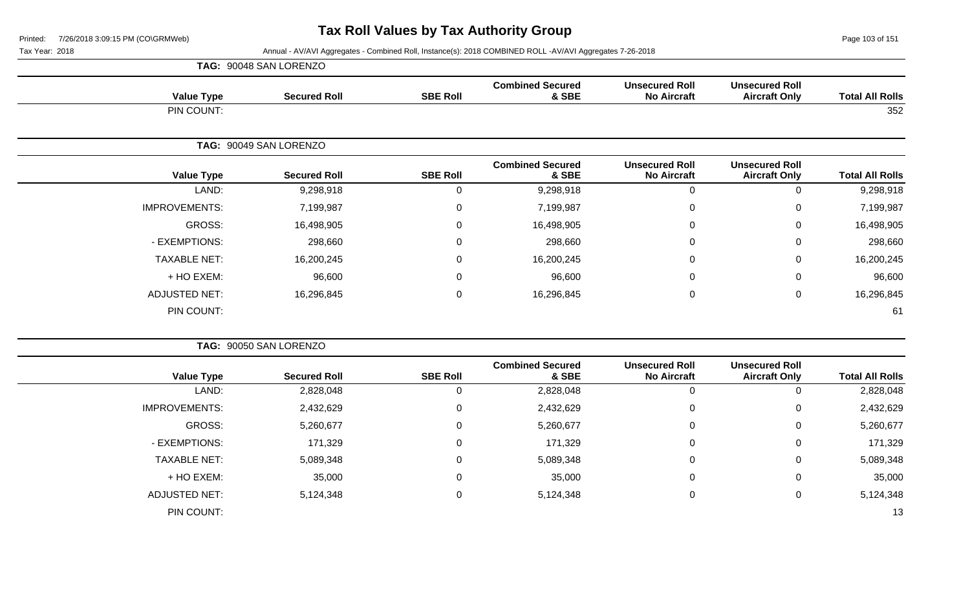Page 103 of 151

|                        |                                               |                                             |                                  |                 | TAG: 90048 SAN LORENZO |                      |
|------------------------|-----------------------------------------------|---------------------------------------------|----------------------------------|-----------------|------------------------|----------------------|
| <b>Total All Rolls</b> | <b>Unsecured Roll</b><br><b>Aircraft Only</b> | <b>Unsecured Roll</b><br><b>No Aircraft</b> | <b>Combined Secured</b><br>& SBE | <b>SBE Roll</b> | <b>Secured Roll</b>    | <b>Value Type</b>    |
| 352                    |                                               |                                             |                                  |                 |                        | PIN COUNT:           |
|                        |                                               |                                             |                                  |                 | TAG: 90049 SAN LORENZO |                      |
| <b>Total All Rolls</b> | <b>Unsecured Roll</b><br><b>Aircraft Only</b> | <b>Unsecured Roll</b><br><b>No Aircraft</b> | <b>Combined Secured</b><br>& SBE | <b>SBE Roll</b> | <b>Secured Roll</b>    | <b>Value Type</b>    |
| 9,298,918              |                                               | $\mathbf 0$                                 | 9,298,918                        | 0               | 9,298,918              | LAND:                |
| 7,199,987              | $\Omega$                                      | $\mathbf 0$                                 | 7,199,987                        | $\mathbf 0$     | 7,199,987              | <b>IMPROVEMENTS:</b> |
| 16,498,905             | $\Omega$                                      | $\pmb{0}$                                   | 16,498,905                       | 0               | 16,498,905             | GROSS:               |
| 298,660                | $\Omega$                                      | $\mathbf 0$                                 | 298,660                          | $\Omega$        | 298,660                | - EXEMPTIONS:        |
| 16,200,245             | $\Omega$                                      | $\mathbf 0$                                 | 16,200,245                       | $\mathbf 0$     | 16,200,245             | <b>TAXABLE NET:</b>  |
| 96,600                 | $\Omega$                                      | $\mathbf 0$                                 | 96,600                           | 0               | 96,600                 | + HO EXEM:           |
| 16,296,845             | 0                                             | $\pmb{0}$                                   | 16,296,845                       | $\mathbf 0$     | 16,296,845             | <b>ADJUSTED NET:</b> |
| 61                     |                                               |                                             |                                  |                 |                        | PIN COUNT:           |
|                        |                                               |                                             |                                  |                 |                        |                      |

|                      | TAG: 90050 SAN LORENZO |                 |                                  |                                             |                                               |                        |
|----------------------|------------------------|-----------------|----------------------------------|---------------------------------------------|-----------------------------------------------|------------------------|
| <b>Value Type</b>    | <b>Secured Roll</b>    | <b>SBE Roll</b> | <b>Combined Secured</b><br>& SBE | <b>Unsecured Roll</b><br><b>No Aircraft</b> | <b>Unsecured Roll</b><br><b>Aircraft Only</b> | <b>Total All Rolls</b> |
| LAND:                | 2,828,048              |                 | 2,828,048                        | 0                                           |                                               | 2,828,048              |
| <b>IMPROVEMENTS:</b> | 2,432,629              | 0               | 2,432,629                        | 0                                           | 0                                             | 2,432,629              |
| GROSS:               | 5,260,677              | 0               | 5,260,677                        | 0                                           | 0                                             | 5,260,677              |
| - EXEMPTIONS:        | 171,329                | 0               | 171,329                          | 0                                           | $\Omega$                                      | 171,329                |
| <b>TAXABLE NET:</b>  | 5,089,348              | 0               | 5,089,348                        | 0                                           | $\Omega$                                      | 5,089,348              |
| + HO EXEM:           | 35,000                 | 0               | 35,000                           | 0                                           | 0                                             | 35,000                 |
| <b>ADJUSTED NET:</b> | 5,124,348              | 0               | 5,124,348                        | 0                                           | $\Omega$                                      | 5,124,348              |
| PIN COUNT:           |                        |                 |                                  |                                             |                                               | 13                     |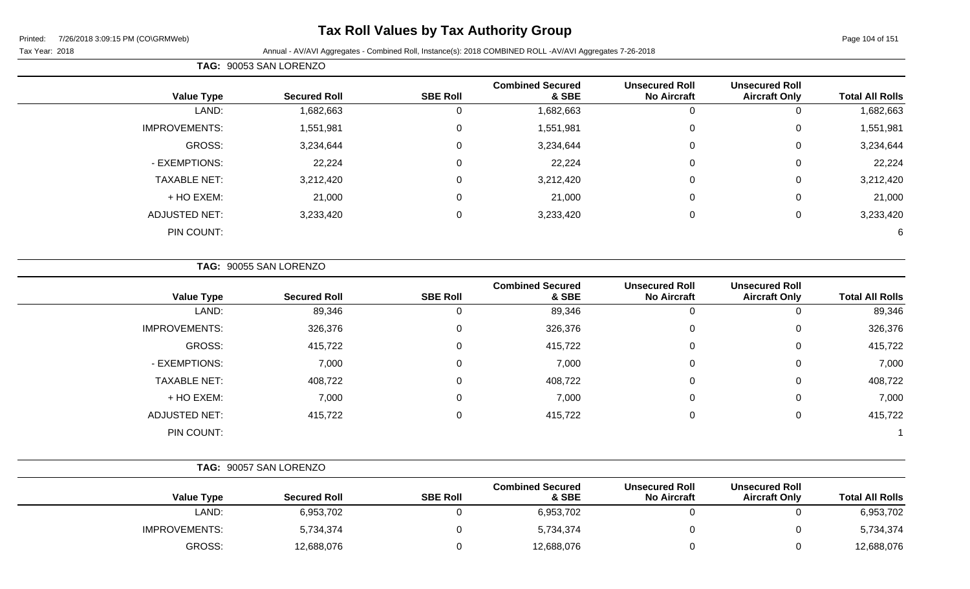# **Tax Roll Values by Tax Authority Group**

Page 104 of 151

Tax Year: 2018 Annual - AV/AVI Aggregates - Combined Roll, Instance(s): 2018 COMBINED ROLL -AV/AVI Aggregates 7-26-2018

|                      | TAG: 90053 SAN LORENZO |                 |                                  |                                             |                                               |                        |  |  |
|----------------------|------------------------|-----------------|----------------------------------|---------------------------------------------|-----------------------------------------------|------------------------|--|--|
| <b>Value Type</b>    | <b>Secured Roll</b>    | <b>SBE Roll</b> | <b>Combined Secured</b><br>& SBE | <b>Unsecured Roll</b><br><b>No Aircraft</b> | <b>Unsecured Roll</b><br><b>Aircraft Only</b> | <b>Total All Rolls</b> |  |  |
| LAND:                | 1,682,663              | 0               | 1,682,663                        |                                             | 0                                             | 1,682,663              |  |  |
| <b>IMPROVEMENTS:</b> | 1,551,981              | 0               | 1,551,981                        | 0                                           | 0                                             | 1,551,981              |  |  |
| GROSS:               | 3,234,644              | $\mathbf 0$     | 3,234,644                        | $\mathbf 0$                                 | 0                                             | 3,234,644              |  |  |
| - EXEMPTIONS:        | 22,224                 | $\mathbf 0$     | 22,224                           | $\Omega$                                    | 0                                             | 22,224                 |  |  |
| <b>TAXABLE NET:</b>  | 3,212,420              | $\mathbf 0$     | 3,212,420                        | $\mathbf 0$                                 | 0                                             | 3,212,420              |  |  |
| + HO EXEM:           | 21,000                 | $\mathbf 0$     | 21,000                           | $\mathbf 0$                                 | 0                                             | 21,000                 |  |  |
| <b>ADJUSTED NET:</b> | 3,233,420              | $\Omega$        | 3,233,420                        | $\mathbf 0$                                 | 0                                             | 3,233,420              |  |  |
| PIN COUNT:           |                        |                 |                                  |                                             |                                               | 6                      |  |  |

**TAG:** 90055 SAN LORENZO

| <b>Value Type</b>    | <b>Secured Roll</b> | <b>SBE Roll</b> | <b>Combined Secured</b><br>& SBE | <b>Unsecured Roll</b><br><b>No Aircraft</b> | <b>Unsecured Roll</b><br><b>Aircraft Only</b> | <b>Total All Rolls</b> |
|----------------------|---------------------|-----------------|----------------------------------|---------------------------------------------|-----------------------------------------------|------------------------|
| LAND:                | 89,346              | 0               | 89,346                           | 0                                           | 0                                             | 89,346                 |
| <b>IMPROVEMENTS:</b> | 326,376             | 0               | 326,376                          | $\mathbf 0$                                 | 0                                             | 326,376                |
| GROSS:               | 415,722             | 0               | 415,722                          | $\mathbf 0$                                 | 0                                             | 415,722                |
| - EXEMPTIONS:        | 7,000               | 0               | 7,000                            | $\overline{0}$                              | $\mathbf 0$                                   | 7,000                  |
| <b>TAXABLE NET:</b>  | 408,722             | $\Omega$        | 408,722                          | 0                                           | 0                                             | 408,722                |
| + HO EXEM:           | 7,000               | $\Omega$        | 7,000                            | $\overline{0}$                              | $\mathbf 0$                                   | 7,000                  |
| <b>ADJUSTED NET:</b> | 415,722             | $\Omega$        | 415,722                          | $\mathbf 0$                                 | 0                                             | 415,722                |
| PIN COUNT:           |                     |                 |                                  |                                             |                                               |                        |

|                      | TAG: 90057 SAN LORENZO |                 |                                  |                                             |                                               |                        |  |
|----------------------|------------------------|-----------------|----------------------------------|---------------------------------------------|-----------------------------------------------|------------------------|--|
| <b>Value Type</b>    | <b>Secured Roll</b>    | <b>SBE Roll</b> | <b>Combined Secured</b><br>& SBE | <b>Unsecured Roll</b><br><b>No Aircraft</b> | <b>Unsecured Roll</b><br><b>Aircraft Only</b> | <b>Total All Rolls</b> |  |
| LAND:                | 6,953,702              |                 | 6,953,702                        |                                             |                                               | 6,953,702              |  |
| <b>IMPROVEMENTS:</b> | 5,734,374              |                 | 5,734,374                        |                                             |                                               | 5,734,374              |  |
| GROSS:               | 12,688,076             |                 | 12,688,076                       |                                             |                                               | 12,688,076             |  |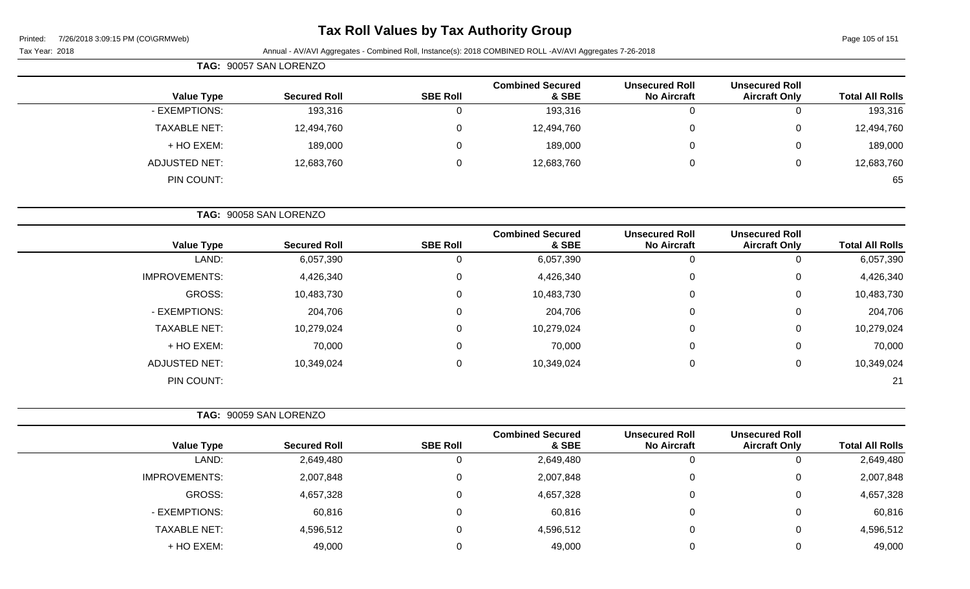# **Tax Roll Values by Tax Authority Group**

|                     | TAG: 90057 SAN LORENZO |                 |                                  |                                             |                                               |                        |  |  |
|---------------------|------------------------|-----------------|----------------------------------|---------------------------------------------|-----------------------------------------------|------------------------|--|--|
| <b>Value Type</b>   | <b>Secured Roll</b>    | <b>SBE Roll</b> | <b>Combined Secured</b><br>& SBE | <b>Unsecured Roll</b><br><b>No Aircraft</b> | <b>Unsecured Roll</b><br><b>Aircraft Only</b> | <b>Total All Rolls</b> |  |  |
| - EXEMPTIONS:       | 193,316                | 0               | 193,316                          | 0                                           | 0                                             | 193,316                |  |  |
| <b>TAXABLE NET:</b> | 12,494,760             | $\mathbf 0$     | 12,494,760                       | 0                                           | 0                                             | 12,494,760             |  |  |
| + HO EXEM:          | 189,000                | 0               | 189,000                          | 0                                           | 0                                             | 189,000                |  |  |
| ADJUSTED NET:       | 12,683,760             | 0               | 12,683,760                       | $\mathbf 0$                                 | 0                                             | 12,683,760             |  |  |
| PIN COUNT:          |                        |                 |                                  |                                             |                                               | 65                     |  |  |
|                     | TAG: 90058 SAN LORENZO |                 |                                  |                                             |                                               |                        |  |  |

| <b>Value Type</b>    | <b>Secured Roll</b> | <b>SBE Roll</b> | <b>Combined Secured</b><br>& SBE | <b>Unsecured Roll</b><br><b>No Aircraft</b> | <b>Unsecured Roll</b><br><b>Aircraft Only</b> | <b>Total All Rolls</b> |
|----------------------|---------------------|-----------------|----------------------------------|---------------------------------------------|-----------------------------------------------|------------------------|
| LAND:                | 6,057,390           | U               | 6,057,390                        | $\theta$                                    | 0                                             | 6,057,390              |
| <b>IMPROVEMENTS:</b> | 4,426,340           | 0               | 4,426,340                        | 0                                           | 0                                             | 4,426,340              |
| GROSS:               | 10,483,730          | $\Omega$        | 10,483,730                       | $\mathbf 0$                                 | $\mathbf 0$                                   | 10,483,730             |
| - EXEMPTIONS:        | 204,706             | $\Omega$        | 204,706                          | 0                                           | 0                                             | 204,706                |
| <b>TAXABLE NET:</b>  | 10,279,024          | $\mathbf{0}$    | 10,279,024                       | 0                                           | 0                                             | 10,279,024             |
| + HO EXEM:           | 70,000              | $\mathbf{0}$    | 70,000                           | $\mathbf 0$                                 | 0                                             | 70,000                 |
| <b>ADJUSTED NET:</b> | 10,349,024          | $\mathbf{0}$    | 10,349,024                       | 0                                           | $\mathbf 0$                                   | 10,349,024             |
| PIN COUNT:           |                     |                 |                                  |                                             |                                               | 21                     |

|                      | TAG: 90059 SAN LORENZO |                 |                                  |                                             |                                               |                        |
|----------------------|------------------------|-----------------|----------------------------------|---------------------------------------------|-----------------------------------------------|------------------------|
| <b>Value Type</b>    | <b>Secured Roll</b>    | <b>SBE Roll</b> | <b>Combined Secured</b><br>& SBE | <b>Unsecured Roll</b><br><b>No Aircraft</b> | <b>Unsecured Roll</b><br><b>Aircraft Only</b> | <b>Total All Rolls</b> |
| LAND:                | 2,649,480              | 0               | 2,649,480                        |                                             | v                                             | 2,649,480              |
| <b>IMPROVEMENTS:</b> | 2,007,848              | 0               | 2,007,848                        | 0                                           | 0                                             | 2,007,848              |
| GROSS:               | 4,657,328              | 0               | 4,657,328                        | 0                                           | 0                                             | 4,657,328              |
| - EXEMPTIONS:        | 60,816                 | 0               | 60,816                           | 0                                           | 0                                             | 60,816                 |
| <b>TAXABLE NET:</b>  | 4,596,512              | 0               | 4,596,512                        | U                                           | 0                                             | 4,596,512              |
| + HO EXEM:           | 49,000                 | 0               | 49,000                           |                                             | 0                                             | 49,000                 |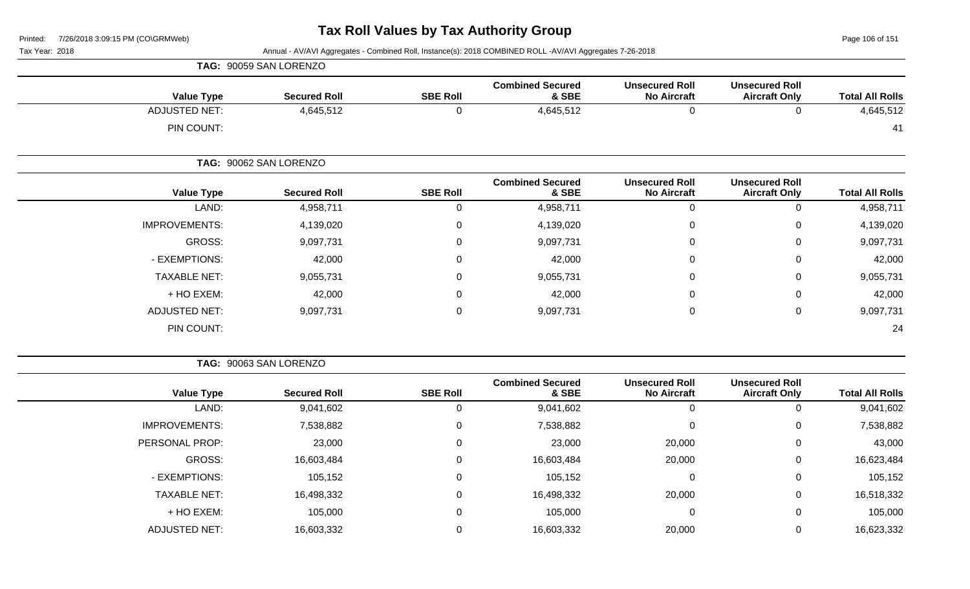Page 106 of 151

Tax Year: 2018 Annual - AV/AVI Aggregates - Combined Roll, Instance(s): 2018 COMBINED ROLL -AV/AVI Aggregates 7-26-2018

| <b>Value Type</b>    | <b>Secured Roll</b>    | <b>SBE Roll</b> | <b>Combined Secured</b><br>& SBE | <b>Unsecured Roll</b><br><b>No Aircraft</b> | <b>Unsecured Roll</b><br><b>Aircraft Only</b> | <b>Total All Rolls</b> |
|----------------------|------------------------|-----------------|----------------------------------|---------------------------------------------|-----------------------------------------------|------------------------|
| <b>ADJUSTED NET:</b> | 4,645,512              | 0               | 4,645,512                        | 0                                           | $\Omega$                                      | 4,645,512              |
| PIN COUNT:           |                        |                 |                                  |                                             |                                               | 41                     |
|                      | TAG: 90062 SAN LORENZO |                 |                                  |                                             |                                               |                        |
| <b>Value Type</b>    | <b>Secured Roll</b>    | <b>SBE Roll</b> | <b>Combined Secured</b><br>& SBE | <b>Unsecured Roll</b><br><b>No Aircraft</b> | <b>Unsecured Roll</b><br><b>Aircraft Only</b> | <b>Total All Rolls</b> |
| LAND:                | 4,958,711              | 0               | 4,958,711                        | $\pmb{0}$                                   | $\pmb{0}$                                     | 4,958,711              |
| <b>IMPROVEMENTS:</b> | 4,139,020              | 0               | 4,139,020                        | $\mathbf 0$                                 | $\mathbf 0$                                   | 4,139,020              |
| GROSS:               | 9,097,731              | 0               | 9,097,731                        | $\mathbf 0$                                 | $\mathbf 0$                                   | 9,097,731              |
| - EXEMPTIONS:        | 42,000                 | 0               | 42,000                           | $\pmb{0}$                                   | $\mathbf 0$                                   | 42,000                 |
| <b>TAXABLE NET:</b>  | 9,055,731              | 0               | 9,055,731                        | $\pmb{0}$                                   | $\mathbf 0$                                   | 9,055,731              |
| + HO EXEM:           | 42,000                 | 0               | 42,000                           | 0                                           | $\mathbf 0$                                   | 42,000                 |
| <b>ADJUSTED NET:</b> | 9,097,731              | 0               | 9,097,731                        | $\mathbf 0$                                 | $\mathbf 0$                                   | 9,097,731              |
| PIN COUNT:           |                        |                 |                                  |                                             |                                               | 24                     |

**TAG:** 90063 SAN LORENZO

**TAG:** 90059 SAN LORENZO

| <b>Total All Rolls</b> | <b>Unsecured Roll</b><br><b>Aircraft Only</b> | <b>Unsecured Roll</b><br><b>No Aircraft</b> | <b>Combined Secured</b><br>& SBE | <b>SBE Roll</b> | <b>Secured Roll</b> | <b>Value Type</b>    |
|------------------------|-----------------------------------------------|---------------------------------------------|----------------------------------|-----------------|---------------------|----------------------|
| 9,041,602              | 0                                             | 0                                           | 9,041,602                        |                 | 9,041,602           | LAND:                |
| 7,538,882              | 0                                             | 0                                           | 7,538,882                        |                 | 7,538,882           | <b>IMPROVEMENTS:</b> |
| 43,000                 | 0                                             | 20,000                                      | 23,000                           |                 | 23,000              | PERSONAL PROP:       |
| 16,623,484             | 0                                             | 20,000                                      | 16,603,484                       |                 | 16,603,484          | GROSS:               |
| 105,152                | 0                                             | 0                                           | 105,152                          |                 | 105,152             | - EXEMPTIONS:        |
| 16,518,332             | 0                                             | 20,000                                      | 16,498,332                       |                 | 16,498,332          | <b>TAXABLE NET:</b>  |
| 105,000                | 0                                             | 0                                           | 105,000                          |                 | 105,000             | + HO EXEM:           |
| 16,623,332             | 0                                             | 20,000                                      | 16,603,332                       |                 | 16,603,332          | <b>ADJUSTED NET:</b> |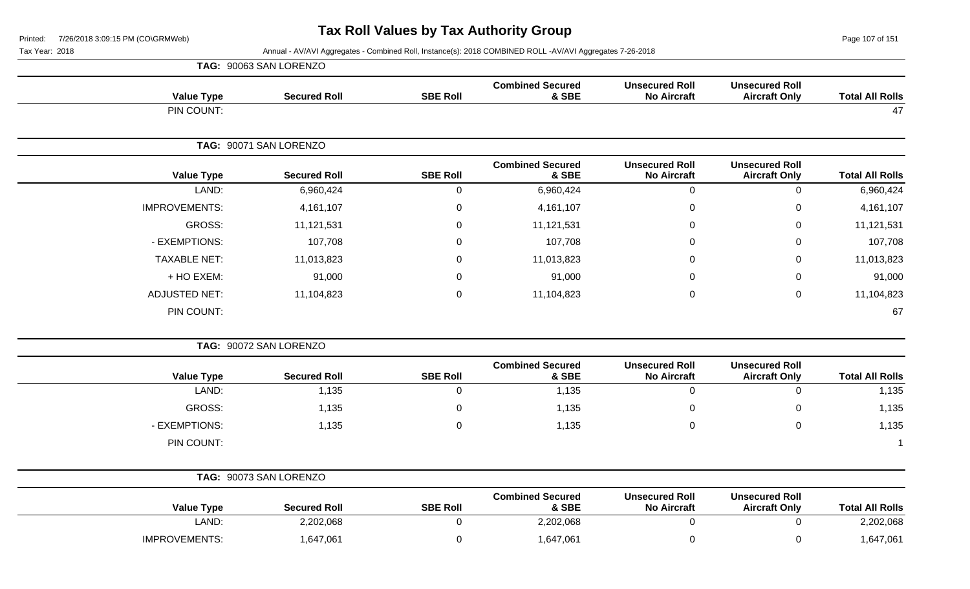**TAG:** 90073 SAN LORENZO

**Value Type Secured Roll SBE Roll**

Page 107 of 151

**Total All Rolls** 

Tax Year: 2018 Annual - AV/AVI Aggregates - Combined Roll, Instance(s): 2018 COMBINED ROLL -AV/AVI Aggregates 7-26-2018

|                      | TAG: 90063 SAN LORENZO |                 |                                  |                                             |                                               |                        |
|----------------------|------------------------|-----------------|----------------------------------|---------------------------------------------|-----------------------------------------------|------------------------|
| <b>Value Type</b>    | <b>Secured Roll</b>    | <b>SBE Roll</b> | <b>Combined Secured</b><br>& SBE | <b>Unsecured Roll</b><br><b>No Aircraft</b> | <b>Unsecured Roll</b><br><b>Aircraft Only</b> | <b>Total All Rolls</b> |
| PIN COUNT:           |                        |                 |                                  |                                             |                                               | 47                     |
|                      | TAG: 90071 SAN LORENZO |                 |                                  |                                             |                                               |                        |
| <b>Value Type</b>    | <b>Secured Roll</b>    | <b>SBE Roll</b> | <b>Combined Secured</b><br>& SBE | <b>Unsecured Roll</b><br><b>No Aircraft</b> | <b>Unsecured Roll</b><br><b>Aircraft Only</b> | <b>Total All Rolls</b> |
| LAND:                | 6,960,424              | 0               | 6,960,424                        | $\mathbf 0$                                 | 0                                             | 6,960,424              |
| <b>IMPROVEMENTS:</b> | 4, 161, 107            | 0               | 4,161,107                        | 0                                           | 0                                             | 4,161,107              |
| GROSS:               | 11,121,531             | $\Omega$        | 11,121,531                       | 0                                           | 0                                             | 11,121,531             |
| - EXEMPTIONS:        | 107,708                | $\Omega$        | 107,708                          | 0                                           | 0                                             | 107,708                |
| <b>TAXABLE NET:</b>  | 11,013,823             | 0               | 11,013,823                       | 0                                           | $\mathbf 0$                                   | 11,013,823             |
| + HO EXEM:           | 91,000                 | 0               | 91,000                           | 0                                           | 0                                             | 91,000                 |
| <b>ADJUSTED NET:</b> | 11,104,823             | $\mathbf 0$     | 11,104,823                       | 0                                           | $\mathbf 0$                                   | 11,104,823             |
| PIN COUNT:           |                        |                 |                                  |                                             |                                               | 67                     |
|                      | TAG: 90072 SAN LORENZO |                 |                                  |                                             |                                               |                        |
| <b>Value Type</b>    | <b>Secured Roll</b>    | <b>SBE Roll</b> | <b>Combined Secured</b><br>& SBE | <b>Unsecured Roll</b><br><b>No Aircraft</b> | <b>Unsecured Roll</b><br><b>Aircraft Only</b> | <b>Total All Rolls</b> |
| LAND:                | 1,135                  | $\mathbf 0$     | 1,135                            | $\mathbf 0$                                 | $\Omega$                                      | 1,135                  |

GROSS: 1,135 0 1,135 0 0 1,135

- EXEMPTIONS: 1,135 0 1,135 0 1,135 PIN COUNT: 1

**Combined Secured**

IMPROVEMENTS: 1,647,061 0 1,647,061 0 1,647,061 0 1,647,061 0 1,647,061 0 1,647,061

LAND: 2,202,068 0 2,202,068 0 0 2,202,068

**& SBE**

**Unsecured Roll No Aircraft** **Unsecured Roll**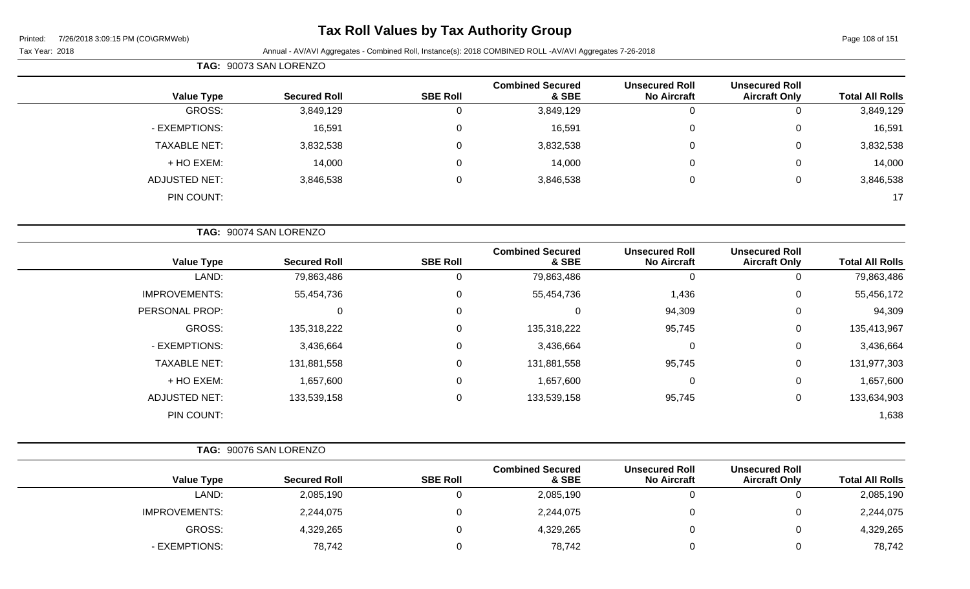# **Tax Roll Values by Tax Authority Group**

Page 108 of 151

Tax Year: 2018 Annual - AV/AVI Aggregates - Combined Roll, Instance(s): 2018 COMBINED ROLL -AV/AVI Aggregates 7-26-2018

|                        |                                               |                                             |                                  |                 | TAG: 90073 SAN LORENZO |                      |
|------------------------|-----------------------------------------------|---------------------------------------------|----------------------------------|-----------------|------------------------|----------------------|
| <b>Total All Rolls</b> | <b>Unsecured Roll</b><br><b>Aircraft Only</b> | <b>Unsecured Roll</b><br><b>No Aircraft</b> | <b>Combined Secured</b><br>& SBE | <b>SBE Roll</b> | <b>Secured Roll</b>    | <b>Value Type</b>    |
| 3,849,129<br>$\Omega$  |                                               | $\mathbf 0$                                 | 3,849,129                        | 0               | 3,849,129              | <b>GROSS:</b>        |
| 16,591<br>0            |                                               | 0                                           | 16,591                           | 0               | 16,591                 | - EXEMPTIONS:        |
| 3,832,538<br>0         |                                               | 0                                           | 3,832,538                        | $\mathbf 0$     | 3,832,538              | <b>TAXABLE NET:</b>  |
| 14,000<br>0            |                                               | 0                                           | 14,000                           | 0               | 14,000                 | + HO EXEM:           |
| 3,846,538<br>0         |                                               | 0                                           | 3,846,538                        | $\mathbf 0$     | 3,846,538              | <b>ADJUSTED NET:</b> |
| 17                     |                                               |                                             |                                  |                 |                        | PIN COUNT:           |
|                        |                                               |                                             |                                  |                 | TAG: 90074 SAN LORENZO |                      |
| <b>Total All Rolls</b> | <b>Unsecured Roll</b><br><b>Aircraft Only</b> | <b>Unsecured Roll</b><br><b>No Aircraft</b> | <b>Combined Secured</b><br>& SBE | <b>SBE Roll</b> | <b>Secured Roll</b>    | <b>Value Type</b>    |
| 79,863,486<br>0        |                                               | $\Omega$                                    | 79,863,486                       | $\mathbf 0$     | 79,863,486             | LAND:                |
| 55,456,172<br>0        |                                               | 1,436                                       | 55,454,736                       | $\mathbf 0$     | 55,454,736             | <b>IMPROVEMENTS:</b> |
| 94,309<br>0            |                                               | 94,309                                      | 0                                | 0               | $\mathbf 0$            | PERSONAL PROP:       |
| 135,413,967<br>0       |                                               | 95,745                                      | 135,318,222                      | $\mathbf 0$     | 135,318,222            | GROSS:               |
| 3,436,664<br>0         |                                               | 0                                           | 3,436,664                        | 0               | 3,436,664              | - EXEMPTIONS:        |
| 131,977,303<br>0       |                                               | 95,745                                      | 131,881,558                      | 0               | 131,881,558            | <b>TAXABLE NET:</b>  |
| $\pmb{0}$<br>1,657,600 |                                               | 0                                           | 1,657,600                        | 0               | 1,657,600              | + HO EXEM:           |
| 133,634,903<br>0       |                                               | 95,745                                      | 133,539,158                      | 0               | 133,539,158            | <b>ADJUSTED NET:</b> |

PIN COUNT: 1,638

- EXEMPTIONS: 78,742 0 78,742 0 0 78,742

| TAG: 90076 SAN LORENZO |                     |                 |                                  |                                             |                                               |                        |
|------------------------|---------------------|-----------------|----------------------------------|---------------------------------------------|-----------------------------------------------|------------------------|
| <b>Value Type</b>      | <b>Secured Roll</b> | <b>SBE Roll</b> | <b>Combined Secured</b><br>& SBE | <b>Unsecured Roll</b><br><b>No Aircraft</b> | <b>Unsecured Roll</b><br><b>Aircraft Only</b> | <b>Total All Rolls</b> |
| LAND:                  | 2,085,190           |                 | 2,085,190                        |                                             |                                               | 2,085,190              |
| <b>IMPROVEMENTS:</b>   | 2,244,075           |                 | 2,244,075                        |                                             |                                               | 2,244,075              |
| GROSS:                 | 4,329,265           |                 | 4,329,265                        |                                             |                                               | 4,329,265              |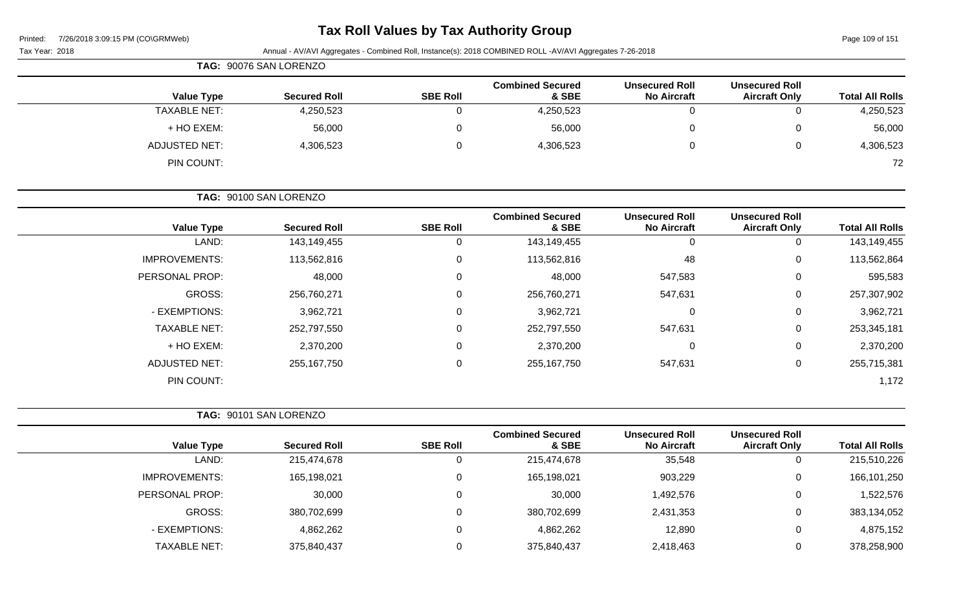## **Tax Roll Values by Tax Authority Group**

Page 109 of 151

| Tax Year: 2018       |                        |                 | Annual - AV/AVI Aggregates - Combined Roll, Instance(s): 2018 COMBINED ROLL -AV/AVI Aggregates 7-26-2018 |                                             |                                               |                        |
|----------------------|------------------------|-----------------|----------------------------------------------------------------------------------------------------------|---------------------------------------------|-----------------------------------------------|------------------------|
|                      | TAG: 90076 SAN LORENZO |                 |                                                                                                          |                                             |                                               |                        |
| <b>Value Type</b>    | <b>Secured Roll</b>    | <b>SBE Roll</b> | <b>Combined Secured</b><br>& SBE                                                                         | <b>Unsecured Roll</b><br><b>No Aircraft</b> | <b>Unsecured Roll</b><br><b>Aircraft Only</b> | <b>Total All Rolls</b> |
| <b>TAXABLE NET:</b>  | 4,250,523              | $\mathbf 0$     | 4,250,523                                                                                                | $\mathbf 0$                                 | $\mathbf 0$                                   | 4,250,523              |
| + HO EXEM:           | 56,000                 | 0               | 56,000                                                                                                   | 0                                           | $\pmb{0}$                                     | 56,000                 |
| <b>ADJUSTED NET:</b> | 4,306,523              | $\mathbf 0$     | 4,306,523                                                                                                | 0                                           | 0                                             | 4,306,523              |
| PIN COUNT:           |                        |                 |                                                                                                          |                                             |                                               | 72                     |
|                      | TAG: 90100 SAN LORENZO |                 |                                                                                                          |                                             |                                               |                        |
| <b>Value Type</b>    | <b>Secured Roll</b>    | <b>SBE Roll</b> | <b>Combined Secured</b><br>& SBE                                                                         | <b>Unsecured Roll</b><br><b>No Aircraft</b> | <b>Unsecured Roll</b><br><b>Aircraft Only</b> | <b>Total All Rolls</b> |
| LAND:                | 143,149,455            | $\mathbf 0$     | 143,149,455                                                                                              | $\mathbf 0$                                 | $\mathbf 0$                                   | 143,149,455            |
| <b>IMPROVEMENTS:</b> | 113,562,816            | $\mathbf 0$     | 113,562,816                                                                                              | 48                                          | $\pmb{0}$                                     | 113,562,864            |
| PERSONAL PROP:       | 48,000                 | $\mathbf 0$     | 48,000                                                                                                   | 547,583                                     | 0                                             | 595,583                |
| GROSS:               | 256,760,271            | $\mathbf 0$     | 256,760,271                                                                                              | 547,631                                     | 0                                             | 257,307,902            |
| - EXEMPTIONS:        | 3,962,721              | 0               | 3,962,721                                                                                                | $\mathbf 0$                                 | 0                                             | 3,962,721              |
| <b>TAXABLE NET:</b>  | 252,797,550            | $\Omega$        | 252,797,550                                                                                              | 547,631                                     | 0                                             | 253,345,181            |
| + HO EXEM:           | 2,370,200              | $\Omega$        | 2,370,200                                                                                                | 0                                           | 0                                             | 2,370,200              |
| <b>ADJUSTED NET:</b> | 255, 167, 750          | 0               | 255, 167, 750                                                                                            | 547,631                                     | $\mathbf 0$                                   | 255,715,381            |
| PIN COUNT:           |                        |                 |                                                                                                          |                                             |                                               | 1,172                  |
|                      | TAG: 90101 SAN LORENZO |                 |                                                                                                          |                                             |                                               |                        |
| <b>Value Type</b>    | <b>Secured Roll</b>    | <b>SBE Roll</b> | <b>Combined Secured</b><br>& SBE                                                                         | <b>Unsecured Roll</b><br><b>No Aircraft</b> | <b>Unsecured Roll</b><br><b>Aircraft Only</b> | <b>Total All Rolls</b> |
| LAND:                | 215,474,678            | $\mathbf 0$     | 215,474,678                                                                                              | 35,548                                      | $\mathbf 0$                                   | 215,510,226            |
| <b>IMPROVEMENTS:</b> | 165,198,021            | 0               | 165,198,021                                                                                              | 903,229                                     | 0                                             | 166,101,250            |
| PERSONAL PROP:       | 30,000                 | 0               | 30,000                                                                                                   | 1,492,576                                   | 0                                             | 1,522,576              |
| <b>GROSS:</b>        | 380,702,699            | $\mathbf 0$     | 380,702,699                                                                                              | 2,431,353                                   | $\mathbf 0$                                   | 383,134,052            |
| - EXEMPTIONS:        | 4,862,262              | $\mathbf 0$     | 4,862,262                                                                                                | 12,890                                      | $\mathbf 0$                                   | 4,875,152              |

TAXABLE NET: 375,840,437 0 375,840,437 2,418,463 0 378,258,900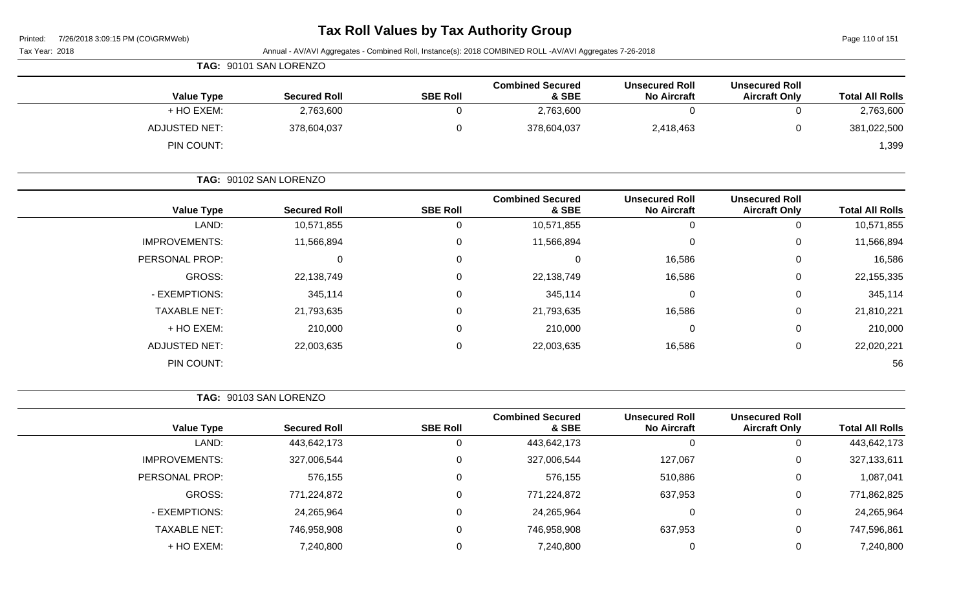### **Tax Roll Values by Tax Authority Group**

| <b>Secured Roll</b>    | <b>SBE Roll</b>        | <b>Combined Secured</b><br>& SBE | <b>Unsecured Roll</b><br><b>No Aircraft</b>    | <b>Unsecured Roll</b><br><b>Aircraft Only</b>                                                            | <b>Total All Rolls</b> |
|------------------------|------------------------|----------------------------------|------------------------------------------------|----------------------------------------------------------------------------------------------------------|------------------------|
| 2,763,600              | $\mathbf 0$            | 2,763,600                        | $\mathbf 0$                                    | $\mathbf 0$                                                                                              | 2,763,600              |
| 378,604,037            | 0                      | 378,604,037                      | 2,418,463                                      | 0                                                                                                        | 381,022,500            |
|                        |                        |                                  |                                                |                                                                                                          | 1,399                  |
| TAG: 90102 SAN LORENZO |                        |                                  |                                                |                                                                                                          |                        |
| <b>Secured Roll</b>    | <b>SBE Roll</b>        | <b>Combined Secured</b><br>& SBE | <b>Unsecured Roll</b><br><b>No Aircraft</b>    | <b>Unsecured Roll</b><br><b>Aircraft Only</b>                                                            | <b>Total All Rolls</b> |
| 10,571,855             | 0                      | 10,571,855                       | $\mathbf 0$                                    | $\mathbf 0$                                                                                              | 10,571,855             |
| 11,566,894             | 0                      | 11,566,894                       | 0                                              | 0                                                                                                        | 11,566,894             |
| $\Omega$               | 0                      | 0                                | 16,586                                         | 0                                                                                                        | 16,586                 |
| 22,138,749             | 0                      | 22,138,749                       | 16,586                                         | 0                                                                                                        | 22,155,335             |
| 345,114                | 0                      | 345,114                          | 0                                              | 0                                                                                                        | 345,114                |
| 21,793,635             | 0                      | 21,793,635                       | 16,586                                         | 0                                                                                                        | 21,810,221             |
| 210,000                | 0                      | 210,000                          | 0                                              | 0                                                                                                        | 210,000                |
| 22,003,635             | 0                      | 22,003,635                       | 16,586                                         | 0                                                                                                        | 22,020,221             |
|                        |                        |                                  |                                                |                                                                                                          | 56                     |
| TAG: 90103 SAN LORENZO |                        |                                  |                                                |                                                                                                          |                        |
| <b>Secured Roll</b>    | <b>SBE Roll</b>        | <b>Combined Secured</b><br>& SBE | <b>Unsecured Roll</b><br><b>No Aircraft</b>    | <b>Unsecured Roll</b><br><b>Aircraft Only</b>                                                            | <b>Total All Rolls</b> |
| 443,642,173            | $\mathbf 0$            | 443,642,173                      | $\Omega$                                       | $\mathbf 0$                                                                                              | 443,642,173            |
| 327,006,544            | 0                      | 327,006,544                      | 127,067                                        | 0                                                                                                        | 327,133,611            |
| 576,155                | $\mathbf 0$            | 576,155                          | 510,886                                        | $\mathbf 0$                                                                                              | 1,087,041              |
| 771,224,872            | 0                      | 771,224,872                      | 637,953                                        | 0                                                                                                        | 771,862,825            |
| 24,265,964             | 0                      | 24,265,964                       | $\mathbf 0$                                    | 0                                                                                                        | 24,265,964             |
| 746,958,908            | 0                      | 746,958,908                      | 637,953                                        | 0                                                                                                        | 747,596,861            |
| 7,240,800              | $\pmb{0}$              | 7,240,800                        | $\mathbf 0$                                    | $\mathbf 0$                                                                                              | 7,240,800              |
|                        | TAG: 90101 SAN LORENZO |                                  | <b>TUA IVII VULUCO DY TUA AUGIOILLY OF OUP</b> | Annual - AV/AVI Aggregates - Combined Roll, Instance(s): 2018 COMBINED ROLL -AV/AVI Aggregates 7-26-2018 |                        |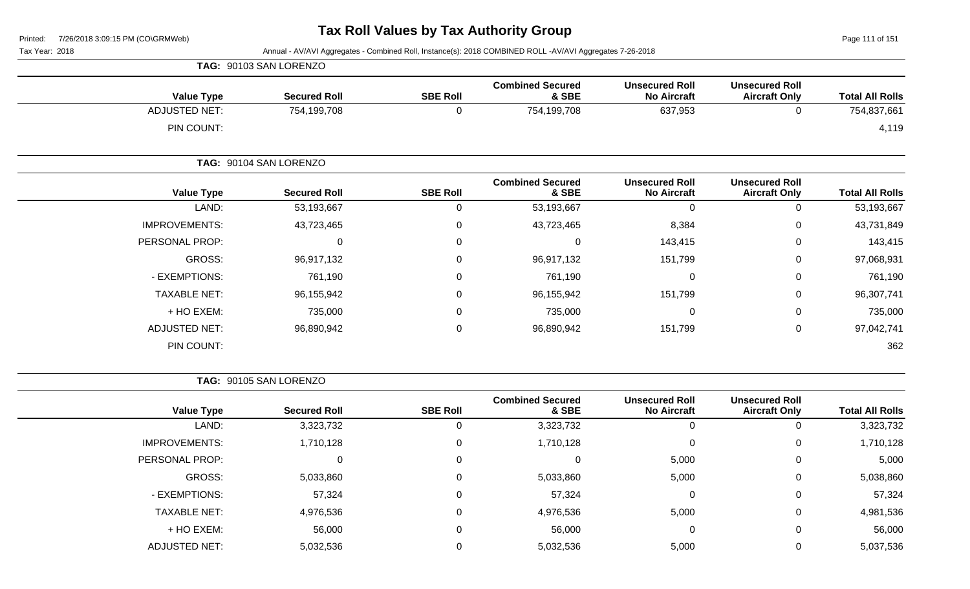Page 111 of 151

Tax Year: 2018 Annual - AV/AVI Aggregates - Combined Roll, Instance(s): 2018 COMBINED ROLL -AV/AVI Aggregates 7-26-2018

|                      | TAG: 90103 SAN LORENZO |                  |                                  |                                             |                                               |                        |
|----------------------|------------------------|------------------|----------------------------------|---------------------------------------------|-----------------------------------------------|------------------------|
| <b>Value Type</b>    | <b>Secured Roll</b>    | <b>SBE Roll</b>  | <b>Combined Secured</b><br>& SBE | <b>Unsecured Roll</b><br><b>No Aircraft</b> | <b>Unsecured Roll</b><br><b>Aircraft Only</b> | <b>Total All Rolls</b> |
| <b>ADJUSTED NET:</b> | 754,199,708            | $\mathbf 0$      | 754,199,708                      | 637,953                                     | 0                                             | 754,837,661            |
| PIN COUNT:           |                        |                  |                                  |                                             |                                               | 4,119                  |
|                      | TAG: 90104 SAN LORENZO |                  |                                  |                                             |                                               |                        |
| <b>Value Type</b>    | <b>Secured Roll</b>    | <b>SBE Roll</b>  | <b>Combined Secured</b><br>& SBE | <b>Unsecured Roll</b><br><b>No Aircraft</b> | <b>Unsecured Roll</b><br><b>Aircraft Only</b> | <b>Total All Rolls</b> |
| LAND:                | 53,193,667             | $\mathbf 0$      | 53,193,667                       | 0                                           | 0                                             | 53,193,667             |
| <b>IMPROVEMENTS:</b> | 43,723,465             | $\mathbf 0$      | 43,723,465                       | 8,384                                       | 0                                             | 43,731,849             |
| PERSONAL PROP:       | $\mathbf 0$            | $\mathbf 0$      | $\mathbf 0$                      | 143,415                                     | 0                                             | 143,415                |
| GROSS:               | 96,917,132             | 0                | 96,917,132                       | 151,799                                     | 0                                             | 97,068,931             |
| - EXEMPTIONS:        | 761,190                | $\mathbf 0$      | 761,190                          | 0                                           | 0                                             | 761,190                |
| <b>TAXABLE NET:</b>  | 96,155,942             | $\boldsymbol{0}$ | 96,155,942                       | 151,799                                     | 0                                             | 96,307,741             |
| + HO EXEM:           | 735,000                | $\mathbf 0$      | 735,000                          | $\mathbf 0$                                 | 0                                             | 735,000                |
| <b>ADJUSTED NET:</b> | 96,890,942             | $\mathbf 0$      | 96,890,942                       | 151,799                                     | 0                                             | 97,042,741             |
| PIN COUNT:           |                        |                  |                                  |                                             |                                               | 362                    |

**TAG:** 90105 SAN LORENZO

| <b>Value Type</b>    | <b>Secured Roll</b> | <b>SBE Roll</b> | <b>Combined Secured</b><br>& SBE | <b>Unsecured Roll</b><br><b>No Aircraft</b> | <b>Unsecured Roll</b><br><b>Aircraft Only</b> | <b>Total All Rolls</b> |
|----------------------|---------------------|-----------------|----------------------------------|---------------------------------------------|-----------------------------------------------|------------------------|
| LAND:                | 3,323,732           |                 | 3,323,732                        | 0                                           | 0                                             | 3,323,732              |
| <b>IMPROVEMENTS:</b> | 1,710,128           |                 | 1,710,128                        | $\mathbf{0}$                                | $\mathbf 0$                                   | 1,710,128              |
| PERSONAL PROP:       |                     |                 |                                  | 5,000                                       | 0                                             | 5,000                  |
| GROSS:               | 5,033,860           | 0               | 5,033,860                        | 5,000                                       | 0                                             | 5,038,860              |
| - EXEMPTIONS:        | 57,324              |                 | 57,324                           | 0                                           | 0                                             | 57,324                 |
| <b>TAXABLE NET:</b>  | 4,976,536           |                 | 4,976,536                        | 5,000                                       | $\mathbf 0$                                   | 4,981,536              |
| + HO EXEM:           | 56,000              |                 | 56,000                           | $\mathbf 0$                                 | 0                                             | 56,000                 |
| ADJUSTED NET:        | 5,032,536           |                 | 5,032,536                        | 5,000                                       | 0                                             | 5,037,536              |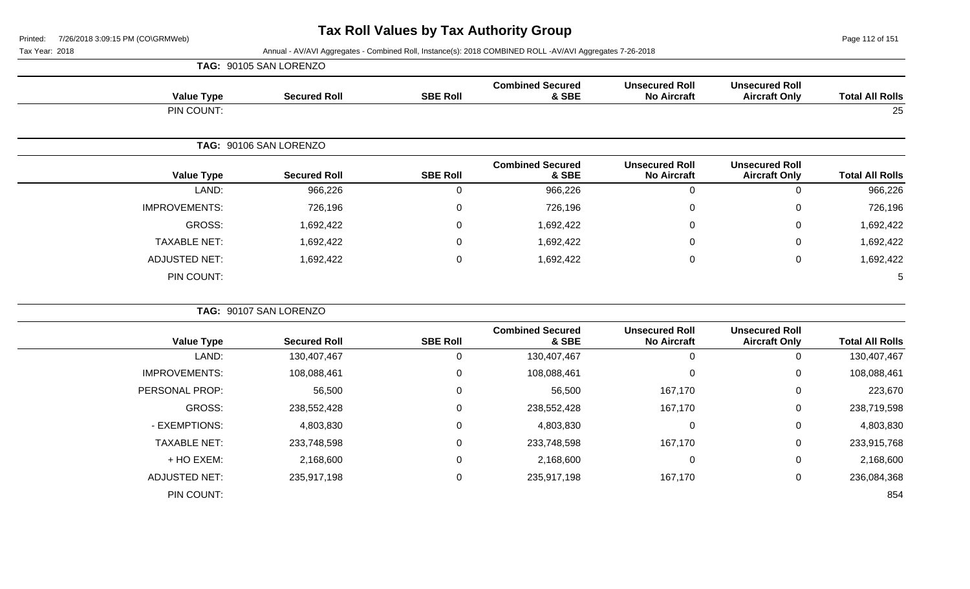Page 112 of 151

Tax Year: 2018 Annual - AV/AVI Aggregates - Combined Roll, Instance(s): 2018 COMBINED ROLL -AV/AVI Aggregates 7-26-2018

|                        |                                               |                                             |                                  |                 | TAG: 90105 SAN LORENZO |                      |
|------------------------|-----------------------------------------------|---------------------------------------------|----------------------------------|-----------------|------------------------|----------------------|
| <b>Total All Rolls</b> | <b>Unsecured Roll</b><br><b>Aircraft Only</b> | <b>Unsecured Roll</b><br><b>No Aircraft</b> | <b>Combined Secured</b><br>& SBE | <b>SBE Roll</b> | <b>Secured Roll</b>    | <b>Value Type</b>    |
| 25                     |                                               |                                             |                                  |                 |                        | PIN COUNT:           |
|                        |                                               |                                             |                                  |                 | TAG: 90106 SAN LORENZO |                      |
| <b>Total All Rolls</b> | <b>Unsecured Roll</b><br><b>Aircraft Only</b> | <b>Unsecured Roll</b><br><b>No Aircraft</b> | <b>Combined Secured</b><br>& SBE | <b>SBE Roll</b> | <b>Secured Roll</b>    | <b>Value Type</b>    |
| 966,226                | $\mathbf 0$                                   | $\mathbf 0$                                 | 966,226                          | 0               | 966,226                | LAND:                |
| 726,196                | 0                                             | $\pmb{0}$                                   | 726,196                          | $\overline{0}$  | 726,196                | IMPROVEMENTS:        |
| 1,692,422              | 0                                             | 0                                           | 1,692,422                        | $\Omega$        | 1,692,422              | <b>GROSS:</b>        |
| 1,692,422              | 0                                             | 0                                           | 1,692,422                        | $\overline{0}$  | 1,692,422              | <b>TAXABLE NET:</b>  |
| 1,692,422              | $\mathbf 0$                                   | $\pmb{0}$                                   | 1,692,422                        | $\mathbf 0$     | 1,692,422              | <b>ADJUSTED NET:</b> |
| 5                      |                                               |                                             |                                  |                 |                        | PIN COUNT:           |
|                        |                                               |                                             |                                  |                 | TAG: 90107 SAN LORENZO |                      |
| <b>Total All Rolls</b> | <b>Unsecured Roll</b><br><b>Aircraft Only</b> | <b>Unsecured Roll</b><br><b>No Aircraft</b> | <b>Combined Secured</b><br>& SBE | <b>SBE Roll</b> | <b>Secured Roll</b>    | <b>Value Type</b>    |
| 130,407,467            | 0                                             | $\mathbf 0$                                 | 130,407,467                      | 0               | 130,407,467            | LAND:                |
| 108,088,461            | 0                                             | $\mathbf 0$                                 | 108,088,461                      | $\mathbf{0}$    | 108,088,461            | <b>IMPROVEMENTS:</b> |
| 223,670                | $\pmb{0}$                                     | 167,170                                     | 56,500                           | $\overline{0}$  | 56,500                 | PERSONAL PROP:       |
| 238,719,598            | $\mathbf 0$                                   | 167,170                                     | 238,552,428                      | $\mathbf 0$     | 238,552,428            | <b>GROSS:</b>        |
| 4,803,830              | $\mathbf 0$                                   | $\mathbf 0$                                 | 4,803,830                        | $\mathbf{0}$    | 4,803,830              | - EXEMPTIONS:        |

TAXABLE NET: 233,748,598 0 233,748,598 167,170 0 233,915,768 + HO EXEM: 2,168,600 0 2,168,600 0 0 2,168,600

ADJUSTED NET: 235,917,198 0 235,917,198 167,170 0 236,084,368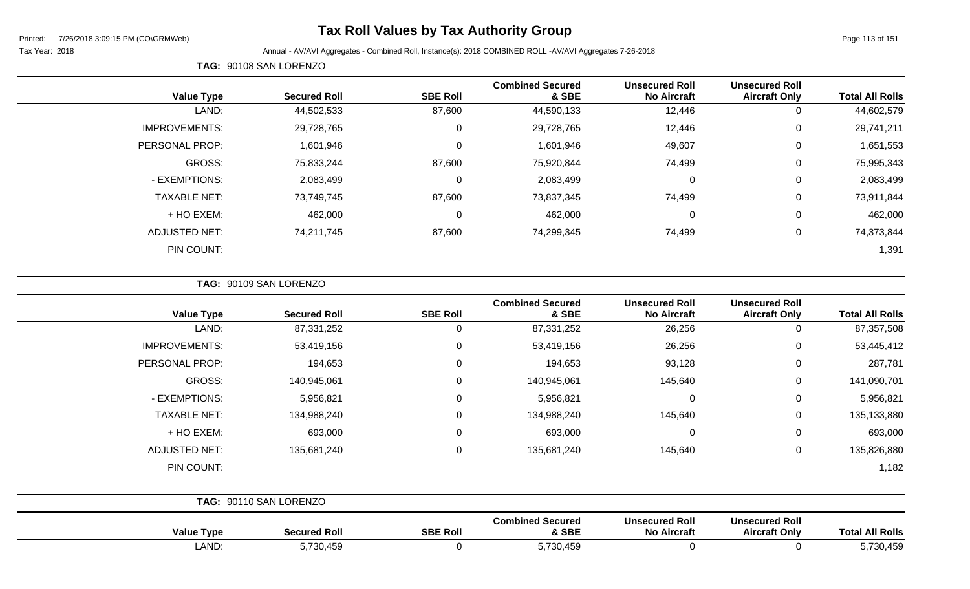## **Tax Roll Values by Tax Authority Group**

Page 113 of 151

Tax Year: 2018 Annual - AV/AVI Aggregates - Combined Roll, Instance(s): 2018 COMBINED ROLL -AV/AVI Aggregates 7-26-2018

|                      | TAG: 90108 SAN LORENZO |                  |                                  |                                             |                                               |                        |  |  |
|----------------------|------------------------|------------------|----------------------------------|---------------------------------------------|-----------------------------------------------|------------------------|--|--|
| <b>Value Type</b>    | <b>Secured Roll</b>    | <b>SBE Roll</b>  | <b>Combined Secured</b><br>& SBE | <b>Unsecured Roll</b><br><b>No Aircraft</b> | <b>Unsecured Roll</b><br><b>Aircraft Only</b> | <b>Total All Rolls</b> |  |  |
| LAND:                | 44,502,533             | 87,600           | 44,590,133                       | 12,446                                      | 0                                             | 44,602,579             |  |  |
| <b>IMPROVEMENTS:</b> | 29,728,765             | $\mathbf 0$      | 29,728,765                       | 12,446                                      | $\mathbf 0$                                   | 29,741,211             |  |  |
| PERSONAL PROP:       | 1,601,946              | $\boldsymbol{0}$ | 1,601,946                        | 49,607                                      | $\mathbf 0$                                   | 1,651,553              |  |  |
| GROSS:               | 75,833,244             | 87,600           | 75,920,844                       | 74,499                                      | $\mathbf 0$                                   | 75,995,343             |  |  |
| - EXEMPTIONS:        | 2,083,499              | $\mathbf 0$      | 2,083,499                        | 0                                           | 0                                             | 2,083,499              |  |  |
| <b>TAXABLE NET:</b>  | 73,749,745             | 87,600           | 73,837,345                       | 74,499                                      | $\mathbf 0$                                   | 73,911,844             |  |  |
| + HO EXEM:           | 462,000                | $\mathbf 0$      | 462,000                          | 0                                           | $\mathbf 0$                                   | 462,000                |  |  |
| <b>ADJUSTED NET:</b> | 74,211,745             | 87,600           | 74,299,345                       | 74,499                                      | 0                                             | 74,373,844             |  |  |
| PIN COUNT:           |                        |                  |                                  |                                             |                                               | 1,391                  |  |  |

**TAG:** 90109 SAN LORENZO

| <b>Value Type</b>    | <b>Secured Roll</b>    | <b>SBE Roll</b> | <b>Combined Secured</b><br>& SBE | <b>Unsecured Roll</b><br><b>No Aircraft</b> | <b>Unsecured Roll</b><br><b>Aircraft Only</b> | <b>Total All Rolls</b> |
|----------------------|------------------------|-----------------|----------------------------------|---------------------------------------------|-----------------------------------------------|------------------------|
| LAND:                | 87,331,252             | 0               | 87,331,252                       | 26,256                                      | 0                                             | 87,357,508             |
| <b>IMPROVEMENTS:</b> | 53,419,156             | 0               | 53,419,156                       | 26,256                                      | 0                                             | 53,445,412             |
| PERSONAL PROP:       | 194,653                | $\mathbf{0}$    | 194,653                          | 93,128                                      | 0                                             | 287,781                |
| GROSS:               | 140,945,061            | 0               | 140,945,061                      | 145,640                                     | 0                                             | 141,090,701            |
| - EXEMPTIONS:        | 5,956,821              | 0               | 5,956,821                        | $\mathbf 0$                                 | 0                                             | 5,956,821              |
| <b>TAXABLE NET:</b>  | 134,988,240            | $\Omega$        | 134,988,240                      | 145,640                                     | 0                                             | 135,133,880            |
| + HO EXEM:           | 693,000                | $\Omega$        | 693,000                          | $\mathbf 0$                                 | 0                                             | 693,000                |
| <b>ADJUSTED NET:</b> | 135,681,240            | $\Omega$        | 135,681,240                      | 145,640                                     | 0                                             | 135,826,880            |
| PIN COUNT:           |                        |                 |                                  |                                             |                                               | 1,182                  |
|                      | TAG: 90110 SAN LORENZO |                 |                                  |                                             |                                               |                        |

| Value<br>NTvpe ↑ | Secured Roll | <b>SBE Roll</b> | Combined Secured<br>& SBE | <b>Unsecured Roll</b><br><b>No Aircraft</b> | <b>Unsecured Roll</b><br><b>Aircraft Only</b> | Total.<br><b>All Rolls</b> |
|------------------|--------------|-----------------|---------------------------|---------------------------------------------|-----------------------------------------------|----------------------------|
| LAND             | 5,730,459    |                 | ,730,459                  |                                             |                                               | 5,730,459                  |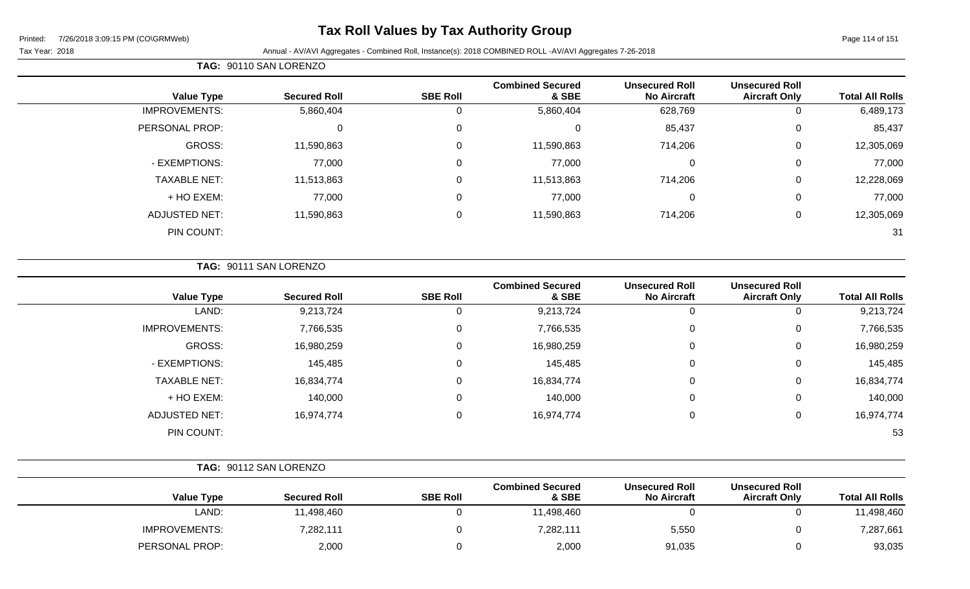## **Tax Roll Values by Tax Authority Group**

Page 114 of 151

#### Tax Year: 2018 Annual - AV/AVI Aggregates - Combined Roll, Instance(s): 2018 COMBINED ROLL -AV/AVI Aggregates 7-26-2018

| <b>Total All Rolls</b> | <b>Unsecured Roll</b><br><b>Aircraft Only</b> | <b>Unsecured Roll</b><br><b>No Aircraft</b> | <b>Combined Secured</b><br>& SBE | <b>SBE Roll</b> | <b>Secured Roll</b> | <b>Value Type</b>    |
|------------------------|-----------------------------------------------|---------------------------------------------|----------------------------------|-----------------|---------------------|----------------------|
| 6,489,173              | 0                                             | 628,769                                     | 5,860,404                        | 0               | 5,860,404           | <b>IMPROVEMENTS:</b> |
| 85,437                 | 0                                             | 85,437                                      | 0                                | $\mathbf 0$     | 0                   | PERSONAL PROP:       |
| 12,305,069             | 0                                             | 714,206                                     | 11,590,863                       | $\mathbf 0$     | 11,590,863          | GROSS:               |
| 77,000                 | $\overline{0}$                                | 0                                           | 77,000                           | $\mathbf 0$     | 77,000              | - EXEMPTIONS:        |
| 12,228,069             | 0                                             | 714,206                                     | 11,513,863                       | $\mathbf 0$     | 11,513,863          | <b>TAXABLE NET:</b>  |
| 77,000                 | 0                                             | $\mathbf 0$                                 | 77,000                           | 0               | 77,000              | + HO EXEM:           |
| 12,305,069             | 0                                             | 714,206                                     | 11,590,863                       | $\mathbf 0$     | 11,590,863          | <b>ADJUSTED NET:</b> |
| 31                     |                                               |                                             |                                  |                 |                     | PIN COUNT:           |
|                        |                                               |                                             |                                  |                 |                     |                      |

### **TAG:** 90111 SAN LORENZO

**TAG:** 90110 SAN LORENZO

| <b>Value Type</b>    | <b>Secured Roll</b> | <b>SBE Roll</b> | <b>Combined Secured</b><br>& SBE | <b>Unsecured Roll</b><br><b>No Aircraft</b> | <b>Unsecured Roll</b><br><b>Aircraft Only</b> | <b>Total All Rolls</b> |
|----------------------|---------------------|-----------------|----------------------------------|---------------------------------------------|-----------------------------------------------|------------------------|
| LAND:                | 9,213,724           | U               | 9,213,724                        | 0                                           | v                                             | 9,213,724              |
| <b>IMPROVEMENTS:</b> | 7,766,535           | 0               | 7,766,535                        | 0                                           | 0                                             | 7,766,535              |
| GROSS:               | 16,980,259          | 0               | 16,980,259                       | 0                                           | U                                             | 16,980,259             |
| - EXEMPTIONS:        | 145,485             | 0               | 145,485                          | 0                                           | 0                                             | 145,485                |
| <b>TAXABLE NET:</b>  | 16,834,774          | 0               | 16,834,774                       | $\mathbf 0$                                 | 0                                             | 16,834,774             |
| + HO EXEM:           | 140,000             | 0               | 140,000                          | 0                                           | 0                                             | 140,000                |
| <b>ADJUSTED NET:</b> | 16,974,774          | 0               | 16,974,774                       | 0                                           | U                                             | 16,974,774             |
| PIN COUNT:           |                     |                 |                                  |                                             |                                               | 53                     |

|                        |                                               |                                             |                                  |                 | TAG: 90112 SAN LORENZO |                      |
|------------------------|-----------------------------------------------|---------------------------------------------|----------------------------------|-----------------|------------------------|----------------------|
| <b>Total All Rolls</b> | <b>Unsecured Roll</b><br><b>Aircraft Only</b> | <b>Unsecured Roll</b><br><b>No Aircraft</b> | <b>Combined Secured</b><br>& SBE | <b>SBE Roll</b> | <b>Secured Roll</b>    | <b>Value Type</b>    |
| 11,498,460             | υ                                             |                                             | 11,498,460                       |                 | 11,498,460             | LAND:                |
| 7,287,661              | υ                                             | 5,550                                       | 7,282,111                        |                 | 7,282,111              | <b>IMPROVEMENTS:</b> |
| 93,035                 |                                               | 91,035                                      | 2,000                            |                 | 2,000                  | PERSONAL PROP:       |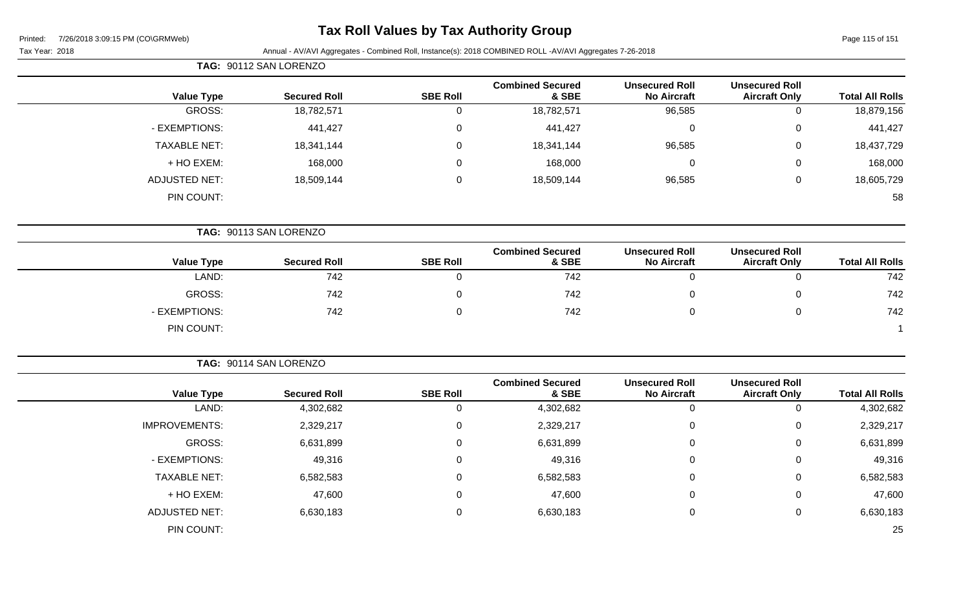## **Tax Roll Values by Tax Authority Group**

#### Tax Year: 2018 Annual - AV/AVI Aggregates - Combined Roll, Instance(s): 2018 COMBINED ROLL -AV/AVI Aggregates 7-26-2018

|                        |                                               |                                             |                                  |                 | TAG: 90112 SAN LORENZO |                      |
|------------------------|-----------------------------------------------|---------------------------------------------|----------------------------------|-----------------|------------------------|----------------------|
| <b>Total All Rolls</b> | <b>Unsecured Roll</b><br><b>Aircraft Only</b> | <b>Unsecured Roll</b><br><b>No Aircraft</b> | <b>Combined Secured</b><br>& SBE | <b>SBE Roll</b> | <b>Secured Roll</b>    | <b>Value Type</b>    |
| 18,879,156             | 0                                             | 96,585                                      | 18,782,571                       | $\mathsf 0$     | 18,782,571             | GROSS:               |
| 441,427                | 0                                             | $\mathbf 0$                                 | 441,427                          | $\mathbf 0$     | 441,427                | - EXEMPTIONS:        |
| 18,437,729             | 0                                             | 96,585                                      | 18,341,144                       | $\mathsf 0$     | 18,341,144             | <b>TAXABLE NET:</b>  |
| 168,000                | 0                                             | 0                                           | 168,000                          | 0               | 168,000                | + HO EXEM:           |
| 18,605,729             | 0                                             | 96,585                                      | 18,509,144                       | $\mathsf 0$     | 18,509,144             | <b>ADJUSTED NET:</b> |
| 58                     |                                               |                                             |                                  |                 |                        | PIN COUNT:           |
|                        |                                               |                                             |                                  |                 | TAG: 90113 SAN LORENZO |                      |
| <b>Total All Rolls</b> | <b>Unsecured Roll</b><br><b>Aircraft Only</b> | <b>Unsecured Roll</b><br><b>No Aircraft</b> | <b>Combined Secured</b><br>& SBE | <b>SBE Roll</b> | <b>Secured Roll</b>    | <b>Value Type</b>    |
| 742                    | 0                                             | $\mathbf 0$                                 | 742                              | $\mathbf 0$     | 742                    | LAND:                |
| 742                    | 0                                             | 0                                           | 742                              | 0               | 742                    | GROSS:               |
| 742                    | 0                                             | $\mathbf 0$                                 | 742                              | $\mathbf 0$     | 742                    | - EXEMPTIONS:        |
|                        |                                               |                                             |                                  |                 |                        | PIN COUNT:           |
|                        |                                               |                                             |                                  |                 | TAG: 90114 SAN LORENZO |                      |
| <b>Total All Rolls</b> | <b>Unsecured Roll</b><br><b>Aircraft Only</b> | <b>Unsecured Roll</b><br><b>No Aircraft</b> | <b>Combined Secured</b><br>& SBE | <b>SBE Roll</b> | <b>Secured Roll</b>    | <b>Value Type</b>    |
| 4,302,682              | $\mathbf 0$                                   | $\mathbf 0$                                 | 4,302,682                        | $\mathsf 0$     | 4,302,682              | LAND:                |
| 2,329,217              | 0                                             | $\Omega$                                    | 2,329,217                        | 0               | 2,329,217              | <b>IMPROVEMENTS:</b> |
| 6,631,899              | 0                                             | $\pmb{0}$                                   | 6,631,899                        | 0               | 6,631,899              | GROSS:               |

- EXEMPTIONS: 49,316 0 49,316 0 0 49,316 TAXABLE NET: 6,582,583 0 6,582,583 0 0 6,582,583 + HO EXEM: 47,600 0 47,600 0 0 47,600

ADJUSTED NET: 6,630,183 0 6,630,183 0 6,630,183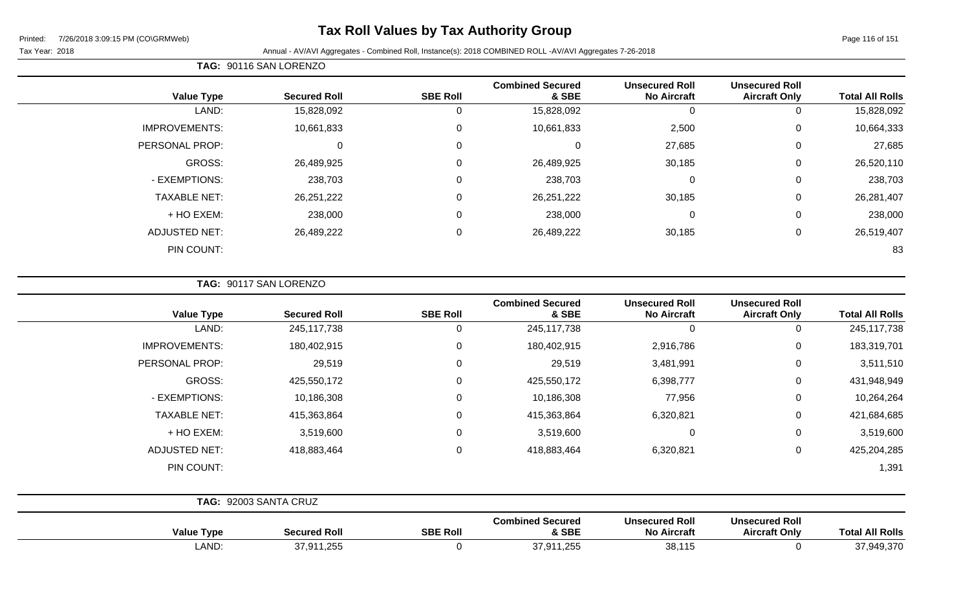## **Tax Roll Values by Tax Authority Group**

Page 116 of 151

 $\overline{\phantom{0}}$ 

#### Tax Year: 2018 Annual - AV/AVI Aggregates - Combined Roll, Instance(s): 2018 COMBINED ROLL -AV/AVI Aggregates 7-26-2018

| <b>Value Type</b>    | <b>Secured Roll</b> | <b>SBE Roll</b> | <b>Combined Secured</b><br>& SBE | <b>Unsecured Roll</b><br><b>No Aircraft</b> | <b>Unsecured Roll</b><br><b>Aircraft Only</b> | <b>Total All Rolls</b> |
|----------------------|---------------------|-----------------|----------------------------------|---------------------------------------------|-----------------------------------------------|------------------------|
| LAND:                | 15,828,092          | 0               | 15,828,092                       | 0                                           | 0                                             | 15,828,092             |
| <b>IMPROVEMENTS:</b> | 10,661,833          | 0               | 10,661,833                       | 2,500                                       | $\mathbf 0$                                   | 10,664,333             |
| PERSONAL PROP:       | 0                   | 0               | $\Omega$                         | 27,685                                      | 0                                             | 27,685                 |
| <b>GROSS:</b>        | 26,489,925          | 0               | 26,489,925                       | 30,185                                      | $\mathbf 0$                                   | 26,520,110             |
| - EXEMPTIONS:        | 238,703             | $\mathbf 0$     | 238,703                          | $\mathbf 0$                                 | $\mathbf 0$                                   | 238,703                |
| <b>TAXABLE NET:</b>  | 26,251,222          | $\mathbf 0$     | 26,251,222                       | 30,185                                      | $\mathbf 0$                                   | 26,281,407             |
| + HO EXEM:           | 238,000             | $\mathbf 0$     | 238,000                          | 0                                           | 0                                             | 238,000                |
| <b>ADJUSTED NET:</b> | 26,489,222          | 0               | 26,489,222                       | 30,185                                      | 0                                             | 26,519,407             |
| PIN COUNT:           |                     |                 |                                  |                                             |                                               | 83                     |

**TAG:** 90117 SAN LORENZO

**TAG:** 90116 SAN LORENZO

| <b>Value Type</b>    | <b>Secured Roll</b>   | <b>SBE Roll</b> | <b>Combined Secured</b><br>& SBE | <b>Unsecured Roll</b><br><b>No Aircraft</b> | <b>Unsecured Roll</b><br><b>Aircraft Only</b> | <b>Total All Rolls</b> |
|----------------------|-----------------------|-----------------|----------------------------------|---------------------------------------------|-----------------------------------------------|------------------------|
| LAND:                | 245,117,738           | 0               | 245,117,738                      | $\mathbf 0$                                 | 0                                             | 245,117,738            |
| <b>IMPROVEMENTS:</b> | 180,402,915           | $\mathbf 0$     | 180,402,915                      | 2,916,786                                   | 0                                             | 183,319,701            |
| PERSONAL PROP:       | 29,519                | $\mathbf 0$     | 29,519                           | 3,481,991                                   | 0                                             | 3,511,510              |
| GROSS:               | 425,550,172           | $\mathbf 0$     | 425,550,172                      | 6,398,777                                   | 0                                             | 431,948,949            |
| - EXEMPTIONS:        | 10,186,308            | $\mathbf 0$     | 10,186,308                       | 77,956                                      | 0                                             | 10,264,264             |
| <b>TAXABLE NET:</b>  | 415,363,864           | $\mathbf 0$     | 415,363,864                      | 6,320,821                                   | 0                                             | 421,684,685            |
| + HO EXEM:           | 3,519,600             | $\mathbf 0$     | 3,519,600                        | $\mathbf 0$                                 | 0                                             | 3,519,600              |
| <b>ADJUSTED NET:</b> | 418,883,464           | $\mathbf 0$     | 418,883,464                      | 6,320,821                                   | 0                                             | 425,204,285            |
| PIN COUNT:           |                       |                 |                                  |                                             |                                               | 1,391                  |
|                      |                       |                 |                                  |                                             |                                               |                        |
|                      | TAG: 92003 SANTA CRUZ |                 |                                  |                                             |                                               |                        |

| Value Type   | <b>Secured Roll</b>                           | <b>SBE Roll</b> | <b>Combined Secured</b><br>& SBE              | <b>Unsecured Roll</b><br>No Aircraft | <b>Unsecured Roll</b><br><b>Aircraft Only</b> | <b>All Rolls</b><br>rota' |
|--------------|-----------------------------------------------|-----------------|-----------------------------------------------|--------------------------------------|-----------------------------------------------|---------------------------|
| <b>LAND:</b> | 27 Q1<br>.4.25 <sub>F</sub><br>∖ ب ب<br>ט, וט |                 | $\Omega$<br>$\sim$ $\sim$<br>ت. ا ب<br>ت ت∠ ا | $-38.11'$<br>vv.                     |                                               | 37 949 370<br>− ∪,∪       |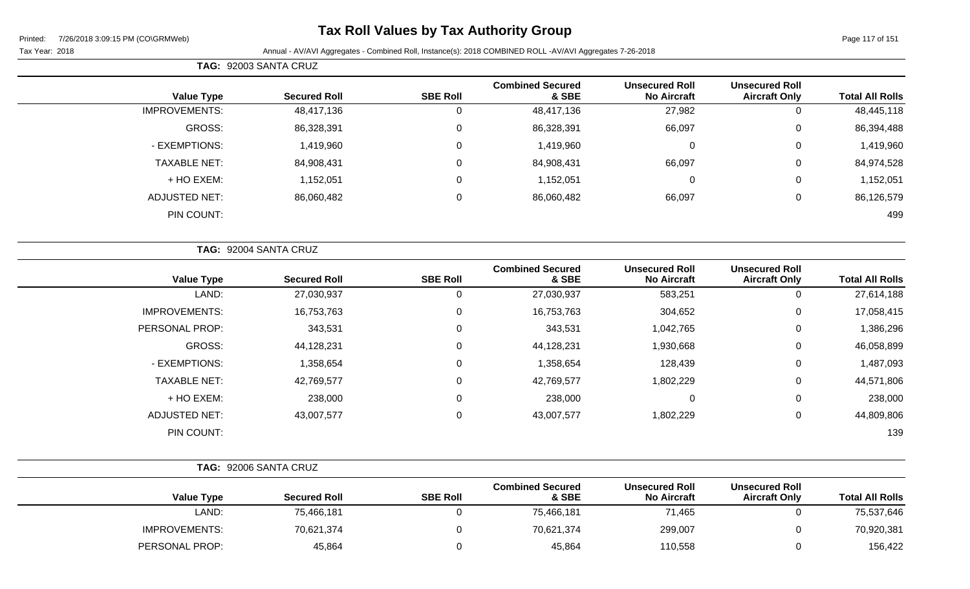## **Tax Roll Values by Tax Authority Group**

**Value Type** 

IMPROVEMENTS:

|        | <b>TAG: 92003 SANTA CRUZ</b> |                 |                                  |                                             |                                               |                        |
|--------|------------------------------|-----------------|----------------------------------|---------------------------------------------|-----------------------------------------------|------------------------|
| e Type | <b>Secured Roll</b>          | <b>SBE Roll</b> | <b>Combined Secured</b><br>& SBE | <b>Unsecured Roll</b><br><b>No Aircraft</b> | <b>Unsecured Roll</b><br><b>Aircraft Only</b> | <b>Total All Rolls</b> |
| IENTS: | 48,417,136                   |                 | 48.417.136                       | 27,982                                      |                                               | 48,445,118             |

| GROSS:              | 86,328,391 | 86,328,391 | 66,097 | v | 86,394,488 |
|---------------------|------------|------------|--------|---|------------|
| - EXEMPTIONS:       | 1,419,960  | 1,419,960  |        | υ | 1,419,960  |
| <b>TAXABLE NET:</b> | 84,908,431 | 84,908,431 | 66,097 | v | 84,974,528 |
| + HO EXEM:          | 1,152,051  | 1,152,051  |        | v | 1,152,051  |
| ADJUSTED NET:       | 86,060,482 | 86,060,482 | 66,097 | υ | 86,126,579 |
| PIN COUNT:          |            |            |        |   | 499        |

|                      | TAG: 92004 SANTA CRUZ |                 |                                  |                                             |                                               |                        |
|----------------------|-----------------------|-----------------|----------------------------------|---------------------------------------------|-----------------------------------------------|------------------------|
| <b>Value Type</b>    | <b>Secured Roll</b>   | <b>SBE Roll</b> | <b>Combined Secured</b><br>& SBE | <b>Unsecured Roll</b><br><b>No Aircraft</b> | <b>Unsecured Roll</b><br><b>Aircraft Only</b> | <b>Total All Rolls</b> |
| LAND:                | 27,030,937            | 0               | 27,030,937                       | 583,251                                     | 0                                             | 27,614,188             |
| <b>IMPROVEMENTS:</b> | 16,753,763            | 0               | 16,753,763                       | 304,652                                     | 0                                             | 17,058,415             |
| PERSONAL PROP:       | 343,531               | 0               | 343,531                          | 1,042,765                                   | 0                                             | 1,386,296              |
| <b>GROSS:</b>        | 44,128,231            | 0               | 44,128,231                       | 1,930,668                                   | 0                                             | 46,058,899             |
| - EXEMPTIONS:        | 1,358,654             | 0               | 1,358,654                        | 128,439                                     | $\mathbf 0$                                   | 1,487,093              |
| <b>TAXABLE NET:</b>  | 42,769,577            | 0               | 42,769,577                       | 1,802,229                                   | 0                                             | 44,571,806             |
| + HO EXEM:           | 238,000               | 0               | 238,000                          | 0                                           | 0                                             | 238,000                |
| <b>ADJUSTED NET:</b> | 43,007,577            | 0               | 43,007,577                       | 1,802,229                                   | 0                                             | 44,809,806             |
| PIN COUNT:           |                       |                 |                                  |                                             |                                               | 139                    |

|                      | TAG: 92006 SANTA CRUZ |                 |                                  |                                             |                                               |                        |
|----------------------|-----------------------|-----------------|----------------------------------|---------------------------------------------|-----------------------------------------------|------------------------|
| <b>Value Type</b>    | <b>Secured Roll</b>   | <b>SBE Roll</b> | <b>Combined Secured</b><br>& SBE | <b>Unsecured Roll</b><br><b>No Aircraft</b> | <b>Unsecured Roll</b><br><b>Aircraft Only</b> | <b>Total All Rolls</b> |
| LAND:                | 75,466,181            |                 | 75,466,181                       | 71,465                                      |                                               | 75,537,646             |
| <b>IMPROVEMENTS:</b> | 70,621,374            |                 | 70,621,374                       | 299,007                                     |                                               | 70,920,381             |
| PERSONAL PROP:       | 45,864                |                 | 45,864                           | 110,558                                     |                                               | 156,422                |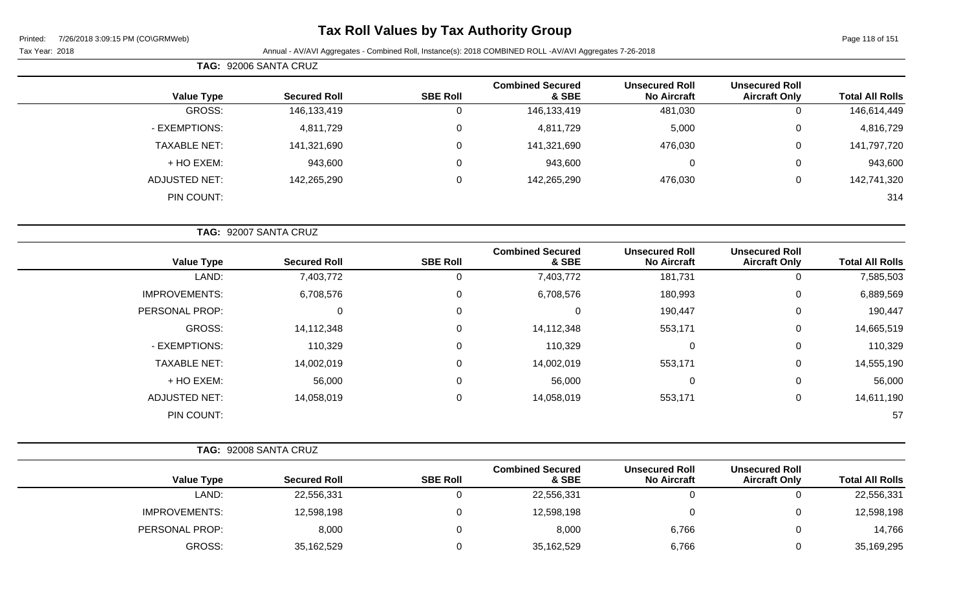## **Tax Roll Values by Tax Authority Group**

### Tax Year: 2018 **Annual - AV/AVI Aggregates - Combined Roll**, Instance(s): 2018 COMBINED ROLL -AV/AVI Aggregates 7-26-2018

|                        |                                               |                                             |                                  |                  | TAG: 92006 SANTA CRUZ |                      |
|------------------------|-----------------------------------------------|---------------------------------------------|----------------------------------|------------------|-----------------------|----------------------|
| <b>Total All Rolls</b> | <b>Unsecured Roll</b><br><b>Aircraft Only</b> | <b>Unsecured Roll</b><br><b>No Aircraft</b> | <b>Combined Secured</b><br>& SBE | <b>SBE Roll</b>  | <b>Secured Roll</b>   | <b>Value Type</b>    |
| 146,614,449            | 0                                             | 481,030                                     | 146,133,419                      | $\mathbf 0$      | 146, 133, 419         | GROSS:               |
| 4,816,729              | 0                                             | 5,000                                       | 4,811,729                        | $\boldsymbol{0}$ | 4,811,729             | - EXEMPTIONS:        |
| 141,797,720            | 0                                             | 476,030                                     | 141,321,690                      | $\mathsf 0$      | 141,321,690           | <b>TAXABLE NET:</b>  |
| 943,600                | 0                                             | 0                                           | 943,600                          | $\mathbf 0$      | 943,600               | + HO EXEM:           |
| 142,741,320            | 0                                             | 476,030                                     | 142,265,290                      | $\mathsf 0$      | 142,265,290           | <b>ADJUSTED NET:</b> |
| 314                    |                                               |                                             |                                  |                  |                       | PIN COUNT:           |
|                        |                                               |                                             |                                  |                  |                       |                      |
|                        |                                               |                                             |                                  |                  | TAG: 92007 SANTA CRUZ |                      |
| <b>Total All Rolls</b> | <b>Unsecured Roll</b><br><b>Aircraft Only</b> | <b>Unsecured Roll</b><br><b>No Aircraft</b> | <b>Combined Secured</b><br>& SBE | <b>SBE Roll</b>  | <b>Secured Roll</b>   | <b>Value Type</b>    |
| 7,585,503              | 0                                             | 181,731                                     | 7,403,772                        | $\mathsf 0$      | 7,403,772             | LAND:                |
| 6,889,569              | 0                                             | 180,993                                     | 6,708,576                        | $\mathbf 0$      | 6,708,576             | <b>IMPROVEMENTS:</b> |
|                        |                                               |                                             |                                  |                  |                       |                      |
| 190,447                | 0                                             | 190,447                                     | $\mathbf 0$                      | $\mathbf 0$      | 0                     | PERSONAL PROP:       |
| 14,665,519             | 0                                             | 553,171                                     | 14,112,348                       | $\pmb{0}$        | 14,112,348            | GROSS:               |
| 110,329                | 0                                             | $\pmb{0}$                                   | 110,329                          | $\mathbf 0$      | 110,329               | - EXEMPTIONS:        |
| 14,555,190             | 0                                             | 553,171                                     | 14,002,019                       | $\mathbf 0$      | 14,002,019            | <b>TAXABLE NET:</b>  |
| 56,000                 | 0                                             | $\mathbf 0$                                 | 56,000                           | $\mathsf 0$      | 56,000                | + HO EXEM:           |
| 14,611,190             | 0                                             | 553,171                                     | 14,058,019                       | $\boldsymbol{0}$ | 14,058,019            | <b>ADJUSTED NET:</b> |

| TAG: | 92008 SANTA CRUZ |
|------|------------------|
|      |                  |

|                      |                     |                 | <b>Combined Secured</b> | <b>Unsecured Roll</b> | <b>Unsecured Roll</b> |                        |
|----------------------|---------------------|-----------------|-------------------------|-----------------------|-----------------------|------------------------|
| <b>Value Type</b>    | <b>Secured Roll</b> | <b>SBE Roll</b> | & SBE                   | <b>No Aircraft</b>    | <b>Aircraft Only</b>  | <b>Total All Rolls</b> |
| LAND:                | 22,556,331          |                 | 22,556,331              |                       |                       | 22,556,331             |
| <b>IMPROVEMENTS:</b> | 12,598,198          |                 | 12,598,198              |                       |                       | 12,598,198             |
| PERSONAL PROP:       | 8,000               |                 | 8,000                   | 6,766                 |                       | 14,766                 |
| GROSS:               | 35,162,529          |                 | 35,162,529              | 6,766                 |                       | 35,169,295             |

PIN COUNT: 57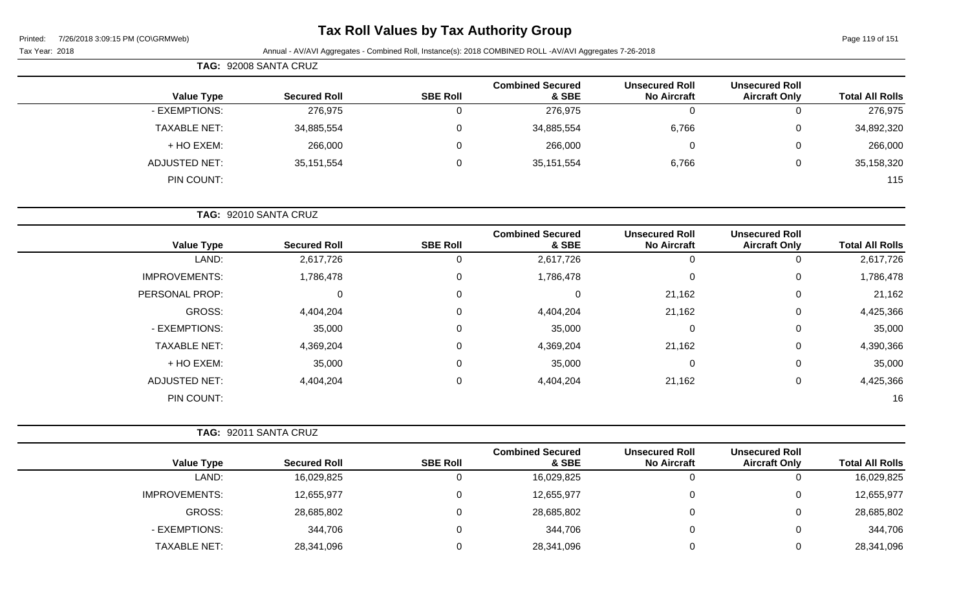| Printed: | 7/26/2018 3:09:15 PM (CO\GRMWeb) |  |
|----------|----------------------------------|--|
|          |                                  |  |

# **Tax Roll Values by Tax Authority Group**

Page 119 of 151

| Tax Year: 2018 |  |
|----------------|--|
|----------------|--|

| TAG: 92008 SANTA CRUZ |                     |                 |                                  |                                             |                                               |                        |
|-----------------------|---------------------|-----------------|----------------------------------|---------------------------------------------|-----------------------------------------------|------------------------|
| <b>Value Type</b>     | <b>Secured Roll</b> | <b>SBE Roll</b> | <b>Combined Secured</b><br>& SBE | <b>Unsecured Roll</b><br><b>No Aircraft</b> | <b>Unsecured Roll</b><br><b>Aircraft Only</b> | <b>Total All Rolls</b> |
| - EXEMPTIONS:         | 276,975             |                 | 276,975                          | 0                                           | 0                                             | 276,975                |
| <b>TAXABLE NET:</b>   | 34,885,554          |                 | 34,885,554                       | 6,766                                       | 0                                             | 34,892,320             |
| + HO EXEM:            | 266,000             |                 | 266,000                          | 0                                           | 0                                             | 266,000                |
| <b>ADJUSTED NET:</b>  | 35,151,554          |                 | 35, 151, 554                     | 6,766                                       | 0                                             | 35,158,320             |
| PIN COUNT:            |                     |                 |                                  |                                             |                                               | 115                    |

|                        |                                               |                                             |                                  |                 | TAG: 92010 SANTA CRUZ |                      |
|------------------------|-----------------------------------------------|---------------------------------------------|----------------------------------|-----------------|-----------------------|----------------------|
| <b>Total All Rolls</b> | <b>Unsecured Roll</b><br><b>Aircraft Only</b> | <b>Unsecured Roll</b><br><b>No Aircraft</b> | <b>Combined Secured</b><br>& SBE | <b>SBE Roll</b> | <b>Secured Roll</b>   | <b>Value Type</b>    |
| 2,617,726              | 0                                             | 0                                           | 2,617,726                        | U               | 2,617,726             | LAND:                |
| 1,786,478              | $\overline{0}$                                | 0                                           | 1,786,478                        | 0               | 1,786,478             | <b>IMPROVEMENTS:</b> |
| 21,162                 | 0                                             | 21,162                                      | 0                                | $\Omega$        |                       | PERSONAL PROP:       |
| 4,425,366              | $\mathbf 0$                                   | 21,162                                      | 4,404,204                        | $\Omega$        | 4,404,204             | GROSS:               |
| 35,000                 | $\mathbf{0}$                                  | $\overline{0}$                              | 35,000                           | $\Omega$        | 35,000                | - EXEMPTIONS:        |
| 4,390,366              | $\overline{0}$                                | 21,162                                      | 4,369,204                        | 0               | 4,369,204             | <b>TAXABLE NET:</b>  |
| 35,000                 | $\overline{0}$                                | 0                                           | 35,000                           | 0               | 35,000                | + HO EXEM:           |
| 4,425,366              | $\overline{0}$                                | 21,162                                      | 4,404,204                        | 0               | 4,404,204             | <b>ADJUSTED NET:</b> |
| 16                     |                                               |                                             |                                  |                 |                       | PIN COUNT:           |

|                      | TAG: 92011 SANTA CRUZ |                 |                                  |                                             |                                               |                        |
|----------------------|-----------------------|-----------------|----------------------------------|---------------------------------------------|-----------------------------------------------|------------------------|
| Value Type           | <b>Secured Roll</b>   | <b>SBE Roll</b> | <b>Combined Secured</b><br>& SBE | <b>Unsecured Roll</b><br><b>No Aircraft</b> | <b>Unsecured Roll</b><br><b>Aircraft Only</b> | <b>Total All Rolls</b> |
| LAND:                | 16,029,825            |                 | 16,029,825                       |                                             | U                                             | 16,029,825             |
| <b>IMPROVEMENTS:</b> | 12,655,977            |                 | 12,655,977                       |                                             | $\overline{0}$                                | 12,655,977             |
| GROSS:               | 28,685,802            |                 | 28,685,802                       |                                             | $\mathbf{0}$                                  | 28,685,802             |
| - EXEMPTIONS:        | 344,706               |                 | 344,706                          |                                             | $\mathbf{0}$                                  | 344,706                |
| <b>TAXABLE NET:</b>  | 28,341,096            |                 | 28,341,096                       |                                             | $\overline{0}$                                | 28,341,096             |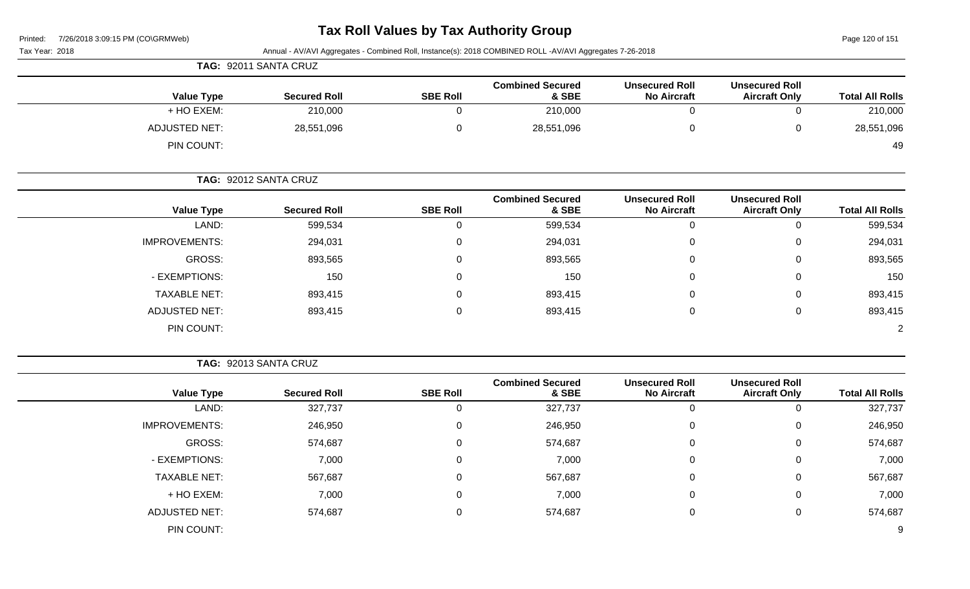# **Tax Roll Values by Tax Authority Group**

Page 120 of 151

| Tax Year: 2018 |                       | TAG: 92011 SANTA CRUZ |                 | Annual - AV/AVI Aggregates - Combined Roll, Instance(s): 2018 COMBINED ROLL -AV/AVI Aggregates 7-26-2018 |                                             |                                               |                        |
|----------------|-----------------------|-----------------------|-----------------|----------------------------------------------------------------------------------------------------------|---------------------------------------------|-----------------------------------------------|------------------------|
|                |                       |                       |                 | <b>Combined Secured</b>                                                                                  | <b>Unsecured Roll</b>                       | <b>Unsecured Roll</b>                         |                        |
|                | <b>Value Type</b>     | <b>Secured Roll</b>   | <b>SBE Roll</b> | & SBE                                                                                                    | <b>No Aircraft</b>                          | <b>Aircraft Only</b>                          | <b>Total All Rolls</b> |
|                | + HO EXEM:            | 210,000               | $\Omega$        | 210,000                                                                                                  | 0                                           | $\Omega$                                      | 210,000                |
|                | <b>ADJUSTED NET:</b>  | 28,551,096            | 0               | 28,551,096                                                                                               | $\pmb{0}$                                   | 0                                             | 28,551,096             |
|                | PIN COUNT:            |                       |                 |                                                                                                          |                                             |                                               | 49                     |
|                | TAG: 92012 SANTA CRUZ |                       |                 |                                                                                                          |                                             |                                               |                        |
|                | <b>Value Type</b>     | <b>Secured Roll</b>   | <b>SBE Roll</b> | <b>Combined Secured</b><br>& SBE                                                                         | <b>Unsecured Roll</b><br><b>No Aircraft</b> | <b>Unsecured Roll</b><br><b>Aircraft Only</b> | <b>Total All Rolls</b> |
|                | LAND:                 | 599,534               | 0               | 599,534                                                                                                  | $\boldsymbol{0}$                            | $\Omega$                                      | 599,534                |
|                | <b>IMPROVEMENTS:</b>  | 294,031               | 0               | 294,031                                                                                                  | 0                                           | 0                                             | 294,031                |
|                | GROSS:                | 893,565               | 0               | 893,565                                                                                                  | 0                                           | 0                                             | 893,565                |
|                | - EXEMPTIONS:         | 150                   | 0               | 150                                                                                                      | 0                                           | 0                                             | 150                    |
|                | <b>TAXABLE NET:</b>   | 893,415               | 0               | 893,415                                                                                                  | 0                                           | $\Omega$                                      | 893,415                |
|                | <b>ADJUSTED NET:</b>  | 893,415               | 0               | 893,415                                                                                                  | $\mathbf 0$                                 | 0                                             | 893,415                |
|                | PIN COUNT:            |                       |                 |                                                                                                          |                                             |                                               | $\overline{2}$         |
|                |                       |                       |                 |                                                                                                          |                                             |                                               |                        |
|                |                       | TAG: 92013 SANTA CRUZ |                 |                                                                                                          |                                             |                                               |                        |

|                      |                     |                 | <b>Combined Secured</b> | <b>Unsecured Roll</b> | <b>Unsecured Roll</b> |                        |
|----------------------|---------------------|-----------------|-------------------------|-----------------------|-----------------------|------------------------|
| <b>Value Type</b>    | <b>Secured Roll</b> | <b>SBE Roll</b> | & SBE                   | <b>No Aircraft</b>    | <b>Aircraft Only</b>  | <b>Total All Rolls</b> |
| LAND:                | 327,737             | υ               | 327,737                 | <u></u>               | 0                     | 327,737                |
| <b>IMPROVEMENTS:</b> | 246,950             | $\mathbf 0$     | 246,950                 | 0                     | $\mathbf 0$           | 246,950                |
| GROSS:               | 574,687             | $\mathbf 0$     | 574,687                 | 0                     | 0                     | 574,687                |
| - EXEMPTIONS:        | 7,000               | $\mathbf 0$     | 7,000                   | $\Omega$              | 0                     | 7,000                  |
| <b>TAXABLE NET:</b>  | 567,687             | $\mathbf 0$     | 567,687                 | 0                     | $\mathbf 0$           | 567,687                |
| + HO EXEM:           | 7,000               | $\mathbf 0$     | 7,000                   | 0                     | 0                     | 7,000                  |
| <b>ADJUSTED NET:</b> | 574,687             | 0               | 574,687                 | 0                     | $\mathbf{0}$          | 574,687                |
| PIN COUNT:           |                     |                 |                         |                       |                       | 9                      |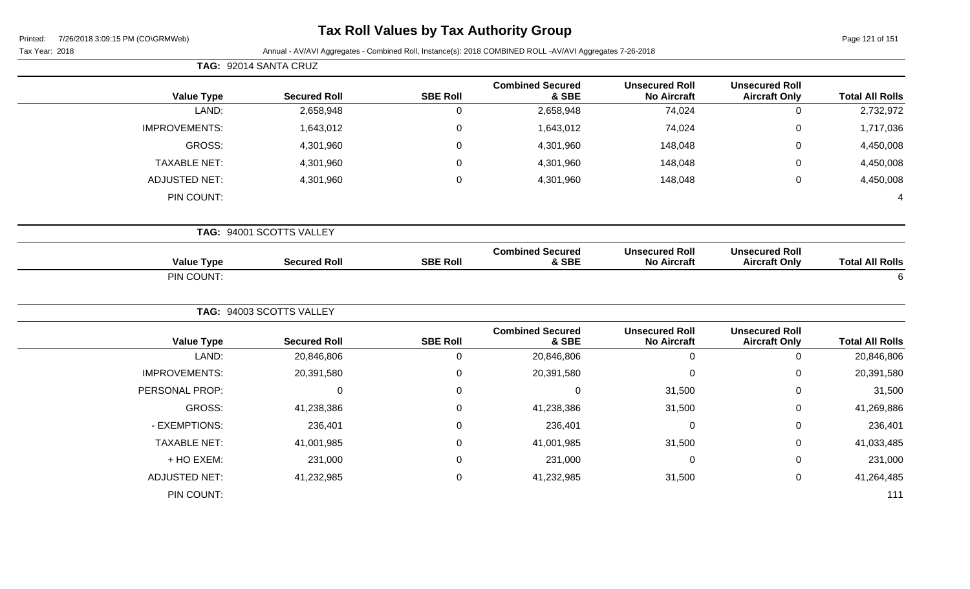## **Tax Roll Values by Tax Authority Group**

Page 121 of 151

|                      | TAG: 92014 SANTA CRUZ    |                 |                                  |                                             |                                               |                        |
|----------------------|--------------------------|-----------------|----------------------------------|---------------------------------------------|-----------------------------------------------|------------------------|
| <b>Value Type</b>    | <b>Secured Roll</b>      | <b>SBE Roll</b> | <b>Combined Secured</b><br>& SBE | <b>Unsecured Roll</b><br><b>No Aircraft</b> | <b>Unsecured Roll</b><br><b>Aircraft Only</b> | <b>Total All Rolls</b> |
| LAND:                | 2,658,948                | 0               | 2,658,948                        | 74,024                                      | $\mathsf{O}\xspace$                           | 2,732,972              |
| <b>IMPROVEMENTS:</b> | 1,643,012                | 0               | 1,643,012                        | 74,024                                      | $\pmb{0}$                                     | 1,717,036              |
| GROSS:               | 4,301,960                | 0               | 4,301,960                        | 148,048                                     | $\mathbf 0$                                   | 4,450,008              |
| <b>TAXABLE NET:</b>  | 4,301,960                | 0               | 4,301,960                        | 148,048                                     | $\mathbf 0$                                   | 4,450,008              |
| <b>ADJUSTED NET:</b> | 4,301,960                | 0               | 4,301,960                        | 148,048                                     | $\pmb{0}$                                     | 4,450,008              |
| PIN COUNT:           |                          |                 |                                  |                                             |                                               | 4                      |
|                      | TAG: 94001 SCOTTS VALLEY |                 |                                  |                                             |                                               |                        |
| <b>Value Type</b>    | <b>Secured Roll</b>      | <b>SBE Roll</b> | <b>Combined Secured</b><br>& SBE | <b>Unsecured Roll</b><br><b>No Aircraft</b> | <b>Unsecured Roll</b><br><b>Aircraft Only</b> | <b>Total All Rolls</b> |
| PIN COUNT:           |                          |                 |                                  |                                             |                                               | $6\phantom{1}6$        |
|                      | TAG: 94003 SCOTTS VALLEY |                 |                                  |                                             |                                               |                        |
| <b>Value Type</b>    | <b>Secured Roll</b>      | <b>SBE Roll</b> | <b>Combined Secured</b><br>& SBE | <b>Unsecured Roll</b><br><b>No Aircraft</b> | <b>Unsecured Roll</b><br><b>Aircraft Only</b> | <b>Total All Rolls</b> |
| LAND:                | 20,846,806               | 0               | 20,846,806                       | $\mathbf 0$                                 | $\mathsf{O}\xspace$                           | 20,846,806             |
| <b>IMPROVEMENTS:</b> | 20,391,580               | 0               | 20,391,580                       | $\mathbf 0$                                 | $\mathbf 0$                                   | 20,391,580             |
| PERSONAL PROP:       | $\mathbf 0$              | 0               | $\pmb{0}$                        | 31,500                                      | $\mathbf 0$                                   | 31,500                 |
| GROSS:               | 41,238,386               | 0               | 41,238,386                       | 31,500                                      | $\mathbf 0$                                   | 41,269,886             |
| - EXEMPTIONS:        | 236,401                  | 0               | 236,401                          | 0                                           | $\pmb{0}$                                     | 236,401                |
| <b>TAXABLE NET:</b>  | 41,001,985               | 0               | 41,001,985                       | 31,500                                      | $\mathbf 0$                                   | 41,033,485             |
| + HO EXEM:           | 231,000                  | 0               | 231,000                          | 0                                           | $\mathbf 0$                                   | 231,000                |
| <b>ADJUSTED NET:</b> | 41,232,985               | 0               | 41,232,985                       | 31,500                                      | $\mathsf{O}\xspace$                           | 41,264,485             |
| PIN COUNT:           |                          |                 |                                  |                                             |                                               | 111                    |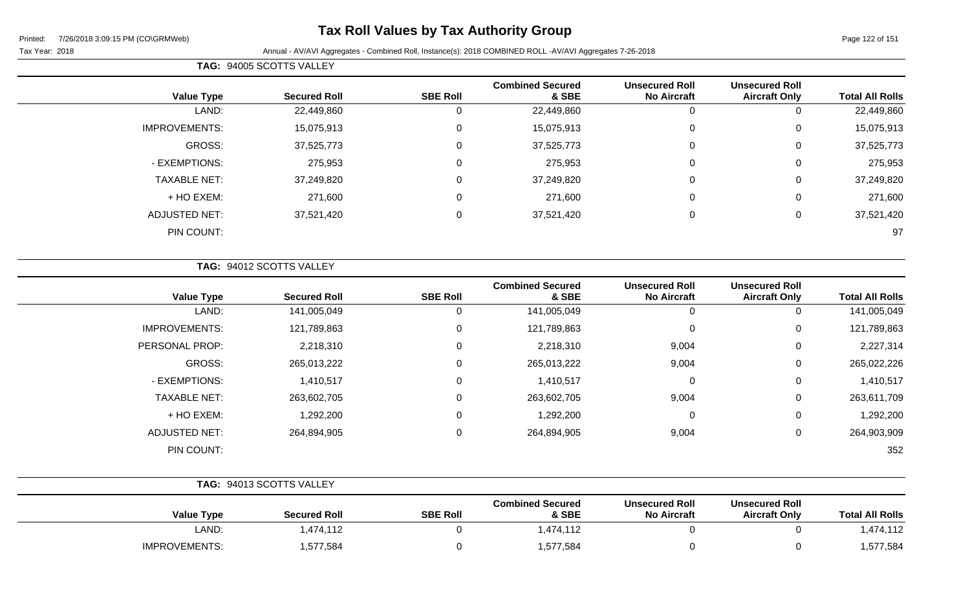## **Tax Roll Values by Tax Authority Group**

### Tax Year: 2018 **Annual - AV/AVI Aggregates - Combined Roll**, Instance(s): 2018 COMBINED ROLL -AV/AVI Aggregates 7-26-2018

| <b>Value Type</b>    | <b>Secured Roll</b> | <b>SBE Roll</b> | <b>Combined Secured</b><br>& SBE | <b>Unsecured Roll</b><br><b>No Aircraft</b> | <b>Unsecured Roll</b><br><b>Aircraft Only</b> | <b>Total All Rolls</b> |
|----------------------|---------------------|-----------------|----------------------------------|---------------------------------------------|-----------------------------------------------|------------------------|
| LAND:                | 22,449,860          |                 | 22,449,860                       |                                             | U                                             | 22,449,860             |
| <b>IMPROVEMENTS:</b> | 15,075,913          | υ               | 15,075,913                       | 0                                           | 0                                             | 15,075,913             |
| GROSS:               | 37,525,773          |                 | 37,525,773                       | 0                                           | 0                                             | 37,525,773             |
| - EXEMPTIONS:        | 275,953             | $\Omega$        | 275,953                          | 0                                           | 0                                             | 275,953                |
| <b>TAXABLE NET:</b>  | 37,249,820          |                 | 37,249,820                       | 0                                           | 0                                             | 37,249,820             |
| + HO EXEM:           | 271,600             | 0               | 271,600                          | $\mathbf 0$                                 | 0                                             | 271,600                |
| <b>ADJUSTED NET:</b> | 37,521,420          | $\Omega$        | 37,521,420                       | $\mathbf 0$                                 | 0                                             | 37,521,420             |
| PIN COUNT:           |                     |                 |                                  |                                             |                                               | 97                     |

| <b>TAG: 94012 SCOTTS VALLEY</b> |  |
|---------------------------------|--|
|                                 |  |

**TAG:** 94005 SCOTTS VALLEY

| <b>Value Type</b>    | <b>Secured Roll</b> | <b>SBE Roll</b> | <b>Combined Secured</b><br>& SBE | <b>Unsecured Roll</b><br><b>No Aircraft</b> | <b>Unsecured Roll</b><br><b>Aircraft Only</b> | <b>Total All Rolls</b> |
|----------------------|---------------------|-----------------|----------------------------------|---------------------------------------------|-----------------------------------------------|------------------------|
| LAND:                | 141,005,049         | 0               | 141,005,049                      | 0                                           | 0                                             | 141,005,049            |
| <b>IMPROVEMENTS:</b> | 121,789,863         | 0               | 121,789,863                      | 0                                           | 0                                             | 121,789,863            |
| PERSONAL PROP:       | 2,218,310           | 0               | 2,218,310                        | 9,004                                       | 0                                             | 2,227,314              |
| GROSS:               | 265,013,222         | 0               | 265,013,222                      | 9,004                                       | 0                                             | 265,022,226            |
| - EXEMPTIONS:        | 1,410,517           | 0               | 1,410,517                        | 0                                           | 0                                             | 1,410,517              |
| <b>TAXABLE NET:</b>  | 263,602,705         | 0               | 263,602,705                      | 9,004                                       | 0                                             | 263,611,709            |
| + HO EXEM:           | 1,292,200           | 0               | 1,292,200                        | 0                                           | 0                                             | 1,292,200              |
| <b>ADJUSTED NET:</b> | 264,894,905         | 0               | 264,894,905                      | 9,004                                       | 0                                             | 264,903,909            |
| PIN COUNT:           |                     |                 |                                  |                                             |                                               | 352                    |

|                      | TAG: 94013 SCOTTS VALLEY |                 |                                  |                                             |                                               |                        |
|----------------------|--------------------------|-----------------|----------------------------------|---------------------------------------------|-----------------------------------------------|------------------------|
| <b>Value Type</b>    | <b>Secured Roll</b>      | <b>SBE Roll</b> | <b>Combined Secured</b><br>& SBE | <b>Unsecured Roll</b><br><b>No Aircraft</b> | <b>Unsecured Roll</b><br><b>Aircraft Only</b> | <b>Total All Rolls</b> |
| LAND:                | 1,474,112                |                 | 1,474,112                        |                                             |                                               | 1,474,112              |
| <b>IMPROVEMENTS:</b> | 1,577,584                |                 | 1,577,584                        |                                             |                                               | 1,577,584              |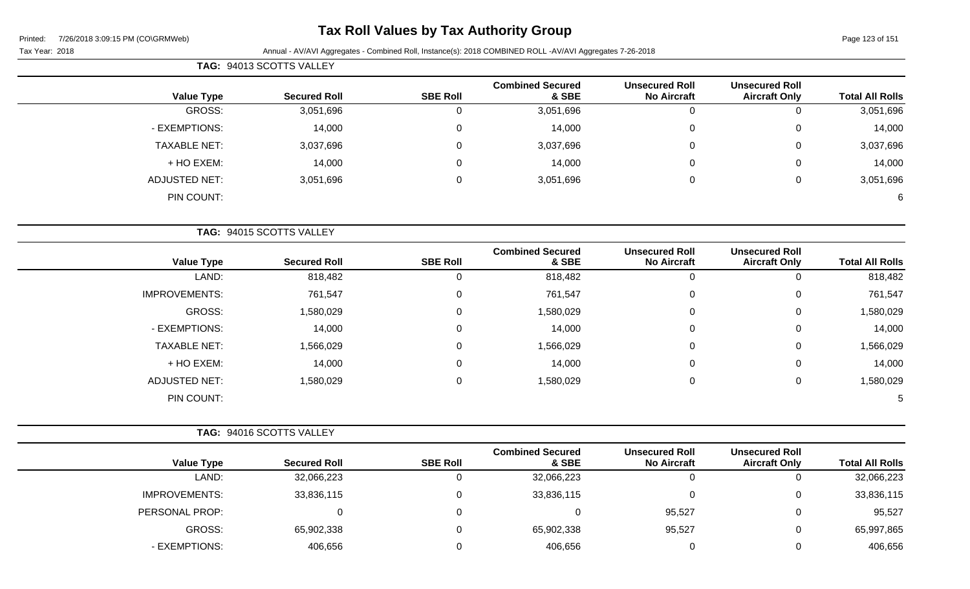## **Tax Roll Values by Tax Authority Group**

|                        |                                               |                                             |                                  |                 | TAG: 94013 SCOTTS VALLEY |                      |
|------------------------|-----------------------------------------------|---------------------------------------------|----------------------------------|-----------------|--------------------------|----------------------|
| <b>Total All Rolls</b> | <b>Unsecured Roll</b><br><b>Aircraft Only</b> | <b>Unsecured Roll</b><br><b>No Aircraft</b> | <b>Combined Secured</b><br>& SBE | <b>SBE Roll</b> | <b>Secured Roll</b>      | <b>Value Type</b>    |
| 3,051,696              | 0                                             | 0                                           | 3,051,696                        | 0               | 3,051,696                | GROSS:               |
| 14,000                 | 0                                             | 0                                           | 14,000                           | 0               | 14,000                   | - EXEMPTIONS:        |
| 3,037,696              | 0                                             | $\mathbf 0$                                 | 3,037,696                        | $\mathbf 0$     | 3,037,696                | <b>TAXABLE NET:</b>  |
| 14,000                 | 0                                             | $\mathbf 0$                                 | 14,000                           | 0               | 14,000                   | + HO EXEM:           |
| 3,051,696              | 0                                             | $\mathbf 0$                                 | 3,051,696                        | $\mathbf 0$     | 3,051,696                | <b>ADJUSTED NET:</b> |
| 6                      |                                               |                                             |                                  |                 |                          | PIN COUNT:           |
|                        |                                               |                                             |                                  |                 | TAG: 94015 SCOTTS VALLEY |                      |
| <b>Total All Rolls</b> | <b>Unsecured Roll</b><br><b>Aircraft Only</b> | <b>Unsecured Roll</b><br><b>No Aircraft</b> | <b>Combined Secured</b><br>& SBE | <b>SBE Roll</b> | <b>Secured Roll</b>      | <b>Value Type</b>    |
| 818,482                | 0                                             | $\Omega$                                    | 818,482                          | $\Omega$        | 818,482                  | LAND:                |
| 761,547                | 0                                             | $\mathbf 0$                                 | 761,547                          | 0               | 761,547                  | <b>IMPROVEMENTS:</b> |
| 1.500.000              | $\sim$                                        | $\sim$                                      | 1.500.000                        | $\sim$          | 1.500.000                | CDOCC                |

| - - - -         |   |   | - - - - - |   | - - - -   |                      |
|-----------------|---|---|-----------|---|-----------|----------------------|
| 761,547         | 0 | 0 | 761,547   | υ | 761,547   | <b>IMPROVEMENTS:</b> |
| 1,580,029       | 0 | 0 | 1,580,029 | 0 | 1,580,029 | GROSS:               |
| 14,000          | 0 | 0 | 14,000    | 0 | 14,000    | - EXEMPTIONS:        |
| 1,566,029       | 0 | 0 | 1,566,029 | 0 | 1,566,029 | <b>TAXABLE NET:</b>  |
| 14,000          | 0 | 0 | 14,000    | 0 | 14,000    | + HO EXEM:           |
| 1,580,029       | 0 | 0 | 1,580,029 | 0 | 1,580,029 | ADJUSTED NET:        |
| $5\overline{)}$ |   |   |           |   |           | PIN COUNT:           |
|                 |   |   |           |   |           |                      |

|                      | <b>TAG: 94016 SCOTTS VALLEY</b> |                 |                                  |                                             |                                               |                        |
|----------------------|---------------------------------|-----------------|----------------------------------|---------------------------------------------|-----------------------------------------------|------------------------|
| <b>Value Type</b>    | <b>Secured Roll</b>             | <b>SBE Roll</b> | <b>Combined Secured</b><br>& SBE | <b>Unsecured Roll</b><br><b>No Aircraft</b> | <b>Unsecured Roll</b><br><b>Aircraft Only</b> | <b>Total All Rolls</b> |
| LAND:                | 32,066,223                      |                 | 32,066,223                       | υ                                           | 0                                             | 32,066,223             |
| <b>IMPROVEMENTS:</b> | 33,836,115                      | 0               | 33,836,115                       |                                             | 0                                             | 33,836,115             |
| PERSONAL PROP:       |                                 | $\Omega$        |                                  | 95,527                                      | 0                                             | 95,527                 |
| GROSS:               | 65,902,338                      | 0               | 65,902,338                       | 95,527                                      | 0                                             | 65,997,865             |
| - EXEMPTIONS:        | 406,656                         | O               | 406,656                          |                                             | 0                                             | 406,656                |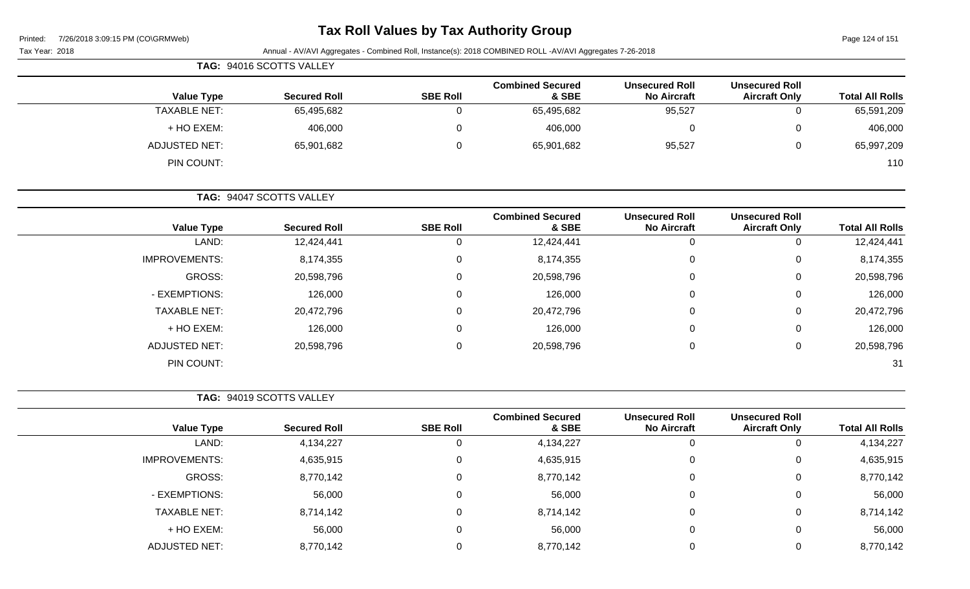| Printed: | 7/26/2018 3:09:15 PM (CO\GRMWeb) |  |
|----------|----------------------------------|--|
|          |                                  |  |

# **Tax Roll Values by Tax Authority Group**

Page 124 of 151

|                        |                                               |                                             | Annual - AV/AVI Aggregates - Combined Roll, Instance(s): 2018 COMBINED ROLL -AV/AVI Aggregates 7-26-2018 |                 |                          | Tax Year: 2018       |
|------------------------|-----------------------------------------------|---------------------------------------------|----------------------------------------------------------------------------------------------------------|-----------------|--------------------------|----------------------|
|                        |                                               |                                             |                                                                                                          |                 | TAG: 94016 SCOTTS VALLEY |                      |
| <b>Total All Rolls</b> | <b>Unsecured Roll</b><br><b>Aircraft Only</b> | <b>Unsecured Roll</b><br><b>No Aircraft</b> | <b>Combined Secured</b><br>& SBE                                                                         | <b>SBE Roll</b> | <b>Secured Roll</b>      | <b>Value Type</b>    |
| 65,591,209             | 0                                             | 95,527                                      | 65,495,682                                                                                               | $\mathbf 0$     | 65,495,682               | <b>TAXABLE NET:</b>  |
| 406,000                | 0                                             | 0                                           | 406,000                                                                                                  | 0               | 406,000                  | + HO EXEM:           |
| 65,997,209             | 0                                             | 95,527                                      | 65,901,682                                                                                               | $\mathbf 0$     | 65,901,682               | <b>ADJUSTED NET:</b> |
| 110                    |                                               |                                             |                                                                                                          |                 |                          | PIN COUNT:           |
|                        |                                               |                                             |                                                                                                          |                 | TAG: 94047 SCOTTS VALLEY |                      |
| <b>Total All Rolls</b> | <b>Unsecured Roll</b><br><b>Aircraft Only</b> | <b>Unsecured Roll</b><br><b>No Aircraft</b> | <b>Combined Secured</b><br>& SBE                                                                         | <b>SBE Roll</b> | <b>Secured Roll</b>      | <b>Value Type</b>    |
| 12,424,441             | $\mathbf 0$                                   | $\mathbf 0$                                 | 12,424,441                                                                                               | 0               | 12,424,441               | LAND:                |
| 8,174,355              | 0                                             | 0                                           | 8,174,355                                                                                                | 0               | 8,174,355                | <b>IMPROVEMENTS:</b> |
| 20,598,796             | 0                                             | 0                                           | 20,598,796                                                                                               | 0               | 20,598,796               | <b>GROSS:</b>        |
| 126,000                | 0                                             | 0                                           | 126,000                                                                                                  | 0               | 126,000                  | - EXEMPTIONS:        |
| 20,472,796             | 0                                             | 0                                           | 20,472,796                                                                                               | 0               | 20,472,796               | <b>TAXABLE NET:</b>  |
| 126,000                | 0                                             | 0                                           | 126,000                                                                                                  | 0               | 126,000                  | + HO EXEM:           |
| 20,598,796             | 0                                             | 0                                           | 20,598,796                                                                                               | $\mathbf 0$     | 20,598,796               | <b>ADJUSTED NET:</b> |
| 31                     |                                               |                                             |                                                                                                          |                 |                          | PIN COUNT:           |
|                        |                                               |                                             |                                                                                                          |                 | TAG: 94019 SCOTTS VALLEY |                      |
| <b>Total All Rolls</b> | <b>Unsecured Roll</b><br><b>Aircraft Only</b> | <b>Unsecured Roll</b><br><b>No Aircraft</b> | <b>Combined Secured</b><br>& SBE                                                                         | <b>SBE Roll</b> | <b>Secured Roll</b>      | <b>Value Type</b>    |
| 4,134,227              | 0                                             | 0                                           | 4,134,227                                                                                                | $\mathbf 0$     | 4,134,227                | LAND:                |
| 4,635,915              | 0                                             | 0                                           | 4,635,915                                                                                                | 0               | 4,635,915                | <b>IMPROVEMENTS:</b> |
| 8,770,142              | 0                                             | 0                                           | 8,770,142                                                                                                | 0               | 8,770,142                | <b>GROSS:</b>        |
| 56,000                 | 0                                             | 0                                           | 56,000                                                                                                   | 0               | 56,000                   | - EXEMPTIONS:        |
| 8,714,142              | 0                                             | 0                                           | 8,714,142                                                                                                | 0               | 8,714,142                | <b>TAXABLE NET:</b>  |
| 56,000                 | 0                                             | 0                                           | 56,000                                                                                                   | 0               | 56,000                   | + HO EXEM:           |
| 8,770,142              | 0                                             | 0                                           | 8,770,142                                                                                                | 0               | 8,770,142                | <b>ADJUSTED NET:</b> |
|                        |                                               |                                             |                                                                                                          |                 |                          |                      |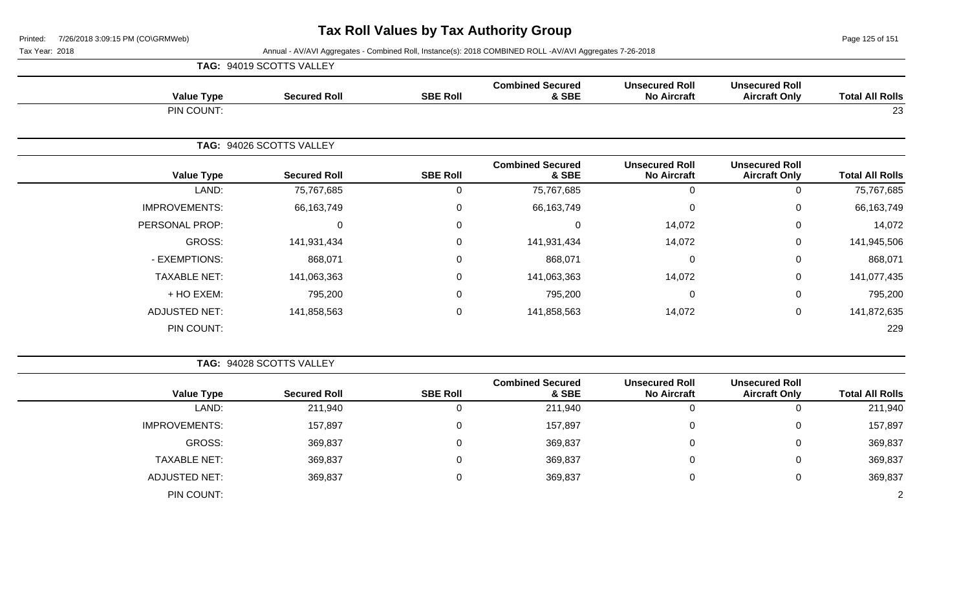Page 125 of 151

|                      | TAG: 94019 SCOTTS VALLEY |                 |                                  |                                             |                                               |                        |
|----------------------|--------------------------|-----------------|----------------------------------|---------------------------------------------|-----------------------------------------------|------------------------|
| <b>Value Type</b>    | <b>Secured Roll</b>      | <b>SBE Roll</b> | <b>Combined Secured</b><br>& SBE | <b>Unsecured Roll</b><br><b>No Aircraft</b> | <b>Unsecured Roll</b><br><b>Aircraft Only</b> | <b>Total All Rolls</b> |
| PIN COUNT:           |                          |                 |                                  |                                             |                                               | 23                     |
|                      | TAG: 94026 SCOTTS VALLEY |                 |                                  |                                             |                                               |                        |
| <b>Value Type</b>    | <b>Secured Roll</b>      | <b>SBE Roll</b> | <b>Combined Secured</b><br>& SBE | <b>Unsecured Roll</b><br><b>No Aircraft</b> | <b>Unsecured Roll</b><br><b>Aircraft Only</b> | <b>Total All Rolls</b> |
| LAND:                | 75,767,685               | 0               | 75,767,685                       | 0                                           | $\Omega$                                      | 75,767,685             |
| <b>IMPROVEMENTS:</b> | 66, 163, 749             | 0               | 66,163,749                       | 0                                           | 0                                             | 66,163,749             |
| PERSONAL PROP:       | $\Omega$                 | 0               | $\Omega$                         | 14,072                                      | $\mathbf 0$                                   | 14,072                 |
| GROSS:               | 141,931,434              | 0               | 141,931,434                      | 14,072                                      | 0                                             | 141,945,506            |
| - EXEMPTIONS:        | 868,071                  | 0               | 868,071                          | $\mathbf{0}$                                | 0                                             | 868,071                |
| <b>TAXABLE NET:</b>  | 141,063,363              | 0               | 141,063,363                      | 14,072                                      | 0                                             | 141,077,435            |
| + HO EXEM:           | 795,200                  | 0               | 795,200                          | 0                                           | 0                                             | 795,200                |
| <b>ADJUSTED NET:</b> | 141,858,563              | 0               | 141,858,563                      | 14,072                                      | 0                                             | 141,872,635            |
| PIN COUNT:           |                          |                 |                                  |                                             |                                               | 229                    |

|                      | TAG: 94028 SCOTTS VALLEY |                 |                                  |                                             |                                               |                        |
|----------------------|--------------------------|-----------------|----------------------------------|---------------------------------------------|-----------------------------------------------|------------------------|
| <b>Value Type</b>    | <b>Secured Roll</b>      | <b>SBE Roll</b> | <b>Combined Secured</b><br>& SBE | <b>Unsecured Roll</b><br><b>No Aircraft</b> | <b>Unsecured Roll</b><br><b>Aircraft Only</b> | <b>Total All Rolls</b> |
| LAND:                | 211,940                  | 0               | 211,940                          | 0                                           | 0                                             | 211,940                |
| <b>IMPROVEMENTS:</b> | 157,897                  | 0               | 157,897                          | 0                                           | 0                                             | 157,897                |
| GROSS:               | 369,837                  | $\Omega$        | 369,837                          | 0                                           | 0                                             | 369,837                |
| <b>TAXABLE NET:</b>  | 369,837                  | 0               | 369,837                          | 0                                           | 0                                             | 369,837                |
| <b>ADJUSTED NET:</b> | 369,837                  | $\overline{0}$  | 369,837                          | $\mathbf 0$                                 | 0                                             | 369,837                |
| PIN COUNT:           |                          |                 |                                  |                                             |                                               | 2                      |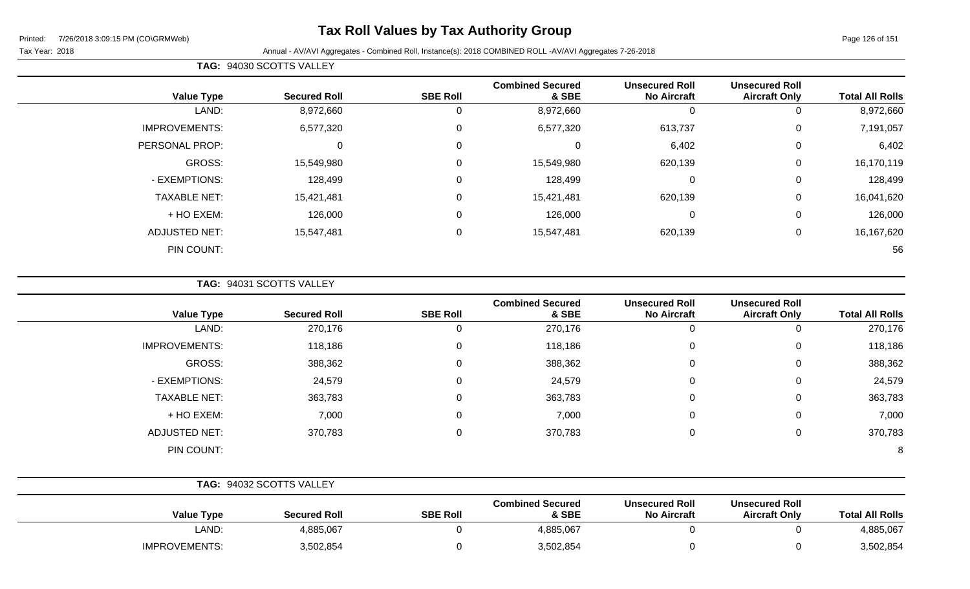## **Tax Roll Values by Tax Authority Group**

Tax Year: 2018 Annual - AV/AVI Aggregates - Combined Roll, Instance(s): 2018 COMBINED ROLL -AV/AVI Aggregates 7-26-2018

| <b>Total All Rolls</b> | <b>Unsecured Roll</b><br><b>Aircraft Only</b> | <b>Unsecured Roll</b><br><b>No Aircraft</b> | <b>Combined Secured</b><br>& SBE | <b>SBE Roll</b> | <b>Secured Roll</b> | <b>Value Type</b>    |
|------------------------|-----------------------------------------------|---------------------------------------------|----------------------------------|-----------------|---------------------|----------------------|
| 8,972,660              | 0                                             | 0                                           | 8,972,660                        | 0               | 8,972,660           | LAND:                |
| 7,191,057              | 0                                             | 613,737                                     | 6,577,320                        | $\mathbf 0$     | 6,577,320           | <b>IMPROVEMENTS:</b> |
| 6,402                  | 0                                             | 6,402                                       | 0                                | $\mathbf 0$     | 0                   | PERSONAL PROP:       |
| 16,170,119             | 0                                             | 620,139                                     | 15,549,980                       | $\mathbf 0$     | 15,549,980          | GROSS:               |
| 128,499                | 0                                             | $\mathbf 0$                                 | 128,499                          | 0               | 128,499             | - EXEMPTIONS:        |
| 16,041,620             | 0                                             | 620,139                                     | 15,421,481                       | $\mathbf 0$     | 15,421,481          | <b>TAXABLE NET:</b>  |
| 126,000                | 0                                             | $\mathbf 0$                                 | 126,000                          | 0               | 126,000             | + HO EXEM:           |
| 16,167,620             | 0                                             | 620,139                                     | 15,547,481                       | $\mathbf 0$     | 15,547,481          | <b>ADJUSTED NET:</b> |
| 56                     |                                               |                                             |                                  |                 |                     | PIN COUNT:           |

**TAG:** 94031 SCOTTS VALLEY

**TAG:** 94030 SCOTTS VALLEY

| <b>Value Type</b>    | <b>Secured Roll</b> | <b>SBE Roll</b> | <b>Combined Secured</b><br>& SBE | <b>Unsecured Roll</b><br><b>No Aircraft</b> | <b>Unsecured Roll</b><br><b>Aircraft Only</b> | <b>Total All Rolls</b> |
|----------------------|---------------------|-----------------|----------------------------------|---------------------------------------------|-----------------------------------------------|------------------------|
| LAND:                | 270,176             | 0               | 270,176                          |                                             | 0                                             | 270,176                |
| <b>IMPROVEMENTS:</b> | 118,186             | 0               | 118,186                          | 0                                           | 0                                             | 118,186                |
| GROSS:               | 388,362             | 0               | 388,362                          | $\Omega$                                    | 0                                             | 388,362                |
| - EXEMPTIONS:        | 24,579              | 0               | 24,579                           | 0                                           | 0                                             | 24,579                 |
| <b>TAXABLE NET:</b>  | 363,783             | 0               | 363,783                          | 0                                           | 0                                             | 363,783                |
| + HO EXEM:           | 7,000               | 0               | 7,000                            | $\mathbf 0$                                 | 0                                             | 7,000                  |
| <b>ADJUSTED NET:</b> | 370,783             | 0               | 370,783                          | $\Omega$                                    | 0                                             | 370,783                |
| PIN COUNT:           |                     |                 |                                  |                                             |                                               | 8                      |

|                      | TAG: 94032 SCOTTS VALLEY |                 |                                  |                                             |                                               |                        |
|----------------------|--------------------------|-----------------|----------------------------------|---------------------------------------------|-----------------------------------------------|------------------------|
| <b>Value Type</b>    | <b>Secured Roll</b>      | <b>SBE Roll</b> | <b>Combined Secured</b><br>& SBE | <b>Unsecured Roll</b><br><b>No Aircraft</b> | <b>Unsecured Roll</b><br><b>Aircraft Only</b> | <b>Total All Rolls</b> |
| LAND:                | 4,885,067                |                 | 4,885,067                        |                                             |                                               | 4,885,067              |
| <b>IMPROVEMENTS:</b> | 3,502,854                |                 | 3,502,854                        |                                             |                                               | 3,502,854              |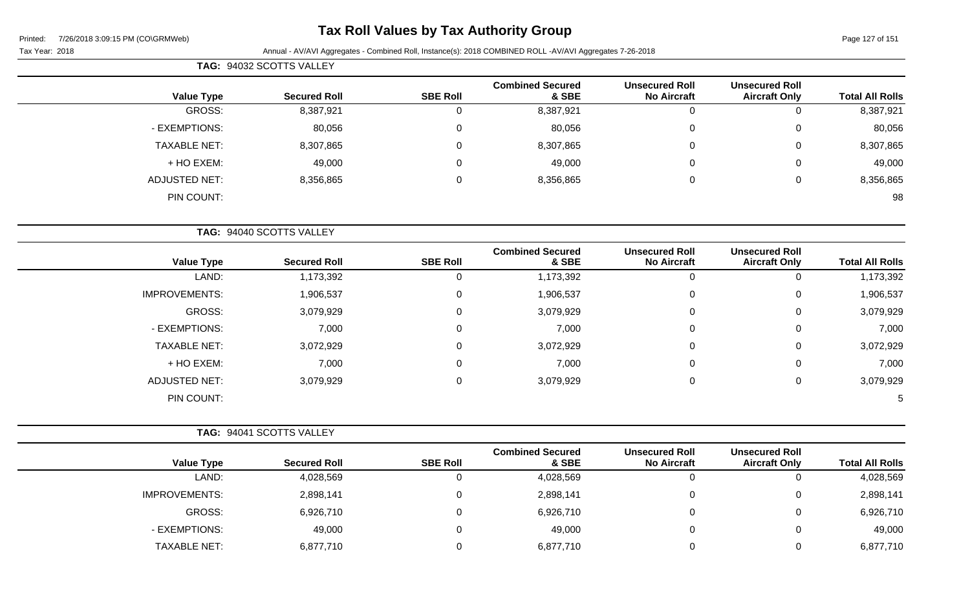## **Tax Roll Values by Tax Authority Group**

Tax Year: 2018 Annual - AV/AVI Aggregates - Combined Roll, Instance(s): 2018 COMBINED ROLL -AV/AVI Aggregates 7-26-2018

| <b>Total All Rolls</b> | <b>UIISCUUL CU INUIL</b><br><b>Aircraft Only</b> | UIISCUUI CU IVUII<br><b>No Aircraft</b>     | <b>OUTIDITIED OCCULED</b><br>& SBE | <b>SBE Roll</b> | <b>Secured Roll</b>      | <b>Value Type</b>    |
|------------------------|--------------------------------------------------|---------------------------------------------|------------------------------------|-----------------|--------------------------|----------------------|
| 8,387,921              | 0                                                | $\mathbf 0$                                 | 8,387,921                          | 0               | 8,387,921                | GROSS:               |
| 80,056                 | 0                                                | 0                                           | 80,056                             | 0               | 80,056                   | - EXEMPTIONS:        |
| 8,307,865              | 0                                                | $\Omega$                                    | 8,307,865                          |                 | 8,307,865                | <b>TAXABLE NET:</b>  |
| 49,000                 | $\Omega$                                         | $\Omega$                                    | 49,000                             | 0               | 49,000                   | + HO EXEM:           |
| 8,356,865              | $\mathbf 0$                                      | $\mathbf 0$                                 | 8,356,865                          | 0               | 8,356,865                | <b>ADJUSTED NET:</b> |
| 98                     |                                                  |                                             |                                    |                 |                          | PIN COUNT:           |
|                        |                                                  |                                             |                                    |                 | TAG: 94040 SCOTTS VALLEY |                      |
| <b>Total All Rolls</b> | <b>Unsecured Roll</b><br><b>Aircraft Only</b>    | <b>Unsecured Roll</b><br><b>No Aircraft</b> | <b>Combined Secured</b><br>& SBE   | <b>SBE Roll</b> | <b>Secured Roll</b>      | <b>Value Type</b>    |
| 1,173,392              | 0                                                | 0                                           | 1,173,392                          | 0               | 1,173,392                | LAND:                |
| 1,906,537              | 0                                                | 0                                           | 1,906,537                          | 0               | 1,906,537                | <b>IMPROVEMENTS:</b> |
| 3,079,929              | $\Omega$                                         | $\Omega$                                    | 3,079,929                          | 0               | 3,079,929                | GROSS:               |
| 7,000                  | 0                                                | $\Omega$                                    | 7,000                              | 0               | 7,000                    | - EXEMPTIONS:        |
| 3,072,929              | 0                                                | $\Omega$                                    | 3,072,929                          | 0               | 3,072,929                | <b>TAXABLE NET:</b>  |
| 7,000                  | $\Omega$                                         | $\Omega$                                    | 7,000                              | 0               | 7,000                    | + HO EXEM:           |
| 3,079,929              | 0                                                | 0                                           | 3,079,929                          | 0               | 3,079,929                | <b>ADJUSTED NET:</b> |

PIN COUNT: 5

| TAG: 94041 SCOTTS VALLEY |                     |                 |                                  |                                             |                                               |                        |
|--------------------------|---------------------|-----------------|----------------------------------|---------------------------------------------|-----------------------------------------------|------------------------|
| <b>Value Type</b>        | <b>Secured Roll</b> | <b>SBE Roll</b> | <b>Combined Secured</b><br>& SBE | <b>Unsecured Roll</b><br><b>No Aircraft</b> | <b>Unsecured Roll</b><br><b>Aircraft Only</b> | <b>Total All Rolls</b> |
| LAND:                    | 4,028,569           |                 | 4,028,569                        |                                             | 0                                             | 4,028,569              |
| <b>IMPROVEMENTS:</b>     | 2,898,141           |                 | 2,898,141                        |                                             | 0                                             | 2,898,141              |
| GROSS:                   | 6,926,710           |                 | 6,926,710                        |                                             | 0                                             | 6,926,710              |
| - EXEMPTIONS:            | 49,000              |                 | 49,000                           |                                             | $\Omega$                                      | 49,000                 |
| TAXABLE NET:             | 6,877,710           |                 | 6,877,710                        |                                             | 0                                             | 6,877,710              |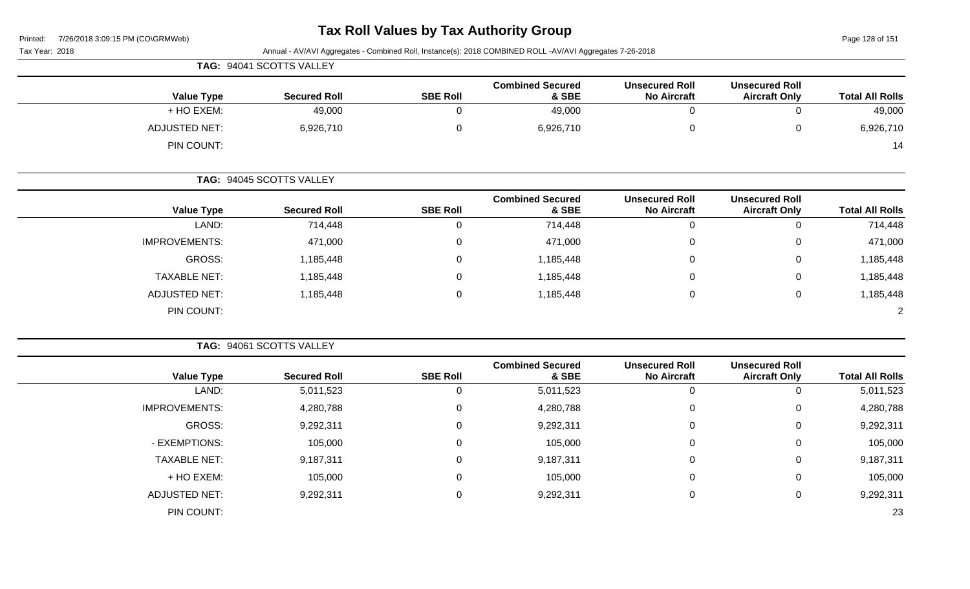| 7/26/2018 3:09:15 PM (CO\GRMWeb)<br>Printed: |                          |                 | <b>Tax Roll Values by Tax Authority Group</b>                                                            |                                             |                                               | Page 128 of 151        |
|----------------------------------------------|--------------------------|-----------------|----------------------------------------------------------------------------------------------------------|---------------------------------------------|-----------------------------------------------|------------------------|
| Tax Year: 2018                               |                          |                 | Annual - AV/AVI Aggregates - Combined Roll, Instance(s): 2018 COMBINED ROLL -AV/AVI Aggregates 7-26-2018 |                                             |                                               |                        |
|                                              | TAG: 94041 SCOTTS VALLEY |                 |                                                                                                          |                                             |                                               |                        |
| <b>Value Type</b>                            | <b>Secured Roll</b>      | <b>SBE Roll</b> | <b>Combined Secured</b><br>& SBE                                                                         | <b>Unsecured Roll</b><br><b>No Aircraft</b> | <b>Unsecured Roll</b><br><b>Aircraft Only</b> | <b>Total All Rolls</b> |
| + HO EXEM:                                   | 49,000                   | $\mathbf 0$     | 49,000                                                                                                   | $\mathbf 0$                                 | $\mathbf 0$                                   | 49,000                 |
| <b>ADJUSTED NET:</b>                         | 6,926,710                | $\pmb{0}$       | 6,926,710                                                                                                | $\pmb{0}$                                   | $\mathbf 0$                                   | 6,926,710              |
| PIN COUNT:                                   |                          |                 |                                                                                                          |                                             |                                               | 14                     |
|                                              | TAG: 94045 SCOTTS VALLEY |                 |                                                                                                          |                                             |                                               |                        |
| <b>Value Type</b>                            | <b>Secured Roll</b>      | <b>SBE Roll</b> | <b>Combined Secured</b><br>& SBE                                                                         | <b>Unsecured Roll</b><br><b>No Aircraft</b> | <b>Unsecured Roll</b><br><b>Aircraft Only</b> | <b>Total All Rolls</b> |
| LAND:                                        | 714,448                  | 0               | 714,448                                                                                                  | 0                                           | $\mathbf 0$                                   | 714,448                |
| <b>IMPROVEMENTS:</b>                         | 471,000                  | 0               | 471,000                                                                                                  | $\pmb{0}$                                   | $\Omega$                                      | 471,000                |
| <b>GROSS:</b>                                | 1,185,448                | 0               | 1,185,448                                                                                                | 0                                           | $\Omega$                                      | 1,185,448              |
| <b>TAXABLE NET:</b>                          | 1,185,448                | 0               | 1,185,448                                                                                                | 0                                           | $\Omega$                                      | 1,185,448              |
| <b>ADJUSTED NET:</b>                         | 1,185,448                | $\mathbf 0$     | 1,185,448                                                                                                | $\pmb{0}$                                   | $\mathbf 0$                                   | 1,185,448              |
| PIN COUNT:                                   |                          |                 |                                                                                                          |                                             |                                               | $\overline{2}$         |
|                                              | TAG: 94061 SCOTTS VALLEY |                 |                                                                                                          |                                             |                                               |                        |
| <b>Value Type</b>                            | <b>Secured Roll</b>      | <b>SBE Roll</b> | <b>Combined Secured</b><br>& SBE                                                                         | <b>Unsecured Roll</b><br><b>No Aircraft</b> | <b>Unsecured Roll</b><br><b>Aircraft Only</b> | <b>Total All Rolls</b> |
| LAND:                                        | 5,011,523                | 0               | 5,011,523                                                                                                | 0                                           | $\mathbf 0$                                   | 5,011,523              |
| <b>IMPROVEMENTS:</b>                         | 4,280,788                | $\pmb{0}$       | 4,280,788                                                                                                | $\pmb{0}$                                   | $\Omega$                                      | 4,280,788              |
| <b>GROSS:</b>                                | 9,292,311                | 0               | 9,292,311                                                                                                | 0                                           | $\Omega$                                      | 9,292,311              |
| - EXEMPTIONS:                                | 105,000                  | $\Omega$        | 105,000                                                                                                  | 0                                           | $\Omega$                                      | 105,000                |
| <b>TAXABLE NET:</b>                          | 9,187,311                | 0               | 9,187,311                                                                                                | 0                                           | $\Omega$                                      | 9,187,311              |
| + HO EXEM:                                   | 105,000                  | 0               | 105,000                                                                                                  | 0                                           | 0                                             | 105,000                |

ADJUSTED NET: 9,292,311 0 9,292,311 0 9,292,311

PIN COUNT: 23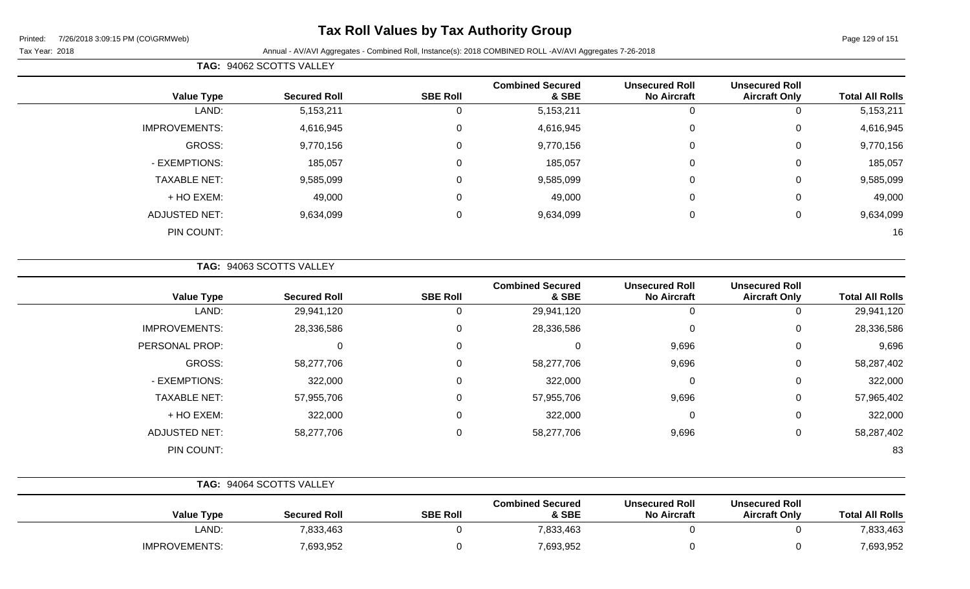## **Tax Roll Values by Tax Authority Group**

### Tax Year: 2018 **Annual - AV/AVI Aggregates - Combined Roll**, Instance(s): 2018 COMBINED ROLL -AV/AVI Aggregates 7-26-2018

| <b>TAG: 94062 SCOTTS VALLEY</b> |
|---------------------------------|

| <b>Total All Rolls</b> | <b>Unsecured Roll</b><br><b>Aircraft Only</b> | <b>Unsecured Roll</b><br><b>No Aircraft</b> | <b>Combined Secured</b><br>& SBE | <b>SBE Roll</b> | <b>Secured Roll</b> | <b>Value Type</b>    |
|------------------------|-----------------------------------------------|---------------------------------------------|----------------------------------|-----------------|---------------------|----------------------|
| 5, 153, 211            | 0                                             | 0                                           | 5,153,211                        | 0               | 5,153,211           | LAND:                |
| 4,616,945              | 0                                             | $\mathbf 0$                                 | 4,616,945                        | 0               | 4,616,945           | <b>IMPROVEMENTS:</b> |
| 9,770,156              | 0                                             | $\mathbf 0$                                 | 9,770,156                        | 0               | 9,770,156           | GROSS:               |
| 185,057                | 0                                             | $\mathbf 0$                                 | 185,057                          | 0               | 185,057             | - EXEMPTIONS:        |
| 9,585,099              | 0                                             | $\mathbf 0$                                 | 9,585,099                        | $\mathbf 0$     | 9,585,099           | <b>TAXABLE NET:</b>  |
| 49,000                 | 0                                             | $\mathbf 0$                                 | 49,000                           | $\mathbf 0$     | 49,000              | + HO EXEM:           |
| 9,634,099              | 0                                             | $\mathbf 0$                                 | 9,634,099                        | $\mathbf 0$     | 9,634,099           | <b>ADJUSTED NET:</b> |
| 16                     |                                               |                                             |                                  |                 |                     | PIN COUNT:           |

**TAG:** 94063 SCOTTS VALLEY

| <b>Value Type</b>    | <b>Secured Roll</b> | <b>SBE Roll</b> | <b>Combined Secured</b><br>& SBE | <b>Unsecured Roll</b><br><b>No Aircraft</b> | <b>Unsecured Roll</b><br><b>Aircraft Only</b> | <b>Total All Rolls</b> |
|----------------------|---------------------|-----------------|----------------------------------|---------------------------------------------|-----------------------------------------------|------------------------|
| LAND:                | 29,941,120          |                 | 29,941,120                       | 0                                           |                                               | 29,941,120             |
| <b>IMPROVEMENTS:</b> | 28,336,586          | $\Omega$        | 28,336,586                       | $\mathbf 0$                                 | 0                                             | 28,336,586             |
| PERSONAL PROP:       | 0                   | $\Omega$        | 0                                | 9,696                                       | 0                                             | 9,696                  |
| GROSS:               | 58,277,706          | $\Omega$        | 58,277,706                       | 9,696                                       | 0                                             | 58,287,402             |
| - EXEMPTIONS:        | 322,000             |                 | 322,000                          | $\mathbf 0$                                 | 0                                             | 322,000                |
| <b>TAXABLE NET:</b>  | 57,955,706          | $\Omega$        | 57,955,706                       | 9,696                                       | $\Omega$                                      | 57,965,402             |
| + HO EXEM:           | 322,000             |                 | 322,000                          | $\mathbf 0$                                 | $\Omega$                                      | 322,000                |
| <b>ADJUSTED NET:</b> | 58,277,706          |                 | 58,277,706                       | 9,696                                       | 0                                             | 58,287,402             |
| PIN COUNT:           |                     |                 |                                  |                                             |                                               | 83                     |

| TAG: 94064 SCOTTS VALLEY |                     |                 |                                  |                                             |                                               |                        |
|--------------------------|---------------------|-----------------|----------------------------------|---------------------------------------------|-----------------------------------------------|------------------------|
| <b>Value Type</b>        | <b>Secured Roll</b> | <b>SBE Roll</b> | <b>Combined Secured</b><br>& SBE | <b>Unsecured Roll</b><br><b>No Aircraft</b> | <b>Unsecured Roll</b><br><b>Aircraft Only</b> | <b>Total All Rolls</b> |
| LAND:                    | 7,833,463           |                 | 7,833,463                        |                                             |                                               | 7,833,463              |
| <b>IMPROVEMENTS:</b>     | 7,693,952           |                 | 7,693,952                        |                                             |                                               | 7,693,952              |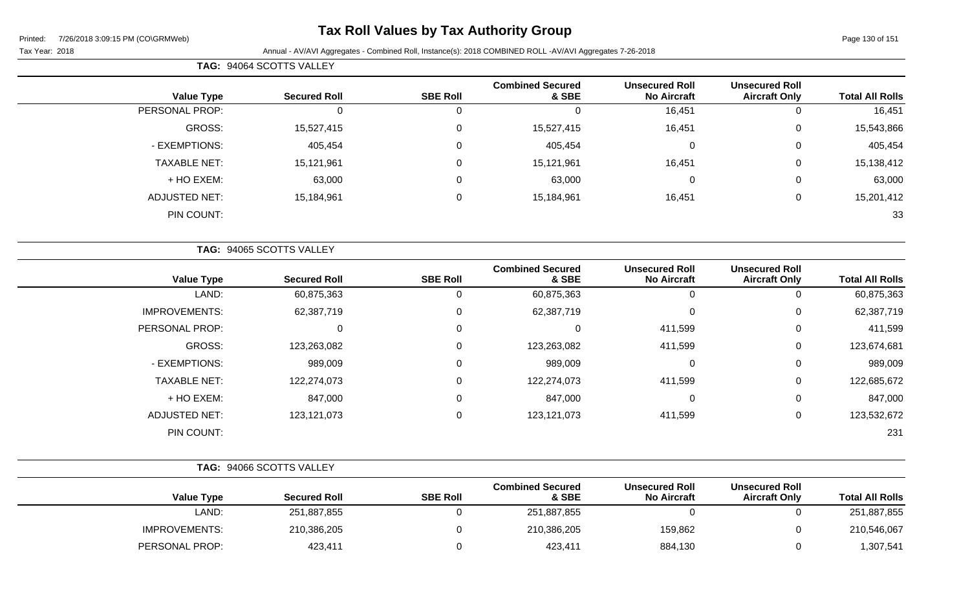## **Tax Roll Values by Tax Authority Group**

Tax Year: 2018 **Annual - AV/AVI Aggregates - Combined Roll**, Instance(s): 2018 COMBINED ROLL -AV/AVI Aggregates 7-26-2018

|                      | <b>TAG: 94064 SCOTTS VALLEY</b> |                 |                                  |                                             |                                               |                        |
|----------------------|---------------------------------|-----------------|----------------------------------|---------------------------------------------|-----------------------------------------------|------------------------|
| <b>Value Type</b>    | <b>Secured Roll</b>             | <b>SBE Roll</b> | <b>Combined Secured</b><br>& SBE | <b>Unsecured Roll</b><br><b>No Aircraft</b> | <b>Unsecured Roll</b><br><b>Aircraft Only</b> | <b>Total All Rolls</b> |
| PERSONAL PROP:       |                                 |                 | υ                                | 16,451                                      |                                               | 16,451                 |
| GROSS:               | 15,527,415                      | $\Omega$        | 15,527,415                       | 16,451                                      |                                               | 15,543,866             |
| - EXEMPTIONS:        | 405,454                         | 0               | 405,454                          |                                             |                                               | 405,454                |
| <b>TAXABLE NET:</b>  | 15,121,961                      | $\Omega$        | 15,121,961                       | 16,451                                      |                                               | 15,138,412             |
| + HO EXEM:           | 63,000                          | $\Omega$        | 63,000                           |                                             |                                               | 63,000                 |
| <b>ADJUSTED NET:</b> | 15,184,961                      | 0               | 15,184,961                       | 16,451                                      |                                               | 15,201,412             |

PIN COUNT: 33

|                        |                                               |                                             |                                  |                 | TAG: 94065 SCOTTS VALLEY |                      |
|------------------------|-----------------------------------------------|---------------------------------------------|----------------------------------|-----------------|--------------------------|----------------------|
| <b>Total All Rolls</b> | <b>Unsecured Roll</b><br><b>Aircraft Only</b> | <b>Unsecured Roll</b><br><b>No Aircraft</b> | <b>Combined Secured</b><br>& SBE | <b>SBE Roll</b> | <b>Secured Roll</b>      | <b>Value Type</b>    |
| 60,875,363             | 0                                             | 0                                           | 60,875,363                       | 0               | 60,875,363               | LAND:                |
| 62,387,719             | 0                                             | 0                                           | 62,387,719                       | 0               | 62,387,719               | <b>IMPROVEMENTS:</b> |
| 411,599                | 0                                             | 411,599                                     | $\Omega$                         | 0               | 0                        | PERSONAL PROP:       |
| 123,674,681            | 0                                             | 411,599                                     | 123,263,082                      | 0               | 123,263,082              | <b>GROSS:</b>        |
| 989,009                | 0                                             | 0                                           | 989,009                          | 0               | 989,009                  | - EXEMPTIONS:        |
| 122,685,672            | 0                                             | 411,599                                     | 122,274,073                      | $\mathbf 0$     | 122,274,073              | <b>TAXABLE NET:</b>  |
| 847,000                | 0                                             | 0                                           | 847,000                          | 0               | 847,000                  | + HO EXEM:           |
| 123,532,672            | 0                                             | 411,599                                     | 123,121,073                      | 0               | 123, 121, 073            | <b>ADJUSTED NET:</b> |
| 231                    |                                               |                                             |                                  |                 |                          | PIN COUNT:           |

|                      | TAG: 94066 SCOTTS VALLEY |                 |                                  |                                             |                                               |                        |
|----------------------|--------------------------|-----------------|----------------------------------|---------------------------------------------|-----------------------------------------------|------------------------|
| <b>Value Type</b>    | <b>Secured Roll</b>      | <b>SBE Roll</b> | <b>Combined Secured</b><br>& SBE | <b>Unsecured Roll</b><br><b>No Aircraft</b> | <b>Unsecured Roll</b><br><b>Aircraft Only</b> | <b>Total All Rolls</b> |
| LAND:                | 251,887,855              |                 | 251,887,855                      |                                             |                                               | 251,887,855            |
| <b>IMPROVEMENTS:</b> | 210,386,205              |                 | 210,386,205                      | 159,862                                     |                                               | 210,546,067            |
| PERSONAL PROP:       | 423,411                  |                 | 423,411                          | 884,130                                     |                                               | 1,307,541              |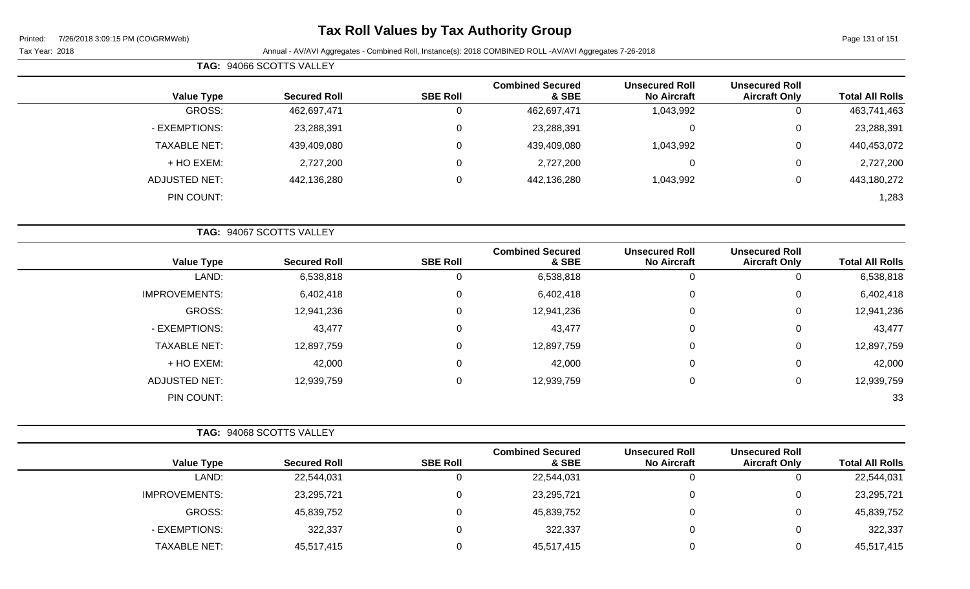**TAG:** 94066 SCOTTS VALLEY

## **Tax Roll Values by Tax Authority Group**

| <b>Unsecured Roll</b><br><b>Aircraft Only</b> | <b>Unsecured Roll</b><br><b>No Aircraft</b> | <b>Combined Secured</b><br>& SBE | <b>SBE Roll</b> | <b>Secured Roll</b> | <b>Value Type</b>    |
|-----------------------------------------------|---------------------------------------------|----------------------------------|-----------------|---------------------|----------------------|
|                                               | 1,043,992                                   | 462,697,471                      |                 | 462,697,471         | GROSS:               |
| 0                                             | 0                                           | 23,288,391                       |                 | 23,288,391          | - EXEMPTIONS:        |
| 0                                             | 1,043,992                                   | 439,409,080                      | υ               | 439,409,080         | TAXABLE NET:         |
| 0                                             | 0                                           | 2,727,200                        |                 | 2,727,200           | + HO EXEM:           |
| 0                                             | 1,043,992                                   | 442,136,280                      |                 | 442,136,280         | <b>ADJUSTED NET:</b> |
|                                               |                                             |                                  |                 |                     | PIN COUNT:           |
|                                               |                                             |                                  |                 |                     |                      |

|                      | TAG: 94067 SCOTTS VALLEY |                 |                                  |                                             |                                               |                        |
|----------------------|--------------------------|-----------------|----------------------------------|---------------------------------------------|-----------------------------------------------|------------------------|
| <b>Value Type</b>    | <b>Secured Roll</b>      | <b>SBE Roll</b> | <b>Combined Secured</b><br>& SBE | <b>Unsecured Roll</b><br><b>No Aircraft</b> | <b>Unsecured Roll</b><br><b>Aircraft Only</b> | <b>Total All Rolls</b> |
| LAND:                | 6,538,818                | U               | 6,538,818                        | 0                                           | υ                                             | 6,538,818              |
| <b>IMPROVEMENTS:</b> | 6,402,418                | 0               | 6,402,418                        | 0                                           | 0                                             | 6,402,418              |
| GROSS:               | 12,941,236               | 0               | 12,941,236                       | $\pmb{0}$                                   | 0                                             | 12,941,236             |
| - EXEMPTIONS:        | 43,477                   | 0               | 43,477                           | 0                                           | 0                                             | 43,477                 |
| <b>TAXABLE NET:</b>  | 12,897,759               | 0               | 12,897,759                       | $\pmb{0}$                                   | 0                                             | 12,897,759             |
| + HO EXEM:           | 42,000                   | 0               | 42,000                           | 0                                           | 0                                             | 42,000                 |
| <b>ADJUSTED NET:</b> | 12,939,759               | 0               | 12,939,759                       | 0                                           | 0                                             | 12,939,759             |
| PIN COUNT:           |                          |                 |                                  |                                             |                                               | 33                     |

| TAG: 94068 SCOTTS VALLEY |                     |                 |                                  |                                             |                                               |                        |
|--------------------------|---------------------|-----------------|----------------------------------|---------------------------------------------|-----------------------------------------------|------------------------|
| <b>Value Type</b>        | <b>Secured Roll</b> | <b>SBE Roll</b> | <b>Combined Secured</b><br>& SBE | <b>Unsecured Roll</b><br><b>No Aircraft</b> | <b>Unsecured Roll</b><br><b>Aircraft Only</b> | <b>Total All Rolls</b> |
| LAND:                    | 22,544,031          |                 | 22,544,031                       |                                             |                                               | 22,544,031             |
| <b>IMPROVEMENTS:</b>     | 23,295,721          |                 | 23,295,721                       |                                             |                                               | 23,295,721             |
| GROSS:                   | 45,839,752          |                 | 45,839,752                       |                                             | U                                             | 45,839,752             |
| - EXEMPTIONS:            | 322,337             |                 | 322,337                          |                                             | 0                                             | 322,337                |
| <b>TAXABLE NET:</b>      | 45,517,415          |                 | 45,517,415                       |                                             |                                               | 45,517,415             |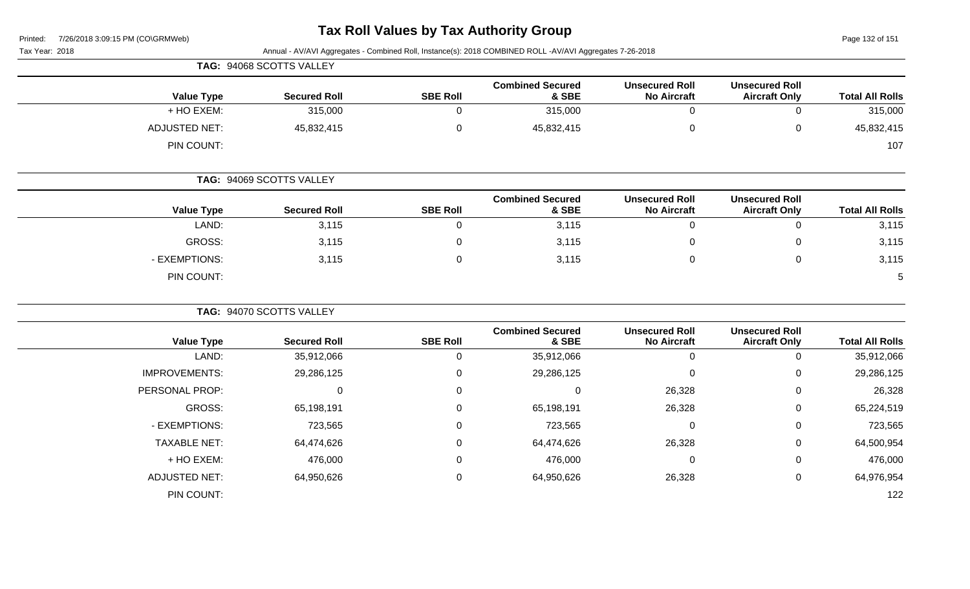### **Tax Roll Values by Tax Authority Group**

| 7/26/2018 3:09:15 PM (CO\GRMWeb)<br>Printed: |                          |                 | Tax Roll Values by Tax Authority Group                                                                   |                                             |                                               | Page 132 of 151        |
|----------------------------------------------|--------------------------|-----------------|----------------------------------------------------------------------------------------------------------|---------------------------------------------|-----------------------------------------------|------------------------|
| Tax Year: 2018                               |                          |                 | Annual - AV/AVI Aggregates - Combined Roll, Instance(s): 2018 COMBINED ROLL -AV/AVI Aggregates 7-26-2018 |                                             |                                               |                        |
|                                              | TAG: 94068 SCOTTS VALLEY |                 |                                                                                                          |                                             |                                               |                        |
| <b>Value Type</b>                            | <b>Secured Roll</b>      | <b>SBE Roll</b> | <b>Combined Secured</b><br>& SBE                                                                         | <b>Unsecured Roll</b><br><b>No Aircraft</b> | <b>Unsecured Roll</b><br><b>Aircraft Only</b> | <b>Total All Rolls</b> |
| + HO EXEM:                                   | 315,000                  | $\mathbf 0$     | 315,000                                                                                                  | $\mathbf 0$                                 | 0                                             | 315,000                |
| <b>ADJUSTED NET:</b>                         | 45,832,415               | $\pmb{0}$       | 45,832,415                                                                                               | $\pmb{0}$                                   | 0                                             | 45,832,415             |
| PIN COUNT:                                   |                          |                 |                                                                                                          |                                             |                                               | 107                    |
|                                              | TAG: 94069 SCOTTS VALLEY |                 |                                                                                                          |                                             |                                               |                        |
| <b>Value Type</b>                            | <b>Secured Roll</b>      | <b>SBE Roll</b> | <b>Combined Secured</b><br>& SBE                                                                         | <b>Unsecured Roll</b><br><b>No Aircraft</b> | <b>Unsecured Roll</b><br><b>Aircraft Only</b> | <b>Total All Rolls</b> |
| LAND:                                        | 3,115                    | $\Omega$        | 3,115                                                                                                    | $\mathbf 0$                                 | 0                                             | 3,115                  |
| <b>GROSS:</b>                                | 3,115                    | $\mathbf 0$     | 3,115                                                                                                    | 0                                           | 0                                             | 3,115                  |
| - EXEMPTIONS:                                | 3,115                    | $\Omega$        | 3,115                                                                                                    | $\mathbf 0$                                 | 0                                             | 3,115                  |
| PIN COUNT:                                   |                          |                 |                                                                                                          |                                             |                                               | 5                      |
|                                              | TAG: 94070 SCOTTS VALLEY |                 |                                                                                                          |                                             |                                               |                        |
| <b>Value Type</b>                            | <b>Secured Roll</b>      | <b>SBE Roll</b> | <b>Combined Secured</b><br>& SBE                                                                         | <b>Unsecured Roll</b><br><b>No Aircraft</b> | <b>Unsecured Roll</b><br><b>Aircraft Only</b> | <b>Total All Rolls</b> |
| LAND:                                        | 35,912,066               | $\mathsf 0$     | 35,912,066                                                                                               | $\mathbf 0$                                 | 0                                             | 35,912,066             |
| <b>IMPROVEMENTS:</b>                         | 29,286,125               | $\mathbf 0$     | 29,286,125                                                                                               | $\Omega$                                    | 0                                             | 29,286,125             |
| PERSONAL PROP:                               | $\mathbf 0$              | 0               | $\Omega$                                                                                                 | 26,328                                      | 0                                             | 26,328                 |
| <b>GROSS:</b>                                | 65,198,191               | 0               | 65,198,191                                                                                               | 26,328                                      | 0                                             | 65,224,519             |
| - EXEMPTIONS:                                | 723,565                  | 0               | 723,565                                                                                                  | $\mathbf 0$                                 | 0                                             | 723,565                |
| <b>TAXABLE NET:</b>                          | 64,474,626               | $\mathbf 0$     | 64,474,626                                                                                               | 26,328                                      | 0                                             | 64,500,954             |
| + HO EXEM:                                   | 476,000                  | 0               | 476,000                                                                                                  | $\mathbf 0$                                 | 0                                             | 476,000                |
| <b>ADJUSTED NET:</b>                         | 64,950,626               | 0               | 64,950,626                                                                                               | 26,328                                      | 0                                             | 64,976,954             |
| PIN COUNT:                                   |                          |                 |                                                                                                          |                                             |                                               | 122                    |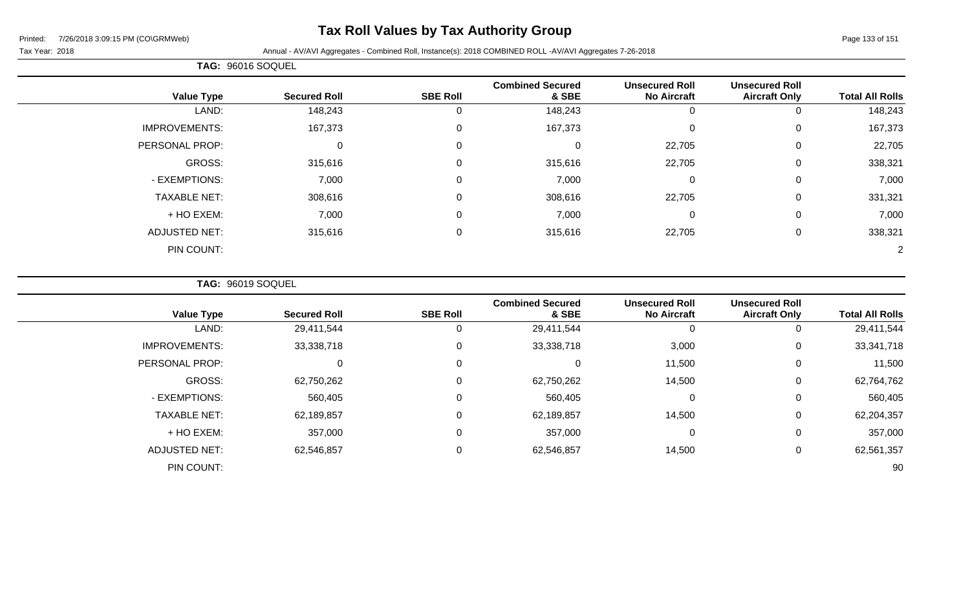## **Tax Roll Values by Tax Authority Group**

Page 133 of 151

#### Tax Year: 2018 Annual - AV/AVI Aggregates - Combined Roll, Instance(s): 2018 COMBINED ROLL -AV/AVI Aggregates 7-26-2018

|                      | TAG: 96016 SOQUEL   |                 |                                  |                                             |                                               |                        |
|----------------------|---------------------|-----------------|----------------------------------|---------------------------------------------|-----------------------------------------------|------------------------|
| <b>Value Type</b>    | <b>Secured Roll</b> | <b>SBE Roll</b> | <b>Combined Secured</b><br>& SBE | <b>Unsecured Roll</b><br><b>No Aircraft</b> | <b>Unsecured Roll</b><br><b>Aircraft Only</b> | <b>Total All Rolls</b> |
| LAND:                | 148,243             |                 | 148,243                          | 0                                           | 0                                             | 148,243                |
| <b>IMPROVEMENTS:</b> | 167,373             | $\Omega$        | 167,373                          | $\Omega$                                    | 0                                             | 167,373                |
| PERSONAL PROP:       | 0                   | $\Omega$        | 0                                | 22,705                                      | 0                                             | 22,705                 |
| GROSS:               | 315,616             | 0               | 315,616                          | 22,705                                      | 0                                             | 338,321                |
| - EXEMPTIONS:        | 7,000               | $\Omega$        | 7,000                            | $\mathbf 0$                                 | 0                                             | 7,000                  |
| <b>TAXABLE NET:</b>  | 308,616             | $\Omega$        | 308,616                          | 22,705                                      | 0                                             | 331,321                |
| + HO EXEM:           | 7,000               | $\mathbf{0}$    | 7,000                            | 0                                           | 0                                             | 7,000                  |
| <b>ADJUSTED NET:</b> | 315,616             | $\mathbf 0$     | 315,616                          | 22,705                                      | 0                                             | 338,321                |
| PIN COUNT:           |                     |                 |                                  |                                             |                                               |                        |

**TAG:** 96019 SOQUEL

| <b>Value Type</b>    | <b>Secured Roll</b> | <b>SBE Roll</b>  | <b>Combined Secured</b><br>& SBE | <b>Unsecured Roll</b><br><b>No Aircraft</b> | <b>Unsecured Roll</b><br><b>Aircraft Only</b> | <b>Total All Rolls</b> |
|----------------------|---------------------|------------------|----------------------------------|---------------------------------------------|-----------------------------------------------|------------------------|
| LAND:                | 29,411,544          | 0                | 29,411,544                       | 0                                           | 0                                             | 29,411,544             |
| <b>IMPROVEMENTS:</b> | 33,338,718          | $\mathbf 0$      | 33,338,718                       | 3,000                                       | 0                                             | 33, 341, 718           |
| PERSONAL PROP:       | $\mathbf 0$         | $\mathbf 0$      | $\mathbf 0$                      | 11,500                                      | 0                                             | 11,500                 |
| GROSS:               | 62,750,262          | 0                | 62,750,262                       | 14,500                                      | $\overline{0}$                                | 62,764,762             |
| - EXEMPTIONS:        | 560,405             | 0                | 560,405                          | $\mathbf 0$                                 | $\overline{0}$                                | 560,405                |
| <b>TAXABLE NET:</b>  | 62,189,857          | $\boldsymbol{0}$ | 62,189,857                       | 14,500                                      | 0                                             | 62,204,357             |
| + HO EXEM:           | 357,000             | 0                | 357,000                          | $\mathbf 0$                                 | 0                                             | 357,000                |
| <b>ADJUSTED NET:</b> | 62,546,857          | $\mathbf 0$      | 62,546,857                       | 14,500                                      | 0                                             | 62,561,357             |
| PIN COUNT:           |                     |                  |                                  |                                             |                                               | 90                     |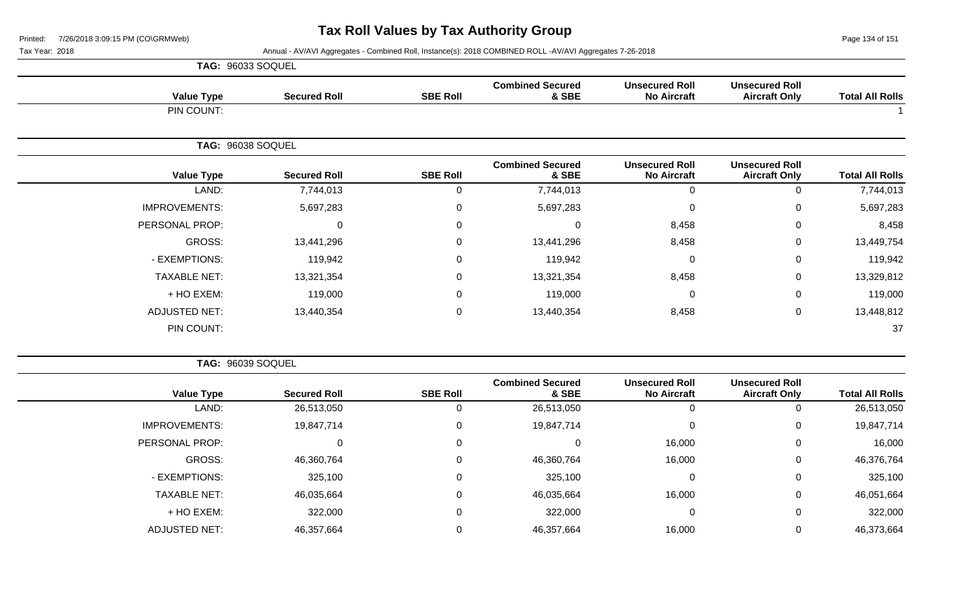Page 134 of 151

 $\overline{\phantom{a}}$ 

Tax Year: 2018 Annual - AV/AVI Aggregates - Combined Roll, Instance(s): 2018 COMBINED ROLL -AV/AVI Aggregates 7-26-2018

|                      | <b>TAG: 96033 SOQUEL</b> |                 |                                  |                                             |                                               |                        |
|----------------------|--------------------------|-----------------|----------------------------------|---------------------------------------------|-----------------------------------------------|------------------------|
| <b>Value Type</b>    | <b>Secured Roll</b>      | <b>SBE Roll</b> | <b>Combined Secured</b><br>& SBE | <b>Unsecured Roll</b><br><b>No Aircraft</b> | <b>Unsecured Roll</b><br><b>Aircraft Only</b> | <b>Total All Rolls</b> |
| PIN COUNT:           |                          |                 |                                  |                                             |                                               |                        |
|                      | TAG: 96038 SOQUEL        |                 |                                  |                                             |                                               |                        |
| <b>Value Type</b>    | <b>Secured Roll</b>      | <b>SBE Roll</b> | <b>Combined Secured</b><br>& SBE | <b>Unsecured Roll</b><br><b>No Aircraft</b> | <b>Unsecured Roll</b><br><b>Aircraft Only</b> | <b>Total All Rolls</b> |
| LAND:                | 7,744,013                | $\Omega$        | 7,744,013                        | 0                                           | 0                                             | 7,744,013              |
| <b>IMPROVEMENTS:</b> | 5,697,283                | 0               | 5,697,283                        | 0                                           | 0                                             | 5,697,283              |
| PERSONAL PROP:       | $\mathbf 0$              | 0               | 0                                | 8,458                                       | 0                                             | 8,458                  |
| GROSS:               | 13,441,296               | $\Omega$        | 13,441,296                       | 8,458                                       | $\mathbf 0$                                   | 13,449,754             |
| - EXEMPTIONS:        | 119,942                  | 0               | 119,942                          | 0                                           | $\mathbf 0$                                   | 119,942                |
| <b>TAXABLE NET:</b>  | 13,321,354               | 0               | 13,321,354                       | 8,458                                       | $\mathbf 0$                                   | 13,329,812             |
| + HO EXEM:           | 119,000                  | $\Omega$        | 119,000                          | 0                                           | 0                                             | 119,000                |
| <b>ADJUSTED NET:</b> | 13,440,354               | 0               | 13,440,354                       | 8,458                                       | 0                                             | 13,448,812             |
| PIN COUNT:           |                          |                 |                                  |                                             |                                               | 37                     |

**TAG:** 96039 SOQUEL

| <b>Total All Rolls</b> | <b>Unsecured Roll</b><br><b>Aircraft Only</b> | <b>Unsecured Roll</b><br><b>No Aircraft</b> | <b>Combined Secured</b><br>& SBE | <b>SBE Roll</b> | <b>Secured Roll</b> | <b>Value Type</b>    |
|------------------------|-----------------------------------------------|---------------------------------------------|----------------------------------|-----------------|---------------------|----------------------|
| 26,513,050             |                                               |                                             | 26,513,050                       |                 | 26,513,050          | LAND:                |
| 19,847,714             | 0                                             |                                             | 19,847,714                       | 0               | 19,847,714          | <b>IMPROVEMENTS:</b> |
| 16,000                 | 0                                             | 16,000                                      | 0                                | 0               |                     | PERSONAL PROP:       |
| 46,376,764             | 0                                             | 16,000                                      | 46,360,764                       | $\Omega$        | 46,360,764          | GROSS:               |
| 325,100                |                                               |                                             | 325,100                          | 0               | 325,100             | - EXEMPTIONS:        |
| 46,051,664             | 0                                             | 16,000                                      | 46,035,664                       | 0               | 46,035,664          | <b>TAXABLE NET:</b>  |
| 322,000                | 0                                             |                                             | 322,000                          | $\mathbf 0$     | 322,000             | + HO EXEM:           |
| 46,373,664             |                                               | 16,000                                      | 46,357,664                       |                 | 46,357,664          | ADJUSTED NET:        |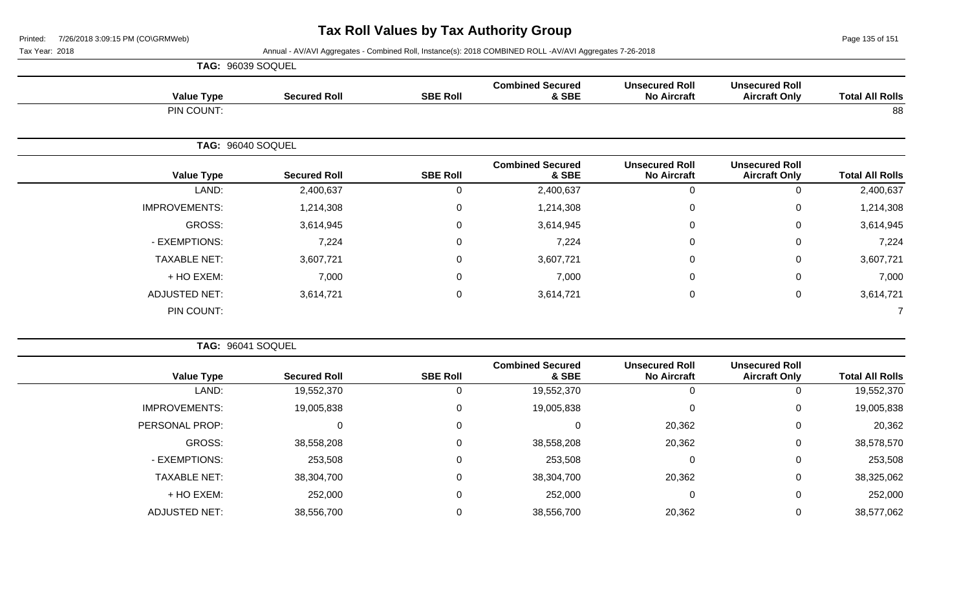Page 135 of 151

|                      | TAG: 96039 SOQUEL   |                 |                                  |                                             |                                               |                        |
|----------------------|---------------------|-----------------|----------------------------------|---------------------------------------------|-----------------------------------------------|------------------------|
| <b>Value Type</b>    | <b>Secured Roll</b> | <b>SBE Roll</b> | <b>Combined Secured</b><br>& SBE | <b>Unsecured Roll</b><br><b>No Aircraft</b> | <b>Unsecured Roll</b><br><b>Aircraft Only</b> | <b>Total All Rolls</b> |
| PIN COUNT:           |                     |                 |                                  |                                             |                                               | 88                     |
|                      | TAG: 96040 SOQUEL   |                 |                                  |                                             |                                               |                        |
| <b>Value Type</b>    | <b>Secured Roll</b> | <b>SBE Roll</b> | <b>Combined Secured</b><br>& SBE | <b>Unsecured Roll</b><br><b>No Aircraft</b> | <b>Unsecured Roll</b><br><b>Aircraft Only</b> | <b>Total All Rolls</b> |
| LAND:                | 2,400,637           | 0               | 2,400,637                        | $\mathbf 0$                                 | 0                                             | 2,400,637              |
| <b>IMPROVEMENTS:</b> | 1,214,308           | $\mathbf 0$     | 1,214,308                        | $\mathbf 0$                                 | 0                                             | 1,214,308              |
| GROSS:               | 3,614,945           | $\mathbf 0$     | 3,614,945                        | $\mathbf 0$                                 | 0                                             | 3,614,945              |
| - EXEMPTIONS:        | 7,224               | 0               | 7,224                            | $\mathbf 0$                                 | 0                                             | 7,224                  |
| <b>TAXABLE NET:</b>  | 3,607,721           | 0               | 3,607,721                        | $\mathbf 0$                                 | 0                                             | 3,607,721              |
| + HO EXEM:           | 7,000               | 0               | 7,000                            | $\mathbf 0$                                 | $\Omega$                                      | 7,000                  |
| ADJUSTED NET:        | 3,614,721           | 0               | 3,614,721                        | $\boldsymbol{0}$                            | 0                                             | 3,614,721              |
| PIN COUNT:           |                     |                 |                                  |                                             |                                               |                        |

|                      | <b>TAG: 96041 SOQUEL</b> |                 |                                  |                                             |                                               |                        |
|----------------------|--------------------------|-----------------|----------------------------------|---------------------------------------------|-----------------------------------------------|------------------------|
| <b>Value Type</b>    | <b>Secured Roll</b>      | <b>SBE Roll</b> | <b>Combined Secured</b><br>& SBE | <b>Unsecured Roll</b><br><b>No Aircraft</b> | <b>Unsecured Roll</b><br><b>Aircraft Only</b> | <b>Total All Rolls</b> |
| LAND:                | 19,552,370               | 0               | 19,552,370                       | 0                                           | $\overline{0}$                                | 19,552,370             |
| <b>IMPROVEMENTS:</b> | 19,005,838               | 0               | 19,005,838                       | 0                                           | 0                                             | 19,005,838             |
| PERSONAL PROP:       |                          | 0               |                                  | 20,362                                      | 0                                             | 20,362                 |
| GROSS:               | 38,558,208               | 0               | 38,558,208                       | 20,362                                      | 0                                             | 38,578,570             |
| - EXEMPTIONS:        | 253,508                  | 0               | 253,508                          | $\mathbf 0$                                 | 0                                             | 253,508                |
| <b>TAXABLE NET:</b>  | 38,304,700               | 0               | 38,304,700                       | 20,362                                      | 0                                             | 38,325,062             |
| + HO EXEM:           | 252,000                  | 0               | 252,000                          | 0                                           | 0                                             | 252,000                |
| <b>ADJUSTED NET:</b> | 38,556,700               | $\Omega$        | 38,556,700                       | 20,362                                      | 0                                             | 38,577,062             |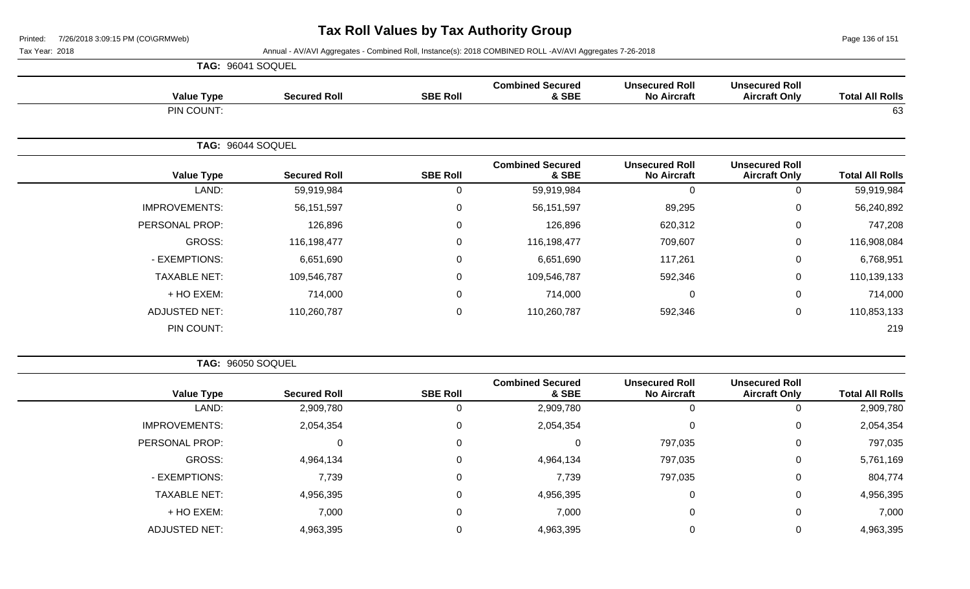Page 136 of 151

 $\overline{\phantom{a}}$ 

Tax Year: 2018 Annual - AV/AVI Aggregates - Combined Roll, Instance(s): 2018 COMBINED ROLL -AV/AVI Aggregates 7-26-2018

| TAG: 96041 SOQUEL    |                     |                  |                                  |                                             |                                               |                        |
|----------------------|---------------------|------------------|----------------------------------|---------------------------------------------|-----------------------------------------------|------------------------|
| <b>Value Type</b>    | <b>Secured Roll</b> | <b>SBE Roll</b>  | <b>Combined Secured</b><br>& SBE | <b>Unsecured Roll</b><br><b>No Aircraft</b> | <b>Unsecured Roll</b><br><b>Aircraft Only</b> | <b>Total All Rolls</b> |
| PIN COUNT:           |                     |                  |                                  |                                             |                                               | 63                     |
| TAG: 96044 SOQUEL    |                     |                  |                                  |                                             |                                               |                        |
| <b>Value Type</b>    | <b>Secured Roll</b> | <b>SBE Roll</b>  | <b>Combined Secured</b><br>& SBE | <b>Unsecured Roll</b><br><b>No Aircraft</b> | <b>Unsecured Roll</b><br><b>Aircraft Only</b> | <b>Total All Rolls</b> |
| LAND:                | 59,919,984          | 0                | 59,919,984                       | 0                                           | 0                                             | 59,919,984             |
| <b>IMPROVEMENTS:</b> | 56,151,597          | 0                | 56, 151, 597                     | 89,295                                      | $\mathbf 0$                                   | 56,240,892             |
| PERSONAL PROP:       | 126,896             | 0                | 126,896                          | 620,312                                     | $\mathbf 0$                                   | 747,208                |
| GROSS:               | 116,198,477         | $\Omega$         | 116,198,477                      | 709,607                                     | $\mathbf 0$                                   | 116,908,084            |
| - EXEMPTIONS:        | 6,651,690           | $\mathbf 0$      | 6,651,690                        | 117,261                                     | $\mathsf 0$                                   | 6,768,951              |
| <b>TAXABLE NET:</b>  | 109,546,787         | 0                | 109,546,787                      | 592,346                                     | $\pmb{0}$                                     | 110,139,133            |
| + HO EXEM:           | 714,000             | $\mathbf 0$      | 714,000                          | $\mathbf 0$                                 | $\mathsf 0$                                   | 714,000                |
| <b>ADJUSTED NET:</b> | 110,260,787         | $\boldsymbol{0}$ | 110,260,787                      | 592,346                                     | $\mathsf 0$                                   | 110,853,133            |
| PIN COUNT:           |                     |                  |                                  |                                             |                                               | 219                    |

**TAG:** 96050 SOQUEL

| <b>Total All Rolls</b> | <b>Unsecured Roll</b><br><b>Aircraft Only</b> | <b>Unsecured Roll</b><br><b>No Aircraft</b> | <b>Combined Secured</b><br>& SBE | <b>SBE Roll</b> | <b>Secured Roll</b> | <b>Value Type</b>    |
|------------------------|-----------------------------------------------|---------------------------------------------|----------------------------------|-----------------|---------------------|----------------------|
| 2,909,780              | υ                                             | 0                                           | 2,909,780                        |                 | 2,909,780           | LAND:                |
| 2,054,354              | 0                                             | 0                                           | 2,054,354                        |                 | 2,054,354           | <b>IMPROVEMENTS:</b> |
| 797,035                | 0                                             | 797,035                                     |                                  |                 | 0                   | PERSONAL PROP:       |
| 5,761,169              | 0                                             | 797,035                                     | 4,964,134                        |                 | 4,964,134           | <b>GROSS:</b>        |
| 804,774                | 0                                             | 797,035                                     | 7,739                            |                 | 7,739               | - EXEMPTIONS:        |
| 4,956,395              | 0                                             | 0                                           | 4,956,395                        |                 | 4,956,395           | <b>TAXABLE NET:</b>  |
| 7,000                  | 0                                             | 0                                           | 7,000                            |                 | 7,000               | + HO EXEM:           |
| 4,963,395              | υ                                             | 0                                           | 4,963,395                        |                 | 4,963,395           | <b>ADJUSTED NET:</b> |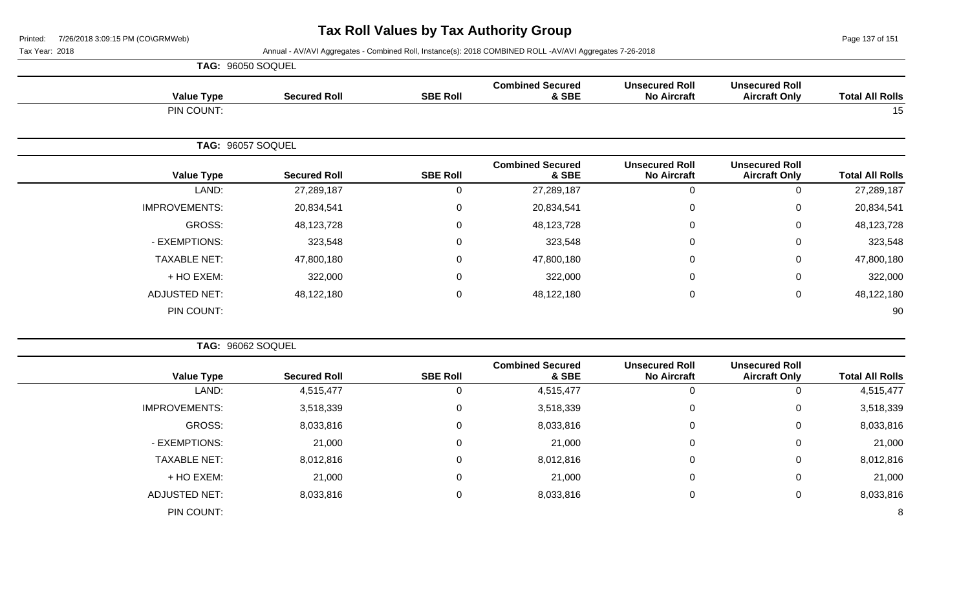Page 137 of 151

|                      | TAG: 96050 SOQUEL   |                 |                                  |                                             |                                               |                        |
|----------------------|---------------------|-----------------|----------------------------------|---------------------------------------------|-----------------------------------------------|------------------------|
| <b>Value Type</b>    | <b>Secured Roll</b> | <b>SBE Roll</b> | <b>Combined Secured</b><br>& SBE | <b>Unsecured Roll</b><br><b>No Aircraft</b> | <b>Unsecured Roll</b><br><b>Aircraft Only</b> | <b>Total All Rolls</b> |
| PIN COUNT:           |                     |                 |                                  |                                             |                                               | 15                     |
|                      | TAG: 96057 SOQUEL   |                 |                                  |                                             |                                               |                        |
| <b>Value Type</b>    | <b>Secured Roll</b> | <b>SBE Roll</b> | <b>Combined Secured</b><br>& SBE | <b>Unsecured Roll</b><br><b>No Aircraft</b> | <b>Unsecured Roll</b><br><b>Aircraft Only</b> | <b>Total All Rolls</b> |
| LAND:                | 27,289,187          | $\Omega$        | 27,289,187                       | 0                                           | 0                                             | 27,289,187             |
| <b>IMPROVEMENTS:</b> | 20,834,541          | $\mathbf 0$     | 20,834,541                       | $\mathbf 0$                                 | 0                                             | 20,834,541             |
| GROSS:               | 48,123,728          | $\mathbf 0$     | 48,123,728                       | $\mathbf 0$                                 | 0                                             | 48,123,728             |
| - EXEMPTIONS:        | 323,548             | $\Omega$        | 323,548                          | $\mathbf 0$                                 | 0                                             | 323,548                |
| <b>TAXABLE NET:</b>  | 47,800,180          | 0               | 47,800,180                       | $\mathbf 0$                                 | 0                                             | 47,800,180             |
| + HO EXEM:           | 322,000             | $\Omega$        | 322,000                          | $\mathbf 0$                                 | 0                                             | 322,000                |
| <b>ADJUSTED NET:</b> | 48,122,180          | $\mathbf 0$     | 48,122,180                       | $\mathbf 0$                                 | 0                                             | 48,122,180             |
| PIN COUNT:           |                     |                 |                                  |                                             |                                               | 90                     |

|                      | TAG: 96062 SOQUEL   |                 |                                  |                                             |                                               |                        |
|----------------------|---------------------|-----------------|----------------------------------|---------------------------------------------|-----------------------------------------------|------------------------|
| <b>Value Type</b>    | <b>Secured Roll</b> | <b>SBE Roll</b> | <b>Combined Secured</b><br>& SBE | <b>Unsecured Roll</b><br><b>No Aircraft</b> | <b>Unsecured Roll</b><br><b>Aircraft Only</b> | <b>Total All Rolls</b> |
| LAND:                | 4,515,477           |                 | 4,515,477                        |                                             |                                               | 4,515,477              |
| <b>IMPROVEMENTS:</b> | 3,518,339           | 0               | 3,518,339                        | 0                                           | 0                                             | 3,518,339              |
| <b>GROSS:</b>        | 8,033,816           | 0               | 8,033,816                        | 0                                           | 0                                             | 8,033,816              |
| - EXEMPTIONS:        | 21,000              | 0               | 21,000                           | 0                                           | 0                                             | 21,000                 |
| <b>TAXABLE NET:</b>  | 8,012,816           | $\mathbf 0$     | 8,012,816                        | $\mathbf 0$                                 | 0                                             | 8,012,816              |
| + HO EXEM:           | 21,000              | $\Omega$        | 21,000                           | $\mathbf 0$                                 | 0                                             | 21,000                 |
| <b>ADJUSTED NET:</b> | 8,033,816           | 0               | 8,033,816                        | 0                                           | 0                                             | 8,033,816              |
| PIN COUNT:           |                     |                 |                                  |                                             |                                               | 8                      |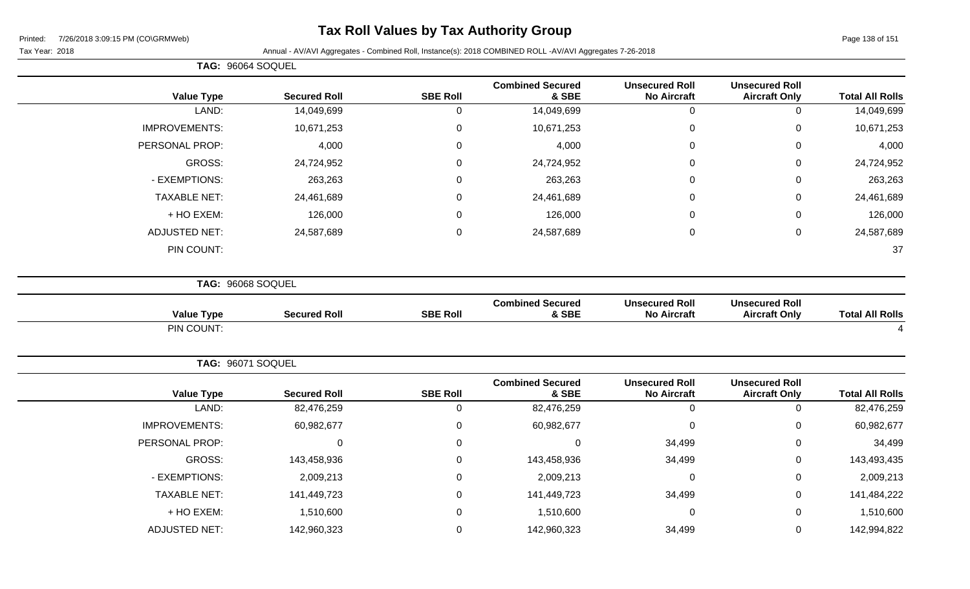## **Tax Roll Values by Tax Authority Group**

|                        |                                               |                                             |                                  |                 |                     | TAG: 96064 SOQUEL        |
|------------------------|-----------------------------------------------|---------------------------------------------|----------------------------------|-----------------|---------------------|--------------------------|
| <b>Total All Rolls</b> | <b>Unsecured Roll</b><br><b>Aircraft Only</b> | <b>Unsecured Roll</b><br><b>No Aircraft</b> | <b>Combined Secured</b><br>& SBE | <b>SBE Roll</b> | <b>Secured Roll</b> | <b>Value Type</b>        |
| 14,049,699             | 0                                             | $\mathbf 0$                                 | 14,049,699                       | $\mathbf 0$     | 14,049,699          | LAND:                    |
| 10,671,253             | 0                                             | $\mathbf 0$                                 | 10,671,253                       | $\pmb{0}$       | 10,671,253          | <b>IMPROVEMENTS:</b>     |
| 4,000                  | 0                                             | $\Omega$                                    | 4,000                            | $\mathsf 0$     | 4,000               | PERSONAL PROP:           |
| 24,724,952             | 0                                             | 0                                           | 24,724,952                       | $\mathbf 0$     | 24,724,952          | <b>GROSS:</b>            |
| 263,263                | 0                                             | $\mathbf{0}$                                | 263,263                          | $\pmb{0}$       | 263,263             | - EXEMPTIONS:            |
| 24,461,689             | 0                                             | $\mathbf{0}$                                | 24,461,689                       | $\mathbf 0$     | 24,461,689          | <b>TAXABLE NET:</b>      |
| 126,000                | 0                                             | $\Omega$                                    | 126,000                          | $\mathbf 0$     | 126,000             | + HO EXEM:               |
| 24,587,689             | 0                                             | $\mathbf 0$                                 | 24,587,689                       | $\pmb{0}$       | 24,587,689          | <b>ADJUSTED NET:</b>     |
| 37                     |                                               |                                             |                                  |                 |                     | PIN COUNT:               |
|                        |                                               |                                             |                                  |                 |                     | TAG: 96068 SOQUEL        |
| <b>Total All Rolls</b> | <b>Unsecured Roll</b><br><b>Aircraft Only</b> | <b>Unsecured Roll</b><br><b>No Aircraft</b> | <b>Combined Secured</b><br>& SBE | <b>SBE Roll</b> | <b>Secured Roll</b> | <b>Value Type</b>        |
|                        |                                               |                                             |                                  |                 |                     | PIN COUNT:               |
|                        |                                               |                                             |                                  |                 |                     | <b>TAG: 96071 SOQUEL</b> |
| <b>Total All Rolls</b> | <b>Unsecured Roll</b><br><b>Aircraft Only</b> | <b>Unsecured Roll</b><br><b>No Aircraft</b> | <b>Combined Secured</b><br>& SBE | <b>SBE Roll</b> | <b>Secured Roll</b> | <b>Value Type</b>        |
| 82,476,259             | $\mathbf 0$                                   | $\mathbf 0$                                 | 82,476,259                       | $\mathbf 0$     | 82,476,259          | LAND:                    |
| 60,982,677             | 0                                             | $\Omega$                                    | 60,982,677                       | $\pmb{0}$       | 60,982,677          | <b>IMPROVEMENTS:</b>     |
| 34,499                 | 0                                             | 34,499                                      | $\mathsf 0$                      | $\mathsf 0$     | $\mathbf 0$         | PERSONAL PROP:           |
| 143,493,435            | $\pmb{0}$                                     | 34,499                                      | 143,458,936                      | $\pmb{0}$       | 143,458,936         | <b>GROSS:</b>            |
| 2,009,213              | 0                                             | 0                                           | 2,009,213                        | $\mathsf 0$     | 2,009,213           | - EXEMPTIONS:            |
| 141,484,222            | 0                                             | 34,499                                      | 141,449,723                      | $\mathbf 0$     | 141,449,723         | <b>TAXABLE NET:</b>      |
| 1,510,600              | 0                                             | $\Omega$                                    | 1,510,600                        | $\mathbf 0$     | 1,510,600           | + HO EXEM:               |
| 142,994,822            | 0                                             | 34,499                                      | 142,960,323                      | $\mathsf 0$     | 142,960,323         | <b>ADJUSTED NET:</b>     |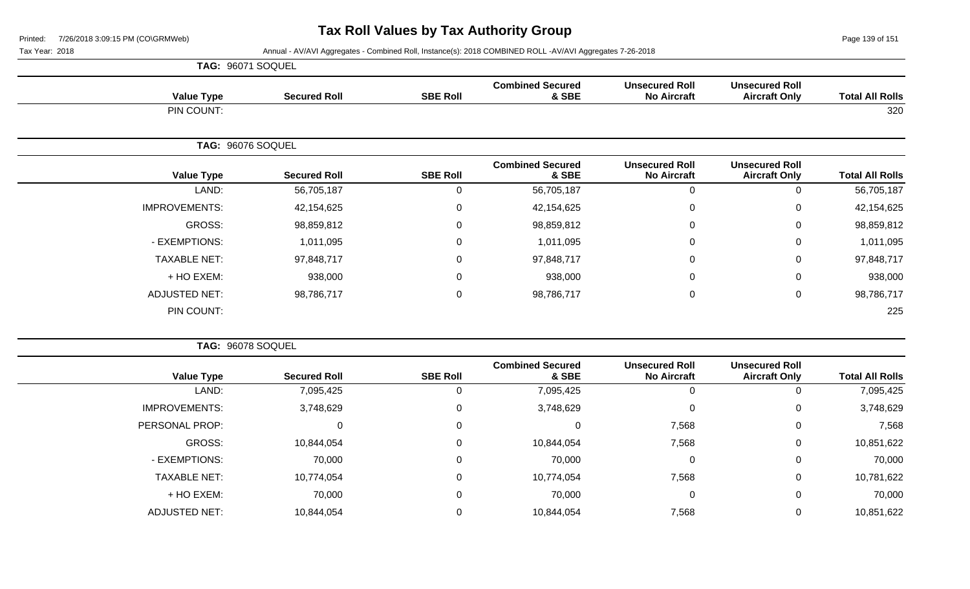Page 139 of 151

|                      | TAG: 96071 SOQUEL   |                 |                                  |                                             |                                               |                        |
|----------------------|---------------------|-----------------|----------------------------------|---------------------------------------------|-----------------------------------------------|------------------------|
| <b>Value Type</b>    | <b>Secured Roll</b> | <b>SBE Roll</b> | <b>Combined Secured</b><br>& SBE | <b>Unsecured Roll</b><br><b>No Aircraft</b> | <b>Unsecured Roll</b><br><b>Aircraft Only</b> | <b>Total All Rolls</b> |
| PIN COUNT:           |                     |                 |                                  |                                             |                                               | 320                    |
|                      | TAG: 96076 SOQUEL   |                 |                                  |                                             |                                               |                        |
| <b>Value Type</b>    | <b>Secured Roll</b> | <b>SBE Roll</b> | <b>Combined Secured</b><br>& SBE | <b>Unsecured Roll</b><br><b>No Aircraft</b> | <b>Unsecured Roll</b><br><b>Aircraft Only</b> | <b>Total All Rolls</b> |
| LAND:                | 56,705,187          | 0               | 56,705,187                       | 0                                           | 0                                             | 56,705,187             |
| <b>IMPROVEMENTS:</b> | 42,154,625          | 0               | 42,154,625                       | 0                                           | $\Omega$                                      | 42,154,625             |
| GROSS:               | 98,859,812          | $\mathbf 0$     | 98,859,812                       | $\mathbf 0$                                 | 0                                             | 98,859,812             |
| - EXEMPTIONS:        | 1,011,095           | $\Omega$        | 1,011,095                        | 0                                           | $\mathbf 0$                                   | 1,011,095              |
| <b>TAXABLE NET:</b>  | 97,848,717          | $\mathbf 0$     | 97,848,717                       | $\mathbf 0$                                 | 0                                             | 97,848,717             |
| + HO EXEM:           | 938,000             | $\Omega$        | 938,000                          | 0                                           | $\mathbf 0$                                   | 938,000                |
| <b>ADJUSTED NET:</b> | 98,786,717          | $\mathbf 0$     | 98,786,717                       | $\mathbf 0$                                 | $\mathbf 0$                                   | 98,786,717             |
| PIN COUNT:           |                     |                 |                                  |                                             |                                               | 225                    |

| TAG: 96078 SOQUEL    |                     |                 |                                  |                                             |                                               |                        |
|----------------------|---------------------|-----------------|----------------------------------|---------------------------------------------|-----------------------------------------------|------------------------|
| <b>Value Type</b>    | <b>Secured Roll</b> | <b>SBE Roll</b> | <b>Combined Secured</b><br>& SBE | <b>Unsecured Roll</b><br><b>No Aircraft</b> | <b>Unsecured Roll</b><br><b>Aircraft Only</b> | <b>Total All Rolls</b> |
| LAND:                | 7,095,425           |                 | 7,095,425                        |                                             | 0                                             | 7,095,425              |
| <b>IMPROVEMENTS:</b> | 3,748,629           |                 | 3,748,629                        |                                             | $\mathbf 0$                                   | 3,748,629              |
| PERSONAL PROP:       | 0                   | 0               | 0                                | 7,568                                       | 0                                             | 7,568                  |
| GROSS:               | 10,844,054          |                 | 10,844,054                       | 7,568                                       | $\mathbf 0$                                   | 10,851,622             |
| - EXEMPTIONS:        | 70,000              |                 | 70,000                           |                                             | $\mathbf 0$                                   | 70,000                 |
| <b>TAXABLE NET:</b>  | 10,774,054          |                 | 10,774,054                       | 7,568                                       | 0                                             | 10,781,622             |
| + HO EXEM:           | 70,000              |                 | 70,000                           |                                             | $\mathbf 0$                                   | 70,000                 |
| <b>ADJUSTED NET:</b> | 10,844,054          |                 | 10,844,054                       | 7,568                                       | $\mathbf 0$                                   | 10,851,622             |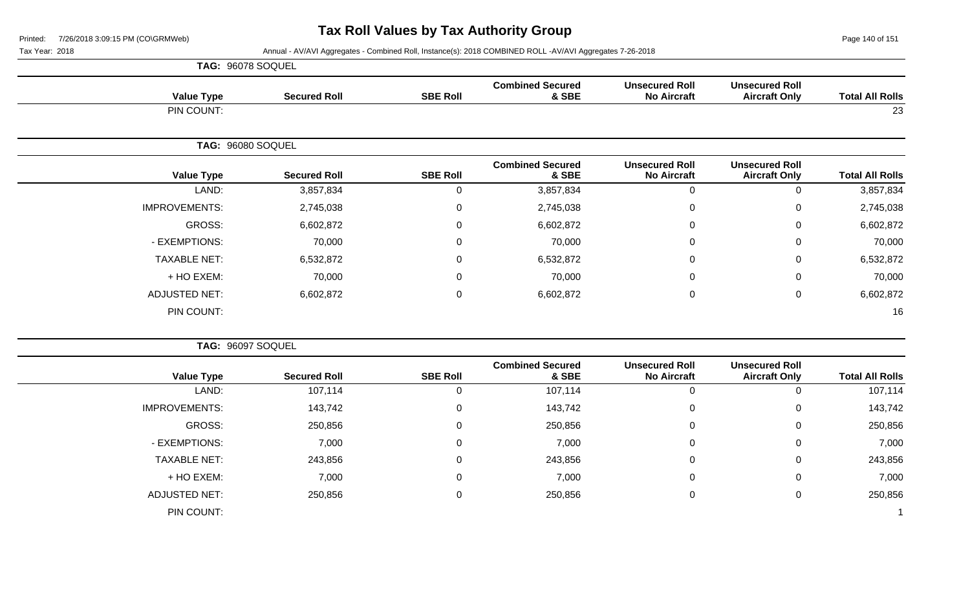Page 140 of 151

|                      | TAG: 96078 SOQUEL   |                 |                                  |                                             |                                               |                        |
|----------------------|---------------------|-----------------|----------------------------------|---------------------------------------------|-----------------------------------------------|------------------------|
| <b>Value Type</b>    | <b>Secured Roll</b> | <b>SBE Roll</b> | <b>Combined Secured</b><br>& SBE | <b>Unsecured Roll</b><br><b>No Aircraft</b> | <b>Unsecured Roll</b><br><b>Aircraft Only</b> | <b>Total All Rolls</b> |
| PIN COUNT:           |                     |                 |                                  |                                             |                                               | 23                     |
|                      | TAG: 96080 SOQUEL   |                 |                                  |                                             |                                               |                        |
| <b>Value Type</b>    | <b>Secured Roll</b> | <b>SBE Roll</b> | <b>Combined Secured</b><br>& SBE | <b>Unsecured Roll</b><br><b>No Aircraft</b> | <b>Unsecured Roll</b><br><b>Aircraft Only</b> | <b>Total All Rolls</b> |
| LAND:                | 3,857,834           | 0               | 3,857,834                        | $\mathbf 0$                                 | 0                                             | 3,857,834              |
| <b>IMPROVEMENTS:</b> | 2,745,038           | $\mathbf{0}$    | 2,745,038                        | $\mathbf 0$                                 | 0                                             | 2,745,038              |
| GROSS:               | 6,602,872           | 0               | 6,602,872                        | $\mathbf 0$                                 | 0                                             | 6,602,872              |
| - EXEMPTIONS:        | 70,000              | $\mathbf{0}$    | 70,000                           | $\mathbf 0$                                 | 0                                             | 70,000                 |
| <b>TAXABLE NET:</b>  | 6,532,872           | $\mathbf 0$     | 6,532,872                        | $\mathbf 0$                                 | 0                                             | 6,532,872              |
| + HO EXEM:           | 70,000              | 0               | 70,000                           | $\mathbf 0$                                 | 0                                             | 70,000                 |
| <b>ADJUSTED NET:</b> | 6,602,872           | 0               | 6,602,872                        | $\mathbf 0$                                 | 0                                             | 6,602,872              |
| PIN COUNT:           |                     |                 |                                  |                                             |                                               | 16                     |

|                      | TAG: 96097 SOQUEL   |                 |                                  |                                             |                                               |                        |
|----------------------|---------------------|-----------------|----------------------------------|---------------------------------------------|-----------------------------------------------|------------------------|
| <b>Value Type</b>    | <b>Secured Roll</b> | <b>SBE Roll</b> | <b>Combined Secured</b><br>& SBE | <b>Unsecured Roll</b><br><b>No Aircraft</b> | <b>Unsecured Roll</b><br><b>Aircraft Only</b> | <b>Total All Rolls</b> |
| LAND:                | 107,114             |                 | 107,114                          | 0                                           |                                               | 107,114                |
| <b>IMPROVEMENTS:</b> | 143,742             | 0               | 143,742                          | 0                                           | 0                                             | 143,742                |
| GROSS:               | 250,856             | $\mathbf 0$     | 250,856                          | $\mathbf 0$                                 | 0                                             | 250,856                |
| - EXEMPTIONS:        | 7,000               | 0               | 7,000                            | 0                                           | 0                                             | 7,000                  |
| <b>TAXABLE NET:</b>  | 243,856             | 0               | 243,856                          | $\mathbf 0$                                 | 0                                             | 243,856                |
| + HO EXEM:           | 7,000               | $\Omega$        | 7,000                            | 0                                           | 0                                             | 7,000                  |
| <b>ADJUSTED NET:</b> | 250,856             | 0               | 250,856                          | 0                                           | $\Omega$                                      | 250,856                |
| PIN COUNT:           |                     |                 |                                  |                                             |                                               |                        |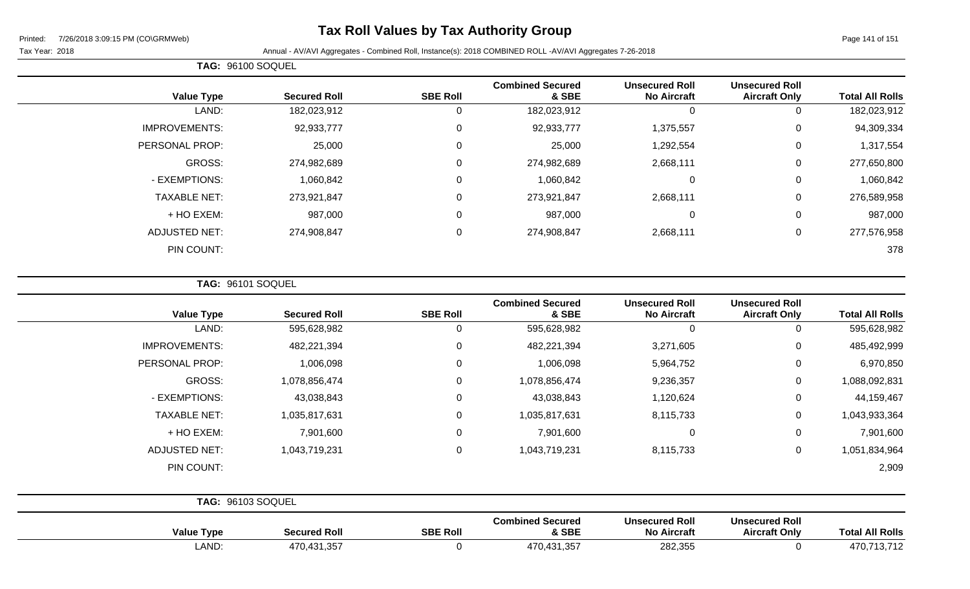## **Tax Roll Values by Tax Authority Group**

 $\overline{\phantom{0}}$ 

Tax Year: 2018 Annual - AV/AVI Aggregates - Combined Roll, Instance(s): 2018 COMBINED ROLL -AV/AVI Aggregates 7-26-2018

| TAG: 96100 SOQUEL    |                     |                 |                                  |                                             |                                               |                        |
|----------------------|---------------------|-----------------|----------------------------------|---------------------------------------------|-----------------------------------------------|------------------------|
| <b>Value Type</b>    | <b>Secured Roll</b> | <b>SBE Roll</b> | <b>Combined Secured</b><br>& SBE | <b>Unsecured Roll</b><br><b>No Aircraft</b> | <b>Unsecured Roll</b><br><b>Aircraft Only</b> | <b>Total All Rolls</b> |
| LAND:                | 182,023,912         | 0               | 182,023,912                      | 0                                           | 0                                             | 182,023,912            |
| <b>IMPROVEMENTS:</b> | 92,933,777          | 0               | 92,933,777                       | 1,375,557                                   | 0                                             | 94,309,334             |
| PERSONAL PROP:       | 25,000              | $\mathbf 0$     | 25,000                           | 1,292,554                                   | 0                                             | 1,317,554              |
| GROSS:               | 274,982,689         | 0               | 274,982,689                      | 2,668,111                                   | 0                                             | 277,650,800            |
| - EXEMPTIONS:        | 1,060,842           | 0               | 1,060,842                        | 0                                           | 0                                             | 1,060,842              |
| <b>TAXABLE NET:</b>  | 273,921,847         | $\mathbf 0$     | 273,921,847                      | 2,668,111                                   | 0                                             | 276,589,958            |
| + HO EXEM:           | 987,000             | 0               | 987,000                          | $\mathbf 0$                                 | 0                                             | 987,000                |
| <b>ADJUSTED NET:</b> | 274,908,847         | 0               | 274,908,847                      | 2,668,111                                   | 0                                             | 277,576,958            |
| PIN COUNT:           |                     |                 |                                  |                                             |                                               | 378                    |

**TAG:** 96101 SOQUEL

| <b>Value Type</b>    | <b>Secured Roll</b> | <b>SBE Roll</b> | <b>Combined Secured</b><br>& SBE | <b>Unsecured Roll</b><br><b>No Aircraft</b> | <b>Unsecured Roll</b><br><b>Aircraft Only</b> | <b>Total All Rolls</b> |
|----------------------|---------------------|-----------------|----------------------------------|---------------------------------------------|-----------------------------------------------|------------------------|
| LAND:                | 595,628,982         | 0               | 595,628,982                      | 0                                           | 0                                             | 595,628,982            |
| <b>IMPROVEMENTS:</b> | 482,221,394         | $\mathbf 0$     | 482,221,394                      | 3,271,605                                   | $\mathbf 0$                                   | 485,492,999            |
| PERSONAL PROP:       | 1,006,098           | 0               | 1,006,098                        | 5,964,752                                   | 0                                             | 6,970,850              |
| GROSS:               | 1,078,856,474       | 0               | 1,078,856,474                    | 9,236,357                                   | $\mathbf 0$                                   | 1,088,092,831          |
| - EXEMPTIONS:        | 43,038,843          | $\mathbf 0$     | 43,038,843                       | 1,120,624                                   | $\mathbf 0$                                   | 44,159,467             |
| <b>TAXABLE NET:</b>  | 1,035,817,631       | $\mathbf 0$     | 1,035,817,631                    | 8,115,733                                   | $\mathbf 0$                                   | 1,043,933,364          |
| + HO EXEM:           | 7,901,600           | 0               | 7,901,600                        | $\overline{0}$                              | 0                                             | 7,901,600              |
| <b>ADJUSTED NET:</b> | 1,043,719,231       | 0               | 1,043,719,231                    | 8,115,733                                   | 0                                             | 1,051,834,964          |
| PIN COUNT:           |                     |                 |                                  |                                             |                                               | 2,909                  |
|                      |                     |                 |                                  |                                             |                                               |                        |

| TAG:              | 96103 SOQUEL        |                 |                                  |                                             |                                               |                        |
|-------------------|---------------------|-----------------|----------------------------------|---------------------------------------------|-----------------------------------------------|------------------------|
| <b>Value Type</b> | <b>Secured Roll</b> | <b>SBE Roll</b> | <b>Combined Secured</b><br>& SBE | <b>Unsecured Roll</b><br><b>No Aircraft</b> | <b>Unsecured Roll</b><br><b>Aircraft Only</b> | <b>Total All Rolls</b> |
| LAND:             | 470,431,357         |                 | 470,431,357                      | 282,355                                     |                                               | 470,713,712            |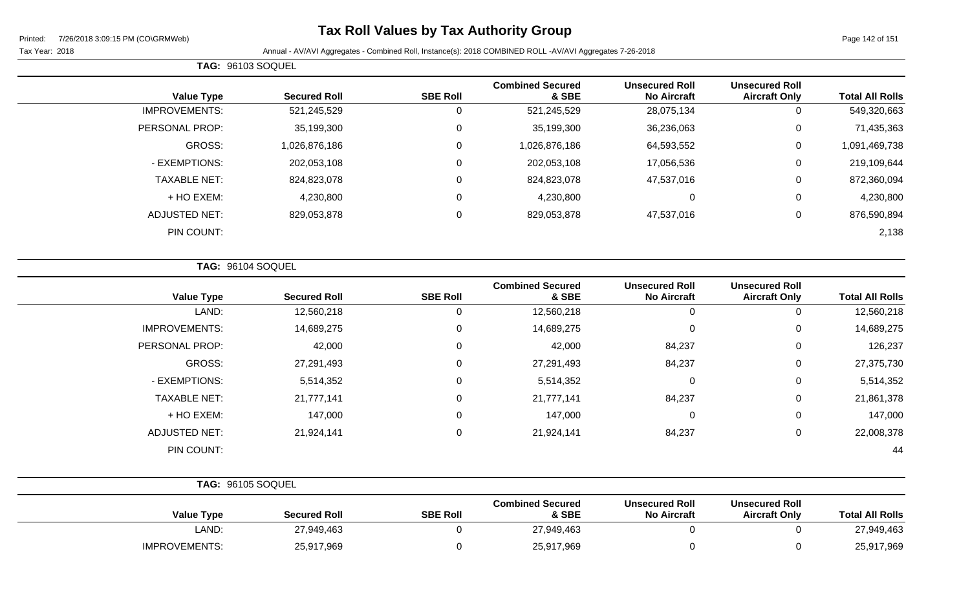## **Tax Roll Values by Tax Authority Group**

### Tax Year: 2018 **Annual - AV/AVI Aggregates - Combined Roll**, Instance(s): 2018 COMBINED ROLL -AV/AVI Aggregates 7-26-2018

|                       | <b>TAG: 96103 SOQUEL</b> |                 |                                  |                                             |                                               |                        |
|-----------------------|--------------------------|-----------------|----------------------------------|---------------------------------------------|-----------------------------------------------|------------------------|
| <b>Value Type</b>     | <b>Secured Roll</b>      | <b>SBE Roll</b> | <b>Combined Secured</b><br>& SBE | <b>Unsecured Roll</b><br><b>No Aircraft</b> | <b>Unsecured Roll</b><br><b>Aircraft Only</b> | <b>Total All Rolls</b> |
| <b>IMPROVEMENTS:</b>  | 521,245,529              | 0               | 521,245,529                      | 28,075,134                                  | 0                                             | 549,320,663            |
| <b>PERSONAL PROP:</b> | 35,199,300               | 0               | 35,199,300                       | 36,236,063                                  | 0                                             | 71,435,363             |
| <b>GROSS:</b>         | 1,026,876,186            | 0               | 1,026,876,186                    | 64,593,552                                  | 0                                             | 1,091,469,738          |
| - EXEMPTIONS:         | 202,053,108              | 0               | 202,053,108                      | 17,056,536                                  | 0                                             | 219,109,644            |
| <b>TAXABLE NET:</b>   | 824,823,078              | 0               | 824,823,078                      | 47,537,016                                  | 0                                             | 872,360,094            |
| + HO EXEM:            | 4,230,800                | 0               | 4,230,800                        | 0                                           | 0                                             | 4,230,800              |
| <b>ADJUSTED NET:</b>  | 829,053,878              | 0               | 829,053,878                      | 47,537,016                                  | 0                                             | 876,590,894            |
| PIN COUNT:            |                          |                 |                                  |                                             |                                               | 2,138                  |

**TAG:** 96104 SOQUEL

| <b>Value Type</b>    | <b>Secured Roll</b> | <b>SBE Roll</b> | <b>Combined Secured</b><br>& SBE | <b>Unsecured Roll</b><br><b>No Aircraft</b> | <b>Unsecured Roll</b><br><b>Aircraft Only</b> | <b>Total All Rolls</b> |
|----------------------|---------------------|-----------------|----------------------------------|---------------------------------------------|-----------------------------------------------|------------------------|
| LAND:                | 12,560,218          | 0               | 12,560,218                       | 0                                           |                                               | 12,560,218             |
| <b>IMPROVEMENTS:</b> | 14,689,275          | $\mathbf 0$     | 14,689,275                       | $\mathbf 0$                                 | 0                                             | 14,689,275             |
| PERSONAL PROP:       | 42,000              | 0               | 42,000                           | 84,237                                      | 0                                             | 126,237                |
| GROSS:               | 27,291,493          | $\mathbf 0$     | 27,291,493                       | 84,237                                      | 0                                             | 27,375,730             |
| - EXEMPTIONS:        | 5,514,352           | $\mathbf 0$     | 5,514,352                        | $\mathbf 0$                                 | 0                                             | 5,514,352              |
| <b>TAXABLE NET:</b>  | 21,777,141          | 0               | 21,777,141                       | 84,237                                      | 0                                             | 21,861,378             |
| + HO EXEM:           | 147,000             | $\mathbf 0$     | 147,000                          | $\mathbf 0$                                 | 0                                             | 147,000                |
| <b>ADJUSTED NET:</b> | 21,924,141          | 0               | 21,924,141                       | 84,237                                      | $\Omega$                                      | 22,008,378             |
| PIN COUNT:           |                     |                 |                                  |                                             |                                               | 44                     |

| <b>TAG: 96105 SOQUEL</b> |                     |                 |                                  |                                             |                                               |                        |
|--------------------------|---------------------|-----------------|----------------------------------|---------------------------------------------|-----------------------------------------------|------------------------|
| <b>Value Type</b>        | <b>Secured Roll</b> | <b>SBE Roll</b> | <b>Combined Secured</b><br>& SBE | <b>Unsecured Roll</b><br><b>No Aircraft</b> | <b>Unsecured Roll</b><br><b>Aircraft Only</b> | <b>Total All Rolls</b> |
| LAND:                    | 27,949,463          |                 | 27,949,463                       |                                             |                                               | 27,949,463             |
| <b>IMPROVEMENTS:</b>     | 25,917,969          |                 | 25,917,969                       |                                             |                                               | 25,917,969             |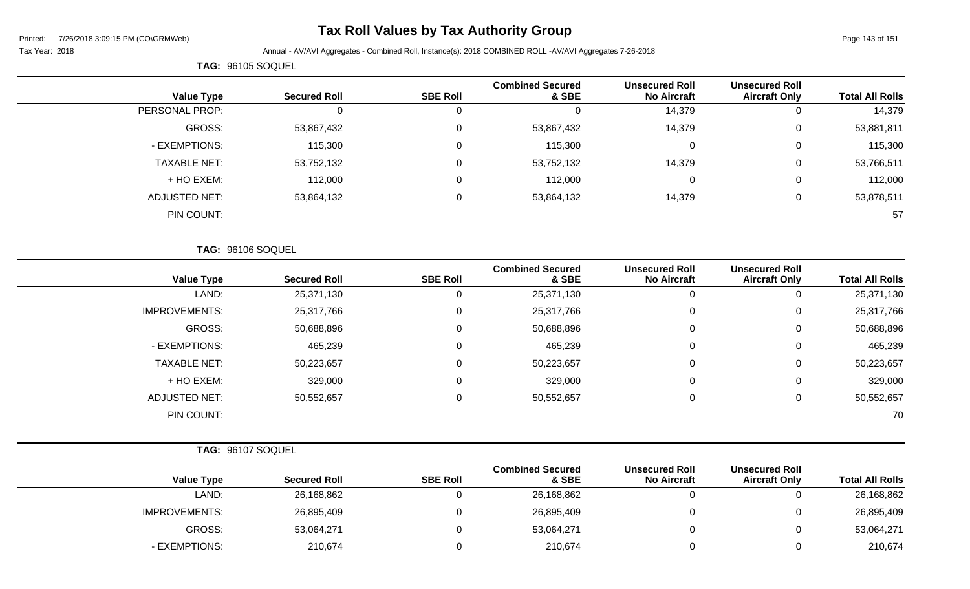## **Tax Roll Values by Tax Authority Group**

Tax Year: 2018 Annual - AV/AVI Aggregates - Combined Roll, Instance(s): 2018 COMBINED ROLL -AV/AVI Aggregates 7-26-2018

|                        |                                               |                                             |                                  |                  |                     | <b>TAG: 96105 SOQUEL</b> |
|------------------------|-----------------------------------------------|---------------------------------------------|----------------------------------|------------------|---------------------|--------------------------|
| <b>Total All Rolls</b> | <b>Unsecured Roll</b><br><b>Aircraft Only</b> | <b>Unsecured Roll</b><br><b>No Aircraft</b> | <b>Combined Secured</b><br>& SBE | <b>SBE Roll</b>  | <b>Secured Roll</b> | <b>Value Type</b>        |
| 14,379                 | $\mathbf 0$                                   | 14,379                                      | $\mathbf 0$                      | $\mathbf 0$      | $\mathbf 0$         | PERSONAL PROP:           |
| 53,881,811             | 0                                             | 14,379                                      | 53,867,432                       | $\mathbf 0$      | 53,867,432          | GROSS:                   |
| 115,300                | 0                                             | $\mathbf 0$                                 | 115,300                          | $\mathbf 0$      | 115,300             | - EXEMPTIONS:            |
| 53,766,511             | $\mathbf 0$                                   | 14,379                                      | 53,752,132                       | $\mathbf 0$      | 53,752,132          | <b>TAXABLE NET:</b>      |
| 112,000                | $\boldsymbol{0}$                              | $\mathbf 0$                                 | 112,000                          | $\mathbf 0$      | 112,000             | + HO EXEM:               |
| 53,878,511             | $\pmb{0}$                                     | 14,379                                      | 53,864,132                       | $\boldsymbol{0}$ | 53,864,132          | <b>ADJUSTED NET:</b>     |
| 57                     |                                               |                                             |                                  |                  |                     | PIN COUNT:               |
|                        |                                               |                                             |                                  |                  |                     | TAG: 96106 SOQUEL        |
| <b>Total All Rolls</b> | <b>Unsecured Roll</b><br><b>Aircraft Only</b> | <b>Unsecured Roll</b><br><b>No Aircraft</b> | <b>Combined Secured</b><br>& SBE | <b>SBE Roll</b>  | <b>Secured Roll</b> | <b>Value Type</b>        |
| 25,371,130             | $\mathbf 0$                                   | $\mathbf 0$                                 | 25,371,130                       | $\mathbf 0$      | 25,371,130          | LAND:                    |
| 25,317,766             | $\boldsymbol{0}$                              | $\mathbf 0$                                 | 25,317,766                       | $\boldsymbol{0}$ | 25,317,766          | <b>IMPROVEMENTS:</b>     |
| 50,688,896             | $\mathbf 0$                                   | $\mathbf 0$                                 | 50,688,896                       | $\mathbf 0$      | 50,688,896          | GROSS:                   |
| 465,239                | 0                                             | 0                                           | 465,239                          | $\mathbf 0$      | 465,239             | - EXEMPTIONS:            |
| 50,223,657             | $\pmb{0}$                                     | 0                                           | 50,223,657                       | $\mathbf 0$      | 50,223,657          | <b>TAXABLE NET:</b>      |
| 329,000                | 0                                             | $\mathbf 0$                                 | 329,000                          | 0                | 329,000             | + HO EXEM:               |
| 50,552,657             | $\pmb{0}$                                     | $\pmb{0}$                                   | 50,552,657                       | $\boldsymbol{0}$ | 50,552,657          | <b>ADJUSTED NET:</b>     |
| 70                     |                                               |                                             |                                  |                  |                     | PIN COUNT:               |
|                        |                                               |                                             |                                  |                  |                     | TAG: 96107 SOQUEL        |
| <b>Total All Rolls</b> | <b>Unsecured Roll</b><br><b>Aircraft Only</b> | <b>Unsecured Roll</b><br><b>No Aircraft</b> | <b>Combined Secured</b><br>& SBE | <b>SBE Roll</b>  | <b>Secured Roll</b> | <b>Value Type</b>        |
| 26,168,862             | $\mathbf 0$                                   | $\mathbf 0$                                 | 26,168,862                       | $\mathbf 0$      | 26,168,862          | LAND:                    |

IMPROVEMENTS: 26,895,409 0 26,895,409 0 26,895,409 0 26,895,409 0 26,895,409

- EXEMPTIONS: 210,674 0 210,674 0 0 210,674

GROSS: 53,064,271 0 53,064,271 0 0 53,064,271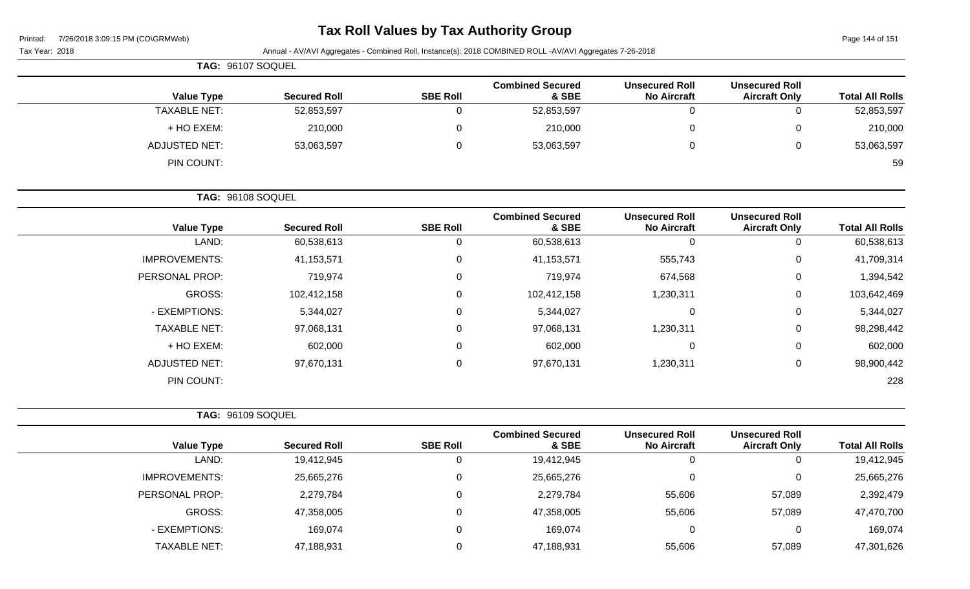| Printed: | 7/26/2018 3:09:15 PM (CO\GRMWeb) |  |
|----------|----------------------------------|--|
|          |                                  |  |

# **Tax Roll Values by Tax Authority Group**

Page 144 of 151

| Tax Year: 2018 |                      |                     |                 | Annual - AV/AVI Aggregates - Combined Roll, Instance(s): 2018 COMBINED ROLL -AV/AVI Aggregates 7-26-2018 |                                             |                                               |                        |
|----------------|----------------------|---------------------|-----------------|----------------------------------------------------------------------------------------------------------|---------------------------------------------|-----------------------------------------------|------------------------|
|                | TAG: 96107 SOQUEL    |                     |                 |                                                                                                          |                                             |                                               |                        |
|                | <b>Value Type</b>    | <b>Secured Roll</b> | <b>SBE Roll</b> | <b>Combined Secured</b><br>& SBE                                                                         | <b>Unsecured Roll</b><br><b>No Aircraft</b> | <b>Unsecured Roll</b><br><b>Aircraft Only</b> | <b>Total All Rolls</b> |
|                | <b>TAXABLE NET:</b>  | 52,853,597          | $\mathbf 0$     | 52,853,597                                                                                               | $\mathbf 0$                                 | $\mathbf 0$                                   | 52,853,597             |
|                | + HO EXEM:           | 210,000             | 0               | 210,000                                                                                                  | $\mathbf 0$                                 | 0                                             | 210,000                |
|                | <b>ADJUSTED NET:</b> | 53,063,597          | $\mathbf 0$     | 53,063,597                                                                                               | $\mathbf 0$                                 | $\mathbf 0$                                   | 53,063,597             |
|                | PIN COUNT:           |                     |                 |                                                                                                          |                                             |                                               | 59                     |
|                | TAG: 96108 SOQUEL    |                     |                 |                                                                                                          |                                             |                                               |                        |
|                | <b>Value Type</b>    | <b>Secured Roll</b> | <b>SBE Roll</b> | <b>Combined Secured</b><br>& SBE                                                                         | <b>Unsecured Roll</b><br><b>No Aircraft</b> | <b>Unsecured Roll</b><br><b>Aircraft Only</b> | <b>Total All Rolls</b> |
|                | LAND:                | 60,538,613          | $\mathbf 0$     | 60,538,613                                                                                               | $\mathbf{0}$                                | $\mathbf 0$                                   | 60,538,613             |
|                | <b>IMPROVEMENTS:</b> | 41, 153, 571        | $\mathbf 0$     | 41, 153, 571                                                                                             | 555,743                                     | 0                                             | 41,709,314             |
|                | PERSONAL PROP:       | 719,974             | $\mathbf 0$     | 719,974                                                                                                  | 674,568                                     | $\mathbf 0$                                   | 1,394,542              |
|                | <b>GROSS:</b>        | 102,412,158         | 0               | 102,412,158                                                                                              | 1,230,311                                   | $\mathbf 0$                                   | 103,642,469            |
|                | - EXEMPTIONS:        | 5,344,027           | $\mathbf 0$     | 5,344,027                                                                                                | $\mathbf 0$                                 | $\mathbf 0$                                   | 5,344,027              |
|                | <b>TAXABLE NET:</b>  | 97,068,131          | 0               | 97,068,131                                                                                               | 1,230,311                                   | $\mathbf 0$                                   | 98,298,442             |
|                | + HO EXEM:           | 602,000             | 0               | 602,000                                                                                                  | $\mathbf 0$                                 | $\mathbf 0$                                   | 602,000                |
|                | <b>ADJUSTED NET:</b> | 97,670,131          | $\pmb{0}$       | 97,670,131                                                                                               | 1,230,311                                   | $\mathbf 0$                                   | 98,900,442             |
|                | PIN COUNT:           |                     |                 |                                                                                                          |                                             |                                               | 228                    |
|                | TAG: 96109 SOQUEL    |                     |                 |                                                                                                          |                                             |                                               |                        |
|                | <b>Value Type</b>    | <b>Secured Roll</b> | <b>SBE Roll</b> | <b>Combined Secured</b><br>& SBE                                                                         | <b>Unsecured Roll</b><br><b>No Aircraft</b> | <b>Unsecured Roll</b><br><b>Aircraft Only</b> | <b>Total All Rolls</b> |
|                | LAND:                | 19,412,945          | $\mathbf 0$     | 19,412,945                                                                                               | $\mathbf 0$                                 | $\mathbf 0$                                   | 19,412,945             |
|                | <b>IMPROVEMENTS:</b> | 25,665,276          | $\mathbf 0$     | 25,665,276                                                                                               | $\mathbf 0$                                 | $\pmb{0}$                                     | 25,665,276             |
|                | PERSONAL PROP:       | 2,279,784           | $\Omega$        | 2,279,784                                                                                                | 55,606                                      | 57,089                                        | 2,392,479              |
|                | <b>GROSS:</b>        | 47,358,005          | 0               | 47,358,005                                                                                               | 55,606                                      | 57,089                                        | 47,470,700             |
|                |                      |                     |                 |                                                                                                          |                                             |                                               |                        |

- EXEMPTIONS: 169,074 0 169,074 0 0 169,074 TAXABLE NET: 47,188,931 0 47,188,931 55,606 57,089 47,301,626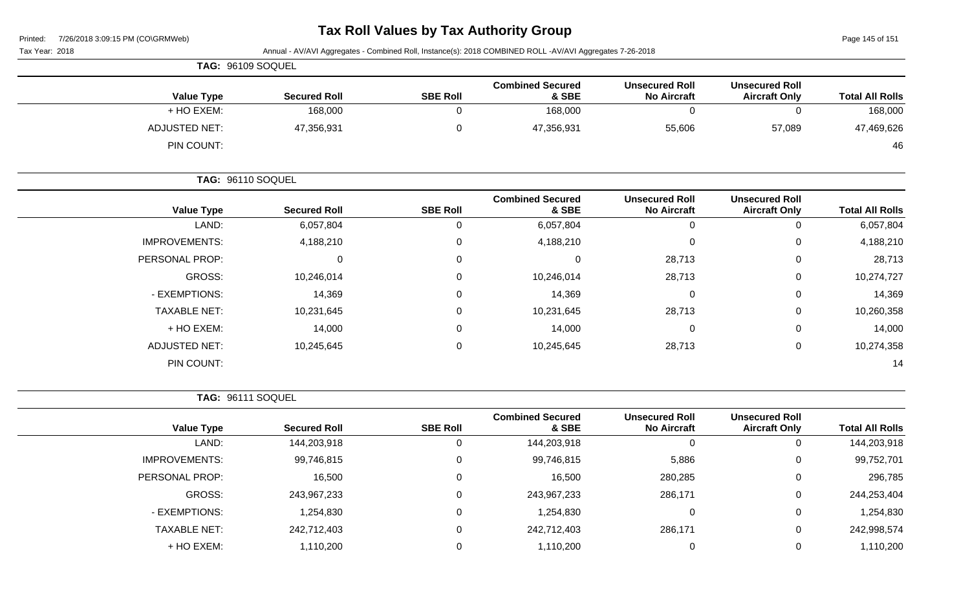## **Tax Roll Values by Tax Authority Group**

| 7/26/2018 3:09:15 PM (CO\GRMWeb)<br>Printed: |                     |                                                                                                          |                                  |                                             |                                               |                        |  |  |
|----------------------------------------------|---------------------|----------------------------------------------------------------------------------------------------------|----------------------------------|---------------------------------------------|-----------------------------------------------|------------------------|--|--|
| Tax Year: 2018                               |                     | Annual - AV/AVI Aggregates - Combined Roll, Instance(s): 2018 COMBINED ROLL -AV/AVI Aggregates 7-26-2018 |                                  |                                             |                                               |                        |  |  |
| TAG: 96109 SOQUEL                            |                     |                                                                                                          |                                  |                                             |                                               |                        |  |  |
| <b>Value Type</b>                            | <b>Secured Roll</b> | <b>SBE Roll</b>                                                                                          | <b>Combined Secured</b><br>& SBE | <b>Unsecured Roll</b><br><b>No Aircraft</b> | <b>Unsecured Roll</b><br><b>Aircraft Only</b> | <b>Total All Rolls</b> |  |  |
| + HO EXEM:                                   | 168,000             | 0                                                                                                        | 168,000                          | 0                                           | 0                                             | 168,000                |  |  |
| <b>ADJUSTED NET:</b>                         | 47,356,931          | 0                                                                                                        | 47,356,931                       | 55,606                                      | 57,089                                        | 47,469,626             |  |  |
| PIN COUNT:                                   |                     |                                                                                                          |                                  |                                             |                                               | 46                     |  |  |
| TAG: 96110 SOQUEL                            |                     |                                                                                                          |                                  |                                             |                                               |                        |  |  |
| <b>Value Type</b>                            | <b>Secured Roll</b> | <b>SBE Roll</b>                                                                                          | <b>Combined Secured</b><br>& SBE | <b>Unsecured Roll</b><br><b>No Aircraft</b> | <b>Unsecured Roll</b><br><b>Aircraft Only</b> | <b>Total All Rolls</b> |  |  |
| LAND:                                        | 6,057,804           | 0                                                                                                        | 6,057,804                        | $\mathbf 0$                                 | $\mathbf 0$                                   | 6,057,804              |  |  |
| <b>IMPROVEMENTS:</b>                         | 4,188,210           | 0                                                                                                        | 4,188,210                        | $\mathbf{0}$                                | $\Omega$                                      | 4,188,210              |  |  |
| PERSONAL PROP:                               | $\mathbf{0}$        | 0                                                                                                        | 0                                | 28,713                                      | 0                                             | 28,713                 |  |  |
| <b>GROSS:</b>                                | 10,246,014          | 0                                                                                                        | 10,246,014                       | 28,713                                      | 0                                             | 10,274,727             |  |  |
| - EXEMPTIONS:                                | 14,369              | 0                                                                                                        | 14,369                           | $\mathbf 0$                                 | 0                                             | 14,369                 |  |  |
| <b>TAXABLE NET:</b>                          | 10,231,645          | 0                                                                                                        | 10,231,645                       | 28,713                                      | 0                                             | 10,260,358             |  |  |
| + HO EXEM:                                   | 14,000              | 0                                                                                                        | 14,000                           | $\mathbf 0$                                 | 0                                             | 14,000                 |  |  |
| <b>ADJUSTED NET:</b>                         | 10,245,645          | 0                                                                                                        | 10,245,645                       | 28,713                                      | $\mathbf 0$                                   | 10,274,358             |  |  |
| PIN COUNT:                                   |                     |                                                                                                          |                                  |                                             |                                               | 14                     |  |  |
| TAG: 96111 SOQUEL                            |                     |                                                                                                          |                                  |                                             |                                               |                        |  |  |
| <b>Value Type</b>                            | <b>Secured Roll</b> | <b>SBE Roll</b>                                                                                          | <b>Combined Secured</b><br>& SBE | <b>Unsecured Roll</b><br><b>No Aircraft</b> | <b>Unsecured Roll</b><br><b>Aircraft Only</b> | <b>Total All Rolls</b> |  |  |
| LAND:                                        | 144,203,918         | 0                                                                                                        | 144,203,918                      | $\mathbf 0$                                 | $\mathbf 0$                                   | 144,203,918            |  |  |
| <b>IMPROVEMENTS:</b>                         | 99,746,815          | 0                                                                                                        | 99,746,815                       | 5,886                                       | 0                                             | 99,752,701             |  |  |
| PERSONAL PROP:                               | 16,500              | $\pmb{0}$                                                                                                | 16,500                           | 280,285                                     | $\boldsymbol{0}$                              | 296,785                |  |  |
| GROSS:                                       | 243,967,233         | 0                                                                                                        | 243,967,233                      | 286,171                                     | $\pmb{0}$                                     | 244,253,404            |  |  |
| - EXEMPTIONS:                                | 1,254,830           | 0                                                                                                        | 1,254,830                        | $\pmb{0}$                                   | $\mathbf 0$                                   | 1,254,830              |  |  |
| <b>TAXABLE NET:</b>                          | 242,712,403         | 0                                                                                                        | 242,712,403                      | 286,171                                     | $\pmb{0}$                                     | 242,998,574            |  |  |
| + HO EXEM:                                   | 1,110,200           | 0                                                                                                        | 1,110,200                        | $\pmb{0}$                                   | $\mathbf 0$                                   | 1,110,200              |  |  |
|                                              |                     |                                                                                                          |                                  |                                             |                                               |                        |  |  |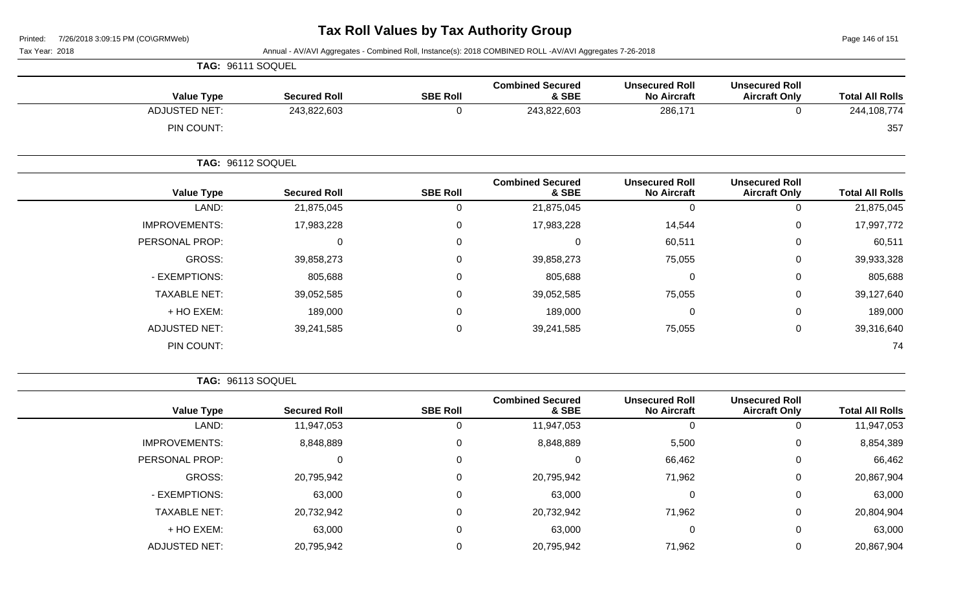Page 146 of 151

Tax Year: 2018 Annual - AV/AVI Aggregates - Combined Roll, Instance(s): 2018 COMBINED ROLL -AV/AVI Aggregates 7-26-2018

|                      | TAG: 96111 SOQUEL        |                 |                                  |                                             |                                               |                        |
|----------------------|--------------------------|-----------------|----------------------------------|---------------------------------------------|-----------------------------------------------|------------------------|
| <b>Value Type</b>    | <b>Secured Roll</b>      | <b>SBE Roll</b> | <b>Combined Secured</b><br>& SBE | <b>Unsecured Roll</b><br><b>No Aircraft</b> | <b>Unsecured Roll</b><br><b>Aircraft Only</b> | <b>Total All Rolls</b> |
| <b>ADJUSTED NET:</b> | 243,822,603              | 0               | 243,822,603                      | 286,171                                     | 0                                             | 244,108,774            |
| PIN COUNT:           |                          |                 |                                  |                                             |                                               | 357                    |
|                      | <b>TAG: 96112 SOQUEL</b> |                 |                                  |                                             |                                               |                        |
| <b>Value Type</b>    | <b>Secured Roll</b>      | <b>SBE Roll</b> | <b>Combined Secured</b><br>& SBE | <b>Unsecured Roll</b><br><b>No Aircraft</b> | <b>Unsecured Roll</b><br><b>Aircraft Only</b> | <b>Total All Rolls</b> |
| LAND:                | 21,875,045               | 0               | 21,875,045                       | 0                                           | 0                                             | 21,875,045             |
| <b>IMPROVEMENTS:</b> | 17,983,228               | 0               | 17,983,228                       | 14,544                                      | 0                                             | 17,997,772             |
| PERSONAL PROP:       | $\mathbf{0}$             | 0               | 0                                | 60,511                                      | 0                                             | 60,511                 |
| GROSS:               | 39,858,273               | 0               | 39,858,273                       | 75,055                                      | 0                                             | 39,933,328             |
| - EXEMPTIONS:        | 805,688                  | 0               | 805,688                          | $\mathbf 0$                                 | 0                                             | 805,688                |
| <b>TAXABLE NET:</b>  | 39,052,585               | 0               | 39,052,585                       | 75,055                                      | 0                                             | 39,127,640             |
| + HO EXEM:           | 189,000                  | 0               | 189,000                          | $\mathbf 0$                                 | 0                                             | 189,000                |
| <b>ADJUSTED NET:</b> | 39,241,585               | $\mathbf 0$     | 39,241,585                       | 75,055                                      | 0                                             | 39,316,640             |
| PIN COUNT:           |                          |                 |                                  |                                             |                                               | 74                     |

**TAG:** 96113 SOQUEL

| <b>Total All Rolls</b> | <b>Unsecured Roll</b><br><b>Aircraft Only</b> | <b>Unsecured Roll</b><br><b>No Aircraft</b> | <b>Combined Secured</b><br>& SBE | <b>SBE Roll</b> | <b>Secured Roll</b> | <b>Value Type</b>    |
|------------------------|-----------------------------------------------|---------------------------------------------|----------------------------------|-----------------|---------------------|----------------------|
| 11,947,053             |                                               | 0                                           | 11,947,053                       | U               | 11,947,053          | LAND:                |
| 8,854,389              | 0                                             | 5,500                                       | 8,848,889                        | 0               | 8,848,889           | <b>IMPROVEMENTS:</b> |
| 66,462                 | 0                                             | 66,462                                      | 0                                | 0               | 0                   | PERSONAL PROP:       |
| 20,867,904             | 0                                             | 71,962                                      | 20,795,942                       | 0               | 20,795,942          | <b>GROSS:</b>        |
| 63,000                 | 0                                             | $\Omega$                                    | 63,000                           | 0               | 63,000              | - EXEMPTIONS:        |
| 20,804,904             | 0                                             | 71,962                                      | 20,732,942                       | 0               | 20,732,942          | <b>TAXABLE NET:</b>  |
| 63,000                 | $\overline{0}$                                | 0                                           | 63,000                           | $\mathbf 0$     | 63,000              | + HO EXEM:           |
| 20,867,904             | 0                                             | 71,962                                      | 20,795,942                       | 0               | 20,795,942          | <b>ADJUSTED NET:</b> |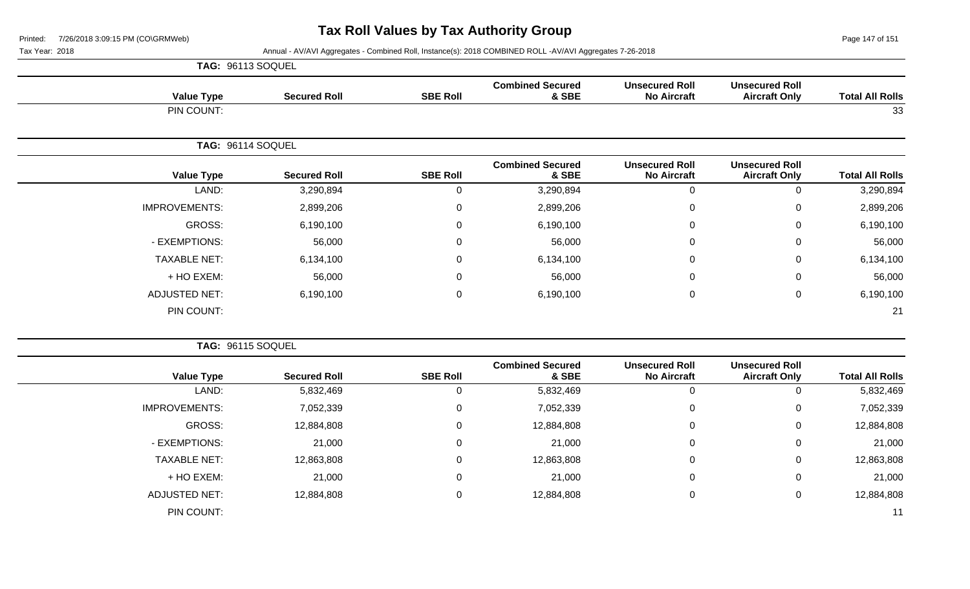Page 147 of 151

Tax Year: 2018 **Annual - AV/AVI Aggregates - Combined Roll**, Instance(s): 2018 COMBINED ROLL -AV/AVI Aggregates 7-26-2018

|                      | TAG: 96113 SOQUEL   |                 |                                  |                                             |                                               |                        |
|----------------------|---------------------|-----------------|----------------------------------|---------------------------------------------|-----------------------------------------------|------------------------|
| <b>Value Type</b>    | <b>Secured Roll</b> | <b>SBE Roll</b> | <b>Combined Secured</b><br>& SBE | <b>Unsecured Roll</b><br><b>No Aircraft</b> | <b>Unsecured Roll</b><br><b>Aircraft Only</b> | <b>Total All Rolls</b> |
| PIN COUNT:           |                     |                 |                                  |                                             |                                               | 33                     |
|                      | TAG: 96114 SOQUEL   |                 |                                  |                                             |                                               |                        |
| <b>Value Type</b>    | <b>Secured Roll</b> | <b>SBE Roll</b> | <b>Combined Secured</b><br>& SBE | <b>Unsecured Roll</b><br><b>No Aircraft</b> | <b>Unsecured Roll</b><br><b>Aircraft Only</b> | <b>Total All Rolls</b> |
| LAND:                | 3,290,894           | $\Omega$        | 3,290,894                        | $\mathbf 0$                                 | 0                                             | 3,290,894              |
| <b>IMPROVEMENTS:</b> | 2,899,206           | 0               | 2,899,206                        | $\mathbf 0$                                 | 0                                             | 2,899,206              |
| GROSS:               | 6,190,100           | $\mathbf 0$     | 6,190,100                        | $\mathbf 0$                                 | $\mathbf 0$                                   | 6,190,100              |
| - EXEMPTIONS:        | 56,000              | $\Omega$        | 56,000                           | $\mathbf{0}$                                | 0                                             | 56,000                 |
| <b>TAXABLE NET:</b>  | 6,134,100           | 0               | 6,134,100                        | $\mathbf 0$                                 | $\mathbf 0$                                   | 6,134,100              |
| + HO EXEM:           | 56,000              | $\Omega$        | 56,000                           | $\mathbf{0}$                                | 0                                             | 56,000                 |
| <b>ADJUSTED NET:</b> | 6,190,100           | $\overline{0}$  | 6,190,100                        | $\mathbf 0$                                 | $\mathbf 0$                                   | 6,190,100              |
| PIN COUNT:           |                     |                 |                                  |                                             |                                               | 21                     |

|                      | TAG: 96115 SOQUEL   |                 |                                  |                                             |                                               |                        |
|----------------------|---------------------|-----------------|----------------------------------|---------------------------------------------|-----------------------------------------------|------------------------|
| <b>Value Type</b>    | <b>Secured Roll</b> | <b>SBE Roll</b> | <b>Combined Secured</b><br>& SBE | <b>Unsecured Roll</b><br><b>No Aircraft</b> | <b>Unsecured Roll</b><br><b>Aircraft Only</b> | <b>Total All Rolls</b> |
| LAND:                | 5,832,469           |                 | 5,832,469                        |                                             |                                               | 5,832,469              |
| <b>IMPROVEMENTS:</b> | 7,052,339           | 0               | 7,052,339                        | $\mathbf 0$                                 | 0                                             | 7,052,339              |
| GROSS:               | 12,884,808          | 0               | 12,884,808                       | 0                                           | 0                                             | 12,884,808             |
| - EXEMPTIONS:        | 21,000              | 0               | 21,000                           | 0                                           | 0                                             | 21,000                 |
| <b>TAXABLE NET:</b>  | 12,863,808          | 0               | 12,863,808                       | $\mathbf 0$                                 | 0                                             | 12,863,808             |
| + HO EXEM:           | 21,000              | 0               | 21,000                           | $\mathbf 0$                                 | 0                                             | 21,000                 |
| <b>ADJUSTED NET:</b> | 12,884,808          | $\mathbf{0}$    | 12,884,808                       | 0                                           | 0                                             | 12,884,808             |
| PIN COUNT:           |                     |                 |                                  |                                             |                                               | 11                     |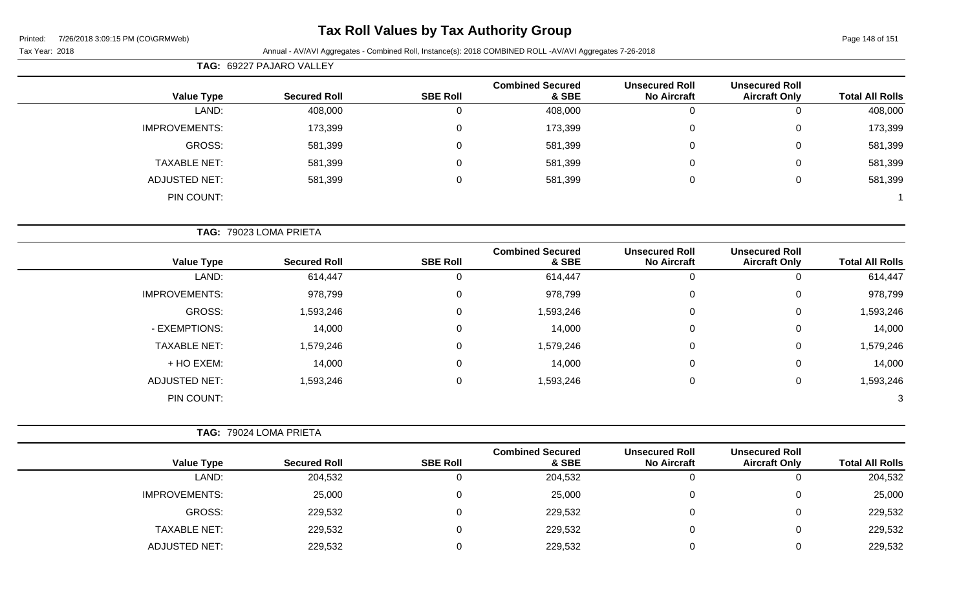# **Tax Roll Values by Tax Authority Group**

### Tax Year: 2018 **Annual - AV/AVI Aggregates - Combined Roll**, Instance(s): 2018 COMBINED ROLL -AV/AVI Aggregates 7-26-2018

| <b>Total All Rolls</b> | <b>Unsecured Roll</b><br><b>Aircraft Only</b> | <b>Unsecured Roll</b><br><b>No Aircraft</b> | <b>Combined Secured</b><br>& SBE | <b>SBE Roll</b> | <b>Secured Roll</b>    | <b>Value Type</b>    |
|------------------------|-----------------------------------------------|---------------------------------------------|----------------------------------|-----------------|------------------------|----------------------|
| 408,000                | $\mathbf 0$                                   | $\mathbf 0$                                 | 408,000                          | 0               | 408,000                | LAND:                |
| 173,399                | $\mathbf 0$                                   | 0                                           | 173,399                          | $\mathbf 0$     | 173,399                | <b>IMPROVEMENTS:</b> |
| 581,399                | $\mathbf 0$                                   | $\mathbf 0$                                 | 581,399                          | $\mathbf 0$     | 581,399                | GROSS:               |
| 581,399                | $\mathbf 0$                                   | 0                                           | 581,399                          | $\mathbf 0$     | 581,399                | <b>TAXABLE NET:</b>  |
| 581,399                | $\pmb{0}$                                     | $\boldsymbol{0}$                            | 581,399                          | $\mathbf 0$     | 581,399                | <b>ADJUSTED NET:</b> |
|                        |                                               |                                             |                                  |                 |                        | PIN COUNT:           |
|                        |                                               |                                             |                                  |                 | TAG: 79023 LOMA PRIETA |                      |
| <b>Total All Rolls</b> | <b>Unsecured Roll</b><br><b>Aircraft Only</b> | <b>Unsecured Roll</b><br><b>No Aircraft</b> | <b>Combined Secured</b><br>& SBE | <b>SBE Roll</b> | <b>Secured Roll</b>    | <b>Value Type</b>    |
| 614,447                | $\mathbf 0$                                   | $\boldsymbol{0}$                            | 614,447                          | $\mathbf 0$     | 614,447                | LAND:                |
| 978,799                | $\mathbf 0$                                   | 0                                           | 978,799                          | $\mathbf 0$     | 978,799                | <b>IMPROVEMENTS:</b> |
| 1,593,246              | $\mathbf 0$                                   | $\mathbf 0$                                 | 1,593,246                        | $\mathbf 0$     | 1,593,246              | GROSS:               |
| 14,000                 | $\mathsf 0$                                   | 0                                           | 14,000                           | $\mathbf 0$     | 14,000                 | - EXEMPTIONS:        |
| 1,579,246              | $\mathbf 0$                                   | $\mathbf 0$                                 | 1,579,246                        | $\mathbf 0$     | 1,579,246              | <b>TAXABLE NET:</b>  |
| 14,000                 | $\mathbf 0$                                   | 0                                           | 14,000                           | $\overline{0}$  | 14,000                 | + HO EXEM:           |
| 1,593,246              | $\mathsf 0$                                   | $\boldsymbol{0}$                            | 1,593,246                        | $\mathbf 0$     | 1,593,246              | <b>ADJUSTED NET:</b> |
| 3                      |                                               |                                             |                                  |                 |                        | PIN COUNT:           |
|                        |                                               |                                             |                                  |                 | TAG: 79024 LOMA PRIETA |                      |
|                        |                                               |                                             |                                  |                 |                        |                      |

| <b>Total All Rolls</b> | <b>Unsecured Roll</b><br><b>Aircraft Only</b> | <b>Unsecured Roll</b><br><b>No Aircraft</b> | <b>Combined Secured</b><br>& SBE | <b>SBE Roll</b> | <b>Secured Roll</b> | <b>Value Type</b>    |
|------------------------|-----------------------------------------------|---------------------------------------------|----------------------------------|-----------------|---------------------|----------------------|
| 204,532                |                                               |                                             | 204,532                          |                 | 204,532             | LAND:                |
| 25,000                 |                                               |                                             | 25,000                           | 0               | 25,000              | <b>IMPROVEMENTS:</b> |
| 229,532                |                                               |                                             | 229,532                          | 0               | 229,532             | GROSS:               |
| 229,532                |                                               |                                             | 229,532                          | 0               | 229,532             | <b>TAXABLE NET:</b>  |
| 229,532                |                                               |                                             | 229,532                          |                 | 229,532             | ADJUSTED NET:        |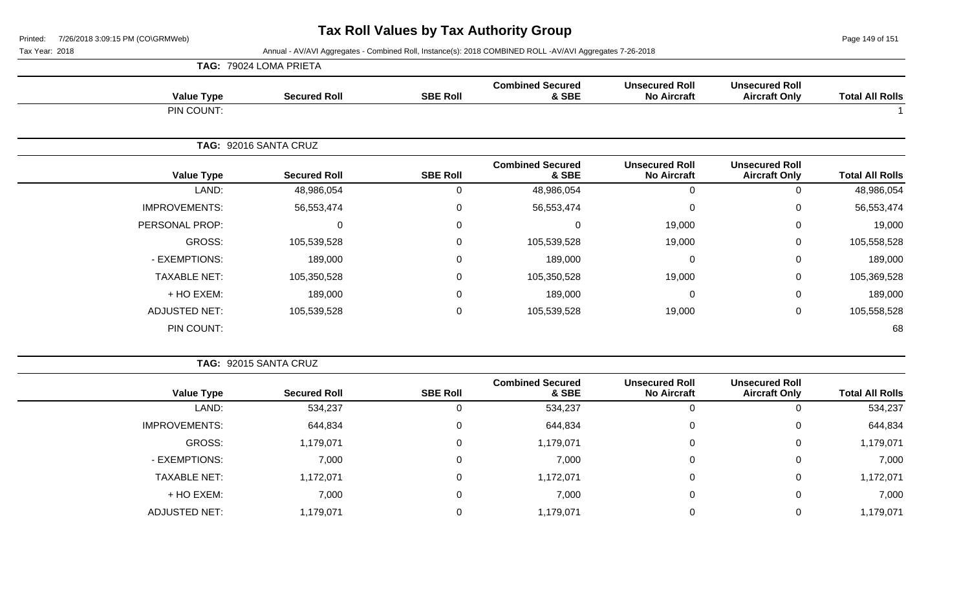Page 149 of 151

### Tax Year: 2018 **Annual - AV/AVI Aggregates - Combined Roll**, Instance(s): 2018 COMBINED ROLL -AV/AVI Aggregates 7-26-2018

|                      | TAG: 79024 LOMA PRIETA |                 |                                  |                                             |                                               |                        |
|----------------------|------------------------|-----------------|----------------------------------|---------------------------------------------|-----------------------------------------------|------------------------|
| <b>Value Type</b>    | <b>Secured Roll</b>    | <b>SBE Roll</b> | <b>Combined Secured</b><br>& SBE | <b>Unsecured Roll</b><br><b>No Aircraft</b> | <b>Unsecured Roll</b><br><b>Aircraft Only</b> | <b>Total All Rolls</b> |
| PIN COUNT:           |                        |                 |                                  |                                             |                                               |                        |
|                      | TAG: 92016 SANTA CRUZ  |                 |                                  |                                             |                                               |                        |
| <b>Value Type</b>    | <b>Secured Roll</b>    | <b>SBE Roll</b> | <b>Combined Secured</b><br>& SBE | <b>Unsecured Roll</b><br><b>No Aircraft</b> | <b>Unsecured Roll</b><br><b>Aircraft Only</b> | <b>Total All Rolls</b> |
| LAND:                | 48,986,054             | $\Omega$        | 48,986,054                       | 0                                           | 0                                             | 48,986,054             |
| <b>IMPROVEMENTS:</b> | 56,553,474             | $\mathbf 0$     | 56,553,474                       | $\mathbf 0$                                 | $\Omega$                                      | 56,553,474             |
| PERSONAL PROP:       | $\Omega$               | $\mathsf 0$     | $\mathbf 0$                      | 19,000                                      | $\pmb{0}$                                     | 19,000                 |
| GROSS:               | 105,539,528            | $\mathbf 0$     | 105,539,528                      | 19,000                                      | $\mathbf 0$                                   | 105,558,528            |
| - EXEMPTIONS:        | 189,000                | $\Omega$        | 189,000                          | $\mathbf 0$                                 | 0                                             | 189,000                |
| <b>TAXABLE NET:</b>  | 105,350,528            | 0               | 105,350,528                      | 19,000                                      | $\mathbf 0$                                   | 105,369,528            |
| + HO EXEM:           | 189,000                | 0               | 189,000                          | $\mathbf 0$                                 | $\mathbf 0$                                   | 189,000                |
| <b>ADJUSTED NET:</b> | 105,539,528            | 0               | 105,539,528                      | 19,000                                      | $\mathbf 0$                                   | 105,558,528            |
| PIN COUNT:           |                        |                 |                                  |                                             |                                               | 68                     |

|--|

|                      |                     |                 | <b>Combined Secured</b> | <b>Unsecured Roll</b> | <b>Unsecured Roll</b> |                        |
|----------------------|---------------------|-----------------|-------------------------|-----------------------|-----------------------|------------------------|
| <b>Value Type</b>    | <b>Secured Roll</b> | <b>SBE Roll</b> | & SBE                   | <b>No Aircraft</b>    | <b>Aircraft Only</b>  | <b>Total All Rolls</b> |
| LAND:                | 534,237             |                 | 534,237                 |                       | 0                     | 534,237                |
| <b>IMPROVEMENTS:</b> | 644,834             | 0               | 644,834                 | 0                     | 0                     | 644,834                |
| GROSS:               | 1,179,071           |                 | 1,179,071               | 0                     | 0                     | 1,179,071              |
| - EXEMPTIONS:        | 7,000               |                 | 7,000                   | $\Omega$              | 0                     | 7,000                  |
| <b>TAXABLE NET:</b>  | 1,172,071           | 0               | 1,172,071               | 0                     | 0                     | 1,172,071              |
| + HO EXEM:           | 7,000               |                 | 7,000                   | $\Omega$              | 0                     | 7,000                  |
| <b>ADJUSTED NET:</b> | 1,179,071           |                 | 1,179,071               |                       | 0                     | 1,179,071              |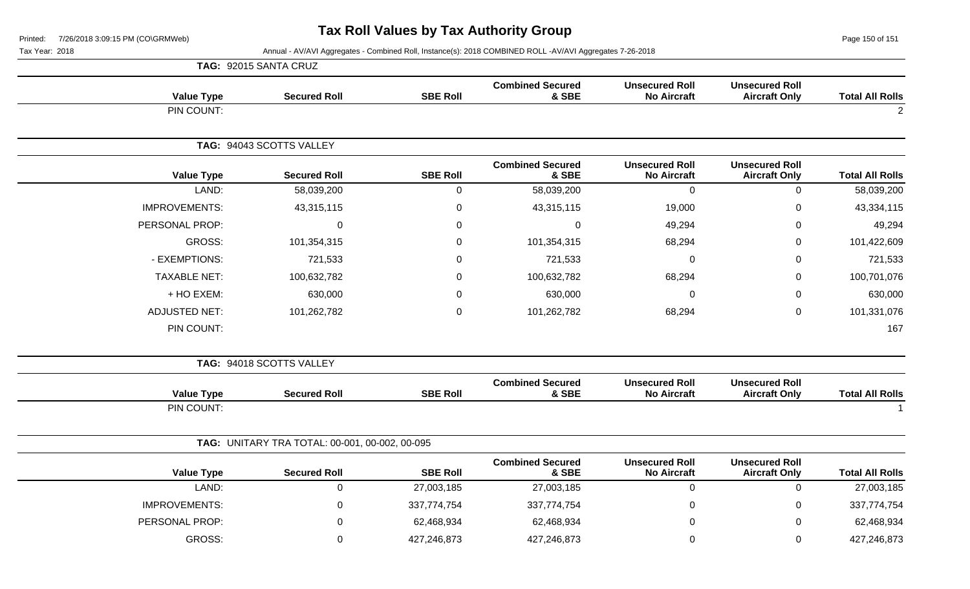Page 150 of 151

Tax Year: 2018 **Annual - AV/AVI Aggregates - Combined Roll**, Instance(s): 2018 COMBINED ROLL -AV/AVI Aggregates 7-26-2018

|                        |                                               |                                             |                                  |                 | TAG: 92015 SANTA CRUZ                          |                      |
|------------------------|-----------------------------------------------|---------------------------------------------|----------------------------------|-----------------|------------------------------------------------|----------------------|
| <b>Total All Rolls</b> | <b>Unsecured Roll</b><br><b>Aircraft Only</b> | <b>Unsecured Roll</b><br><b>No Aircraft</b> | <b>Combined Secured</b><br>& SBE | <b>SBE Roll</b> | <b>Secured Roll</b>                            | <b>Value Type</b>    |
| $\overline{2}$         |                                               |                                             |                                  |                 |                                                | PIN COUNT:           |
|                        |                                               |                                             |                                  |                 | TAG: 94043 SCOTTS VALLEY                       |                      |
| <b>Total All Rolls</b> | <b>Unsecured Roll</b><br><b>Aircraft Only</b> | <b>Unsecured Roll</b><br><b>No Aircraft</b> | <b>Combined Secured</b><br>& SBE | <b>SBE Roll</b> | <b>Secured Roll</b>                            | <b>Value Type</b>    |
| 58,039,200             | $\mathbf 0$                                   | $\mathbf 0$                                 | 58,039,200                       | $\mathbf 0$     | 58,039,200                                     | LAND:                |
| 43,334,115             | 0                                             | 19,000                                      | 43,315,115                       | $\pmb{0}$       | 43,315,115                                     | <b>IMPROVEMENTS:</b> |
| 49,294                 | 0                                             | 49,294                                      | $\mathbf 0$                      | 0               | $\overline{0}$                                 | PERSONAL PROP:       |
| 101,422,609            | 0                                             | 68,294                                      | 101,354,315                      | $\pmb{0}$       | 101,354,315                                    | GROSS:               |
| 721,533                | 0                                             | $\mathbf 0$                                 | 721,533                          | $\pmb{0}$       | 721,533                                        | - EXEMPTIONS:        |
| 100,701,076            | 0                                             | 68,294                                      | 100,632,782                      | $\mathbf 0$     | 100,632,782                                    | <b>TAXABLE NET:</b>  |
| 630,000                | 0                                             | $\Omega$                                    | 630,000                          | 0               | 630,000                                        | + HO EXEM:           |
| 101,331,076            | 0                                             | 68,294                                      | 101,262,782                      | $\mathbf 0$     | 101,262,782                                    | <b>ADJUSTED NET:</b> |
| 167                    |                                               |                                             |                                  |                 |                                                | PIN COUNT:           |
|                        |                                               |                                             |                                  |                 | TAG: 94018 SCOTTS VALLEY                       |                      |
| <b>Total All Rolls</b> | <b>Unsecured Roll</b><br><b>Aircraft Only</b> | <b>Unsecured Roll</b><br><b>No Aircraft</b> | <b>Combined Secured</b><br>& SBE | <b>SBE Roll</b> | <b>Secured Roll</b>                            | <b>Value Type</b>    |
|                        |                                               |                                             |                                  |                 |                                                | PIN COUNT:           |
|                        |                                               |                                             |                                  |                 | TAG: UNITARY TRA TOTAL: 00-001, 00-002, 00-095 |                      |
| <b>Total All Rolls</b> | <b>Unsecured Roll</b><br><b>Aircraft Only</b> | <b>Unsecured Roll</b><br><b>No Aircraft</b> | <b>Combined Secured</b><br>& SBE | <b>SBE Roll</b> | <b>Secured Roll</b>                            | <b>Value Type</b>    |
| 27,003,185             | $\mathbf 0$                                   | $\mathbf 0$                                 | 27,003,185                       | 27,003,185      | $\mathbf 0$                                    | LAND:                |
| 337,774,754            | 0                                             | 0                                           | 337,774,754                      | 337,774,754     | 0                                              | <b>IMPROVEMENTS:</b> |
| 62,468,934             | 0                                             | $\pmb{0}$                                   | 62,468,934                       | 62,468,934      | 0                                              | PERSONAL PROP:       |
|                        |                                               |                                             |                                  |                 |                                                |                      |

GROSS: 0 427,246,873 427,246,873 0 0 427,246,873